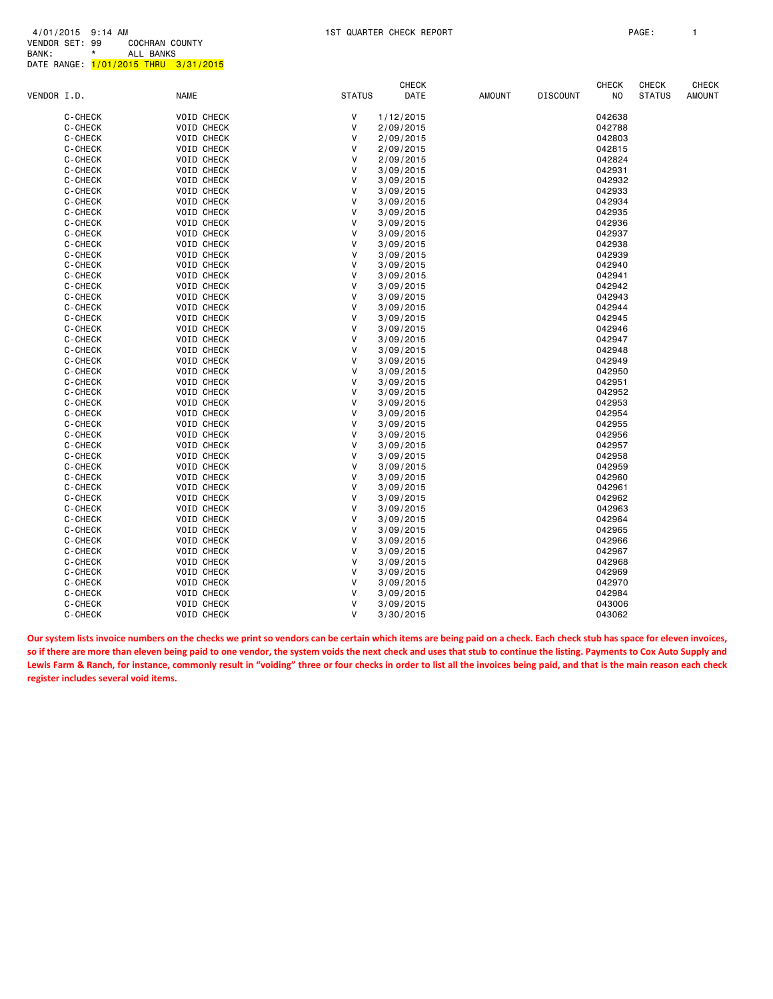|             |         |                   |              | <b>CHECK</b> |      |               |                 | <b>CHECK</b> | CHECK         | CHECK         |
|-------------|---------|-------------------|--------------|--------------|------|---------------|-----------------|--------------|---------------|---------------|
| VENDOR I.D. |         | <b>NAME</b>       | STATUS       |              | DATE | <b>AMOUNT</b> | <b>DISCOUNT</b> | NO           | <b>STATUS</b> | <b>AMOUNT</b> |
|             | C-CHECK | <b>VOID CHECK</b> | V            | 1/12/2015    |      |               |                 | 042638       |               |               |
|             | C-CHECK | <b>VOID CHECK</b> | V            | 2/09/2015    |      |               |                 | 042788       |               |               |
|             | C-CHECK | <b>VOID CHECK</b> | V            | 2/09/2015    |      |               |                 | 042803       |               |               |
|             | C-CHECK | <b>VOID CHECK</b> | V            | 2/09/2015    |      |               |                 | 042815       |               |               |
|             | C-CHECK | <b>VOID CHECK</b> | $\vee$       | 2/09/2015    |      |               |                 | 042824       |               |               |
|             | C-CHECK | <b>VOID CHECK</b> | V            | 3/09/2015    |      |               |                 | 042931       |               |               |
|             | C-CHECK | <b>VOID CHECK</b> | $\vee$       | 3/09/2015    |      |               |                 | 042932       |               |               |
|             | C-CHECK | VOID CHECK        | V            | 3/09/2015    |      |               |                 | 042933       |               |               |
|             | C-CHECK | <b>VOID CHECK</b> | V            | 3/09/2015    |      |               |                 | 042934       |               |               |
|             | C-CHECK | <b>VOID CHECK</b> | V            | 3/09/2015    |      |               |                 | 042935       |               |               |
|             | C-CHECK | <b>VOID CHECK</b> | $\vee$       | 3/09/2015    |      |               |                 | 042936       |               |               |
|             | C-CHECK | <b>VOID CHECK</b> | V            | 3/09/2015    |      |               |                 | 042937       |               |               |
|             | C-CHECK | <b>VOID CHECK</b> | v            | 3/09/2015    |      |               |                 | 042938       |               |               |
|             | C-CHECK | <b>VOID CHECK</b> | V            | 3/09/2015    |      |               |                 | 042939       |               |               |
|             | C-CHECK | <b>VOID CHECK</b> | V            | 3/09/2015    |      |               |                 | 042940       |               |               |
|             | C-CHECK | <b>VOID CHECK</b> | V            | 3/09/2015    |      |               |                 | 042941       |               |               |
|             | C-CHECK | <b>VOID CHECK</b> | $\vee$       | 3/09/2015    |      |               |                 | 042942       |               |               |
|             | C-CHECK | VOID CHECK        | $\vee$       | 3/09/2015    |      |               |                 | 042943       |               |               |
|             | C-CHECK | <b>VOID CHECK</b> | $\vee$       | 3/09/2015    |      |               |                 | 042944       |               |               |
|             | C-CHECK | <b>VOID CHECK</b> | V            | 3/09/2015    |      |               |                 | 042945       |               |               |
|             | C-CHECK | <b>VOID CHECK</b> | V            | 3/09/2015    |      |               |                 | 042946       |               |               |
|             | C-CHECK | <b>VOID CHECK</b> | V            | 3/09/2015    |      |               |                 | 042947       |               |               |
|             | C-CHECK | <b>VOID CHECK</b> | $\vee$       | 3/09/2015    |      |               |                 | 042948       |               |               |
|             | C-CHECK | <b>VOID CHECK</b> | $\vee$       | 3/09/2015    |      |               |                 | 042949       |               |               |
|             | C-CHECK | VOID CHECK        | V            | 3/09/2015    |      |               |                 | 042950       |               |               |
|             | C-CHECK | <b>VOID CHECK</b> | $\vee$       | 3/09/2015    |      |               |                 | 042951       |               |               |
|             | C-CHECK | <b>VOID CHECK</b> | V            | 3/09/2015    |      |               |                 | 042952       |               |               |
|             | C-CHECK | <b>VOID CHECK</b> | v            | 3/09/2015    |      |               |                 | 042953       |               |               |
|             | C-CHECK | <b>VOID CHECK</b> | V            | 3/09/2015    |      |               |                 | 042954       |               |               |
|             | C-CHECK | <b>VOID CHECK</b> | $\vee$       | 3/09/2015    |      |               |                 | 042955       |               |               |
|             | C-CHECK | <b>VOID CHECK</b> | $\vee$       | 3/09/2015    |      |               |                 | 042956       |               |               |
|             | C-CHECK | <b>VOID CHECK</b> | v            | 3/09/2015    |      |               |                 | 042957       |               |               |
|             | C-CHECK | <b>VOID CHECK</b> | $\vee$       | 3/09/2015    |      |               |                 | 042958       |               |               |
|             | C-CHECK | <b>VOID CHECK</b> | $\vee$       | 3/09/2015    |      |               |                 | 042959       |               |               |
|             | C-CHECK | <b>VOID CHECK</b> | V            | 3/09/2015    |      |               |                 | 042960       |               |               |
|             | C-CHECK | <b>VOID CHECK</b> | $\vee$       | 3/09/2015    |      |               |                 | 042961       |               |               |
|             | C-CHECK | <b>VOID CHECK</b> | $\vee$       | 3/09/2015    |      |               |                 | 042962       |               |               |
|             | C-CHECK | <b>VOID CHECK</b> | V            | 3/09/2015    |      |               |                 | 042963       |               |               |
|             | C-CHECK | <b>VOID CHECK</b> | V            | 3/09/2015    |      |               |                 | 042964       |               |               |
|             | C-CHECK | <b>VOID CHECK</b> | V            | 3/09/2015    |      |               |                 | 042965       |               |               |
|             | C-CHECK | <b>VOID CHECK</b> | V            | 3/09/2015    |      |               |                 | 042966       |               |               |
|             | C-CHECK | <b>VOID CHECK</b> | $\vee$       | 3/09/2015    |      |               |                 | 042967       |               |               |
|             | C-CHECK | <b>VOID CHECK</b> | $\vee$       | 3/09/2015    |      |               |                 | 042968       |               |               |
|             | C-CHECK | <b>VOID CHECK</b> | $\vee$       | 3/09/2015    |      |               |                 | 042969       |               |               |
|             | C-CHECK | <b>VOID CHECK</b> | V            | 3/09/2015    |      |               |                 | 042970       |               |               |
|             | C-CHECK | <b>VOID CHECK</b> | v            | 3/09/2015    |      |               |                 | 042984       |               |               |
|             | C-CHECK | <b>VOID CHECK</b> | V            | 3/09/2015    |      |               |                 | 043006       |               |               |
|             | C-CHECK | <b>VOID CHECK</b> | $\mathsf{V}$ | 3/30/2015    |      |               |                 | 043062       |               |               |
|             |         |                   |              |              |      |               |                 |              |               |               |

**Our system lists invoice numbers on the checks we print so vendors can be certain which items are being paid on a check. Each check stub has space for eleven invoices, so if there are more than eleven being paid to one vendor, the system voids the next check and uses that stub to continue the listing. Payments to Cox Auto Supply and Lewis Farm & Ranch, for instance, commonly result in "voiding" three or four checks in order to list all the invoices being paid, and that is the main reason each check register includes several void items.**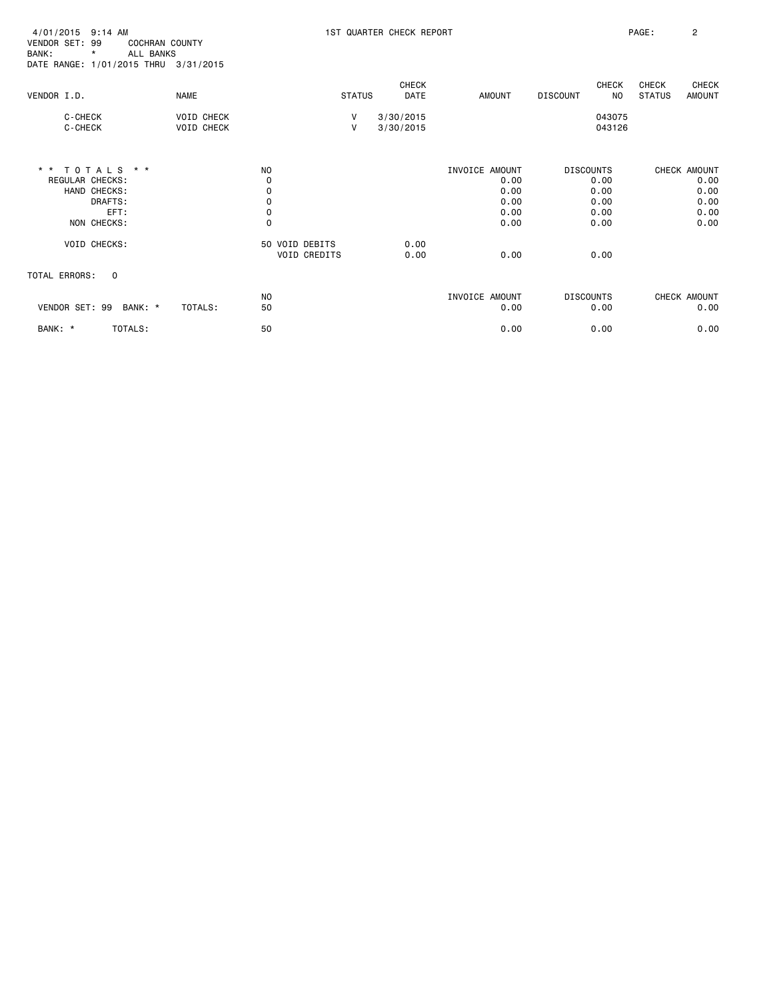| 4/01/2015 9:14 AM<br>VENDOR SET: 99<br><b>COCHRAN COUNTY</b><br>ALL BANKS<br>BANK:<br>*<br>DATE RANGE: 1/01/2015 THRU 3/31/2015 |                                        |                                |                   | 1ST QUARTER CHECK REPORT    |                                                        |                                                          | PAGE:<br>$\overline{2}$                                 |
|---------------------------------------------------------------------------------------------------------------------------------|----------------------------------------|--------------------------------|-------------------|-----------------------------|--------------------------------------------------------|----------------------------------------------------------|---------------------------------------------------------|
| VENDOR I.D.                                                                                                                     | <b>NAME</b>                            |                                | <b>STATUS</b>     | <b>CHECK</b><br><b>DATE</b> | <b>AMOUNT</b>                                          | CHECK<br>N <sub>O</sub><br><b>DISCOUNT</b>               | CHECK<br><b>CHECK</b><br><b>STATUS</b><br><b>AMOUNT</b> |
| C-CHECK<br>C-CHECK                                                                                                              | <b>VOID CHECK</b><br><b>VOID CHECK</b> |                                | V<br>$\mathsf{V}$ | 3/30/2015<br>3/30/2015      |                                                        | 043075<br>043126                                         |                                                         |
| * * TOTALS * *<br>REGULAR CHECKS:<br>HAND CHECKS:<br>DRAFTS:<br>EFT:<br>NON CHECKS:                                             |                                        | NO<br>0<br>0<br>0<br>0<br>0    |                   |                             | INVOICE AMOUNT<br>0.00<br>0.00<br>0.00<br>0.00<br>0.00 | <b>DISCOUNTS</b><br>0.00<br>0.00<br>0.00<br>0.00<br>0.00 | CHECK AMOUNT<br>0.00<br>0.00<br>0.00<br>0.00<br>0.00    |
| <b>VOID CHECKS:</b>                                                                                                             |                                        | 50 VOID DEBITS<br>VOID CREDITS |                   | 0.00<br>0.00                | 0.00                                                   | 0.00                                                     |                                                         |
| <b>TOTAL ERRORS:</b><br>$\overline{\mathbf{0}}$                                                                                 |                                        |                                |                   |                             |                                                        |                                                          |                                                         |
| VENDOR SET: 99 BANK: *                                                                                                          | TOTALS:                                | N <sub>O</sub><br>50           |                   |                             | INVOICE AMOUNT<br>0.00                                 | <b>DISCOUNTS</b><br>0.00                                 | CHECK AMOUNT<br>0.00                                    |
| BANK: *<br>TOTALS:                                                                                                              |                                        | 50                             |                   |                             | 0.00                                                   | 0.00                                                     | 0.00                                                    |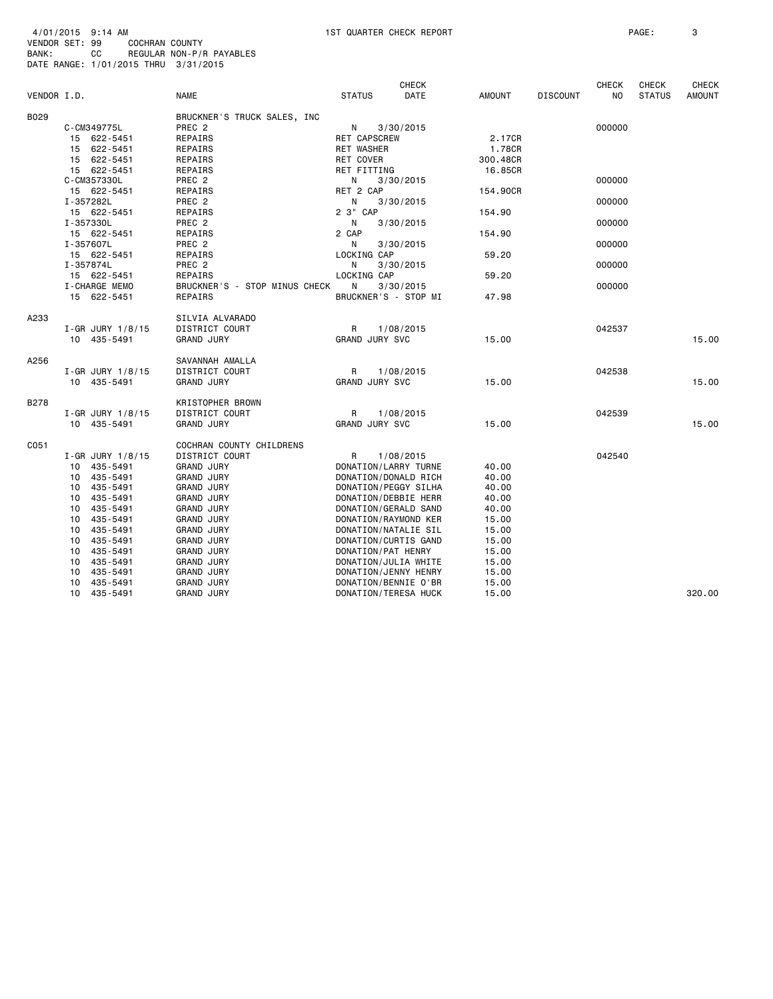|             |                      |                               |                       | <b>CHECK</b> |               |                 | <b>CHECK</b> | <b>CHECK</b>  | <b>CHECK</b>  |
|-------------|----------------------|-------------------------------|-----------------------|--------------|---------------|-----------------|--------------|---------------|---------------|
| VENDOR I.D. |                      | <b>NAME</b>                   | <b>STATUS</b>         | DATE         | <b>AMOUNT</b> | <b>DISCOUNT</b> | NO           | <b>STATUS</b> | <b>AMOUNT</b> |
| B029        |                      | BRUCKNER'S TRUCK SALES, INC   |                       |              |               |                 |              |               |               |
|             | C-CM349775L          | PREC <sub>2</sub>             | N                     | 3/30/2015    |               |                 | 000000       |               |               |
|             | 15 622-5451          | REPAIRS                       | <b>RET CAPSCREW</b>   |              | 2.17CR        |                 |              |               |               |
|             | 15 622-5451          | REPAIRS                       | <b>RET WASHER</b>     |              | 1.78CR        |                 |              |               |               |
|             | 15 622-5451          | REPAIRS                       | RET COVER             |              | 300.48CR      |                 |              |               |               |
|             | 15 622-5451          | REPAIRS                       | RET FITTING           |              | 16.85CR       |                 |              |               |               |
|             | C-CM357330L          | PREC 2                        | N                     | 3/30/2015    |               |                 | 000000       |               |               |
|             | 15 622-5451          | REPAIRS                       | RET 2 CAP             |              | 154.90CR      |                 |              |               |               |
|             | I-357282L            | PREC <sub>2</sub>             | N                     | 3/30/2015    |               |                 | 000000       |               |               |
|             | 15 622-5451          | REPAIRS                       | 2 3" CAP              |              | 154.90        |                 |              |               |               |
|             | I-357330L            | PREC <sub>2</sub>             | N                     | 3/30/2015    |               |                 | 000000       |               |               |
|             | 15 622-5451          | REPAIRS                       | 2 CAP                 |              | 154.90        |                 |              |               |               |
|             | I-357607L            | PREC <sub>2</sub>             | N                     | 3/30/2015    |               |                 | 000000       |               |               |
|             | 15 622-5451          | REPAIRS                       | LOCKING CAP           |              | 59.20         |                 |              |               |               |
|             | I-357874L            | PREC <sub>2</sub>             | N                     | 3/30/2015    |               |                 | 000000       |               |               |
|             | 15 622-5451          | REPAIRS                       | LOCKING CAP           |              | 59.20         |                 |              |               |               |
|             | I-CHARGE MEMO        | BRUCKNER'S - STOP MINUS CHECK | N                     | 3/30/2015    |               |                 | 000000       |               |               |
|             | 15 622-5451          | REPAIRS                       | BRUCKNER'S - STOP MI  |              | 47.98         |                 |              |               |               |
| A233        |                      | SILVIA ALVARADO               |                       |              |               |                 |              |               |               |
|             | $I - GR$ JURY 1/8/15 | DISTRICT COURT                | R                     | 1/08/2015    |               |                 | 042537       |               |               |
|             | 10 435-5491          | <b>GRAND JURY</b>             | GRAND JURY SVC        |              | 15.00         |                 |              |               | 15.00         |
| A256        |                      | SAVANNAH AMALLA               |                       |              |               |                 |              |               |               |
|             | $I-GR$ JURY 1/8/15   | DISTRICT COURT                | R                     | 1/08/2015    |               |                 | 042538       |               |               |
|             | 10 435-5491          | <b>GRAND JURY</b>             | GRAND JURY SVC        |              | 15.00         |                 |              |               | 15.00         |
| <b>B278</b> |                      | KRISTOPHER BROWN              |                       |              |               |                 |              |               |               |
|             | I-GR JURY 1/8/15     | DISTRICT COURT                | R                     | 1/08/2015    |               |                 | 042539       |               |               |
|             | 10 435-5491          | <b>GRAND JURY</b>             | <b>GRAND JURY SVC</b> |              | 15.00         |                 |              |               | 15.00         |
| C051        |                      | COCHRAN COUNTY CHILDRENS      |                       |              |               |                 |              |               |               |
|             | I-GR JURY 1/8/15     | DISTRICT COURT                | R                     | 1/08/2015    |               |                 | 042540       |               |               |
|             | 10 435-5491          | <b>GRAND JURY</b>             | DONATION/LARRY TURNE  |              | 40.00         |                 |              |               |               |
|             | 435-5491<br>10       | <b>GRAND JURY</b>             | DONATION/DONALD RICH  |              | 40.00         |                 |              |               |               |
|             | 435 - 5491<br>10     | <b>GRAND JURY</b>             | DONATION/PEGGY SILHA  |              | 40.00         |                 |              |               |               |
|             | 435-5491<br>10       | <b>GRAND JURY</b>             | DONATION/DEBBIE HERR  |              | 40.00         |                 |              |               |               |
|             | 435-5491<br>10       | <b>GRAND JURY</b>             | DONATION/GERALD SAND  |              | 40.00         |                 |              |               |               |
|             | 435-5491<br>10       | <b>GRAND JURY</b>             | DONATION/RAYMOND KER  |              | 15.00         |                 |              |               |               |
|             | 435-5491<br>10       | <b>GRAND JURY</b>             | DONATION/NATALIE SIL  |              | 15.00         |                 |              |               |               |
|             | 10<br>435-5491       | <b>GRAND JURY</b>             | DONATION/CURTIS GAND  |              | 15.00         |                 |              |               |               |
|             | 435-5491<br>10       | <b>GRAND JURY</b>             | DONATION/PAT HENRY    |              | 15.00         |                 |              |               |               |
|             | 435-5491<br>10       | <b>GRAND JURY</b>             | DONATION/JULIA WHITE  |              | 15.00         |                 |              |               |               |
|             | 435-5491<br>10       | <b>GRAND JURY</b>             | DONATION/JENNY HENRY  |              | 15.00         |                 |              |               |               |
|             | 435-5491<br>10       | <b>GRAND JURY</b>             | DONATION/BENNIE O'BR  |              | 15.00         |                 |              |               |               |
|             | 10<br>435-5491       | <b>GRAND JURY</b>             | DONATION/TERESA HUCK  |              | 15.00         |                 |              |               | 320.00        |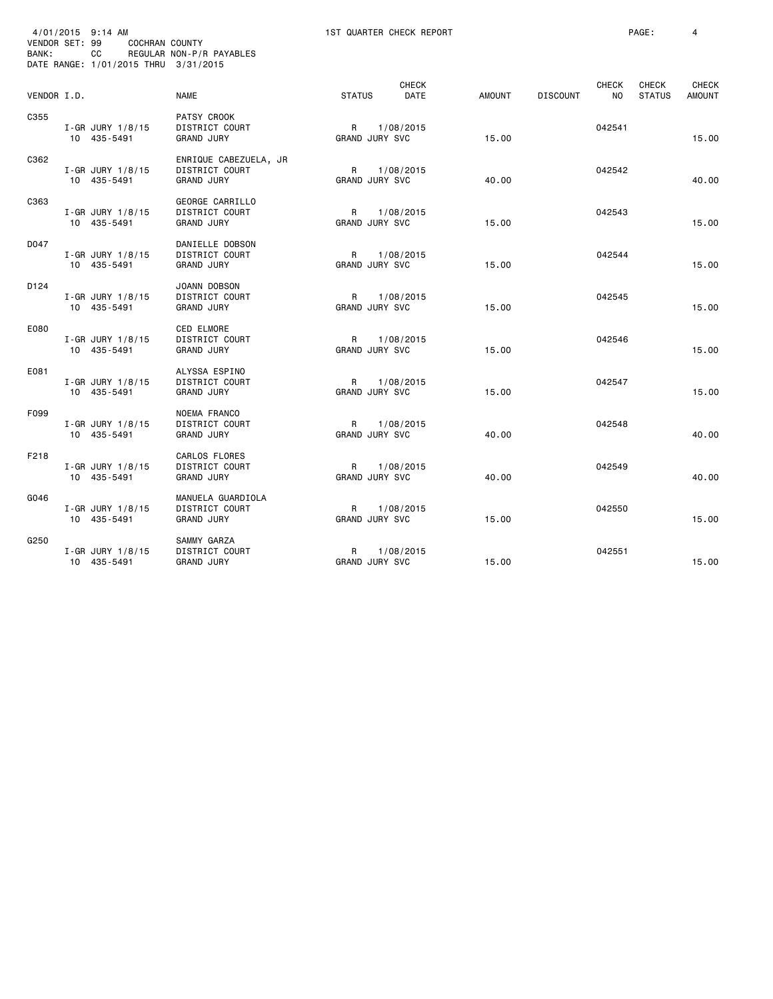| VENDOR SET: 99<br>BANK: | 4/01/2015 9:14 AM<br>COCHRAN COUNTY<br>CС<br>DATE RANGE: 1/01/2015 THRU 3/31/2015 | REGULAR NON-P/R PAYABLES                                     |                            | 1ST QUARTER CHECK REPORT |               |                 |                                | PAGE:                         | 4                             |
|-------------------------|-----------------------------------------------------------------------------------|--------------------------------------------------------------|----------------------------|--------------------------|---------------|-----------------|--------------------------------|-------------------------------|-------------------------------|
| VENDOR I.D.             |                                                                                   | <b>NAME</b>                                                  | <b>STATUS</b>              | <b>CHECK</b><br>DATE     | <b>AMOUNT</b> | <b>DISCOUNT</b> | <b>CHECK</b><br>N <sub>O</sub> | <b>CHECK</b><br><b>STATUS</b> | <b>CHECK</b><br><b>AMOUNT</b> |
| C355                    | I-GR JURY 1/8/15<br>10 435-5491                                                   | PATSY CROOK<br>DISTRICT COURT<br><b>GRAND JURY</b>           | R<br><b>GRAND JURY SVC</b> | 1/08/2015                | 15.00         |                 | 042541                         |                               | 15.00                         |
| C362                    | I-GR JURY 1/8/15<br>10 435-5491                                                   | ENRIQUE CABEZUELA, JR<br>DISTRICT COURT<br><b>GRAND JURY</b> | R<br><b>GRAND JURY SVC</b> | 1/08/2015                | 40.00         |                 | 042542                         |                               | 40.00                         |
| C363                    | I-GR JURY 1/8/15<br>10 435-5491                                                   | GEORGE CARRILLO<br>DISTRICT COURT<br><b>GRAND JURY</b>       | R<br><b>GRAND JURY SVC</b> | 1/08/2015                | 15.00         |                 | 042543                         |                               | 15.00                         |
| D047                    | I-GR JURY 1/8/15<br>10 435-5491                                                   | DANIELLE DOBSON<br>DISTRICT COURT<br><b>GRAND JURY</b>       | R<br><b>GRAND JURY SVC</b> | 1/08/2015                | 15.00         |                 | 042544                         |                               | 15.00                         |
| D124                    | I-GR JURY $1/8/15$<br>10 435-5491                                                 | JOANN DOBSON<br>DISTRICT COURT<br><b>GRAND JURY</b>          | R<br><b>GRAND JURY SVC</b> | 1/08/2015                | 15.00         |                 | 042545                         |                               | 15.00                         |
| E080                    | I-GR JURY 1/8/15<br>10 435-5491                                                   | <b>CED ELMORE</b><br>DISTRICT COURT<br><b>GRAND JURY</b>     | R<br><b>GRAND JURY SVC</b> | 1/08/2015                | 15.00         |                 | 042546                         |                               | 15.00                         |
| E081                    | I-GR JURY $1/8/15$<br>10 435-5491                                                 | ALYSSA ESPINO<br>DISTRICT COURT<br><b>GRAND JURY</b>         | R<br><b>GRAND JURY SVC</b> | 1/08/2015                | 15.00         |                 | 042547                         |                               | 15.00                         |
| F099                    | I-GR JURY 1/8/15<br>10 435-5491                                                   | <b>NOEMA FRANCO</b><br>DISTRICT COURT<br><b>GRAND JURY</b>   | R<br>GRAND JURY SVC        | 1/08/2015                | 40.00         |                 | 042548                         |                               | 40.00                         |
| F218                    | I-GR JURY 1/8/15<br>10 435-5491                                                   | <b>CARLOS FLORES</b><br>DISTRICT COURT<br><b>GRAND JURY</b>  | R<br><b>GRAND JURY SVC</b> | 1/08/2015                | 40.00         |                 | 042549                         |                               | 40.00                         |
| G046                    | I-GR JURY $1/8/15$<br>10 435-5491                                                 | MANUELA GUARDIOLA<br>DISTRICT COURT<br><b>GRAND JURY</b>     | R<br>GRAND JURY SVC        | 1/08/2015                | 15.00         |                 | 042550                         |                               | 15.00                         |
| G250                    | I-GR JURY 1/8/15<br>10 435-5491                                                   | SAMMY GARZA<br>DISTRICT COURT<br><b>GRAND JURY</b>           | R<br>GRAND JURY SVC        | 1/08/2015                | 15.00         |                 | 042551                         |                               | 15.00                         |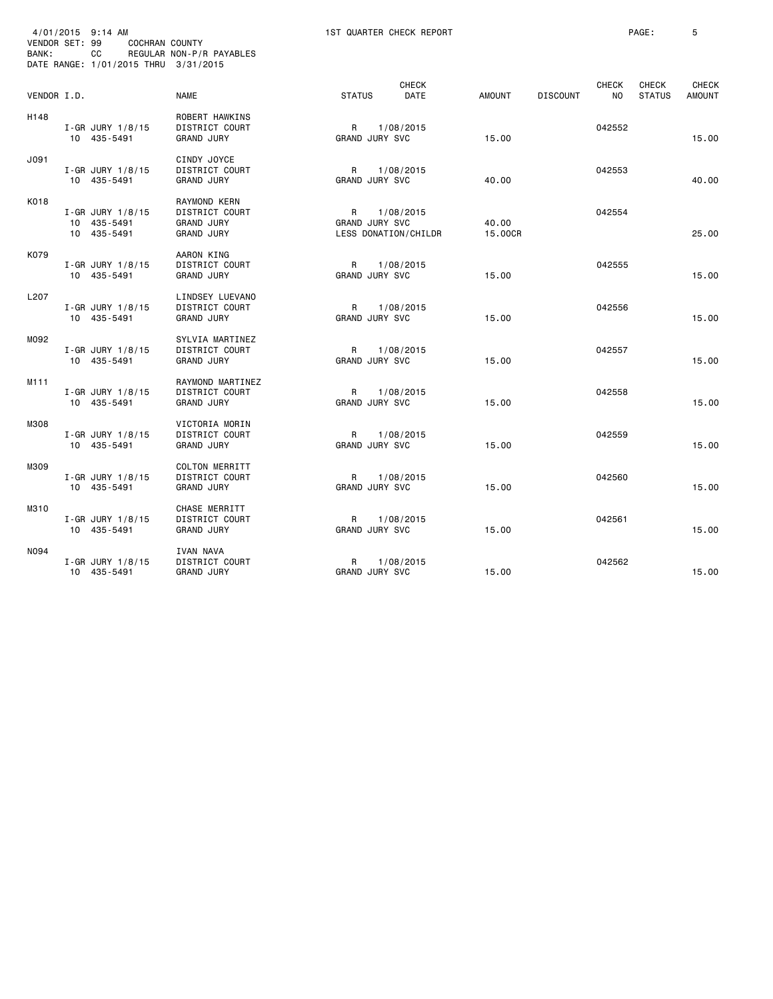| VENDOR SET: 99<br>BANK: | 4/01/2015 9:14 AM<br>COCHRAN COUNTY<br>CС<br>DATE RANGE: 1/01/2015 THRU 3/31/2015 | REGULAR NON-P/R PAYABLES                                                 |                                       | 1ST QUARTER CHECK REPORT          |                  |                 |                    | PAGE:                  | 5                      |
|-------------------------|-----------------------------------------------------------------------------------|--------------------------------------------------------------------------|---------------------------------------|-----------------------------------|------------------|-----------------|--------------------|------------------------|------------------------|
| VENDOR I.D.             |                                                                                   | <b>NAME</b>                                                              | <b>STATUS</b>                         | <b>CHECK</b><br>DATE              | AMOUNT           | <b>DISCOUNT</b> | <b>CHECK</b><br>NO | CHECK<br><b>STATUS</b> | CHECK<br><b>AMOUNT</b> |
| H148                    | I-GR JURY 1/8/15<br>10 435-5491                                                   | ROBERT HAWKINS<br>DISTRICT COURT<br><b>GRAND JURY</b>                    | R<br>GRAND JURY SVC                   | 1/08/2015                         | 15.00            |                 | 042552             |                        | 15.00                  |
| J091                    | I-GR JURY 1/8/15<br>10 435-5491                                                   | CINDY JOYCE<br>DISTRICT COURT<br><b>GRAND JURY</b>                       | R<br><b>GRAND JURY SVC</b>            | 1/08/2015                         | 40.00            |                 | 042553             |                        | 40.00                  |
| K018                    | I-GR JURY 1/8/15<br>10 435-5491<br>10 435-5491                                    | RAYMOND KERN<br>DISTRICT COURT<br><b>GRAND JURY</b><br><b>GRAND JURY</b> | R<br>GRAND JURY SVC                   | 1/08/2015<br>LESS DONATION/CHILDR | 40.00<br>15.00CR |                 | 042554             |                        | 25,00                  |
| K079                    | I-GR JURY 1/8/15<br>10 435-5491                                                   | AARON KING<br>DISTRICT COURT<br><b>GRAND JURY</b>                        | $\mathsf{R}$<br><b>GRAND JURY SVC</b> | 1/08/2015                         | 15.00            |                 | 042555             |                        | 15.00                  |
| L207                    | I-GR JURY 1/8/15<br>10 435-5491                                                   | LINDSEY LUEVANO<br>DISTRICT COURT<br><b>GRAND JURY</b>                   | R<br>GRAND JURY SVC                   | 1/08/2015                         | 15.00            |                 | 042556             |                        | 15,00                  |
| M092                    | $I-GR$ JURY $1/8/15$<br>10 435-5491                                               | SYLVIA MARTINEZ<br>DISTRICT COURT<br><b>GRAND JURY</b>                   | R<br>GRAND JURY SVC                   | 1/08/2015                         | 15.00            |                 | 042557             |                        | 15.00                  |
| M111                    | $I-GR$ JURY $1/8/15$<br>10 435-5491                                               | RAYMOND MARTINEZ<br>DISTRICT COURT<br><b>GRAND JURY</b>                  | R<br><b>GRAND JURY SVC</b>            | 1/08/2015                         | 15.00            |                 | 042558             |                        | 15,00                  |
| M308                    | I-GR JURY $1/8/15$<br>10 435-5491                                                 | VICTORIA MORIN<br>DISTRICT COURT<br><b>GRAND JURY</b>                    | R<br><b>GRAND JURY SVC</b>            | 1/08/2015                         | 15.00            |                 | 042559             |                        | 15.00                  |
| M309                    | I-GR JURY $1/8/15$<br>10 435-5491                                                 | <b>COLTON MERRITT</b><br>DISTRICT COURT<br>GRAND JURY                    | R<br><b>GRAND JURY SVC</b>            | 1/08/2015                         | 15.00            |                 | 042560             |                        | 15.00                  |
| M310                    | $I-GR$ JURY 1/8/15<br>10 435-5491                                                 | CHASE MERRITT<br>DISTRICT COURT<br><b>GRAND JURY</b>                     | R<br><b>GRAND JURY SVC</b>            | 1/08/2015                         | 15.00            |                 | 042561             |                        | 15.00                  |
| N094                    | $I-GR$ JURY 1/8/15<br>10 435-5491                                                 | <b>IVAN NAVA</b><br>DISTRICT COURT<br><b>GRAND JURY</b>                  | R<br>GRAND JURY SVC                   | 1/08/2015                         | 15.00            |                 | 042562             |                        | 15.00                  |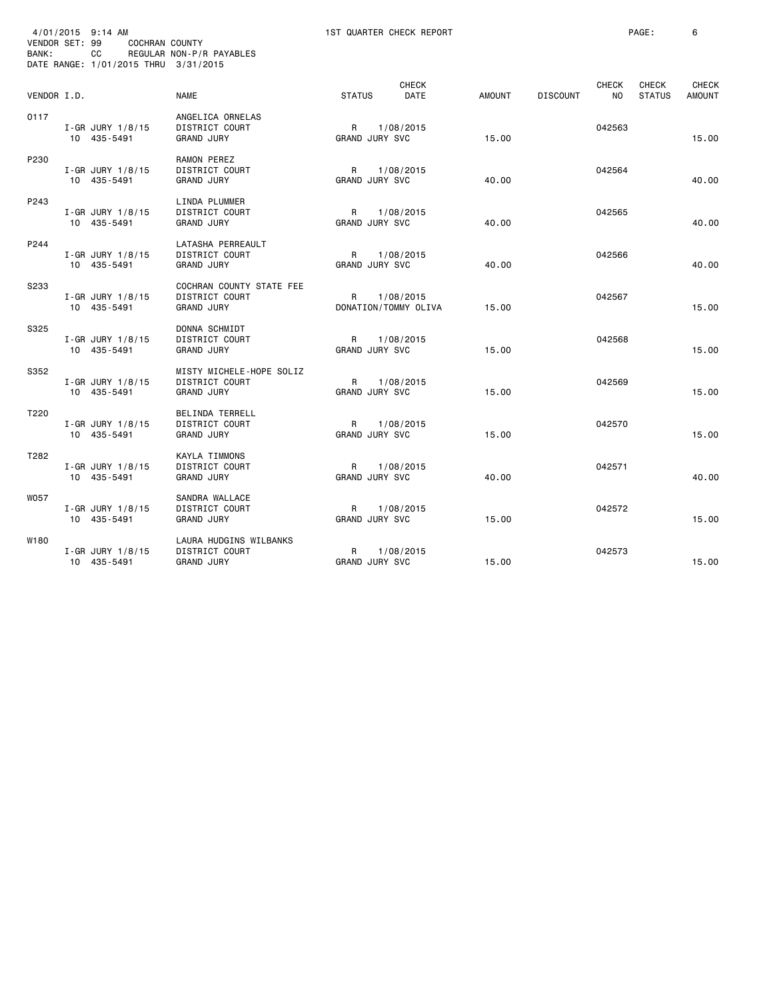| VENDOR SET: 99<br>BANK: | 4/01/2015 9:14 AM<br>COCHRAN COUNTY<br>CС<br>DATE RANGE: 1/01/2015 THRU 3/31/2015 | REGULAR NON-P/R PAYABLES                                               |                            | 1ST QUARTER CHECK REPORT          |        |                 |                                | PAGE:                  | 6                             |
|-------------------------|-----------------------------------------------------------------------------------|------------------------------------------------------------------------|----------------------------|-----------------------------------|--------|-----------------|--------------------------------|------------------------|-------------------------------|
| VENDOR I.D.             |                                                                                   | <b>NAME</b>                                                            | <b>STATUS</b>              | <b>CHECK</b><br>DATE              | AMOUNT | <b>DISCOUNT</b> | <b>CHECK</b><br>N <sub>O</sub> | CHECK<br><b>STATUS</b> | <b>CHECK</b><br><b>AMOUNT</b> |
| 0117                    | I-GR JURY 1/8/15<br>10 435-5491                                                   | ANGELICA ORNELAS<br>DISTRICT COURT<br><b>GRAND JURY</b>                | R<br>GRAND JURY SVC        | 1/08/2015                         | 15.00  |                 | 042563                         |                        | 15.00                         |
| P230                    | $I-GR$ JURY $1/8/15$<br>10 435-5491                                               | RAMON PEREZ<br>DISTRICT COURT<br><b>GRAND JURY</b>                     | R<br><b>GRAND JURY SVC</b> | 1/08/2015                         | 40.00  |                 | 042564                         |                        | 40.00                         |
| P243                    | I-GR JURY 1/8/15<br>10 435-5491                                                   | LINDA PLUMMER<br>DISTRICT COURT<br><b>GRAND JURY</b>                   | R<br>GRAND JURY SVC        | 1/08/2015                         | 40.00  |                 | 042565                         |                        | 40.00                         |
| P244                    | I-GR JURY 1/8/15<br>10 435-5491                                                   | LATASHA PERREAULT<br>DISTRICT COURT<br><b>GRAND JURY</b>               | R<br><b>GRAND JURY SVC</b> | 1/08/2015                         | 40.00  |                 | 042566                         |                        | 40.00                         |
| S233                    | I-GR JURY 1/8/15<br>10 435-5491                                                   | COCHRAN COUNTY STATE FEE<br>DISTRICT COURT<br><b>GRAND JURY</b>        | R                          | 1/08/2015<br>DONATION/TOMMY OLIVA | 15.00  |                 | 042567                         |                        | 15.00                         |
| S325                    | I-GR JURY $1/8/15$<br>10 435-5491                                                 | DONNA SCHMIDT<br>DISTRICT COURT<br><b>GRAND JURY</b>                   | R<br>GRAND JURY SVC        | 1/08/2015                         | 15.00  |                 | 042568                         |                        | 15.00                         |
| S352                    | $I - GR$ JURY $1/8/15$<br>10 435-5491                                             | MISTY MICHELE-HOPE SOLIZ<br><b>DISTRICT COURT</b><br><b>GRAND JURY</b> | R<br>GRAND JURY SVC        | 1/08/2015                         | 15.00  |                 | 042569                         |                        | 15.00                         |
| T220                    | I-GR JURY 1/8/15<br>10 435-5491                                                   | BELINDA TERRELL<br>DISTRICT COURT<br><b>GRAND JURY</b>                 | R<br>GRAND JURY SVC        | 1/08/2015                         | 15.00  |                 | 042570                         |                        | 15.00                         |
| T282                    | I-GR JURY 1/8/15<br>10 435-5491                                                   | KAYLA TIMMONS<br>DISTRICT COURT<br><b>GRAND JURY</b>                   | R<br><b>GRAND JURY SVC</b> | 1/08/2015                         | 40.00  |                 | 042571                         |                        | 40.00                         |
| W057                    | $I - GR$ JURY 1/8/15<br>10 435-5491                                               | SANDRA WALLACE<br>DISTRICT COURT<br><b>GRAND JURY</b>                  | R<br><b>GRAND JURY SVC</b> | 1/08/2015                         | 15.00  |                 | 042572                         |                        | 15.00                         |
| W180                    | $I - GR$ JURY $1/8/15$<br>10 435-5491                                             | LAURA HUDGINS WILBANKS<br><b>DISTRICT COURT</b><br><b>GRAND JURY</b>   | R<br>GRAND JURY SVC        | 1/08/2015                         | 15.00  |                 | 042573                         |                        | 15.00                         |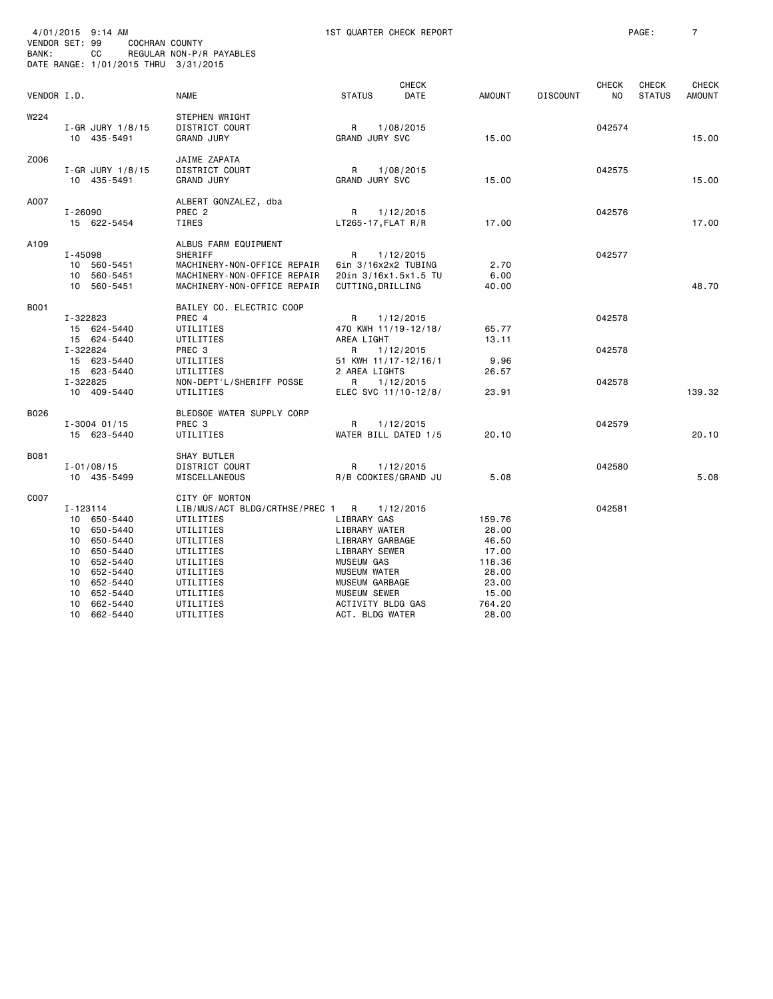| VENDOR SET: 99<br>BANK: |                                              | 4/01/2015 9:14 AM<br>COCHRAN COUNTY<br>CC<br>DATE RANGE: 1/01/2015 THRU 3/31/2015                                                | REGULAR NON-P/R PAYABLES                                                                                                                                                           |                                                                                                                                                                                             | 1ST QUARTER CHECK REPORT                                                            |                                                                                           |                 |                            | PAGE:                         | $\overline{7}$                |
|-------------------------|----------------------------------------------|----------------------------------------------------------------------------------------------------------------------------------|------------------------------------------------------------------------------------------------------------------------------------------------------------------------------------|---------------------------------------------------------------------------------------------------------------------------------------------------------------------------------------------|-------------------------------------------------------------------------------------|-------------------------------------------------------------------------------------------|-----------------|----------------------------|-------------------------------|-------------------------------|
| VENDOR I.D.             |                                              |                                                                                                                                  | NAME                                                                                                                                                                               | <b>STATUS</b>                                                                                                                                                                               | <b>CHECK</b><br>DATE                                                                | <b>AMOUNT</b>                                                                             | <b>DISCOUNT</b> | CHECK<br>NO                | <b>CHECK</b><br><b>STATUS</b> | <b>CHECK</b><br><b>AMOUNT</b> |
| W224                    |                                              | $I-GR$ JURY $1/8/15$<br>10 435-5491                                                                                              | <b>STEPHEN WRIGHT</b><br>DISTRICT COURT<br><b>GRAND JURY</b>                                                                                                                       | R<br><b>GRAND JURY SVC</b>                                                                                                                                                                  | 1/08/2015                                                                           | 15.00                                                                                     |                 | 042574                     |                               | 15.00                         |
| Z006                    |                                              | I-GR JURY 1/8/15<br>10 435-5491                                                                                                  | JAIME ZAPATA<br>DISTRICT COURT<br><b>GRAND JURY</b>                                                                                                                                | $\mathsf{R}$<br><b>GRAND JURY SVC</b>                                                                                                                                                       | 1/08/2015                                                                           | 15.00                                                                                     |                 | 042575                     |                               | 15.00                         |
| A007                    | $I - 26090$                                  | 15 622-5454                                                                                                                      | ALBERT GONZALEZ, dba<br>PREC <sub>2</sub><br>TIRES                                                                                                                                 | R<br>$LT265 - 17, FLAT R/R$                                                                                                                                                                 | 1/12/2015                                                                           | 17.00                                                                                     |                 | 042576                     |                               | 17.00                         |
| A109                    | I-45098                                      | 10 560-5451<br>10 560-5451<br>10 560-5451                                                                                        | ALBUS FARM EQUIPMENT<br><b>SHERIFF</b><br>MACHINERY-NON-OFFICE REPAIR<br>MACHINERY-NON-OFFICE REPAIR<br>MACHINERY-NON-OFFICE REPAIR                                                | R<br>6in 3/16x2x2 TUBING<br>CUTTING, DRILLING                                                                                                                                               | 1/12/2015<br>20in 3/16x1.5x1.5 TU                                                   | 2.70<br>6.00<br>40.00                                                                     |                 | 042577                     |                               | 48.70                         |
| B001                    | I-322823<br>I-322824<br>I-322825             | 15 624-5440<br>15 624-5440<br>15 623-5440<br>15 623-5440                                                                         | BAILEY CO. ELECTRIC COOP<br>PREC 4<br>UTILITIES<br>UTILITIES<br>PREC <sub>3</sub><br>UTILITIES<br>UTILITIES<br>NON-DEPT'L/SHERIFF POSSE                                            | R<br>AREA LIGHT<br>R<br>2 AREA LIGHTS<br>R                                                                                                                                                  | 1/12/2015<br>470 KWH 11/19-12/18/<br>1/12/2015<br>51 KWH 11/17-12/16/1<br>1/12/2015 | 65.77<br>13.11<br>9.96<br>26.57                                                           |                 | 042578<br>042578<br>042578 |                               |                               |
| B026                    |                                              | 10 409-5440<br>$I - 3004$ 01/15<br>15 623-5440                                                                                   | UTILITIES<br>BLEDSOE WATER SUPPLY CORP<br>PREC <sub>3</sub><br>UTILITIES                                                                                                           | R                                                                                                                                                                                           | ELEC SVC 11/10-12/8/<br>1/12/2015<br>WATER BILL DATED 1/5                           | 23.91<br>20.10                                                                            |                 | 042579                     |                               | 139.32<br>20.10               |
| B081                    |                                              | $I - 01/08/15$<br>10 435-5499                                                                                                    | SHAY BUTLER<br>DISTRICT COURT<br>MISCELLANEOUS                                                                                                                                     | R                                                                                                                                                                                           | 1/12/2015<br>R/B COOKIES/GRAND JU                                                   | 5.08                                                                                      |                 | 042580                     |                               | 5.08                          |
| C007                    | I-123114<br>10<br>10<br>10<br>10<br>10<br>10 | 10 650-5440<br>10 650-5440<br>10 650-5440<br>650-5440<br>652-5440<br>652-5440<br>10 652-5440<br>652-5440<br>662-5440<br>662-5440 | CITY OF MORTON<br>LIB/MUS/ACT BLDG/CRTHSE/PREC 1<br>UTILITIES<br>UTILITIES<br>UTILITIES<br>UTILITIES<br>UTILITIES<br>UTILITIES<br>UTILITIES<br>UTILITIES<br>UTILITIES<br>UTILITIES | R<br>LIBRARY GAS<br>LIBRARY WATER<br>LIBRARY GARBAGE<br>LIBRARY SEWER<br><b>MUSEUM GAS</b><br><b>MUSEUM WATER</b><br>MUSEUM GARBAGE<br>MUSEUM SEWER<br>ACTIVITY BLDG GAS<br>ACT. BLDG WATER | 1/12/2015                                                                           | 159.76<br>28.00<br>46.50<br>17.00<br>118.36<br>28.00<br>23.00<br>15.00<br>764.20<br>28.00 |                 | 042581                     |                               |                               |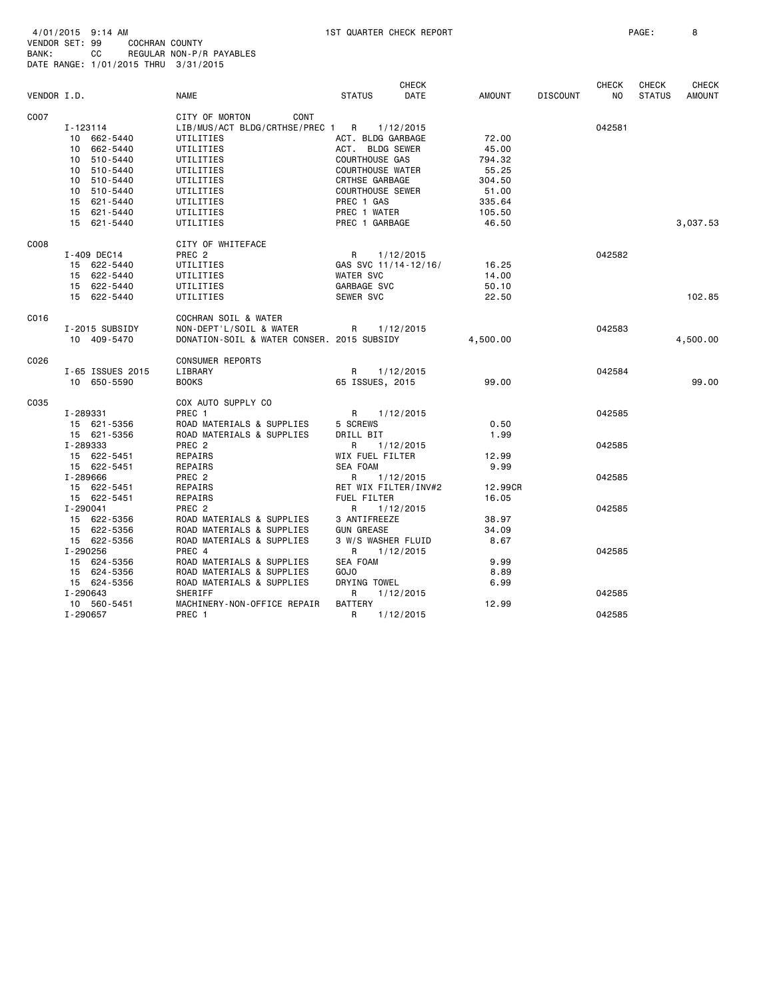|             |                  |                                            |                         | <b>CHECK</b> |          |                 | <b>CHECK</b>   | <b>CHECK</b>  | <b>CHECK</b>  |
|-------------|------------------|--------------------------------------------|-------------------------|--------------|----------|-----------------|----------------|---------------|---------------|
| VENDOR I.D. |                  | <b>NAME</b>                                | <b>STATUS</b>           | DATE         | AMOUNT   | <b>DISCOUNT</b> | N <sub>O</sub> | <b>STATUS</b> | <b>AMOUNT</b> |
| C007        |                  | CITY OF MORTON<br>CONT                     |                         |              |          |                 |                |               |               |
|             | I-123114         | LIB/MUS/ACT BLDG/CRTHSE/PREC 1 R           |                         | 1/12/2015    |          |                 | 042581         |               |               |
|             | 10 662-5440      | UTILITIES                                  | ACT. BLDG GARBAGE       |              | 72.00    |                 |                |               |               |
|             | 10 662-5440      | UTILITIES                                  | ACT. BLDG SEWER         |              | 45.00    |                 |                |               |               |
|             | 10 510-5440      | UTILITIES                                  | <b>COURTHOUSE GAS</b>   |              | 794.32   |                 |                |               |               |
|             | 10 510-5440      | UTILITIES                                  | <b>COURTHOUSE WATER</b> |              | 55.25    |                 |                |               |               |
|             | 10 510-5440      | UTILITIES                                  | CRTHSE GARBAGE          |              | 304.50   |                 |                |               |               |
|             | 10 510-5440      | UTILITIES                                  | <b>COURTHOUSE SEWER</b> |              | 51.00    |                 |                |               |               |
|             | 15 621-5440      | UTILITIES                                  | PREC 1 GAS              |              | 335.64   |                 |                |               |               |
|             | 15 621-5440      | UTILITIES                                  | PREC 1 WATER            |              | 105.50   |                 |                |               |               |
|             | 15 621-5440      | UTILITIES                                  | PREC 1 GARBAGE          |              | 46.50    |                 |                |               | 3,037.53      |
| C008        |                  | CITY OF WHITEFACE                          |                         |              |          |                 |                |               |               |
|             | I-409 DEC14      | PREC <sub>2</sub>                          | R                       | 1/12/2015    |          |                 | 042582         |               |               |
|             | 15 622-5440      | UTILITIES                                  | GAS SVC 11/14-12/16/    |              | 16.25    |                 |                |               |               |
|             | 15 622-5440      | UTILITIES                                  | <b>WATER SVC</b>        |              | 14.00    |                 |                |               |               |
|             | 15 622-5440      | UTILITIES                                  | GARBAGE SVC             |              | 50.10    |                 |                |               |               |
|             | 15 622-5440      | UTILITIES                                  | SEWER SVC               |              | 22.50    |                 |                |               | 102.85        |
| C016        |                  | COCHRAN SOIL & WATER                       |                         |              |          |                 |                |               |               |
|             | I-2015 SUBSIDY   | NON-DEPT'L/SOIL & WATER                    | R                       | 1/12/2015    |          |                 | 042583         |               |               |
|             | 10 409-5470      | DONATION-SOIL & WATER CONSER. 2015 SUBSIDY |                         |              | 4,500.00 |                 |                |               | 4,500.00      |
| C026        |                  | <b>CONSUMER REPORTS</b>                    |                         |              |          |                 |                |               |               |
|             | I-65 ISSUES 2015 | LIBRARY                                    | R                       | 1/12/2015    |          |                 | 042584         |               |               |
|             | 10 650-5590      | <b>BOOKS</b>                               | 65 ISSUES, 2015         |              | 99.00    |                 |                |               | 99.00         |
| C035        |                  | COX AUTO SUPPLY CO                         |                         |              |          |                 |                |               |               |
|             | I-289331         | PREC 1                                     | R 1/12/2015             |              |          |                 | 042585         |               |               |
|             | 15 621-5356      | ROAD MATERIALS & SUPPLIES                  | 5 SCREWS                |              | 0.50     |                 |                |               |               |
|             | 15 621-5356      | ROAD MATERIALS & SUPPLIES                  | DRILL BIT               |              | 1.99     |                 |                |               |               |
|             | I-289333         | PREC <sub>2</sub>                          | R                       | 1/12/2015    |          |                 | 042585         |               |               |
|             | 15 622-5451      | REPAIRS                                    | WIX FUEL FILTER         |              | 12.99    |                 |                |               |               |
|             | 15 622-5451      | REPAIRS                                    | <b>SEA FOAM</b>         |              | 9.99     |                 |                |               |               |
|             | I-289666         | PREC 2                                     | R                       | 1/12/2015    |          |                 | 042585         |               |               |
|             | 15 622-5451      | REPAIRS                                    | RET WIX FILTER/INV#2    |              | 12.99CR  |                 |                |               |               |
|             | 15 622-5451      | REPAIRS                                    | FUEL FILTER             |              | 16.05    |                 |                |               |               |
|             | I-290041         | PREC <sub>2</sub>                          | R                       | 1/12/2015    |          |                 | 042585         |               |               |
|             | 15 622-5356      | ROAD MATERIALS & SUPPLIES                  | 3 ANTIFREEZE            |              | 38.97    |                 |                |               |               |
|             | 15 622-5356      | ROAD MATERIALS & SUPPLIES                  | <b>GUN GREASE</b>       |              | 34.09    |                 |                |               |               |
|             | 15 622-5356      | ROAD MATERIALS & SUPPLIES                  | 3 W/S WASHER FLUID      |              | 8.67     |                 |                |               |               |
|             | I-290256         | PREC 4                                     | R                       | 1/12/2015    |          |                 | 042585         |               |               |
|             | 15 624-5356      | ROAD MATERIALS & SUPPLIES                  | SEA FOAM                |              | 9.99     |                 |                |               |               |
|             | 15 624-5356      | ROAD MATERIALS & SUPPLIES                  | <b>GOJO</b>             |              | 8.89     |                 |                |               |               |
|             | 15 624-5356      | ROAD MATERIALS & SUPPLIES                  | DRYING TOWEL            |              | 6.99     |                 |                |               |               |
|             | I-290643         | SHERIFF                                    | R                       | 1/12/2015    |          |                 | 042585         |               |               |
|             | 10 560-5451      | MACHINERY-NON-OFFICE REPAIR                | <b>BATTERY</b>          |              | 12.99    |                 |                |               |               |
|             | I-290657         | PREC 1                                     | R                       | 1/12/2015    |          |                 | 042585         |               |               |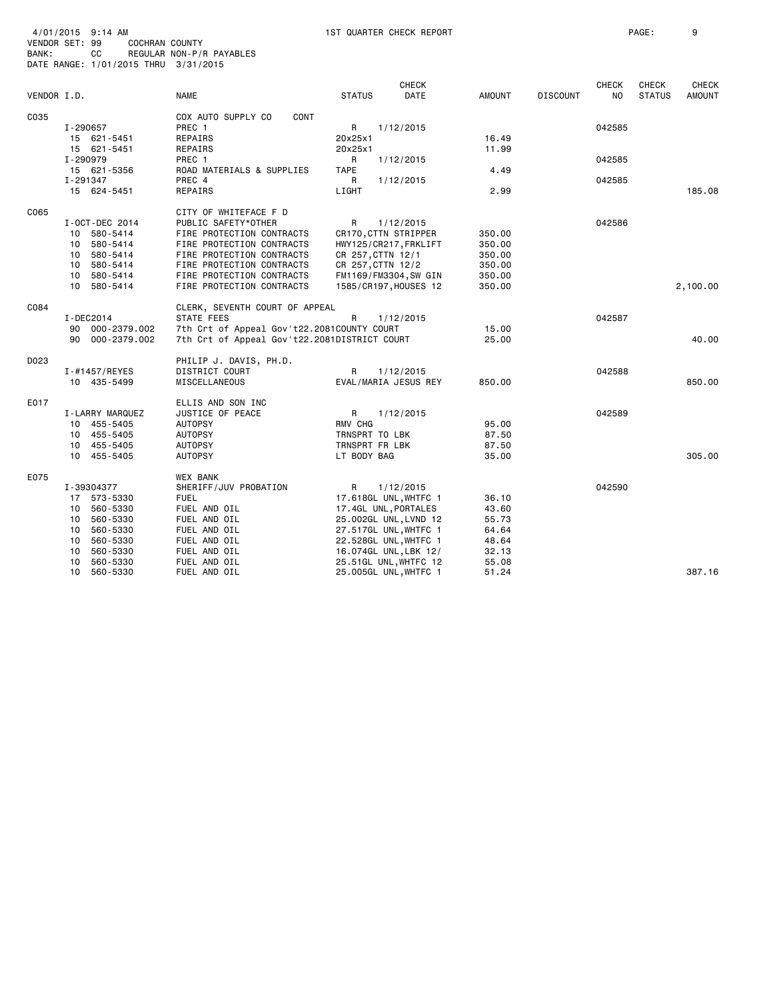| VENDOR I.D. |                 | <b>NAME</b>                                  | <b>STATUS</b>     | <b>CHECK</b><br><b>DATE</b> | AMOUNT | <b>DISCOUNT</b> | <b>CHECK</b><br>NO. | <b>CHECK</b><br><b>STATUS</b> | <b>CHECK</b><br><b>AMOUNT</b> |
|-------------|-----------------|----------------------------------------------|-------------------|-----------------------------|--------|-----------------|---------------------|-------------------------------|-------------------------------|
| C035        |                 | COX AUTO SUPPLY CO<br>CONT                   |                   |                             |        |                 |                     |                               |                               |
|             | I-290657        | PREC 1                                       | R                 | 1/12/2015                   |        |                 | 042585              |                               |                               |
|             | 15 621-5451     | REPAIRS                                      | 20x25x1           |                             | 16.49  |                 |                     |                               |                               |
|             | 15 621-5451     | REPAIRS                                      | 20x25x1           |                             | 11.99  |                 |                     |                               |                               |
|             | I-290979        | PREC 1                                       | R                 | 1/12/2015                   |        |                 | 042585              |                               |                               |
|             | 15 621-5356     | ROAD MATERIALS & SUPPLIES                    | TAPE              |                             | 4.49   |                 |                     |                               |                               |
|             | I-291347        | PREC 4                                       | R                 | 1/12/2015                   |        |                 | 042585              |                               |                               |
|             | 15 624-5451     | REPAIRS                                      | LIGHT             |                             | 2.99   |                 |                     |                               | 185.08                        |
|             |                 |                                              |                   |                             |        |                 |                     |                               |                               |
| C065        |                 | CITY OF WHITEFACE F D                        |                   |                             |        |                 |                     |                               |                               |
|             | I-OCT-DEC 2014  | PUBLIC SAFETY*OTHER                          | R                 | 1/12/2015                   |        |                 | 042586              |                               |                               |
|             | 10 580-5414     | FIRE PROTECTION CONTRACTS                    |                   | CR170, CTTN STRIPPER        | 350.00 |                 |                     |                               |                               |
|             | 10 580-5414     | FIRE PROTECTION CONTRACTS                    |                   | HWY125/CR217, FRKLIFT       | 350.00 |                 |                     |                               |                               |
|             | 10 580-5414     | FIRE PROTECTION CONTRACTS                    | CR 257, CTTN 12/1 |                             | 350.00 |                 |                     |                               |                               |
|             | 10 580-5414     | FIRE PROTECTION CONTRACTS                    | CR 257, CTTN 12/2 |                             | 350.00 |                 |                     |                               |                               |
|             | 10 580-5414     | FIRE PROTECTION CONTRACTS                    |                   | FM1169/FM3304, SW GIN       | 350.00 |                 |                     |                               |                               |
|             | 10 580-5414     | FIRE PROTECTION CONTRACTS                    |                   | 1585/CR197, HOUSES 12       | 350.00 |                 |                     |                               | 2,100.00                      |
| C084        |                 | CLERK, SEVENTH COURT OF APPEAL               |                   |                             |        |                 |                     |                               |                               |
|             | I-DEC2014       | STATE FEES                                   | R                 | 1/12/2015                   |        |                 | 042587              |                               |                               |
|             | 90 000-2379.002 | 7th Crt of Appeal Gov't22.2081COUNTY COURT   |                   |                             | 15.00  |                 |                     |                               |                               |
|             | 90 000-2379.002 | 7th Crt of Appeal Gov't22.2081DISTRICT COURT |                   |                             | 25,00  |                 |                     |                               | 40.00                         |
| D023        |                 | PHILIP J. DAVIS, PH.D.                       |                   |                             |        |                 |                     |                               |                               |
|             | I-#1457/REYES   | DISTRICT COURT                               | R.                | 1/12/2015                   |        |                 | 042588              |                               |                               |
|             | 10 435-5499     | MISCELLANEOUS                                |                   | EVAL/MARIA JESUS REY        | 850.00 |                 |                     |                               | 850.00                        |
|             |                 |                                              |                   |                             |        |                 |                     |                               |                               |
| E017        |                 | ELLIS AND SON INC                            |                   |                             |        |                 |                     |                               |                               |
|             | I-LARRY MARQUEZ | JUSTICE OF PEACE                             | R                 | 1/12/2015                   |        |                 | 042589              |                               |                               |
|             | 10 455-5405     | <b>AUTOPSY</b>                               | RMV CHG           |                             | 95.00  |                 |                     |                               |                               |
|             | 10 455-5405     | <b>AUTOPSY</b>                               | TRNSPRT TO LBK    |                             | 87.50  |                 |                     |                               |                               |
|             | 10 455-5405     | <b>AUTOPSY</b>                               | TRNSPRT FR LBK    |                             | 87.50  |                 |                     |                               |                               |
|             | 10 455-5405     | <b>AUTOPSY</b>                               | LT BODY BAG       |                             | 35.00  |                 |                     |                               | 305.00                        |
| E075        |                 | WEX BANK                                     |                   |                             |        |                 |                     |                               |                               |
|             | I-39304377      | SHERIFF/JUV PROBATION                        | R                 | 1/12/2015                   |        |                 | 042590              |                               |                               |
|             | 17 573-5330     | FUEL                                         |                   | 17.618GL UNL, WHTFC 1       | 36.10  |                 |                     |                               |                               |
|             | 10<br>560-5330  | FUEL AND OIL                                 |                   | 17.4GL UNL, PORTALES        | 43.60  |                 |                     |                               |                               |
|             | 560-5330<br>10  | FUEL AND OIL                                 |                   | 25.002GL UNL, LVND 12       | 55.73  |                 |                     |                               |                               |
|             | 560-5330<br>10  | FUEL AND OIL                                 |                   | 27.517GL UNL, WHTFC 1       | 64.64  |                 |                     |                               |                               |
|             | 560-5330<br>10  | FUEL AND OIL                                 |                   | 22.528GL UNL, WHTFC 1       | 48.64  |                 |                     |                               |                               |
|             | 560-5330<br>10  | FUEL AND OIL                                 |                   | 16.074GL UNL, LBK 12/       | 32.13  |                 |                     |                               |                               |
|             | 560-5330<br>10  | FUEL AND OIL                                 |                   | 25.51GL UNL, WHTFC 12       | 55.08  |                 |                     |                               |                               |
|             | 10<br>560-5330  | FUEL AND OIL                                 |                   | 25.005GL UNL, WHTFC 1       | 51.24  |                 |                     |                               | 387.16                        |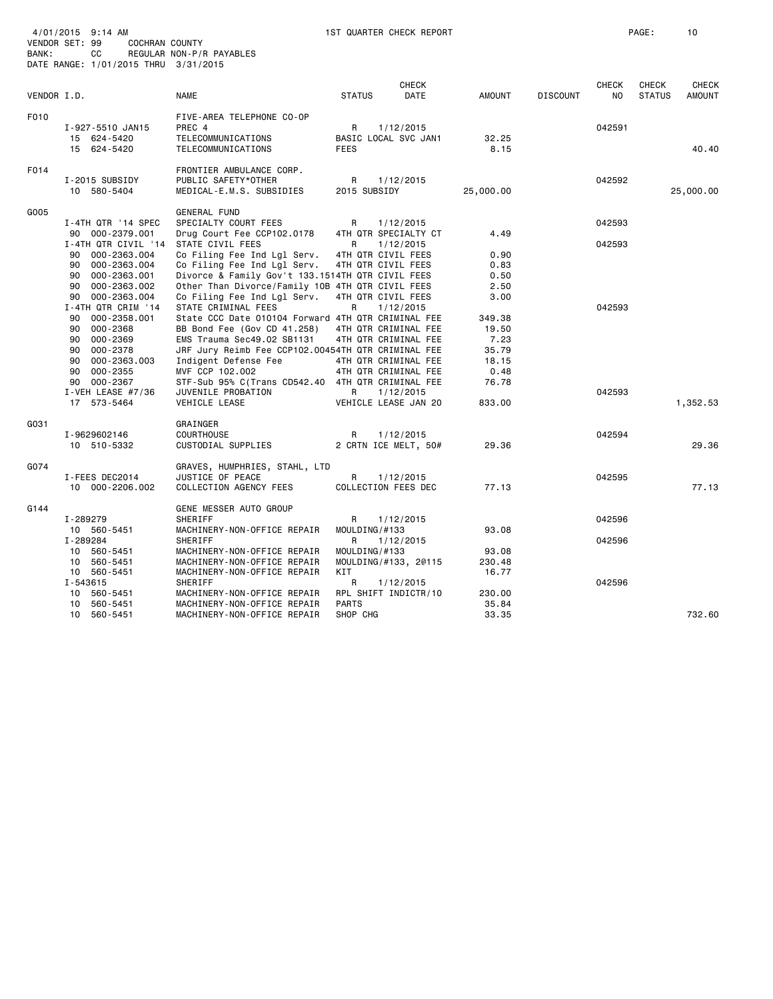| BANK: | 4/01/2015 9:14 AM<br>VENDOR SET: 99<br>COCHRAN COUNTY<br>СC<br>DATE RANGE: 1/01/2015 THRU 3/31/2015 | REGULAR NON-P/R PAYABLES                                                                                                                                              |                                               | 1ST QUARTER CHECK REPORT                                  |                                  |                 |                     | PAGE:                         | 10                     |
|-------|-----------------------------------------------------------------------------------------------------|-----------------------------------------------------------------------------------------------------------------------------------------------------------------------|-----------------------------------------------|-----------------------------------------------------------|----------------------------------|-----------------|---------------------|-------------------------------|------------------------|
|       | VENDOR I.D.                                                                                         | <b>NAME</b>                                                                                                                                                           | <b>STATUS</b>                                 | <b>CHECK</b><br>DATE                                      | AMOUNT                           | <b>DISCOUNT</b> | <b>CHECK</b><br>NO. | <b>CHECK</b><br><b>STATUS</b> | CHECK<br><b>AMOUNT</b> |
| F010  | I-927-5510 JAN15<br>15 624-5420<br>15 624-5420                                                      | FIVE-AREA TELEPHONE CO-OP<br>PREC 4<br>TELECOMMUNICATIONS<br>TELECOMMUNICATIONS                                                                                       | $\mathsf{R}$<br><b>FEES</b>                   | 1/12/2015<br>BASIC LOCAL SVC JAN1                         | 32.25<br>8.15                    |                 | 042591              |                               | 40.40                  |
| F014  | I-2015 SUBSIDY<br>10 580-5404                                                                       | FRONTIER AMBULANCE CORP.<br>PUBLIC SAFETY*OTHER<br>MEDICAL-E.M.S. SUBSIDIES                                                                                           | R<br>2015 SUBSIDY                             | 1/12/2015                                                 | 25,000.00                        |                 | 042592              |                               | 25,000.00              |
| G005  | I-4TH QTR '14 SPEC<br>90 000-2379.001                                                               | <b>GENERAL FUND</b><br>SPECIALTY COURT FEES<br>Drug Court Fee CCP102.0178                                                                                             | R                                             | 1/12/2015<br>4TH QTR SPECIALTY CT                         | 4.49                             |                 | 042593              |                               |                        |
|       | I-4TH QTR CIVIL '14<br>90 000-2363.004<br>90 000-2363.004<br>90 000-2363.001                        | STATE CIVIL FEES<br>Co Filing Fee Ind Lgl Serv.<br>Co Filing Fee Ind Lgl Serv.<br>Divorce & Family Gov't 133.1514TH QTR CIVIL FEES                                    | R<br>4TH QTR CIVIL FEES<br>4TH QTR CIVIL FEES | 1/12/2015                                                 | 0.90<br>0.83<br>0.50             |                 | 042593              |                               |                        |
|       | 90 000-2363.002<br>90 000-2363.004<br>I-4TH QTR CRIM '14                                            | Other Than Divorce/Family 10B 4TH QTR CIVIL FEES<br>Co Filing Fee Ind Lgl Serv.<br>STATE CRIMINAL FEES                                                                | 4TH QTR CIVIL FEES<br>R                       | 1/12/2015                                                 | 2.50<br>3.00                     |                 | 042593              |                               |                        |
|       | 90 000-2358.001<br>90 000-2368<br>90 000-2369<br>90 000-2378                                        | State CCC Date 010104 Forward 4TH QTR CRIMINAL FEE<br>BB Bond Fee (Gov CD 41.258)<br>EMS Trauma Sec49.02 SB1131<br>JRF Jury Reimb Fee CCP102.00454TH QTR CRIMINAL FEE |                                               | 4TH QTR CRIMINAL FEE<br>4TH QTR CRIMINAL FEE              | 349.38<br>19.50<br>7.23<br>35.79 |                 |                     |                               |                        |
|       | 90 000-2363.003<br>90 000-2355<br>90 000-2367<br>I-VEH LEASE $#7/36$                                | Indigent Defense Fee<br>MVF CCP 102.002<br>STF-Sub 95% C(Trans CD542.40 4TH QTR CRIMINAL FEE<br>JUVENILE PROBATION                                                    | R                                             | 4TH QTR CRIMINAL FEE<br>4TH QTR CRIMINAL FEE<br>1/12/2015 | 18.15<br>0.48<br>76.78           |                 | 042593              |                               |                        |
| G031  | 17 573-5464                                                                                         | VEHICLE LEASE<br>GRAINGER                                                                                                                                             |                                               | VEHICLE LEASE JAN 20                                      | 833.00                           |                 |                     |                               | 1,352.53               |
|       | I-9629602146<br>10 510-5332                                                                         | <b>COURTHOUSE</b><br>CUSTODIAL SUPPLIES                                                                                                                               | R                                             | 1/12/2015<br>2 CRTN ICE MELT, 50#                         | 29.36                            |                 | 042594              |                               | 29.36                  |
| G074  | I-FEES DEC2014<br>10 000-2206.002                                                                   | GRAVES, HUMPHRIES, STAHL, LTD<br>JUSTICE OF PEACE<br>COLLECTION AGENCY FEES                                                                                           | R                                             | 1/12/2015<br>COLLECTION FEES DEC                          | 77.13                            |                 | 042595              |                               | 77.13                  |
| G144  | I-289279<br>10 560-5451                                                                             | GENE MESSER AUTO GROUP<br>SHERIFF<br>MACHINERY-NON-OFFICE REPAIR                                                                                                      | R<br>MOULDING/#133                            | 1/12/2015                                                 | 93.08                            |                 | 042596              |                               |                        |
|       | I-289284<br>10 560-5451<br>10 560-5451                                                              | SHERIFF<br>MACHINERY-NON-OFFICE REPAIR<br>MACHINERY-NON-OFFICE REPAIR                                                                                                 | R<br>MOULDING/#133                            | 1/12/2015<br>MOULDING/#133, 20115                         | 93.08<br>230.48                  |                 | 042596              |                               |                        |
|       | 10 560-5451<br>I-543615<br>10 560-5451                                                              | MACHINERY-NON-OFFICE REPAIR<br>SHERIFF<br>MACHINERY-NON-OFFICE REPAIR                                                                                                 | KIT<br>R                                      | 1/12/2015<br>RPL SHIFT INDICTR/10                         | 16.77<br>230.00                  |                 | 042596              |                               |                        |
|       | 10 560-5451<br>10 560-5451                                                                          | MACHINERY-NON-OFFICE REPAIR<br>MACHINERY-NON-OFFICE REPAIR                                                                                                            | <b>PARTS</b><br>SHOP CHG                      |                                                           | 35.84<br>33.35                   |                 |                     |                               | 732.60                 |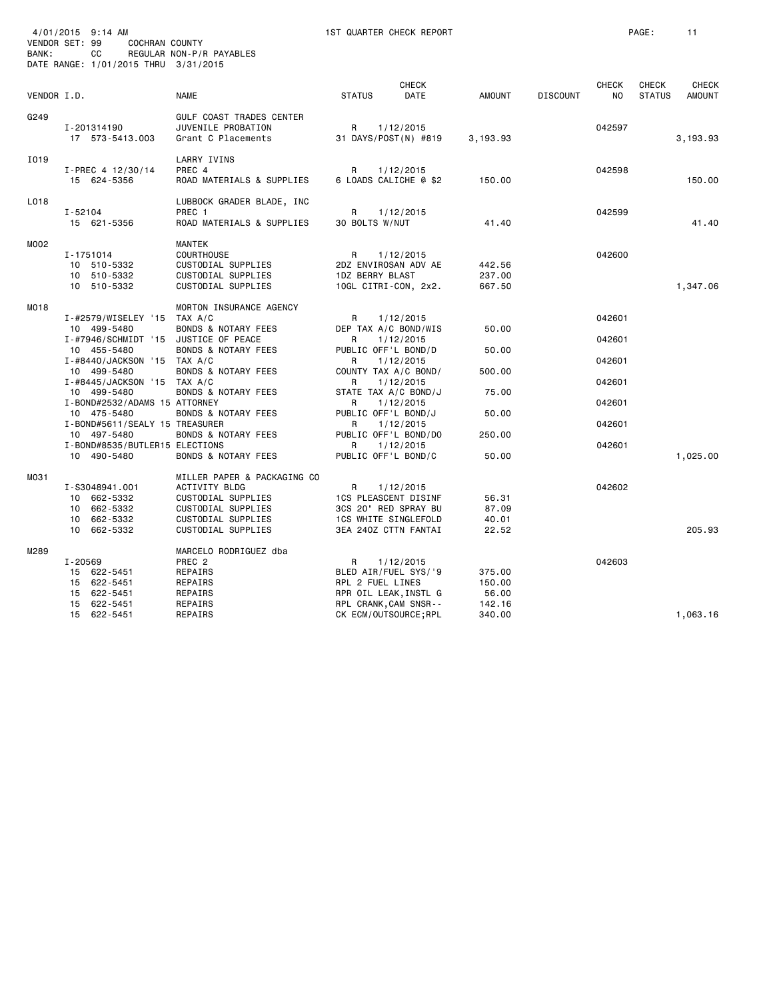| BANK:       | 4/01/2015 9:14 AM<br>VENDOR SET: 99<br><b>COCHRAN COUNTY</b><br>СC                 | REGULAR NON-P/R PAYABLES                                                                                                             | 1ST QUARTER CHECK REPORT                                                                                       |                                     |                 |                    | PAGE:                         | 11                            |
|-------------|------------------------------------------------------------------------------------|--------------------------------------------------------------------------------------------------------------------------------------|----------------------------------------------------------------------------------------------------------------|-------------------------------------|-----------------|--------------------|-------------------------------|-------------------------------|
|             | DATE RANGE: 1/01/2015 THRU 3/31/2015                                               |                                                                                                                                      |                                                                                                                |                                     |                 |                    |                               |                               |
| VENDOR I.D. |                                                                                    | <b>NAME</b>                                                                                                                          | <b>CHECK</b><br><b>STATUS</b><br>DATE                                                                          | <b>AMOUNT</b>                       | <b>DISCOUNT</b> | <b>CHECK</b><br>NO | <b>CHECK</b><br><b>STATUS</b> | <b>CHECK</b><br><b>AMOUNT</b> |
| G249        | I-201314190<br>17 573-5413.003                                                     | GULF COAST TRADES CENTER<br>JUVENILE PROBATION<br>Grant C Placements                                                                 | R<br>1/12/2015<br>31 DAYS/POST(N) #819                                                                         | 3,193.93                            |                 | 042597             |                               | 3,193.93                      |
| I019        | I-PREC 4 12/30/14<br>15 624-5356                                                   | LARRY IVINS<br>PREC 4<br>ROAD MATERIALS & SUPPLIES                                                                                   | 1/12/2015<br>R<br>6 LOADS CALICHE @ \$2                                                                        | 150.00                              |                 | 042598             |                               | 150.00                        |
| L018        | $I - 52104$<br>15 621-5356                                                         | LUBBOCK GRADER BLADE, INC<br>PREC 1<br>ROAD MATERIALS & SUPPLIES                                                                     | R<br>1/12/2015<br>30 BOLTS W/NUT                                                                               | 41.40                               |                 | 042599             |                               | 41.40                         |
| M002        | I-1751014<br>10 510-5332<br>10 510-5332<br>10 510-5332                             | MANTEK<br><b>COURTHOUSE</b><br>CUSTODIAL SUPPLIES<br>CUSTODIAL SUPPLIES<br>CUSTODIAL SUPPLIES                                        | R<br>1/12/2015<br>2DZ ENVIROSAN ADV AE<br>1DZ BERRY BLAST<br>10GL CITRI-CON, 2x2.                              | 442.56<br>237.00<br>667.50          |                 | 042600             |                               | 1,347.06                      |
| MO18        | I-#2579/WISELEY '15 TAX A/C<br>10 499-5480<br>I-#7946/SCHMIDT '15 JUSTICE OF PEACE | MORTON INSURANCE AGENCY<br><b>BONDS &amp; NOTARY FEES</b>                                                                            | 1/12/2015<br>R<br>DEP TAX A/C BOND/WIS<br>1/12/2015<br>R                                                       | 50.00                               |                 | 042601<br>042601   |                               |                               |
|             | 10 455-5480<br>I-#8440/JACKSON '15 TAX A/C<br>10 499-5480                          | <b>BONDS &amp; NOTARY FEES</b><br><b>BONDS &amp; NOTARY FEES</b>                                                                     | PUBLIC OFF'L BOND/D<br>R<br>1/12/2015<br>COUNTY TAX A/C BOND/                                                  | 50.00<br>500.00                     |                 | 042601             |                               |                               |
|             | $I$ -#8445/JACKSON '15 TAX A/C<br>10 499-5480                                      | <b>BONDS &amp; NOTARY FEES</b>                                                                                                       | R<br>1/12/2015<br>STATE TAX A/C BOND/J                                                                         | 75.00                               |                 | 042601             |                               |                               |
|             | I-BOND#2532/ADAMS 15 ATTORNEY<br>10 475-5480<br>I-BOND#5611/SEALY 15 TREASURER     | <b>BONDS &amp; NOTARY FEES</b>                                                                                                       | 1/12/2015<br>R<br>PUBLIC OFF'L BOND/J<br>R<br>1/12/2015                                                        | 50.00                               |                 | 042601<br>042601   |                               |                               |
|             | 10 497-5480<br>I-BOND#8535/BUTLER15 ELECTIONS                                      | BONDS & NOTARY FEES                                                                                                                  | PUBLIC OFF'L BOND/DO<br>R<br>1/12/2015                                                                         | 250.00                              |                 | 042601             |                               |                               |
|             | 10 490-5480                                                                        | <b>BONDS &amp; NOTARY FEES</b>                                                                                                       | PUBLIC OFF'L BOND/C                                                                                            | 50.00                               |                 |                    |                               | 1,025.00                      |
| M031        | I-S3048941.001<br>10 662-5332<br>10 662-5332<br>10 662-5332<br>662-5332<br>10      | MILLER PAPER & PACKAGING CO<br>ACTIVITY BLDG<br>CUSTODIAL SUPPLIES<br>CUSTODIAL SUPPLIES<br>CUSTODIAL SUPPLIES<br>CUSTODIAL SUPPLIES | R<br>1/12/2015<br>1CS PLEASCENT DISINF<br>3CS 20" RED SPRAY BU<br>1CS WHITE SINGLEFOLD<br>3EA 240Z CTTN FANTAI | 56.31<br>87.09<br>40.01<br>22.52    |                 | 042602             |                               | 205.93                        |
| M289        | I-20569<br>15 622-5451<br>15 622-5451<br>15 622-5451<br>15 622-5451                | MARCELO RODRIGUEZ dba<br>PREC <sub>2</sub><br>REPAIRS<br>REPAIRS<br>REPAIRS<br>REPAIRS                                               | R<br>1/12/2015<br>BLED AIR/FUEL SYS/'9<br>RPL 2 FUEL LINES<br>RPR OIL LEAK, INSTL G<br>RPL CRANK, CAM SNSR--   | 375.00<br>150.00<br>56.00<br>142.16 |                 | 042603             |                               |                               |

15 622-5451 REPAIRS CK ECM/OUTSOURCE;RPL 340.00 1,063.16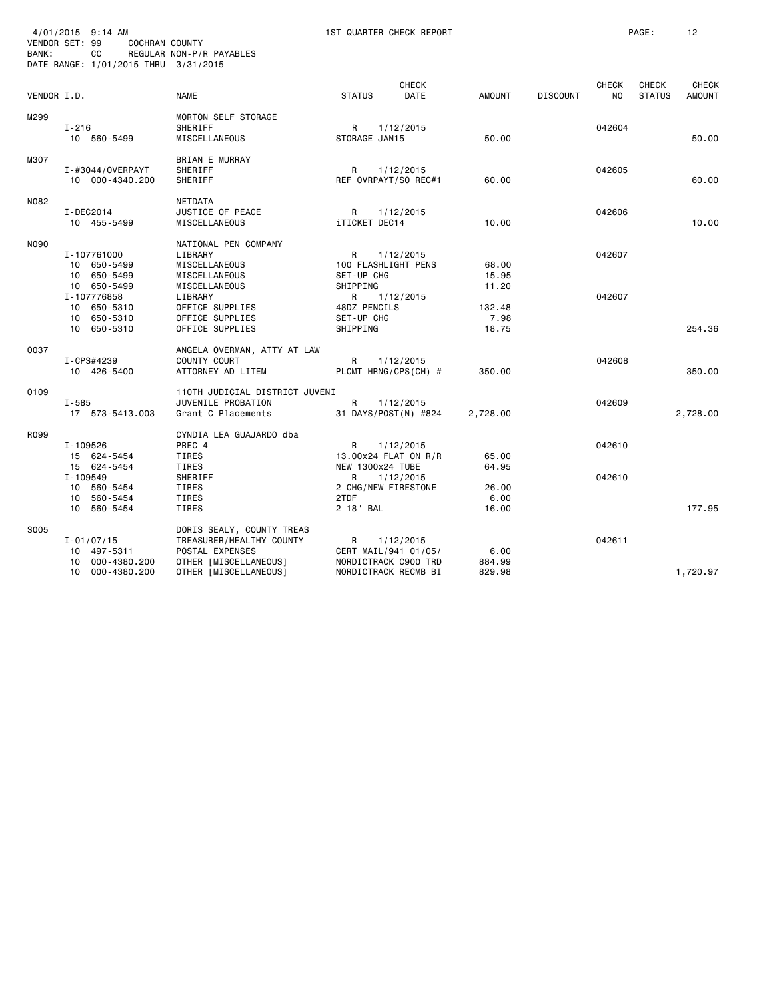| BANK:       | 4/01/2015 9:14 AM<br>VENDOR SET: 99<br><b>COCHRAN COUNTY</b><br>СC<br>DATE RANGE: 1/01/2015 THRU 3/31/2015 | REGULAR NON-P/R PAYABLES                                                                          | 1ST QUARTER CHECK REPORT                                         |                         |                 |                           | PAGE:                         | 12                            |
|-------------|------------------------------------------------------------------------------------------------------------|---------------------------------------------------------------------------------------------------|------------------------------------------------------------------|-------------------------|-----------------|---------------------------|-------------------------------|-------------------------------|
| VENDOR I.D. |                                                                                                            | <b>NAME</b>                                                                                       | <b>CHECK</b><br><b>DATE</b><br><b>STATUS</b>                     | <b>AMOUNT</b>           | <b>DISCOUNT</b> | <b>CHECK</b><br><b>NO</b> | <b>CHECK</b><br><b>STATUS</b> | <b>CHECK</b><br><b>AMOUNT</b> |
| M299        | $I - 216$<br>10 560-5499                                                                                   | MORTON SELF STORAGE<br>SHERIFF<br>MISCELLANEOUS                                                   | R<br>1/12/2015<br>STORAGE JAN15                                  | 50.00                   |                 | 042604                    |                               | 50.00                         |
| M307        | I-#3044/0VERPAYT<br>10 000-4340.200                                                                        | <b>BRIAN E MURRAY</b><br>SHERIFF<br>SHERIFF                                                       | R<br>1/12/2015<br>REF OVRPAYT/SO REC#1                           | 60.00                   |                 | 042605                    |                               | 60.00                         |
| N082        | I-DEC2014<br>10 455-5499                                                                                   | NETDATA<br>JUSTICE OF PEACE<br>MISCELLANEOUS                                                      | R<br>1/12/2015<br>iTICKET DEC14                                  | 10.00                   |                 | 042606                    |                               | 10.00                         |
| <b>NO90</b> | I-107761000<br>10 650-5499<br>10 650-5499<br>10 650-5499                                                   | NATIONAL PEN COMPANY<br>LIBRARY<br>MISCELLANEOUS<br>MISCELLANEOUS<br>MISCELLANEOUS                | R.<br>1/12/2015<br>100 FLASHLIGHT PENS<br>SET-UP CHG<br>SHIPPING | 68.00<br>15.95<br>11.20 |                 | 042607                    |                               |                               |
|             | I-107776858<br>10 650-5310<br>10 650-5310<br>10 650-5310                                                   | LIBRARY<br>OFFICE SUPPLIES<br>OFFICE SUPPLIES<br>OFFICE SUPPLIES                                  | R<br>1/12/2015<br>48DZ PENCILS<br>SET-UP CHG<br>SHIPPING         | 132.48<br>7.98<br>18.75 |                 | 042607                    |                               | 254.36                        |
| 0037        | I-CPS#4239<br>10 426-5400                                                                                  | ANGELA OVERMAN, ATTY AT LAW<br>COUNTY COURT<br>ATTORNEY AD LITEM                                  | R<br>1/12/2015<br>PLCMT HRNG/CPS(CH) #                           | 350.00                  |                 | 042608                    |                               | 350.00                        |
| 0109        | I-585<br>17 573-5413.003                                                                                   | 110TH JUDICIAL DISTRICT JUVENI<br>JUVENILE PROBATION<br>Grant C Placements                        | R<br>1/12/2015<br>31 DAYS/POST(N) #824                           | 2,728.00                |                 | 042609                    |                               | 2,728.00                      |
| R099        | I-109526<br>15 624-5454<br>15 624-5454                                                                     | CYNDIA LEA GUAJARDO dba<br>PREC 4<br>TIRES<br>TIRES                                               | R<br>1/12/2015<br>13.00x24 FLAT ON R/R<br>NEW 1300x24 TUBE       | 65.00<br>64.95          |                 | 042610                    |                               |                               |
|             | I-109549<br>10 560-5454<br>10 560-5454<br>10 560-5454                                                      | SHERIFF<br>TIRES<br>TIRES<br>TIRES                                                                | R<br>1/12/2015<br>2 CHG/NEW FIRESTONE<br>2TDF<br>2 18" BAL       | 26.00<br>6.00<br>16.00  |                 | 042610                    |                               | 177.95                        |
| S005        | $I - 01/07/15$<br>10 497-5311<br>000-4380.200<br>10                                                        | DORIS SEALY, COUNTY TREAS<br>TREASURER/HEALTHY COUNTY<br>POSTAL EXPENSES<br>OTHER [MISCELLANEOUS] | R<br>1/12/2015<br>CERT MAIL/941 01/05/<br>NORDICTRACK C900 TRD   | 6.00<br>884.99          |                 | 042611                    |                               |                               |
|             | 10 000-4380.200                                                                                            | OTHER [MISCELLANEOUS]                                                                             | NORDICTRACK RECMB BI                                             | 829.98                  |                 |                           |                               | 1,720.97                      |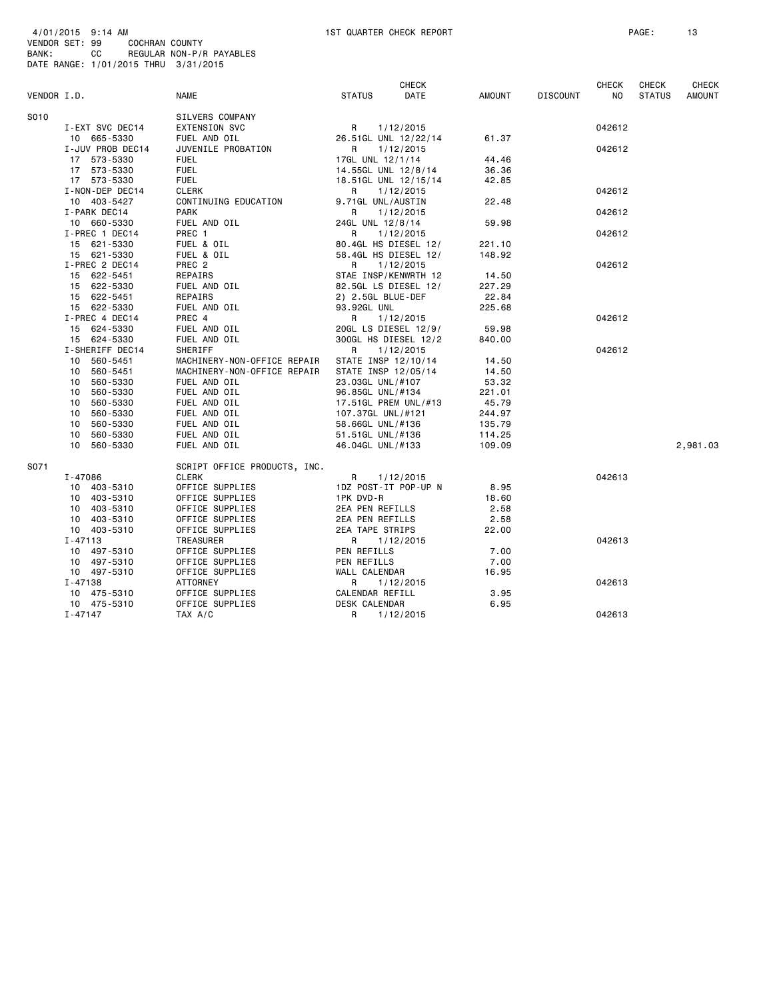|             |                  |                              |                     | <b>CHECK</b>         |               |                 | <b>CHECK</b>   | <b>CHECK</b>  | CHECK         |
|-------------|------------------|------------------------------|---------------------|----------------------|---------------|-----------------|----------------|---------------|---------------|
| VENDOR I.D. |                  | <b>NAME</b>                  | <b>STATUS</b>       | <b>DATE</b>          | <b>AMOUNT</b> | <b>DISCOUNT</b> | N <sub>O</sub> | <b>STATUS</b> | <b>AMOUNT</b> |
| S010        |                  | SILVERS COMPANY              |                     |                      |               |                 |                |               |               |
|             | I-EXT SVC DEC14  | <b>EXTENSION SVC</b>         | R                   | 1/12/2015            |               |                 | 042612         |               |               |
|             | 10 665-5330      | FUEL AND OIL                 |                     | 26.51GL UNL 12/22/14 | 61.37         |                 |                |               |               |
|             | I-JUV PROB DEC14 | JUVENILE PROBATION           | R                   | 1/12/2015            |               |                 | 042612         |               |               |
|             | 17 573-5330      | <b>FUEL</b>                  | 17GL UNL 12/1/14    |                      | 44.46         |                 |                |               |               |
|             | 17 573-5330      | <b>FUEL</b>                  | 14.55GL UNL 12/8/14 |                      | 36.36         |                 |                |               |               |
|             | 17 573-5330      | <b>FUEL</b>                  |                     | 18.51GL UNL 12/15/14 | 42.85         |                 |                |               |               |
|             | I-NON-DEP DEC14  | <b>CLERK</b>                 | R                   | 1/12/2015            |               |                 | 042612         |               |               |
|             | 10 403-5427      | CONTINUING EDUCATION         | 9.71GL UNL/AUSTIN   |                      | 22.48         |                 |                |               |               |
|             | I-PARK DEC14     | PARK                         | R                   | 1/12/2015            |               |                 | 042612         |               |               |
|             | 10 660-5330      | FUEL AND OIL                 | 24GL UNL 12/8/14    |                      | 59.98         |                 |                |               |               |
|             | I-PREC 1 DEC14   | PREC 1                       | R                   | 1/12/2015            |               |                 | 042612         |               |               |
|             | 15 621-5330      | FUEL & OIL                   |                     | 80.4GL HS DIESEL 12/ | 221.10        |                 |                |               |               |
|             | 15 621-5330      | FUEL & OIL                   |                     | 58.4GL HS DIESEL 12/ | 148.92        |                 |                |               |               |
|             | I-PREC 2 DEC14   | PREC 2                       | R                   | 1/12/2015            |               |                 | 042612         |               |               |
|             | 15 622-5451      | REPAIRS                      |                     | STAE INSP/KENWRTH 12 | 14.50         |                 |                |               |               |
|             | 15 622-5330      | FUEL AND OIL                 |                     | 82.5GL LS DIESEL 12/ | 227.29        |                 |                |               |               |
|             | 15 622-5451      | REPAIRS                      | 2) 2.5GL BLUE-DEF   |                      | 22.84         |                 |                |               |               |
|             | 15 622-5330      | FUEL AND OIL                 | 93.92GL UNL         |                      | 225.68        |                 |                |               |               |
|             | I-PREC 4 DEC14   | PREC 4                       | R                   | 1/12/2015            |               |                 | 042612         |               |               |
|             | 15 624-5330      | FUEL AND OIL                 |                     | 20GL LS DIESEL 12/9/ | 59.98         |                 |                |               |               |
|             | 15 624-5330      | FUEL AND OIL                 |                     | 300GL HS DIESEL 12/2 | 840.00        |                 |                |               |               |
|             | I-SHERIFF DEC14  | SHERIFF                      | R                   | 1/12/2015            |               |                 | 042612         |               |               |
|             | 10 560-5451      | MACHINERY-NON-OFFICE REPAIR  | STATE INSP 12/10/14 |                      | 14.50         |                 |                |               |               |
|             | 560-5451<br>10   | MACHINERY-NON-OFFICE REPAIR  | STATE INSP 12/05/14 |                      | 14.50         |                 |                |               |               |
|             | 560-5330<br>10   | FUEL AND OIL                 | 23.03GL UNL/#107    |                      | 53.32         |                 |                |               |               |
|             | 10 560-5330      | FUEL AND OIL                 | 96.85GL UNL/#134    |                      | 221.01        |                 |                |               |               |
|             | 10 560-5330      | FUEL AND OIL                 |                     | 17.51GL PREM UNL/#13 | 45.79         |                 |                |               |               |
|             | 10<br>560-5330   | FUEL AND OIL                 | 107.37GL UNL/#121   |                      | 244.97        |                 |                |               |               |
|             | 10 560-5330      | FUEL AND OIL                 | 58.66GL UNL/#136    |                      | 135.79        |                 |                |               |               |
|             | 10<br>560-5330   | FUEL AND OIL                 | 51.51GL UNL/#136    |                      | 114.25        |                 |                |               |               |
|             | 10 560-5330      | FUEL AND OIL                 | 46.04GL UNL/#133    |                      | 109.09        |                 |                |               | 2,981.03      |
| S071        |                  | SCRIPT OFFICE PRODUCTS, INC. |                     |                      |               |                 |                |               |               |
|             | I-47086          | <b>CLERK</b>                 | R                   | 1/12/2015            |               |                 | 042613         |               |               |
|             | 10 403-5310      | OFFICE SUPPLIES              |                     | 1DZ POST-IT POP-UP N | 8.95          |                 |                |               |               |
|             | 10 403-5310      | OFFICE SUPPLIES              | 1PK DVD-R           |                      | 18.60         |                 |                |               |               |
|             | 10 403-5310      | OFFICE SUPPLIES              | 2EA PEN REFILLS     |                      | 2.58          |                 |                |               |               |
|             | 10 403-5310      | OFFICE SUPPLIES              | 2EA PEN REFILLS     |                      | 2.58          |                 |                |               |               |
|             | 10 403-5310      | OFFICE SUPPLIES              | 2EA TAPE STRIPS     |                      | 22.00         |                 |                |               |               |
|             | I-47113          | TREASURER                    | R                   | 1/12/2015            |               |                 | 042613         |               |               |
|             | 10 497-5310      | OFFICE SUPPLIES              | PEN REFILLS         |                      | 7.00          |                 |                |               |               |
|             | 10 497-5310      | OFFICE SUPPLIES              | PEN REFILLS         |                      | 7.00          |                 |                |               |               |
|             | 10 497-5310      | OFFICE SUPPLIES              | WALL CALENDAR       |                      | 16.95         |                 |                |               |               |
|             | $I - 47138$      | ATTORNEY                     | R                   | 1/12/2015            |               |                 | 042613         |               |               |
|             | 10 475-5310      | OFFICE SUPPLIES              | CALENDAR REFILL     |                      | 3.95          |                 |                |               |               |
|             | 10 475-5310      | OFFICE SUPPLIES              | DESK CALENDAR       |                      | 6.95          |                 |                |               |               |
|             | $I - 47147$      | TAX A/C                      | R                   | 1/12/2015            |               |                 | 042613         |               |               |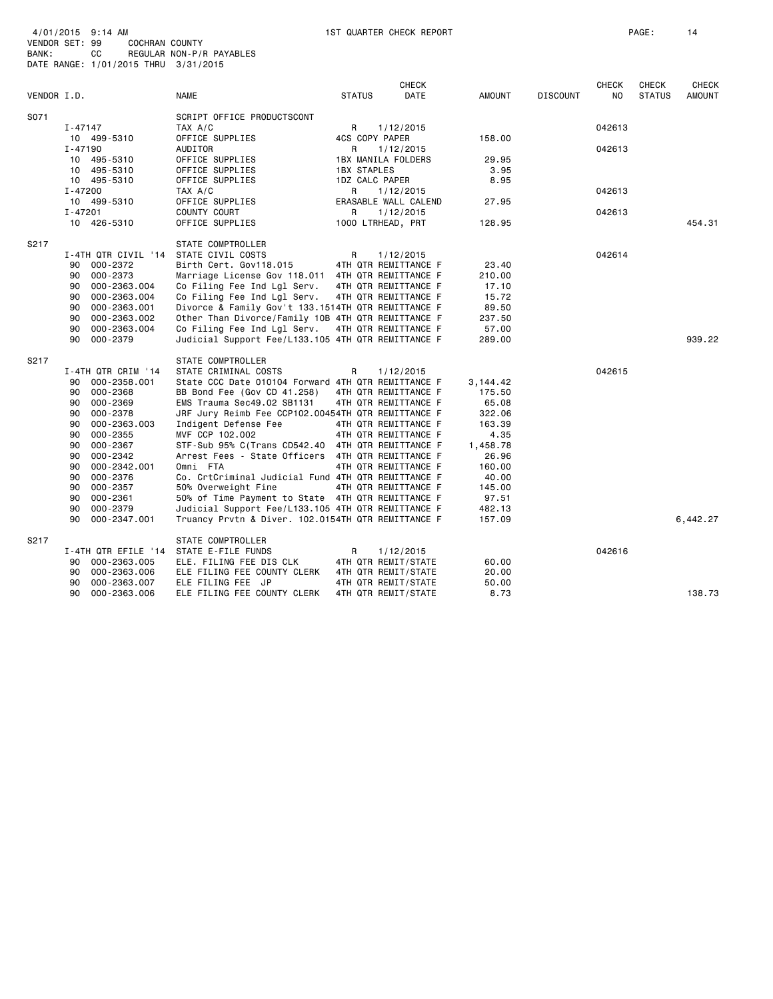|             |                     |                                                    |                    | <b>CHECK</b>         |               |                 | <b>CHECK</b>   | <b>CHECK</b>  | <b>CHECK</b> |
|-------------|---------------------|----------------------------------------------------|--------------------|----------------------|---------------|-----------------|----------------|---------------|--------------|
| VENDOR I.D. |                     | <b>NAME</b>                                        | <b>STATUS</b>      | DATE                 | <b>AMOUNT</b> | <b>DISCOUNT</b> | N <sub>O</sub> | <b>STATUS</b> | AMOUNT       |
| S071        |                     | SCRIPT OFFICE PRODUCTSCONT                         |                    |                      |               |                 |                |               |              |
|             | I-47147             | TAX A/C                                            | R                  | 1/12/2015            |               |                 | 042613         |               |              |
|             | 10 499-5310         | OFFICE SUPPLIES                                    | 4CS COPY PAPER     |                      | 158.00        |                 |                |               |              |
|             | I-47190             | AUDITOR                                            | R                  | 1/12/2015            |               |                 | 042613         |               |              |
|             | 10 495-5310         | OFFICE SUPPLIES                                    |                    | 1BX MANILA FOLDERS   | 29.95         |                 |                |               |              |
|             | 10 495-5310         | OFFICE SUPPLIES                                    | <b>1BX STAPLES</b> |                      | 3.95          |                 |                |               |              |
|             | 10 495-5310         | OFFICE SUPPLIES                                    | 1DZ CALC PAPER     |                      | 8.95          |                 |                |               |              |
|             | I-47200             | TAX A/C                                            | R                  | 1/12/2015            |               |                 | 042613         |               |              |
|             | 10 499-5310         | OFFICE SUPPLIES                                    |                    | ERASABLE WALL CALEND | 27.95         |                 |                |               |              |
|             | $I - 47201$         | COUNTY COURT                                       | R                  | 1/12/2015            |               |                 | 042613         |               |              |
|             | 10 426-5310         | OFFICE SUPPLIES                                    |                    | 1000 LTRHEAD, PRT    | 128.95        |                 |                |               | 454.31       |
| S217        |                     | STATE COMPTROLLER                                  |                    |                      |               |                 |                |               |              |
|             | I-4TH QTR CIVIL '14 | STATE CIVIL COSTS                                  | R                  | 1/12/2015            |               |                 | 042614         |               |              |
|             | 000-2372<br>90      | Birth Cert. Gov118.015                             |                    | 4TH QTR REMITTANCE F | 23,40         |                 |                |               |              |
|             | 000-2373<br>90      | Marriage License Gov 118.011 4TH QTR REMITTANCE F  |                    |                      | 210.00        |                 |                |               |              |
|             | 000-2363.004<br>90  | Co Filing Fee Ind Lgl Serv.                        |                    | 4TH QTR REMITTANCE F | 17.10         |                 |                |               |              |
|             | 000-2363.004<br>90  | Co Filing Fee Ind Lgl Serv.                        |                    | 4TH QTR REMITTANCE F | 15.72         |                 |                |               |              |
|             | 90<br>000-2363.001  | Divorce & Family Gov't 133.1514TH QTR REMITTANCE F |                    |                      | 89.50         |                 |                |               |              |
|             | 000-2363.002<br>90  | Other Than Divorce/Family 10B 4TH QTR REMITTANCE F |                    |                      | 237.50        |                 |                |               |              |
|             | 90<br>000-2363.004  | Co Filing Fee Ind Lgl Serv.                        |                    | 4TH QTR REMITTANCE F | 57.00         |                 |                |               |              |
|             | 90<br>000-2379      | Judicial Support Fee/L133.105 4TH QTR REMITTANCE F |                    |                      | 289.00        |                 |                |               | 939.22       |
| S217        |                     | STATE COMPTROLLER                                  |                    |                      |               |                 |                |               |              |
|             | I-4TH QTR CRIM '14  | STATE CRIMINAL COSTS                               | R.                 | 1/12/2015            |               |                 | 042615         |               |              |
|             | 000-2358.001<br>90  | State CCC Date 010104 Forward 4TH QTR REMITTANCE F |                    |                      | 3,144.42      |                 |                |               |              |
|             | 000-2368<br>90      | BB Bond Fee (Gov CD 41.258)                        |                    | 4TH QTR REMITTANCE F | 175.50        |                 |                |               |              |
|             | 000-2369<br>90      | EMS Trauma Sec49.02 SB1131                         |                    | 4TH QTR REMITTANCE F | 65.08         |                 |                |               |              |
|             | 000-2378<br>90      | JRF Jury Reimb Fee CCP102.00454TH QTR REMITTANCE F |                    |                      | 322.06        |                 |                |               |              |
|             | 90<br>000-2363.003  | Indigent Defense Fee                               |                    | 4TH QTR REMITTANCE F | 163.39        |                 |                |               |              |
|             | $000 - 2355$<br>90  | MVF CCP 102.002                                    |                    | 4TH QTR REMITTANCE F | 4.35          |                 |                |               |              |
|             | 000-2367<br>90      | STF-Sub 95% C(Trans CD542.40 4TH QTR REMITTANCE F  |                    |                      | 1,458.78      |                 |                |               |              |
|             | 000-2342<br>90      | Arrest Fees - State Officers 4TH QTR REMITTANCE F  |                    |                      | 26.96         |                 |                |               |              |
|             | 000-2342.001<br>90  | Omni FTA                                           |                    | 4TH QTR REMITTANCE F | 160.00        |                 |                |               |              |
|             | 000-2376<br>90      | Co. CrtCriminal Judicial Fund 4TH QTR REMITTANCE F |                    |                      | 40.00         |                 |                |               |              |
|             | $000 - 2357$<br>90  | 50% Overweight Fine                                |                    | 4TH QTR REMITTANCE F | 145.00        |                 |                |               |              |
|             | $000 - 2361$<br>90  | 50% of Time Payment to State 4TH QTR REMITTANCE F  |                    |                      | 97.51         |                 |                |               |              |
|             | 90<br>000-2379      | Judicial Support Fee/L133.105 4TH QTR REMITTANCE F |                    |                      | 482.13        |                 |                |               |              |
|             | 90<br>000-2347.001  | Truancy Prvtn & Diver. 102.0154TH QTR REMITTANCE F |                    |                      | 157.09        |                 |                |               | 6,442.27     |
| S217        |                     | STATE COMPTROLLER                                  |                    |                      |               |                 |                |               |              |
|             | I-4TH QTR EFILE '14 | STATE E-FILE FUNDS                                 | R                  | 1/12/2015            |               |                 | 042616         |               |              |
|             | 000-2363.005<br>90  | ELE. FILING FEE DIS CLK                            |                    | 4TH QTR REMIT/STATE  | 60.00         |                 |                |               |              |
|             | 000-2363.006<br>90  | ELE FILING FEE COUNTY CLERK                        |                    | 4TH QTR REMIT/STATE  | 20.00         |                 |                |               |              |
|             | 000-2363.007<br>90  | ELE FILING FEE JP                                  |                    | 4TH QTR REMIT/STATE  | 50.00         |                 |                |               |              |
|             | 90<br>000-2363.006  | ELE FILING FEE COUNTY CLERK                        |                    | 4TH QTR REMIT/STATE  | 8.73          |                 |                |               | 138.73       |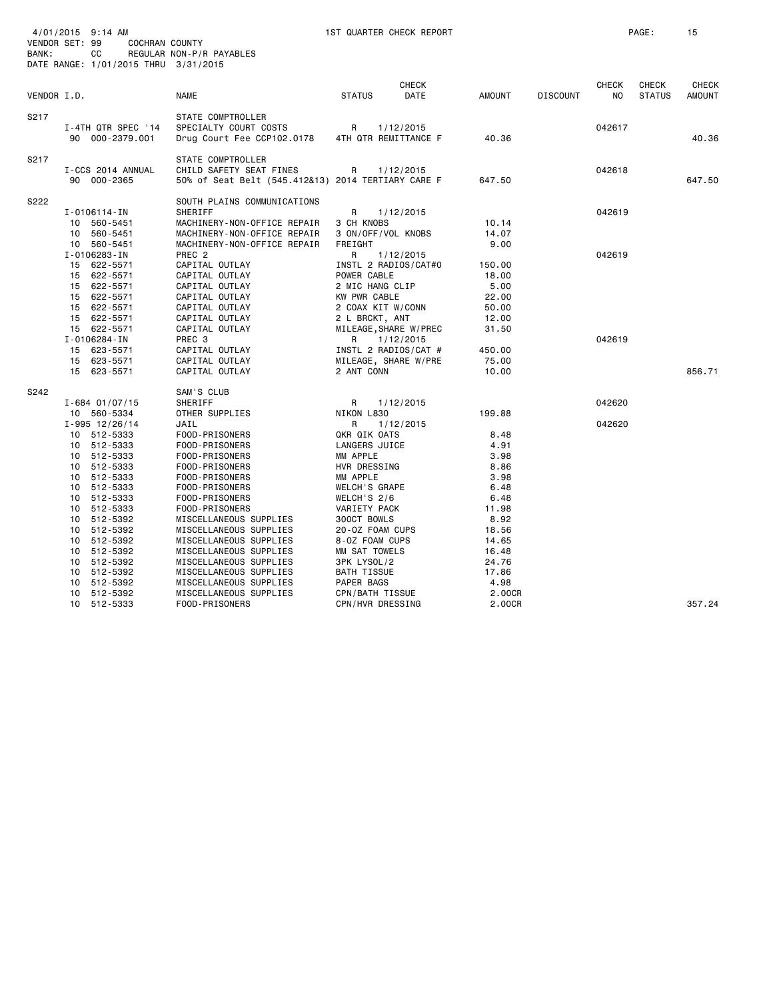| BANK:       | 4/01/2015 9:14 AM<br>VENDOR SET: 99<br>COCHRAN COUNTY<br>СC<br>DATE RANGE: 1/01/2015 THRU 3/31/2015                                                                                                                                                                                                                          | REGULAR NON-P/R PAYABLES                                                                                                                                                                                                                                                                                                                                                                                        | 1ST QUARTER CHECK REPORT                                                                                                                                                                                                                                                                                             |                                                                                                                                                |                     | PAGE:                         | 15                            |
|-------------|------------------------------------------------------------------------------------------------------------------------------------------------------------------------------------------------------------------------------------------------------------------------------------------------------------------------------|-----------------------------------------------------------------------------------------------------------------------------------------------------------------------------------------------------------------------------------------------------------------------------------------------------------------------------------------------------------------------------------------------------------------|----------------------------------------------------------------------------------------------------------------------------------------------------------------------------------------------------------------------------------------------------------------------------------------------------------------------|------------------------------------------------------------------------------------------------------------------------------------------------|---------------------|-------------------------------|-------------------------------|
| VENDOR I.D. |                                                                                                                                                                                                                                                                                                                              | <b>NAME</b>                                                                                                                                                                                                                                                                                                                                                                                                     | <b>CHECK</b><br><b>DATE</b><br><b>STATUS</b>                                                                                                                                                                                                                                                                         | <b>AMOUNT</b><br><b>DISCOUNT</b>                                                                                                               | <b>CHECK</b><br>NO. | <b>CHECK</b><br><b>STATUS</b> | <b>CHECK</b><br><b>AMOUNT</b> |
| S217        | I-4TH QTR SPEC '14<br>90 000-2379.001                                                                                                                                                                                                                                                                                        | STATE COMPTROLLER<br>SPECIALTY COURT COSTS<br>Drug Court Fee CCP102.0178                                                                                                                                                                                                                                                                                                                                        | R<br>1/12/2015<br>4TH QTR REMITTANCE F                                                                                                                                                                                                                                                                               | 40.36                                                                                                                                          | 042617              |                               | 40.36                         |
| S217        | I-CCS 2014 ANNUAL<br>90 000-2365                                                                                                                                                                                                                                                                                             | STATE COMPTROLLER<br>CHILD SAFETY SEAT FINES<br>50% of Seat Belt (545.412&13) 2014 TERTIARY CARE F                                                                                                                                                                                                                                                                                                              | 1/12/2015<br>R                                                                                                                                                                                                                                                                                                       | 647.50                                                                                                                                         | 042618              |                               | 647.50                        |
| S222        | I-0106114-IN<br>10 560-5451<br>560-5451<br>10<br>10 560-5451                                                                                                                                                                                                                                                                 | SOUTH PLAINS COMMUNICATIONS<br>SHERIFF<br>MACHINERY-NON-OFFICE REPAIR<br>MACHINERY-NON-OFFICE REPAIR<br>MACHINERY-NON-OFFICE REPAIR                                                                                                                                                                                                                                                                             | R<br>1/12/2015<br>3 CH KNOBS<br>3 ON/OFF/VOL KNOBS<br>FREIGHT                                                                                                                                                                                                                                                        | 10.14<br>14.07<br>9.00                                                                                                                         | 042619              |                               |                               |
|             | I-0106283-IN<br>15 622-5571<br>15 622-5571<br>15 622-5571<br>15 622-5571<br>15 622-5571<br>15 622-5571<br>15 622-5571<br>I-0106284-IN<br>623-5571<br>15<br>15 623-5571<br>15 623-5571                                                                                                                                        | PREC <sub>2</sub><br>CAPITAL OUTLAY<br>CAPITAL OUTLAY<br>CAPITAL OUTLAY<br>CAPITAL OUTLAY<br>CAPITAL OUTLAY<br>CAPITAL OUTLAY<br>CAPITAL OUTLAY<br>PREC 3<br>CAPITAL OUTLAY<br>CAPITAL OUTLAY<br>CAPITAL OUTLAY                                                                                                                                                                                                 | R<br>1/12/2015<br>INSTL 2 RADIOS/CAT#0<br>POWER CABLE<br>2 MIC HANG CLIP<br>KW PWR CABLE<br>2 COAX KIT W/CONN<br>2 L BRCKT, ANT<br>MILEAGE, SHARE W/PREC<br>R<br>1/12/2015<br>INSTL 2 RADIOS/CAT #<br>MILEAGE, SHARE W/PRE<br>2 ANT CONN                                                                             | 150.00<br>18.00<br>5.00<br>22.00<br>50.00<br>12.00<br>31.50<br>450.00<br>75.00<br>10.00                                                        | 042619<br>042619    |                               | 856.71                        |
| S242        | $I - 684$ 01/07/15<br>10 560-5334<br>$I - 995$ 12/26/14<br>10 512-5333<br>10 512-5333<br>10 512-5333<br>10 512-5333<br>10<br>512-5333<br>10 512-5333<br>10 512-5333<br>10<br>512-5333<br>512-5392<br>10<br>10 512-5392<br>512-5392<br>10<br>512-5392<br>10<br>10 512-5392<br>512-5392<br>10<br>512-5392<br>10<br>10 512-5392 | SAM'S CLUB<br>SHERIFF<br>OTHER SUPPLIES<br>JAIL<br>FOOD-PRISONERS<br>FOOD-PRISONERS<br>FOOD-PRISONERS<br>FOOD-PRISONERS<br>FOOD-PRISONERS<br>FOOD-PRISONERS<br>FOOD-PRISONERS<br>FOOD-PRISONERS<br>MISCELLANEOUS SUPPLIES<br>MISCELLANEOUS SUPPLIES<br>MISCELLANEOUS SUPPLIES<br>MISCELLANEOUS SUPPLIES<br>MISCELLANEOUS SUPPLIES<br>MISCELLANEOUS SUPPLIES<br>MISCELLANEOUS SUPPLIES<br>MISCELLANEOUS SUPPLIES | 1/12/2015<br>R<br>NIKON L830<br>R<br>1/12/2015<br>QKR QIK OATS<br>LANGERS JUICE<br>MM APPLE<br>HVR DRESSING<br>MM APPLE<br><b>WELCH'S GRAPE</b><br>WELCH'S $2/6$<br>VARIETY PACK<br>300CT BOWLS<br>20-0Z FOAM CUPS<br>8-0Z FOAM CUPS<br>MM SAT TOWELS<br>3PK LYSOL/2<br>BATH TISSUE<br>PAPER BAGS<br>CPN/BATH TISSUE | 199.88<br>8.48<br>4.91<br>3.98<br>8.86<br>3.98<br>6.48<br>6.48<br>11.98<br>8.92<br>18.56<br>14.65<br>16.48<br>24.76<br>17.86<br>4.98<br>2.00CR | 042620<br>042620    |                               |                               |
|             | 10<br>512-5333                                                                                                                                                                                                                                                                                                               | FOOD-PRISONERS                                                                                                                                                                                                                                                                                                                                                                                                  | CPN/HVR DRESSING                                                                                                                                                                                                                                                                                                     | 2.00CR                                                                                                                                         |                     |                               | 357.24                        |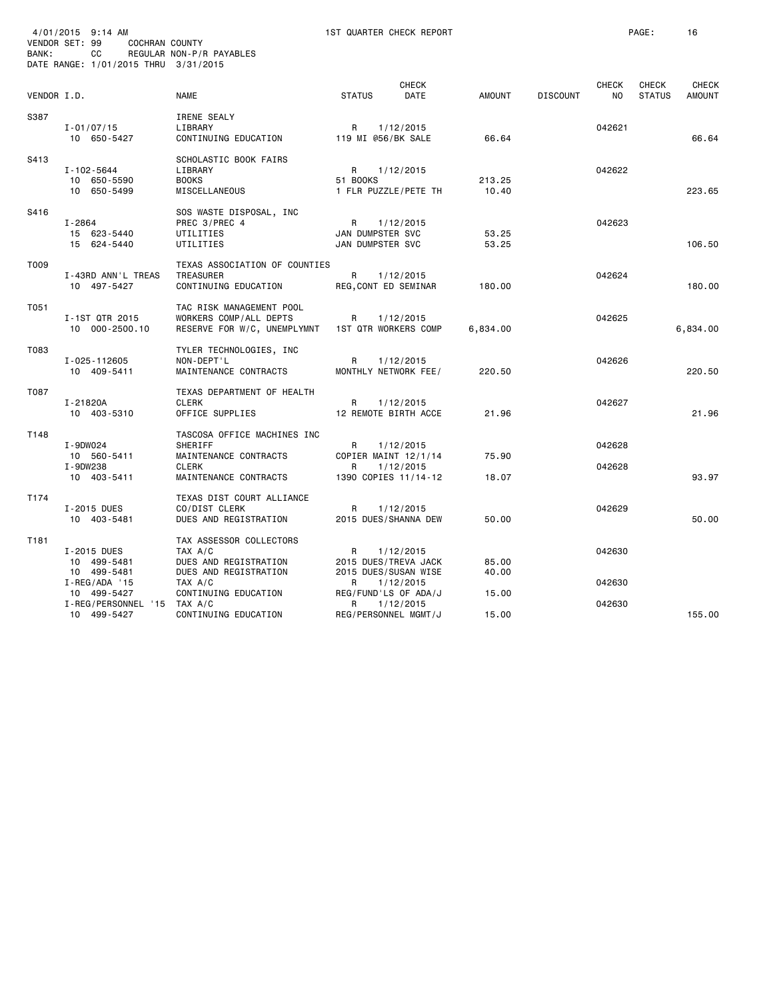| BANK:       | 4/01/2015 9:14 AM<br>VENDOR SET: 99<br>COCHRAN COUNTY<br>CС<br>DATE RANGE: 1/01/2015 THRU 3/31/2015 | REGULAR NON-P/R PAYABLES                                                             |                                           | 1ST QUARTER CHECK REPORT                                  |                 |                 |                    | PAGE:                         | 16                            |
|-------------|-----------------------------------------------------------------------------------------------------|--------------------------------------------------------------------------------------|-------------------------------------------|-----------------------------------------------------------|-----------------|-----------------|--------------------|-------------------------------|-------------------------------|
| VENDOR I.D. |                                                                                                     | <b>NAME</b>                                                                          | <b>STATUS</b>                             | <b>CHECK</b><br>DATE                                      | AMOUNT          | <b>DISCOUNT</b> | <b>CHECK</b><br>NO | <b>CHECK</b><br><b>STATUS</b> | <b>CHECK</b><br><b>AMOUNT</b> |
| S387        | $I - 01/07/15$<br>10 650-5427                                                                       | IRENE SEALY<br>LIBRARY<br>CONTINUING EDUCATION                                       | R<br>119 MI @56/BK SALE                   | 1/12/2015                                                 | 66.64           |                 | 042621             |                               | 66.64                         |
| S413        | I-102-5644<br>10 650-5590<br>10 650-5499                                                            | SCHOLASTIC BOOK FAIRS<br>LIBRARY<br><b>BOOKS</b><br>MISCELLANEOUS                    | R<br>51 BOOKS                             | 1/12/2015<br>1 FLR PUZZLE/PETE TH                         | 213.25<br>10.40 |                 | 042622             |                               | 223.65                        |
| S416        | $I - 2864$<br>15 623-5440<br>15 624-5440                                                            | SOS WASTE DISPOSAL, INC<br>PREC 3/PREC 4<br>UTILITIES<br>UTILITIES                   | R<br>JAN DUMPSTER SVC<br>JAN DUMPSTER SVC | 1/12/2015                                                 | 53.25<br>53.25  |                 | 042623             |                               | 106.50                        |
| T009        | I-43RD ANN'L TREAS<br>10 497-5427                                                                   | TEXAS ASSOCIATION OF COUNTIES<br>TREASURER<br>CONTINUING EDUCATION                   | R<br>REG, CONT ED SEMINAR                 | 1/12/2015                                                 | 180.00          |                 | 042624             |                               | 180.00                        |
| T051        | I-1ST QTR 2015<br>10 000-2500.10                                                                    | TAC RISK MANAGEMENT POOL<br>WORKERS COMP/ALL DEPTS<br>RESERVE FOR W/C, UNEMPLYMNT    | R                                         | 1/12/2015<br><b>1ST QTR WORKERS COMP</b>                  | 6,834.00        |                 | 042625             |                               | 6,834.00                      |
| T083        | I-025-112605<br>10 409-5411                                                                         | TYLER TECHNOLOGIES, INC<br>NON-DEPT'L<br>MAINTENANCE CONTRACTS                       | R                                         | 1/12/2015<br>MONTHLY NETWORK FEE/                         | 220.50          |                 | 042626             |                               | 220.50                        |
| T087        | I-21820A<br>10 403-5310                                                                             | TEXAS DEPARTMENT OF HEALTH<br><b>CLERK</b><br>OFFICE SUPPLIES                        | R                                         | 1/12/2015<br>12 REMOTE BIRTH ACCE                         | 21.96           |                 | 042627             |                               | 21.96                         |
| T148        | I-9DW024<br>10 560-5411                                                                             | TASCOSA OFFICE MACHINES INC<br>SHERIFF<br>MAINTENANCE CONTRACTS                      | R                                         | 1/12/2015<br>COPIER MAINT 12/1/14                         | 75.90           |                 | 042628             |                               |                               |
|             | I-9DW238<br>10 403-5411                                                                             | <b>CLERK</b><br>MAINTENANCE CONTRACTS                                                | R                                         | 1/12/2015<br>1390 COPIES 11/14-12                         | 18.07           |                 | 042628             |                               | 93.97                         |
| T174        | I-2015 DUES<br>10 403-5481                                                                          | TEXAS DIST COURT ALLIANCE<br>CO/DIST CLERK<br>DUES AND REGISTRATION                  | R                                         | 1/12/2015<br>2015 DUES/SHANNA DEW                         | 50.00           |                 | 042629             |                               | 50.00                         |
| T181        | I-2015 DUES<br>10 499-5481<br>10 499-5481                                                           | TAX ASSESSOR COLLECTORS<br>TAX A/C<br>DUES AND REGISTRATION<br>DUES AND REGISTRATION | R                                         | 1/12/2015<br>2015 DUES/TREVA JACK<br>2015 DUES/SUSAN WISE | 85.00<br>40.00  |                 | 042630             |                               |                               |
|             | $I - REG/ADA$ '15<br>10 499-5427                                                                    | TAX A/C<br>CONTINUING EDUCATION                                                      | R                                         | 1/12/2015<br>REG/FUND'LS OF ADA/J                         | 15.00           |                 | 042630             |                               |                               |
|             | I-REG/PERSONNEL '15<br>10 499-5427                                                                  | TAX A/C<br>CONTINUING EDUCATION                                                      | R                                         | 1/12/2015<br>REG/PERSONNEL MGMT/J                         | 15.00           |                 | 042630             |                               | 155.00                        |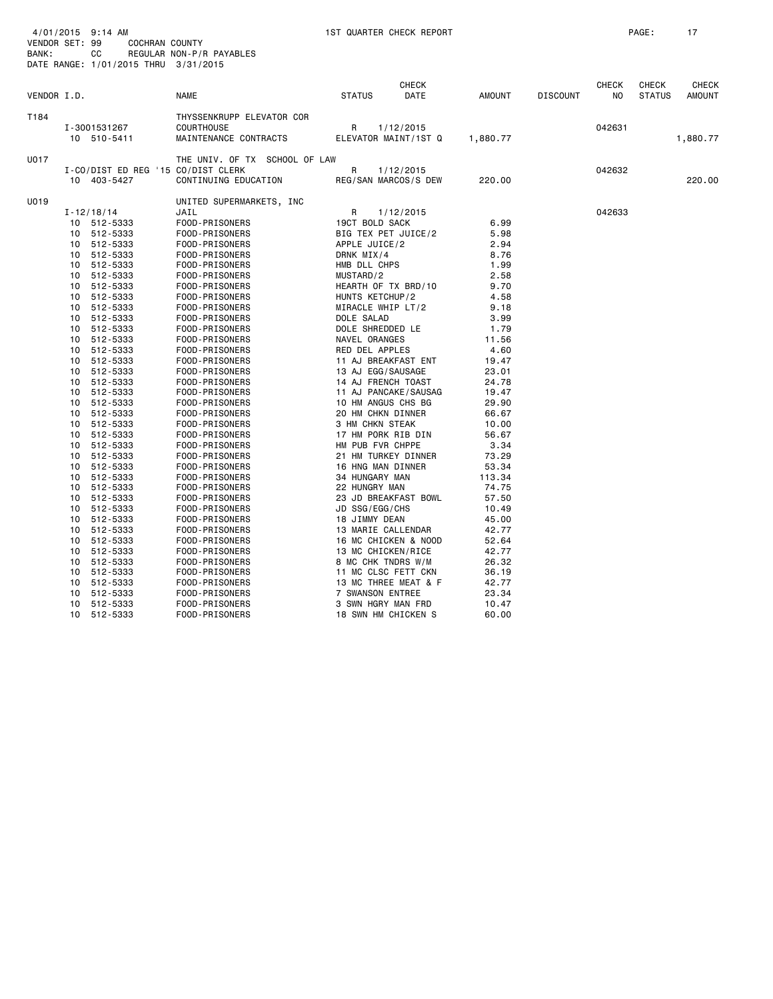| VENDOR I.D. |    |                                                   | <b>NAME</b>                                                             | <b>STATUS</b>                          | CHECK<br>DATE | AMOUNT   | <b>DISCOUNT</b> | CHECK<br>NO. | <b>CHECK</b><br><b>STATUS</b> | <b>CHECK</b><br>AMOUNT |
|-------------|----|---------------------------------------------------|-------------------------------------------------------------------------|----------------------------------------|---------------|----------|-----------------|--------------|-------------------------------|------------------------|
| T184        |    | I-3001531267<br>10 510-5411                       | THYSSENKRUPP ELEVATOR COR<br><b>COURTHOUSE</b><br>MAINTENANCE CONTRACTS | R<br>1/12/2015<br>ELEVATOR MAINT/1ST Q |               | 1,880.77 |                 | 042631       |                               | 1,880.77               |
| U017        |    |                                                   | THE UNIV. OF TX SCHOOL OF LAW                                           |                                        |               |          |                 |              |                               |                        |
|             |    | I-CO/DIST ED REG '15 CO/DIST CLERK<br>10 403-5427 | CONTINUING EDUCATION                                                    | R<br>REG/SAN MARCOS/S DEW              | 1/12/2015     | 220.00   |                 | 042632       |                               | 220.00                 |
| U019        |    |                                                   | UNITED SUPERMARKETS, INC                                                |                                        |               |          |                 |              |                               |                        |
|             |    | $I - 12/18/14$                                    | JAIL                                                                    | R                                      | 1/12/2015     |          |                 | 042633       |                               |                        |
|             |    | 10 512-5333                                       | FOOD-PRISONERS                                                          | 19CT BOLD SACK                         |               | 6.99     |                 |              |                               |                        |
|             |    | 10 512-5333                                       | FOOD-PRISONERS                                                          | BIG TEX PET JUICE/2                    |               | 5.98     |                 |              |                               |                        |
|             |    | 10 512-5333                                       | FOOD-PRISONERS                                                          | APPLE JUICE/2                          |               | 2.94     |                 |              |                               |                        |
|             |    | 10 512-5333                                       | FOOD-PRISONERS                                                          | DRNK MIX/4                             |               | 8.76     |                 |              |                               |                        |
|             |    | 10 512-5333                                       | FOOD-PRISONERS                                                          | HMB DLL CHPS                           |               | 1.99     |                 |              |                               |                        |
|             | 10 | 512-5333                                          | FOOD-PRISONERS                                                          | MUSTARD/2                              |               | 2.58     |                 |              |                               |                        |
|             |    | 10 512-5333                                       | FOOD-PRISONERS                                                          | HEARTH OF TX BRD/10                    |               | 9.70     |                 |              |                               |                        |
|             |    | 10 512-5333                                       | FOOD-PRISONERS                                                          | HUNTS KETCHUP/2                        |               | 4.58     |                 |              |                               |                        |
|             |    | 10 512-5333                                       | FOOD-PRISONERS                                                          | MIRACLE WHIP LT/2                      |               | 9.18     |                 |              |                               |                        |
|             | 10 | 512-5333                                          | FOOD-PRISONERS                                                          | DOLE SALAD                             |               | 3.99     |                 |              |                               |                        |
|             | 10 | 512-5333                                          | FOOD-PRISONERS                                                          | DOLE SHREDDED LE                       |               | 1.79     |                 |              |                               |                        |
|             |    | 10 512-5333                                       | FOOD-PRISONERS                                                          | NAVEL ORANGES                          |               | 11.56    |                 |              |                               |                        |
|             |    | 10 512-5333                                       | FOOD-PRISONERS                                                          | RED DEL APPLES                         |               | 4.60     |                 |              |                               |                        |
|             | 10 | 512-5333                                          | FOOD-PRISONERS                                                          | 11 AJ BREAKFAST ENT                    |               | 19.47    |                 |              |                               |                        |
|             |    | 10 512-5333                                       | FOOD-PRISONERS                                                          | 13 AJ EGG/SAUSAGE                      |               | 23.01    |                 |              |                               |                        |
|             |    | 10 512-5333                                       | FOOD-PRISONERS                                                          | 14 AJ FRENCH TOAST                     |               | 24.78    |                 |              |                               |                        |
|             |    | 10 512-5333                                       | FOOD-PRISONERS                                                          | 11 AJ PANCAKE/SAUSAG                   |               | 19.47    |                 |              |                               |                        |
|             |    | 10 512-5333                                       | FOOD-PRISONERS                                                          | 10 HM ANGUS CHS BG                     |               | 29.90    |                 |              |                               |                        |
|             |    |                                                   |                                                                         | 20 HM CHKN DINNER                      |               |          |                 |              |                               |                        |
|             | 10 | 512-5333                                          | FOOD-PRISONERS                                                          |                                        |               | 66.67    |                 |              |                               |                        |
|             |    | 10 512-5333                                       | FOOD-PRISONERS                                                          | 3 HM CHKN STEAK                        |               | 10.00    |                 |              |                               |                        |
|             |    | 10 512-5333                                       | FOOD-PRISONERS                                                          | 17 HM PORK RIB DIN                     |               | 56.67    |                 |              |                               |                        |
|             | 10 | 512-5333                                          | FOOD-PRISONERS                                                          | HM PUB FVR CHPPE                       |               | 3.34     |                 |              |                               |                        |
|             |    | 10 512-5333                                       | FOOD-PRISONERS                                                          | 21 HM TURKEY DINNER                    |               | 73.29    |                 |              |                               |                        |
|             |    | 10 512-5333                                       | FOOD-PRISONERS                                                          | 16 HNG MAN DINNER                      |               | 53.34    |                 |              |                               |                        |
|             |    | 10 512-5333                                       | FOOD-PRISONERS                                                          | 34 HUNGARY MAN                         |               | 113.34   |                 |              |                               |                        |
|             | 10 | 512-5333                                          | FOOD-PRISONERS                                                          | 22 HUNGRY MAN                          |               | 74.75    |                 |              |                               |                        |
|             |    | 10 512-5333                                       | FOOD-PRISONERS                                                          | 23 JD BREAKFAST BOWL                   |               | 57.50    |                 |              |                               |                        |
|             |    | 10 512-5333                                       | FOOD-PRISONERS                                                          | JD SSG/EGG/CHS                         |               | 10.49    |                 |              |                               |                        |
|             |    | 10 512-5333                                       | FOOD-PRISONERS                                                          | 18 JIMMY DEAN                          |               | 45.00    |                 |              |                               |                        |
|             | 10 | 512-5333                                          | FOOD-PRISONERS                                                          | 13 MARIE CALLENDAR                     |               | 42.77    |                 |              |                               |                        |
|             |    | 10 512-5333                                       | FOOD-PRISONERS                                                          | 16 MC CHICKEN & NOOD                   |               | 52.64    |                 |              |                               |                        |
|             |    | 10 512-5333                                       | FOOD-PRISONERS                                                          | 13 MC CHICKEN/RICE                     |               | 42.77    |                 |              |                               |                        |
|             | 10 | 512-5333                                          | FOOD-PRISONERS                                                          | 8 MC CHK TNDRS W/M                     |               | 26.32    |                 |              |                               |                        |
|             | 10 | 512-5333                                          | FOOD-PRISONERS                                                          | 11 MC CLSC FETT CKN                    |               | 36.19    |                 |              |                               |                        |
|             | 10 | 512-5333                                          | FOOD-PRISONERS                                                          | 13 MC THREE MEAT & F                   |               | 42.77    |                 |              |                               |                        |
|             |    | 10 512-5333                                       | FOOD-PRISONERS                                                          | 7 SWANSON ENTREE                       |               | 23.34    |                 |              |                               |                        |
|             | 10 | 512-5333                                          | FOOD-PRISONERS                                                          | 3 SWN HGRY MAN FRD                     |               | 10.47    |                 |              |                               |                        |
|             | 10 | 512-5333                                          | FOOD-PRISONERS                                                          | 18 SWN HM CHICKEN S                    |               | 60.00    |                 |              |                               |                        |
|             |    |                                                   |                                                                         |                                        |               |          |                 |              |                               |                        |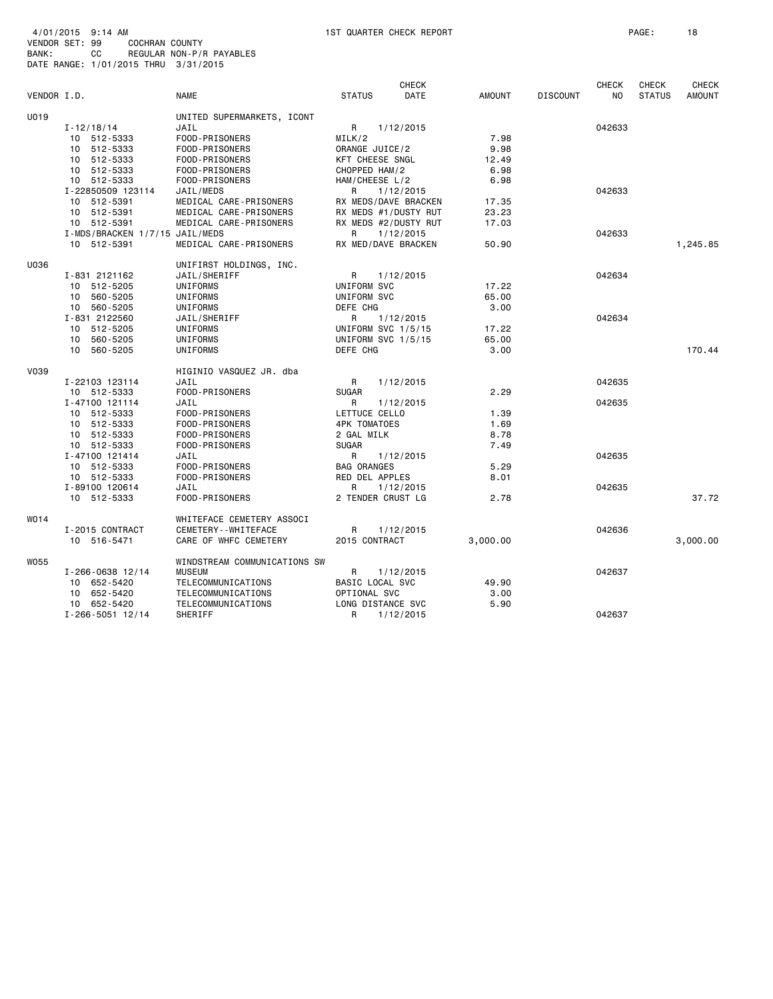| 4/01/2015 9:14 AM                    |              |                |                          |
|--------------------------------------|--------------|----------------|--------------------------|
| VENDOR SET: 99                       |              | COCHRAN COUNTY |                          |
| BANK:                                | <b>CC</b> CO |                | REGULAR NON-P/R PAYABLES |
| DATE RANGE: 1/01/2015 THRU 3/31/2015 |              |                |                          |

|             |                                |                              |                      | <b>CHECK</b> |          |                 | <b>CHECK</b> | <b>CHECK</b>  | <b>CHECK</b>  |
|-------------|--------------------------------|------------------------------|----------------------|--------------|----------|-----------------|--------------|---------------|---------------|
| VENDOR I.D. |                                | <b>NAME</b>                  | <b>STATUS</b>        | DATE         | AMOUNT   | <b>DISCOUNT</b> | NO.          | <b>STATUS</b> | <b>AMOUNT</b> |
| U019        |                                | UNITED SUPERMARKETS, ICONT   |                      |              |          |                 |              |               |               |
|             | I-12/18/14                     | JAIL                         | R                    | 1/12/2015    |          |                 | 042633       |               |               |
|             | 10 512-5333                    | FOOD-PRISONERS               | MILK/2               |              | 7.98     |                 |              |               |               |
|             | 10 512-5333                    | FOOD-PRISONERS               | ORANGE JUICE/2       |              | 9.98     |                 |              |               |               |
|             | 10 512-5333                    | FOOD-PRISONERS               | KFT CHEESE SNGL      |              | 12.49    |                 |              |               |               |
|             | 10 512-5333                    | FOOD-PRISONERS               | CHOPPED HAM/2        |              | 6.98     |                 |              |               |               |
|             |                                |                              |                      |              |          |                 |              |               |               |
|             | 10 512-5333                    | FOOD-PRISONERS               | HAM/CHEESE L/2       |              | 6.98     |                 |              |               |               |
|             | I-22850509 123114              | JAIL/MEDS                    | R                    | 1/12/2015    |          |                 | 042633       |               |               |
|             | 10 512-5391                    | MEDICAL CARE-PRISONERS       | RX MEDS/DAVE BRACKEN |              | 17.35    |                 |              |               |               |
|             | 10 512-5391                    | MEDICAL CARE-PRISONERS       | RX MEDS #1/DUSTY RUT |              | 23.23    |                 |              |               |               |
|             | 10 512-5391                    | MEDICAL CARE-PRISONERS       | RX MEDS #2/DUSTY RUT |              | 17.03    |                 |              |               |               |
|             | I-MDS/BRACKEN 1/7/15 JAIL/MEDS |                              | R                    | 1/12/2015    |          |                 | 042633       |               |               |
|             | 10 512-5391                    | MEDICAL CARE-PRISONERS       | RX MED/DAVE BRACKEN  |              | 50.90    |                 |              |               | 1,245.85      |
| U036        |                                | UNIFIRST HOLDINGS, INC.      |                      |              |          |                 |              |               |               |
|             | I-831 2121162                  | JAIL/SHERIFF                 | R                    | 1/12/2015    |          |                 | 042634       |               |               |
|             | 10 512-5205                    | UNIFORMS                     | UNIFORM SVC          |              | 17.22    |                 |              |               |               |
|             | 560-5205<br>10                 | UNIFORMS                     | UNIFORM SVC          |              | 65.00    |                 |              |               |               |
|             | 10 560-5205                    | UNIFORMS                     | DEFE CHG             |              | 3.00     |                 |              |               |               |
|             | I-831 2122560                  | JAIL/SHERIFF                 | R                    | 1/12/2015    |          |                 | 042634       |               |               |
|             | 10 512-5205                    | UNIFORMS                     | UNIFORM SVC 1/5/15   |              | 17.22    |                 |              |               |               |
|             | 560-5205<br>10                 | UNIFORMS                     | UNIFORM SVC 1/5/15   |              | 65.00    |                 |              |               |               |
|             | 10 560-5205                    | UNIFORMS                     | DEFE CHG             |              | 3.00     |                 |              |               | 170.44        |
|             |                                |                              |                      |              |          |                 |              |               |               |
| V039        |                                | HIGINIO VASQUEZ JR. dba      |                      |              |          |                 |              |               |               |
|             | I-22103 123114                 | JAIL                         | R                    | 1/12/2015    |          |                 | 042635       |               |               |
|             | 10 512-5333                    | FOOD-PRISONERS               | <b>SUGAR</b>         |              | 2.29     |                 |              |               |               |
|             | I-47100 121114                 | JAIL                         | R                    | 1/12/2015    |          |                 | 042635       |               |               |
|             | 10 512-5333                    | FOOD-PRISONERS               | LETTUCE CELLO        |              | 1.39     |                 |              |               |               |
|             | 10 512-5333                    | FOOD-PRISONERS               | <b>4PK TOMATOES</b>  |              | 1.69     |                 |              |               |               |
|             | 10 512-5333                    | FOOD-PRISONERS               | 2 GAL MILK           |              | 8.78     |                 |              |               |               |
|             | 10 512-5333                    | FOOD-PRISONERS               | <b>SUGAR</b>         |              | 7.49     |                 |              |               |               |
|             | I-47100 121414                 | JAIL                         | R                    | 1/12/2015    |          |                 | 042635       |               |               |
|             | 10 512-5333                    | FOOD-PRISONERS               | <b>BAG ORANGES</b>   |              | 5.29     |                 |              |               |               |
|             | 10 512-5333                    | FOOD-PRISONERS               | RED DEL APPLES       |              | 8.01     |                 |              |               |               |
|             | I-89100 120614                 | JAIL                         | R                    | 1/12/2015    |          |                 | 042635       |               |               |
|             | 10 512-5333                    | FOOD-PRISONERS               | 2 TENDER CRUST LG    |              | 2.78     |                 |              |               | 37.72         |
|             |                                |                              |                      |              |          |                 |              |               |               |
| WO14        |                                | WHITEFACE CEMETERY ASSOCI    |                      |              |          |                 |              |               |               |
|             | I-2015 CONTRACT                | CEMETERY - - WHITEFACE       | R                    | 1/12/2015    |          |                 | 042636       |               |               |
|             | 10 516-5471                    | CARE OF WHFC CEMETERY        | 2015 CONTRACT        |              | 3,000.00 |                 |              |               | 3,000.00      |
| W055        |                                | WINDSTREAM COMMUNICATIONS SW |                      |              |          |                 |              |               |               |
|             | $I - 266 - 0638$ 12/14         | <b>MUSEUM</b>                | R                    | 1/12/2015    |          |                 | 042637       |               |               |
|             | 10 652-5420                    | TELECOMMUNICATIONS           | BASIC LOCAL SVC      |              | 49.90    |                 |              |               |               |
|             | 10 652-5420                    | TELECOMMUNICATIONS           | OPTIONAL SVC         |              | 3.00     |                 |              |               |               |
|             | 10 652-5420                    | TELECOMMUNICATIONS           | LONG DISTANCE SVC    |              | 5.90     |                 |              |               |               |
|             | $I - 266 - 5051$ 12/14         | SHERIFF                      | R                    |              |          |                 | 042637       |               |               |
|             |                                |                              |                      | 1/12/2015    |          |                 |              |               |               |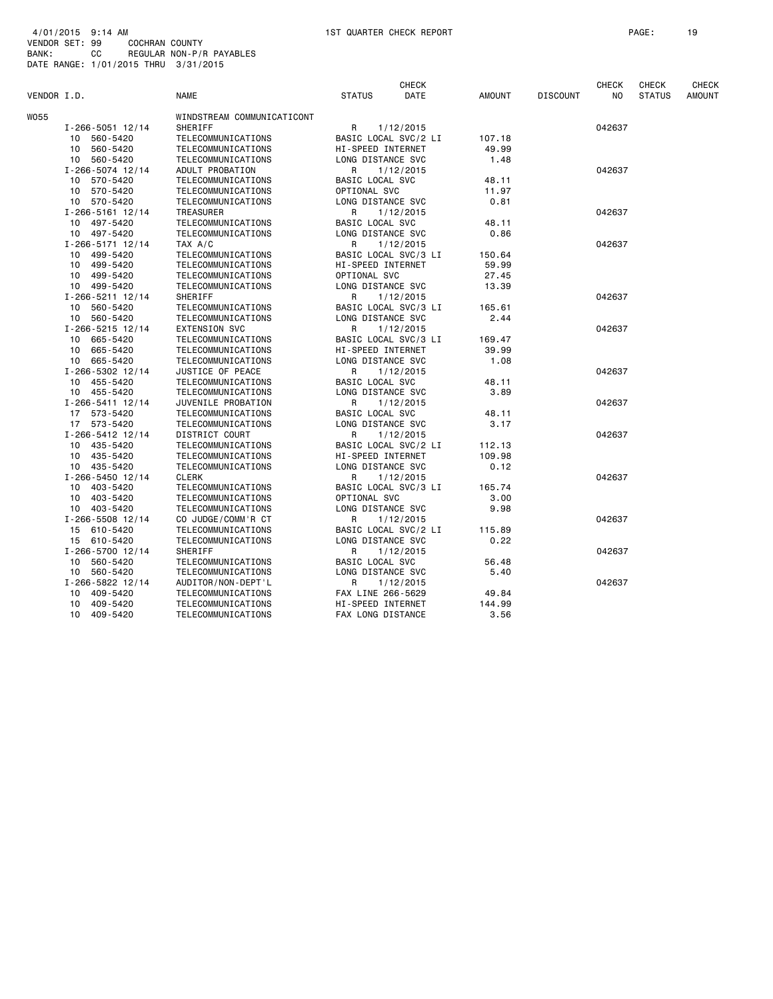|             |                        |                            |                      | CHECK                |               |                 | <b>CHECK</b> | <b>CHECK</b>  | CHECK         |
|-------------|------------------------|----------------------------|----------------------|----------------------|---------------|-----------------|--------------|---------------|---------------|
| VENDOR I.D. |                        | <b>NAME</b>                | <b>STATUS</b>        | DATE                 | <b>AMOUNT</b> | <b>DISCOUNT</b> | NO.          | <b>STATUS</b> | <b>AMOUNT</b> |
| W055        |                        | WINDSTREAM COMMUNICATICONT |                      |                      |               |                 |              |               |               |
|             | $I - 266 - 5051$ 12/14 | SHERIFF                    | R                    | 1/12/2015            |               |                 | 042637       |               |               |
|             | 10 560-5420            | TELECOMMUNICATIONS         |                      | BASIC LOCAL SVC/2 LI | 107.18        |                 |              |               |               |
|             | 10 560-5420            | TELECOMMUNICATIONS         | HI-SPEED INTERNET    |                      | 49.99         |                 |              |               |               |
|             | 10 560-5420            | TELECOMMUNICATIONS         | LONG DISTANCE SVC    |                      | 1.48          |                 |              |               |               |
|             | $I - 266 - 5074$ 12/14 | ADULT PROBATION            | R                    | 1/12/2015            |               |                 | 042637       |               |               |
|             | 570-5420<br>10         | TELECOMMUNICATIONS         | BASIC LOCAL SVC      |                      | 48.11         |                 |              |               |               |
|             | 10 570-5420            | TELECOMMUNICATIONS         | OPTIONAL SVC         |                      | 11.97         |                 |              |               |               |
|             | 10 570-5420            | TELECOMMUNICATIONS         | LONG DISTANCE SVC    |                      | 0.81          |                 |              |               |               |
|             | $I - 266 - 5161$ 12/14 | TREASURER                  | R                    | 1/12/2015            |               |                 | 042637       |               |               |
|             | 10 497-5420            | TELECOMMUNICATIONS         | BASIC LOCAL SVC      |                      | 48.11         |                 |              |               |               |
|             | 10 497-5420            | TELECOMMUNICATIONS         | LONG DISTANCE SVC    |                      | 0.86          |                 |              |               |               |
|             | $I - 266 - 5171$ 12/14 | TAX A/C                    | R                    | 1/12/2015            |               |                 | 042637       |               |               |
|             | 10 499-5420            | TELECOMMUNICATIONS         | BASIC LOCAL SVC/3 LI |                      | 150.64        |                 |              |               |               |
|             | 499-5420<br>10         | TELECOMMUNICATIONS         | HI-SPEED INTERNET    |                      | 59.99         |                 |              |               |               |
|             | 10<br>499-5420         | TELECOMMUNICATIONS         | OPTIONAL SVC         |                      | 27.45         |                 |              |               |               |
|             | 10 499-5420            | TELECOMMUNICATIONS         | LONG DISTANCE SVC    |                      | 13.39         |                 |              |               |               |
|             | $I - 266 - 5211$ 12/14 | SHERIFF                    | R                    | 1/12/2015            |               |                 | 042637       |               |               |
|             | 10 560-5420            | TELECOMMUNICATIONS         |                      | BASIC LOCAL SVC/3 LI | 165.61        |                 |              |               |               |
|             | 10 560-5420            | TELECOMMUNICATIONS         | LONG DISTANCE SVC    |                      | 2.44          |                 |              |               |               |
|             | I-266-5215 12/14       | <b>EXTENSION SVC</b>       | R                    | 1/12/2015            |               |                 | 042637       |               |               |
|             | 10 665-5420            | TELECOMMUNICATIONS         |                      | BASIC LOCAL SVC/3 LI | 169.47        |                 |              |               |               |
|             | 10 665-5420            | TELECOMMUNICATIONS         | HI-SPEED INTERNET    |                      | 39.99         |                 |              |               |               |
|             | 10 665-5420            | TELECOMMUNICATIONS         | LONG DISTANCE SVC    |                      | 1.08          |                 |              |               |               |
|             | I-266-5302 12/14       | JUSTICE OF PEACE           | R                    | 1/12/2015            |               |                 | 042637       |               |               |
|             | 10 455-5420            | TELECOMMUNICATIONS         | BASIC LOCAL SVC      |                      | 48.11         |                 |              |               |               |
|             | 10 455-5420            | TELECOMMUNICATIONS         | LONG DISTANCE SVC    |                      | 3.89          |                 |              |               |               |
|             | $I - 266 - 5411$ 12/14 | JUVENILE PROBATION         | R                    | 1/12/2015            |               |                 | 042637       |               |               |
|             | 17 573-5420            | TELECOMMUNICATIONS         | BASIC LOCAL SVC      |                      | 48.11         |                 |              |               |               |
|             | 17 573-5420            | TELECOMMUNICATIONS         | LONG DISTANCE SVC    |                      | 3.17          |                 |              |               |               |
|             | $I - 266 - 5412$ 12/14 | DISTRICT COURT             | R                    | 1/12/2015            |               |                 | 042637       |               |               |
|             | 10 435-5420            | TELECOMMUNICATIONS         | BASIC LOCAL SVC/2 LI |                      | 112.13        |                 |              |               |               |
|             | 10 435-5420            | TELECOMMUNICATIONS         | HI-SPEED INTERNET    |                      | 109.98        |                 |              |               |               |
|             | 10 435-5420            | TELECOMMUNICATIONS         | LONG DISTANCE SVC    |                      | 0.12          |                 |              |               |               |
|             | $I - 266 - 5450$ 12/14 | <b>CLERK</b>               | R                    | 1/12/2015            |               |                 | 042637       |               |               |
|             | 403-5420<br>10         | TELECOMMUNICATIONS         | BASIC LOCAL SVC/3 LI |                      | 165.74        |                 |              |               |               |
|             | 403-5420<br>10         | TELECOMMUNICATIONS         | OPTIONAL SVC         |                      | 3.00          |                 |              |               |               |
|             | 10 403-5420            | TELECOMMUNICATIONS         | LONG DISTANCE SVC    |                      | 9.98          |                 |              |               |               |
|             | I-266-5508 12/14       | CO JUDGE/COMM'R CT         | R                    | 1/12/2015            |               |                 | 042637       |               |               |
|             | 15 610-5420            | TELECOMMUNICATIONS         | BASIC LOCAL SVC/2 LI |                      | 115.89        |                 |              |               |               |
|             | 15 610-5420            | TELECOMMUNICATIONS         | LONG DISTANCE SVC    |                      | 0.22          |                 |              |               |               |
|             | I-266-5700 12/14       | SHERIFF                    | R                    | 1/12/2015            |               |                 | 042637       |               |               |
|             | 560-5420<br>10         | TELECOMMUNICATIONS         | BASIC LOCAL SVC      |                      | 56.48         |                 |              |               |               |
|             | 10 560-5420            | TELECOMMUNICATIONS         | LONG DISTANCE SVC    |                      | 5.40          |                 |              |               |               |
|             | I-266-5822 12/14       | AUDITOR/NON-DEPT'L         | R                    | 1/12/2015            |               |                 | 042637       |               |               |
|             | 10 409-5420            | TELECOMMUNICATIONS         | FAX LINE 266-5629    |                      | 49.84         |                 |              |               |               |
|             | 409-5420<br>10         | TELECOMMUNICATIONS         | HI-SPEED INTERNET    |                      | 144.99        |                 |              |               |               |
|             | 10 409-5420            | TELECOMMUNICATIONS         | FAX LONG DISTANCE    |                      | 3.56          |                 |              |               |               |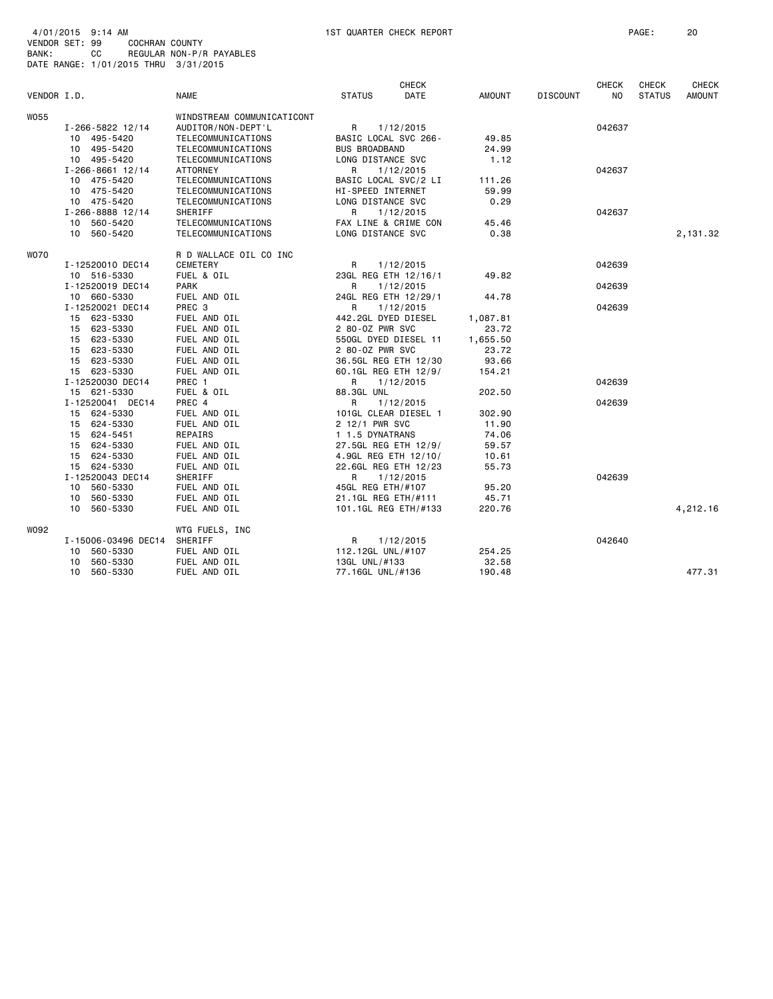| 4/01/2015 9:14 AM                    |     |                |                          |
|--------------------------------------|-----|----------------|--------------------------|
| VENDOR SET: 99                       |     | COCHRAN COUNTY |                          |
| BANK:                                | CC. |                | REGULAR NON-P/R PAYABLES |
| DATE RANGE: 1/01/2015 THRU 3/31/2015 |     |                |                          |

|             |                        |                            |                      | <b>CHECK</b> |               |                 | <b>CHECK</b> | <b>CHECK</b>  | <b>CHECK</b>  |
|-------------|------------------------|----------------------------|----------------------|--------------|---------------|-----------------|--------------|---------------|---------------|
| VENDOR I.D. |                        | <b>NAME</b>                | <b>STATUS</b>        | DATE         | <b>AMOUNT</b> | <b>DISCOUNT</b> | NO.          | <b>STATUS</b> | <b>AMOUNT</b> |
| <b>W055</b> |                        | WINDSTREAM COMMUNICATICONT |                      |              |               |                 |              |               |               |
|             | I-266-5822 12/14       | AUDITOR/NON-DEPT'L         | R                    | 1/12/2015    |               |                 | 042637       |               |               |
|             | 10 495-5420            | TELECOMMUNICATIONS         | BASIC LOCAL SVC 266- |              | 49.85         |                 |              |               |               |
|             | 10 495-5420            | TELECOMMUNICATIONS         | <b>BUS BROADBAND</b> |              | 24.99         |                 |              |               |               |
|             | 10 495-5420            | TELECOMMUNICATIONS         | LONG DISTANCE SVC    |              | 1.12          |                 |              |               |               |
|             | $I - 266 - 8661$ 12/14 | ATTORNEY                   | R                    | 1/12/2015    |               |                 | 042637       |               |               |
|             | 10 475-5420            | TELECOMMUNICATIONS         | BASIC LOCAL SVC/2 LI |              | 111.26        |                 |              |               |               |
|             | 10 475-5420            | TELECOMMUNICATIONS         | HI-SPEED INTERNET    |              | 59.99         |                 |              |               |               |
|             | 10 475-5420            | TELECOMMUNICATIONS         | LONG DISTANCE SVC    |              | 0.29          |                 |              |               |               |
|             | I-266-8888 12/14       | SHERIFF                    | R                    | 1/12/2015    |               |                 | 042637       |               |               |
|             | 10 560-5420            | TELECOMMUNICATIONS         | FAX LINE & CRIME CON |              | 45.46         |                 |              |               |               |
|             | 10 560-5420            | TELECOMMUNICATIONS         | LONG DISTANCE SVC    |              | 0.38          |                 |              |               | 2,131.32      |
|             |                        |                            |                      |              |               |                 |              |               |               |
| <b>WO70</b> |                        | R D WALLACE OIL CO INC     |                      |              |               |                 |              |               |               |
|             | I-12520010 DEC14       | CEMETERY                   | R                    | 1/12/2015    |               |                 | 042639       |               |               |
|             | 10 516-5330            | FUEL & OIL                 | 23GL REG ETH 12/16/1 |              | 49.82         |                 |              |               |               |
|             | I-12520019 DEC14       | <b>PARK</b>                | R                    | 1/12/2015    |               |                 | 042639       |               |               |
|             | 10 660-5330            | FUEL AND OIL               | 24GL REG ETH 12/29/1 |              | 44.78         |                 |              |               |               |
|             | I-12520021 DEC14       | PREC <sub>3</sub>          | R                    | 1/12/2015    |               |                 | 042639       |               |               |
|             | 15 623-5330            | FUEL AND OIL               | 442.2GL DYED DIESEL  |              | 1,087.81      |                 |              |               |               |
|             | 15 623-5330            | FUEL AND OIL               | 2 80-0Z PWR SVC      |              | 23.72         |                 |              |               |               |
|             | 15 623-5330            | FUEL AND OIL               | 550GL DYED DIESEL 11 |              | 1,655.50      |                 |              |               |               |
|             | 15 623-5330            | FUEL AND OIL               | 2 80-0Z PWR SVC      |              | 23.72         |                 |              |               |               |
|             | 15 623-5330            | FUEL AND OIL               | 36.5GL REG ETH 12/30 |              | 93.66         |                 |              |               |               |
|             | 15 623-5330            | FUEL AND OIL               | 60.1GL REG ETH 12/9/ |              | 154.21        |                 |              |               |               |
|             | I-12520030 DEC14       | PREC 1                     | R                    | 1/12/2015    |               |                 | 042639       |               |               |
|             | 15 621-5330            | FUEL & OIL                 | 88.3GL UNL           |              | 202.50        |                 |              |               |               |
|             | I-12520041 DEC14       | PREC 4                     | R                    | 1/12/2015    |               |                 | 042639       |               |               |
|             | 15 624-5330            | FUEL AND OIL               | 101GL CLEAR DIESEL 1 |              | 302.90        |                 |              |               |               |
|             | 15 624-5330            | FUEL AND OIL               | 2 12/1 PWR SVC       |              | 11.90         |                 |              |               |               |
|             | 15 624-5451            | REPAIRS                    | 1 1.5 DYNATRANS      |              | 74.06         |                 |              |               |               |
|             | 15 624-5330            | FUEL AND OIL               | 27.5GL REG ETH 12/9/ |              | 59.57         |                 |              |               |               |
|             | 15 624-5330            | FUEL AND OIL               | 4.9GL REG ETH 12/10/ |              | 10.61         |                 |              |               |               |
|             | 15 624-5330            | FUEL AND OIL               | 22.6GL REG ETH 12/23 |              | 55.73         |                 |              |               |               |
|             | I-12520043 DEC14       | SHERIFF                    | R                    | 1/12/2015    |               |                 | 042639       |               |               |
|             | 10 560-5330            | FUEL AND OIL               | 45GL REG ETH/#107    |              | 95.20         |                 |              |               |               |
|             | 10 560-5330            | FUEL AND OIL               | 21.1GL REG ETH/#111  |              | 45.71         |                 |              |               |               |
|             | 10 560-5330            | FUEL AND OIL               | 101.1GL REG ETH/#133 |              | 220.76        |                 |              |               | 4,212.16      |
|             |                        |                            |                      |              |               |                 |              |               |               |
| W092        |                        | WTG FUELS, INC             |                      |              |               |                 |              |               |               |
|             | I-15006-03496 DEC14    | SHERIFF                    | R                    | 1/12/2015    |               |                 | 042640       |               |               |
|             | 10 560-5330            | FUEL AND OIL               | 112.12GL UNL/#107    |              | 254.25        |                 |              |               |               |
|             | 560-5330<br>10         | FUEL AND OIL               | 13GL UNL/#133        |              | 32.58         |                 |              |               |               |
|             | 10 560-5330            | FUEL AND OIL               | 77.16GL UNL/#136     |              | 190.48        |                 |              |               | 477.31        |
|             |                        |                            |                      |              |               |                 |              |               |               |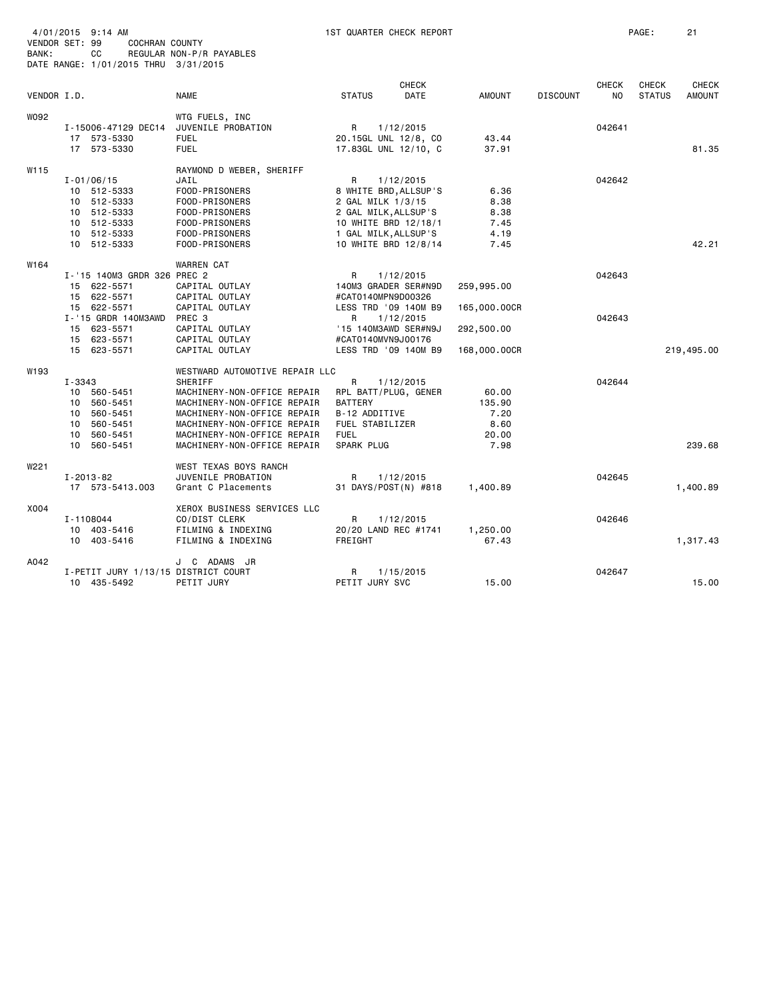| BANK:       | 4/01/2015 9:14 AM<br>VENDOR SET: 99<br><b>COCHRAN COUNTY</b><br>CС<br>DATE RANGE: 1/01/2015 THRU 3/31/2015                                   | REGULAR NON-P/R PAYABLES                                                                                                                                                                                                            | 1ST QUARTER CHECK REPORT                                                                                                                                                     |                                                          |                 |                                | PAGE:                         | 21                            |
|-------------|----------------------------------------------------------------------------------------------------------------------------------------------|-------------------------------------------------------------------------------------------------------------------------------------------------------------------------------------------------------------------------------------|------------------------------------------------------------------------------------------------------------------------------------------------------------------------------|----------------------------------------------------------|-----------------|--------------------------------|-------------------------------|-------------------------------|
| VENDOR I.D. |                                                                                                                                              | <b>NAME</b>                                                                                                                                                                                                                         | <b>CHECK</b><br><b>DATE</b><br><b>STATUS</b>                                                                                                                                 | <b>AMOUNT</b>                                            | <b>DISCOUNT</b> | <b>CHECK</b><br>N <sub>O</sub> | <b>CHECK</b><br><b>STATUS</b> | <b>CHECK</b><br><b>AMOUNT</b> |
| W092        | I-15006-47129 DEC14<br>17 573-5330<br>17 573-5330                                                                                            | WTG FUELS, INC<br>JUVENILE PROBATION<br><b>FUEL</b><br><b>FUEL</b>                                                                                                                                                                  | R<br>1/12/2015<br>20.15GL UNL 12/8, CO<br>17.83GL UNL 12/10, C                                                                                                               | 43.44<br>37.91                                           |                 | 042641                         |                               | 81.35                         |
| W115        | $I - 01/06/15$<br>10 512-5333<br>10 512-5333<br>10 512-5333<br>10 512-5333<br>10 512-5333<br>10 512-5333                                     | RAYMOND D WEBER, SHERIFF<br>JAIL<br>FOOD-PRISONERS<br>FOOD-PRISONERS<br>FOOD-PRISONERS<br>FOOD-PRISONERS<br>FOOD-PRISONERS<br>FOOD-PRISONERS                                                                                        | R<br>1/12/2015<br>8 WHITE BRD, ALLSUP'S<br>2 GAL MILK 1/3/15<br>2 GAL MILK, ALLSUP'S<br>10 WHITE BRD 12/18/1<br>1 GAL MILK, ALLSUP'S<br>10 WHITE BRD 12/8/14                 | 6.36<br>8.38<br>8.38<br>7.45<br>4.19<br>7.45             |                 | 042642                         |                               | 42.21                         |
| W164        | I-'15 140M3 GRDR 326 PREC 2<br>15 622-5571<br>15 622-5571<br>15 622-5571<br>I-'15 GRDR 140M3AWD<br>15 623-5571<br>15 623-5571<br>15 623-5571 | WARREN CAT<br>CAPITAL OUTLAY<br>CAPITAL OUTLAY<br>CAPITAL OUTLAY<br>PREC 3<br>CAPITAL OUTLAY<br>CAPITAL OUTLAY<br>CAPITAL OUTLAY                                                                                                    | R<br>1/12/2015<br>140M3 GRADER SER#N9D<br>#CAT0140MPN9D00326<br>LESS TRD '09 140M B9<br>R<br>1/12/2015<br>'15 140M3AWD SER#N9J<br>#CAT0140MVN9J00176<br>LESS TRD '09 140M B9 | 259,995.00<br>165,000.00CR<br>292,500.00<br>168,000.00CR |                 | 042643<br>042643               |                               | 219,495.00                    |
| W193        | $I - 3343$<br>10<br>560-5451<br>10 560-5451<br>560-5451<br>10<br>10 560-5451<br>560-5451<br>10<br>560-5451<br>10                             | WESTWARD AUTOMOTIVE REPAIR LLC<br>SHERIFF<br>MACHINERY-NON-OFFICE REPAIR<br>MACHINERY-NON-OFFICE REPAIR<br>MACHINERY-NON-OFFICE REPAIR<br>MACHINERY-NON-OFFICE REPAIR<br>MACHINERY-NON-OFFICE REPAIR<br>MACHINERY-NON-OFFICE REPAIR | R<br>1/12/2015<br>RPL BATT/PLUG, GENER<br><b>BATTERY</b><br>B-12 ADDITIVE<br>FUEL STABILIZER<br><b>FUEL</b><br><b>SPARK PLUG</b>                                             | 60.00<br>135.90<br>7.20<br>8.60<br>20.00<br>7.98         |                 | 042644                         |                               | 239.68                        |
| W221        | $I - 2013 - 82$<br>17 573-5413.003                                                                                                           | WEST TEXAS BOYS RANCH<br>JUVENILE PROBATION<br>Grant C Placements                                                                                                                                                                   | R<br>1/12/2015<br>31 DAYS/POST(N) #818                                                                                                                                       | 1,400.89                                                 |                 | 042645                         |                               | 1,400.89                      |
| X004        | I-1108044<br>10 403-5416<br>10 403-5416                                                                                                      | XEROX BUSINESS SERVICES LLC<br>CO/DIST CLERK<br>FILMING & INDEXING<br>FILMING & INDEXING                                                                                                                                            | R<br>1/12/2015<br>20/20 LAND REC #1741<br><b>FREIGHT</b>                                                                                                                     | 1,250.00<br>67.43                                        |                 | 042646                         |                               | 1,317.43                      |
| A042        | I-PETIT JURY 1/13/15 DISTRICT COURT<br>10 435-5492                                                                                           | J C ADAMS JR<br>PETIT JURY                                                                                                                                                                                                          | R<br>1/15/2015<br>PETIT JURY SVC                                                                                                                                             | 15.00                                                    |                 | 042647                         |                               | 15.00                         |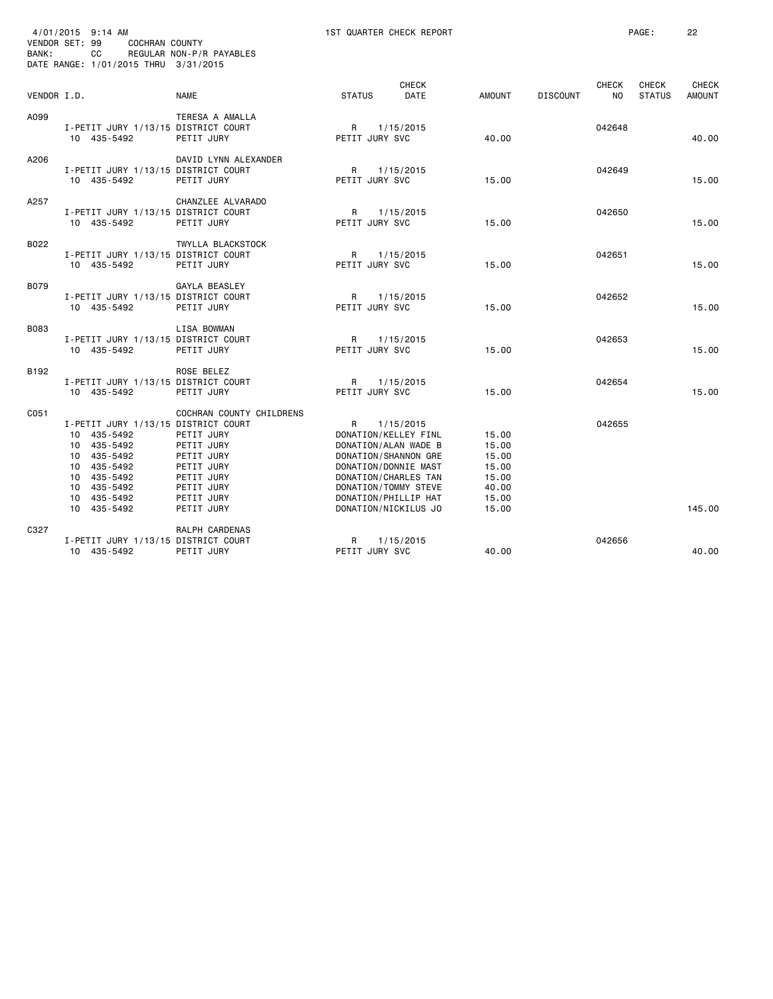| BANK:       | 4/01/2015 9:14 AM<br>VENDOR SET: 99<br>COCHRAN COUNTY<br>CC<br>DATE RANGE: 1/01/2015 THRU 3/31/2015                                                         | REGULAR NON-P/R PAYABLES                                                                                                                 | 1ST QUARTER CHECK REPORT                                                                                                                                                                          |                      |                                                                      |                 |                                | PAGE:                         | 22                            |
|-------------|-------------------------------------------------------------------------------------------------------------------------------------------------------------|------------------------------------------------------------------------------------------------------------------------------------------|---------------------------------------------------------------------------------------------------------------------------------------------------------------------------------------------------|----------------------|----------------------------------------------------------------------|-----------------|--------------------------------|-------------------------------|-------------------------------|
| VENDOR I.D. |                                                                                                                                                             | <b>NAME</b>                                                                                                                              | <b>STATUS</b>                                                                                                                                                                                     | <b>CHECK</b><br>DATE | <b>AMOUNT</b>                                                        | <b>DISCOUNT</b> | <b>CHECK</b><br>N <sub>O</sub> | <b>CHECK</b><br><b>STATUS</b> | <b>CHECK</b><br><b>AMOUNT</b> |
| A099        | I-PETIT JURY 1/13/15 DISTRICT COURT<br>10 435-5492                                                                                                          | TERESA A AMALLA<br>PETIT JURY                                                                                                            | $\mathsf{R}$<br>PETIT JURY SVC                                                                                                                                                                    | 1/15/2015            | 40.00                                                                |                 | 042648                         |                               | 40.00                         |
| A206        | I-PETIT JURY 1/13/15 DISTRICT COURT<br>10 435-5492                                                                                                          | DAVID LYNN ALEXANDER<br>PETIT JURY                                                                                                       | R<br>PETIT JURY SVC                                                                                                                                                                               | 1/15/2015            | 15.00                                                                |                 | 042649                         |                               | 15.00                         |
| A257        | I-PETIT JURY 1/13/15 DISTRICT COURT<br>10 435-5492                                                                                                          | CHANZLEE ALVARADO<br>PETIT JURY                                                                                                          | R<br>PETIT JURY SVC                                                                                                                                                                               | 1/15/2015            | 15.00                                                                |                 | 042650                         |                               | 15.00                         |
| B022        | I-PETIT JURY 1/13/15 DISTRICT COURT<br>10 435-5492                                                                                                          | TWYLLA BLACKSTOCK<br>PETIT JURY                                                                                                          | R<br>PETIT JURY SVC                                                                                                                                                                               | 1/15/2015            | 15.00                                                                |                 | 042651                         |                               | 15.00                         |
| <b>B079</b> | I-PETIT JURY 1/13/15 DISTRICT COURT<br>10 435-5492                                                                                                          | GAYLA BEASLEY<br>PETIT JURY                                                                                                              | R<br>PETIT JURY SVC                                                                                                                                                                               | 1/15/2015            | 15.00                                                                |                 | 042652                         |                               | 15,00                         |
| <b>B083</b> | I-PETIT JURY 1/13/15 DISTRICT COURT<br>10 435-5492                                                                                                          | <b>LISA BOWMAN</b><br>PETIT JURY                                                                                                         | R<br>PETIT JURY SVC                                                                                                                                                                               | 1/15/2015            | 15.00                                                                |                 | 042653                         |                               | 15.00                         |
| B192        | I-PETIT JURY 1/13/15 DISTRICT COURT<br>10 435-5492                                                                                                          | ROSE BELEZ<br>PETIT JURY                                                                                                                 | R<br>PETIT JURY SVC                                                                                                                                                                               | 1/15/2015            | 15.00                                                                |                 | 042654                         |                               | 15.00                         |
| C051        | I-PETIT JURY 1/13/15 DISTRICT COURT<br>10 435-5492<br>10 435-5492<br>10 435-5492<br>10 435-5492<br>10 435-5492<br>10 435-5492<br>10 435-5492<br>10 435-5492 | COCHRAN COUNTY CHILDRENS<br>PETIT JURY<br>PETIT JURY<br>PETIT JURY<br>PETIT JURY<br>PETIT JURY<br>PETIT JURY<br>PETIT JURY<br>PETIT JURY | R<br>DONATION/KELLEY FINL<br>DONATION/ALAN WADE B<br>DONATION/SHANNON GRE<br>DONATION/DONNIE MAST<br>DONATION/CHARLES TAN<br>DONATION/TOMMY STEVE<br>DONATION/PHILLIP HAT<br>DONATION/NICKILUS JO | 1/15/2015            | 15.00<br>15.00<br>15.00<br>15.00<br>15.00<br>40.00<br>15.00<br>15.00 |                 | 042655                         |                               | 145.00                        |
| C327        | I-PETIT JURY 1/13/15 DISTRICT COURT<br>10 435-5492                                                                                                          | RALPH CARDENAS<br>PETIT JURY                                                                                                             | R<br>PETIT JURY SVC                                                                                                                                                                               | 1/15/2015            | 40.00                                                                |                 | 042656                         |                               | 40.00                         |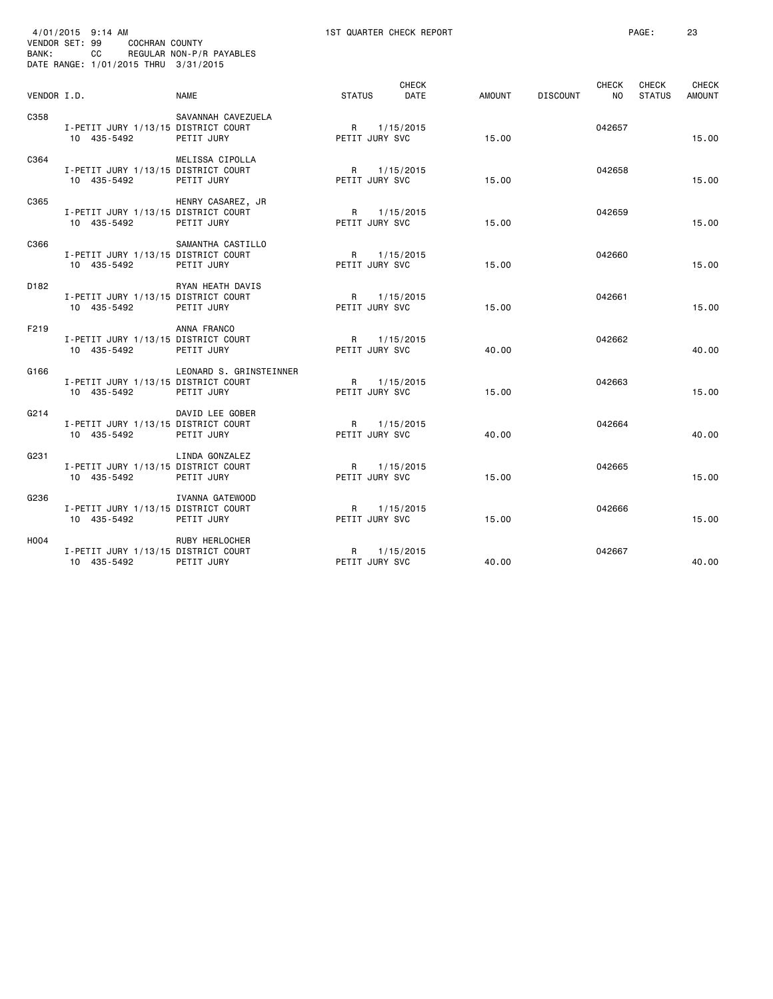| BANK:            | 4/01/2015 9:14 AM<br>VENDOR SET: 99<br>COCHRAN COUNTY<br>CC<br>DATE RANGE: 1/01/2015 THRU 3/31/2015 | REGULAR NON-P/R PAYABLES              |                               | 1ST QUARTER CHECK REPORT |        |                 |                    | PAGE:                  | 23                     |
|------------------|-----------------------------------------------------------------------------------------------------|---------------------------------------|-------------------------------|--------------------------|--------|-----------------|--------------------|------------------------|------------------------|
| VENDOR I.D.      |                                                                                                     | <b>NAME</b>                           | <b>STATUS</b>                 | CHECK<br>DATE            | AMOUNT | <b>DISCOUNT</b> | CHECK<br><b>NO</b> | CHECK<br><b>STATUS</b> | CHECK<br><b>AMOUNT</b> |
| C358             | I-PETIT JURY 1/13/15 DISTRICT COURT<br>10 435-5492                                                  | SAVANNAH CAVEZUELA<br>PETIT JURY      | R 1/15/2015<br>PETIT JURY SVC |                          | 15.00  |                 | 042657             |                        | 15.00                  |
| C364             | I-PETIT JURY 1/13/15 DISTRICT COURT<br>10 435-5492                                                  | MELISSA CIPOLLA<br>PETIT JURY         | R<br>PETIT JURY SVC           | 1/15/2015                | 15.00  |                 | 042658             |                        | 15.00                  |
| C365             | I-PETIT JURY 1/13/15 DISTRICT COURT<br>10 435-5492                                                  | HENRY CASAREZ, JR<br>PETIT JURY       | PETIT JURY SVC                | R 1/15/2015              | 15.00  |                 | 042659             |                        | 15.00                  |
| C366             | I-PETIT JURY 1/13/15 DISTRICT COURT<br>10 435-5492                                                  | SAMANTHA CASTILLO<br>PETIT JURY       | R.<br>PETIT JURY SVC          | 1/15/2015                | 15.00  |                 | 042660             |                        | 15.00                  |
| D <sub>182</sub> | I-PETIT JURY 1/13/15 DISTRICT COURT<br>10 435-5492                                                  | RYAN HEATH DAVIS<br>PETIT JURY        | R<br>PETIT JURY SVC           | 1/15/2015                | 15.00  |                 | 042661             |                        | 15,00                  |
| F219             | I-PETIT JURY 1/13/15 DISTRICT COURT<br>10 435-5492                                                  | ANNA FRANCO<br>PETIT JURY             | PETIT JURY SVC                | R 1/15/2015              | 40.00  |                 | 042662             |                        | 40.00                  |
| G166             | I-PETIT JURY 1/13/15 DISTRICT COURT<br>10 435-5492                                                  | LEONARD S. GRINSTEINNER<br>PETIT JURY | PETIT JURY SVC                | R 1/15/2015              | 15.00  |                 | 042663             |                        | 15.00                  |
| G214             | I-PETIT JURY 1/13/15 DISTRICT COURT<br>10 435-5492                                                  | DAVID LEE GOBER<br>PETIT JURY         | R<br>PETIT JURY SVC           | 1/15/2015                | 40.00  |                 | 042664             |                        | 40.00                  |
| G231             | I-PETIT JURY 1/13/15 DISTRICT COURT<br>10 435-5492                                                  | LINDA GONZALEZ<br>PETIT JURY          | R<br>PETIT JURY SVC           | 1/15/2015                | 15.00  |                 | 042665             |                        | 15,00                  |
| G236             | I-PETIT JURY 1/13/15 DISTRICT COURT<br>10 435-5492                                                  | IVANNA GATEWOOD<br>PETIT JURY         | R a<br>PETIT JURY SVC         | 1/15/2015                | 15.00  |                 | 042666             |                        | 15.00                  |
| H004             | I-PETIT JURY 1/13/15 DISTRICT COURT<br>10 435-5492                                                  | RUBY HERLOCHER<br>PETIT JURY          | R<br>PETIT JURY SVC           | 1/15/2015                | 40.00  |                 | 042667             |                        | 40.00                  |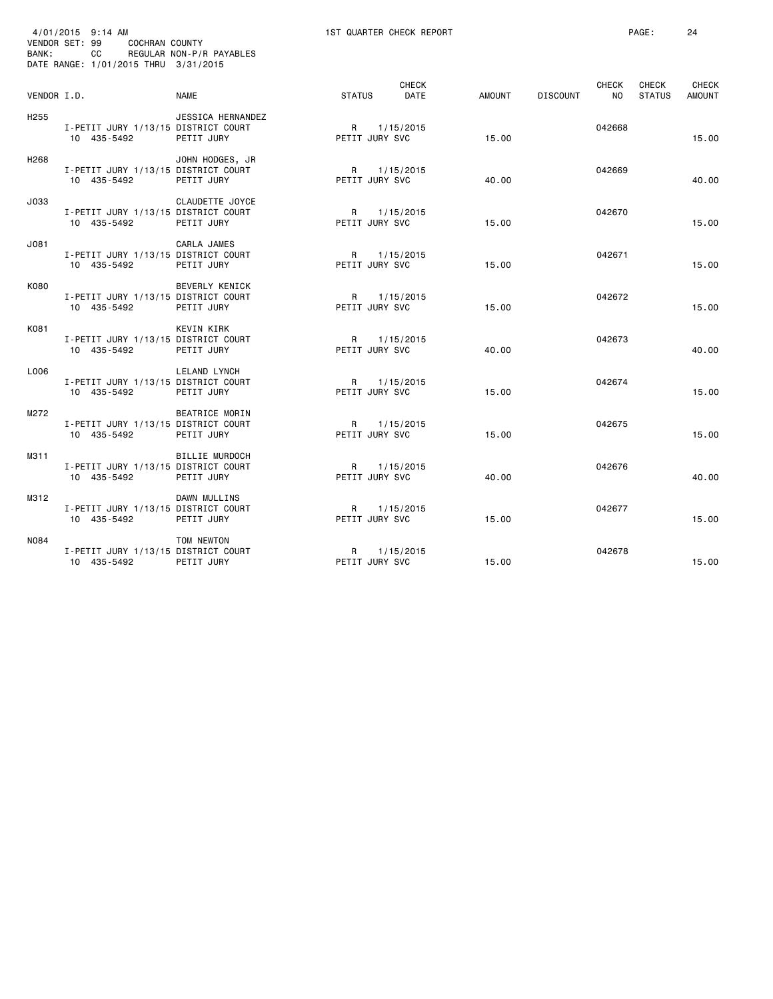| BANK:            | 4/01/2015 9:14 AM<br>VENDOR SET: 99<br><b>COCHRAN COUNTY</b><br>CC<br>DATE RANGE: 1/01/2015 THRU 3/31/2015 | REGULAR NON-P/R PAYABLES               |                                | 1ST QUARTER CHECK REPORT |        |                 |                           | PAGE:                         | 24                            |
|------------------|------------------------------------------------------------------------------------------------------------|----------------------------------------|--------------------------------|--------------------------|--------|-----------------|---------------------------|-------------------------------|-------------------------------|
| VENDOR I.D.      |                                                                                                            | <b>NAME</b>                            | <b>STATUS</b>                  | <b>CHECK</b><br>DATE     | AMOUNT | <b>DISCOUNT</b> | <b>CHECK</b><br><b>NO</b> | <b>CHECK</b><br><b>STATUS</b> | <b>CHECK</b><br><b>AMOUNT</b> |
| H <sub>255</sub> | I-PETIT JURY 1/13/15 DISTRICT COURT<br>10 435-5492                                                         | <b>JESSICA HERNANDEZ</b><br>PETIT JURY | R<br>PETIT JURY SVC            | 1/15/2015                | 15.00  |                 | 042668                    |                               | 15,00                         |
| H <sub>268</sub> | I-PETIT JURY 1/13/15 DISTRICT COURT<br>10 435-5492                                                         | JOHN HODGES, JR<br>PETIT JURY          | R<br>PETIT JURY SVC            | 1/15/2015                | 40.00  |                 | 042669                    |                               | 40.00                         |
| J033             | I-PETIT JURY 1/13/15 DISTRICT COURT<br>10 435-5492                                                         | CLAUDETTE JOYCE<br>PETIT JURY          | R<br>PETIT JURY SVC            | 1/15/2015                | 15.00  |                 | 042670                    |                               | 15.00                         |
| J081             | I-PETIT JURY 1/13/15 DISTRICT COURT<br>10 435-5492                                                         | CARLA JAMES<br>PETIT JURY              | $\mathsf{R}$<br>PETIT JURY SVC | 1/15/2015                | 15.00  |                 | 042671                    |                               | 15.00                         |
| K080             | I-PETIT JURY 1/13/15 DISTRICT COURT<br>10 435-5492                                                         | BEVERLY KENICK<br>PETIT JURY           | R<br>PETIT JURY SVC            | 1/15/2015                | 15.00  |                 | 042672                    |                               | 15.00                         |
| K081             | I-PETIT JURY 1/13/15 DISTRICT COURT<br>10 435-5492                                                         | KEVIN KIRK<br>PETIT JURY               | R<br>PETIT JURY SVC            | 1/15/2015                | 40.00  |                 | 042673                    |                               | 40.00                         |
| L006             | I-PETIT JURY 1/13/15 DISTRICT COURT<br>10 435-5492                                                         | LELAND LYNCH<br>PETIT JURY             | R<br>PETIT JURY SVC            | 1/15/2015                | 15.00  |                 | 042674                    |                               | 15,00                         |
| M272             | I-PETIT JURY 1/13/15 DISTRICT COURT<br>10 435-5492                                                         | BEATRICE MORIN<br>PETIT JURY           | R<br>PETIT JURY SVC            | 1/15/2015                | 15.00  |                 | 042675                    |                               | 15.00                         |
| M311             | I-PETIT JURY 1/13/15 DISTRICT COURT<br>10 435-5492                                                         | <b>BILLIE MURDOCH</b><br>PETIT JURY    | R<br>PETIT JURY SVC            | 1/15/2015                | 40.00  |                 | 042676                    |                               | 40.00                         |
| M312             | I-PETIT JURY 1/13/15 DISTRICT COURT<br>10 435-5492                                                         | DAWN MULLINS<br>PETIT JURY             | R<br>PETIT JURY SVC            | 1/15/2015                | 15.00  |                 | 042677                    |                               | 15.00                         |
| <b>N084</b>      | I-PETIT JURY 1/13/15 DISTRICT COURT<br>10 435-5492                                                         | TOM NEWTON<br>PETIT JURY               | R<br>PETIT JURY SVC            | 1/15/2015                | 15.00  |                 | 042678                    |                               | 15,00                         |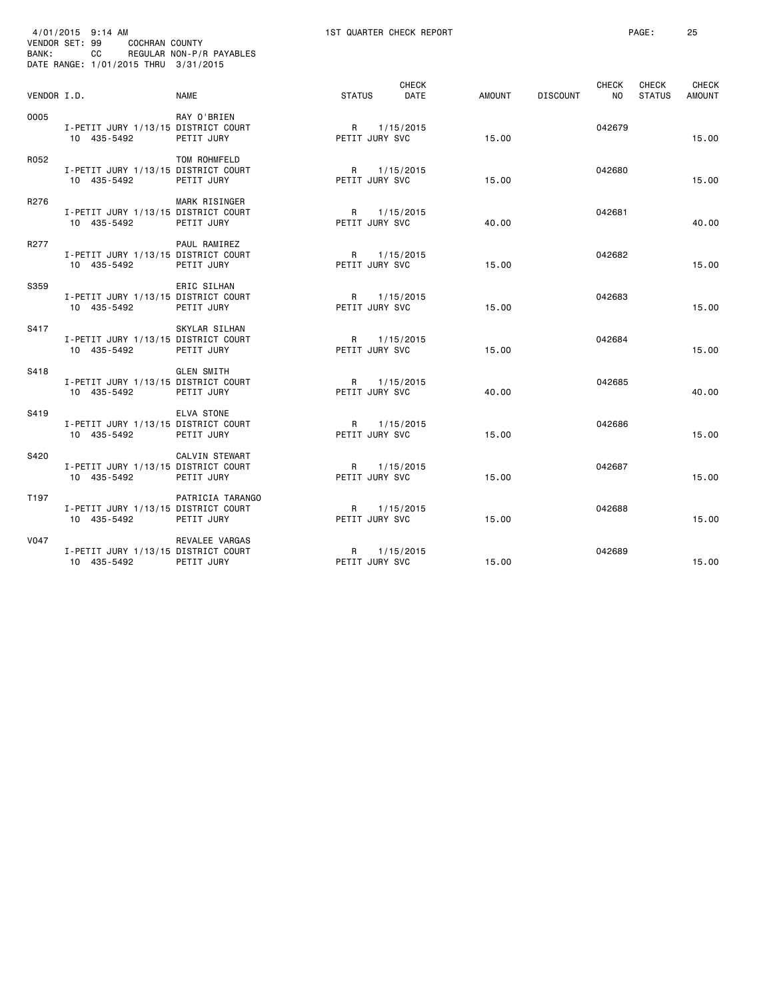| BANK:       | 4/01/2015 9:14 AM<br>VENDOR SET: 99<br>COCHRAN COUNTY<br>CC<br>DATE RANGE: 1/01/2015 THRU 3/31/2015 | REGULAR NON-P/R PAYABLES            |                                | 1ST QUARTER CHECK REPORT |        |          |                           | PAGE:                  | 25                     |
|-------------|-----------------------------------------------------------------------------------------------------|-------------------------------------|--------------------------------|--------------------------|--------|----------|---------------------------|------------------------|------------------------|
| VENDOR I.D. |                                                                                                     | <b>NAME</b>                         | <b>STATUS</b>                  | <b>CHECK</b><br>DATE     | AMOUNT | DISCOUNT | <b>CHECK</b><br><b>NO</b> | CHECK<br><b>STATUS</b> | CHECK<br><b>AMOUNT</b> |
| 0005        | I-PETIT JURY 1/13/15 DISTRICT COURT<br>10 435-5492                                                  | RAY O'BRIEN<br>PETIT JURY           | R<br>PETIT JURY SVC            | 1/15/2015                | 15.00  |          | 042679                    |                        | 15.00                  |
| R052        | I-PETIT JURY 1/13/15 DISTRICT COURT<br>10 435-5492                                                  | TOM ROHMFELD<br>PETIT JURY          | PETIT JURY SVC                 | R 1/15/2015              | 15.00  |          | 042680                    |                        | 15,00                  |
| R276        | I-PETIT JURY 1/13/15 DISTRICT COURT<br>10 435-5492                                                  | MARK RISINGER<br>PETIT JURY         | R<br>PETIT JURY SVC            | 1/15/2015                | 40.00  |          | 042681                    |                        | 40.00                  |
| R277        | I-PETIT JURY 1/13/15 DISTRICT COURT<br>10 435-5492                                                  | PAUL RAMIREZ<br>PETIT JURY          | R<br>PETIT JURY SVC            | 1/15/2015                | 15.00  |          | 042682                    |                        | 15.00                  |
| S359        | I-PETIT JURY 1/13/15 DISTRICT COURT<br>10 435-5492                                                  | ERIC SILHAN<br>PETIT JURY           | R<br>PETIT JURY SVC            | 1/15/2015                | 15.00  |          | 042683                    |                        | 15.00                  |
| S417        | I-PETIT JURY 1/13/15 DISTRICT COURT<br>10 435-5492                                                  | SKYLAR SILHAN<br>PETIT JURY         | R<br>PETIT JURY SVC            | 1/15/2015                | 15.00  |          | 042684                    |                        | 15.00                  |
| S418        | I-PETIT JURY 1/13/15 DISTRICT COURT<br>10 435-5492                                                  | <b>GLEN SMITH</b><br>PETIT JURY     | PETIT JURY SVC                 | R 1/15/2015              | 40.00  |          | 042685                    |                        | 40.00                  |
| S419        | I-PETIT JURY 1/13/15 DISTRICT COURT<br>10 435-5492                                                  | ELVA STONE<br>PETIT JURY            | $\mathsf{R}$<br>PETIT JURY SVC | 1/15/2015                | 15.00  |          | 042686                    |                        | 15.00                  |
| S420        | I-PETIT JURY 1/13/15 DISTRICT COURT<br>10 435-5492                                                  | <b>CALVIN STEWART</b><br>PETIT JURY | R<br>PETIT JURY SVC            | 1/15/2015                | 15.00  |          | 042687                    |                        | 15.00                  |
| T197        | I-PETIT JURY 1/13/15 DISTRICT COURT<br>10 435-5492                                                  | PATRICIA TARANGO<br>PETIT JURY      | R<br>PETIT JURY SVC            | 1/15/2015                | 15.00  |          | 042688                    |                        | 15.00                  |
| <b>V047</b> | I-PETIT JURY 1/13/15 DISTRICT COURT<br>10 435-5492                                                  | REVALEE VARGAS<br>PETIT JURY        | R<br>PETIT JURY SVC            | 1/15/2015                | 15.00  |          | 042689                    |                        | 15.00                  |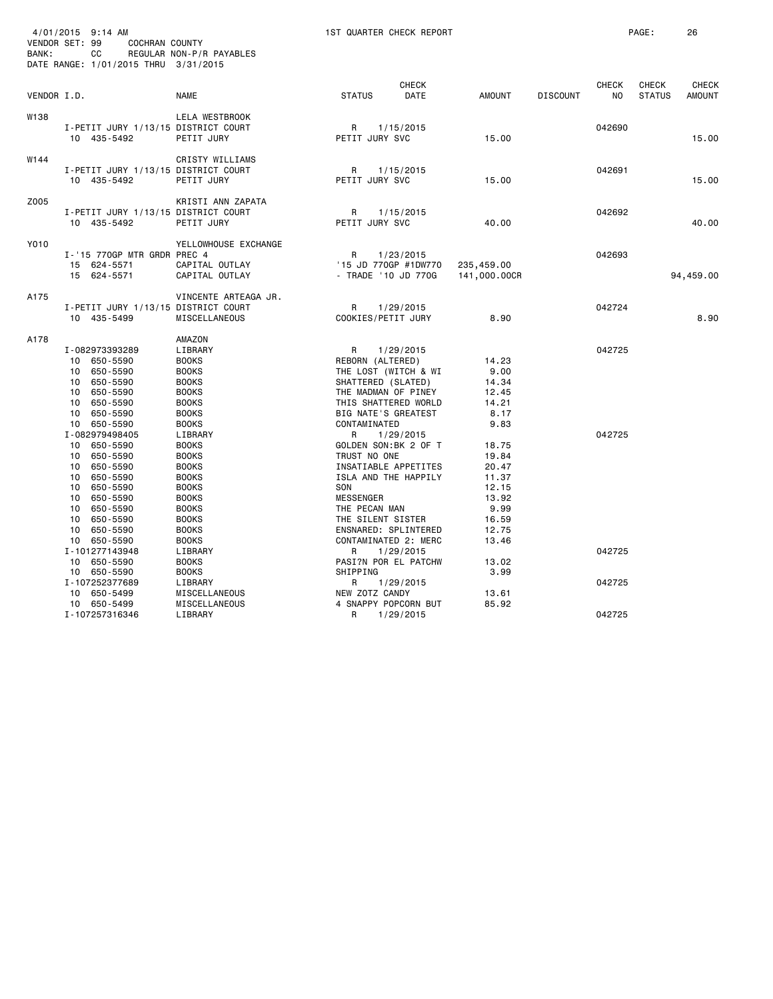| BANK:       | 4/01/2015 9:14 AM<br>VENDOR SET: 99<br>COCHRAN COUNTY<br>CC<br>DATE RANGE: 1/01/2015 THRU 3/31/2015                                                                                                                                                                                 | REGULAR NON-P/R PAYABLES                                                                                                                                                                                                                                       | 1ST QUARTER CHECK REPORT                                                                                                                   |                                                                                                                                                                                                             |                                                                                                                                  |                 |                            | PAGE:                  | 26                            |
|-------------|-------------------------------------------------------------------------------------------------------------------------------------------------------------------------------------------------------------------------------------------------------------------------------------|----------------------------------------------------------------------------------------------------------------------------------------------------------------------------------------------------------------------------------------------------------------|--------------------------------------------------------------------------------------------------------------------------------------------|-------------------------------------------------------------------------------------------------------------------------------------------------------------------------------------------------------------|----------------------------------------------------------------------------------------------------------------------------------|-----------------|----------------------------|------------------------|-------------------------------|
| VENDOR I.D. |                                                                                                                                                                                                                                                                                     | <b>NAME</b>                                                                                                                                                                                                                                                    | <b>STATUS</b>                                                                                                                              | <b>CHECK</b><br>DATE                                                                                                                                                                                        | <b>AMOUNT</b>                                                                                                                    | <b>DISCOUNT</b> | CHECK<br>NO                | CHECK<br><b>STATUS</b> | <b>CHECK</b><br><b>AMOUNT</b> |
| W138        | I-PETIT JURY 1/13/15 DISTRICT COURT<br>10 435-5492                                                                                                                                                                                                                                  | <b>LELA WESTBROOK</b><br>PETIT JURY                                                                                                                                                                                                                            | R<br>PETIT JURY SVC                                                                                                                        | 1/15/2015                                                                                                                                                                                                   | 15.00                                                                                                                            |                 | 042690                     |                        | 15.00                         |
| W144        | I-PETIT JURY 1/13/15 DISTRICT COURT<br>10 435-5492                                                                                                                                                                                                                                  | CRISTY WILLIAMS<br>PETIT JURY                                                                                                                                                                                                                                  | R<br>PETIT JURY SVC                                                                                                                        | 1/15/2015                                                                                                                                                                                                   | 15.00                                                                                                                            |                 | 042691                     |                        | 15.00                         |
| Z005        | I-PETIT JURY 1/13/15 DISTRICT COURT<br>10 435-5492                                                                                                                                                                                                                                  | KRISTI ANN ZAPATA<br>PETIT JURY                                                                                                                                                                                                                                | $\mathsf{R}$<br>PETIT JURY SVC                                                                                                             | 1/15/2015                                                                                                                                                                                                   | 40.00                                                                                                                            |                 | 042692                     |                        | 40.00                         |
| Y010        | I-'15 770GP MTR GRDR PREC 4<br>15 624-5571<br>15 624-5571                                                                                                                                                                                                                           | YELLOWHOUSE EXCHANGE<br>CAPITAL OUTLAY<br>CAPITAL OUTLAY                                                                                                                                                                                                       | R                                                                                                                                          | 1/23/2015<br>'15 JD 770GP #1DW770<br>- TRADE '10 JD 770G                                                                                                                                                    | 235,459.00<br>141,000.00CR                                                                                                       |                 | 042693                     |                        | 94,459.00                     |
| A175        | I-PETIT JURY 1/13/15 DISTRICT COURT<br>10 435-5499                                                                                                                                                                                                                                  | VINCENTE ARTEAGA JR.<br>MISCELLANEOUS                                                                                                                                                                                                                          | R<br>COOKIES/PETIT JURY                                                                                                                    | 1/29/2015                                                                                                                                                                                                   | 8.90                                                                                                                             |                 | 042724                     |                        | 8.90                          |
| A178        | I-082973393289<br>10 650-5590<br>10 650-5590<br>10 650-5590<br>10 650-5590<br>10 650-5590<br>10 650-5590                                                                                                                                                                            | AMAZON<br>LIBRARY<br><b>BOOKS</b><br><b>BOOKS</b><br><b>BOOKS</b><br><b>BOOKS</b><br><b>BOOKS</b><br><b>BOOKS</b>                                                                                                                                              | R<br>REBORN (ALTERED)<br>SHATTERED (SLATED)<br>BIG NATE'S GREATEST                                                                         | 1/29/2015<br>THE LOST (WITCH & WI<br>THE MADMAN OF PINEY<br>THIS SHATTERED WORLD                                                                                                                            | 14.23<br>9.00<br>14.34<br>12.45<br>14.21<br>8.17                                                                                 |                 | 042725                     |                        |                               |
|             | 10 650-5590<br>I-082979498405<br>10 650-5590<br>10 650-5590<br>10 650-5590<br>10 650-5590<br>10 650-5590<br>10 650-5590<br>10 650-5590<br>10 650-5590<br>10 650-5590<br>10 650-5590<br>I-101277143948<br>10 650-5590<br>10 650-5590<br>I-107252377689<br>10 650-5499<br>10 650-5499 | <b>BOOKS</b><br>LIBRARY<br><b>BOOKS</b><br><b>BOOKS</b><br><b>BOOKS</b><br><b>BOOKS</b><br><b>BOOKS</b><br><b>BOOKS</b><br><b>BOOKS</b><br><b>BOOKS</b><br><b>BOOKS</b><br><b>BOOKS</b><br>LIBRARY<br><b>BOOKS</b><br><b>BOOKS</b><br>LIBRARY<br>MISCELLANEOUS | CONTAMINATED<br>R<br>TRUST NO ONE<br>SON<br><b>MESSENGER</b><br>THE PECAN MAN<br>THE SILENT SISTER<br>R<br>SHIPPING<br>R<br>NEW ZOTZ CANDY | 1/29/2015<br>GOLDEN SON:BK 2 OF T<br>INSATIABLE APPETITES<br>ISLA AND THE HAPPILY<br>ENSNARED: SPLINTERED<br>CONTAMINATED 2: MERC<br>1/29/2015<br>PASI?N POR EL PATCHW<br>1/29/2015<br>4 SNAPPY POPCORN BUT | 9.83<br>18.75<br>19.84<br>20.47<br>11.37<br>12.15<br>13.92<br>9.99<br>16.59<br>12.75<br>13.46<br>13.02<br>3.99<br>13.61<br>85.92 |                 | 042725<br>042725<br>042725 |                        |                               |
|             | I-107257316346                                                                                                                                                                                                                                                                      | MISCELLANEOUS<br>LIBRARY                                                                                                                                                                                                                                       | R                                                                                                                                          | 1/29/2015                                                                                                                                                                                                   |                                                                                                                                  |                 | 042725                     |                        |                               |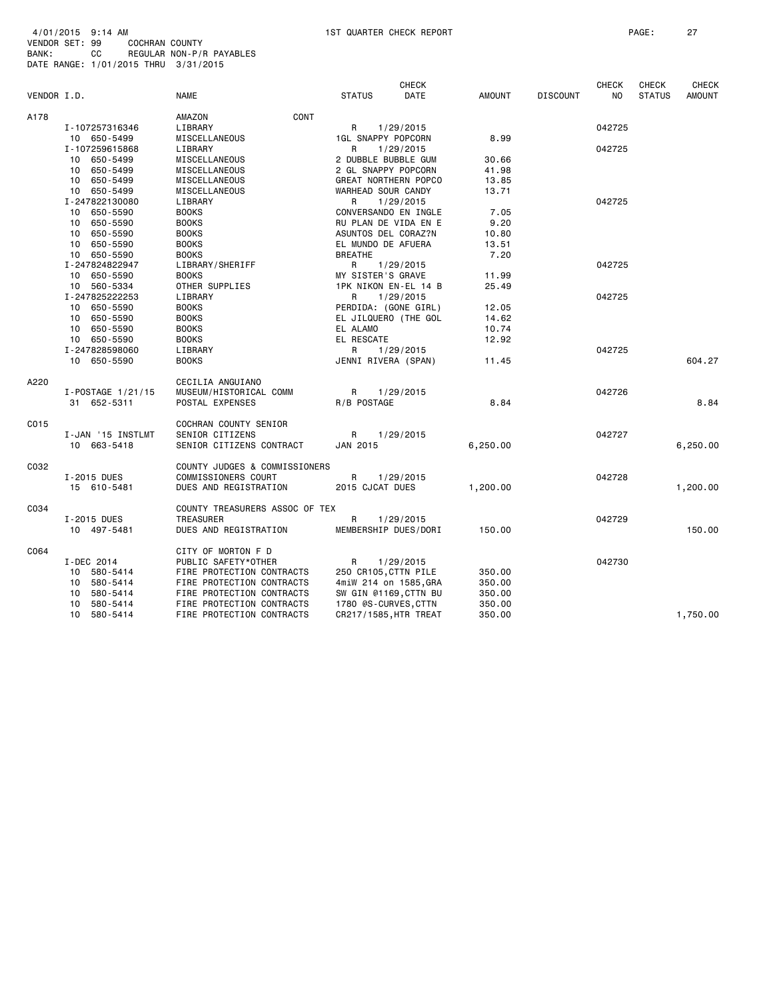4/01/2015 9:14 AM 1ST QUARTER CHECK REPORT PAGE: 27 VENDOR SET: 99 COCHRAN COUNTY BANK: CC REGULAR NON-P/R PAYABLES DATE RANGE: 1/01/2015 THRU 3/31/2015

|             |                   |                                |                           | <b>CHECK</b> |               |                 | <b>CHECK</b>   | <b>CHECK</b>  | <b>CHECK</b>  |
|-------------|-------------------|--------------------------------|---------------------------|--------------|---------------|-----------------|----------------|---------------|---------------|
| VENDOR I.D. |                   | <b>NAME</b>                    | <b>STATUS</b>             | DATE         | <b>AMOUNT</b> | <b>DISCOUNT</b> | N <sub>O</sub> | <b>STATUS</b> | <b>AMOUNT</b> |
| A178        |                   | CONT<br>AMAZON                 |                           |              |               |                 |                |               |               |
|             | I-107257316346    | LIBRARY                        | R                         | 1/29/2015    |               |                 | 042725         |               |               |
|             | 10 650-5499       | MISCELLANEOUS                  | <b>1GL SNAPPY POPCORN</b> |              | 8.99          |                 |                |               |               |
|             | I-107259615868    | LIBRARY                        | R                         | 1/29/2015    |               |                 | 042725         |               |               |
|             |                   |                                |                           |              |               |                 |                |               |               |
|             | 10 650-5499       | MISCELLANEOUS                  | 2 DUBBLE BUBBLE GUM       |              | 30.66         |                 |                |               |               |
|             | 10 650-5499       | MISCELLANEOUS                  | 2 GL SNAPPY POPCORN       |              | 41.98         |                 |                |               |               |
|             | 10 650-5499       | MISCELLANEOUS                  | GREAT NORTHERN POPCO      |              | 13.85         |                 |                |               |               |
|             | 10 650-5499       | MISCELLANEOUS                  | WARHEAD SOUR CANDY        |              | 13.71         |                 |                |               |               |
|             | I-247822130080    | LIBRARY                        | R                         | 1/29/2015    |               |                 | 042725         |               |               |
|             | 10 650-5590       | <b>BOOKS</b>                   | CONVERSANDO EN INGLE      |              | 7.05          |                 |                |               |               |
|             | 10 650-5590       | <b>BOOKS</b>                   | RU PLAN DE VIDA EN E      |              | 9.20          |                 |                |               |               |
|             | 10 650-5590       | <b>BOOKS</b>                   | ASUNTOS DEL CORAZ?N       |              | 10.80         |                 |                |               |               |
|             | 10 650-5590       | <b>BOOKS</b>                   | EL MUNDO DE AFUERA        |              | 13.51         |                 |                |               |               |
|             | 10 650-5590       | <b>BOOKS</b>                   | <b>BREATHE</b>            |              | 7.20          |                 |                |               |               |
|             | I-247824822947    | LIBRARY/SHERIFF                | R                         | 1/29/2015    |               |                 | 042725         |               |               |
|             | 10 650-5590       | <b>BOOKS</b>                   | MY SISTER'S GRAVE         |              | 11.99         |                 |                |               |               |
|             | 10 560-5334       | OTHER SUPPLIES                 | 1PK NIKON EN-EL 14 B      |              | 25.49         |                 |                |               |               |
|             | I-247825222253    | LIBRARY                        | R                         | 1/29/2015    |               |                 | 042725         |               |               |
|             | 10 650-5590       | <b>BOOKS</b>                   | PERDIDA: (GONE GIRL)      |              | 12.05         |                 |                |               |               |
|             | 10 650-5590       | <b>BOOKS</b>                   | EL JILQUERO (THE GOL      |              | 14.62         |                 |                |               |               |
|             | 10 650-5590       | <b>BOOKS</b>                   | EL ALAMO                  |              | 10.74         |                 |                |               |               |
|             | 10 650-5590       | <b>BOOKS</b>                   | EL RESCATE                |              | 12.92         |                 |                |               |               |
|             | I-247828598060    | LIBRARY                        | R                         | 1/29/2015    |               |                 | 042725         |               |               |
|             | 10 650-5590       | <b>BOOKS</b>                   | JENNI RIVERA (SPAN)       |              | 11.45         |                 |                |               | 604.27        |
| A220        |                   | CECILIA ANGUIANO               |                           |              |               |                 |                |               |               |
|             | I-POSTAGE 1/21/15 | MUSEUM/HISTORICAL COMM         | R                         | 1/29/2015    |               |                 | 042726         |               |               |
|             | 31 652-5311       | POSTAL EXPENSES                | R/B POSTAGE               |              | 8.84          |                 |                |               | 8.84          |
|             |                   |                                |                           |              |               |                 |                |               |               |
| C015        |                   | COCHRAN COUNTY SENIOR          |                           |              |               |                 |                |               |               |
|             | I-JAN '15 INSTLMT | SENIOR CITIZENS                | $\mathsf{R}$              | 1/29/2015    |               |                 | 042727         |               |               |
|             | 10 663-5418       | SENIOR CITIZENS CONTRACT       | JAN 2015                  |              | 6,250.00      |                 |                |               | 6,250.00      |
| C032        |                   | COUNTY JUDGES & COMMISSIONERS  |                           |              |               |                 |                |               |               |
|             | I-2015 DUES       | COMMISSIONERS COURT            | R                         | 1/29/2015    |               |                 | 042728         |               |               |
|             | 15 610-5481       | DUES AND REGISTRATION          | 2015 CJCAT DUES           |              | 1,200.00      |                 |                |               | 1,200.00      |
|             |                   |                                |                           |              |               |                 |                |               |               |
| C034        |                   | COUNTY TREASURERS ASSOC OF TEX |                           |              |               |                 |                |               |               |
|             | I-2015 DUES       | TREASURER                      | R                         | 1/29/2015    |               |                 | 042729         |               |               |
|             | 10 497-5481       | DUES AND REGISTRATION          | MEMBERSHIP DUES/DORI      |              | 150.00        |                 |                |               | 150.00        |
| C064        |                   | CITY OF MORTON F D             |                           |              |               |                 |                |               |               |
|             | I-DEC 2014        | PUBLIC SAFETY*OTHER            | R                         | 1/29/2015    |               |                 | 042730         |               |               |
|             | 10 580-5414       | FIRE PROTECTION CONTRACTS      | 250 CR105, CTTN PILE      |              | 350.00        |                 |                |               |               |
|             | 10 580-5414       | FIRE PROTECTION CONTRACTS      | 4miW 214 on 1585, GRA     |              | 350.00        |                 |                |               |               |
|             | 10 580-5414       | FIRE PROTECTION CONTRACTS      | SW GIN @1169, CTTN BU     |              | 350.00        |                 |                |               |               |
|             | 10 580-5414       | FIRE PROTECTION CONTRACTS      | 1780 @S-CURVES, CTTN      |              | 350.00        |                 |                |               |               |
|             | 10 580-5414       | FIRE PROTECTION CONTRACTS      | CR217/1585, HTR TREAT     |              | 350.00        |                 |                |               | 1,750.00      |
|             |                   |                                |                           |              |               |                 |                |               |               |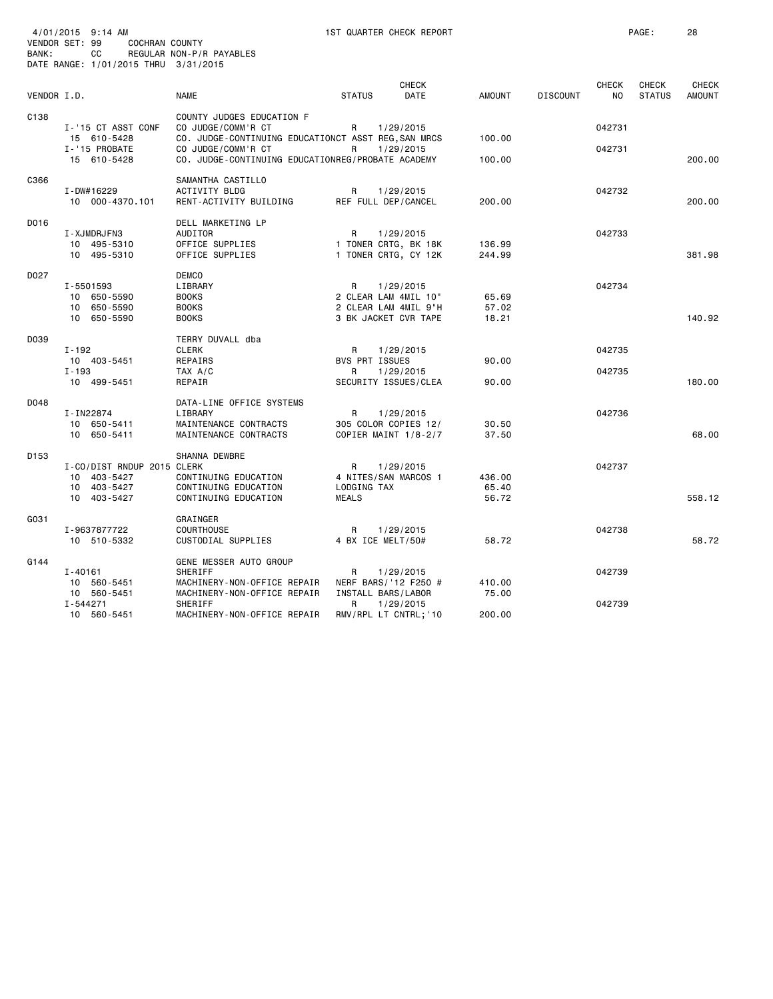| BANK:       | 4/01/2015 9:14 AM<br>VENDOR SET: 99<br>COCHRAN COUNTY<br>CC<br>DATE RANGE: 1/01/2015 THRU 3/31/2015 | REGULAR NON-P/R PAYABLES                                                                                                                                                          | 1ST QUARTER CHECK REPORT                                                               |                          |                 |                         | PAGE:                         | 28                            |
|-------------|-----------------------------------------------------------------------------------------------------|-----------------------------------------------------------------------------------------------------------------------------------------------------------------------------------|----------------------------------------------------------------------------------------|--------------------------|-----------------|-------------------------|-------------------------------|-------------------------------|
| VENDOR I.D. |                                                                                                     | <b>NAME</b>                                                                                                                                                                       | <b>CHECK</b><br><b>STATUS</b><br><b>DATE</b>                                           | <b>AMOUNT</b>            | <b>DISCOUNT</b> | CHECK<br>N <sub>O</sub> | <b>CHECK</b><br><b>STATUS</b> | <b>CHECK</b><br><b>AMOUNT</b> |
| C138        | I-'15 CT ASST CONF<br>15 610-5428<br>I-'15 PROBATE<br>15 610-5428                                   | COUNTY JUDGES EDUCATION F<br>CO JUDGE/COMM'R CT<br>CO. JUDGE-CONTINUING EDUCATIONCT ASST REG, SAN MRCS<br>CO JUDGE/COMM'R CT<br>CO. JUDGE-CONTINUING EDUCATIONREG/PROBATE ACADEMY | R<br>1/29/2015<br>R<br>1/29/2015                                                       | 100.00<br>100.00         |                 | 042731<br>042731        |                               | 200.00                        |
| C366        | I-DW#16229<br>10 000-4370.101                                                                       | SAMANTHA CASTILLO<br><b>ACTIVITY BLDG</b><br>RENT-ACTIVITY BUILDING                                                                                                               | R<br>1/29/2015<br>REF FULL DEP/CANCEL                                                  | 200.00                   |                 | 042732                  |                               | 200.00                        |
| D016        | I-XJMDRJFN3<br>10 495-5310<br>10 495-5310                                                           | DELL MARKETING LP<br>AUDITOR<br>OFFICE SUPPLIES<br>OFFICE SUPPLIES                                                                                                                | R<br>1/29/2015<br>1 TONER CRTG, BK 18K<br>1 TONER CRTG, CY 12K                         | 136.99<br>244.99         |                 | 042733                  |                               | 381.98                        |
| D027        | I-5501593<br>10 650-5590<br>10 650-5590<br>10 650-5590                                              | <b>DEMCO</b><br>LIBRARY<br><b>BOOKS</b><br><b>BOOKS</b><br><b>BOOKS</b>                                                                                                           | R<br>1/29/2015<br>2 CLEAR LAM 4MIL 10"<br>2 CLEAR LAM 4MIL 9"H<br>3 BK JACKET CVR TAPE | 65.69<br>57.02<br>18.21  |                 | 042734                  |                               | 140.92                        |
| D039        | $I - 192$<br>10 403-5451<br>$I - 193$<br>10 499-5451                                                | TERRY DUVALL dba<br><b>CLERK</b><br>REPAIRS<br>TAX A/C<br>REPAIR                                                                                                                  | R<br>1/29/2015<br><b>BVS PRT ISSUES</b><br>1/29/2015<br>R<br>SECURITY ISSUES/CLEA      | 90.00<br>90.00           |                 | 042735<br>042735        |                               | 180.00                        |
| D048        | I-IN22874<br>10 650-5411<br>10 650-5411                                                             | DATA-LINE OFFICE SYSTEMS<br>LIBRARY<br>MAINTENANCE CONTRACTS<br>MAINTENANCE CONTRACTS                                                                                             | R<br>1/29/2015<br>305 COLOR COPIES 12/<br>COPIER MAINT 1/8-2/7                         | 30.50<br>37.50           |                 | 042736                  |                               | 68.00                         |
| D153        | I-CO/DIST RNDUP 2015 CLERK<br>10 403-5427<br>10 403-5427<br>10 403-5427                             | SHANNA DEWBRE<br>CONTINUING EDUCATION<br>CONTINUING EDUCATION<br>CONTINUING EDUCATION                                                                                             | R<br>1/29/2015<br>4 NITES/SAN MARCOS 1<br>LODGING TAX<br><b>MEALS</b>                  | 436.00<br>65.40<br>56.72 |                 | 042737                  |                               | 558.12                        |
| G031        | I-9637877722<br>10 510-5332                                                                         | GRAINGER<br>COURTHOUSE<br>CUSTODIAL SUPPLIES                                                                                                                                      | 1/29/2015<br>R<br>4 BX ICE MELT/50#                                                    | 58.72                    |                 | 042738                  |                               | 58.72                         |
| G144        | $I - 40161$<br>10 560-5451                                                                          | GENE MESSER AUTO GROUP<br><b>SHERIFF</b><br>MACHINERY-NON-OFFICE REPAIR<br>MACHINERY-NON-OFFICE REPAIR                                                                            | R<br>1/29/2015<br>NERF BARS/'12 F250 #                                                 | 410.00<br>75.00          |                 | 042739                  |                               |                               |
|             | 10 560-5451<br>I-544271<br>10 560-5451                                                              | <b>SHERIFF</b><br>MACHINERY-NON-OFFICE REPAIR                                                                                                                                     | INSTALL BARS/LABOR<br>R<br>1/29/2015<br>RMV/RPL LT CNTRL; '10                          | 200.00                   |                 | 042739                  |                               |                               |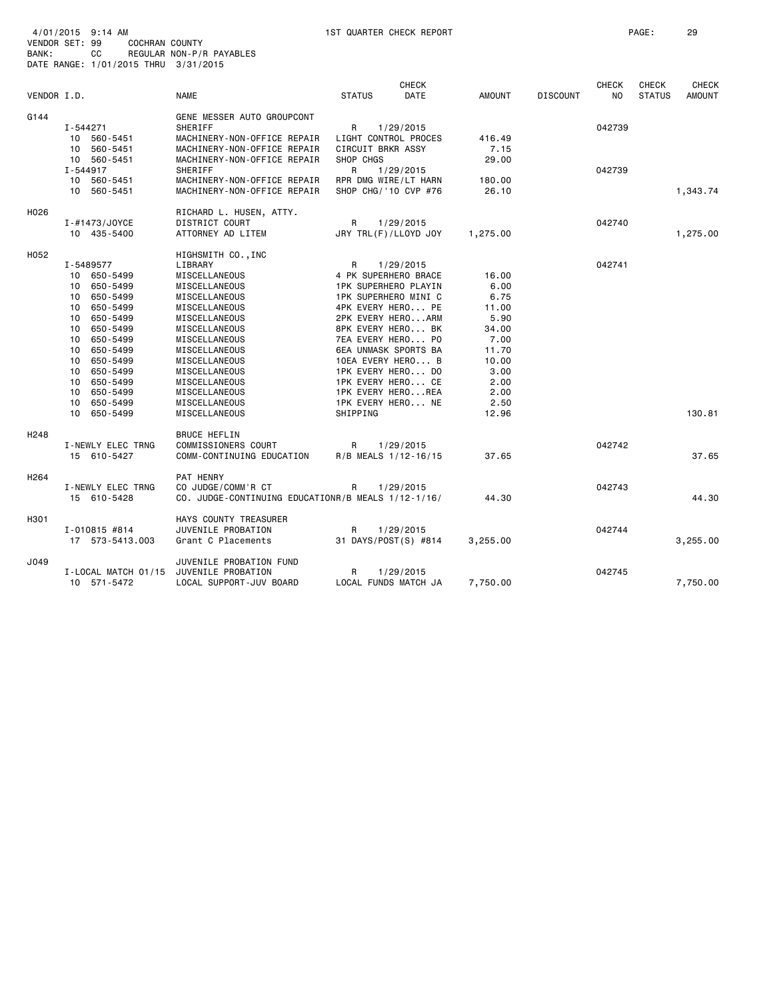|                  |                     |                                                    |                       | <b>CHECK</b> |               |                 | <b>CHECK</b>   | <b>CHECK</b>  | <b>CHECK</b>  |
|------------------|---------------------|----------------------------------------------------|-----------------------|--------------|---------------|-----------------|----------------|---------------|---------------|
| VENDOR I.D.      |                     | <b>NAME</b>                                        | <b>STATUS</b>         | DATE         | <b>AMOUNT</b> | <b>DISCOUNT</b> | N <sub>O</sub> | <b>STATUS</b> | <b>AMOUNT</b> |
| G144             |                     | GENE MESSER AUTO GROUPCONT                         |                       |              |               |                 |                |               |               |
|                  | $I - 544271$        | SHERIFF                                            | R                     | 1/29/2015    |               |                 | 042739         |               |               |
|                  | 10 560-5451         | MACHINERY-NON-OFFICE REPAIR                        | LIGHT CONTROL PROCES  |              | 416.49        |                 |                |               |               |
|                  | 10 560-5451         | MACHINERY-NON-OFFICE REPAIR                        | CIRCUIT BRKR ASSY     |              | 7.15          |                 |                |               |               |
|                  | 10 560-5451         | MACHINERY-NON-OFFICE REPAIR                        | SHOP CHGS             |              | 29.00         |                 |                |               |               |
|                  | I-544917            | SHERIFF                                            | R                     | 1/29/2015    |               |                 | 042739         |               |               |
|                  | 10 560-5451         | MACHINERY-NON-OFFICE REPAIR                        | RPR DMG WIRE/LT HARN  |              | 180.00        |                 |                |               |               |
|                  | 10 560-5451         | MACHINERY-NON-OFFICE REPAIR                        | SHOP CHG/ '10 CVP #76 |              | 26.10         |                 |                |               | 1,343.74      |
| H026             |                     | RICHARD L. HUSEN, ATTY.                            |                       |              |               |                 |                |               |               |
|                  | I-#1473/JOYCE       | DISTRICT COURT                                     | R                     | 1/29/2015    |               |                 | 042740         |               |               |
|                  | 10 435-5400         | ATTORNEY AD LITEM                                  | JRY TRL(F)/LLOYD JOY  |              | 1,275.00      |                 |                |               | 1,275.00      |
| H052             |                     | HIGHSMITH CO., INC                                 |                       |              |               |                 |                |               |               |
|                  | I-5489577           | LIBRARY                                            | R                     | 1/29/2015    |               |                 | 042741         |               |               |
|                  | 10 650-5499         | MISCELLANEOUS                                      | 4 PK SUPERHERO BRACE  |              | 16,00         |                 |                |               |               |
|                  | 650-5499<br>10      | MISCELLANEOUS                                      | 1PK SUPERHERO PLAYIN  |              | 6.00          |                 |                |               |               |
|                  | 650-5499<br>10      | MISCELLANEOUS                                      | 1PK SUPERHERO MINI C  |              | 6.75          |                 |                |               |               |
|                  | 650-5499<br>10      | MISCELLANEOUS                                      | 4PK EVERY HERO PE     |              | 11.00         |                 |                |               |               |
|                  | 650-5499<br>10      | MISCELLANEOUS                                      | 2PK EVERY HEROARM     |              | 5.90          |                 |                |               |               |
|                  | 10 650-5499         | MISCELLANEOUS                                      | 8PK EVERY HERO BK     |              | 34.00         |                 |                |               |               |
|                  | 10<br>650-5499      | MISCELLANEOUS                                      | 7EA EVERY HERO PO     |              | 7.00          |                 |                |               |               |
|                  | 650-5499<br>10      | MISCELLANEOUS                                      | 6EA UNMASK SPORTS BA  |              | 11.70         |                 |                |               |               |
|                  | 650-5499<br>10      | MISCELLANEOUS                                      | 10EA EVERY HERO B     |              | 10.00         |                 |                |               |               |
|                  | 650-5499<br>10      | MISCELLANEOUS                                      | 1PK EVERY HERO DO     |              | 3.00          |                 |                |               |               |
|                  | 650-5499<br>10      | MISCELLANEOUS                                      | 1PK EVERY HERO CE     |              | 2.00          |                 |                |               |               |
|                  | 10<br>650-5499      | MISCELLANEOUS                                      | 1PK EVERY HEROREA     |              | 2.00          |                 |                |               |               |
|                  | 650-5499<br>10      | MISCELLANEOUS                                      | 1PK EVERY HERO NE     |              | 2.50          |                 |                |               |               |
|                  | 10<br>650-5499      | MISCELLANEOUS                                      | SHIPPING              |              | 12.96         |                 |                |               | 130.81        |
| H <sub>248</sub> |                     | <b>BRUCE HEFLIN</b>                                |                       |              |               |                 |                |               |               |
|                  | I-NEWLY ELEC TRNG   | COMMISSIONERS COURT                                | R                     | 1/29/2015    |               |                 | 042742         |               |               |
|                  | 15 610-5427         | COMM-CONTINUING EDUCATION                          | R/B MEALS 1/12-16/15  |              | 37.65         |                 |                |               | 37.65         |
| H <sub>264</sub> |                     | PAT HENRY                                          |                       |              |               |                 |                |               |               |
|                  | I-NEWLY ELEC TRNG   | CO JUDGE/COMM'R CT                                 | R                     | 1/29/2015    |               |                 | 042743         |               |               |
|                  | 15 610-5428         | CO. JUDGE-CONTINUING EDUCATIONR/B MEALS 1/12-1/16/ |                       |              | 44.30         |                 |                |               | 44.30         |
| H301             |                     | HAYS COUNTY TREASURER                              |                       |              |               |                 |                |               |               |
|                  | $I - 010815$ #814   | JUVENILE PROBATION                                 | R                     | 1/29/2015    |               |                 | 042744         |               |               |
|                  | 17 573-5413.003     | Grant C Placements                                 | 31 DAYS/POST(S) #814  |              | 3,255.00      |                 |                |               | 3,255.00      |
| J049             |                     | JUVENILE PROBATION FUND                            |                       |              |               |                 |                |               |               |
|                  | I-LOCAL MATCH 01/15 | JUVENILE PROBATION                                 | R                     | 1/29/2015    |               |                 | 042745         |               |               |
|                  | 10 571-5472         | LOCAL SUPPORT-JUV BOARD                            | LOCAL FUNDS MATCH JA  |              | 7,750.00      |                 |                |               | 7,750.00      |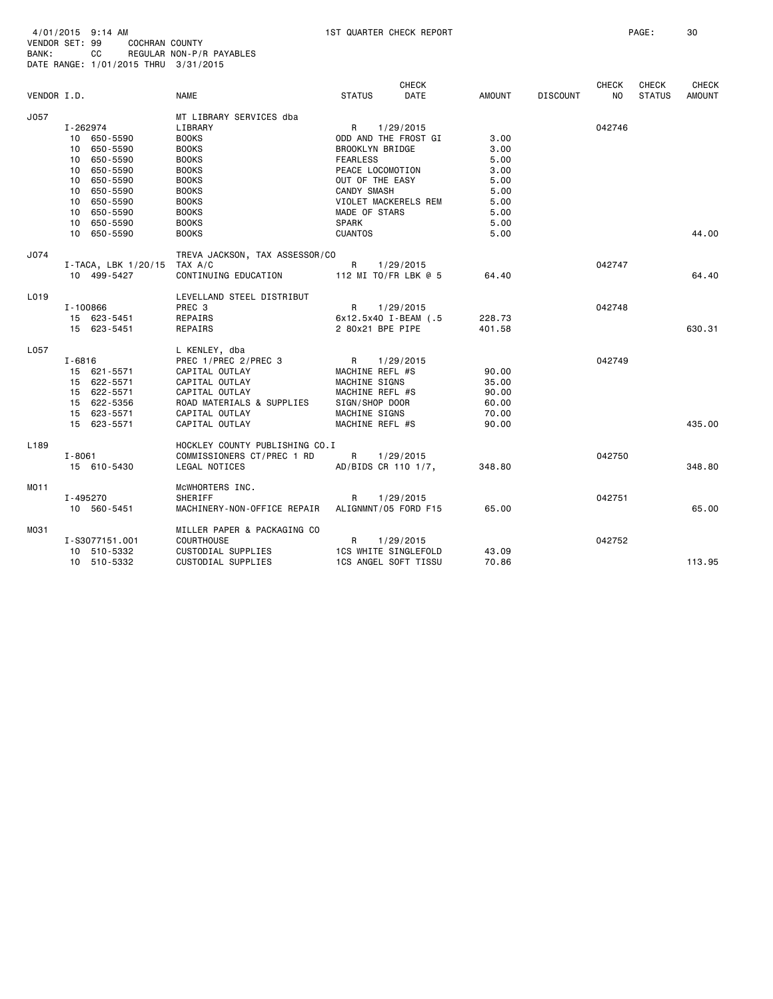| 4/01/2015<br>9:14 AM | 1ST QUARTER CHECK REPORT | PAGE<br>30 |
|----------------------|--------------------------|------------|
|----------------------|--------------------------|------------|

| BANK:            |            | cс<br>DATE RANGE: 1/01/2015 THRU 3/31/2015 | REGULAR NON-P/R PAYABLES       |                 |                             |               |                 |                     |                               |                               |
|------------------|------------|--------------------------------------------|--------------------------------|-----------------|-----------------------------|---------------|-----------------|---------------------|-------------------------------|-------------------------------|
| VENDOR I.D.      |            |                                            | <b>NAME</b>                    | <b>STATUS</b>   | CHECK<br>DATE               | <b>AMOUNT</b> | <b>DISCOUNT</b> | <b>CHECK</b><br>NO. | <b>CHECK</b><br><b>STATUS</b> | <b>CHECK</b><br><b>AMOUNT</b> |
|                  |            |                                            |                                |                 |                             |               |                 |                     |                               |                               |
| J057             |            |                                            | MT LIBRARY SERVICES dba        |                 |                             |               |                 |                     |                               |                               |
|                  |            | I-262974                                   | LIBRARY                        | R               | 1/29/2015                   |               |                 | 042746              |                               |                               |
|                  |            | 10 650-5590                                | <b>BOOKS</b>                   |                 | ODD AND THE FROST GI        | 3.00          |                 |                     |                               |                               |
|                  |            | 10 650-5590                                | <b>BOOKS</b>                   |                 | BROOKLYN BRIDGE             | 3.00          |                 |                     |                               |                               |
|                  |            | 10 650-5590                                | <b>BOOKS</b>                   | <b>FEARLESS</b> |                             | 5.00          |                 |                     |                               |                               |
|                  |            | 10 650-5590                                | <b>BOOKS</b>                   |                 | PEACE LOCOMOTION            | 3,00          |                 |                     |                               |                               |
|                  |            | 10 650-5590                                | <b>BOOKS</b>                   |                 | OUT OF THE EASY             | 5.00          |                 |                     |                               |                               |
|                  |            | 10 650-5590                                | <b>BOOKS</b>                   | CANDY SMASH     |                             | 5.00          |                 |                     |                               |                               |
|                  |            | 10 650-5590                                | <b>BOOKS</b>                   |                 | VIOLET MACKERELS REM        | 5.00          |                 |                     |                               |                               |
|                  |            | 10 650-5590                                | <b>BOOKS</b>                   | MADE OF STARS   |                             | 5.00          |                 |                     |                               |                               |
|                  |            | 10 650-5590                                | <b>BOOKS</b>                   | <b>SPARK</b>    |                             | 5.00          |                 |                     |                               |                               |
|                  |            | 10 650-5590                                | <b>BOOKS</b>                   | <b>CUANTOS</b>  |                             | 5.00          |                 |                     |                               | 44.00                         |
| J074             |            |                                            | TREVA JACKSON, TAX ASSESSOR/CO |                 |                             |               |                 |                     |                               |                               |
|                  |            | $I$ -TACA, LBK 1/20/15 TAX A/C             |                                | R.              | 1/29/2015                   |               |                 | 042747              |                               |                               |
|                  |            | 10 499-5427                                | CONTINUING EDUCATION           |                 | 112 MI TO/FR LBK @ 5        | 64.40         |                 |                     |                               | 64.40                         |
| L019             |            |                                            | LEVELLAND STEEL DISTRIBUT      |                 |                             |               |                 |                     |                               |                               |
|                  |            | $I - 100866$                               | PREC 3                         | R               | 1/29/2015                   |               |                 | 042748              |                               |                               |
|                  |            | 15 623-5451                                | REPAIRS                        |                 | 6x12.5x40 I-BEAM (.5        | 228.73        |                 |                     |                               |                               |
|                  |            | 15 623-5451                                | REPAIRS                        |                 | 2 80x21 BPE PIPE            | 401.58        |                 |                     |                               | 630.31                        |
| L057             |            |                                            | L KENLEY, dba                  |                 |                             |               |                 |                     |                               |                               |
|                  | I-6816     |                                            | PREC 1/PREC 2/PREC 3           | R               | 1/29/2015                   |               |                 | 042749              |                               |                               |
|                  |            | 15 621-5571                                | CAPITAL OUTLAY                 |                 | MACHINE REFL #S             | 90.00         |                 |                     |                               |                               |
|                  |            | 15 622-5571                                | CAPITAL OUTLAY                 | MACHINE SIGNS   |                             | 35.00         |                 |                     |                               |                               |
|                  |            | 15 622-5571                                | CAPITAL OUTLAY                 |                 | MACHINE REFL #S             | 90.00         |                 |                     |                               |                               |
|                  |            | 15 622-5356                                | ROAD MATERIALS & SUPPLIES      | SIGN/SHOP DOOR  |                             | 60.00         |                 |                     |                               |                               |
|                  |            | 15 623-5571                                | CAPITAL OUTLAY                 | MACHINE SIGNS   |                             | 70.00         |                 |                     |                               |                               |
|                  |            | 15 623-5571                                | CAPITAL OUTLAY                 |                 | MACHINE REFL #S             | 90.00         |                 |                     |                               | 435.00                        |
| L <sub>189</sub> |            |                                            | HOCKLEY COUNTY PUBLISHING CO.I |                 |                             |               |                 |                     |                               |                               |
|                  | $I - 8061$ |                                            | COMMISSIONERS CT/PREC 1 RD     | R               | 1/29/2015                   |               |                 | 042750              |                               |                               |
|                  |            | 15 610-5430                                | LEGAL NOTICES                  |                 | AD/BIDS CR 110 1/7,         | 348.80        |                 |                     |                               | 348.80                        |
| MO11             |            |                                            | MCWHORTERS INC.                |                 |                             |               |                 |                     |                               |                               |
|                  |            | I-495270                                   | SHERIFF                        | R               | 1/29/2015                   |               |                 | 042751              |                               |                               |
|                  |            | 10 560-5451                                | MACHINERY-NON-OFFICE REPAIR    |                 | ALIGNMNT/05 FORD F15        | 65.00         |                 |                     |                               | 65.00                         |
| MO31             |            |                                            | MILLER PAPER & PACKAGING CO    |                 |                             |               |                 |                     |                               |                               |
|                  |            | I-S3077151.001                             | <b>COURTHOUSE</b>              | R               | 1/29/2015                   |               |                 | 042752              |                               |                               |
|                  |            | 10 510-5332                                | CUSTODIAL SUPPLIES             |                 | <b>1CS WHITE SINGLEFOLD</b> | 43.09         |                 |                     |                               |                               |
|                  |            | 10 510-5332                                | CUSTODIAL SUPPLIES             |                 | 1CS ANGEL SOFT TISSU        | 70.86         |                 |                     |                               | 113.95                        |
|                  |            |                                            |                                |                 |                             |               |                 |                     |                               |                               |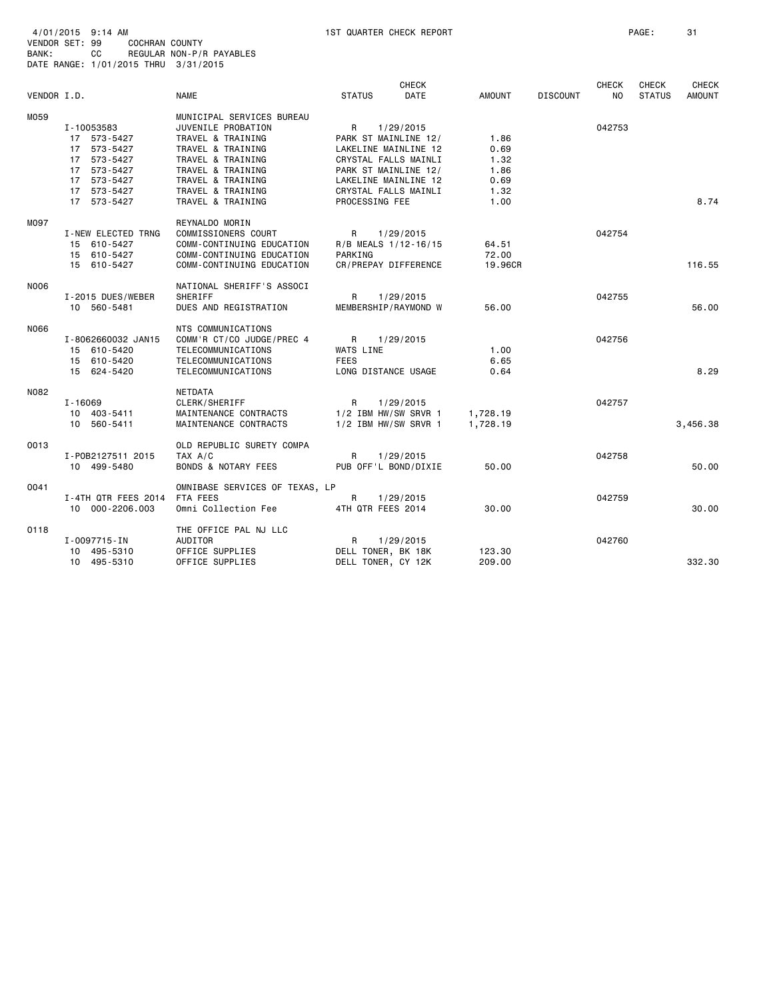BANK: CC REGULAR NON-P/R PAYABLES

|             | DATE RANGE: 1/01/2015 THRU 3/31/2015                                                                 |                                                                                                                                                                               |                                                      |                                                                                                                                                           |                                              |                 |                     |                        |                        |
|-------------|------------------------------------------------------------------------------------------------------|-------------------------------------------------------------------------------------------------------------------------------------------------------------------------------|------------------------------------------------------|-----------------------------------------------------------------------------------------------------------------------------------------------------------|----------------------------------------------|-----------------|---------------------|------------------------|------------------------|
| VENDOR I.D. |                                                                                                      | <b>NAME</b>                                                                                                                                                                   | <b>STATUS</b>                                        | <b>CHECK</b><br><b>DATE</b>                                                                                                                               | <b>AMOUNT</b>                                | <b>DISCOUNT</b> | <b>CHECK</b><br>NO. | CHECK<br><b>STATUS</b> | CHECK<br><b>AMOUNT</b> |
| M059        | I-10053583<br>17 573-5427<br>17 573-5427<br>17 573-5427<br>17 573-5427<br>17 573-5427<br>17 573-5427 | MUNICIPAL SERVICES BUREAU<br>JUVENILE PROBATION<br>TRAVEL & TRAINING<br>TRAVEL & TRAINING<br>TRAVEL & TRAINING<br>TRAVEL & TRAINING<br>TRAVEL & TRAINING<br>TRAVEL & TRAINING | R                                                    | 1/29/2015<br>PARK ST MAINLINE 12/<br>LAKELINE MAINLINE 12<br>CRYSTAL FALLS MAINLI<br>PARK ST MAINLINE 12/<br>LAKELINE MAINLINE 12<br>CRYSTAL FALLS MAINLI | 1.86<br>0.69<br>1.32<br>1.86<br>0.69<br>1.32 |                 | 042753              |                        |                        |
| M097        | 17 573-5427<br>I-NEW ELECTED TRNG<br>15 610-5427<br>15 610-5427<br>15 610-5427                       | TRAVEL & TRAINING<br>REYNALDO MORIN<br>COMMISSIONERS COURT<br>COMM-CONTINUING EDUCATION<br>COMM-CONTINUING EDUCATION<br>COMM-CONTINUING EDUCATION                             | PROCESSING FEE<br>R<br>PARKING                       | 1/29/2015<br>R/B MEALS 1/12-16/15<br>CR/PREPAY DIFFERENCE                                                                                                 | 1.00<br>64.51<br>72.00<br>19.96CR            |                 | 042754              |                        | 8.74<br>116.55         |
| N006        | I-2015 DUES/WEBER<br>10 560-5481                                                                     | NATIONAL SHERIFF'S ASSOCI<br>SHERIFF<br>DUES AND REGISTRATION                                                                                                                 | R                                                    | 1/29/2015<br>MEMBERSHIP/RAYMOND W                                                                                                                         | 56.00                                        |                 | 042755              |                        | 56.00                  |
| N066        | I-8062660032 JAN15<br>15 610-5420<br>15 610-5420<br>15 624-5420                                      | NTS COMMUNICATIONS<br>COMM'R CT/CO JUDGE/PREC 4<br>TELECOMMUNICATIONS<br>TELECOMMUNICATIONS<br>TELECOMMUNICATIONS                                                             | R<br>WATS LINE<br><b>FEES</b><br>LONG DISTANCE USAGE | 1/29/2015                                                                                                                                                 | 1.00<br>6.65<br>0.64                         |                 | 042756              |                        | 8.29                   |
| N082        | I-16069<br>10 403-5411<br>10 560-5411                                                                | NETDATA<br>CLERK/SHERIFF<br>MAINTENANCE CONTRACTS<br>MAINTENANCE CONTRACTS                                                                                                    | R                                                    | 1/29/2015<br>$1/2$ IBM HW/SW SRVR 1<br>1/2 IBM HW/SW SRVR 1                                                                                               | 1,728.19<br>1,728.19                         |                 | 042757              |                        | 3,456.38               |
| 0013        | I-P0B2127511 2015<br>10 499-5480                                                                     | OLD REPUBLIC SURETY COMPA<br>TAX A/C<br><b>BONDS &amp; NOTARY FEES</b>                                                                                                        | R                                                    | 1/29/2015<br>PUB OFF'L BOND/DIXIE                                                                                                                         | 50.00                                        |                 | 042758              |                        | 50.00                  |
| 0041        | I-4TH QTR FEES 2014<br>10 000-2206.003                                                               | OMNIBASE SERVICES OF TEXAS, LP<br>FTA FEES<br>Omni Collection Fee                                                                                                             | R<br>4TH QTR FEES 2014                               | 1/29/2015                                                                                                                                                 | 30.00                                        |                 | 042759              |                        | 30,00                  |
| 0118        | I-0097715-IN<br>10 495-5310<br>10 495-5310                                                           | THE OFFICE PAL NJ LLC<br>AUDITOR<br>OFFICE SUPPLIES<br>OFFICE SUPPLIES                                                                                                        | R<br>DELL TONER, BK 18K<br>DELL TONER, CY 12K        | 1/29/2015                                                                                                                                                 | 123.30<br>209.00                             |                 | 042760              |                        | 332.30                 |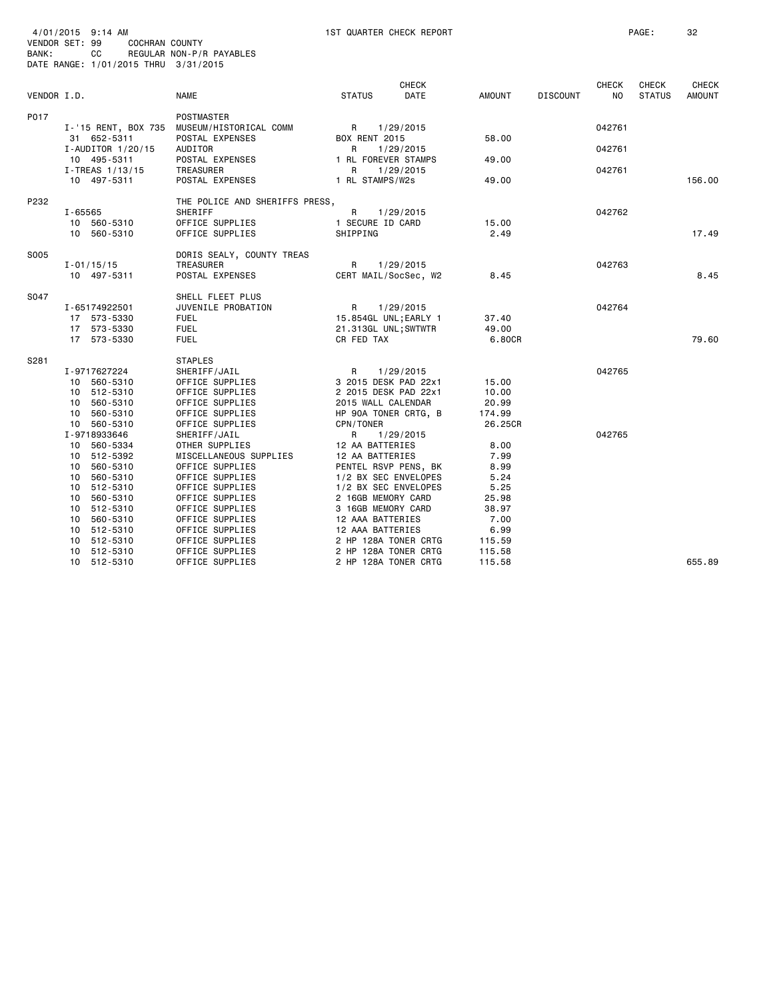| VENDOR SET: 99<br>BANK: |             | 4/01/2015 9:14 AM<br>COCHRAN COUNTY<br>cc<br>DATE RANGE: 1/01/2015 THRU 3/31/2015                                                                                                                | REGULAR NON-P/R PAYABLES                                                                                                                                                                                                                               |                                                                                                                                                                                                                                                                             | 1ST QUARTER CHECK REPORT |                                                                                                      |                 |                  | PAGE:         | 32            |
|-------------------------|-------------|--------------------------------------------------------------------------------------------------------------------------------------------------------------------------------------------------|--------------------------------------------------------------------------------------------------------------------------------------------------------------------------------------------------------------------------------------------------------|-----------------------------------------------------------------------------------------------------------------------------------------------------------------------------------------------------------------------------------------------------------------------------|--------------------------|------------------------------------------------------------------------------------------------------|-----------------|------------------|---------------|---------------|
|                         |             |                                                                                                                                                                                                  |                                                                                                                                                                                                                                                        |                                                                                                                                                                                                                                                                             | <b>CHECK</b>             |                                                                                                      |                 | CHECK            | CHECK         | <b>CHECK</b>  |
| VENDOR I.D.             |             |                                                                                                                                                                                                  | NAME                                                                                                                                                                                                                                                   | <b>STATUS</b>                                                                                                                                                                                                                                                               | DATE                     | AMOUNT                                                                                               | <b>DISCOUNT</b> | NO.              | <b>STATUS</b> | <b>AMOUNT</b> |
| P017                    |             | I-'15 RENT, BOX 735<br>31 652-5311<br>$I$ -AUDITOR 1/20/15<br>10 495-5311                                                                                                                        | POSTMASTER<br>MUSEUM/HISTORICAL COMM<br>POSTAL EXPENSES<br>AUDITOR<br>POSTAL EXPENSES                                                                                                                                                                  | $R_{\odot}$<br><b>BOX RENT 2015</b><br>R<br>1 RL FOREVER STAMPS                                                                                                                                                                                                             | 1/29/2015<br>1/29/2015   | 58.00<br>49.00                                                                                       |                 | 042761<br>042761 |               |               |
|                         |             | $I$ -TREAS $1/13/15$                                                                                                                                                                             | <b>TREASURER</b>                                                                                                                                                                                                                                       | R                                                                                                                                                                                                                                                                           | 1/29/2015                |                                                                                                      |                 | 042761           |               |               |
|                         |             | 10 497-5311                                                                                                                                                                                      | POSTAL EXPENSES                                                                                                                                                                                                                                        | 1 RL STAMPS/W2s                                                                                                                                                                                                                                                             |                          | 49.00                                                                                                |                 |                  |               | 156.00        |
| P232                    | $I - 65565$ | 10 560-5310<br>10 560-5310                                                                                                                                                                       | THE POLICE AND SHERIFFS PRESS,<br>SHERIFF<br>OFFICE SUPPLIES<br>OFFICE SUPPLIES                                                                                                                                                                        | R<br>1 SECURE ID CARD<br>SHIPPING                                                                                                                                                                                                                                           | 1/29/2015                | 15.00<br>2.49                                                                                        |                 | 042762           |               | 17.49         |
|                         |             |                                                                                                                                                                                                  |                                                                                                                                                                                                                                                        |                                                                                                                                                                                                                                                                             |                          |                                                                                                      |                 |                  |               |               |
| S005                    |             | $I - 01/15/15$<br>10 497-5311                                                                                                                                                                    | DORIS SEALY, COUNTY TREAS<br>TREASURER<br>POSTAL EXPENSES                                                                                                                                                                                              | R<br>CERT MAIL/SocSec, W2                                                                                                                                                                                                                                                   | 1/29/2015                | 8.45                                                                                                 |                 | 042763           |               | 8.45          |
| S047                    |             | I-65174922501<br>17 573-5330<br>17 573-5330<br>17 573-5330                                                                                                                                       | SHELL FLEET PLUS<br>JUVENILE PROBATION<br><b>FUEL</b><br><b>FUEL</b><br><b>FUEL</b>                                                                                                                                                                    | R<br>15.854GL UNL; EARLY 1<br>21.313GL UNL; SWTWTR<br>CR FED TAX                                                                                                                                                                                                            | 1/29/2015                | 37.40<br>49.00<br>6.80CR                                                                             |                 | 042764           |               | 79.60         |
| S281                    |             | I-9717627224<br>10 560-5310<br>10 512-5310<br>10 560-5310<br>10 560-5310<br>10 560-5310                                                                                                          | <b>STAPLES</b><br>SHERIFF/JAIL<br>OFFICE SUPPLIES<br>OFFICE SUPPLIES<br>OFFICE SUPPLIES<br>OFFICE SUPPLIES<br>OFFICE SUPPLIES                                                                                                                          | R<br>3 2015 DESK PAD 22x1<br>2 2015 DESK PAD 22x1<br>2015 WALL CALENDAR<br>HP 90A TONER CRTG, B<br>CPN/TONER                                                                                                                                                                | 1/29/2015                | 15.00<br>10.00<br>20.99<br>174.99<br>26,25CR                                                         |                 | 042765           |               |               |
|                         |             | I-9718933646<br>10 560-5334<br>10 512-5392<br>10 560-5310<br>10 560-5310<br>10 512-5310<br>10 560-5310<br>10 512-5310<br>10 560-5310<br>10 512-5310<br>10 512-5310<br>10 512-5310<br>10 512-5310 | SHERIFF/JAIL<br>OTHER SUPPLIES<br>MISCELLANEOUS SUPPLIES<br>OFFICE SUPPLIES<br>OFFICE SUPPLIES<br>OFFICE SUPPLIES<br>OFFICE SUPPLIES<br>OFFICE SUPPLIES<br>OFFICE SUPPLIES<br>OFFICE SUPPLIES<br>OFFICE SUPPLIES<br>OFFICE SUPPLIES<br>OFFICE SUPPLIES | R<br>12 AA BATTERIES<br>12 AA BATTERIES<br>PENTEL RSVP PENS, BK<br>1/2 BX SEC ENVELOPES<br>1/2 BX SEC ENVELOPES<br>2 16GB MEMORY CARD<br>3 16GB MEMORY CARD<br>12 AAA BATTERIES<br>12 AAA BATTERIES<br>2 HP 128A TONER CRTG<br>2 HP 128A TONER CRTG<br>2 HP 128A TONER CRTG | 1/29/2015                | 8.00<br>7.99<br>8.99<br>5.24<br>5.25<br>25.98<br>38.97<br>7.00<br>6.99<br>115.59<br>115.58<br>115.58 |                 | 042765           |               | 655.89        |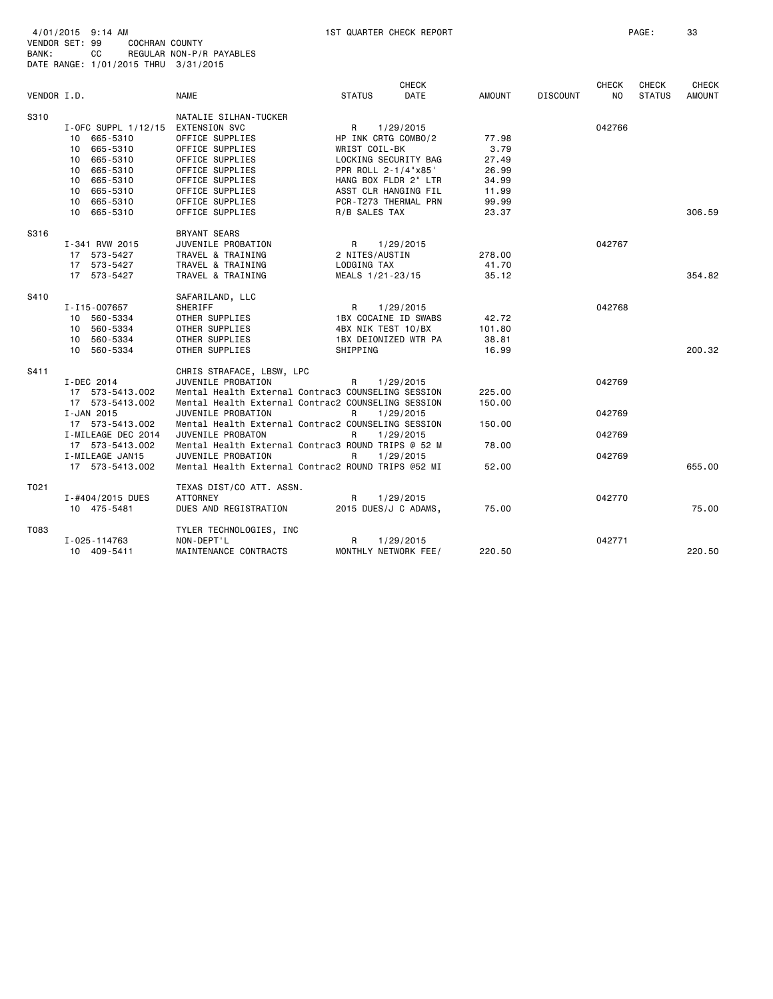| BANK:       | CС<br>DATE RANGE: 1/01/2015 THRU 3/31/2015 | REGULAR NON-P/R PAYABLES                           |                                             |                      |                 |                 |                                |                               |                        |
|-------------|--------------------------------------------|----------------------------------------------------|---------------------------------------------|----------------------|-----------------|-----------------|--------------------------------|-------------------------------|------------------------|
| VENDOR I.D. |                                            | <b>NAME</b>                                        | <b>STATUS</b>                               | <b>CHECK</b><br>DATE | AMOUNT          | <b>DISCOUNT</b> | <b>CHECK</b><br>N <sub>O</sub> | <b>CHECK</b><br><b>STATUS</b> | <b>CHECK</b><br>AMOUNT |
| S310        |                                            | NATALIE SILHAN-TUCKER                              |                                             |                      |                 |                 |                                |                               |                        |
|             | I-OFC SUPPL 1/12/15                        | <b>EXTENSION SVC</b>                               | R                                           | 1/29/2015            |                 |                 | 042766                         |                               |                        |
|             | 10 665-5310                                | OFFICE SUPPLIES                                    | HP INK CRTG COMBO/2                         |                      | 77.98           |                 |                                |                               |                        |
|             | 10 665-5310                                | OFFICE SUPPLIES                                    | WRIST COIL-BK                               |                      | 3.79            |                 |                                |                               |                        |
|             | 10 665-5310                                | OFFICE SUPPLIES                                    | LOCKING SECURITY BAG                        |                      | 27.49           |                 |                                |                               |                        |
|             | 10 665-5310<br>10 665-5310                 | OFFICE SUPPLIES<br>OFFICE SUPPLIES                 | PPR ROLL 2-1/4"x85"<br>HANG BOX FLDR 2" LTR |                      | 26.99<br>34.99  |                 |                                |                               |                        |
|             | 10 665-5310                                | OFFICE SUPPLIES                                    | ASST CLR HANGING FIL                        |                      | 11.99           |                 |                                |                               |                        |
|             | 10 665-5310                                | OFFICE SUPPLIES                                    | PCR-T273 THERMAL PRN                        |                      | 99.99           |                 |                                |                               |                        |
|             | 10 665-5310                                | OFFICE SUPPLIES                                    | R/B SALES TAX                               |                      | 23.37           |                 |                                |                               | 306.59                 |
| S316        |                                            | <b>BRYANT SEARS</b>                                |                                             |                      |                 |                 |                                |                               |                        |
|             | I-341 RVW 2015                             | JUVENILE PROBATION                                 | R                                           | 1/29/2015            |                 |                 | 042767                         |                               |                        |
|             | 17 573-5427                                | TRAVEL & TRAINING                                  | 2 NITES/AUSTIN                              |                      | 278.00          |                 |                                |                               |                        |
|             | 17 573-5427                                | TRAVEL & TRAINING                                  | LODGING TAX                                 |                      | 41.70           |                 |                                |                               |                        |
|             | 17 573-5427                                | TRAVEL & TRAINING                                  | MEALS 1/21-23/15                            |                      | 35.12           |                 |                                |                               | 354.82                 |
| S410        |                                            | SAFARILAND, LLC                                    |                                             |                      |                 |                 |                                |                               |                        |
|             | I-I15-007657                               | SHERIFF                                            | R                                           | 1/29/2015            |                 |                 | 042768                         |                               |                        |
|             | 10 560-5334                                | OTHER SUPPLIES                                     | 1BX COCAINE ID SWABS                        |                      | 42.72           |                 |                                |                               |                        |
|             | 10 560-5334<br>10 560-5334                 | OTHER SUPPLIES<br>OTHER SUPPLIES                   | 4BX NIK TEST 10/BX<br>1BX DEIONIZED WTR PA  |                      | 101.80<br>38.81 |                 |                                |                               |                        |
|             | 10 560-5334                                | OTHER SUPPLIES                                     | SHIPPING                                    |                      | 16.99           |                 |                                |                               | 200.32                 |
| S411        |                                            | CHRIS STRAFACE, LBSW, LPC                          |                                             |                      |                 |                 |                                |                               |                        |
|             | I-DEC 2014                                 | JUVENILE PROBATION                                 | R                                           | 1/29/2015            |                 |                 | 042769                         |                               |                        |
|             | 17 573-5413.002                            | Mental Health External Contrac3 COUNSELING SESSION |                                             |                      | 225,00          |                 |                                |                               |                        |
|             | 17 573-5413.002                            | Mental Health External Contrac2 COUNSELING SESSION |                                             |                      | 150.00          |                 |                                |                               |                        |
|             | I-JAN 2015                                 | JUVENILE PROBATION                                 | R                                           | 1/29/2015            |                 |                 | 042769                         |                               |                        |
|             | 17 573-5413.002                            | Mental Health External Contrac2 COUNSELING SESSION |                                             |                      | 150.00          |                 |                                |                               |                        |
|             | I-MILEAGE DEC 2014                         | JUVENILE PROBATON                                  | R                                           | 1/29/2015            |                 |                 | 042769                         |                               |                        |
|             | 17 573-5413.002                            | Mental Health External Contrac3 ROUND TRIPS @ 52 M |                                             |                      | 78.00           |                 |                                |                               |                        |
|             | I-MILEAGE JAN15                            | JUVENILE PROBATION                                 | R                                           | 1/29/2015            |                 |                 | 042769                         |                               |                        |
|             | 17 573-5413.002                            | Mental Health External Contrac2 ROUND TRIPS @52 MI |                                             |                      | 52.00           |                 |                                |                               | 655.00                 |
| T021        |                                            | TEXAS DIST/CO ATT. ASSN.                           |                                             |                      |                 |                 |                                |                               |                        |
|             | I-#404/2015 DUES                           | <b>ATTORNEY</b>                                    | R                                           | 1/29/2015            |                 |                 | 042770                         |                               |                        |
|             | 10 475-5481                                | DUES AND REGISTRATION                              | 2015 DUES/J C ADAMS,                        |                      | 75.00           |                 |                                |                               | 75.00                  |
| T083        |                                            | TYLER TECHNOLOGIES, INC                            |                                             |                      |                 |                 |                                |                               |                        |
|             | I-025-114763                               | NON-DEPT'L                                         | R                                           | 1/29/2015            |                 |                 | 042771                         |                               |                        |
|             | 10 409-5411                                | MAINTENANCE CONTRACTS                              | MONTHLY NETWORK FEE/                        |                      | 220.50          |                 |                                |                               | 220.50                 |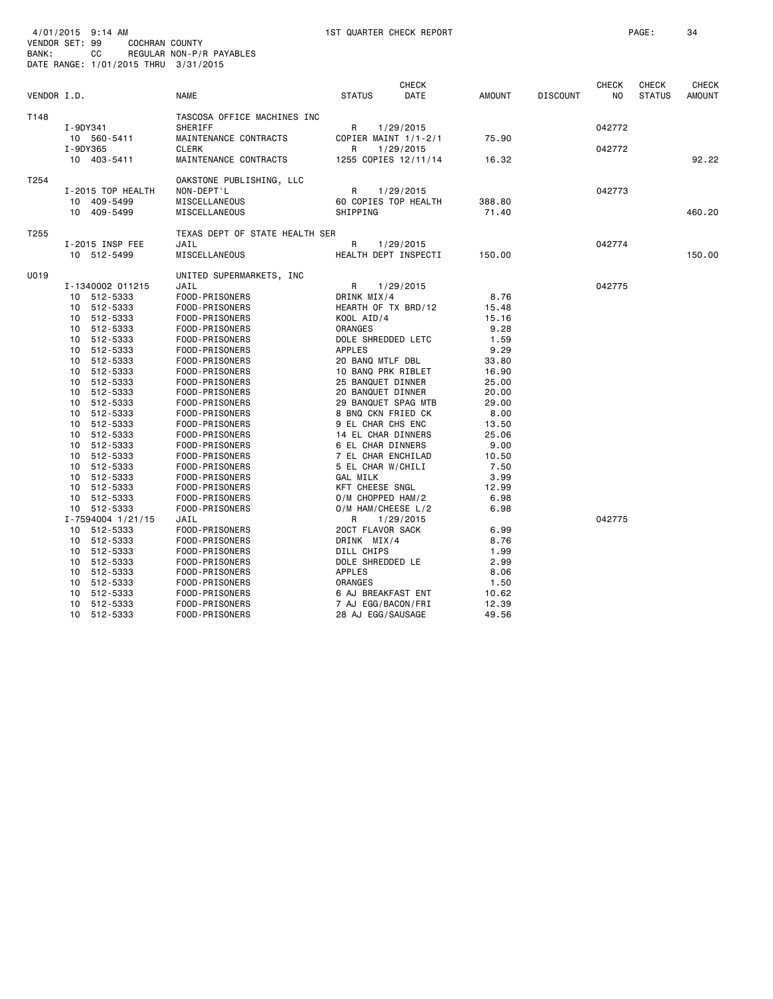| BANK:            |             | cс<br>DATE RANGE: 1/01/2015 THRU 3/31/2015 | REGULAR NON-P/R PAYABLES         |                                        |                      |                |                 |                    |                               |                               |
|------------------|-------------|--------------------------------------------|----------------------------------|----------------------------------------|----------------------|----------------|-----------------|--------------------|-------------------------------|-------------------------------|
| VENDOR I.D.      |             |                                            | <b>NAME</b>                      | <b>STATUS</b>                          | <b>CHECK</b><br>DATE | AMOUNT         | <b>DISCOUNT</b> | <b>CHECK</b><br>NO | <b>CHECK</b><br><b>STATUS</b> | <b>CHECK</b><br><b>AMOUNT</b> |
| T148             |             |                                            | TASCOSA OFFICE MACHINES INC      |                                        |                      |                |                 |                    |                               |                               |
|                  | I-9DY341    |                                            | SHERIFF                          | R                                      | 1/29/2015            |                |                 | 042772             |                               |                               |
|                  |             | 10 560-5411                                | MAINTENANCE CONTRACTS            |                                        | COPIER MAINT 1/1-2/1 | 75.90          |                 |                    |                               |                               |
|                  | I-9DY365    |                                            | <b>CLERK</b>                     | R                                      | 1/29/2015            |                |                 | 042772             |                               |                               |
|                  | 10 403-5411 |                                            | MAINTENANCE CONTRACTS            |                                        | 1255 COPIES 12/11/14 | 16.32          |                 |                    |                               | 92.22                         |
| T254             |             |                                            | OAKSTONE PUBLISHING, LLC         |                                        |                      |                |                 |                    |                               |                               |
|                  |             | I-2015 TOP HEALTH                          | NON-DEPT'L                       | R                                      | 1/29/2015            |                |                 | 042773             |                               |                               |
|                  |             | 10 409-5499                                | MISCELLANEOUS                    |                                        | 60 COPIES TOP HEALTH | 388,80         |                 |                    |                               |                               |
|                  |             | 10 409-5499                                | MISCELLANEOUS                    | SHIPPING                               |                      | 71.40          |                 |                    |                               | 460.20                        |
| T <sub>255</sub> |             |                                            | TEXAS DEPT OF STATE HEALTH SER   |                                        |                      |                |                 |                    |                               |                               |
|                  |             | I-2015 INSP FEE                            | JAIL                             | R                                      | 1/29/2015            |                |                 | 042774             |                               |                               |
|                  |             | 10 512-5499                                | MISCELLANEOUS                    |                                        | HEALTH DEPT INSPECTI | 150.00         |                 |                    |                               | 150.00                        |
| U019             |             |                                            | UNITED SUPERMARKETS, INC         |                                        |                      |                |                 |                    |                               |                               |
|                  |             | I-1340002 011215                           | JAIL                             | R                                      | 1/29/2015            |                |                 | 042775             |                               |                               |
|                  |             | 10 512-5333                                | FOOD-PRISONERS                   | DRINK MIX/4                            |                      | 8.76           |                 |                    |                               |                               |
|                  |             | 10 512-5333                                | FOOD-PRISONERS                   | HEARTH OF TX BRD/12                    |                      | 15.48          |                 |                    |                               |                               |
|                  |             | 10 512-5333                                | FOOD-PRISONERS                   | KOOL AID/4                             |                      | 15.16          |                 |                    |                               |                               |
|                  |             | 10 512-5333                                | FOOD-PRISONERS                   | ORANGES                                |                      | 9.28           |                 |                    |                               |                               |
|                  |             | 10 512-5333                                | FOOD-PRISONERS                   | DOLE SHREDDED LETC                     |                      | 1.59           |                 |                    |                               |                               |
|                  |             | 10 512-5333                                | FOOD-PRISONERS                   | <b>APPLES</b>                          |                      | 9.29           |                 |                    |                               |                               |
|                  |             | 10 512-5333                                | FOOD-PRISONERS                   | 20 BANQ MTLF DBL                       |                      | 33.80          |                 |                    |                               |                               |
|                  |             | 10 512-5333                                | FOOD-PRISONERS                   | 10 BANQ PRK RIBLET                     |                      | 16.90          |                 |                    |                               |                               |
|                  |             | 10 512-5333                                | FOOD-PRISONERS                   | 25 BANQUET DINNER<br>20 BANQUET DINNER |                      | 25.00          |                 |                    |                               |                               |
|                  |             | 10 512-5333<br>10 512-5333                 | FOOD-PRISONERS<br>FOOD-PRISONERS | 29 BANQUET SPAG MTB                    |                      | 20.00<br>29.00 |                 |                    |                               |                               |
|                  |             | 10 512-5333                                | FOOD-PRISONERS                   | 8 BNQ CKN FRIED CK                     |                      | 8.00           |                 |                    |                               |                               |
|                  |             | 10 512-5333                                | FOOD-PRISONERS                   | 9 EL CHAR CHS ENC                      |                      | 13.50          |                 |                    |                               |                               |
|                  |             | 10 512-5333                                | FOOD-PRISONERS                   | 14 EL CHAR DINNERS                     |                      | 25.06          |                 |                    |                               |                               |
|                  | 10          | 512-5333                                   | FOOD-PRISONERS                   | 6 EL CHAR DINNERS                      |                      | 9.00           |                 |                    |                               |                               |
|                  |             | 10 512-5333                                | FOOD-PRISONERS                   | 7 EL CHAR ENCHILAD                     |                      | 10.50          |                 |                    |                               |                               |
|                  |             | 10 512-5333                                | FOOD-PRISONERS                   | 5 EL CHAR W/CHILI                      |                      | 7.50           |                 |                    |                               |                               |
|                  | 10          | 512-5333                                   | FOOD-PRISONERS                   | GAL MILK                               |                      | 3.99           |                 |                    |                               |                               |
|                  |             | 10 512-5333                                | FOOD-PRISONERS                   | KFT CHEESE SNGL                        |                      | 12.99          |                 |                    |                               |                               |
|                  |             | 10 512-5333                                | FOOD-PRISONERS                   | O/M CHOPPED HAM/2                      |                      | 6.98           |                 |                    |                               |                               |
|                  |             | 10 512-5333                                | FOOD-PRISONERS                   | O/M HAM/CHEESE L/2                     |                      | 6.98           |                 |                    |                               |                               |
|                  |             | I-7594004 1/21/15                          | JAIL                             | R                                      | 1/29/2015            |                |                 | 042775             |                               |                               |
|                  |             | 10 512-5333                                | FOOD-PRISONERS                   | 20CT FLAVOR SACK                       |                      | 6.99           |                 |                    |                               |                               |
|                  |             | 10 512-5333                                | FOOD-PRISONERS                   | DRINK MIX/4                            |                      | 8.76           |                 |                    |                               |                               |
|                  |             | 10 512-5333                                | FOOD-PRISONERS                   | DILL CHIPS                             |                      | 1.99           |                 |                    |                               |                               |
|                  |             | 10 512-5333                                | FOOD-PRISONERS                   | DOLE SHREDDED LE                       |                      | 2.99           |                 |                    |                               |                               |
|                  |             | 10 512-5333                                | FOOD-PRISONERS                   | <b>APPLES</b>                          |                      | 8.06           |                 |                    |                               |                               |
|                  |             | 10 512-5333                                | FOOD-PRISONERS                   | ORANGES                                |                      | 1.50           |                 |                    |                               |                               |
|                  | 10          | 512-5333                                   | FOOD-PRISONERS                   | 6 AJ BREAKFAST ENT                     |                      | 10.62          |                 |                    |                               |                               |
|                  |             | 10 512-5333                                | FOOD-PRISONERS                   | 7 AJ EGG/BACON/FRI                     |                      | 12.39          |                 |                    |                               |                               |
|                  |             | 10 512-5333                                | FOOD-PRISONERS                   | 28 AJ EGG/SAUSAGE                      |                      | 49.56          |                 |                    |                               |                               |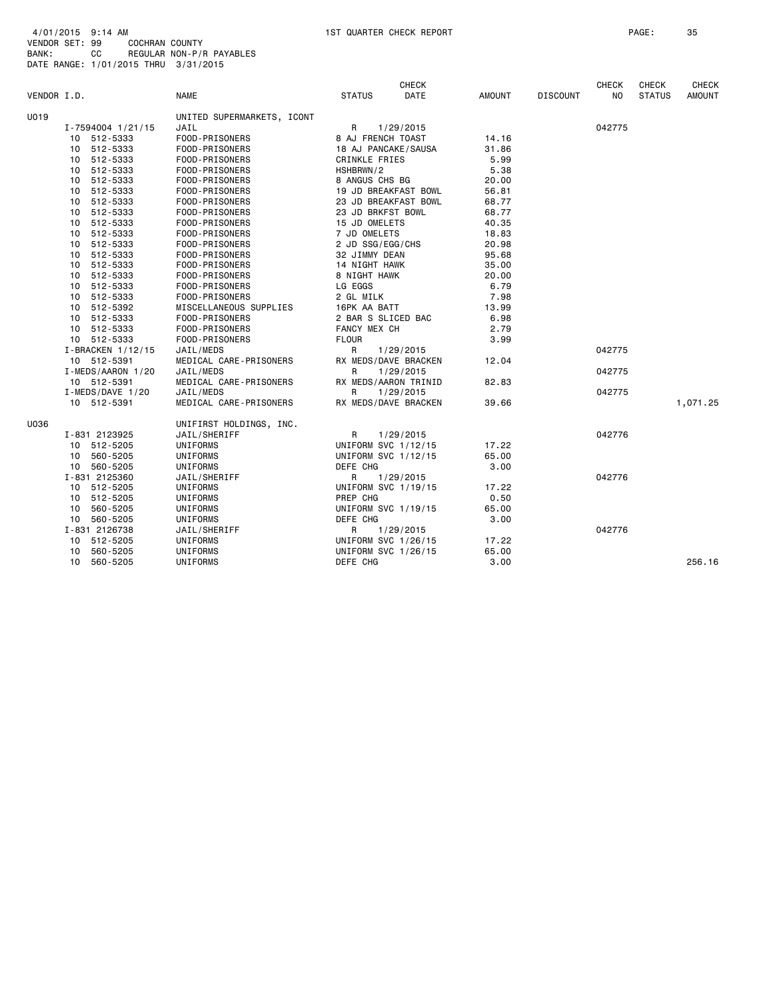| VENDOR I.D. |                    | <b>NAME</b>                      | <b>STATUS</b>                  | <b>CHECK</b><br><b>DATE</b> | AMOUNT | <b>DISCOUNT</b> | <b>CHECK</b><br>NO. | <b>CHECK</b><br><b>STATUS</b> | <b>CHECK</b><br><b>AMOUNT</b> |
|-------------|--------------------|----------------------------------|--------------------------------|-----------------------------|--------|-----------------|---------------------|-------------------------------|-------------------------------|
| U019        |                    | UNITED SUPERMARKETS, ICONT       |                                |                             |        |                 |                     |                               |                               |
|             | I-7594004 1/21/15  | JAIL                             | R.                             | 1/29/2015                   |        |                 | 042775              |                               |                               |
|             | 10 512-5333        | FOOD-PRISONERS                   | 8 AJ FRENCH TOAST              |                             | 14.16  |                 |                     |                               |                               |
|             | 10 512-5333        | FOOD-PRISONERS                   | 18 AJ PANCAKE/SAUSA            |                             | 31.86  |                 |                     |                               |                               |
|             | 10 512-5333        | FOOD-PRISONERS                   | CRINKLE FRIES                  |                             | 5.99   |                 |                     |                               |                               |
|             | 10 512-5333        | FOOD-PRISONERS                   | HSHBRWN/2                      |                             | 5.38   |                 |                     |                               |                               |
|             | 10 512-5333        | FOOD-PRISONERS                   | 8 ANGUS CHS BG                 |                             | 20.00  |                 |                     |                               |                               |
|             | 10 512-5333        |                                  | 19 JD BREAKFAST BOWL           | 56.81                       |        |                 |                     |                               |                               |
|             | 10 512-5333        | FOOD-PRISONERS<br>FOOD-PRISONERS |                                | 23 JD BREAKFAST BOWL        | 68.77  |                 |                     |                               |                               |
|             | 10 512-5333        | FOOD-PRISONERS                   | 23 JD BRKFST BOWL              |                             | 68.77  |                 |                     |                               |                               |
|             | 10 512-5333        | FOOD-PRISONERS                   | 15 JD OMELETS                  |                             | 40.35  |                 |                     |                               |                               |
|             | 10 512-5333        | FOOD-PRISONERS                   | 7 JD OMELETS                   |                             | 18.83  |                 |                     |                               |                               |
|             | 10 512-5333        |                                  | 2 JD SSG/EGG/CHS               |                             | 20.98  |                 |                     |                               |                               |
|             |                    | FOOD-PRISONERS                   |                                |                             |        |                 |                     |                               |                               |
|             | 10 512-5333        | FOOD-PRISONERS                   | 32 JIMMY DEAN<br>14 NIGHT HAWK |                             | 95.68  |                 |                     |                               |                               |
|             | 10 512-5333        | FOOD-PRISONERS                   |                                |                             | 35.00  |                 |                     |                               |                               |
|             | 10 512-5333        | FOOD-PRISONERS                   | 8 NIGHT HAWK                   |                             | 20.00  |                 |                     |                               |                               |
|             | 10 512-5333        | FOOD-PRISONERS                   | LG EGGS                        |                             | 6.79   |                 |                     |                               |                               |
|             | 10 512-5333        | FOOD-PRISONERS                   | 2 GL MILK                      |                             | 7.98   |                 |                     |                               |                               |
|             | 10 512-5392        | MISCELLANEOUS SUPPLIES           | 16PK AA BATT                   |                             | 13.99  |                 |                     |                               |                               |
|             | 10 512-5333        | FOOD-PRISONERS                   | 2 BAR S SLICED BAC             |                             | 6.98   |                 |                     |                               |                               |
|             | 10 512-5333        | FOOD-PRISONERS                   | FANCY MEX CH                   |                             | 2.79   |                 |                     |                               |                               |
|             | 10 512-5333        | FOOD-PRISONERS                   | <b>FLOUR</b>                   |                             | 3.99   |                 |                     |                               |                               |
|             | I-BRACKEN 1/12/15  | JAIL/MEDS                        | R.                             | 1/29/2015                   |        |                 | 042775              |                               |                               |
|             | 10 512-5391        | MEDICAL CARE-PRISONERS           |                                | RX MEDS/DAVE BRACKEN        | 12.04  |                 |                     |                               |                               |
|             | I-MEDS/AARON 1/20  | JAIL/MEDS                        | R                              | 1/29/2015                   |        |                 | 042775              |                               |                               |
|             | 10 512-5391        | MEDICAL CARE-PRISONERS           |                                | RX MEDS/AARON TRINID        | 82.83  |                 |                     |                               |                               |
|             | $I-MEDS/DAVE$ 1/20 | JAIL/MEDS                        | R                              | 1/29/2015                   |        |                 | 042775              |                               |                               |
|             | 10 512-5391        | MEDICAL CARE-PRISONERS           |                                | RX MEDS/DAVE BRACKEN        | 39.66  |                 |                     |                               | 1,071.25                      |
| U036        |                    | UNIFIRST HOLDINGS, INC.          |                                |                             |        |                 |                     |                               |                               |
|             | I-831 2123925      | JAIL/SHERIFF                     | R                              | 1/29/2015                   |        |                 | 042776              |                               |                               |
|             | 10 512-5205        | UNIFORMS                         | UNIFORM SVC 1/12/15            |                             | 17.22  |                 |                     |                               |                               |
|             | 10 560-5205        | UNIFORMS                         | UNIFORM SVC 1/12/15            |                             | 65.00  |                 |                     |                               |                               |
|             | 10 560-5205        | UNIFORMS                         | DEFE CHG                       |                             | 3.00   |                 |                     |                               |                               |
|             | I-831 2125360      | JAIL/SHERIFF                     | R                              | 1/29/2015                   |        |                 | 042776              |                               |                               |
|             | 10 512-5205        | <b>UNIFORMS</b>                  | UNIFORM SVC 1/19/15            |                             | 17.22  |                 |                     |                               |                               |
|             | 10 512-5205        | UNIFORMS                         | PREP CHG                       |                             | 0.50   |                 |                     |                               |                               |
|             | 10 560-5205        | UNIFORMS                         | UNIFORM SVC 1/19/15            |                             | 65.00  |                 |                     |                               |                               |
|             | 10 560-5205        | UNIFORMS                         | DEFE CHG                       |                             | 3.00   |                 |                     |                               |                               |
|             | I-831 2126738      | JAIL/SHERIFF                     | R                              | 1/29/2015                   |        |                 | 042776              |                               |                               |
|             | 10 512-5205        | UNIFORMS                         | UNIFORM SVC 1/26/15            |                             | 17.22  |                 |                     |                               |                               |
|             | 10 560-5205        | UNIFORMS                         | UNIFORM SVC 1/26/15            |                             | 65.00  |                 |                     |                               |                               |
|             | 10 560-5205        | UNIFORMS                         | DEFE CHG                       |                             | 3.00   |                 |                     |                               | 256.16                        |
|             |                    |                                  |                                |                             |        |                 |                     |                               |                               |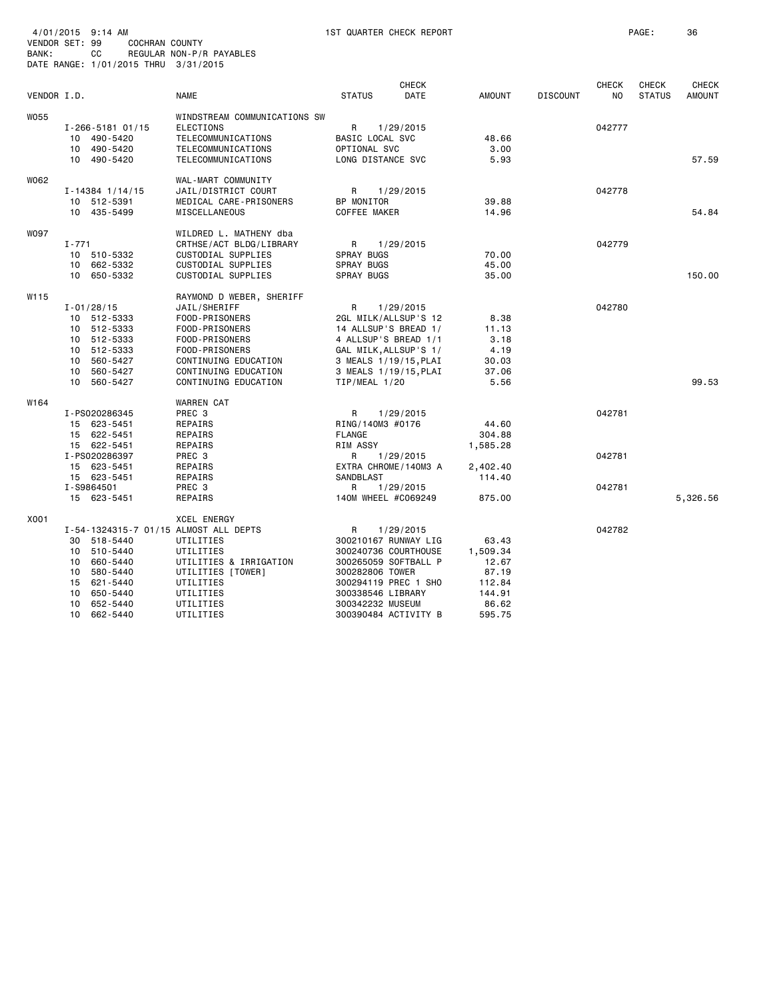| BANK:       | CС<br>DATE RANGE: 1/01/2015 THRU 3/31/2015 | REGULAR NON-P/R PAYABLES              |                                               |                       |                 |                 |                                |                        |                               |
|-------------|--------------------------------------------|---------------------------------------|-----------------------------------------------|-----------------------|-----------------|-----------------|--------------------------------|------------------------|-------------------------------|
| VENDOR I.D. |                                            | <b>NAME</b>                           | <b>STATUS</b>                                 | <b>CHECK</b><br>DATE  | AMOUNT          | <b>DISCOUNT</b> | <b>CHECK</b><br>N <sub>O</sub> | CHECK<br><b>STATUS</b> | <b>CHECK</b><br><b>AMOUNT</b> |
| W055        |                                            | WINDSTREAM COMMUNICATIONS SW          |                                               |                       |                 |                 |                                |                        |                               |
|             | I-266-5181 01/15                           | ELECTIONS                             | R                                             | 1/29/2015             |                 |                 | 042777                         |                        |                               |
|             | 10 490-5420                                | TELECOMMUNICATIONS                    | BASIC LOCAL SVC                               |                       | 48.66           |                 |                                |                        |                               |
|             | 10 490-5420                                | TELECOMMUNICATIONS                    | OPTIONAL SVC                                  |                       | 3,00<br>5.93    |                 |                                |                        |                               |
|             | 10 490-5420                                | TELECOMMUNICATIONS                    |                                               | LONG DISTANCE SVC     |                 |                 |                                |                        | 57.59                         |
| W062        |                                            | WAL-MART COMMUNITY                    |                                               |                       |                 |                 |                                |                        |                               |
|             | $I - 14384$ $1/14/15$                      | JAIL/DISTRICT COURT                   | R                                             | 1/29/2015             |                 |                 | 042778                         |                        |                               |
|             | 10 512-5391                                | MEDICAL CARE-PRISONERS                | BP MONITOR                                    |                       | 39.88           |                 |                                |                        |                               |
|             | 10 435-5499                                | MISCELLANEOUS                         | <b>COFFEE MAKER</b>                           |                       | 14.96           |                 |                                |                        | 54.84                         |
| <b>WO97</b> |                                            | WILDRED L. MATHENY dba                |                                               |                       |                 |                 |                                |                        |                               |
|             | $I - 771$                                  | CRTHSE/ACT BLDG/LIBRARY               | R                                             | 1/29/2015             |                 |                 | 042779                         |                        |                               |
|             | 10 510-5332                                | CUSTODIAL SUPPLIES                    | <b>SPRAY BUGS</b>                             |                       | 70.00           |                 |                                |                        |                               |
|             | 10 662-5332                                | CUSTODIAL SUPPLIES                    | <b>SPRAY BUGS</b>                             |                       | 45.00           |                 |                                |                        |                               |
|             | 10 650-5332                                | CUSTODIAL SUPPLIES                    | <b>SPRAY BUGS</b>                             |                       | 35.00           |                 |                                |                        | 150.00                        |
| W115        |                                            | RAYMOND D WEBER, SHERIFF              |                                               |                       |                 |                 |                                |                        |                               |
|             | $I - 01/28/15$                             | JAIL/SHERIFF                          | R                                             | 1/29/2015             |                 |                 | 042780                         |                        |                               |
|             | 10 512-5333                                | FOOD-PRISONERS                        |                                               | 2GL MILK/ALLSUP'S 12  | 8.38            |                 |                                |                        |                               |
|             | 10 512-5333                                | FOOD-PRISONERS                        | 14 ALLSUP'S BREAD 1/                          |                       | 11.13           |                 |                                |                        |                               |
|             | 10 512-5333<br>10 512-5333                 | FOOD-PRISONERS<br>FOOD-PRISONERS      | 4 ALLSUP'S BREAD 1/1<br>GAL MILK, ALLSUP'S 1/ |                       | 3.18<br>4.19    |                 |                                |                        |                               |
|             | 10 560-5427                                | CONTINUING EDUCATION                  |                                               | 3 MEALS 1/19/15, PLAI | 30.03           |                 |                                |                        |                               |
|             | 10 560-5427                                | CONTINUING EDUCATION                  |                                               | 3 MEALS 1/19/15, PLAI | 37.06           |                 |                                |                        |                               |
|             | 10 560-5427                                | CONTINUING EDUCATION                  | TIP/MEAL 1/20                                 |                       | 5.56            |                 |                                |                        | 99.53                         |
| W164        |                                            | <b>WARREN CAT</b>                     |                                               |                       |                 |                 |                                |                        |                               |
|             | I-PS020286345                              | PREC <sub>3</sub>                     | R                                             | 1/29/2015             |                 |                 | 042781                         |                        |                               |
|             | 15 623-5451                                | REPAIRS                               | RING/140M3 #0176                              |                       | 44.60           |                 |                                |                        |                               |
|             | 15 622-5451                                | REPAIRS                               | <b>FLANGE</b>                                 |                       | 304.88          |                 |                                |                        |                               |
|             | 15 622-5451                                | REPAIRS                               | <b>RIM ASSY</b>                               |                       | 1,585.28        |                 |                                |                        |                               |
|             | I-PS020286397                              | PREC <sub>3</sub>                     | R                                             | 1/29/2015             |                 |                 | 042781                         |                        |                               |
|             | 15 623-5451                                | REPAIRS                               |                                               | EXTRA CHROME/140M3 A  | 2,402.40        |                 |                                |                        |                               |
|             | 15 623-5451                                | REPAIRS                               | <b>SANDBLAST</b>                              |                       | 114.40          |                 |                                |                        |                               |
|             | I-S9864501                                 | PREC 3                                | R                                             | 1/29/2015             |                 |                 | 042781                         |                        |                               |
|             | 15 623-5451                                | REPAIRS                               | 140M WHEEL #C069249                           |                       | 875.00          |                 |                                |                        | 5,326.56                      |
| X001        |                                            | <b>XCEL ENERGY</b>                    |                                               |                       |                 |                 |                                |                        |                               |
|             |                                            | I-54-1324315-7 01/15 ALMOST ALL DEPTS | R                                             | 1/29/2015             |                 |                 | 042782                         |                        |                               |
|             | 30 518-5440                                | UTILITIES                             |                                               | 300210167 RUNWAY LIG  | 63.43           |                 |                                |                        |                               |
|             | 10 510-5440                                | UTILITIES                             |                                               | 300240736 COURTHOUSE  | 1,509.34        |                 |                                |                        |                               |
|             | 10 660-5440<br>10                          | UTILITIES & IRRIGATION                |                                               | 300265059 SOFTBALL P  | 12.67           |                 |                                |                        |                               |
|             | 580-5440<br>15<br>621-5440                 | UTILITIES [TOWER]<br>UTILITIES        | 300282806 TOWER                               | 300294119 PREC 1 SHO  | 87.19<br>112.84 |                 |                                |                        |                               |
|             | 10 650-5440                                | UTILITIES                             | 300338546 LIBRARY                             |                       | 144.91          |                 |                                |                        |                               |
|             | 10 652-5440                                | UTILITIES                             | 300342232 MUSEUM                              |                       | 86.62           |                 |                                |                        |                               |
|             | 10 662-5440                                | UTILITIES                             |                                               | 300390484 ACTIVITY B  | 595.75          |                 |                                |                        |                               |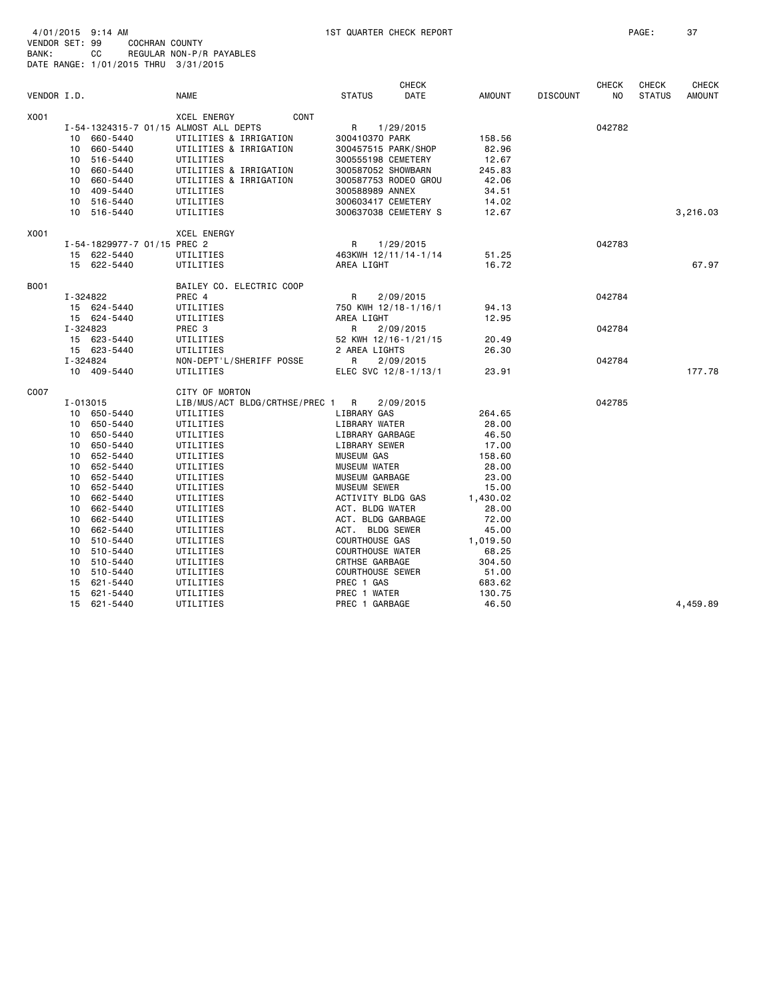| VENDOR I.D. |          |                             | <b>NAME</b>                           | <b>STATUS</b>           | <b>CHECK</b><br><b>DATE</b> | <b>AMOUNT</b> | <b>DISCOUNT</b> | <b>CHECK</b><br>N <sub>O</sub> | <b>CHECK</b><br><b>STATUS</b> | <b>CHECK</b><br><b>AMOUNT</b> |
|-------------|----------|-----------------------------|---------------------------------------|-------------------------|-----------------------------|---------------|-----------------|--------------------------------|-------------------------------|-------------------------------|
| X001        |          |                             | XCEL ENERGY<br><b>CONT</b>            |                         |                             |               |                 |                                |                               |                               |
|             |          |                             | I-54-1324315-7 01/15 ALMOST ALL DEPTS | R                       | 1/29/2015                   |               |                 | 042782                         |                               |                               |
|             |          | 10 660-5440                 | UTILITIES & IRRIGATION                | 300410370 PARK          |                             | 158.56        |                 |                                |                               |                               |
|             |          | 10 660-5440                 | UTILITIES & IRRIGATION                | 300457515 PARK/SHOP     |                             | 82.96         |                 |                                |                               |                               |
|             |          | 10 516-5440                 | UTILITIES                             | 300555198 CEMETERY      |                             | 12.67         |                 |                                |                               |                               |
|             |          | 10 660-5440                 | UTILITIES & IRRIGATION                | 300587052 SHOWBARN      |                             | 245.83        |                 |                                |                               |                               |
|             |          | 10 660-5440                 | UTILITIES & IRRIGATION                |                         | 300587753 RODEO GROU        | 42.06         |                 |                                |                               |                               |
|             |          | 10 409-5440                 | UTILITIES                             | 300588989 ANNEX         |                             | 34.51         |                 |                                |                               |                               |
|             |          | 10 516-5440                 | UTILITIES                             | 300603417 CEMETERY      |                             | 14.02         |                 |                                |                               |                               |
|             |          | 10 516-5440                 | UTILITIES                             |                         | 300637038 CEMETERY S        | 12.67         |                 |                                |                               | 3,216.03                      |
| X001        |          |                             | <b>XCEL ENERGY</b>                    |                         |                             |               |                 |                                |                               |                               |
|             |          | I-54-1829977-7 01/15 PREC 2 |                                       | R                       | 1/29/2015                   |               |                 | 042783                         |                               |                               |
|             |          | 15 622-5440                 | UTILITIES                             |                         | 463KWH 12/11/14-1/14        | 51.25         |                 |                                |                               |                               |
|             |          | 15 622-5440                 | UTILITIES                             | AREA LIGHT              |                             | 16.72         |                 |                                |                               | 67.97                         |
| B001        |          |                             | BAILEY CO. ELECTRIC COOP              |                         |                             |               |                 |                                |                               |                               |
|             |          | I-324822                    | PREC 4                                | R                       | 2/09/2015                   |               |                 | 042784                         |                               |                               |
|             |          | 15 624-5440                 | UTILITIES                             |                         | 750 KWH 12/18-1/16/1        | 94.13         |                 |                                |                               |                               |
|             |          | 15 624-5440                 | UTILITIES                             | AREA LIGHT              |                             | 12.95         |                 |                                |                               |                               |
|             | I-324823 |                             | PREC <sub>3</sub>                     | R                       | 2/09/2015                   |               |                 | 042784                         |                               |                               |
|             |          | 15 623-5440                 | UTILITIES                             |                         | 52 KWH 12/16-1/21/15        | 20.49         |                 |                                |                               |                               |
|             |          | 15 623-5440                 | UTILITIES                             | 2 AREA LIGHTS           |                             | 26.30         |                 |                                |                               |                               |
|             |          | I-324824                    | NON-DEPT'L/SHERIFF POSSE              | $\mathsf{R}$            | 2/09/2015                   |               |                 | 042784                         |                               |                               |
|             |          | 10 409-5440                 | UTILITIES                             |                         | ELEC SVC 12/8-1/13/1        | 23.91         |                 |                                |                               | 177.78                        |
| C007        |          |                             | CITY OF MORTON                        |                         |                             |               |                 |                                |                               |                               |
|             |          | I-013015                    | LIB/MUS/ACT BLDG/CRTHSE/PREC 1 R      |                         | 2/09/2015                   |               |                 | 042785                         |                               |                               |
|             |          | 10 650-5440                 | UTILITIES                             | LIBRARY GAS             |                             | 264.65        |                 |                                |                               |                               |
|             |          | 10 650-5440                 | UTILITIES                             | LIBRARY WATER           |                             | 28.00         |                 |                                |                               |                               |
|             |          | 10 650-5440                 | UTILITIES                             | LIBRARY GARBAGE         |                             | 46.50         |                 |                                |                               |                               |
|             |          | 10 650-5440                 | UTILITIES                             | LIBRARY SEWER           |                             | 17.00         |                 |                                |                               |                               |
|             |          | 10 652-5440                 | UTILITIES                             | <b>MUSEUM GAS</b>       |                             | 158.60        |                 |                                |                               |                               |
|             |          | 10 652-5440                 | UTILITIES                             | <b>MUSEUM WATER</b>     |                             | 28.00         |                 |                                |                               |                               |
|             |          | 10 652-5440                 | UTILITIES                             | MUSEUM GARBAGE          |                             | 23.00         |                 |                                |                               |                               |
|             |          | 10 652-5440                 | UTILITIES                             | <b>MUSEUM SEWER</b>     |                             | 15.00         |                 |                                |                               |                               |
|             |          | 10 662-5440                 | UTILITIES                             | ACTIVITY BLDG GAS       |                             | 1,430.02      |                 |                                |                               |                               |
|             |          | 10 662-5440                 | UTILITIES                             | ACT. BLDG WATER         |                             | 28.00         |                 |                                |                               |                               |
|             |          | 10 662-5440                 | UTILITIES                             | ACT. BLDG GARBAGE       |                             | 72.00         |                 |                                |                               |                               |
|             |          | 10 662-5440                 | UTILITIES                             | ACT. BLDG SEWER         |                             | 45.00         |                 |                                |                               |                               |
|             |          | 10 510-5440                 | UTILITIES                             | <b>COURTHOUSE GAS</b>   |                             | 1,019.50      |                 |                                |                               |                               |
|             |          | 10 510-5440                 | UTILITIES                             | <b>COURTHOUSE WATER</b> |                             | 68.25         |                 |                                |                               |                               |
|             |          | 10 510-5440                 | UTILITIES                             | <b>CRTHSE GARBAGE</b>   |                             | 304.50        |                 |                                |                               |                               |
|             |          | 10 510-5440                 | UTILITIES                             | <b>COURTHOUSE SEWER</b> |                             | 51.00         |                 |                                |                               |                               |
|             |          | 15 621-5440                 | UTILITIES                             | PREC 1 GAS              |                             | 683.62        |                 |                                |                               |                               |
|             | 15       | 621-5440                    | UTILITIES                             | PREC 1 WATER            |                             | 130.75        |                 |                                |                               |                               |
|             |          | 15 621-5440                 | UTILITIES                             | PREC 1 GARBAGE          |                             | 46.50         |                 |                                |                               | 4,459.89                      |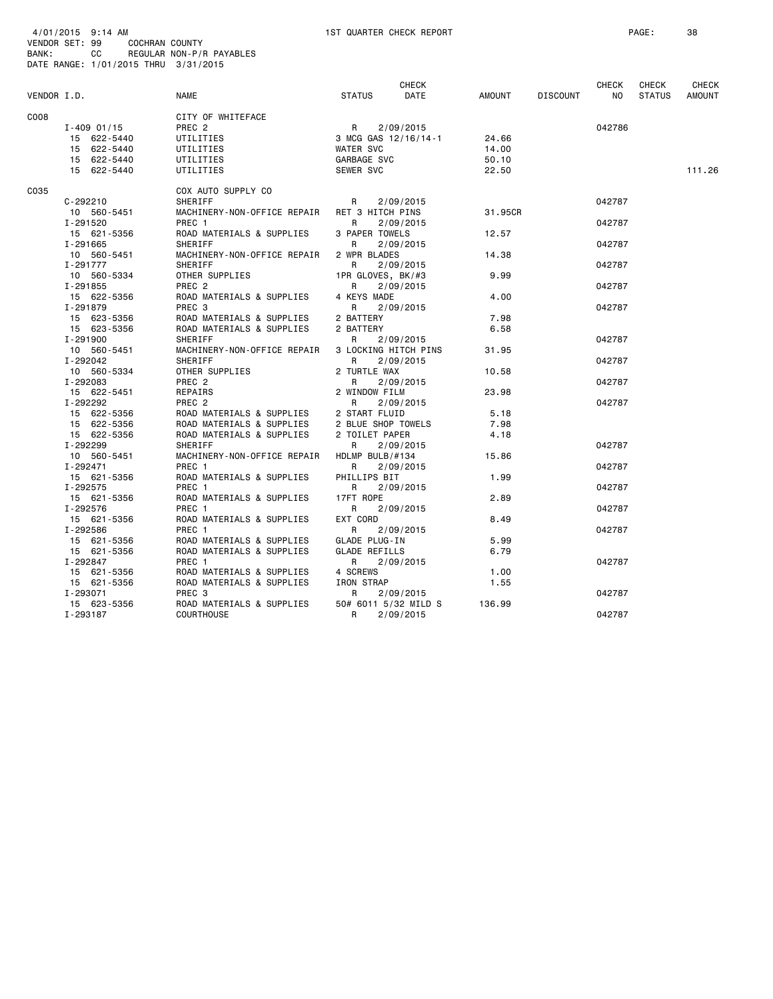| <b>BANK:</b> | VENDOR SET: 99<br>CC                 | COCHRAN COUNTY<br>REGULAR NON-P/R PAYABLES |                      |                      |         |                 |             |                        |                               |
|--------------|--------------------------------------|--------------------------------------------|----------------------|----------------------|---------|-----------------|-------------|------------------------|-------------------------------|
|              | DATE RANGE: 1/01/2015 THRU 3/31/2015 |                                            |                      |                      |         |                 |             |                        |                               |
|              |                                      |                                            |                      |                      |         |                 |             |                        |                               |
| VENDOR I.D.  |                                      | <b>NAME</b>                                | <b>STATUS</b>        | CHECK<br>DATE        | AMOUNT  | <b>DISCOUNT</b> | CHECK<br>NO | CHECK<br><b>STATUS</b> | <b>CHECK</b><br><b>AMOUNT</b> |
|              |                                      |                                            |                      |                      |         |                 |             |                        |                               |
| C008         |                                      | CITY OF WHITEFACE                          |                      |                      |         |                 |             |                        |                               |
|              | $I - 409$ 01/15                      | PREC <sub>2</sub>                          | R                    | 2/09/2015            |         |                 | 042786      |                        |                               |
|              | 15 622-5440                          | UTILITIES                                  |                      | 3 MCG GAS 12/16/14-1 | 24.66   |                 |             |                        |                               |
|              | 15 622-5440                          | UTILITIES                                  | WATER SVC            |                      | 14.00   |                 |             |                        |                               |
|              | 15 622-5440                          | UTILITIES                                  | GARBAGE SVC          |                      | 50.10   |                 |             |                        |                               |
|              | 15 622-5440                          | UTILITIES                                  | SEWER SVC            |                      | 22.50   |                 |             |                        | 111.26                        |
| C035         |                                      | COX AUTO SUPPLY CO                         |                      |                      |         |                 |             |                        |                               |
|              | $C - 292210$                         | SHERIFF                                    | R                    | 2/09/2015            |         |                 | 042787      |                        |                               |
|              | 10 560-5451                          | MACHINERY-NON-OFFICE REPAIR                | RET 3 HITCH PINS     |                      | 31,95CR |                 |             |                        |                               |
|              | I-291520                             | PREC 1                                     | R                    | 2/09/2015            |         |                 | 042787      |                        |                               |
|              | 15 621-5356                          | ROAD MATERIALS & SUPPLIES                  | 3 PAPER TOWELS       |                      | 12.57   |                 |             |                        |                               |
|              | I-291665                             | SHERIFF                                    | R.                   | 2/09/2015            |         |                 | 042787      |                        |                               |
|              | 10 560-5451                          | MACHINERY-NON-OFFICE REPAIR                | 2 WPR BLADES         |                      | 14.38   |                 |             |                        |                               |
|              | I-291777                             | SHERIFF                                    | R                    | 2/09/2015            |         |                 | 042787      |                        |                               |
|              | 10 560-5334                          | OTHER SUPPLIES                             | 1PR GLOVES, BK/#3    |                      | 9.99    |                 |             |                        |                               |
|              | I-291855                             | PREC 2                                     | R                    | 2/09/2015            |         |                 | 042787      |                        |                               |
|              | 15 622-5356                          | ROAD MATERIALS & SUPPLIES                  | 4 KEYS MADE          |                      | 4.00    |                 |             |                        |                               |
|              | I-291879                             | PREC <sub>3</sub>                          | R                    | 2/09/2015            |         |                 | 042787      |                        |                               |
|              | 15 623-5356                          | ROAD MATERIALS & SUPPLIES                  | 2 BATTERY            |                      | 7.98    |                 |             |                        |                               |
|              | 15 623-5356                          | ROAD MATERIALS & SUPPLIES                  | 2 BATTERY            |                      | 6.58    |                 |             |                        |                               |
|              | I-291900                             | SHERIFF                                    | R                    | 2/09/2015            |         |                 | 042787      |                        |                               |
|              | 10 560-5451                          | MACHINERY-NON-OFFICE REPAIR                |                      | 3 LOCKING HITCH PINS | 31.95   |                 |             |                        |                               |
|              | I-292042                             | SHERIFF                                    | R                    | 2/09/2015            |         |                 | 042787      |                        |                               |
|              | 10 560-5334                          | OTHER SUPPLIES                             | 2 TURTLE WAX         |                      | 10.58   |                 |             |                        |                               |
|              | I-292083                             | PREC <sub>2</sub>                          | R                    | 2/09/2015            |         |                 | 042787      |                        |                               |
|              | 15 622-5451                          | REPAIRS                                    | 2 WINDOW FILM        |                      | 23.98   |                 |             |                        |                               |
|              | I-292292                             | PREC <sub>2</sub>                          | R                    | 2/09/2015            |         |                 | 042787      |                        |                               |
|              | 15 622-5356                          | ROAD MATERIALS & SUPPLIES                  | 2 START FLUID        |                      | 5.18    |                 |             |                        |                               |
|              | 15 622-5356                          | ROAD MATERIALS & SUPPLIES                  | 2 BLUE SHOP TOWELS   |                      | 7.98    |                 |             |                        |                               |
|              | 15 622-5356                          | ROAD MATERIALS & SUPPLIES                  | 2 TOILET PAPER       |                      | 4.18    |                 |             |                        |                               |
|              | I-292299                             | SHERIFF                                    | R                    | 2/09/2015            |         |                 | 042787      |                        |                               |
|              | 10 560-5451                          | MACHINERY-NON-OFFICE REPAIR                | HDLMP BULB/#134      |                      | 15.86   |                 |             |                        |                               |
|              | I-292471                             | PREC 1                                     | R                    | 2/09/2015            |         |                 | 042787      |                        |                               |
|              | 15 621-5356                          | ROAD MATERIALS & SUPPLIES                  | PHILLIPS BIT         |                      | 1.99    |                 |             |                        |                               |
|              | I-292575                             | PREC 1                                     | R                    | 2/09/2015            |         |                 | 042787      |                        |                               |
|              | 15 621-5356                          | ROAD MATERIALS & SUPPLIES                  | 17FT ROPE            |                      | 2.89    |                 |             |                        |                               |
|              | I-292576                             | PREC <sub>1</sub>                          | R                    | 2/09/2015            |         |                 | 042787      |                        |                               |
|              | 15 621-5356                          | ROAD MATERIALS & SUPPLIES                  | EXT CORD             |                      | 8.49    |                 |             |                        |                               |
|              | I-292586                             | PREC 1                                     | R                    | 2/09/2015            |         |                 | 042787      |                        |                               |
|              | 15 621-5356                          | ROAD MATERIALS & SUPPLIES                  | GLADE PLUG-IN        |                      | 5.99    |                 |             |                        |                               |
|              | 15 621-5356                          | ROAD MATERIALS & SUPPLIES                  | <b>GLADE REFILLS</b> |                      | 6.79    |                 |             |                        |                               |
|              | I-292847                             | PREC 1                                     | R                    | 2/09/2015            |         |                 | 042787      |                        |                               |
|              | 15 621-5356                          | ROAD MATERIALS & SUPPLIES                  | 4 SCREWS             |                      | 1.00    |                 |             |                        |                               |
|              | 15 621-5356                          | ROAD MATERIALS & SUPPLIES                  | IRON STRAP           |                      | 1.55    |                 |             |                        |                               |
|              | I-293071                             | PREC <sub>3</sub>                          | R.                   | 2/09/2015            |         |                 | 042787      |                        |                               |
|              | 15 623-5356                          | ROAD MATERIALS & SUPPLIES                  |                      | 50# 6011 5/32 MILD S | 136.99  |                 |             |                        |                               |
|              | I-293187                             | <b>COURTHOUSE</b>                          | R                    | 2/09/2015            |         |                 | 042787      |                        |                               |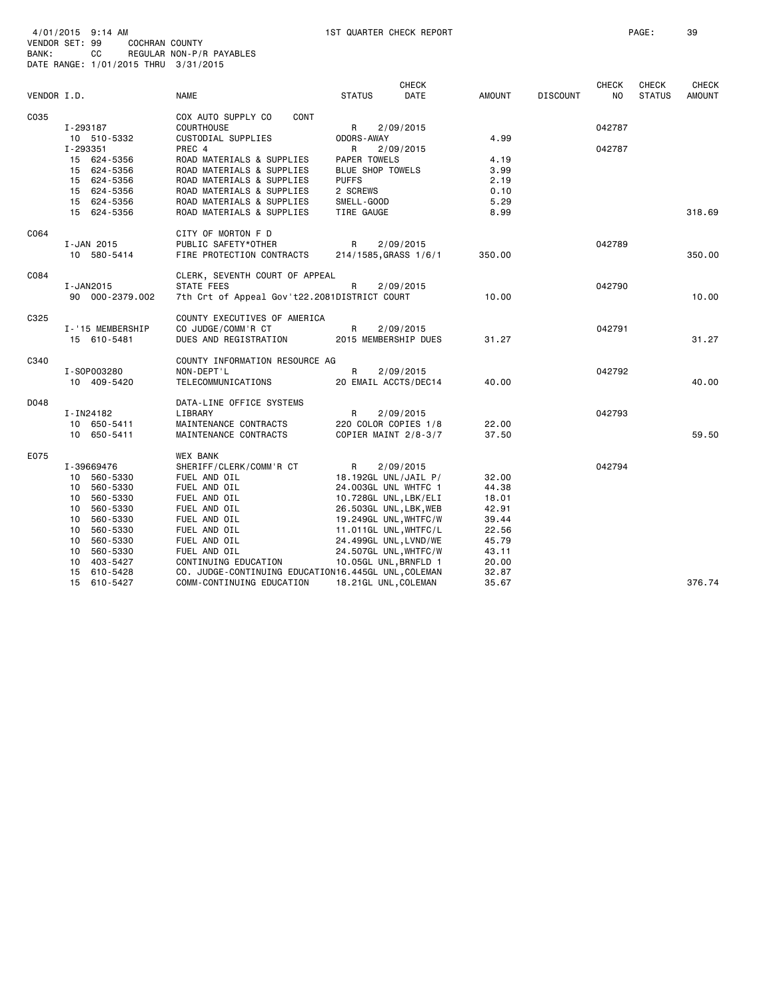| VENDOR I.D. |                                           | <b>NAME</b>                                                                                  | <b>STATUS</b>                                  | CHECK<br>DATE                                | <b>AMOUNT</b>        | <b>DISCOUNT</b> | <b>CHECK</b><br>NO. | <b>CHECK</b><br><b>STATUS</b> | <b>CHECK</b><br><b>AMOUNT</b> |
|-------------|-------------------------------------------|----------------------------------------------------------------------------------------------|------------------------------------------------|----------------------------------------------|----------------------|-----------------|---------------------|-------------------------------|-------------------------------|
| C035        | I-293187<br>10 510-5332                   | COX AUTO SUPPLY CO<br>CONT<br><b>COURTHOUSE</b><br>CUSTODIAL SUPPLIES                        | R<br><b>ODORS-AWAY</b>                         | 2/09/2015                                    | 4.99                 |                 | 042787              |                               |                               |
|             | I-293351<br>15 624-5356<br>15 624-5356    | PREC 4<br>ROAD MATERIALS & SUPPLIES<br>ROAD MATERIALS & SUPPLIES                             | R<br><b>PAPER TOWELS</b><br>BLUE SHOP TOWELS   | 2/09/2015                                    | 4.19<br>3.99         |                 | 042787              |                               |                               |
|             | 15 624-5356<br>15 624-5356<br>15 624-5356 | ROAD MATERIALS & SUPPLIES<br>ROAD MATERIALS & SUPPLIES<br>ROAD MATERIALS & SUPPLIES          | <b>PUFFS</b><br>2 SCREWS<br>SMELL-GOOD         |                                              | 2.19<br>0.10<br>5.29 |                 |                     |                               |                               |
|             | 15 624-5356                               | ROAD MATERIALS & SUPPLIES                                                                    | TIRE GAUGE                                     |                                              | 8.99                 |                 |                     |                               | 318.69                        |
| C064        | I-JAN 2015<br>10 580-5414                 | CITY OF MORTON F D<br>PUBLIC SAFETY*OTHER<br>FIRE PROTECTION CONTRACTS                       | R<br>214/1585, GRASS 1/6/1                     | 2/09/2015                                    | 350.00               |                 | 042789              |                               | 350,00                        |
| C084        | I-JAN2015<br>90 000-2379.002              | CLERK, SEVENTH COURT OF APPEAL<br>STATE FEES<br>7th Crt of Appeal Gov't22.2081DISTRICT COURT | R                                              | 2/09/2015                                    | 10.00                |                 | 042790              |                               | 10.00                         |
| C325        | I-'15 MEMBERSHIP<br>15 610-5481           | COUNTY EXECUTIVES OF AMERICA<br>CO JUDGE/COMM'R CT<br>DUES AND REGISTRATION                  | R<br>2015 MEMBERSHIP DUES                      | 2/09/2015                                    | 31.27                |                 | 042791              |                               | 31.27                         |
| C340        |                                           | COUNTY INFORMATION RESOURCE AG                                                               |                                                |                                              |                      |                 |                     |                               |                               |
|             | I-S0P003280<br>10 409-5420                | NON-DEPT'L<br>TELECOMMUNICATIONS                                                             | R                                              | 2/09/2015<br>20 EMAIL ACCTS/DEC14            | 40.00                |                 | 042792              |                               | 40.00                         |
| D048        | I-IN24182                                 | DATA-LINE OFFICE SYSTEMS<br>LIBRARY                                                          | R                                              | 2/09/2015                                    |                      |                 | 042793              |                               |                               |
|             | 10 650-5411<br>10 650-5411                | MAINTENANCE CONTRACTS<br>MAINTENANCE CONTRACTS                                               |                                                | 220 COLOR COPIES 1/8<br>COPIER MAINT 2/8-3/7 | 22.00<br>37.50       |                 |                     |                               | 59.50                         |
| E075        | I-39669476                                | <b>WEX BANK</b><br>SHERIFF/CLERK/COMM'R CT                                                   | R                                              | 2/09/2015                                    |                      |                 | 042794              |                               |                               |
|             | 10 560-5330                               | FUEL AND OIL                                                                                 | 18.192GL UNL/JAIL P/                           |                                              | 32.00                |                 |                     |                               |                               |
|             | 560-5330<br>10                            | FUEL AND OIL                                                                                 | 24.003GL UNL WHTFC 1                           |                                              | 44.38                |                 |                     |                               |                               |
|             | 10 560-5330                               | FUEL AND OIL                                                                                 | 10.728GL UNL, LBK/ELI                          |                                              | 18.01                |                 |                     |                               |                               |
|             | 560-5330<br>10                            | FUEL AND OIL                                                                                 | 26.503GL UNL, LBK, WEB                         |                                              | 42.91                |                 |                     |                               |                               |
|             | 560-5330<br>10<br>10                      | FUEL AND OIL<br>FUEL AND OIL                                                                 | 19.249GL UNL, WHTFC/W                          |                                              | 39.44<br>22.56       |                 |                     |                               |                               |
|             | 560-5330<br>560-5330<br>10                | FUEL AND OIL                                                                                 | 11.011GL UNL, WHTFC/L<br>24.499GL UNL, LVND/WE |                                              | 45.79                |                 |                     |                               |                               |
|             | 560-5330<br>10                            | FUEL AND OIL                                                                                 | 24.507GL UNL, WHTFC/W                          |                                              | 43.11                |                 |                     |                               |                               |
|             | 403-5427<br>10                            | CONTINUING EDUCATION                                                                         | 10.05GL UNL, BRNFLD 1                          |                                              | 20.00                |                 |                     |                               |                               |
|             | 15 610-5428                               | CO. JUDGE-CONTINUING EDUCATION16.445GL UNL, COLEMAN                                          |                                                |                                              | 32.87                |                 |                     |                               |                               |
|             | 15 610-5427                               | COMM-CONTINUING EDUCATION                                                                    | 18.21GL UNL, COLEMAN                           |                                              | 35.67                |                 |                     |                               | 376.74                        |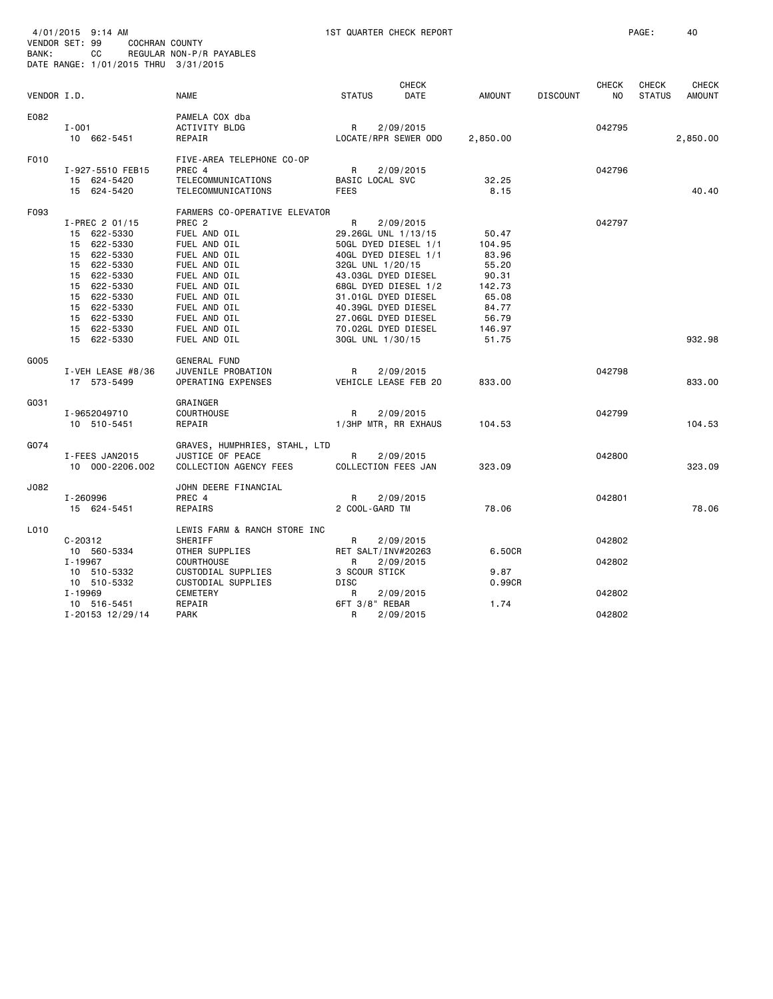| CHECK<br><b>CHECK</b><br><b>CHECK</b><br><b>STATUS</b><br>DATE<br>AMOUNT<br><b>DISCOUNT</b><br>N <sub>O</sub><br><b>STATUS</b><br>VENDOR I.D.<br><b>NAME</b><br>E082<br>PAMELA COX dba<br>$I - 001$<br>ACTIVITY BLDG<br>R<br>2/09/2015<br>042795<br>10 662-5451<br>REPAIR<br>LOCATE/RPR SEWER ODO<br>2,850.00<br>2,850.00<br>F010<br>FIVE-AREA TELEPHONE CO-OP<br>PREC 4<br>R<br>2/09/2015<br>042796<br>I-927-5510 FEB15<br>TELECOMMUNICATIONS<br>BASIC LOCAL SVC<br>32.25<br>15 624-5420<br>15 624-5420<br>TELECOMMUNICATIONS<br><b>FEES</b><br>8.15<br>F093<br>FARMERS CO-OPERATIVE ELEVATOR<br>R<br>042797<br>$I-PREC$ 2 01/15<br>PREC <sub>2</sub><br>2/09/2015<br>15 622-5330<br>FUEL AND OIL<br>29.26GL UNL 1/13/15<br>50.47<br>FUEL AND OIL<br>15 622-5330<br>50GL DYED DIESEL 1/1<br>104.95<br>15 622-5330<br>FUEL AND OIL<br>40GL DYED DIESEL 1/1<br>83.96<br>15 622-5330<br>FUEL AND OIL<br>32GL UNL 1/20/15<br>55.20<br>15 622-5330<br>FUEL AND OIL<br>43.03GL DYED DIESEL<br>90.31<br>15 622-5330<br>FUEL AND OIL<br>68GL DYED DIESEL 1/2<br>142.73<br>15 622-5330<br>FUEL AND OIL<br>31.01GL DYED DIESEL<br>65.08<br>15 622-5330<br>FUEL AND OIL<br>40.39GL DYED DIESEL<br>84.77<br>15 622-5330<br>FUEL AND OIL<br>27.06GL DYED DIESEL<br>56.79<br>15 622-5330<br>FUEL AND OIL<br>70.02GL DYED DIESEL<br>146.97<br>15 622-5330<br>FUEL AND OIL<br>30GL UNL 1/30/15<br>51.75<br>G005<br><b>GENERAL FUND</b><br>JUVENILE PROBATION<br>R<br>2/09/2015<br>042798<br>I-VEH LEASE $#8/36$<br>VEHICLE LEASE FEB 20<br>17 573-5499<br>OPERATING EXPENSES<br>833,00<br>G031<br>GRAINGER<br>I-9652049710<br><b>COURTHOUSE</b><br>R<br>2/09/2015<br>042799<br>10 510-5451<br>REPAIR<br>1/3HP MTR, RR EXHAUS<br>104.53<br>G074<br>GRAVES, HUMPHRIES, STAHL, LTD<br>I-FEES JAN2015<br>JUSTICE OF PEACE<br>R<br>2/09/2015<br>042800<br>COLLECTION FEES JAN<br>323.09<br>10 000-2206.002<br>COLLECTION AGENCY FEES<br>J082<br>JOHN DEERE FINANCIAL<br>I-260996<br>PREC 4<br>R<br>2/09/2015<br>042801<br>2 COOL-GARD TM<br>78.06<br>15 624-5451<br>REPAIRS<br>L010<br>LEWIS FARM & RANCH STORE INC<br>$C - 20312$<br>SHERIFF<br>042802<br>R<br>2/09/2015<br>OTHER SUPPLIES<br>RET SALT/INV#20263<br>6.50CR<br>10 560-5334<br>I-19967<br><b>COURTHOUSE</b><br>2/09/2015<br>042802<br>R<br>10 510-5332<br>CUSTODIAL SUPPLIES<br>3 SCOUR STICK<br>9.87<br>DISC<br>10 510-5332<br>CUSTODIAL SUPPLIES<br>0.99CR<br>I-19969<br>042802<br>CEMETERY<br>R<br>2/09/2015<br>6FT 3/8" REBAR<br>1.74<br>10 516-5451<br>REPAIR<br>I-20153 12/29/14<br>042802<br><b>PARK</b><br>R<br>2/09/2015 | BANK: | 4/01/2015 9:14 AM<br>VENDOR SET: 99<br>COCHRAN COUNTY<br>CC<br>DATE RANGE: 1/01/2015 THRU 3/31/2015 | REGULAR NON-P/R PAYABLES | 1ST QUARTER CHECK REPORT |  | PAGE: | 40                            |
|------------------------------------------------------------------------------------------------------------------------------------------------------------------------------------------------------------------------------------------------------------------------------------------------------------------------------------------------------------------------------------------------------------------------------------------------------------------------------------------------------------------------------------------------------------------------------------------------------------------------------------------------------------------------------------------------------------------------------------------------------------------------------------------------------------------------------------------------------------------------------------------------------------------------------------------------------------------------------------------------------------------------------------------------------------------------------------------------------------------------------------------------------------------------------------------------------------------------------------------------------------------------------------------------------------------------------------------------------------------------------------------------------------------------------------------------------------------------------------------------------------------------------------------------------------------------------------------------------------------------------------------------------------------------------------------------------------------------------------------------------------------------------------------------------------------------------------------------------------------------------------------------------------------------------------------------------------------------------------------------------------------------------------------------------------------------------------------------------------------------------------------------------------------------------------------------------------------------------------------------------------------------------------------------------------------------------------------------------------------------------------------------------------------------------------------------------------------------------------------------------------------------------------------------------------------------------|-------|-----------------------------------------------------------------------------------------------------|--------------------------|--------------------------|--|-------|-------------------------------|
|                                                                                                                                                                                                                                                                                                                                                                                                                                                                                                                                                                                                                                                                                                                                                                                                                                                                                                                                                                                                                                                                                                                                                                                                                                                                                                                                                                                                                                                                                                                                                                                                                                                                                                                                                                                                                                                                                                                                                                                                                                                                                                                                                                                                                                                                                                                                                                                                                                                                                                                                                                              |       |                                                                                                     |                          |                          |  |       | <b>CHECK</b><br><b>AMOUNT</b> |
|                                                                                                                                                                                                                                                                                                                                                                                                                                                                                                                                                                                                                                                                                                                                                                                                                                                                                                                                                                                                                                                                                                                                                                                                                                                                                                                                                                                                                                                                                                                                                                                                                                                                                                                                                                                                                                                                                                                                                                                                                                                                                                                                                                                                                                                                                                                                                                                                                                                                                                                                                                              |       |                                                                                                     |                          |                          |  |       |                               |
|                                                                                                                                                                                                                                                                                                                                                                                                                                                                                                                                                                                                                                                                                                                                                                                                                                                                                                                                                                                                                                                                                                                                                                                                                                                                                                                                                                                                                                                                                                                                                                                                                                                                                                                                                                                                                                                                                                                                                                                                                                                                                                                                                                                                                                                                                                                                                                                                                                                                                                                                                                              |       |                                                                                                     |                          |                          |  |       | 40.40                         |
|                                                                                                                                                                                                                                                                                                                                                                                                                                                                                                                                                                                                                                                                                                                                                                                                                                                                                                                                                                                                                                                                                                                                                                                                                                                                                                                                                                                                                                                                                                                                                                                                                                                                                                                                                                                                                                                                                                                                                                                                                                                                                                                                                                                                                                                                                                                                                                                                                                                                                                                                                                              |       |                                                                                                     |                          |                          |  |       | 932.98                        |
|                                                                                                                                                                                                                                                                                                                                                                                                                                                                                                                                                                                                                                                                                                                                                                                                                                                                                                                                                                                                                                                                                                                                                                                                                                                                                                                                                                                                                                                                                                                                                                                                                                                                                                                                                                                                                                                                                                                                                                                                                                                                                                                                                                                                                                                                                                                                                                                                                                                                                                                                                                              |       |                                                                                                     |                          |                          |  |       | 833,00                        |
|                                                                                                                                                                                                                                                                                                                                                                                                                                                                                                                                                                                                                                                                                                                                                                                                                                                                                                                                                                                                                                                                                                                                                                                                                                                                                                                                                                                                                                                                                                                                                                                                                                                                                                                                                                                                                                                                                                                                                                                                                                                                                                                                                                                                                                                                                                                                                                                                                                                                                                                                                                              |       |                                                                                                     |                          |                          |  |       | 104.53                        |
|                                                                                                                                                                                                                                                                                                                                                                                                                                                                                                                                                                                                                                                                                                                                                                                                                                                                                                                                                                                                                                                                                                                                                                                                                                                                                                                                                                                                                                                                                                                                                                                                                                                                                                                                                                                                                                                                                                                                                                                                                                                                                                                                                                                                                                                                                                                                                                                                                                                                                                                                                                              |       |                                                                                                     |                          |                          |  |       | 323.09                        |
|                                                                                                                                                                                                                                                                                                                                                                                                                                                                                                                                                                                                                                                                                                                                                                                                                                                                                                                                                                                                                                                                                                                                                                                                                                                                                                                                                                                                                                                                                                                                                                                                                                                                                                                                                                                                                                                                                                                                                                                                                                                                                                                                                                                                                                                                                                                                                                                                                                                                                                                                                                              |       |                                                                                                     |                          |                          |  |       | 78.06                         |
|                                                                                                                                                                                                                                                                                                                                                                                                                                                                                                                                                                                                                                                                                                                                                                                                                                                                                                                                                                                                                                                                                                                                                                                                                                                                                                                                                                                                                                                                                                                                                                                                                                                                                                                                                                                                                                                                                                                                                                                                                                                                                                                                                                                                                                                                                                                                                                                                                                                                                                                                                                              |       |                                                                                                     |                          |                          |  |       |                               |
|                                                                                                                                                                                                                                                                                                                                                                                                                                                                                                                                                                                                                                                                                                                                                                                                                                                                                                                                                                                                                                                                                                                                                                                                                                                                                                                                                                                                                                                                                                                                                                                                                                                                                                                                                                                                                                                                                                                                                                                                                                                                                                                                                                                                                                                                                                                                                                                                                                                                                                                                                                              |       |                                                                                                     |                          |                          |  |       |                               |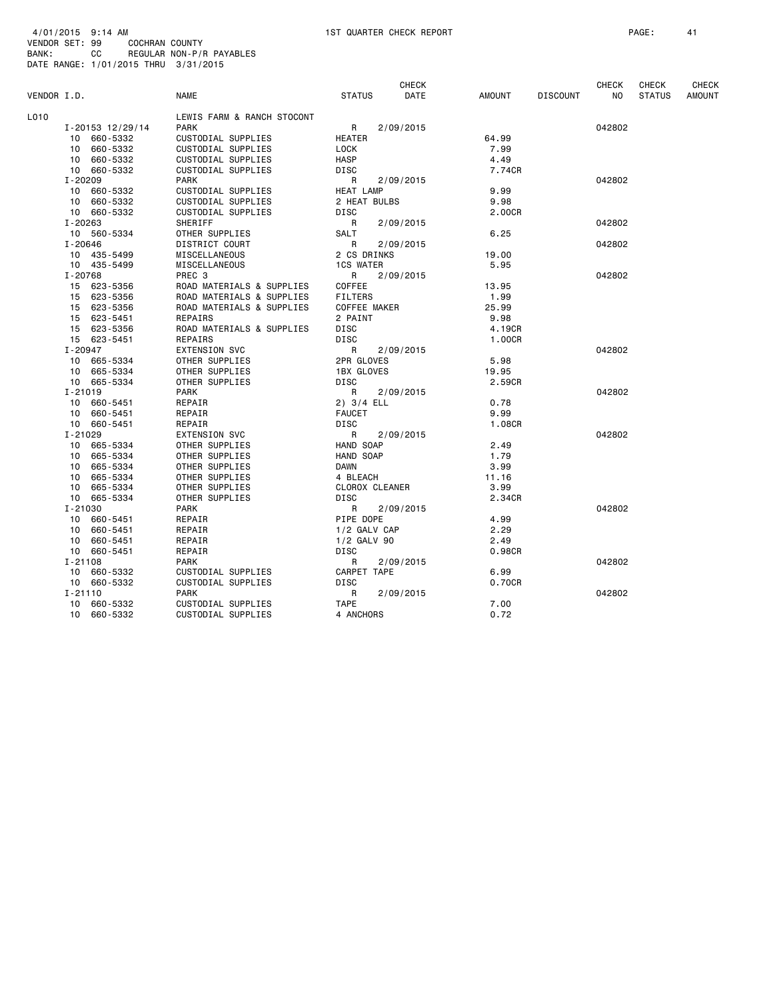|             |                  |                            |                       | <b>CHECK</b> |        |                 | <b>CHECK</b> | <b>CHECK</b>  | <b>CHECK</b>  |
|-------------|------------------|----------------------------|-----------------------|--------------|--------|-----------------|--------------|---------------|---------------|
| VENDOR I.D. |                  | <b>NAME</b>                | <b>STATUS</b>         | DATE         | AMOUNT | <b>DISCOUNT</b> | NO.          | <b>STATUS</b> | <b>AMOUNT</b> |
| L010        |                  | LEWIS FARM & RANCH STOCONT |                       |              |        |                 |              |               |               |
|             | I-20153 12/29/14 | <b>PARK</b>                | R                     | 2/09/2015    |        |                 | 042802       |               |               |
|             | 10 660-5332      | CUSTODIAL SUPPLIES         | HEATER                |              | 64.99  |                 |              |               |               |
|             | 10 660-5332      | CUSTODIAL SUPPLIES         | LOCK                  |              | 7.99   |                 |              |               |               |
|             | 10 660-5332      | CUSTODIAL SUPPLIES         | <b>HASP</b>           |              | 4.49   |                 |              |               |               |
|             | 10 660-5332      | CUSTODIAL SUPPLIES         | DISC                  |              | 7.74CR |                 |              |               |               |
|             | $I - 20209$      | <b>PARK</b>                | $\mathsf{R}$          | 2/09/2015    |        |                 | 042802       |               |               |
|             | 10 660-5332      | CUSTODIAL SUPPLIES         | <b>HEAT LAMP</b>      |              | 9.99   |                 |              |               |               |
|             | 10 660-5332      | CUSTODIAL SUPPLIES         | 2 HEAT BULBS          |              | 9.98   |                 |              |               |               |
|             | 10 660-5332      | CUSTODIAL SUPPLIES         | <b>DISC</b>           |              | 2.00CR |                 |              |               |               |
|             | I-20263          | SHERIFF                    | R                     | 2/09/2015    |        |                 | 042802       |               |               |
|             | 10 560-5334      | OTHER SUPPLIES             | SALT                  |              | 6.25   |                 |              |               |               |
|             | $I - 20646$      | DISTRICT COURT             | R                     | 2/09/2015    |        |                 | 042802       |               |               |
|             | 10 435-5499      | MISCELLANEOUS              | 2 CS DRINKS           |              | 19.00  |                 |              |               |               |
|             | 10 435-5499      | MISCELLANEOUS              | <b>1CS WATER</b>      |              | 5.95   |                 |              |               |               |
|             | I-20768          | PREC 3                     | R                     | 2/09/2015    |        |                 | 042802       |               |               |
|             | 15 623-5356      | ROAD MATERIALS & SUPPLIES  | COFFEE                |              | 13.95  |                 |              |               |               |
|             | 15 623-5356      | ROAD MATERIALS & SUPPLIES  | <b>FILTERS</b>        |              | 1.99   |                 |              |               |               |
|             | 15 623-5356      | ROAD MATERIALS & SUPPLIES  | COFFEE MAKER          |              | 25.99  |                 |              |               |               |
|             | 15 623-5451      | REPAIRS                    | 2 PAINT               |              | 9.98   |                 |              |               |               |
|             | 15 623-5356      | ROAD MATERIALS & SUPPLIES  | DISC                  |              | 4.19CR |                 |              |               |               |
|             | 15 623-5451      | REPAIRS                    | <b>DISC</b>           |              | 1.00CR |                 |              |               |               |
|             | I-20947          | <b>EXTENSION SVC</b>       | R                     | 2/09/2015    |        |                 | 042802       |               |               |
|             | 10 665-5334      | OTHER SUPPLIES             | 2PR GLOVES            |              | 5.98   |                 |              |               |               |
|             | 10 665-5334      | OTHER SUPPLIES             | 1BX GLOVES            |              | 19.95  |                 |              |               |               |
|             | 10 665-5334      | OTHER SUPPLIES             | DISC                  |              | 2.59CR |                 |              |               |               |
|             | $I - 21019$      | <b>PARK</b>                | R                     | 2/09/2015    |        |                 | 042802       |               |               |
|             | 10 660-5451      | REPAIR                     | $2)$ 3/4 ELL          |              | 0.78   |                 |              |               |               |
|             | 10 660-5451      | REPAIR                     | <b>FAUCET</b>         |              | 9.99   |                 |              |               |               |
|             | 10 660-5451      | REPAIR                     | DISC                  |              | 1.08CR |                 |              |               |               |
|             | I-21029          | EXTENSION SVC              | R                     | 2/09/2015    |        |                 | 042802       |               |               |
|             | 10 665-5334      | OTHER SUPPLIES             | HAND SOAP             |              | 2.49   |                 |              |               |               |
|             | 10 665-5334      | OTHER SUPPLIES             | HAND SOAP             |              | 1.79   |                 |              |               |               |
|             | 10 665-5334      | OTHER SUPPLIES             | DAWN                  |              | 3.99   |                 |              |               |               |
|             | 10 665-5334      | OTHER SUPPLIES             | 4 BLEACH              |              | 11.16  |                 |              |               |               |
|             | 10 665-5334      | OTHER SUPPLIES             | <b>CLOROX CLEANER</b> |              | 3.99   |                 |              |               |               |
|             | 10 665-5334      | OTHER SUPPLIES             | DISC                  |              | 2.34CR |                 |              |               |               |
|             | I-21030          | PARK                       | R                     | 2/09/2015    |        |                 | 042802       |               |               |
|             | 10 660-5451      | REPAIR                     | PIPE DOPE             |              | 4.99   |                 |              |               |               |
|             | 10 660-5451      | REPAIR                     | 1/2 GALV CAP          |              | 2.29   |                 |              |               |               |
|             | 10 660-5451      | REPAIR                     | 1/2 GALV 90           |              | 2.49   |                 |              |               |               |
|             | 10 660-5451      | REPAIR                     | DISC                  |              | 0.98CR |                 |              |               |               |
|             | $I - 21108$      | <b>PARK</b>                | R                     | 2/09/2015    |        |                 | 042802       |               |               |
|             | 10 660-5332      | CUSTODIAL SUPPLIES         | CARPET TAPE           |              | 6.99   |                 |              |               |               |
|             | 10 660-5332      | CUSTODIAL SUPPLIES         | <b>DISC</b>           |              | 0.70CR |                 |              |               |               |
|             | $I - 21110$      | PARK                       | R                     | 2/09/2015    |        |                 | 042802       |               |               |
|             | 10 660-5332      | CUSTODIAL SUPPLIES         | <b>TAPE</b>           |              | 7.00   |                 |              |               |               |
|             | 10 660-5332      | CUSTODIAL SUPPLIES         | 4 ANCHORS             |              | 0.72   |                 |              |               |               |
|             |                  |                            |                       |              |        |                 |              |               |               |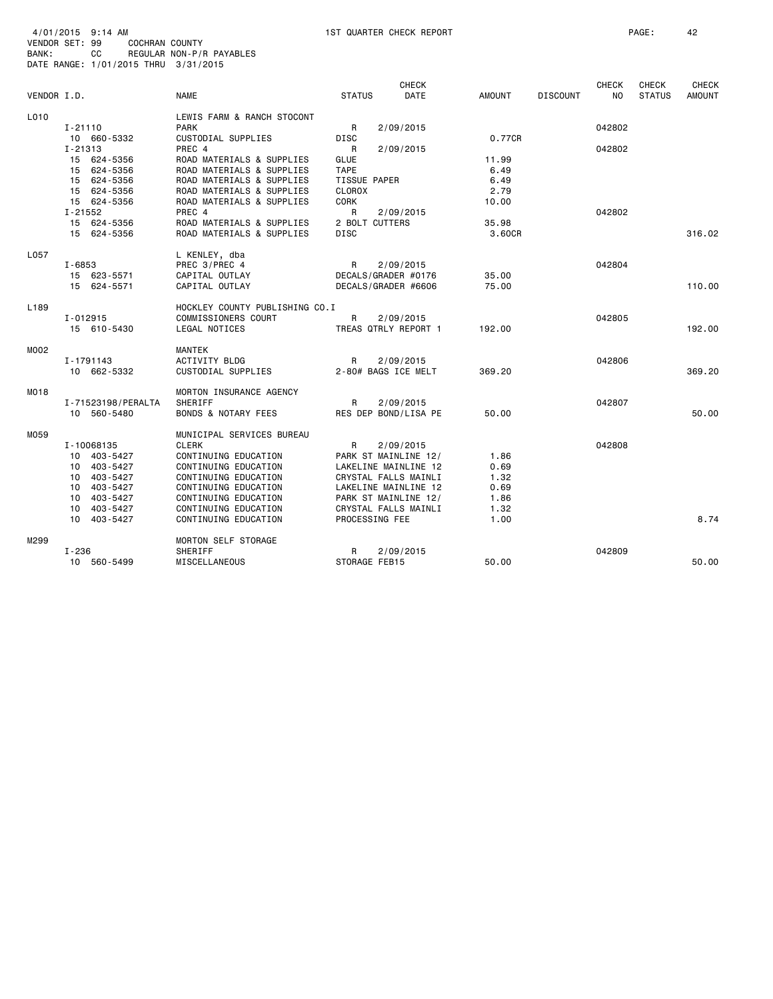|                  |                    |                                |                     | <b>CHECK</b>         |               |                 | <b>CHECK</b> | <b>CHECK</b>  | <b>CHECK</b>  |
|------------------|--------------------|--------------------------------|---------------------|----------------------|---------------|-----------------|--------------|---------------|---------------|
| VENDOR I.D.      |                    | <b>NAME</b>                    | <b>STATUS</b>       | <b>DATE</b>          | <b>AMOUNT</b> | <b>DISCOUNT</b> | NO.          | <b>STATUS</b> | <b>AMOUNT</b> |
| L010             |                    | LEWIS FARM & RANCH STOCONT     |                     |                      |               |                 |              |               |               |
|                  | $I - 21110$        | <b>PARK</b>                    | R                   | 2/09/2015            |               |                 | 042802       |               |               |
|                  | 10 660-5332        | CUSTODIAL SUPPLIES             | <b>DISC</b>         |                      | 0.77CR        |                 |              |               |               |
|                  | I-21313            | PREC 4                         | R                   | 2/09/2015            |               |                 | 042802       |               |               |
|                  | 15 624-5356        | ROAD MATERIALS & SUPPLIES      | GLUE                |                      | 11.99         |                 |              |               |               |
|                  | 15 624-5356        | ROAD MATERIALS & SUPPLIES      | <b>TAPE</b>         |                      | 6.49          |                 |              |               |               |
|                  | 15 624-5356        | ROAD MATERIALS & SUPPLIES      | <b>TISSUE PAPER</b> |                      | 6.49          |                 |              |               |               |
|                  | 15 624-5356        | ROAD MATERIALS & SUPPLIES      | <b>CLOROX</b>       |                      | 2.79          |                 |              |               |               |
|                  | 15 624-5356        | ROAD MATERIALS & SUPPLIES      | <b>CORK</b>         |                      | 10.00         |                 |              |               |               |
|                  | I-21552            | PREC 4                         | R                   | 2/09/2015            |               |                 | 042802       |               |               |
|                  | 15 624-5356        | ROAD MATERIALS & SUPPLIES      | 2 BOLT CUTTERS      |                      | 35.98         |                 |              |               |               |
|                  | 15 624-5356        | ROAD MATERIALS & SUPPLIES      | DISC                |                      | 3.60CR        |                 |              |               | 316.02        |
| L057             |                    | L KENLEY, dba                  |                     |                      |               |                 |              |               |               |
|                  | $I - 6853$         | PREC 3/PREC 4                  | R.                  | 2/09/2015            |               |                 | 042804       |               |               |
|                  | 15 623-5571        | CAPITAL OUTLAY                 |                     | DECALS/GRADER #0176  | 35.00         |                 |              |               |               |
|                  | 15 624-5571        | CAPITAL OUTLAY                 |                     | DECALS/GRADER #6606  | 75.00         |                 |              |               | 110.00        |
|                  |                    |                                |                     |                      |               |                 |              |               |               |
| L <sub>189</sub> |                    | HOCKLEY COUNTY PUBLISHING CO.I |                     |                      |               |                 |              |               |               |
|                  | I-012915           | COMMISSIONERS COURT            | R                   | 2/09/2015            |               |                 | 042805       |               |               |
|                  | 15 610-5430        | <b>LEGAL NOTICES</b>           |                     | TREAS QTRLY REPORT 1 | 192.00        |                 |              |               | 192.00        |
| <b>MOO2</b>      |                    | MANTEK                         |                     |                      |               |                 |              |               |               |
|                  | I-1791143          | ACTIVITY BLDG                  | R                   | 2/09/2015            |               |                 | 042806       |               |               |
|                  | 10 662-5332        | CUSTODIAL SUPPLIES             |                     | 2-80# BAGS ICE MELT  | 369.20        |                 |              |               | 369.20        |
| MO18             |                    | MORTON INSURANCE AGENCY        |                     |                      |               |                 |              |               |               |
|                  | I-71523198/PERALTA | SHERIFF                        | R                   | 2/09/2015            |               |                 | 042807       |               |               |
|                  | 10 560-5480        | <b>BONDS &amp; NOTARY FEES</b> |                     | RES DEP BOND/LISA PE | 50.00         |                 |              |               | 50.00         |
| M059             |                    | MUNICIPAL SERVICES BUREAU      |                     |                      |               |                 |              |               |               |
|                  | I-10068135         | <b>CLERK</b>                   | R                   | 2/09/2015            |               |                 | 042808       |               |               |
|                  | 10 403-5427        | CONTINUING EDUCATION           |                     | PARK ST MAINLINE 12/ | 1.86          |                 |              |               |               |
|                  | 10 403-5427        | CONTINUING EDUCATION           |                     | LAKELINE MAINLINE 12 | 0.69          |                 |              |               |               |
|                  | 10 403-5427        | CONTINUING EDUCATION           |                     | CRYSTAL FALLS MAINLI | 1.32          |                 |              |               |               |
|                  | 10 403-5427        | CONTINUING EDUCATION           |                     | LAKELINE MAINLINE 12 | 0.69          |                 |              |               |               |
|                  | 10 403-5427        | CONTINUING EDUCATION           |                     | PARK ST MAINLINE 12/ | 1.86          |                 |              |               |               |
|                  | 10 403-5427        | CONTINUING EDUCATION           |                     | CRYSTAL FALLS MAINLI | 1.32          |                 |              |               |               |
|                  | 10 403-5427        | CONTINUING EDUCATION           | PROCESSING FEE      |                      | 1.00          |                 |              |               | 8.74          |
| M299             |                    | MORTON SELF STORAGE            |                     |                      |               |                 |              |               |               |
|                  | $I - 236$          | SHERIFF                        | R                   | 2/09/2015            |               |                 | 042809       |               |               |
|                  | 10 560-5499        | MISCELLANEOUS                  | STORAGE FEB15       |                      | 50.00         |                 |              |               | 50.00         |
|                  |                    |                                |                     |                      |               |                 |              |               |               |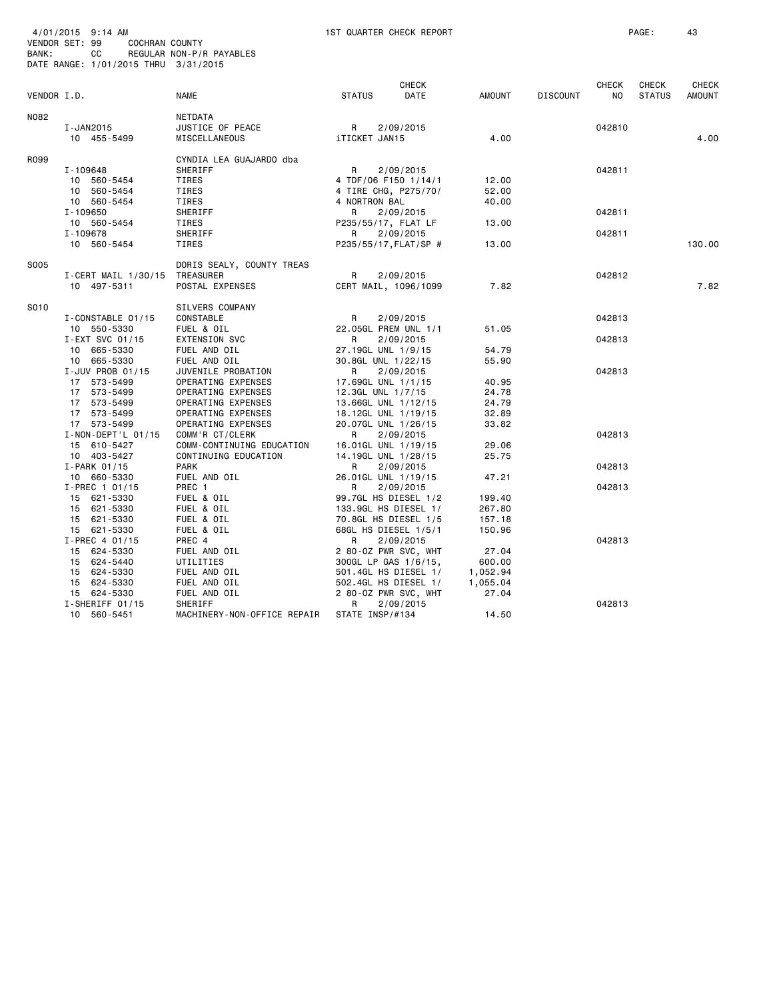| BANK:       | 4/01/2015 9:14 AM<br>VENDOR SET: 99<br>COCHRAN COUNTY<br>СC<br>DATE RANGE: 1/01/2015 THRU 3/31/2015 | REGULAR NON-P/R PAYABLES     |                     | 1ST QUARTER CHECK REPORT                     |                      |                 |        | PAGE:         | 43            |
|-------------|-----------------------------------------------------------------------------------------------------|------------------------------|---------------------|----------------------------------------------|----------------------|-----------------|--------|---------------|---------------|
|             |                                                                                                     |                              |                     | <b>CHECK</b>                                 |                      |                 | CHECK  | CHECK         | <b>CHECK</b>  |
| VENDOR I.D. |                                                                                                     | <b>NAME</b>                  | <b>STATUS</b>       | DATE                                         | <b>AMOUNT</b>        | <b>DISCOUNT</b> | NO.    | <b>STATUS</b> | <b>AMOUNT</b> |
| N082        |                                                                                                     | NETDATA                      |                     |                                              |                      |                 |        |               |               |
|             | I-JAN2015                                                                                           | JUSTICE OF PEACE             | R                   | 2/09/2015                                    |                      |                 | 042810 |               |               |
|             | 10 455-5499                                                                                         | MISCELLANEOUS                | iTICKET JAN15       |                                              | 4.00                 |                 |        |               | 4.00          |
| R099        |                                                                                                     | CYNDIA LEA GUAJARDO dba      |                     |                                              |                      |                 |        |               |               |
|             | I-109648                                                                                            | SHERIFF                      | R                   | 2/09/2015                                    |                      |                 | 042811 |               |               |
|             | 10 560-5454                                                                                         | TIRES                        |                     | 4 TDF/06 F150 1/14/1                         | 12.00                |                 |        |               |               |
|             | 10 560-5454                                                                                         | TIRES                        |                     | 4 TIRE CHG, P275/70/                         | 52.00                |                 |        |               |               |
|             | 10 560-5454                                                                                         | TIRES                        | 4 NORTRON BAL       |                                              | 40.00                |                 |        |               |               |
|             | I-109650                                                                                            | SHERIFF                      | R                   | 2/09/2015                                    |                      |                 | 042811 |               |               |
|             | 10 560-5454                                                                                         | TIRES                        | P235/55/17, FLAT LF |                                              | 13.00                |                 |        |               |               |
|             | I-109678                                                                                            | SHERIFF                      | R                   | 2/09/2015                                    |                      |                 | 042811 |               |               |
|             | 10 560-5454                                                                                         | TIRES                        |                     | P235/55/17, FLAT/SP #                        | 13.00                |                 |        |               | 130.00        |
| S005        |                                                                                                     | DORIS SEALY, COUNTY TREAS    |                     |                                              |                      |                 |        |               |               |
|             | I-CERT MAIL 1/30/15                                                                                 | TREASURER                    | R                   | 2/09/2015                                    |                      |                 | 042812 |               |               |
|             | 10 497-5311                                                                                         | POSTAL EXPENSES              |                     | CERT MAIL, 1096/1099                         | 7.82                 |                 |        |               | 7.82          |
| S010        |                                                                                                     | SILVERS COMPANY              |                     |                                              |                      |                 |        |               |               |
|             | I-CONSTABLE 01/15                                                                                   | CONSTABLE                    | R                   | 2/09/2015                                    |                      |                 | 042813 |               |               |
|             | 10 550-5330                                                                                         | FUEL & OIL                   |                     | 22.05GL PREM UNL 1/1                         | 51.05                |                 |        |               |               |
|             | I-EXT SVC 01/15                                                                                     | <b>EXTENSION SVC</b>         | R                   | 2/09/2015                                    |                      |                 | 042813 |               |               |
|             | 10 665-5330                                                                                         | FUEL AND OIL                 | 27.19GL UNL 1/9/15  |                                              | 54.79                |                 |        |               |               |
|             | 10 665-5330                                                                                         | FUEL AND OIL                 | 30.8GL UNL 1/22/15  |                                              | 55.90                |                 |        |               |               |
|             | I-JUV PROB 01/15                                                                                    | JUVENILE PROBATION           | R                   | 2/09/2015                                    |                      |                 | 042813 |               |               |
|             | 17 573-5499                                                                                         | OPERATING EXPENSES           | 17.69GL UNL 1/1/15  |                                              | 40.95                |                 |        |               |               |
|             | 17 573-5499                                                                                         | OPERATING EXPENSES           | 12.3GL UNL 1/7/15   |                                              | 24.78                |                 |        |               |               |
|             | 17 573-5499                                                                                         | OPERATING EXPENSES           | 13.66GL UNL 1/12/15 |                                              | 24.79                |                 |        |               |               |
|             | 17 573-5499                                                                                         | OPERATING EXPENSES           | 18.12GL UNL 1/19/15 |                                              | 32.89                |                 |        |               |               |
|             | 17 573-5499                                                                                         | OPERATING EXPENSES           | 20.07GL UNL 1/26/15 |                                              | 33.82                |                 |        |               |               |
|             | $I - NON - DEPT'L 01/15$                                                                            | COMM'R CT/CLERK              | R                   | 2/09/2015                                    |                      |                 | 042813 |               |               |
|             | 15 610-5427                                                                                         | COMM-CONTINUING EDUCATION    | 16.01GL UNL 1/19/15 |                                              | 29.06                |                 |        |               |               |
|             | 10 403-5427                                                                                         | CONTINUING EDUCATION         | 14.19GL UNL 1/28/15 |                                              | 25.75                |                 |        |               |               |
|             | $I-PARK$ 01/15                                                                                      | PARK                         | R                   | 2/09/2015                                    |                      |                 | 042813 |               |               |
|             | 10 660-5330                                                                                         | FUEL AND OIL                 | 26.01GL UNL 1/19/15 |                                              | 47.21                |                 |        |               |               |
|             | I-PREC 1 01/15                                                                                      | PREC 1                       | R                   | 2/09/2015                                    |                      |                 | 042813 |               |               |
|             | 15 621-5330                                                                                         | FUEL & OIL                   |                     | 99.7GL HS DIESEL 1/2                         | 199.40               |                 |        |               |               |
|             | 15 621-5330                                                                                         | FUEL & OIL                   |                     | 133.9GL HS DIESEL 1/                         | 267.80               |                 |        |               |               |
|             | 15 621-5330                                                                                         | FUEL & OIL                   |                     | 70.8GL HS DIESEL 1/5                         | 157.18               |                 |        |               |               |
|             | 15 621-5330                                                                                         | FUEL & OIL                   |                     | 68GL HS DIESEL 1/5/1                         | 150.96               |                 |        |               |               |
|             | $I-PREC$ 4 01/15                                                                                    | PREC 4                       | R                   | 2/09/2015                                    |                      |                 | 042813 |               |               |
|             | 15 624-5330                                                                                         | FUEL AND OIL                 |                     | 2 80-0Z PWR SVC, WHT                         | 27.04                |                 |        |               |               |
|             | 15 624-5440<br>15 624-5330                                                                          | UTILITIES                    |                     | 300GL LP GAS 1/6/15,                         | 600.00               |                 |        |               |               |
|             | 15 624-5330                                                                                         | FUEL AND OIL<br>FUEL AND OIL |                     | 501.4GL HS DIESEL 1/<br>502.4GL HS DIESEL 1/ | 1,052.94<br>1,055.04 |                 |        |               |               |
|             |                                                                                                     |                              |                     |                                              |                      |                 |        |               |               |
|             | 15 624-5330<br>I-SHERIFF 01/15                                                                      | FUEL AND OIL<br>SHERIFF      | R                   | 2 80-OZ PWR SVC, WHT<br>2/09/2015            | 27.04                |                 | 042813 |               |               |
|             | 10 560-5451                                                                                         | MACHINERY-NON-OFFICE REPAIR  | STATE INSP/#134     |                                              | 14.50                |                 |        |               |               |
|             |                                                                                                     |                              |                     |                                              |                      |                 |        |               |               |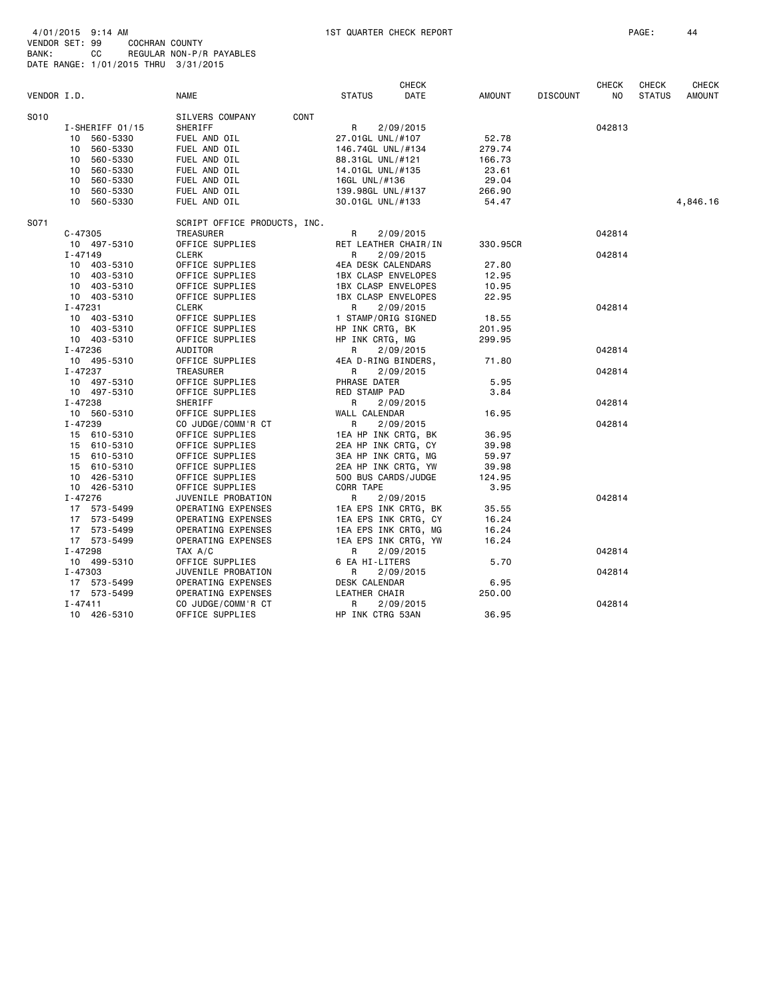| 4/01/2015 9:14 AM |                                      |                          |
|-------------------|--------------------------------------|--------------------------|
| VENDOR SET: 99    |                                      | COCHRAN COUNTY           |
| BANK:             | CC.                                  | REGULAR NON-P/R PAYABLES |
|                   | DATE RANGE: 1/01/2015 THRU 3/31/2015 |                          |

|             |                 |                              |                            | <b>CHECK</b> |          |                 | <b>CHECK</b> | <b>CHECK</b>  | CHECK         |
|-------------|-----------------|------------------------------|----------------------------|--------------|----------|-----------------|--------------|---------------|---------------|
| VENDOR I.D. |                 | <b>NAME</b>                  | <b>STATUS</b>              | DATE         | AMOUNT   | <b>DISCOUNT</b> | NO           | <b>STATUS</b> | <b>AMOUNT</b> |
| S010        |                 | CONT<br>SILVERS COMPANY      |                            |              |          |                 |              |               |               |
|             | I-SHERIFF 01/15 | SHERIFF                      | R                          | 2/09/2015    |          |                 | 042813       |               |               |
|             | 10 560-5330     | FUEL AND OIL                 | 27.01GL UNL/#107           |              | 52.78    |                 |              |               |               |
|             | 10 560-5330     | FUEL AND OIL                 | 146.74GL UNL/#134          |              | 279.74   |                 |              |               |               |
|             | 10 560-5330     | FUEL AND OIL                 | 88.31GL UNL/#121           |              | 166.73   |                 |              |               |               |
|             | 10 560-5330     | FUEL AND OIL                 | 14.01GL UNL/#135           |              | 23.61    |                 |              |               |               |
|             | 10 560-5330     | FUEL AND OIL                 | 16GL UNL/#136              |              | 29.04    |                 |              |               |               |
|             | 10 560-5330     | FUEL AND OIL                 | 139.98GL UNL/#137          |              | 266.90   |                 |              |               |               |
|             | 10 560-5330     | FUEL AND OIL                 | 30.01GL UNL/#133           |              | 54.47    |                 |              |               | 4,846.16      |
| S071        |                 | SCRIPT OFFICE PRODUCTS, INC. |                            |              |          |                 |              |               |               |
|             | $C - 47305$     | <b>TREASURER</b>             | R                          | 2/09/2015    |          |                 | 042814       |               |               |
|             | 10 497-5310     | OFFICE SUPPLIES              | RET LEATHER CHAIR/IN       |              | 330.95CR |                 |              |               |               |
|             | $I - 47149$     | CLERK                        | R                          | 2/09/2015    |          |                 | 042814       |               |               |
|             | 10 403-5310     | OFFICE SUPPLIES              | 4EA DESK CALENDARS         |              | 27.80    |                 |              |               |               |
|             | 10 403-5310     | OFFICE SUPPLIES              | <b>1BX CLASP ENVELOPES</b> |              | 12.95    |                 |              |               |               |
|             | 10 403-5310     | OFFICE SUPPLIES              | 1BX CLASP ENVELOPES        |              | 10.95    |                 |              |               |               |
|             | 10 403-5310     | OFFICE SUPPLIES              | <b>1BX CLASP ENVELOPES</b> |              | 22.95    |                 |              |               |               |
|             | I-47231         | CLERK                        | R                          | 2/09/2015    |          |                 | 042814       |               |               |
|             | 10 403-5310     | OFFICE SUPPLIES              | 1 STAMP/ORIG SIGNED        |              | 18.55    |                 |              |               |               |
|             | 10 403-5310     | OFFICE SUPPLIES              | HP INK CRTG, BK            |              | 201.95   |                 |              |               |               |
|             | 10 403-5310     | OFFICE SUPPLIES              | HP INK CRTG, MG            |              | 299.95   |                 |              |               |               |
|             | I-47236         | AUDITOR                      | R                          | 2/09/2015    |          |                 | 042814       |               |               |
|             | 10 495-5310     | OFFICE SUPPLIES              | 4EA D-RING BINDERS,        |              | 71.80    |                 |              |               |               |
|             | I-47237         | TREASURER                    | R                          | 2/09/2015    |          |                 | 042814       |               |               |
|             | 10 497-5310     | OFFICE SUPPLIES              | PHRASE DATER               |              | 5.95     |                 |              |               |               |
|             | 10 497-5310     | OFFICE SUPPLIES              | RED STAMP PAD              |              | 3.84     |                 |              |               |               |
|             | I-47238         | SHERIFF                      | R.                         | 2/09/2015    |          |                 | 042814       |               |               |
|             | 10 560-5310     | OFFICE SUPPLIES              | WALL CALENDAR              |              | 16.95    |                 |              |               |               |
|             | I-47239         | CO JUDGE/COMM'R CT           | R                          | 2/09/2015    |          |                 | 042814       |               |               |
|             | 15 610-5310     | OFFICE SUPPLIES              | 1EA HP INK CRTG, BK        |              | 36.95    |                 |              |               |               |
|             | 15 610-5310     | OFFICE SUPPLIES              | 2EA HP INK CRTG, CY        |              | 39.98    |                 |              |               |               |
|             | 15 610-5310     | OFFICE SUPPLIES              | 3EA HP INK CRTG, MG        |              | 59.97    |                 |              |               |               |
|             | 15 610-5310     | OFFICE SUPPLIES              | 2EA HP INK CRTG, YW        |              | 39.98    |                 |              |               |               |
|             | 10 426-5310     | OFFICE SUPPLIES              | 500 BUS CARDS/JUDGE        |              | 124.95   |                 |              |               |               |
|             | 10 426-5310     | OFFICE SUPPLIES              | CORR TAPE                  |              | 3.95     |                 |              |               |               |
|             | I-47276         | JUVENILE PROBATION           | R                          | 2/09/2015    |          |                 | 042814       |               |               |
|             | 17 573-5499     | OPERATING EXPENSES           | 1EA EPS INK CRTG, BK       |              | 35.55    |                 |              |               |               |
|             | 17 573-5499     | OPERATING EXPENSES           | 1EA EPS INK CRTG, CY       |              | 16.24    |                 |              |               |               |
|             | 17 573-5499     | OPERATING EXPENSES           | 1EA EPS INK CRTG, MG       |              | 16.24    |                 |              |               |               |
|             | 17 573-5499     | OPERATING EXPENSES           | 1EA EPS INK CRTG, YW       |              | 16.24    |                 |              |               |               |
|             | I-47298         | TAX A/C                      | R                          | 2/09/2015    |          |                 | 042814       |               |               |
|             | 10 499-5310     | OFFICE SUPPLIES              | 6 EA HI-LITERS             |              | 5.70     |                 |              |               |               |
|             | I-47303         | JUVENILE PROBATION           | R                          | 2/09/2015    |          |                 | 042814       |               |               |
|             | 17 573-5499     | OPERATING EXPENSES           | DESK CALENDAR              |              | 6.95     |                 |              |               |               |
|             | 17 573-5499     | OPERATING EXPENSES           | LEATHER CHAIR              |              | 250.00   |                 |              |               |               |
|             | I-47411         | CO JUDGE/COMM'R CT           | R                          | 2/09/2015    |          |                 | 042814       |               |               |
|             | 10 426-5310     | OFFICE SUPPLIES              | HP INK CTRG 53AN           |              | 36.95    |                 |              |               |               |
|             |                 |                              |                            |              |          |                 |              |               |               |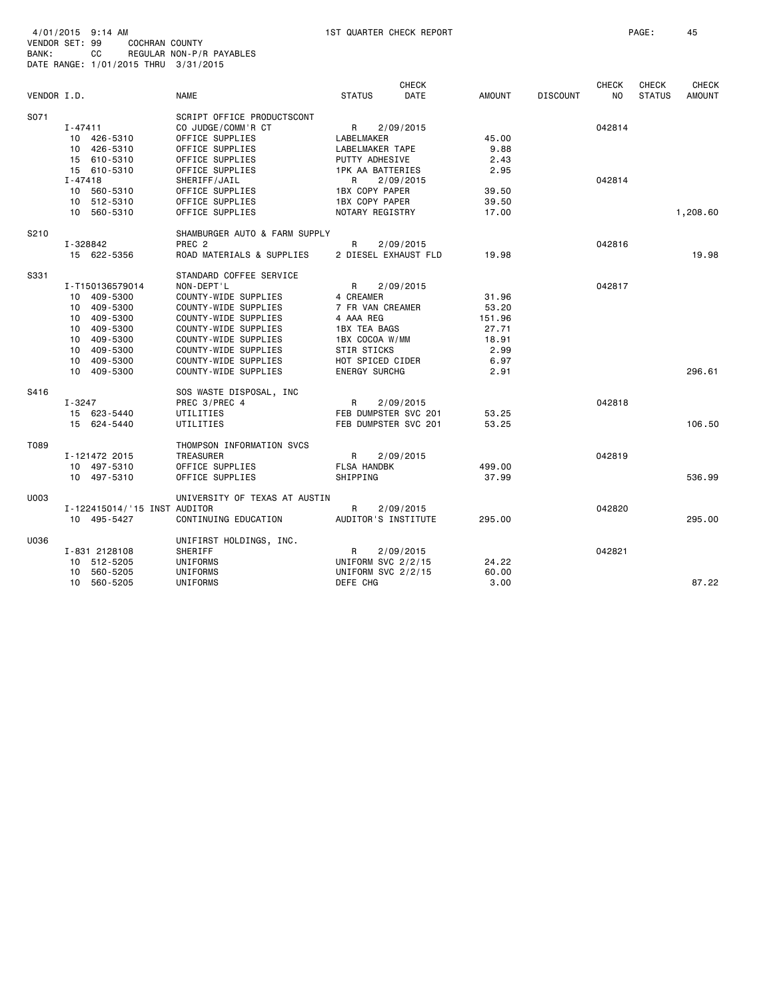VENDOR SET: 99 COCHRAN COUNTY

| BANK:       | CС                         | REGULAR NON-P/R PAYABLES<br>DATE RANGE: 1/01/2015 THRU 3/31/2015 |                                          |                      |              |                 |                                |                        |                               |
|-------------|----------------------------|------------------------------------------------------------------|------------------------------------------|----------------------|--------------|-----------------|--------------------------------|------------------------|-------------------------------|
| VENDOR I.D. |                            | <b>NAME</b>                                                      | <b>STATUS</b>                            | <b>CHECK</b><br>DATE | AMOUNT       | <b>DISCOUNT</b> | <b>CHECK</b><br>N <sub>O</sub> | CHECK<br><b>STATUS</b> | <b>CHECK</b><br><b>AMOUNT</b> |
| S071        |                            | SCRIPT OFFICE PRODUCTSCONT                                       |                                          |                      |              |                 |                                |                        |                               |
|             | $I - 47411$                | CO JUDGE/COMM'R CT                                               | R                                        | 2/09/2015            |              |                 | 042814                         |                        |                               |
|             | 10 426-5310                | OFFICE SUPPLIES                                                  | LABELMAKER                               |                      | 45.00        |                 |                                |                        |                               |
|             | 10 426-5310                | OFFICE SUPPLIES                                                  | <b>LABELMAKER TAPE</b>                   |                      | 9.88         |                 |                                |                        |                               |
|             | 15 610-5310                | OFFICE SUPPLIES                                                  | PUTTY ADHESIVE                           |                      | 2.43         |                 |                                |                        |                               |
|             | 15 610-5310                | OFFICE SUPPLIES                                                  | <b>1PK AA BATTERIES</b>                  |                      | 2.95         |                 |                                |                        |                               |
|             | $I - 47418$                | SHERIFF/JAIL                                                     | R                                        | 2/09/2015            |              |                 | 042814                         |                        |                               |
|             | 10 560-5310                | OFFICE SUPPLIES                                                  | 1BX COPY PAPER                           |                      | 39.50        |                 |                                |                        |                               |
|             | 10 512-5310                | OFFICE SUPPLIES                                                  | 1BX COPY PAPER                           |                      | 39.50        |                 |                                |                        |                               |
|             | 10 560-5310                | OFFICE SUPPLIES                                                  | NOTARY REGISTRY                          |                      | 17.00        |                 |                                |                        | 1,208.60                      |
| S210        |                            | SHAMBURGER AUTO & FARM SUPPLY                                    |                                          |                      |              |                 |                                |                        |                               |
|             | I-328842                   | PREC <sub>2</sub>                                                | R                                        | 2/09/2015            |              |                 | 042816                         |                        |                               |
|             | 15 622-5356                | ROAD MATERIALS & SUPPLIES                                        |                                          | 2 DIESEL EXHAUST FLD | 19.98        |                 |                                |                        | 19.98                         |
| S331        |                            | STANDARD COFFEE SERVICE                                          |                                          |                      |              |                 |                                |                        |                               |
|             | I-T150136579014            | NON-DEPT'L                                                       | R                                        | 2/09/2015            |              |                 | 042817                         |                        |                               |
|             | 10 409-5300                | COUNTY-WIDE SUPPLIES                                             | 4 CREAMER                                |                      | 31,96        |                 |                                |                        |                               |
|             | 10 409-5300                | COUNTY-WIDE SUPPLIES                                             | 7 FR VAN CREAMER                         |                      | 53.20        |                 |                                |                        |                               |
|             | 10 409-5300                | COUNTY-WIDE SUPPLIES                                             | 4 AAA REG                                |                      | 151.96       |                 |                                |                        |                               |
|             | 10 409-5300                | COUNTY-WIDE SUPPLIES                                             | 1BX TEA BAGS                             |                      | 27.71        |                 |                                |                        |                               |
|             | 10 409-5300                | COUNTY-WIDE SUPPLIES                                             | 1BX COCOA W/MM                           |                      | 18.91        |                 |                                |                        |                               |
|             | 10 409-5300                | COUNTY-WIDE SUPPLIES                                             | STIR STICKS                              |                      | 2.99         |                 |                                |                        |                               |
|             | 10 409-5300<br>10 409-5300 | COUNTY-WIDE SUPPLIES<br>COUNTY-WIDE SUPPLIES                     | HOT SPICED CIDER<br><b>ENERGY SURCHG</b> |                      | 6.97<br>2.91 |                 |                                |                        | 296.61                        |
| S416        |                            | SOS WASTE DISPOSAL, INC                                          |                                          |                      |              |                 |                                |                        |                               |
|             | $I - 3247$                 | PREC 3/PREC 4                                                    | $\mathsf{R}$                             | 2/09/2015            |              |                 | 042818                         |                        |                               |
|             | 15 623-5440                | UTILITIES                                                        |                                          | FEB DUMPSTER SVC 201 | 53.25        |                 |                                |                        |                               |
|             | 15 624-5440                | UTILITIES                                                        |                                          | FEB DUMPSTER SVC 201 | 53.25        |                 |                                |                        | 106.50                        |
| T089        |                            | THOMPSON INFORMATION SVCS                                        |                                          |                      |              |                 |                                |                        |                               |
|             | I-121472 2015              | <b>TREASURER</b>                                                 | R                                        | 2/09/2015            |              |                 | 042819                         |                        |                               |
|             | 10 497-5310                | OFFICE SUPPLIES                                                  | <b>FLSA HANDBK</b>                       |                      | 499.00       |                 |                                |                        |                               |
|             | 10 497-5310                | OFFICE SUPPLIES                                                  | SHIPPING                                 |                      | 37.99        |                 |                                |                        | 536.99                        |
| U003        |                            | UNIVERSITY OF TEXAS AT AUSTIN                                    |                                          |                      |              |                 |                                |                        |                               |
|             |                            | I-122415014/'15 INST AUDITOR                                     | R                                        | 2/09/2015            |              |                 | 042820                         |                        |                               |
|             | 10 495-5427                | CONTINUING EDUCATION                                             |                                          | AUDITOR'S INSTITUTE  | 295.00       |                 |                                |                        | 295.00                        |
| U036        |                            | UNIFIRST HOLDINGS, INC.                                          |                                          |                      |              |                 |                                |                        |                               |
|             | I-831 2128108              | SHERIFF                                                          | R                                        | 2/09/2015            |              |                 | 042821                         |                        |                               |
|             | 10 512-5205                | UNIFORMS                                                         | UNIFORM SVC 2/2/15                       |                      | 24.22        |                 |                                |                        |                               |
|             | 10 560-5205                | UNIFORMS                                                         | UNIFORM SVC 2/2/15                       |                      | 60.00        |                 |                                |                        |                               |
|             | 10 560-5205                | UNIFORMS                                                         | DEFE CHG                                 |                      | 3.00         |                 |                                |                        | 87.22                         |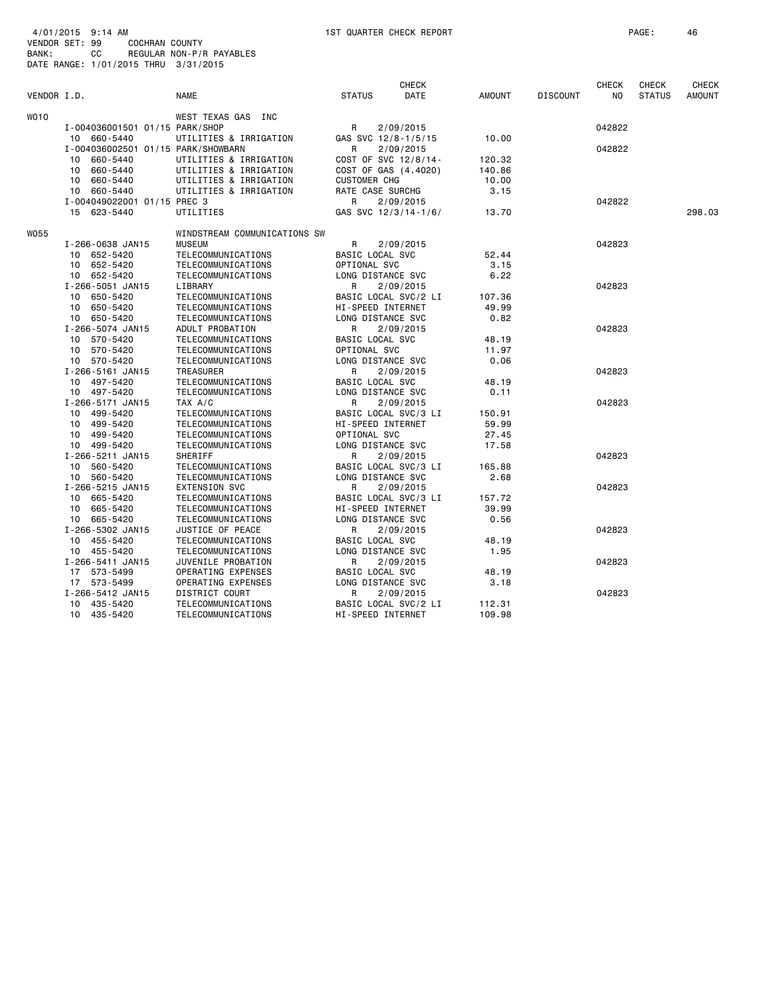VENDOR SET: 99 COCHRAN COUNTY

| BANK:       |    | cс<br>DATE RANGE: 1/01/2015 THRU 3/31/2015        | REGULAR NON-P/R PAYABLES                 |                          |                                   |                 |                 |                     |                               |                        |
|-------------|----|---------------------------------------------------|------------------------------------------|--------------------------|-----------------------------------|-----------------|-----------------|---------------------|-------------------------------|------------------------|
| VENDOR I.D. |    |                                                   | <b>NAME</b>                              | <b>STATUS</b>            | <b>CHECK</b><br>DATE              | <b>AMOUNT</b>   | <b>DISCOUNT</b> | <b>CHECK</b><br>NO. | <b>CHECK</b><br><b>STATUS</b> | CHECK<br><b>AMOUNT</b> |
|             |    |                                                   |                                          |                          |                                   |                 |                 |                     |                               |                        |
| WO10        |    |                                                   | WEST TEXAS GAS INC                       |                          |                                   |                 |                 |                     |                               |                        |
|             |    | I-004036001501 01/15 PARK/SHOP                    |                                          | R                        | 2/09/2015                         |                 |                 | 042822              |                               |                        |
|             |    | 10 660-5440<br>I-004036002501 01/15 PARK/SHOWBARN | UTILITIES & IRRIGATION                   | GAS SVC 12/8-1/5/15<br>R |                                   | 10.00           |                 | 042822              |                               |                        |
|             |    | 10 660-5440                                       | UTILITIES & IRRIGATION                   |                          | 2/09/2015<br>COST OF SVC 12/8/14- | 120.32          |                 |                     |                               |                        |
|             | 10 | 660-5440                                          | UTILITIES & IRRIGATION                   |                          | COST OF GAS (4.4020)              | 140.86          |                 |                     |                               |                        |
|             | 10 | 660-5440                                          | UTILITIES & IRRIGATION                   | <b>CUSTOMER CHG</b>      |                                   | 10.00           |                 |                     |                               |                        |
|             |    | 10 660-5440                                       | UTILITIES & IRRIGATION                   | RATE CASE SURCHG         |                                   | 3.15            |                 |                     |                               |                        |
|             |    | I-004049022001 01/15 PREC 3                       |                                          | R                        | 2/09/2015                         |                 |                 | 042822              |                               |                        |
|             |    | 15 623-5440                                       | UTILITIES                                |                          | GAS SVC 12/3/14-1/6/              | 13.70           |                 |                     |                               | 298.03                 |
| W055        |    |                                                   | WINDSTREAM COMMUNICATIONS SW             |                          |                                   |                 |                 |                     |                               |                        |
|             |    | I-266-0638 JAN15                                  | <b>MUSEUM</b>                            | R                        | 2/09/2015                         |                 |                 | 042823              |                               |                        |
|             |    | 10 652-5420                                       | TELECOMMUNICATIONS                       | BASIC LOCAL SVC          |                                   | 52.44           |                 |                     |                               |                        |
|             | 10 | 652-5420                                          | TELECOMMUNICATIONS                       | OPTIONAL SVC             |                                   | 3.15            |                 |                     |                               |                        |
|             |    | 10 652-5420                                       | TELECOMMUNICATIONS                       | LONG DISTANCE SVC        |                                   | 6.22            |                 |                     |                               |                        |
|             |    | I-266-5051 JAN15<br>10 650-5420                   | LIBRARY<br>TELECOMMUNICATIONS            | R                        | 2/09/2015<br>BASIC LOCAL SVC/2 LI | 107.36          |                 | 042823              |                               |                        |
|             |    | 10 650-5420                                       | TELECOMMUNICATIONS                       | HI-SPEED INTERNET        |                                   | 49.99           |                 |                     |                               |                        |
|             |    | 10 650-5420                                       | TELECOMMUNICATIONS                       | LONG DISTANCE SVC        |                                   | 0.82            |                 |                     |                               |                        |
|             |    | I-266-5074 JAN15                                  | ADULT PROBATION                          | R                        | 2/09/2015                         |                 |                 | 042823              |                               |                        |
|             |    | 10 570-5420                                       | TELECOMMUNICATIONS                       | BASIC LOCAL SVC          |                                   | 48.19           |                 |                     |                               |                        |
|             |    | 10 570-5420                                       | TELECOMMUNICATIONS                       | OPTIONAL SVC             |                                   | 11.97           |                 |                     |                               |                        |
|             |    | 10 570-5420                                       | TELECOMMUNICATIONS                       | LONG DISTANCE SVC        |                                   | 0.06            |                 |                     |                               |                        |
|             |    | I-266-5161 JAN15                                  | <b>TREASURER</b>                         | R                        | 2/09/2015                         |                 |                 | 042823              |                               |                        |
|             |    | 10 497-5420                                       | TELECOMMUNICATIONS                       | BASIC LOCAL SVC          |                                   | 48.19           |                 |                     |                               |                        |
|             |    | 10 497-5420                                       | TELECOMMUNICATIONS                       | LONG DISTANCE SVC        |                                   | 0.11            |                 |                     |                               |                        |
|             |    | I-266-5171 JAN15<br>10 499-5420                   | TAX A/C                                  | R                        | 2/09/2015                         |                 |                 | 042823              |                               |                        |
|             |    | 10 499-5420                                       | TELECOMMUNICATIONS<br>TELECOMMUNICATIONS | HI-SPEED INTERNET        | BASIC LOCAL SVC/3 LI              | 150.91<br>59.99 |                 |                     |                               |                        |
|             |    | 10 499-5420                                       | TELECOMMUNICATIONS                       | OPTIONAL SVC             |                                   | 27.45           |                 |                     |                               |                        |
|             |    | 10 499-5420                                       | TELECOMMUNICATIONS                       | LONG DISTANCE SVC        |                                   | 17.58           |                 |                     |                               |                        |
|             |    | I-266-5211 JAN15                                  | SHERIFF                                  | R                        | 2/09/2015                         |                 |                 | 042823              |                               |                        |
|             |    | 10 560-5420                                       | TELECOMMUNICATIONS                       |                          | BASIC LOCAL SVC/3 LI              | 165.88          |                 |                     |                               |                        |
|             |    | 10 560-5420                                       | TELECOMMUNICATIONS                       | LONG DISTANCE SVC        |                                   | 2.68            |                 |                     |                               |                        |
|             |    | I-266-5215 JAN15                                  | <b>EXTENSION SVC</b>                     | R                        | 2/09/2015                         |                 |                 | 042823              |                               |                        |
|             |    | 10 665-5420                                       | TELECOMMUNICATIONS                       |                          | BASIC LOCAL SVC/3 LI              | 157.72          |                 |                     |                               |                        |
|             |    | 10 665-5420                                       | TELECOMMUNICATIONS                       | HI-SPEED INTERNET        |                                   | 39.99           |                 |                     |                               |                        |
|             |    | 10 665-5420                                       | TELECOMMUNICATIONS                       | LONG DISTANCE SVC        |                                   | 0.56            |                 |                     |                               |                        |
|             |    | I-266-5302 JAN15<br>10 455-5420                   | JUSTICE OF PEACE<br>TELECOMMUNICATIONS   | R<br>BASIC LOCAL SVC     | 2/09/2015                         | 48.19           |                 | 042823              |                               |                        |
|             |    | 10 455-5420                                       | TELECOMMUNICATIONS                       | LONG DISTANCE SVC        |                                   | 1.95            |                 |                     |                               |                        |
|             |    | I-266-5411 JAN15                                  | JUVENILE PROBATION                       | R                        | 2/09/2015                         |                 |                 | 042823              |                               |                        |
|             |    | 17 573-5499                                       | OPERATING EXPENSES                       | BASIC LOCAL SVC          |                                   | 48.19           |                 |                     |                               |                        |
|             |    | 17 573-5499                                       | OPERATING EXPENSES                       | LONG DISTANCE SVC        |                                   | 3.18            |                 |                     |                               |                        |
|             |    | I-266-5412 JAN15                                  | DISTRICT COURT                           | R                        | 2/09/2015                         |                 |                 | 042823              |                               |                        |
|             |    | 10 435-5420                                       | TELECOMMUNICATIONS                       |                          | BASIC LOCAL SVC/2 LI              | 112.31          |                 |                     |                               |                        |
|             |    | 10 435-5420                                       | TELECOMMUNICATIONS                       | HI-SPEED INTERNET        |                                   | 109.98          |                 |                     |                               |                        |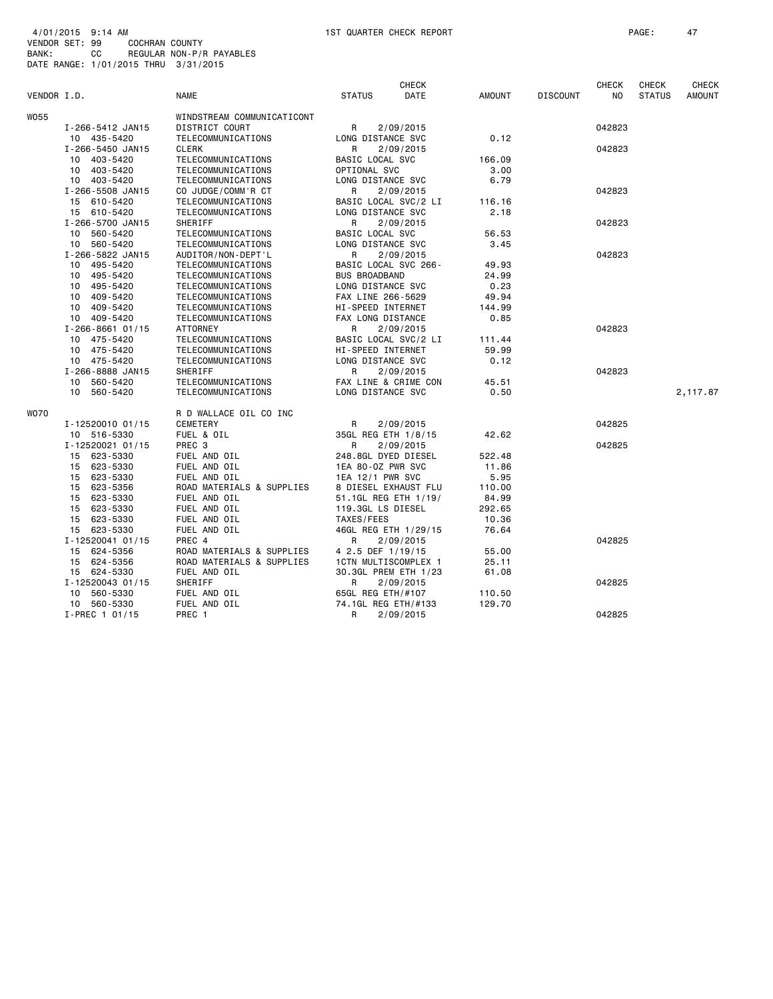|             |                       |                            |                      | <b>CHECK</b>         |               |                 | <b>CHECK</b>   | <b>CHECK</b>  | <b>CHECK</b>  |
|-------------|-----------------------|----------------------------|----------------------|----------------------|---------------|-----------------|----------------|---------------|---------------|
| VENDOR I.D. |                       | <b>NAME</b>                | <b>STATUS</b>        | DATE                 | <b>AMOUNT</b> | <b>DISCOUNT</b> | N <sub>O</sub> | <b>STATUS</b> | <b>AMOUNT</b> |
| W055        |                       | WINDSTREAM COMMUNICATICONT |                      |                      |               |                 |                |               |               |
|             | I-266-5412 JAN15      | DISTRICT COURT             | R                    | 2/09/2015            |               |                 | 042823         |               |               |
|             | 10 435-5420           | TELECOMMUNICATIONS         | LONG DISTANCE SVC    |                      | 0.12          |                 |                |               |               |
|             | I-266-5450 JAN15      | <b>CLERK</b>               | R                    | 2/09/2015            |               |                 | 042823         |               |               |
|             | 10 403-5420           | TELECOMMUNICATIONS         | BASIC LOCAL SVC      |                      | 166.09        |                 |                |               |               |
|             | 10 403-5420           | TELECOMMUNICATIONS         | OPTIONAL SVC         |                      | 3.00          |                 |                |               |               |
|             | 10 403-5420           | TELECOMMUNICATIONS         | LONG DISTANCE SVC    |                      | 6.79          |                 |                |               |               |
|             | I-266-5508 JAN15      | CO JUDGE/COMM'R CT         | R                    | 2/09/2015            |               |                 | 042823         |               |               |
|             | 15 610-5420           | TELECOMMUNICATIONS         |                      | BASIC LOCAL SVC/2 LI | 116.16        |                 |                |               |               |
|             | 15 610-5420           | TELECOMMUNICATIONS         | LONG DISTANCE SVC    |                      | 2.18          |                 |                |               |               |
|             | I-266-5700 JAN15      | SHERIFF                    | R                    | 2/09/2015            |               |                 | 042823         |               |               |
|             | 10 560-5420           | TELECOMMUNICATIONS         | BASIC LOCAL SVC      |                      | 56.53         |                 |                |               |               |
|             | 10 560-5420           | TELECOMMUNICATIONS         | LONG DISTANCE SVC    |                      | 3.45          |                 |                |               |               |
|             | I-266-5822 JAN15      | AUDITOR/NON-DEPT'L         | R                    | 2/09/2015            |               |                 | 042823         |               |               |
|             | 10 495-5420           | TELECOMMUNICATIONS         | BASIC LOCAL SVC 266- |                      | 49.93         |                 |                |               |               |
|             | 10 495-5420           | TELECOMMUNICATIONS         | <b>BUS BROADBAND</b> |                      | 24.99         |                 |                |               |               |
|             | 10 495-5420           | TELECOMMUNICATIONS         | LONG DISTANCE SVC    |                      | 0.23          |                 |                |               |               |
|             | 10 409-5420           | TELECOMMUNICATIONS         | FAX LINE 266-5629    |                      | 49.94         |                 |                |               |               |
|             | 10 409-5420           | TELECOMMUNICATIONS         | HI-SPEED INTERNET    |                      | 144.99        |                 |                |               |               |
|             | 10 409-5420           | TELECOMMUNICATIONS         | FAX LONG DISTANCE    |                      | 0.85          |                 |                |               |               |
|             | $I - 266 - 866101/15$ | ATTORNEY                   | R                    | 2/09/2015            |               |                 | 042823         |               |               |
|             | 10 475-5420           | TELECOMMUNICATIONS         |                      | BASIC LOCAL SVC/2 LI | 111.44        |                 |                |               |               |
|             | 10 475-5420           | TELECOMMUNICATIONS         | HI-SPEED INTERNET    |                      | 59.99         |                 |                |               |               |
|             | 10 475-5420           | TELECOMMUNICATIONS         | LONG DISTANCE SVC    |                      | 0.12          |                 |                |               |               |
|             | I-266-8888 JAN15      | SHERIFF                    | R                    | 2/09/2015            |               |                 | 042823         |               |               |
|             | 10 560-5420           | TELECOMMUNICATIONS         |                      | FAX LINE & CRIME CON | 45.51         |                 |                |               |               |
|             | 10 560-5420           | TELECOMMUNICATIONS         | LONG DISTANCE SVC    |                      | 0.50          |                 |                |               | 2,117.87      |
| WO70        |                       | R D WALLACE OIL CO INC     |                      |                      |               |                 |                |               |               |
|             | I-12520010 01/15      | CEMETERY                   | R                    | 2/09/2015            |               |                 | 042825         |               |               |
|             | 10 516-5330           | FUEL & OIL                 | 35GL REG ETH 1/8/15  |                      | 42.62         |                 |                |               |               |
|             | I-12520021 01/15      | PREC <sub>3</sub>          | R                    | 2/09/2015            |               |                 | 042825         |               |               |
|             | 15 623-5330           | FUEL AND OIL               | 248.8GL DYED DIESEL  |                      | 522.48        |                 |                |               |               |
|             | 15 623-5330           | FUEL AND OIL               | 1EA 80-0Z PWR SVC    |                      | 11.86         |                 |                |               |               |
|             | 15 623-5330           | FUEL AND OIL               | 1EA 12/1 PWR SVC     |                      | 5.95          |                 |                |               |               |
|             | 15 623-5356           | ROAD MATERIALS & SUPPLIES  |                      | 8 DIESEL EXHAUST FLU | 110.00        |                 |                |               |               |
|             | 15 623-5330           | FUEL AND OIL               | 51.1GL REG ETH 1/19/ |                      | 84.99         |                 |                |               |               |
|             | 15 623-5330           | FUEL AND OIL               | 119.3GL LS DIESEL    |                      | 292.65        |                 |                |               |               |
|             | 623-5330<br>15        | FUEL AND OIL               | TAXES/FEES           |                      | 10.36         |                 |                |               |               |
|             | 15 623-5330           | FUEL AND OIL               |                      | 46GL REG ETH 1/29/15 | 76.64         |                 |                |               |               |
|             | I-12520041 01/15      | PREC 4                     | R                    | 2/09/2015            |               |                 | 042825         |               |               |
|             | 15 624-5356           | ROAD MATERIALS & SUPPLIES  | 4 2.5 DEF 1/19/15    |                      | 55.00         |                 |                |               |               |
|             | 15 624-5356           | ROAD MATERIALS & SUPPLIES  | 1CTN MULTISCOMPLEX 1 |                      | 25.11         |                 |                |               |               |
|             | 15 624-5330           | FUEL AND OIL               |                      | 30.3GL PREM ETH 1/23 | 61.08         |                 |                |               |               |
|             | I-12520043 01/15      | SHERIFF                    | R                    | 2/09/2015            |               |                 | 042825         |               |               |
|             | 10 560-5330           | FUEL AND OIL               | 65GL REG ETH/#107    |                      | 110.50        |                 |                |               |               |
|             | 10 560-5330           | FUEL AND OIL               | 74.1GL REG ETH/#133  |                      | 129.70        |                 |                |               |               |
|             | I-PREC 1 01/15        | PREC 1                     | R                    | 2/09/2015            |               |                 | 042825         |               |               |
|             |                       |                            |                      |                      |               |                 |                |               |               |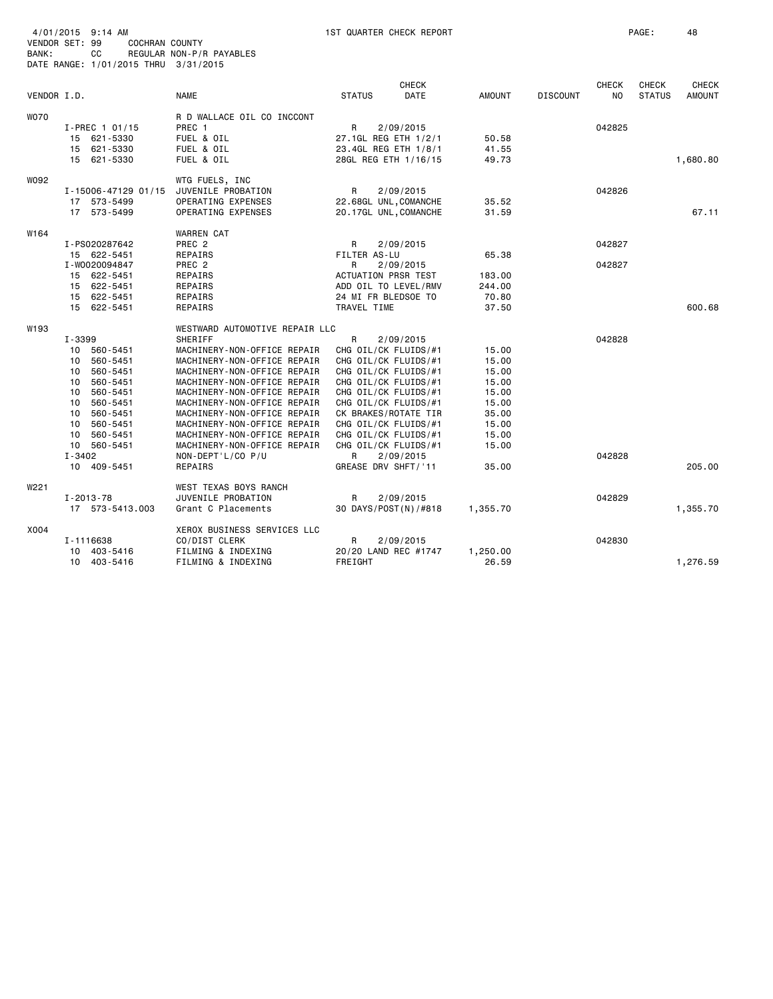| 4/01/2015<br>$9:14$ AM<br>VENDOR SET: 99<br>COCHRAN COUNTY<br>СC<br>BANK:<br>DATE RANGE: 1/01/2015 THRU 3/31/2015         |                                                                                              | <b>1ST QUARTER CHECK REPORT</b><br>REGULAR NON-P/R PAYABLES                                                                                                                                                                                                                                                                                                                                     |                                                                                                                                                                                                                                                                                          |                             |                                                                                                 |                 |                     | PAGE:                         | 48                            |
|---------------------------------------------------------------------------------------------------------------------------|----------------------------------------------------------------------------------------------|-------------------------------------------------------------------------------------------------------------------------------------------------------------------------------------------------------------------------------------------------------------------------------------------------------------------------------------------------------------------------------------------------|------------------------------------------------------------------------------------------------------------------------------------------------------------------------------------------------------------------------------------------------------------------------------------------|-----------------------------|-------------------------------------------------------------------------------------------------|-----------------|---------------------|-------------------------------|-------------------------------|
| VENDOR I.D.                                                                                                               |                                                                                              | <b>NAME</b>                                                                                                                                                                                                                                                                                                                                                                                     | <b>STATUS</b>                                                                                                                                                                                                                                                                            | <b>CHECK</b><br><b>DATE</b> | <b>AMOUNT</b>                                                                                   | <b>DISCOUNT</b> | <b>CHECK</b><br>NO. | <b>CHECK</b><br><b>STATUS</b> | <b>CHECK</b><br><b>AMOUNT</b> |
| <b>WO70</b><br>I-PREC 1 01/15<br>15 621-5330<br>15 621-5330<br>15 621-5330                                                |                                                                                              | R D WALLACE OIL CO INCCONT<br>PREC 1<br>FUEL & OIL<br>FUEL & OIL<br>FUEL & OIL                                                                                                                                                                                                                                                                                                                  | R<br>27.1GL REG ETH 1/2/1<br>23.4GL REG ETH 1/8/1<br>28GL REG ETH 1/16/15                                                                                                                                                                                                                | 2/09/2015                   | 50.58<br>41.55<br>49.73                                                                         |                 | 042825              |                               | 1,680.80                      |
| W092<br>17 573-5499<br>17 573-5499                                                                                        | I-15006-47129 01/15                                                                          | WTG FUELS, INC<br>JUVENILE PROBATION<br>OPERATING EXPENSES<br>OPERATING EXPENSES                                                                                                                                                                                                                                                                                                                | R<br>22.68GL UNL, COMANCHE<br>20.17GL UNL, COMANCHE                                                                                                                                                                                                                                      | 2/09/2015                   | 35.52<br>31.59                                                                                  |                 | 042826              |                               | 67.11                         |
| W164<br>I-PS020287642<br>15 622-5451<br>I-W0020094847<br>15 622-5451<br>15 622-5451<br>15 622-5451<br>15 622-5451         |                                                                                              | <b>WARREN CAT</b><br>PREC <sub>2</sub><br>REPAIRS<br>PREC <sub>2</sub><br>REPAIRS<br>REPAIRS<br>REPAIRS<br>REPAIRS                                                                                                                                                                                                                                                                              | R<br>FILTER AS-LU<br>R<br><b>ACTUATION PRSR TEST</b><br>ADD OIL TO LEVEL/RMV<br>24 MI FR BLEDSOE TO<br>TRAVEL TIME                                                                                                                                                                       | 2/09/2015<br>2/09/2015      | 65.38<br>183.00<br>244.00<br>70.80<br>37.50                                                     |                 | 042827<br>042827    |                               | 600.68                        |
| W193<br>I-3399<br>10 560-5451<br>10<br>10<br>10<br>10<br>10<br>10<br>10<br>10<br>10 560-5451<br>$I - 3402$<br>10 409-5451 | 560-5451<br>560-5451<br>560-5451<br>560-5451<br>560-5451<br>560-5451<br>560-5451<br>560-5451 | WESTWARD AUTOMOTIVE REPAIR LLC<br>SHERIFF<br>MACHINERY-NON-OFFICE REPAIR<br>MACHINERY-NON-OFFICE REPAIR<br>MACHINERY-NON-OFFICE REPAIR<br>MACHINERY-NON-OFFICE REPAIR<br>MACHINERY-NON-OFFICE REPAIR<br>MACHINERY-NON-OFFICE REPAIR<br>MACHINERY-NON-OFFICE REPAIR<br>MACHINERY-NON-OFFICE REPAIR<br>MACHINERY-NON-OFFICE REPAIR<br>MACHINERY-NON-OFFICE REPAIR<br>NON-DEPT'L/CO P/U<br>REPAIRS | $\mathsf{R}$<br>CHG OIL/CK FLUIDS/#1<br>CHG OIL/CK FLUIDS/#1<br>CHG OIL/CK FLUIDS/#1<br>CHG OIL/CK FLUIDS/#1<br>CHG OIL/CK FLUIDS/#1<br>CHG OIL/CK FLUIDS/#1<br>CK BRAKES/ROTATE TIR<br>CHG OIL/CK FLUIDS/#1<br>CHG OIL/CK FLUIDS/#1<br>CHG OIL/CK FLUIDS/#1<br>R<br>GREASE DRV SHFT/'11 | 2/09/2015<br>2/09/2015      | 15.00<br>15.00<br>15.00<br>15.00<br>15.00<br>15.00<br>35.00<br>15.00<br>15.00<br>15.00<br>35.00 |                 | 042828<br>042828    |                               | 205.00                        |
| W221<br>I-2013-78                                                                                                         | 17 573-5413.003                                                                              | WEST TEXAS BOYS RANCH<br>JUVENILE PROBATION<br>Grant C Placements                                                                                                                                                                                                                                                                                                                               | R<br>30 DAYS/POST(N)/#818                                                                                                                                                                                                                                                                | 2/09/2015                   | 1,355.70                                                                                        |                 | 042829              |                               | 1,355.70                      |
| X004<br>I-1116638<br>10<br>10 403-5416                                                                                    | 403-5416                                                                                     | XEROX BUSINESS SERVICES LLC<br>CO/DIST CLERK<br>FILMING & INDEXING<br>FILMING & INDEXING                                                                                                                                                                                                                                                                                                        | R<br>20/20 LAND REC #1747<br>FREIGHT                                                                                                                                                                                                                                                     | 2/09/2015                   | 1,250.00<br>26.59                                                                               |                 | 042830              |                               | 1,276.59                      |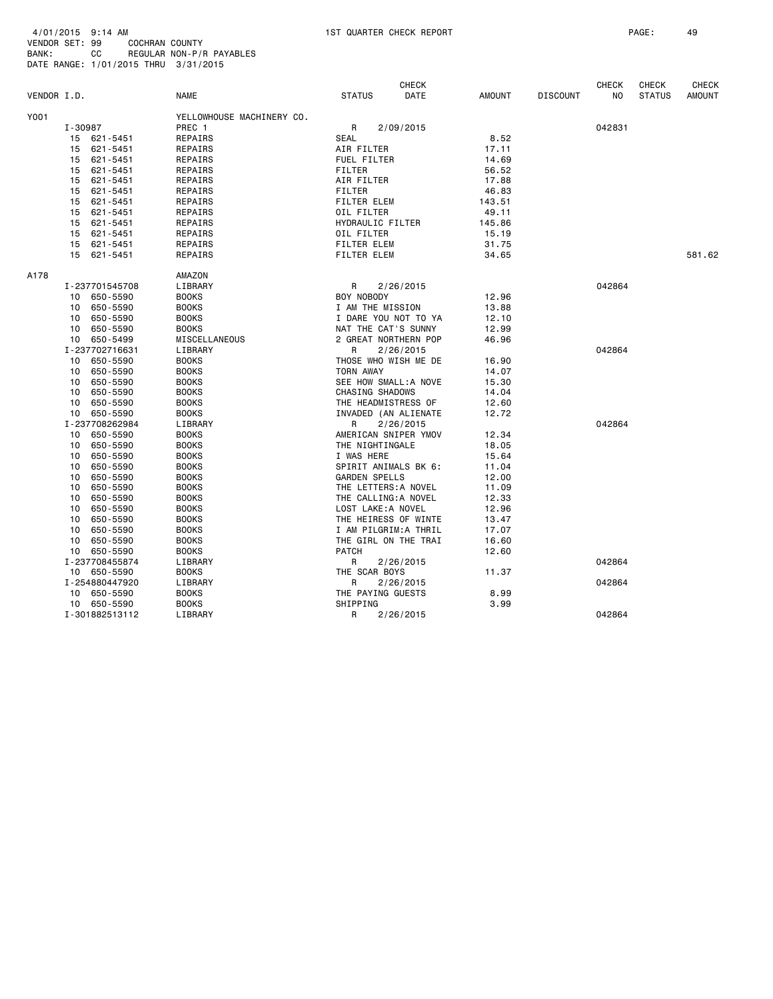| Y001<br>YELLOWHOUSE MACHINERY CO.<br>I-30987<br>PREC 1<br>R<br>2/09/2015<br>042831<br><b>SEAL</b><br>8.52<br>621-5451<br>REPAIRS<br>15<br>15<br>621-5451<br>REPAIRS<br>AIR FILTER<br>17.11<br>621-5451<br><b>FUEL FILTER</b><br>14.69<br>15<br>REPAIRS<br>REPAIRS<br><b>FILTER</b><br>56.52<br>15<br>621-5451<br>621-5451<br>REPAIRS<br>AIR FILTER<br>17.88<br>15<br>621-5451<br>REPAIRS<br><b>FILTER</b><br>46.83<br>15<br>621-5451<br>REPAIRS<br>FILTER ELEM<br>143.51<br>15<br>OIL FILTER<br>15<br>621-5451<br>REPAIRS<br>49.11<br>15<br>621-5451<br>REPAIRS<br>HYDRAULIC FILTER<br>145.86<br>OIL FILTER<br>15<br>621-5451<br>REPAIRS<br>15.19<br>15<br>621-5451<br>REPAIRS<br>FILTER ELEM<br>31.75<br>581.62<br>15<br>621-5451<br>REPAIRS<br><b>FILTER ELEM</b><br>34.65<br>AMAZON<br>LIBRARY<br>R<br>I-237701545708<br>2/26/2015<br>042864<br>BOY NOBODY<br>10 650-5590<br><b>BOOKS</b><br>12.96<br><b>BOOKS</b><br>I AM THE MISSION<br>13.88<br>10<br>650-5590<br>I DARE YOU NOT TO YA<br>10<br>650-5590<br><b>BOOKS</b><br>12.10<br>650-5590<br><b>BOOKS</b><br>NAT THE CAT'S SUNNY<br>12.99<br>10<br>650-5499<br>MISCELLANEOUS<br>2 GREAT NORTHERN POP<br>46.96<br>10<br>I-237702716631<br>LIBRARY<br>R<br>2/26/2015<br>042864<br>10<br>650-5590<br><b>BOOKS</b><br>THOSE WHO WISH ME DE<br>16.90<br><b>BOOKS</b><br><b>TORN AWAY</b><br>650-5590<br>14.07<br>10<br><b>BOOKS</b><br>SEE HOW SMALL: A NOVE<br>10<br>650-5590<br>15.30<br>650-5590<br><b>BOOKS</b><br><b>CHASING SHADOWS</b><br>10<br>14.04<br><b>BOOKS</b><br>THE HEADMISTRESS OF<br>10<br>650-5590<br>12.60<br>650-5590<br><b>BOOKS</b><br>INVADED (AN ALIENATE<br>12.72<br>10<br>I-237708262984<br>042864<br>LIBRARY<br>R<br>2/26/2015<br>650-5590<br><b>BOOKS</b><br>AMERICAN SNIPER YMOV<br>10<br>12.34<br>650-5590<br><b>BOOKS</b><br>THE NIGHTINGALE<br>10<br>18.05<br>10<br>650-5590<br><b>BOOKS</b><br>I WAS HERE<br>15.64<br>650-5590<br><b>BOOKS</b><br>SPIRIT ANIMALS BK 6:<br>10<br>11.04<br><b>GARDEN SPELLS</b><br>650-5590<br><b>BOOKS</b><br>12.00<br>10<br>650-5590<br><b>BOOKS</b><br>THE LETTERS: A NOVEL<br>11.09<br>10<br><b>BOOKS</b><br>THE CALLING: A NOVEL<br>10<br>650-5590<br>12.33<br>LOST LAKE: A NOVEL<br>10<br>650-5590<br><b>BOOKS</b><br>12.96<br><b>BOOKS</b><br>THE HEIRESS OF WINTE<br>10<br>650-5590<br>13.47<br>I AM PILGRIM:A THRIL<br>10<br>650-5590<br><b>BOOKS</b><br>17.07<br><b>BOOKS</b><br>THE GIRL ON THE TRAI<br>10<br>650-5590<br>16.60<br>10<br>650-5590<br><b>BOOKS</b><br><b>PATCH</b><br>12.60<br>I-237708455874<br>LIBRARY<br>R<br>2/26/2015<br>042864<br>THE SCAR BOYS<br>10 650-5590<br><b>BOOKS</b><br>11.37<br>R<br>I-254880447920<br>LIBRARY<br>2/26/2015<br>042864<br>THE PAYING GUESTS<br>8.99<br>10 650-5590<br><b>BOOKS</b><br>SHIPPING<br>10 650-5590<br><b>BOOKS</b><br>3.99<br>I-301882513112<br>LIBRARY<br>R<br>042864<br>2/26/2015 | VENDOR I.D. |  | <b>NAME</b> | <b>STATUS</b> | <b>CHECK</b><br>DATE | <b>AMOUNT</b> | <b>DISCOUNT</b> | <b>CHECK</b><br>N <sub>O</sub> | <b>CHECK</b><br><b>STATUS</b> | <b>CHECK</b><br><b>AMOUNT</b> |
|-------------------------------------------------------------------------------------------------------------------------------------------------------------------------------------------------------------------------------------------------------------------------------------------------------------------------------------------------------------------------------------------------------------------------------------------------------------------------------------------------------------------------------------------------------------------------------------------------------------------------------------------------------------------------------------------------------------------------------------------------------------------------------------------------------------------------------------------------------------------------------------------------------------------------------------------------------------------------------------------------------------------------------------------------------------------------------------------------------------------------------------------------------------------------------------------------------------------------------------------------------------------------------------------------------------------------------------------------------------------------------------------------------------------------------------------------------------------------------------------------------------------------------------------------------------------------------------------------------------------------------------------------------------------------------------------------------------------------------------------------------------------------------------------------------------------------------------------------------------------------------------------------------------------------------------------------------------------------------------------------------------------------------------------------------------------------------------------------------------------------------------------------------------------------------------------------------------------------------------------------------------------------------------------------------------------------------------------------------------------------------------------------------------------------------------------------------------------------------------------------------------------------------------------------------------------------------------------------------------------------------------------------------------------------------------------------------------------------------------------------------------------------------------------------------------------------------------------------------------------------------|-------------|--|-------------|---------------|----------------------|---------------|-----------------|--------------------------------|-------------------------------|-------------------------------|
|                                                                                                                                                                                                                                                                                                                                                                                                                                                                                                                                                                                                                                                                                                                                                                                                                                                                                                                                                                                                                                                                                                                                                                                                                                                                                                                                                                                                                                                                                                                                                                                                                                                                                                                                                                                                                                                                                                                                                                                                                                                                                                                                                                                                                                                                                                                                                                                                                                                                                                                                                                                                                                                                                                                                                                                                                                                                               |             |  |             |               |                      |               |                 |                                |                               |                               |
|                                                                                                                                                                                                                                                                                                                                                                                                                                                                                                                                                                                                                                                                                                                                                                                                                                                                                                                                                                                                                                                                                                                                                                                                                                                                                                                                                                                                                                                                                                                                                                                                                                                                                                                                                                                                                                                                                                                                                                                                                                                                                                                                                                                                                                                                                                                                                                                                                                                                                                                                                                                                                                                                                                                                                                                                                                                                               |             |  |             |               |                      |               |                 |                                |                               |                               |
|                                                                                                                                                                                                                                                                                                                                                                                                                                                                                                                                                                                                                                                                                                                                                                                                                                                                                                                                                                                                                                                                                                                                                                                                                                                                                                                                                                                                                                                                                                                                                                                                                                                                                                                                                                                                                                                                                                                                                                                                                                                                                                                                                                                                                                                                                                                                                                                                                                                                                                                                                                                                                                                                                                                                                                                                                                                                               |             |  |             |               |                      |               |                 |                                |                               |                               |
|                                                                                                                                                                                                                                                                                                                                                                                                                                                                                                                                                                                                                                                                                                                                                                                                                                                                                                                                                                                                                                                                                                                                                                                                                                                                                                                                                                                                                                                                                                                                                                                                                                                                                                                                                                                                                                                                                                                                                                                                                                                                                                                                                                                                                                                                                                                                                                                                                                                                                                                                                                                                                                                                                                                                                                                                                                                                               |             |  |             |               |                      |               |                 |                                |                               |                               |
|                                                                                                                                                                                                                                                                                                                                                                                                                                                                                                                                                                                                                                                                                                                                                                                                                                                                                                                                                                                                                                                                                                                                                                                                                                                                                                                                                                                                                                                                                                                                                                                                                                                                                                                                                                                                                                                                                                                                                                                                                                                                                                                                                                                                                                                                                                                                                                                                                                                                                                                                                                                                                                                                                                                                                                                                                                                                               |             |  |             |               |                      |               |                 |                                |                               |                               |
|                                                                                                                                                                                                                                                                                                                                                                                                                                                                                                                                                                                                                                                                                                                                                                                                                                                                                                                                                                                                                                                                                                                                                                                                                                                                                                                                                                                                                                                                                                                                                                                                                                                                                                                                                                                                                                                                                                                                                                                                                                                                                                                                                                                                                                                                                                                                                                                                                                                                                                                                                                                                                                                                                                                                                                                                                                                                               |             |  |             |               |                      |               |                 |                                |                               |                               |
|                                                                                                                                                                                                                                                                                                                                                                                                                                                                                                                                                                                                                                                                                                                                                                                                                                                                                                                                                                                                                                                                                                                                                                                                                                                                                                                                                                                                                                                                                                                                                                                                                                                                                                                                                                                                                                                                                                                                                                                                                                                                                                                                                                                                                                                                                                                                                                                                                                                                                                                                                                                                                                                                                                                                                                                                                                                                               |             |  |             |               |                      |               |                 |                                |                               |                               |
|                                                                                                                                                                                                                                                                                                                                                                                                                                                                                                                                                                                                                                                                                                                                                                                                                                                                                                                                                                                                                                                                                                                                                                                                                                                                                                                                                                                                                                                                                                                                                                                                                                                                                                                                                                                                                                                                                                                                                                                                                                                                                                                                                                                                                                                                                                                                                                                                                                                                                                                                                                                                                                                                                                                                                                                                                                                                               |             |  |             |               |                      |               |                 |                                |                               |                               |
|                                                                                                                                                                                                                                                                                                                                                                                                                                                                                                                                                                                                                                                                                                                                                                                                                                                                                                                                                                                                                                                                                                                                                                                                                                                                                                                                                                                                                                                                                                                                                                                                                                                                                                                                                                                                                                                                                                                                                                                                                                                                                                                                                                                                                                                                                                                                                                                                                                                                                                                                                                                                                                                                                                                                                                                                                                                                               |             |  |             |               |                      |               |                 |                                |                               |                               |
|                                                                                                                                                                                                                                                                                                                                                                                                                                                                                                                                                                                                                                                                                                                                                                                                                                                                                                                                                                                                                                                                                                                                                                                                                                                                                                                                                                                                                                                                                                                                                                                                                                                                                                                                                                                                                                                                                                                                                                                                                                                                                                                                                                                                                                                                                                                                                                                                                                                                                                                                                                                                                                                                                                                                                                                                                                                                               |             |  |             |               |                      |               |                 |                                |                               |                               |
|                                                                                                                                                                                                                                                                                                                                                                                                                                                                                                                                                                                                                                                                                                                                                                                                                                                                                                                                                                                                                                                                                                                                                                                                                                                                                                                                                                                                                                                                                                                                                                                                                                                                                                                                                                                                                                                                                                                                                                                                                                                                                                                                                                                                                                                                                                                                                                                                                                                                                                                                                                                                                                                                                                                                                                                                                                                                               |             |  |             |               |                      |               |                 |                                |                               |                               |
|                                                                                                                                                                                                                                                                                                                                                                                                                                                                                                                                                                                                                                                                                                                                                                                                                                                                                                                                                                                                                                                                                                                                                                                                                                                                                                                                                                                                                                                                                                                                                                                                                                                                                                                                                                                                                                                                                                                                                                                                                                                                                                                                                                                                                                                                                                                                                                                                                                                                                                                                                                                                                                                                                                                                                                                                                                                                               |             |  |             |               |                      |               |                 |                                |                               |                               |
|                                                                                                                                                                                                                                                                                                                                                                                                                                                                                                                                                                                                                                                                                                                                                                                                                                                                                                                                                                                                                                                                                                                                                                                                                                                                                                                                                                                                                                                                                                                                                                                                                                                                                                                                                                                                                                                                                                                                                                                                                                                                                                                                                                                                                                                                                                                                                                                                                                                                                                                                                                                                                                                                                                                                                                                                                                                                               |             |  |             |               |                      |               |                 |                                |                               |                               |
|                                                                                                                                                                                                                                                                                                                                                                                                                                                                                                                                                                                                                                                                                                                                                                                                                                                                                                                                                                                                                                                                                                                                                                                                                                                                                                                                                                                                                                                                                                                                                                                                                                                                                                                                                                                                                                                                                                                                                                                                                                                                                                                                                                                                                                                                                                                                                                                                                                                                                                                                                                                                                                                                                                                                                                                                                                                                               |             |  |             |               |                      |               |                 |                                |                               |                               |
|                                                                                                                                                                                                                                                                                                                                                                                                                                                                                                                                                                                                                                                                                                                                                                                                                                                                                                                                                                                                                                                                                                                                                                                                                                                                                                                                                                                                                                                                                                                                                                                                                                                                                                                                                                                                                                                                                                                                                                                                                                                                                                                                                                                                                                                                                                                                                                                                                                                                                                                                                                                                                                                                                                                                                                                                                                                                               |             |  |             |               |                      |               |                 |                                |                               |                               |
|                                                                                                                                                                                                                                                                                                                                                                                                                                                                                                                                                                                                                                                                                                                                                                                                                                                                                                                                                                                                                                                                                                                                                                                                                                                                                                                                                                                                                                                                                                                                                                                                                                                                                                                                                                                                                                                                                                                                                                                                                                                                                                                                                                                                                                                                                                                                                                                                                                                                                                                                                                                                                                                                                                                                                                                                                                                                               | A178        |  |             |               |                      |               |                 |                                |                               |                               |
|                                                                                                                                                                                                                                                                                                                                                                                                                                                                                                                                                                                                                                                                                                                                                                                                                                                                                                                                                                                                                                                                                                                                                                                                                                                                                                                                                                                                                                                                                                                                                                                                                                                                                                                                                                                                                                                                                                                                                                                                                                                                                                                                                                                                                                                                                                                                                                                                                                                                                                                                                                                                                                                                                                                                                                                                                                                                               |             |  |             |               |                      |               |                 |                                |                               |                               |
|                                                                                                                                                                                                                                                                                                                                                                                                                                                                                                                                                                                                                                                                                                                                                                                                                                                                                                                                                                                                                                                                                                                                                                                                                                                                                                                                                                                                                                                                                                                                                                                                                                                                                                                                                                                                                                                                                                                                                                                                                                                                                                                                                                                                                                                                                                                                                                                                                                                                                                                                                                                                                                                                                                                                                                                                                                                                               |             |  |             |               |                      |               |                 |                                |                               |                               |
|                                                                                                                                                                                                                                                                                                                                                                                                                                                                                                                                                                                                                                                                                                                                                                                                                                                                                                                                                                                                                                                                                                                                                                                                                                                                                                                                                                                                                                                                                                                                                                                                                                                                                                                                                                                                                                                                                                                                                                                                                                                                                                                                                                                                                                                                                                                                                                                                                                                                                                                                                                                                                                                                                                                                                                                                                                                                               |             |  |             |               |                      |               |                 |                                |                               |                               |
|                                                                                                                                                                                                                                                                                                                                                                                                                                                                                                                                                                                                                                                                                                                                                                                                                                                                                                                                                                                                                                                                                                                                                                                                                                                                                                                                                                                                                                                                                                                                                                                                                                                                                                                                                                                                                                                                                                                                                                                                                                                                                                                                                                                                                                                                                                                                                                                                                                                                                                                                                                                                                                                                                                                                                                                                                                                                               |             |  |             |               |                      |               |                 |                                |                               |                               |
|                                                                                                                                                                                                                                                                                                                                                                                                                                                                                                                                                                                                                                                                                                                                                                                                                                                                                                                                                                                                                                                                                                                                                                                                                                                                                                                                                                                                                                                                                                                                                                                                                                                                                                                                                                                                                                                                                                                                                                                                                                                                                                                                                                                                                                                                                                                                                                                                                                                                                                                                                                                                                                                                                                                                                                                                                                                                               |             |  |             |               |                      |               |                 |                                |                               |                               |
|                                                                                                                                                                                                                                                                                                                                                                                                                                                                                                                                                                                                                                                                                                                                                                                                                                                                                                                                                                                                                                                                                                                                                                                                                                                                                                                                                                                                                                                                                                                                                                                                                                                                                                                                                                                                                                                                                                                                                                                                                                                                                                                                                                                                                                                                                                                                                                                                                                                                                                                                                                                                                                                                                                                                                                                                                                                                               |             |  |             |               |                      |               |                 |                                |                               |                               |
|                                                                                                                                                                                                                                                                                                                                                                                                                                                                                                                                                                                                                                                                                                                                                                                                                                                                                                                                                                                                                                                                                                                                                                                                                                                                                                                                                                                                                                                                                                                                                                                                                                                                                                                                                                                                                                                                                                                                                                                                                                                                                                                                                                                                                                                                                                                                                                                                                                                                                                                                                                                                                                                                                                                                                                                                                                                                               |             |  |             |               |                      |               |                 |                                |                               |                               |
|                                                                                                                                                                                                                                                                                                                                                                                                                                                                                                                                                                                                                                                                                                                                                                                                                                                                                                                                                                                                                                                                                                                                                                                                                                                                                                                                                                                                                                                                                                                                                                                                                                                                                                                                                                                                                                                                                                                                                                                                                                                                                                                                                                                                                                                                                                                                                                                                                                                                                                                                                                                                                                                                                                                                                                                                                                                                               |             |  |             |               |                      |               |                 |                                |                               |                               |
|                                                                                                                                                                                                                                                                                                                                                                                                                                                                                                                                                                                                                                                                                                                                                                                                                                                                                                                                                                                                                                                                                                                                                                                                                                                                                                                                                                                                                                                                                                                                                                                                                                                                                                                                                                                                                                                                                                                                                                                                                                                                                                                                                                                                                                                                                                                                                                                                                                                                                                                                                                                                                                                                                                                                                                                                                                                                               |             |  |             |               |                      |               |                 |                                |                               |                               |
|                                                                                                                                                                                                                                                                                                                                                                                                                                                                                                                                                                                                                                                                                                                                                                                                                                                                                                                                                                                                                                                                                                                                                                                                                                                                                                                                                                                                                                                                                                                                                                                                                                                                                                                                                                                                                                                                                                                                                                                                                                                                                                                                                                                                                                                                                                                                                                                                                                                                                                                                                                                                                                                                                                                                                                                                                                                                               |             |  |             |               |                      |               |                 |                                |                               |                               |
|                                                                                                                                                                                                                                                                                                                                                                                                                                                                                                                                                                                                                                                                                                                                                                                                                                                                                                                                                                                                                                                                                                                                                                                                                                                                                                                                                                                                                                                                                                                                                                                                                                                                                                                                                                                                                                                                                                                                                                                                                                                                                                                                                                                                                                                                                                                                                                                                                                                                                                                                                                                                                                                                                                                                                                                                                                                                               |             |  |             |               |                      |               |                 |                                |                               |                               |
|                                                                                                                                                                                                                                                                                                                                                                                                                                                                                                                                                                                                                                                                                                                                                                                                                                                                                                                                                                                                                                                                                                                                                                                                                                                                                                                                                                                                                                                                                                                                                                                                                                                                                                                                                                                                                                                                                                                                                                                                                                                                                                                                                                                                                                                                                                                                                                                                                                                                                                                                                                                                                                                                                                                                                                                                                                                                               |             |  |             |               |                      |               |                 |                                |                               |                               |
|                                                                                                                                                                                                                                                                                                                                                                                                                                                                                                                                                                                                                                                                                                                                                                                                                                                                                                                                                                                                                                                                                                                                                                                                                                                                                                                                                                                                                                                                                                                                                                                                                                                                                                                                                                                                                                                                                                                                                                                                                                                                                                                                                                                                                                                                                                                                                                                                                                                                                                                                                                                                                                                                                                                                                                                                                                                                               |             |  |             |               |                      |               |                 |                                |                               |                               |
|                                                                                                                                                                                                                                                                                                                                                                                                                                                                                                                                                                                                                                                                                                                                                                                                                                                                                                                                                                                                                                                                                                                                                                                                                                                                                                                                                                                                                                                                                                                                                                                                                                                                                                                                                                                                                                                                                                                                                                                                                                                                                                                                                                                                                                                                                                                                                                                                                                                                                                                                                                                                                                                                                                                                                                                                                                                                               |             |  |             |               |                      |               |                 |                                |                               |                               |
|                                                                                                                                                                                                                                                                                                                                                                                                                                                                                                                                                                                                                                                                                                                                                                                                                                                                                                                                                                                                                                                                                                                                                                                                                                                                                                                                                                                                                                                                                                                                                                                                                                                                                                                                                                                                                                                                                                                                                                                                                                                                                                                                                                                                                                                                                                                                                                                                                                                                                                                                                                                                                                                                                                                                                                                                                                                                               |             |  |             |               |                      |               |                 |                                |                               |                               |
|                                                                                                                                                                                                                                                                                                                                                                                                                                                                                                                                                                                                                                                                                                                                                                                                                                                                                                                                                                                                                                                                                                                                                                                                                                                                                                                                                                                                                                                                                                                                                                                                                                                                                                                                                                                                                                                                                                                                                                                                                                                                                                                                                                                                                                                                                                                                                                                                                                                                                                                                                                                                                                                                                                                                                                                                                                                                               |             |  |             |               |                      |               |                 |                                |                               |                               |
|                                                                                                                                                                                                                                                                                                                                                                                                                                                                                                                                                                                                                                                                                                                                                                                                                                                                                                                                                                                                                                                                                                                                                                                                                                                                                                                                                                                                                                                                                                                                                                                                                                                                                                                                                                                                                                                                                                                                                                                                                                                                                                                                                                                                                                                                                                                                                                                                                                                                                                                                                                                                                                                                                                                                                                                                                                                                               |             |  |             |               |                      |               |                 |                                |                               |                               |
|                                                                                                                                                                                                                                                                                                                                                                                                                                                                                                                                                                                                                                                                                                                                                                                                                                                                                                                                                                                                                                                                                                                                                                                                                                                                                                                                                                                                                                                                                                                                                                                                                                                                                                                                                                                                                                                                                                                                                                                                                                                                                                                                                                                                                                                                                                                                                                                                                                                                                                                                                                                                                                                                                                                                                                                                                                                                               |             |  |             |               |                      |               |                 |                                |                               |                               |
|                                                                                                                                                                                                                                                                                                                                                                                                                                                                                                                                                                                                                                                                                                                                                                                                                                                                                                                                                                                                                                                                                                                                                                                                                                                                                                                                                                                                                                                                                                                                                                                                                                                                                                                                                                                                                                                                                                                                                                                                                                                                                                                                                                                                                                                                                                                                                                                                                                                                                                                                                                                                                                                                                                                                                                                                                                                                               |             |  |             |               |                      |               |                 |                                |                               |                               |
|                                                                                                                                                                                                                                                                                                                                                                                                                                                                                                                                                                                                                                                                                                                                                                                                                                                                                                                                                                                                                                                                                                                                                                                                                                                                                                                                                                                                                                                                                                                                                                                                                                                                                                                                                                                                                                                                                                                                                                                                                                                                                                                                                                                                                                                                                                                                                                                                                                                                                                                                                                                                                                                                                                                                                                                                                                                                               |             |  |             |               |                      |               |                 |                                |                               |                               |
|                                                                                                                                                                                                                                                                                                                                                                                                                                                                                                                                                                                                                                                                                                                                                                                                                                                                                                                                                                                                                                                                                                                                                                                                                                                                                                                                                                                                                                                                                                                                                                                                                                                                                                                                                                                                                                                                                                                                                                                                                                                                                                                                                                                                                                                                                                                                                                                                                                                                                                                                                                                                                                                                                                                                                                                                                                                                               |             |  |             |               |                      |               |                 |                                |                               |                               |
|                                                                                                                                                                                                                                                                                                                                                                                                                                                                                                                                                                                                                                                                                                                                                                                                                                                                                                                                                                                                                                                                                                                                                                                                                                                                                                                                                                                                                                                                                                                                                                                                                                                                                                                                                                                                                                                                                                                                                                                                                                                                                                                                                                                                                                                                                                                                                                                                                                                                                                                                                                                                                                                                                                                                                                                                                                                                               |             |  |             |               |                      |               |                 |                                |                               |                               |
|                                                                                                                                                                                                                                                                                                                                                                                                                                                                                                                                                                                                                                                                                                                                                                                                                                                                                                                                                                                                                                                                                                                                                                                                                                                                                                                                                                                                                                                                                                                                                                                                                                                                                                                                                                                                                                                                                                                                                                                                                                                                                                                                                                                                                                                                                                                                                                                                                                                                                                                                                                                                                                                                                                                                                                                                                                                                               |             |  |             |               |                      |               |                 |                                |                               |                               |
|                                                                                                                                                                                                                                                                                                                                                                                                                                                                                                                                                                                                                                                                                                                                                                                                                                                                                                                                                                                                                                                                                                                                                                                                                                                                                                                                                                                                                                                                                                                                                                                                                                                                                                                                                                                                                                                                                                                                                                                                                                                                                                                                                                                                                                                                                                                                                                                                                                                                                                                                                                                                                                                                                                                                                                                                                                                                               |             |  |             |               |                      |               |                 |                                |                               |                               |
|                                                                                                                                                                                                                                                                                                                                                                                                                                                                                                                                                                                                                                                                                                                                                                                                                                                                                                                                                                                                                                                                                                                                                                                                                                                                                                                                                                                                                                                                                                                                                                                                                                                                                                                                                                                                                                                                                                                                                                                                                                                                                                                                                                                                                                                                                                                                                                                                                                                                                                                                                                                                                                                                                                                                                                                                                                                                               |             |  |             |               |                      |               |                 |                                |                               |                               |
|                                                                                                                                                                                                                                                                                                                                                                                                                                                                                                                                                                                                                                                                                                                                                                                                                                                                                                                                                                                                                                                                                                                                                                                                                                                                                                                                                                                                                                                                                                                                                                                                                                                                                                                                                                                                                                                                                                                                                                                                                                                                                                                                                                                                                                                                                                                                                                                                                                                                                                                                                                                                                                                                                                                                                                                                                                                                               |             |  |             |               |                      |               |                 |                                |                               |                               |
|                                                                                                                                                                                                                                                                                                                                                                                                                                                                                                                                                                                                                                                                                                                                                                                                                                                                                                                                                                                                                                                                                                                                                                                                                                                                                                                                                                                                                                                                                                                                                                                                                                                                                                                                                                                                                                                                                                                                                                                                                                                                                                                                                                                                                                                                                                                                                                                                                                                                                                                                                                                                                                                                                                                                                                                                                                                                               |             |  |             |               |                      |               |                 |                                |                               |                               |
|                                                                                                                                                                                                                                                                                                                                                                                                                                                                                                                                                                                                                                                                                                                                                                                                                                                                                                                                                                                                                                                                                                                                                                                                                                                                                                                                                                                                                                                                                                                                                                                                                                                                                                                                                                                                                                                                                                                                                                                                                                                                                                                                                                                                                                                                                                                                                                                                                                                                                                                                                                                                                                                                                                                                                                                                                                                                               |             |  |             |               |                      |               |                 |                                |                               |                               |
|                                                                                                                                                                                                                                                                                                                                                                                                                                                                                                                                                                                                                                                                                                                                                                                                                                                                                                                                                                                                                                                                                                                                                                                                                                                                                                                                                                                                                                                                                                                                                                                                                                                                                                                                                                                                                                                                                                                                                                                                                                                                                                                                                                                                                                                                                                                                                                                                                                                                                                                                                                                                                                                                                                                                                                                                                                                                               |             |  |             |               |                      |               |                 |                                |                               |                               |
|                                                                                                                                                                                                                                                                                                                                                                                                                                                                                                                                                                                                                                                                                                                                                                                                                                                                                                                                                                                                                                                                                                                                                                                                                                                                                                                                                                                                                                                                                                                                                                                                                                                                                                                                                                                                                                                                                                                                                                                                                                                                                                                                                                                                                                                                                                                                                                                                                                                                                                                                                                                                                                                                                                                                                                                                                                                                               |             |  |             |               |                      |               |                 |                                |                               |                               |
|                                                                                                                                                                                                                                                                                                                                                                                                                                                                                                                                                                                                                                                                                                                                                                                                                                                                                                                                                                                                                                                                                                                                                                                                                                                                                                                                                                                                                                                                                                                                                                                                                                                                                                                                                                                                                                                                                                                                                                                                                                                                                                                                                                                                                                                                                                                                                                                                                                                                                                                                                                                                                                                                                                                                                                                                                                                                               |             |  |             |               |                      |               |                 |                                |                               |                               |
|                                                                                                                                                                                                                                                                                                                                                                                                                                                                                                                                                                                                                                                                                                                                                                                                                                                                                                                                                                                                                                                                                                                                                                                                                                                                                                                                                                                                                                                                                                                                                                                                                                                                                                                                                                                                                                                                                                                                                                                                                                                                                                                                                                                                                                                                                                                                                                                                                                                                                                                                                                                                                                                                                                                                                                                                                                                                               |             |  |             |               |                      |               |                 |                                |                               |                               |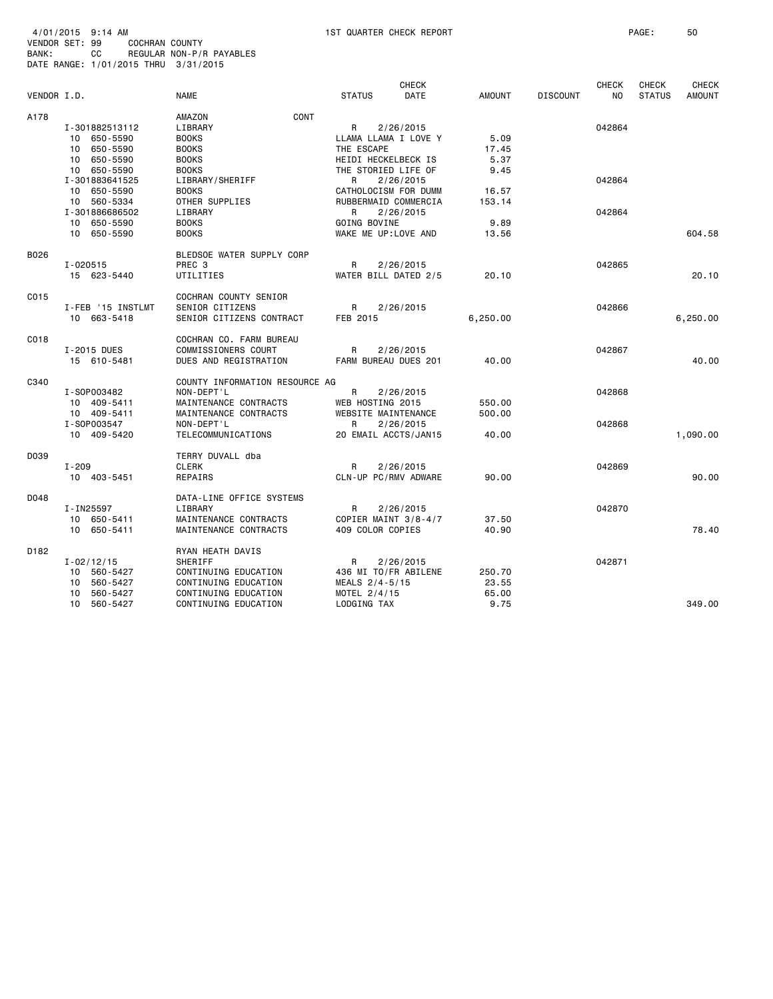| 4/01/2015 9:14 AM                    |     |                |                          |
|--------------------------------------|-----|----------------|--------------------------|
| VENDOR SET: 99                       |     | COCHRAN COUNTY |                          |
| BANK :                               | CC. |                | REGULAR NON-P/R PAYABLES |
| DATE RANGE: 1/01/2015 THRU 3/31/2015 |     |                |                          |

| VENDOR I.D. |                                                                   | <b>NAME</b>                                                                                         | <b>STATUS</b>                                                           | <b>CHECK</b><br>DATE | <b>AMOUNT</b>            | <b>DISCOUNT</b> | <b>CHECK</b><br>NO. | <b>CHECK</b><br><b>STATUS</b> | <b>CHECK</b><br><b>AMOUNT</b> |
|-------------|-------------------------------------------------------------------|-----------------------------------------------------------------------------------------------------|-------------------------------------------------------------------------|----------------------|--------------------------|-----------------|---------------------|-------------------------------|-------------------------------|
|             |                                                                   |                                                                                                     |                                                                         |                      |                          |                 |                     |                               |                               |
| A178        | I-301882513112<br>10 650-5590<br>650-5590<br>10                   | CONT<br>AMAZON<br>LIBRARY<br><b>BOOKS</b><br><b>BOOKS</b>                                           | R<br>LLAMA LLAMA I LOVE Y<br>THE ESCAPE                                 | 2/26/2015            | 5.09<br>17.45            |                 | 042864              |                               |                               |
|             | 10 650-5590<br>10 650-5590<br>I-301883641525<br>10 650-5590       | <b>BOOKS</b><br><b>BOOKS</b><br>LIBRARY/SHERIFF<br><b>BOOKS</b>                                     | HEIDI HECKELBECK IS<br>THE STORIED LIFE OF<br>R<br>CATHOLOCISM FOR DUMM | 2/26/2015            | 5.37<br>9.45<br>16.57    |                 | 042864              |                               |                               |
|             | 10 560-5334<br>I-301886686502<br>10 650-5590                      | OTHER SUPPLIES<br>LIBRARY<br><b>BOOKS</b>                                                           | RUBBERMAID COMMERCIA<br>R<br>GOING BOVINE                               | 2/26/2015            | 153.14<br>9.89           |                 | 042864              |                               |                               |
|             | 10 650-5590                                                       | <b>BOOKS</b>                                                                                        | WAKE ME UP:LOVE AND                                                     |                      | 13.56                    |                 |                     |                               | 604.58                        |
| B026        | $I - 020515$<br>15 623-5440                                       | BLEDSOE WATER SUPPLY CORP<br>PREC <sub>3</sub><br>UTILITIES                                         | R<br>WATER BILL DATED 2/5                                               | 2/26/2015            | 20.10                    |                 | 042865              |                               | 20.10                         |
| C015        | I-FEB '15 INSTLMT<br>10 663-5418                                  | COCHRAN COUNTY SENIOR<br>SENIOR CITIZENS<br>SENIOR CITIZENS CONTRACT                                | R.<br>FEB 2015                                                          | 2/26/2015            | 6,250.00                 |                 | 042866              |                               | 6,250.00                      |
| C018        | I-2015 DUES<br>15 610-5481                                        | COCHRAN CO. FARM BUREAU<br>COMMISSIONERS COURT<br>DUES AND REGISTRATION                             | R<br>FARM BUREAU DUES 201                                               | 2/26/2015            | 40.00                    |                 | 042867              |                               | 40.00                         |
| C340        | I-S0P003482<br>10 409-5411                                        | COUNTY INFORMATION RESOURCE AG<br>NON-DEPT'L<br>MAINTENANCE CONTRACTS                               | R<br>WEB HOSTING 2015                                                   | 2/26/2015            | 550.00                   |                 | 042868              |                               |                               |
|             | 10 409-5411<br>I-S0P003547<br>10 409-5420                         | MAINTENANCE CONTRACTS<br>NON-DEPT'L<br>TELECOMMUNICATIONS                                           | WEBSITE MAINTENANCE<br>R<br>20 EMAIL ACCTS/JAN15                        | 2/26/2015            | 500.00<br>40.00          |                 | 042868              |                               | 1,090.00                      |
| D039        | I-209<br>10 403-5451                                              | TERRY DUVALL dba<br><b>CLERK</b><br>REPAIRS                                                         | R<br>CLN-UP PC/RMV ADWARE                                               | 2/26/2015            | 90.00                    |                 | 042869              |                               | 90.00                         |
| D048        | I-IN25597<br>10 650-5411                                          | DATA-LINE OFFICE SYSTEMS<br>LIBRARY<br>MAINTENANCE CONTRACTS                                        | R<br>COPIER MAINT 3/8-4/7                                               | 2/26/2015            | 37.50                    |                 | 042870              |                               |                               |
|             | 10 650-5411                                                       | MAINTENANCE CONTRACTS                                                                               | 409 COLOR COPIES                                                        |                      | 40.90                    |                 |                     |                               | 78.40                         |
| D182        | $I - 02/12/15$<br>10 560-5427<br>560-5427<br>10<br>560-5427<br>10 | RYAN HEATH DAVIS<br>SHERIFF<br>CONTINUING EDUCATION<br>CONTINUING EDUCATION<br>CONTINUING EDUCATION | R<br>436 MI TO/FR ABILENE<br>MEALS 2/4-5/15<br>MOTEL 2/4/15             | 2/26/2015            | 250.70<br>23.55<br>65.00 |                 | 042871              |                               |                               |
|             | 10 560-5427                                                       | CONTINUING EDUCATION                                                                                | LODGING TAX                                                             |                      | 9.75                     |                 |                     |                               | 349,00                        |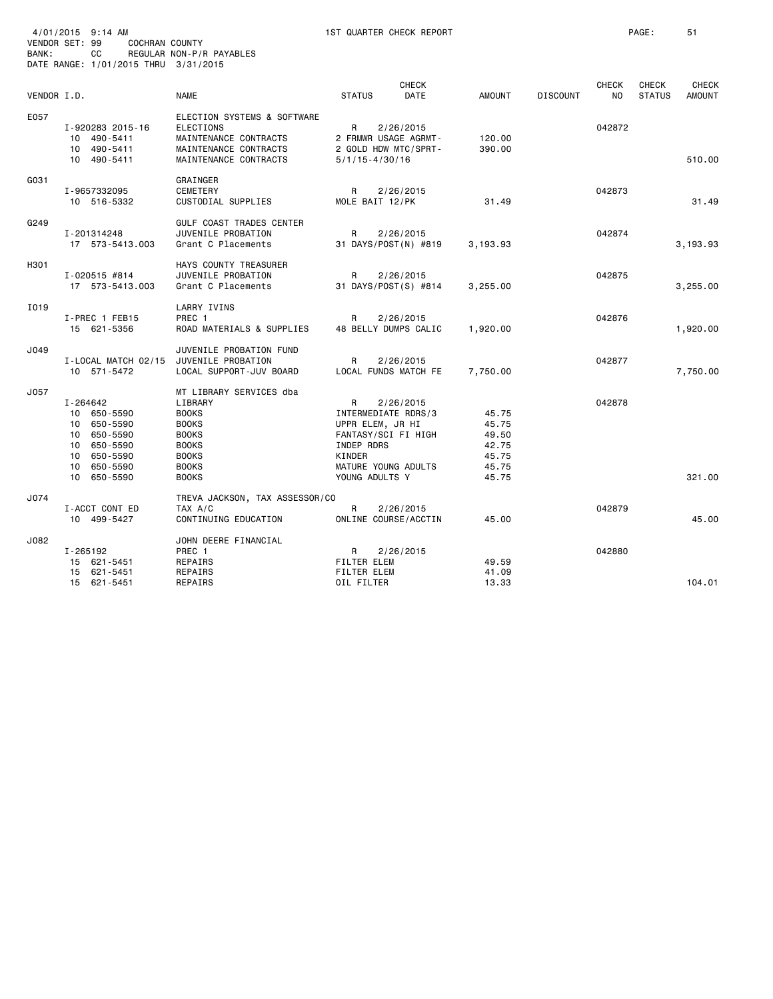| BANK:       | 4/01/2015 9:14 AM<br>VENDOR SET: 99<br><b>COCHRAN COUNTY</b><br>СC<br>DATE RANGE: 1/01/2015 THRU 3/31/2015                          | REGULAR NON-P/R PAYABLES                                                                                                                           | 1ST QUARTER CHECK REPORT                                                                                                             |                             |                                                             |                 |                                | PAGE:                         | 51                            |
|-------------|-------------------------------------------------------------------------------------------------------------------------------------|----------------------------------------------------------------------------------------------------------------------------------------------------|--------------------------------------------------------------------------------------------------------------------------------------|-----------------------------|-------------------------------------------------------------|-----------------|--------------------------------|-------------------------------|-------------------------------|
| VENDOR I.D. |                                                                                                                                     | <b>NAME</b>                                                                                                                                        | <b>STATUS</b>                                                                                                                        | <b>CHECK</b><br><b>DATE</b> | <b>AMOUNT</b>                                               | <b>DISCOUNT</b> | <b>CHECK</b><br>N <sub>O</sub> | <b>CHECK</b><br><b>STATUS</b> | <b>CHECK</b><br><b>AMOUNT</b> |
| E057        | I-920283 2015-16<br>10 490-5411<br>10 490-5411<br>10 490-5411                                                                       | ELECTION SYSTEMS & SOFTWARE<br><b>ELECTIONS</b><br>MAINTENANCE CONTRACTS<br>MAINTENANCE CONTRACTS<br>MAINTENANCE CONTRACTS                         | R<br>2 FRMWR USAGE AGRMT-<br>2 GOLD HDW MTC/SPRT-<br>$5/1/15 - 4/30/16$                                                              | 2/26/2015                   | 120.00<br>390.00                                            |                 | 042872                         |                               | 510.00                        |
| G031        | I-9657332095<br>10 516-5332                                                                                                         | GRAINGER<br><b>CEMETERY</b><br>CUSTODIAL SUPPLIES                                                                                                  | R<br>MOLE BAIT 12/PK                                                                                                                 | 2/26/2015                   | 31.49                                                       |                 | 042873                         |                               | 31.49                         |
| G249        | I-201314248<br>17 573-5413.003                                                                                                      | GULF COAST TRADES CENTER<br>JUVENILE PROBATION<br>Grant C Placements                                                                               | R<br>31 DAYS/POST(N) #819                                                                                                            | 2/26/2015                   | 3,193.93                                                    |                 | 042874                         |                               | 3,193.93                      |
| H301        | $I - 020515$ #814<br>17 573-5413.003                                                                                                | HAYS COUNTY TREASURER<br>JUVENILE PROBATION<br>Grant C Placements                                                                                  | R<br>31 DAYS/POST(S) #814                                                                                                            | 2/26/2015                   | 3,255.00                                                    |                 | 042875                         |                               | 3,255.00                      |
| I019        | I-PREC 1 FEB15<br>15 621-5356                                                                                                       | LARRY IVINS<br>PREC <sub>1</sub><br>ROAD MATERIALS & SUPPLIES                                                                                      | R<br>48 BELLY DUMPS CALIC                                                                                                            | 2/26/2015                   | 1,920.00                                                    |                 | 042876                         |                               | 1,920.00                      |
| J049        | I-LOCAL MATCH 02/15<br>10 571-5472                                                                                                  | JUVENILE PROBATION FUND<br>JUVENILE PROBATION<br>LOCAL SUPPORT-JUV BOARD                                                                           | R<br>LOCAL FUNDS MATCH FE                                                                                                            | 2/26/2015                   | 7,750.00                                                    |                 | 042877                         |                               | 7,750.00                      |
| J057        | I-264642<br>10 650-5590<br>650-5590<br>10<br>650-5590<br>10<br>650-5590<br>10<br>650-5590<br>10<br>650-5590<br>10<br>650-5590<br>10 | MT LIBRARY SERVICES dba<br>LIBRARY<br><b>BOOKS</b><br><b>BOOKS</b><br><b>BOOKS</b><br><b>BOOKS</b><br><b>BOOKS</b><br><b>BOOKS</b><br><b>BOOKS</b> | R<br>INTERMEDIATE RDRS/3<br>UPPR ELEM, JR HI<br>FANTASY/SCI FI HIGH<br>INDEP RDRS<br>KINDER<br>MATURE YOUNG ADULTS<br>YOUNG ADULTS Y | 2/26/2015                   | 45.75<br>45.75<br>49.50<br>42.75<br>45.75<br>45.75<br>45.75 |                 | 042878                         |                               | 321.00                        |
| J074        | I-ACCT CONT ED<br>10 499-5427                                                                                                       | TREVA JACKSON, TAX ASSESSOR/CO<br>TAX A/C<br>CONTINUING EDUCATION                                                                                  | R<br>ONLINE COURSE/ACCTIN                                                                                                            | 2/26/2015                   | 45.00                                                       |                 | 042879                         |                               | 45.00                         |
| J082        | I-265192<br>15 621-5451<br>15 621-5451<br>15 621-5451                                                                               | JOHN DEERE FINANCIAL<br>PREC 1<br>REPAIRS<br>REPAIRS<br>REPAIRS                                                                                    | R<br>FILTER ELEM<br><b>FILTER ELEM</b><br>OIL FILTER                                                                                 | 2/26/2015                   | 49.59<br>41.09<br>13.33                                     |                 | 042880                         |                               | 104.01                        |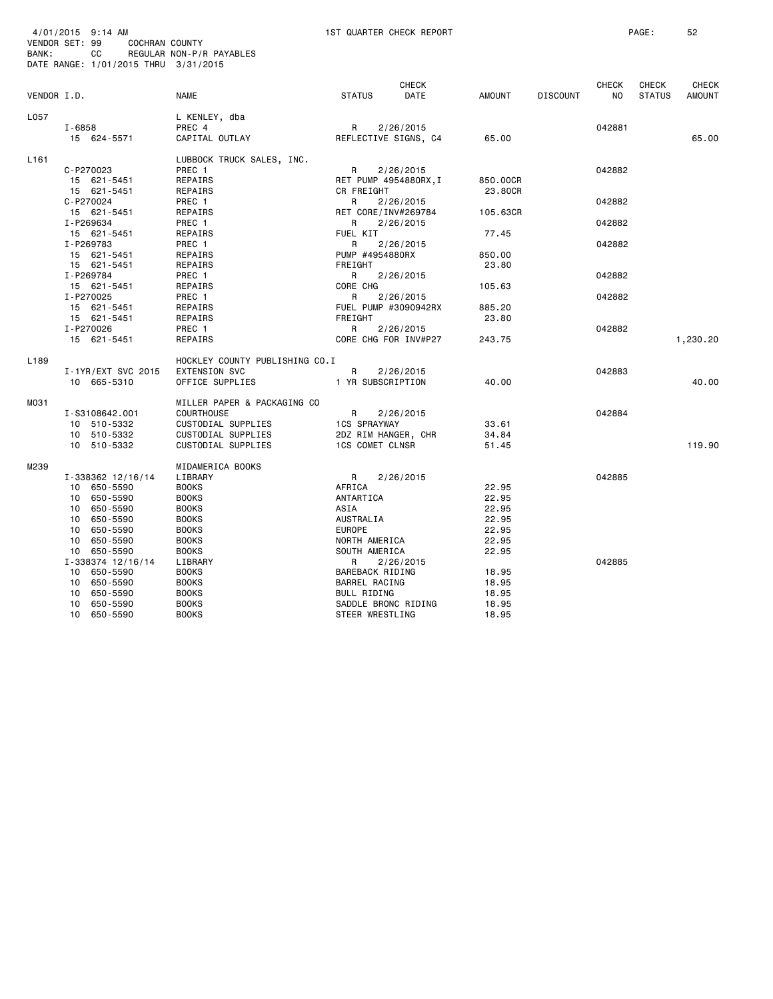| BANK:            | 4/01/2015 9:14 AM<br>VENDOR SET: 99<br>COCHRAN COUNTY<br>CС<br>DATE RANGE: 1/01/2015 THRU 3/31/2015 | REGULAR NON-P/R PAYABLES       |                           | 1ST QUARTER CHECK REPORT    |          |                 |                         | PAGE:                         | 52                            |
|------------------|-----------------------------------------------------------------------------------------------------|--------------------------------|---------------------------|-----------------------------|----------|-----------------|-------------------------|-------------------------------|-------------------------------|
| VENDOR I.D.      |                                                                                                     | <b>NAME</b>                    | <b>STATUS</b>             | <b>CHECK</b><br><b>DATE</b> | AMOUNT   | <b>DISCOUNT</b> | CHECK<br>N <sub>O</sub> | <b>CHECK</b><br><b>STATUS</b> | <b>CHECK</b><br><b>AMOUNT</b> |
|                  |                                                                                                     |                                |                           |                             |          |                 |                         |                               |                               |
| L057             |                                                                                                     | L KENLEY, dba                  |                           |                             |          |                 |                         |                               |                               |
|                  | $I - 6858$<br>15 624-5571                                                                           | PREC 4<br>CAPITAL OUTLAY       | R<br>REFLECTIVE SIGNS, C4 | 2/26/2015                   | 65.00    |                 | 042881                  |                               | 65,00                         |
|                  |                                                                                                     |                                |                           |                             |          |                 |                         |                               |                               |
| L <sub>161</sub> |                                                                                                     | LUBBOCK TRUCK SALES, INC.      |                           |                             |          |                 |                         |                               |                               |
|                  | C-P270023                                                                                           | PREC 1                         | R                         | 2/26/2015                   |          |                 | 042882                  |                               |                               |
|                  | 15 621-5451                                                                                         | REPAIRS                        | RET PUMP 4954880RX, I     |                             | 850.00CR |                 |                         |                               |                               |
|                  | 15 621-5451                                                                                         | REPAIRS                        | CR FREIGHT                |                             | 23.80CR  |                 |                         |                               |                               |
|                  | C-P270024                                                                                           | PREC 1                         | R                         | 2/26/2015                   |          |                 | 042882                  |                               |                               |
|                  | 15 621-5451                                                                                         | REPAIRS                        | RET CORE/INV#269784       |                             | 105.63CR |                 |                         |                               |                               |
|                  | I-P269634                                                                                           | PREC 1                         | R                         | 2/26/2015                   |          |                 | 042882                  |                               |                               |
|                  | 15 621-5451                                                                                         | REPAIRS                        | FUEL KIT                  |                             | 77.45    |                 |                         |                               |                               |
|                  | I-P269783                                                                                           | PREC 1                         | R                         | 2/26/2015                   |          |                 | 042882                  |                               |                               |
|                  | 15 621-5451                                                                                         | REPAIRS                        | PUMP #4954880RX           |                             | 850.00   |                 |                         |                               |                               |
|                  | 15 621-5451                                                                                         | REPAIRS                        | FREIGHT                   |                             | 23.80    |                 |                         |                               |                               |
|                  | I-P269784                                                                                           | PREC 1                         | R                         | 2/26/2015                   |          |                 | 042882                  |                               |                               |
|                  | 15 621-5451                                                                                         | REPAIRS                        | CORE CHG                  |                             | 105.63   |                 |                         |                               |                               |
|                  | I-P270025                                                                                           | PREC 1                         | R                         | 2/26/2015                   |          |                 | 042882                  |                               |                               |
|                  | 15 621-5451                                                                                         | REPAIRS                        | FUEL PUMP #3090942RX      |                             | 885.20   |                 |                         |                               |                               |
|                  | 15 621-5451                                                                                         | REPAIRS                        | FREIGHT                   |                             | 23.80    |                 |                         |                               |                               |
|                  | I-P270026                                                                                           | PREC 1                         | R                         | 2/26/2015                   |          |                 | 042882                  |                               |                               |
|                  | 15 621-5451                                                                                         | REPAIRS                        | CORE CHG FOR INV#P27      |                             | 243.75   |                 |                         |                               | 1,230.20                      |
| L <sub>189</sub> |                                                                                                     | HOCKLEY COUNTY PUBLISHING CO.I |                           |                             |          |                 |                         |                               |                               |
|                  | I-1YR/EXT SVC 2015                                                                                  | EXTENSION SVC                  | R                         | 2/26/2015                   |          |                 | 042883                  |                               |                               |
|                  | 10 665-5310                                                                                         | OFFICE SUPPLIES                | 1 YR SUBSCRIPTION         |                             | 40.00    |                 |                         |                               | 40.00                         |
|                  |                                                                                                     |                                |                           |                             |          |                 |                         |                               |                               |
| M031             |                                                                                                     | MILLER PAPER & PACKAGING CO    |                           |                             |          |                 |                         |                               |                               |
|                  | I-S3108642.001                                                                                      | <b>COURTHOUSE</b>              | R                         | 2/26/2015                   |          |                 | 042884                  |                               |                               |
|                  | 10 510-5332                                                                                         | CUSTODIAL SUPPLIES             | <b>1CS SPRAYWAY</b>       |                             | 33.61    |                 |                         |                               |                               |
|                  | 10 510-5332                                                                                         | CUSTODIAL SUPPLIES             | 2DZ RIM HANGER, CHR       |                             | 34.84    |                 |                         |                               |                               |
|                  | 10 510-5332                                                                                         | CUSTODIAL SUPPLIES             | <b>1CS COMET CLNSR</b>    |                             | 51.45    |                 |                         |                               | 119,90                        |
| M239             |                                                                                                     |                                |                           |                             |          |                 |                         |                               |                               |
|                  |                                                                                                     | MIDAMERICA BOOKS<br>LIBRARY    |                           | 2/26/2015                   |          |                 | 042885                  |                               |                               |
|                  | I-338362 12/16/14                                                                                   |                                | R                         |                             |          |                 |                         |                               |                               |
|                  | 10 650-5590                                                                                         | <b>BOOKS</b>                   | AFRICA                    |                             | 22.95    |                 |                         |                               |                               |
|                  | 10 650-5590                                                                                         | <b>BOOKS</b>                   | ANTARTICA                 |                             | 22.95    |                 |                         |                               |                               |
|                  | 650-5590<br>10                                                                                      | <b>BOOKS</b>                   | ASIA                      |                             | 22.95    |                 |                         |                               |                               |
|                  | 10 650-5590                                                                                         | <b>BOOKS</b>                   | AUSTRALIA                 |                             | 22.95    |                 |                         |                               |                               |
|                  | 10 650-5590                                                                                         | <b>BOOKS</b>                   | <b>EUROPE</b>             |                             | 22.95    |                 |                         |                               |                               |
|                  | 10 650-5590                                                                                         | <b>BOOKS</b>                   | NORTH AMERICA             |                             | 22.95    |                 |                         |                               |                               |
|                  | 10 650-5590                                                                                         | <b>BOOKS</b>                   | SOUTH AMERICA             |                             | 22.95    |                 |                         |                               |                               |
|                  | I-338374 12/16/14                                                                                   | LIBRARY                        | R                         | 2/26/2015                   |          |                 | 042885                  |                               |                               |
|                  | 10 650-5590                                                                                         | <b>BOOKS</b>                   | BAREBACK RIDING           |                             | 18.95    |                 |                         |                               |                               |
|                  | 10<br>650-5590                                                                                      | <b>BOOKS</b>                   | BARREL RACING             |                             | 18.95    |                 |                         |                               |                               |
|                  | 10<br>650-5590                                                                                      | <b>BOOKS</b>                   | BULL RIDING               |                             | 18.95    |                 |                         |                               |                               |
|                  | 10<br>650-5590                                                                                      | <b>BOOKS</b>                   | SADDLE BRONC RIDING       |                             | 18.95    |                 |                         |                               |                               |
|                  | 10<br>650-5590                                                                                      | <b>BOOKS</b>                   | STEER WRESTLING           |                             | 18.95    |                 |                         |                               |                               |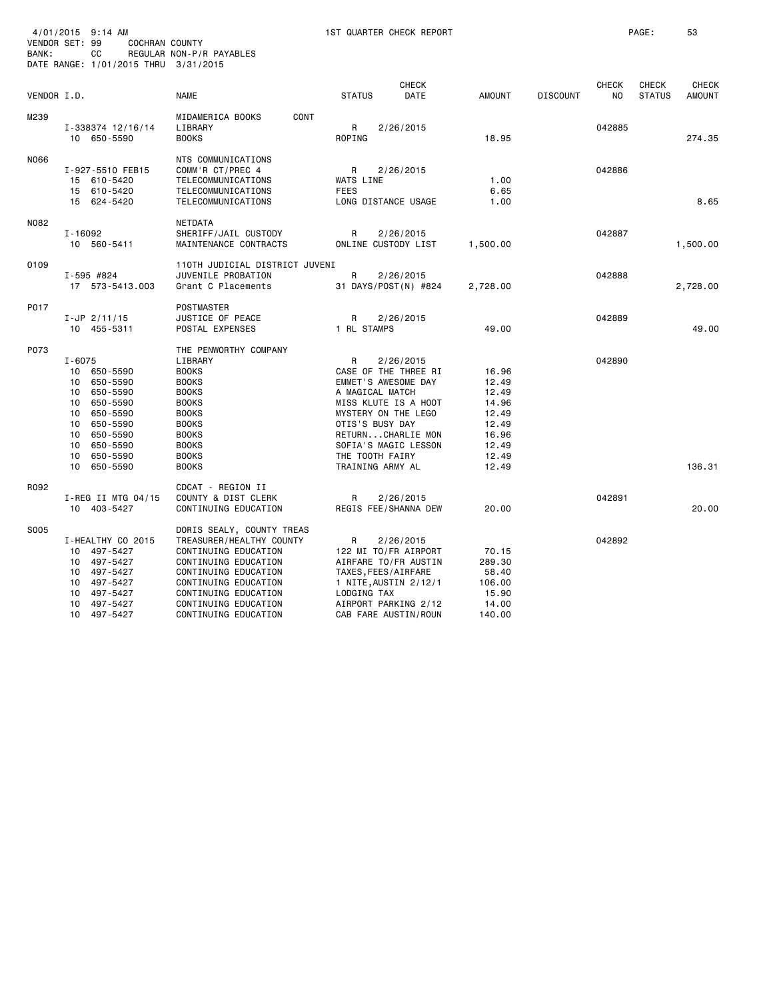| 4/01/2015 9:14 AM<br>VENDOR SET: 99<br>COCHRAN COUNTY<br>BANK:<br>CС<br>DATE RANGE: 1/01/2015 THRU 3/31/2015 |                                                                                                                                                                                            | 1ST QUARTER CHECK REPORT<br>REGULAR NON-P/R PAYABLES                                                                                                                                                                          |                                                                                                                                                                                                                                        |                                                                                        |                 |                    | PAGE:                         |                        |
|--------------------------------------------------------------------------------------------------------------|--------------------------------------------------------------------------------------------------------------------------------------------------------------------------------------------|-------------------------------------------------------------------------------------------------------------------------------------------------------------------------------------------------------------------------------|----------------------------------------------------------------------------------------------------------------------------------------------------------------------------------------------------------------------------------------|----------------------------------------------------------------------------------------|-----------------|--------------------|-------------------------------|------------------------|
| VENDOR I.D.                                                                                                  |                                                                                                                                                                                            | NAME                                                                                                                                                                                                                          | <b>CHECK</b><br><b>STATUS</b><br><b>DATE</b>                                                                                                                                                                                           | <b>AMOUNT</b>                                                                          | <b>DISCOUNT</b> | <b>CHECK</b><br>NO | <b>CHECK</b><br><b>STATUS</b> | <b>CHECK</b><br>AMOUNT |
| M239                                                                                                         | I-338374 12/16/14<br>10 650-5590                                                                                                                                                           | CONT<br>MIDAMERICA BOOKS<br>LIBRARY<br><b>BOOKS</b>                                                                                                                                                                           | R<br>2/26/2015<br>ROPING                                                                                                                                                                                                               | 18.95                                                                                  |                 | 042885             |                               | 274.35                 |
| N066                                                                                                         | I-927-5510 FEB15<br>15 610-5420<br>610-5420<br>15<br>15 624-5420                                                                                                                           | NTS COMMUNICATIONS<br>COMM'R CT/PREC 4<br>TELECOMMUNICATIONS<br>TELECOMMUNICATIONS<br>TELECOMMUNICATIONS                                                                                                                      | R<br>2/26/2015<br>WATS LINE<br><b>FEES</b><br>LONG DISTANCE USAGE                                                                                                                                                                      | 1.00<br>6.65<br>1.00                                                                   |                 | 042886             |                               | 8.65                   |
| N082                                                                                                         | $I - 16092$<br>10 560-5411                                                                                                                                                                 | <b>NETDATA</b><br>SHERIFF/JAIL CUSTODY<br>MAINTENANCE CONTRACTS                                                                                                                                                               | R<br>2/26/2015<br>ONLINE CUSTODY LIST                                                                                                                                                                                                  | 1,500.00                                                                               |                 | 042887             |                               | 1,500.00               |
| 0109                                                                                                         | I-595 #824<br>17 573-5413.003                                                                                                                                                              | 110TH JUDICIAL DISTRICT JUVENI<br>JUVENILE PROBATION<br>Grant C Placements                                                                                                                                                    | R<br>2/26/2015<br>31 DAYS/POST(N) #824                                                                                                                                                                                                 | 2,728.00                                                                               |                 | 042888             |                               | 2,728.00               |
| P017                                                                                                         | $I-JP$ 2/11/15<br>10 455-5311                                                                                                                                                              | POSTMASTER<br>JUSTICE OF PEACE<br>POSTAL EXPENSES                                                                                                                                                                             | R<br>2/26/2015<br>1 RL STAMPS                                                                                                                                                                                                          | 49.00                                                                                  |                 | 042889             |                               | 49.00                  |
| P073                                                                                                         | I-6075<br>10<br>650-5590<br>650-5590<br>10<br>650-5590<br>10<br>10<br>650-5590<br>650-5590<br>10<br>650-5590<br>10<br>10<br>650-5590<br>650-5590<br>10<br>650-5590<br>10<br>10<br>650-5590 | THE PENWORTHY COMPANY<br>LIBRARY<br><b>BOOKS</b><br><b>BOOKS</b><br><b>BOOKS</b><br><b>BOOKS</b><br><b>BOOKS</b><br><b>BOOKS</b><br><b>BOOKS</b><br><b>BOOKS</b><br><b>BOOKS</b><br><b>BOOKS</b>                              | R<br>2/26/2015<br>CASE OF THE THREE RI<br>EMMET'S AWESOME DAY<br>A MAGICAL MATCH<br>MISS KLUTE IS A HOOT<br>MYSTERY ON THE LEGO<br>OTIS'S BUSY DAY<br>RETURNCHARLIE MON<br>SOFIA'S MAGIC LESSON<br>THE TOOTH FAIRY<br>TRAINING ARMY AL | 16.96<br>12.49<br>12.49<br>14.96<br>12.49<br>12.49<br>16.96<br>12.49<br>12.49<br>12.49 |                 | 042890             |                               | 136.31                 |
| R092                                                                                                         | I-REG II MTG 04/15<br>10 403-5427                                                                                                                                                          | CDCAT - REGION II<br>COUNTY & DIST CLERK<br>CONTINUING EDUCATION                                                                                                                                                              | R<br>2/26/2015<br>REGIS FEE/SHANNA DEW                                                                                                                                                                                                 | 20,00                                                                                  |                 | 042891             |                               | 20,00                  |
| S005                                                                                                         | I-HEALTHY CO 2015<br>497-5427<br>10<br>497-5427<br>10<br>497-5427<br>10<br>497-5427<br>10<br>10<br>497-5427<br>10<br>497-5427<br>10<br>497-5427                                            | DORIS SEALY, COUNTY TREAS<br>TREASURER/HEALTHY COUNTY<br>CONTINUING EDUCATION<br>CONTINUING EDUCATION<br>CONTINUING EDUCATION<br>CONTINUING EDUCATION<br>CONTINUING EDUCATION<br>CONTINUING EDUCATION<br>CONTINUING EDUCATION | R<br>2/26/2015<br>122 MI TO/FR AIRPORT<br>AIRFARE TO/FR AUSTIN<br>TAXES, FEES/AIRFARE<br>1 NITE, AUSTIN 2/12/1<br>LODGING TAX<br>AIRPORT PARKING 2/12<br>CAB FARE AUSTIN/ROUN                                                          | 70.15<br>289.30<br>58.40<br>106.00<br>15.90<br>14.00<br>140.00                         |                 | 042892             |                               |                        |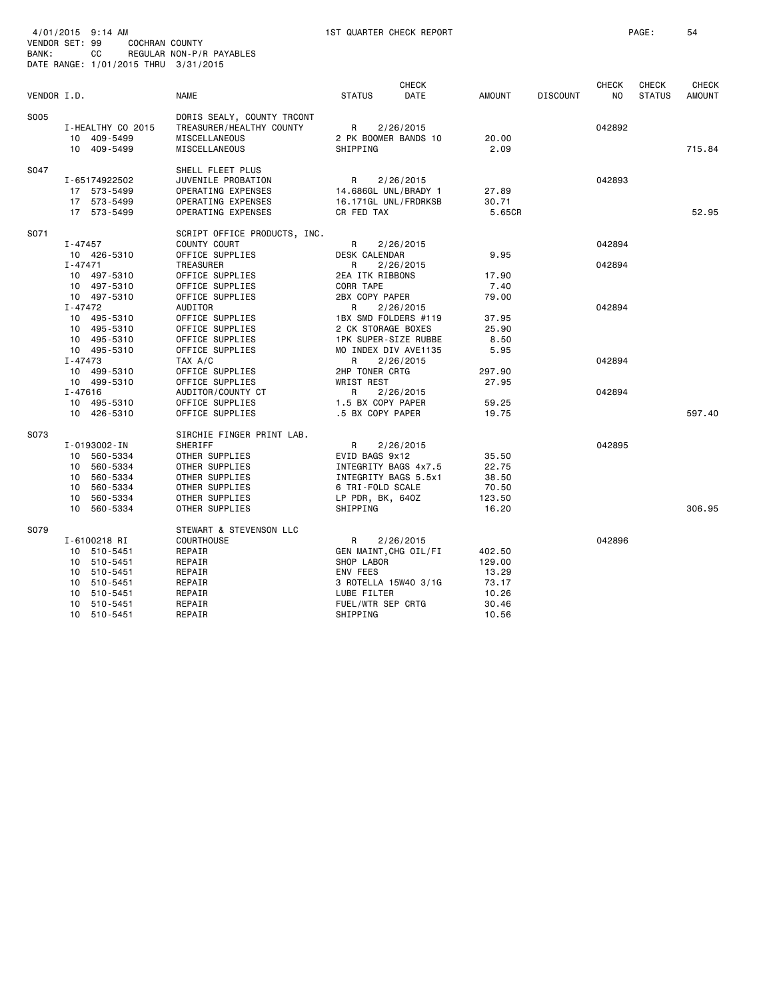| BANK:       | 4/01/2015 9:14 AM<br>VENDOR SET: 99<br>COCHRAN COUNTY<br>CC<br>DATE RANGE: 1/01/2015 THRU 3/31/2015                   | REGULAR NON-P/R PAYABLES                                                                                                       | 1ST QUARTER CHECK REPORT                                                                                    |              |                                                      |                 |              | PAGE:         | 54            |
|-------------|-----------------------------------------------------------------------------------------------------------------------|--------------------------------------------------------------------------------------------------------------------------------|-------------------------------------------------------------------------------------------------------------|--------------|------------------------------------------------------|-----------------|--------------|---------------|---------------|
|             |                                                                                                                       |                                                                                                                                |                                                                                                             | <b>CHECK</b> |                                                      |                 | <b>CHECK</b> | CHECK         | <b>CHECK</b>  |
| VENDOR I.D. |                                                                                                                       | <b>NAME</b>                                                                                                                    | <b>STATUS</b>                                                                                               | DATE         | <b>AMOUNT</b>                                        | <b>DISCOUNT</b> | NO           | <b>STATUS</b> | <b>AMOUNT</b> |
| S005        | I-HEALTHY CO 2015<br>10 409-5499<br>10 409-5499                                                                       | DORIS SEALY, COUNTY TRCONT<br>TREASURER/HEALTHY COUNTY<br>MISCELLANEOUS<br>MISCELLANEOUS                                       | R<br>2 PK BOOMER BANDS 10<br>SHIPPING                                                                       | 2/26/2015    | 20.00<br>2.09                                        |                 | 042892       |               | 715.84        |
| S047        | I-65174922502<br>17 573-5499<br>17 573-5499<br>17 573-5499                                                            | SHELL FLEET PLUS<br>JUVENILE PROBATION<br>OPERATING EXPENSES<br>OPERATING EXPENSES<br>OPERATING EXPENSES                       | R<br>14.686GL UNL/BRADY 1<br>16.171GL UNL/FRDRKSB<br>CR FED TAX                                             | 2/26/2015    | 27.89<br>30.71<br>5.65CR                             |                 | 042893       |               | 52.95         |
| S071        | I-47457<br>10 426-5310                                                                                                | SCRIPT OFFICE PRODUCTS, INC.<br>COUNTY COURT<br>OFFICE SUPPLIES                                                                | R<br>DESK CALENDAR                                                                                          | 2/26/2015    | 9.95                                                 |                 | 042894       |               |               |
|             | $I - 47471$<br>10 497-5310<br>10 497-5310                                                                             | TREASURER<br>OFFICE SUPPLIES<br>OFFICE SUPPLIES                                                                                | R<br>2EA ITK RIBBONS<br>CORR TAPE                                                                           | 2/26/2015    | 17.90<br>7.40                                        |                 | 042894       |               |               |
|             | 10 497-5310<br>$I - 47472$<br>10 495-5310<br>10 495-5310<br>10<br>495-5310                                            | OFFICE SUPPLIES<br><b>AUDITOR</b><br>OFFICE SUPPLIES<br>OFFICE SUPPLIES<br>OFFICE SUPPLIES                                     | 2BX COPY PAPER<br>R<br>1BX SMD FOLDERS #119<br>2 CK STORAGE BOXES<br>1PK SUPER-SIZE RUBBE                   | 2/26/2015    | 79.00<br>37.95<br>25.90<br>8.50                      |                 | 042894       |               |               |
|             | 10 495-5310<br>$I - 47473$<br>10 499-5310<br>10 499-5310                                                              | OFFICE SUPPLIES<br>TAX A/C<br>OFFICE SUPPLIES<br>OFFICE SUPPLIES                                                               | MO INDEX DIV AVE1135<br>R<br>2HP TONER CRTG<br><b>WRIST REST</b>                                            | 2/26/2015    | 5.95<br>297.90<br>27.95                              |                 | 042894       |               |               |
|             | I-47616<br>10 495-5310<br>10 426-5310                                                                                 | AUDITOR/COUNTY CT<br>OFFICE SUPPLIES<br>OFFICE SUPPLIES                                                                        | R<br>1.5 BX COPY PAPER<br>.5 BX COPY PAPER                                                                  | 2/26/2015    | 59.25<br>19.75                                       |                 | 042894       |               | 597.40        |
| S073        | I-0193002-IN<br>10 560-5334<br>560-5334<br>10<br>10<br>560-5334<br>10<br>560-5334<br>10<br>560-5334                   | SIRCHIE FINGER PRINT LAB.<br>SHERIFF<br>OTHER SUPPLIES<br>OTHER SUPPLIES<br>OTHER SUPPLIES<br>OTHER SUPPLIES<br>OTHER SUPPLIES | R<br>EVID BAGS 9x12<br>INTEGRITY BAGS 4x7.5<br>INTEGRITY BAGS 5.5x1<br>6 TRI-FOLD SCALE<br>LP PDR, BK, 640Z | 2/26/2015    | 35.50<br>22.75<br>38.50<br>70.50<br>123.50           |                 | 042895       |               |               |
| S079        | 10<br>560-5334<br>I-6100218 RI<br>10 510-5451<br>10<br>510-5451<br>10<br>510-5451<br>510-5451<br>10<br>510-5451<br>10 | OTHER SUPPLIES<br>STEWART & STEVENSON LLC<br><b>COURTHOUSE</b><br>REPAIR<br>REPAIR<br>REPAIR<br>REPAIR<br>REPAIR               | SHIPPING<br>R<br>GEN MAINT, CHG OIL/FI<br>SHOP LABOR<br>ENV FEES<br>3 ROTELLA 15W40 3/1G<br>LUBE FILTER     | 2/26/2015    | 16.20<br>402.50<br>129.00<br>13.29<br>73.17<br>10.26 |                 | 042896       |               | 306.95        |
|             | 10<br>510-5451<br>10<br>510-5451                                                                                      | REPAIR<br>REPAIR                                                                                                               | FUEL/WTR SEP CRTG<br>SHIPPING                                                                               |              | 30.46<br>10.56                                       |                 |              |               |               |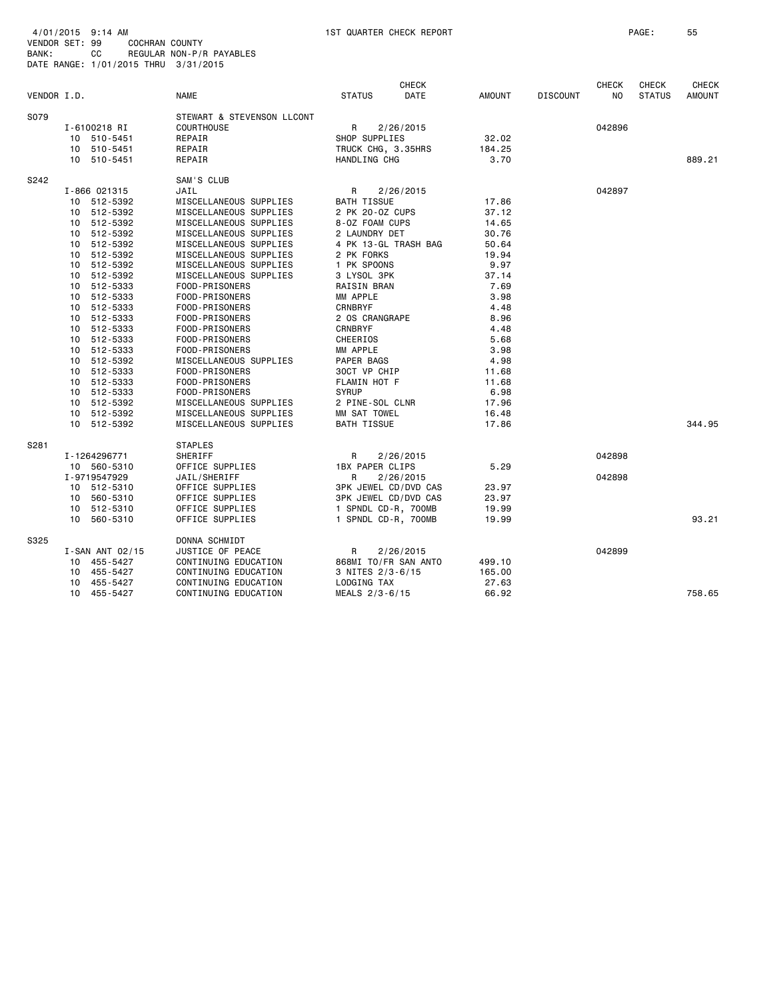| BANK:       | 4/01/2015 9:14 AM<br>VENDOR SET: 99<br><b>COCHRAN COUNTY</b><br>CС<br>REGULAR NON-P/R PAYABLES<br>DATE RANGE: 1/01/2015 THRU 3/31/2015 |                 |                            | 1ST QUARTER CHECK REPORT    |                      |               |                 |                    | PAGE:                  |                               |
|-------------|----------------------------------------------------------------------------------------------------------------------------------------|-----------------|----------------------------|-----------------------------|----------------------|---------------|-----------------|--------------------|------------------------|-------------------------------|
| VENDOR I.D. |                                                                                                                                        |                 | <b>NAME</b>                | <b>STATUS</b>               | <b>CHECK</b><br>DATE | <b>AMOUNT</b> | <b>DISCOUNT</b> | <b>CHECK</b><br>NO | CHECK<br><b>STATUS</b> | <b>CHECK</b><br><b>AMOUNT</b> |
| S079        |                                                                                                                                        |                 | STEWART & STEVENSON LLCONT |                             |                      |               |                 |                    |                        |                               |
|             |                                                                                                                                        | I-6100218 RI    | <b>COURTHOUSE</b>          | R                           | 2/26/2015            |               |                 | 042896             |                        |                               |
|             |                                                                                                                                        | 10 510-5451     | REPAIR                     | SHOP SUPPLIES               |                      | 32.02         |                 |                    |                        |                               |
|             |                                                                                                                                        | 10 510-5451     | REPAIR                     | TRUCK CHG, 3.35HRS          |                      | 184.25        |                 |                    |                        |                               |
|             |                                                                                                                                        | 10 510-5451     | REPAIR                     | HANDLING CHG                |                      | 3.70          |                 |                    |                        | 889.21                        |
| S242        |                                                                                                                                        |                 | SAM'S CLUB                 |                             |                      |               |                 |                    |                        |                               |
|             |                                                                                                                                        | I-866 021315    | JAIL                       | R                           | 2/26/2015            |               |                 | 042897             |                        |                               |
|             |                                                                                                                                        | 10 512-5392     | MISCELLANEOUS SUPPLIES     | BATH TISSUE                 |                      | 17.86         |                 |                    |                        |                               |
|             | 10                                                                                                                                     | 512-5392        | MISCELLANEOUS SUPPLIES     | 2 PK 20-0Z CUPS             |                      | 37.12         |                 |                    |                        |                               |
|             |                                                                                                                                        | 10 512-5392     | MISCELLANEOUS SUPPLIES     | 8-0Z FOAM CUPS              |                      | 14.65         |                 |                    |                        |                               |
|             |                                                                                                                                        | 10 512-5392     | MISCELLANEOUS SUPPLIES     | 2 LAUNDRY DET               |                      | 30.76         |                 |                    |                        |                               |
|             |                                                                                                                                        | 10 512-5392     | MISCELLANEOUS SUPPLIES     | 4 PK 13-GL TRASH BAG        |                      | 50.64         |                 |                    |                        |                               |
|             | 10                                                                                                                                     | 512-5392        | MISCELLANEOUS SUPPLIES     | 2 PK FORKS                  |                      | 19.94         |                 |                    |                        |                               |
|             |                                                                                                                                        | 10 512-5392     | MISCELLANEOUS SUPPLIES     | 1 PK SPOONS                 |                      | 9.97          |                 |                    |                        |                               |
|             |                                                                                                                                        | 10 512-5392     | MISCELLANEOUS SUPPLIES     | 3 LYSOL 3PK                 |                      | 37.14         |                 |                    |                        |                               |
|             |                                                                                                                                        | 10 512-5333     | FOOD-PRISONERS             | RAISIN BRAN                 |                      | 7.69          |                 |                    |                        |                               |
|             | 10                                                                                                                                     | 512-5333        | FOOD-PRISONERS             | MM APPLE                    |                      | 3.98          |                 |                    |                        |                               |
|             | 10                                                                                                                                     | 512-5333        | FOOD-PRISONERS             | <b>CRNBRYF</b>              |                      | 4.48          |                 |                    |                        |                               |
|             |                                                                                                                                        | 10 512-5333     | FOOD-PRISONERS             | 2 OS CRANGRAPE              |                      | 8.96          |                 |                    |                        |                               |
|             | 10                                                                                                                                     | 512-5333        | FOOD-PRISONERS             | CRNBRYF                     |                      | 4.48          |                 |                    |                        |                               |
|             | 10                                                                                                                                     | 512-5333        | FOOD-PRISONERS             | CHEERIOS                    |                      | 5.68          |                 |                    |                        |                               |
|             | 10                                                                                                                                     | 512-5333        | FOOD-PRISONERS             | MM APPLE                    |                      | 3.98          |                 |                    |                        |                               |
|             | 10                                                                                                                                     | 512-5392        | MISCELLANEOUS SUPPLIES     | PAPER BAGS                  |                      | 4.98          |                 |                    |                        |                               |
|             |                                                                                                                                        | 10 512-5333     | FOOD-PRISONERS             | 30CT VP CHIP                |                      | 11.68         |                 |                    |                        |                               |
|             | 10                                                                                                                                     | 512-5333        | FOOD-PRISONERS             | FLAMIN HOT F                |                      | 11.68         |                 |                    |                        |                               |
|             | 10                                                                                                                                     | 512-5333        | FOOD-PRISONERS             | <b>SYRUP</b>                |                      | 6.98          |                 |                    |                        |                               |
|             |                                                                                                                                        | 10 512-5392     | MISCELLANEOUS SUPPLIES     | 2 PINE-SOL CLNR             |                      | 17.96         |                 |                    |                        |                               |
|             |                                                                                                                                        | 10 512-5392     | MISCELLANEOUS SUPPLIES     | MM SAT TOWEL                |                      | 16.48         |                 |                    |                        |                               |
|             | 10                                                                                                                                     | 512-5392        | MISCELLANEOUS SUPPLIES     | <b>BATH TISSUE</b>          |                      | 17.86         |                 |                    |                        | 344.95                        |
| S281        |                                                                                                                                        |                 | <b>STAPLES</b>             |                             |                      |               |                 |                    |                        |                               |
|             |                                                                                                                                        | I-1264296771    | SHERIFF                    | R                           | 2/26/2015            |               |                 | 042898             |                        |                               |
|             |                                                                                                                                        | 10 560-5310     | OFFICE SUPPLIES            | 1BX PAPER CLIPS             |                      | 5.29          |                 |                    |                        |                               |
|             |                                                                                                                                        | I-9719547929    | JAIL/SHERIFF               | R                           | 2/26/2015            |               |                 | 042898             |                        |                               |
|             |                                                                                                                                        | 10 512-5310     | OFFICE SUPPLIES            | 3PK JEWEL CD/DVD CAS        |                      | 23.97         |                 |                    |                        |                               |
|             |                                                                                                                                        | 10 560-5310     | OFFICE SUPPLIES            | <b>3PK JEWEL CD/DVD CAS</b> |                      | 23.97         |                 |                    |                        |                               |
|             |                                                                                                                                        | 10 512-5310     | OFFICE SUPPLIES            | 1 SPNDL CD-R, 700MB         |                      | 19.99         |                 |                    |                        |                               |
|             |                                                                                                                                        | 10 560-5310     | OFFICE SUPPLIES            | 1 SPNDL CD-R, 700MB         |                      | 19.99         |                 |                    |                        | 93.21                         |
| S325        |                                                                                                                                        |                 | DONNA SCHMIDT              |                             |                      |               |                 |                    |                        |                               |
|             |                                                                                                                                        | I-SAN ANT 02/15 | JUSTICE OF PEACE           | R                           | 2/26/2015            |               |                 | 042899             |                        |                               |
|             | 10                                                                                                                                     | 455-5427        | CONTINUING EDUCATION       | 868MI TO/FR SAN ANTO        |                      | 499.10        |                 |                    |                        |                               |
|             | 10                                                                                                                                     | 455-5427        | CONTINUING EDUCATION       | 3 NITES 2/3-6/15            |                      | 165.00        |                 |                    |                        |                               |
|             |                                                                                                                                        | 10 455-5427     | CONTINUING EDUCATION       | LODGING TAX                 |                      | 27.63         |                 |                    |                        |                               |
|             |                                                                                                                                        | 10 455-5427     | CONTINUING EDUCATION       | MEALS 2/3-6/15              |                      | 66.92         |                 |                    |                        | 758.65                        |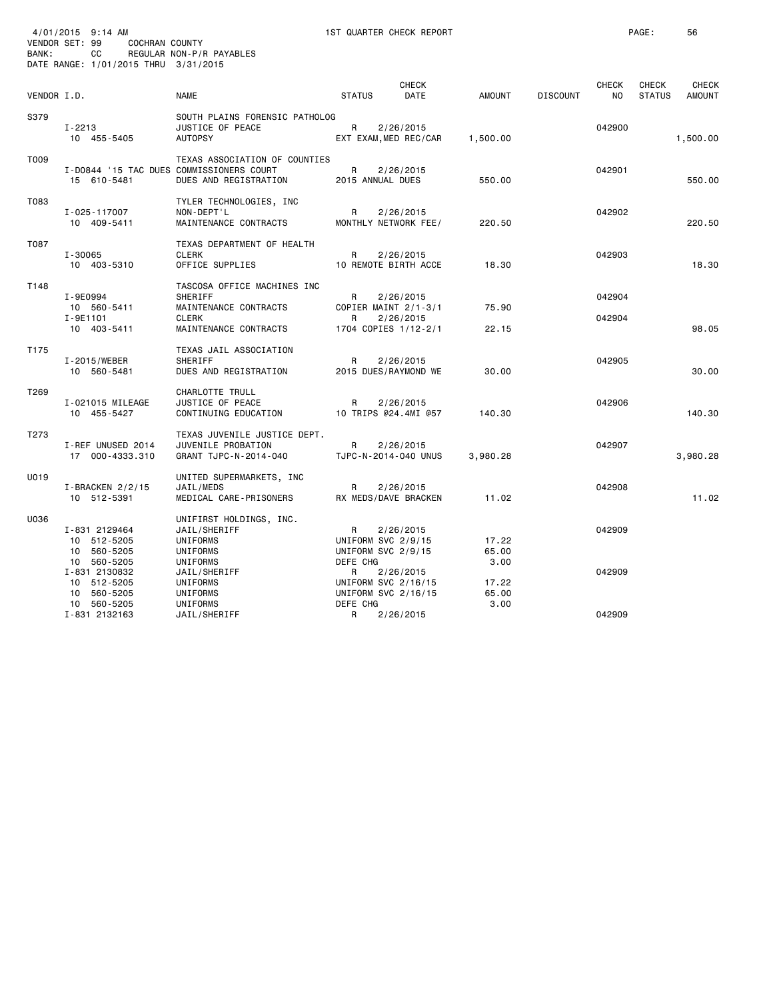| BANK:       | 4/01/2015 9:14 AM<br>VENDOR SET: 99<br>COCHRAN COUNTY<br>CC<br>DATE RANGE: 1/01/2015 THRU 3/31/2015 | REGULAR NON-P/R PAYABLES                                                                           |                                                           | 1ST QUARTER CHECK REPORT                                |                        |                 |                     | PAGE:                         | 56              |
|-------------|-----------------------------------------------------------------------------------------------------|----------------------------------------------------------------------------------------------------|-----------------------------------------------------------|---------------------------------------------------------|------------------------|-----------------|---------------------|-------------------------------|-----------------|
| VENDOR I.D. |                                                                                                     | <b>NAME</b>                                                                                        | <b>STATUS</b>                                             | <b>CHECK</b><br>DATE                                    | AMOUNT                 | <b>DISCOUNT</b> | <b>CHECK</b><br>NO. | <b>CHECK</b><br><b>STATUS</b> | CHECK<br>AMOUNT |
| S379        | I-2213<br>10 455-5405                                                                               | SOUTH PLAINS FORENSIC PATHOLOG<br>JUSTICE OF PEACE<br><b>AUTOPSY</b>                               | R                                                         | 2/26/2015<br>EXT EXAM, MED REC/CAR                      | 1,500.00               |                 | 042900              |                               | 1,500.00        |
| T009        | 15 610-5481                                                                                         | TEXAS ASSOCIATION OF COUNTIES<br>I-D0844 '15 TAC DUES COMMISSIONERS COURT<br>DUES AND REGISTRATION | R<br>2015 ANNUAL DUES                                     | 2/26/2015                                               | 550.00                 |                 | 042901              |                               | 550.00          |
| T083        | I-025-117007<br>10 409-5411                                                                         | TYLER TECHNOLOGIES, INC<br>NON-DEPT'L<br>MAINTENANCE CONTRACTS                                     | R                                                         | 2/26/2015<br>MONTHLY NETWORK FEE/                       | 220.50                 |                 | 042902              |                               | 220.50          |
| T087        | $I - 30065$<br>10 403-5310                                                                          | TEXAS DEPARTMENT OF HEALTH<br><b>CLERK</b><br>OFFICE SUPPLIES                                      | R                                                         | 2/26/2015<br>10 REMOTE BIRTH ACCE                       | 18.30                  |                 | 042903              |                               | 18.30           |
| T148        | I-9E0994<br>10 560-5411<br>I-9E1101                                                                 | TASCOSA OFFICE MACHINES INC<br>SHERIFF<br>MAINTENANCE CONTRACTS<br><b>CLERK</b>                    | R<br>R                                                    | 2/26/2015<br>COPIER MAINT 2/1-3/1<br>2/26/2015          | 75.90                  |                 | 042904<br>042904    |                               |                 |
|             | 10 403-5411                                                                                         | MAINTENANCE CONTRACTS                                                                              |                                                           | 1704 COPIES 1/12-2/1                                    | 22.15                  |                 |                     |                               | 98.05           |
| T175        | I-2015/WEBER<br>10 560-5481                                                                         | TEXAS JAIL ASSOCIATION<br>SHERIFF<br>DUES AND REGISTRATION                                         | R                                                         | 2/26/2015<br>2015 DUES/RAYMOND WE                       | 30.00                  |                 | 042905              |                               | 30.00           |
| T269        | I-021015 MILEAGE<br>10 455-5427                                                                     | CHARLOTTE TRULL<br>JUSTICE OF PEACE<br>CONTINUING EDUCATION                                        | R                                                         | 2/26/2015<br>10 TRIPS @24.4MI @57                       | 140.30                 |                 | 042906              |                               | 140.30          |
| T273        | I-REF UNUSED 2014<br>17 000-4333.310                                                                | TEXAS JUVENILE JUSTICE DEPT.<br>JUVENILE PROBATION<br>GRANT TJPC-N-2014-040                        | R                                                         | 2/26/2015<br>TJPC-N-2014-040 UNUS                       | 3,980.28               |                 | 042907              |                               | 3,980.28        |
| U019        | $I-BRACKEN$ 2/2/15<br>10 512-5391                                                                   | UNITED SUPERMARKETS, INC<br>JAIL/MEDS<br>MEDICAL CARE-PRISONERS                                    | R                                                         | 2/26/2015<br>RX MEDS/DAVE BRACKEN                       | 11.02                  |                 | 042908              |                               | 11.02           |
| U036        | I-831 2129464<br>10 512-5205<br>10 560-5205<br>10 560-5205                                          | UNIFIRST HOLDINGS, INC.<br>JAIL/SHERIFF<br>UNIFORMS<br>UNIFORMS<br>UNIFORMS                        | R<br>UNIFORM SVC 2/9/15<br>UNIFORM SVC 2/9/15<br>DEFE CHG | 2/26/2015                                               | 17.22<br>65.00<br>3.00 |                 | 042909              |                               |                 |
|             | I-831 2130832<br>10 512-5205<br>10 560-5205                                                         | JAIL/SHERIFF<br>UNIFORMS<br>UNIFORMS                                                               | R                                                         | 2/26/2015<br>UNIFORM SVC 2/16/15<br>UNIFORM SVC 2/16/15 | 17.22<br>65.00         |                 | 042909              |                               |                 |
|             | 10 560-5205<br>I-831 2132163                                                                        | UNIFORMS<br>JAIL/SHERIFF                                                                           | DEFE CHG<br>R                                             | 2/26/2015                                               | 3.00                   |                 | 042909              |                               |                 |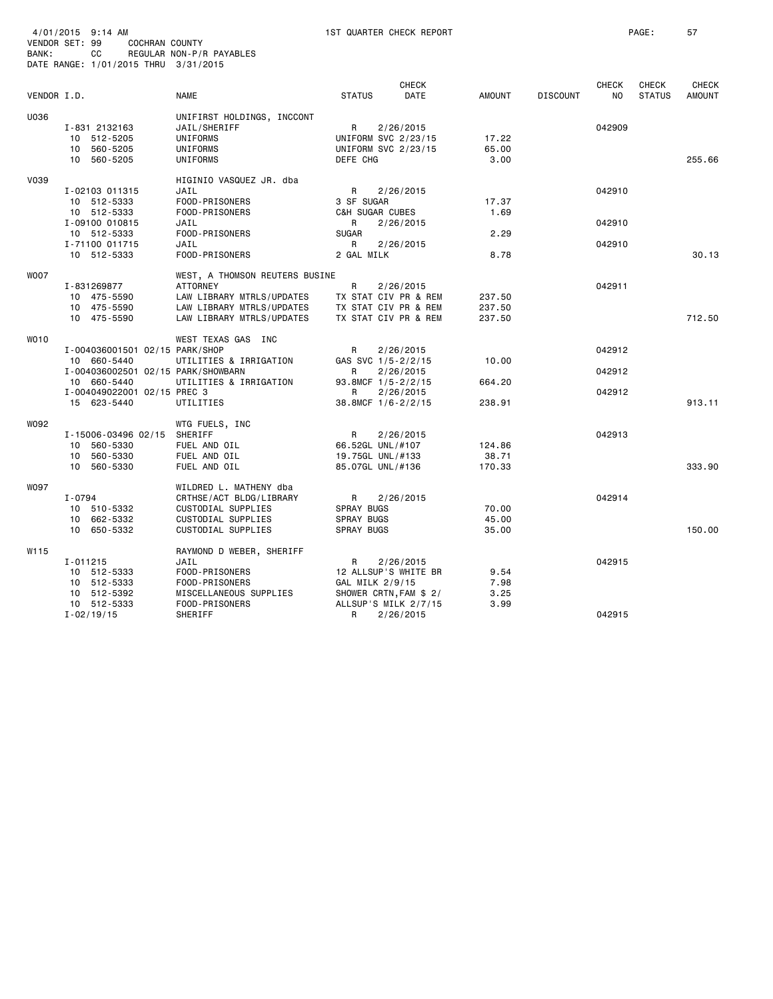| VENDOR SET: 99<br>BANK: |          | 4/01/2015 9:14 AM<br>CC                                                                                        | COCHRAN COUNTY              | REGULAR NON-P/R PAYABLES<br>DATE RANGE: 1/01/2015 THRU 3/31/2015                                                                                            |                                                                               | 1ST QUARTER CHECK REPORT                                                            |                               |                 |                            | PAGE:                  | 57                            |
|-------------------------|----------|----------------------------------------------------------------------------------------------------------------|-----------------------------|-------------------------------------------------------------------------------------------------------------------------------------------------------------|-------------------------------------------------------------------------------|-------------------------------------------------------------------------------------|-------------------------------|-----------------|----------------------------|------------------------|-------------------------------|
| VENDOR I.D.             |          |                                                                                                                |                             | <b>NAME</b>                                                                                                                                                 | <b>STATUS</b>                                                                 | <b>CHECK</b><br>DATE                                                                | <b>AMOUNT</b>                 | <b>DISCOUNT</b> | <b>CHECK</b><br>NO.        | CHECK<br><b>STATUS</b> | <b>CHECK</b><br><b>AMOUNT</b> |
| U036                    |          | I-831 2132163<br>10 512-5205<br>10 560-5205<br>10 560-5205                                                     |                             | UNIFIRST HOLDINGS, INCCONT<br>JAIL/SHERIFF<br>UNIFORMS<br>UNIFORMS<br>UNIFORMS                                                                              | R<br>UNIFORM SVC 2/23/15<br>UNIFORM SVC 2/23/15<br>DEFE CHG                   | 2/26/2015                                                                           | 17.22<br>65.00<br>3.00        |                 | 042909                     |                        | 255.66                        |
| <b>V039</b>             |          | I-02103 011315<br>10 512-5333<br>10 512-5333<br>I-09100 010815<br>10 512-5333<br>I-71100 011715<br>10 512-5333 |                             | HIGINIO VASQUEZ JR. dba<br>JAIL<br>FOOD-PRISONERS<br>FOOD-PRISONERS<br>JAIL<br>FOOD-PRISONERS<br>JAIL<br>FOOD-PRISONERS                                     | R<br>3 SF SUGAR<br>C&H SUGAR CUBES<br>R<br><b>SUGAR</b><br>R<br>2 GAL MILK    | 2/26/2015<br>2/26/2015<br>2/26/2015                                                 | 17.37<br>1.69<br>2.29<br>8.78 |                 | 042910<br>042910<br>042910 |                        | 30.13                         |
| <b>WOO7</b>             |          | I-831269877<br>10 475-5590<br>10 475-5590<br>10 475-5590                                                       |                             | WEST, A THOMSON REUTERS BUSINE<br><b>ATTORNEY</b><br>LAW LIBRARY MTRLS/UPDATES<br>LAW LIBRARY MTRLS/UPDATES<br>LAW LIBRARY MTRLS/UPDATES                    | R                                                                             | 2/26/2015<br>TX STAT CIV PR & REM<br>TX STAT CIV PR & REM<br>TX STAT CIV PR & REM   | 237.50<br>237.50<br>237.50    |                 | 042911                     |                        | 712.50                        |
| WO10                    |          | 10 660-5440<br>10 660-5440<br>15 623-5440                                                                      | I-004049022001 02/15 PREC 3 | WEST TEXAS GAS INC<br>I-004036001501 02/15 PARK/SHOP<br>UTILITIES & IRRIGATION<br>I-004036002501 02/15 PARK/SHOWBARN<br>UTILITIES & IRRIGATION<br>UTILITIES | R<br>GAS SVC 1/5-2/2/15<br>R<br>93.8MCF 1/5-2/2/15<br>R<br>38.8MCF 1/6-2/2/15 | 2/26/2015<br>2/26/2015<br>2/26/2015                                                 | 10.00<br>664.20<br>238.91     |                 | 042912<br>042912<br>042912 |                        | 913.11                        |
| W092                    |          | 10 560-5330<br>10 560-5330<br>10 560-5330                                                                      | I-15006-03496 02/15         | WTG FUELS, INC<br>SHERIFF<br>FUEL AND OIL<br>FUEL AND OIL<br>FUEL AND OIL                                                                                   | R<br>66.52GL UNL/#107<br>19.75GL UNL/#133<br>85.07GL UNL/#136                 | 2/26/2015                                                                           | 124.86<br>38.71<br>170.33     |                 | 042913                     |                        | 333.90                        |
| W097                    | I-0794   | 10 510-5332<br>10 662-5332<br>10 650-5332                                                                      |                             | WILDRED L. MATHENY dba<br>CRTHSE/ACT BLDG/LIBRARY<br>CUSTODIAL SUPPLIES<br>CUSTODIAL SUPPLIES<br>CUSTODIAL SUPPLIES                                         | R<br>SPRAY BUGS<br>SPRAY BUGS<br>SPRAY BUGS                                   | 2/26/2015                                                                           | 70.00<br>45.00<br>35.00       |                 | 042914                     |                        | 150.00                        |
| W115                    | I-011215 | 10 512-5333<br>10 512-5333<br>10 512-5392<br>10 512-5333                                                       |                             | RAYMOND D WEBER, SHERIFF<br>JAIL<br>FOOD-PRISONERS<br>FOOD-PRISONERS<br>MISCELLANEOUS SUPPLIES<br>FOOD-PRISONERS                                            | R<br>GAL MILK 2/9/15                                                          | 2/26/2015<br>12 ALLSUP'S WHITE BR<br>SHOWER CRTN, FAM \$ 2/<br>ALLSUP'S MILK 2/7/15 | 9.54<br>7.98<br>3.25<br>3.99  |                 | 042915                     |                        |                               |
|                         |          | $I - 02/19/15$                                                                                                 |                             | SHERIFF                                                                                                                                                     | R                                                                             | 2/26/2015                                                                           |                               |                 | 042915                     |                        |                               |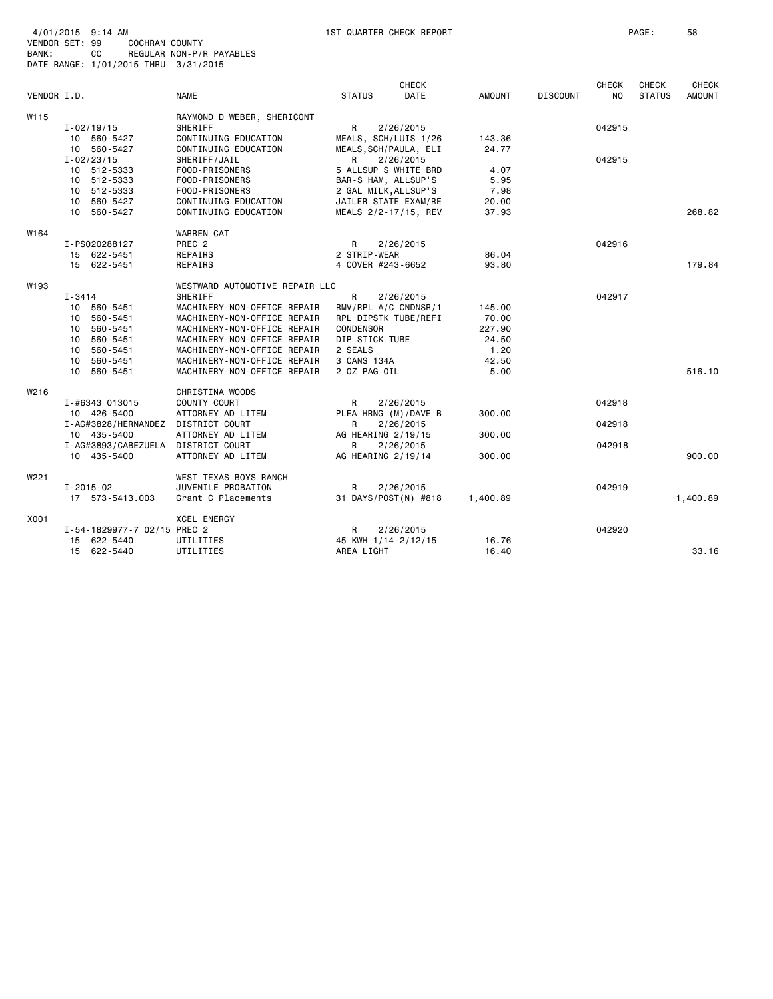|             |                             |                                |                       | <b>CHECK</b> |               |                 | <b>CHECK</b> | <b>CHECK</b>  | <b>CHECK</b>  |
|-------------|-----------------------------|--------------------------------|-----------------------|--------------|---------------|-----------------|--------------|---------------|---------------|
| VENDOR I.D. |                             | <b>NAME</b>                    | <b>STATUS</b>         | DATE         | <b>AMOUNT</b> | <b>DISCOUNT</b> | NO.          | <b>STATUS</b> | <b>AMOUNT</b> |
| W115        |                             | RAYMOND D WEBER, SHERICONT     |                       |              |               |                 |              |               |               |
|             | $I - 02/19/15$              | SHERIFF                        | R                     | 2/26/2015    |               |                 | 042915       |               |               |
|             | 10 560-5427                 | CONTINUING EDUCATION           | MEALS, SCH/LUIS 1/26  |              | 143.36        |                 |              |               |               |
|             | 10 560-5427                 | CONTINUING EDUCATION           | MEALS, SCH/PAULA, ELI |              | 24.77         |                 |              |               |               |
|             | $I - 02/23/15$              | SHERIFF/JAIL                   | R                     | 2/26/2015    |               |                 | 042915       |               |               |
|             | 10 512-5333                 | FOOD-PRISONERS                 | 5 ALLSUP'S WHITE BRD  |              | 4.07          |                 |              |               |               |
|             | 10 512-5333                 | FOOD-PRISONERS                 | BAR-S HAM, ALLSUP'S   |              | 5.95          |                 |              |               |               |
|             | 10 512-5333                 | FOOD-PRISONERS                 | 2 GAL MILK, ALLSUP'S  |              | 7.98          |                 |              |               |               |
|             | 10 560-5427                 | CONTINUING EDUCATION           | JAILER STATE EXAM/RE  |              | 20.00         |                 |              |               |               |
|             | 10 560-5427                 | CONTINUING EDUCATION           | MEALS 2/2-17/15, REV  |              | 37.93         |                 |              |               | 268.82        |
| W164        |                             | WARREN CAT                     |                       |              |               |                 |              |               |               |
|             | I-PS020288127               | PREC <sub>2</sub>              | R                     | 2/26/2015    |               |                 | 042916       |               |               |
|             | 15 622-5451                 | REPAIRS                        | 2 STRIP-WEAR          |              | 86.04         |                 |              |               |               |
|             | 15 622-5451                 | REPAIRS                        | 4 COVER #243-6652     |              | 93.80         |                 |              |               | 179.84        |
| W193        |                             | WESTWARD AUTOMOTIVE REPAIR LLC |                       |              |               |                 |              |               |               |
|             | $I - 3414$                  | SHERIFF                        | R                     | 2/26/2015    |               |                 | 042917       |               |               |
|             | 10 560-5451                 | MACHINERY-NON-OFFICE REPAIR    | RMV/RPL A/C CNDNSR/1  |              | 145.00        |                 |              |               |               |
|             | 10 560-5451                 | MACHINERY-NON-OFFICE REPAIR    | RPL DIPSTK TUBE/REFI  |              | 70.00         |                 |              |               |               |
|             | 560-5451<br>10              | MACHINERY-NON-OFFICE REPAIR    | CONDENSOR             |              | 227.90        |                 |              |               |               |
|             | 10 560-5451                 | MACHINERY-NON-OFFICE REPAIR    | DIP STICK TUBE        |              | 24.50         |                 |              |               |               |
|             | 10 560-5451                 | MACHINERY-NON-OFFICE REPAIR    | 2 SEALS               |              | 1.20          |                 |              |               |               |
|             | 10 560-5451                 | MACHINERY-NON-OFFICE REPAIR    | 3 CANS 134A           |              | 42.50         |                 |              |               |               |
|             | 10 560-5451                 | MACHINERY-NON-OFFICE REPAIR    | 2 OZ PAG OIL          |              | 5.00          |                 |              |               | 516.10        |
| W216        |                             | CHRISTINA WOODS                |                       |              |               |                 |              |               |               |
|             | I-#6343 013015              | COUNTY COURT                   | R.                    | 2/26/2015    |               |                 | 042918       |               |               |
|             | 10 426-5400                 | ATTORNEY AD LITEM              | PLEA HRNG (M)/DAVE B  |              | 300,00        |                 |              |               |               |
|             | I-AG#3828/HERNANDEZ         | DISTRICT COURT                 | R                     | 2/26/2015    |               |                 | 042918       |               |               |
|             | 10 435-5400                 | ATTORNEY AD LITEM              | AG HEARING 2/19/15    |              | 300.00        |                 |              |               |               |
|             | I-AG#3893/CABEZUELA         | DISTRICT COURT                 | R                     | 2/26/2015    |               |                 | 042918       |               |               |
|             | 10 435-5400                 | ATTORNEY AD LITEM              | AG HEARING 2/19/14    |              | 300,00        |                 |              |               | 900.00        |
| W221        |                             | WEST TEXAS BOYS RANCH          |                       |              |               |                 |              |               |               |
|             | $I - 2015 - 02$             | JUVENILE PROBATION             | R                     | 2/26/2015    |               |                 | 042919       |               |               |
|             | 17 573-5413.003             | Grant C Placements             | 31 DAYS/POST(N) #818  |              | 1,400.89      |                 |              |               | 1,400.89      |
| X001        |                             | <b>XCEL ENERGY</b>             |                       |              |               |                 |              |               |               |
|             | I-54-1829977-7 02/15 PREC 2 |                                | R                     | 2/26/2015    |               |                 | 042920       |               |               |
|             | 15 622-5440                 | UTILITIES                      | 45 KWH 1/14-2/12/15   |              | 16.76         |                 |              |               |               |
|             | 15 622-5440                 | UTILITIES                      | AREA LIGHT            |              | 16.40         |                 |              |               | 33.16         |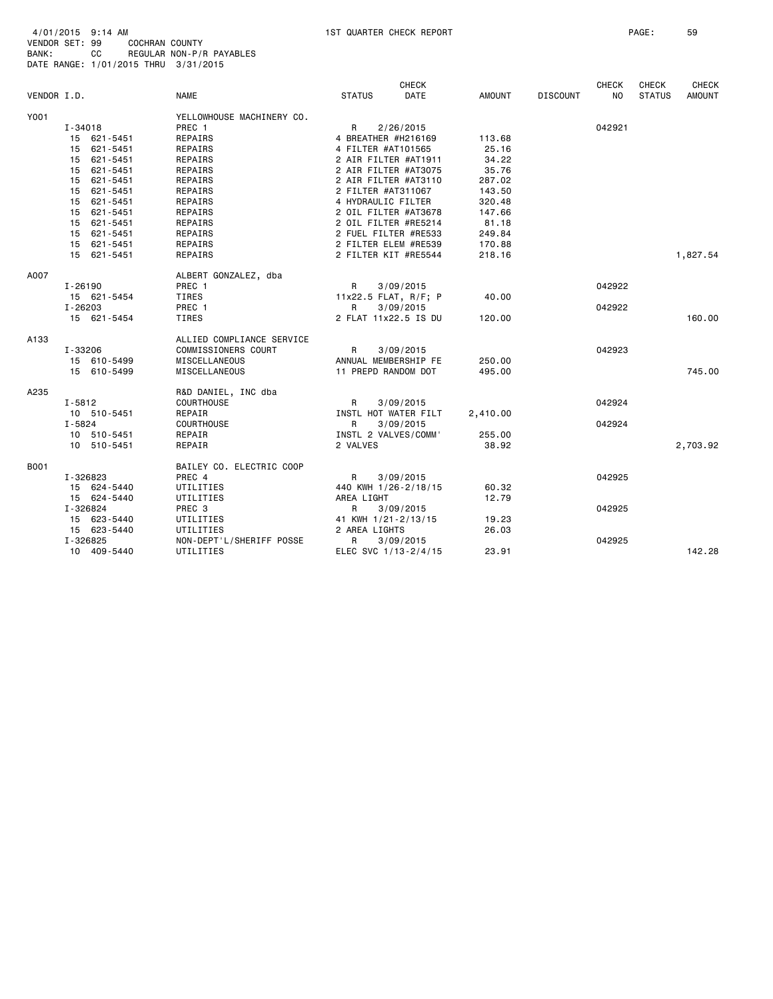| VENDOR I.D. |                | <b>NAME</b>               | <b>STATUS</b>        | <b>CHECK</b><br>DATE | <b>AMOUNT</b> | <b>DISCOUNT</b> | <b>CHECK</b><br><b>NO</b> | <b>CHECK</b><br><b>STATUS</b> | <b>CHECK</b><br><b>AMOUNT</b> |
|-------------|----------------|---------------------------|----------------------|----------------------|---------------|-----------------|---------------------------|-------------------------------|-------------------------------|
| Y001        |                | YELLOWHOUSE MACHINERY CO. |                      |                      |               |                 |                           |                               |                               |
|             | I-34018        | PREC 1                    | R                    | 2/26/2015            |               |                 | 042921                    |                               |                               |
|             | 15 621-5451    | <b>REPAIRS</b>            | 4 BREATHER #H216169  |                      | 113.68        |                 |                           |                               |                               |
|             | 15 621-5451    | REPAIRS                   | 4 FILTER #AT101565   |                      | 25.16         |                 |                           |                               |                               |
|             | 15 621-5451    | REPAIRS                   |                      | 2 AIR FILTER #AT1911 | 34.22         |                 |                           |                               |                               |
|             | 621-5451<br>15 | REPAIRS                   |                      | 2 AIR FILTER #AT3075 | 35.76         |                 |                           |                               |                               |
|             | 621-5451<br>15 | REPAIRS                   |                      | 2 AIR FILTER #AT3110 | 287.02        |                 |                           |                               |                               |
|             | 15 621-5451    | REPAIRS                   | 2 FILTER #AT311067   |                      | 143.50        |                 |                           |                               |                               |
|             | 15 621-5451    | REPAIRS                   | 4 HYDRAULIC FILTER   |                      | 320.48        |                 |                           |                               |                               |
|             | 15 621-5451    | REPAIRS                   |                      | 2 OIL FILTER #AT3678 | 147.66        |                 |                           |                               |                               |
|             | 15 621-5451    | REPAIRS                   |                      | 2 OIL FILTER #RE5214 | 81.18         |                 |                           |                               |                               |
|             | 15 621-5451    | REPAIRS                   |                      | 2 FUEL FILTER #RE533 | 249.84        |                 |                           |                               |                               |
|             | 15 621-5451    | REPAIRS                   |                      | 2 FILTER ELEM #RE539 | 170.88        |                 |                           |                               |                               |
|             | 15 621-5451    | REPAIRS                   |                      | 2 FILTER KIT #RE5544 | 218.16        |                 |                           |                               | 1,827.54                      |
| A007        |                | ALBERT GONZALEZ, dba      |                      |                      |               |                 |                           |                               |                               |
|             | I-26190        | PREC 1                    | R.                   | 3/09/2015            |               |                 | 042922                    |                               |                               |
|             | 15 621-5454    | TIRES                     |                      | 11x22.5 FLAT, R/F; P | 40.00         |                 |                           |                               |                               |
|             | I-26203        | PREC 1                    | R                    | 3/09/2015            |               |                 | 042922                    |                               |                               |
|             | 15 621-5454    | TIRES                     |                      | 2 FLAT 11x22.5 IS DU | 120.00        |                 |                           |                               | 160.00                        |
| A133        |                | ALLIED COMPLIANCE SERVICE |                      |                      |               |                 |                           |                               |                               |
|             | I-33206        | COMMISSIONERS COURT       | $\mathsf{R}$         | 3/09/2015            |               |                 | 042923                    |                               |                               |
|             | 15 610-5499    | MISCELLANEOUS             |                      | ANNUAL MEMBERSHIP FE | 250.00        |                 |                           |                               |                               |
|             | 15 610-5499    | MISCELLANEOUS             | 11 PREPD RANDOM DOT  |                      | 495.00        |                 |                           |                               | 745.00                        |
| A235        |                | R&D DANIEL, INC dba       |                      |                      |               |                 |                           |                               |                               |
|             | $I - 5812$     | COURTHOUSE                | $\mathsf{R}$         | 3/09/2015            |               |                 | 042924                    |                               |                               |
|             | 10 510-5451    | REPAIR                    |                      | INSTL HOT WATER FILT | 2,410.00      |                 |                           |                               |                               |
|             | I-5824         | <b>COURTHOUSE</b>         | R                    | 3/09/2015            |               |                 | 042924                    |                               |                               |
|             | 10 510-5451    | REPAIR                    | INSTL 2 VALVES/COMM' |                      | 255.00        |                 |                           |                               |                               |
|             | 10 510-5451    | REPAIR                    | 2 VALVES             |                      | 38.92         |                 |                           |                               | 2,703.92                      |
| B001        |                | BAILEY CO. ELECTRIC COOP  |                      |                      |               |                 |                           |                               |                               |
|             | I-326823       | PREC 4                    | R                    | 3/09/2015            |               |                 | 042925                    |                               |                               |
|             | 15 624-5440    | UTILITIES                 |                      | 440 KWH 1/26-2/18/15 | 60.32         |                 |                           |                               |                               |
|             | 15 624-5440    | UTILITIES                 | AREA LIGHT           |                      | 12.79         |                 |                           |                               |                               |
|             | I-326824       | PREC 3                    | R                    | 3/09/2015            |               |                 | 042925                    |                               |                               |
|             | 15 623-5440    | UTILITIES                 | 41 KWH 1/21-2/13/15  |                      | 19.23         |                 |                           |                               |                               |
|             | 15 623-5440    | UTILITIES                 | 2 AREA LIGHTS        |                      | 26.03         |                 |                           |                               |                               |
|             | I-326825       | NON-DEPT'L/SHERIFF POSSE  | R                    | 3/09/2015            |               |                 | 042925                    |                               |                               |
|             | 10 409-5440    | UTILITIES                 |                      | ELEC SVC 1/13-2/4/15 | 23.91         |                 |                           |                               | 142.28                        |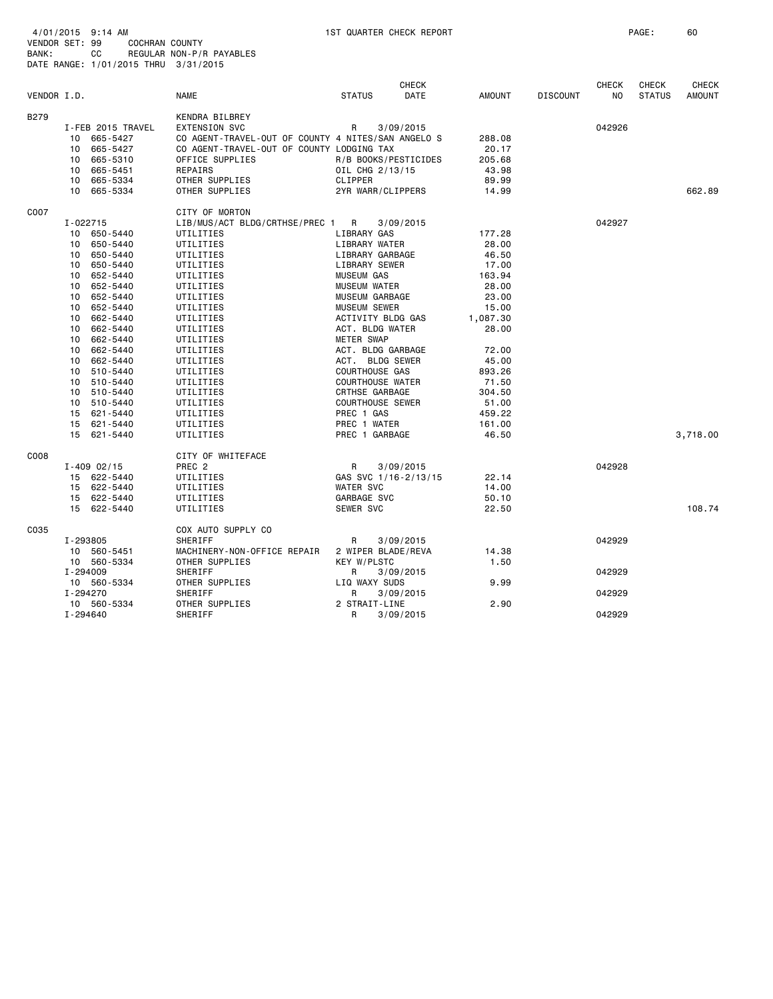| VENDOR I.D. |          |                   | <b>NAME</b>                                        | <b>STATUS</b>           | <b>CHECK</b><br><b>DATE</b> | <b>AMOUNT</b> | <b>DISCOUNT</b> | <b>CHECK</b><br>N <sub>O</sub> | <b>CHECK</b><br><b>STATUS</b> | <b>CHECK</b><br><b>AMOUNT</b> |
|-------------|----------|-------------------|----------------------------------------------------|-------------------------|-----------------------------|---------------|-----------------|--------------------------------|-------------------------------|-------------------------------|
| B279        |          |                   | KENDRA BILBREY                                     |                         |                             |               |                 |                                |                               |                               |
|             |          | I-FEB 2015 TRAVEL | <b>EXTENSION SVC</b>                               | R                       | 3/09/2015                   |               |                 | 042926                         |                               |                               |
|             | 10       | 665-5427          | CO AGENT-TRAVEL-OUT OF COUNTY 4 NITES/SAN ANGELO S |                         |                             | 288.08        |                 |                                |                               |                               |
|             |          | 10 665-5427       | CO AGENT-TRAVEL-OUT OF COUNTY LODGING TAX          |                         |                             | 20.17         |                 |                                |                               |                               |
|             | 10       | 665-5310          | OFFICE SUPPLIES                                    | R/B BOOKS/PESTICIDES    |                             | 205.68        |                 |                                |                               |                               |
|             |          | 10 665-5451       | REPAIRS                                            | OIL CHG 2/13/15         |                             | 43.98         |                 |                                |                               |                               |
|             | 10       | 665-5334          | OTHER SUPPLIES                                     | CLIPPER                 |                             | 89.99         |                 |                                |                               |                               |
|             |          | 10 665-5334       | OTHER SUPPLIES                                     | 2YR WARR/CLIPPERS       |                             | 14.99         |                 |                                |                               | 662.89                        |
| C007        |          |                   | CITY OF MORTON                                     |                         |                             |               |                 |                                |                               |                               |
|             | I-022715 |                   | LIB/MUS/ACT BLDG/CRTHSE/PREC 1                     | R                       | 3/09/2015                   |               |                 | 042927                         |                               |                               |
|             |          | 10 650-5440       | UTILITIES                                          | LIBRARY GAS             |                             | 177.28        |                 |                                |                               |                               |
|             |          | 10 650-5440       | UTILITIES                                          | LIBRARY WATER           |                             | 28.00         |                 |                                |                               |                               |
|             |          | 10 650-5440       | UTILITIES                                          | LIBRARY GARBAGE         |                             | 46.50         |                 |                                |                               |                               |
|             |          | 10 650-5440       | UTILITIES                                          | LIBRARY SEWER           |                             | 17.00         |                 |                                |                               |                               |
|             |          | 10 652-5440       | UTILITIES                                          | <b>MUSEUM GAS</b>       |                             | 163.94        |                 |                                |                               |                               |
|             |          | 10 652-5440       | UTILITIES                                          | <b>MUSEUM WATER</b>     |                             | 28.00         |                 |                                |                               |                               |
|             |          | 10 652-5440       | UTILITIES                                          | MUSEUM GARBAGE          |                             | 23,00         |                 |                                |                               |                               |
|             |          | 10 652-5440       | UTILITIES                                          | <b>MUSEUM SEWER</b>     |                             | 15.00         |                 |                                |                               |                               |
|             |          | 10 662-5440       | UTILITIES                                          | ACTIVITY BLDG GAS       |                             | 1,087.30      |                 |                                |                               |                               |
|             |          | 10 662-5440       | UTILITIES                                          | ACT. BLDG WATER         |                             | 28.00         |                 |                                |                               |                               |
|             |          | 10 662-5440       | UTILITIES                                          | METER SWAP              |                             |               |                 |                                |                               |                               |
|             |          | 10 662-5440       | UTILITIES                                          | ACT. BLDG GARBAGE       |                             | 72.00         |                 |                                |                               |                               |
|             |          | 10 662-5440       | UTILITIES                                          | ACT. BLDG SEWER         |                             | 45.00         |                 |                                |                               |                               |
|             |          | 10 510-5440       | UTILITIES                                          | COURTHOUSE GAS          |                             | 893.26        |                 |                                |                               |                               |
|             |          | 10 510-5440       | UTILITIES                                          | <b>COURTHOUSE WATER</b> |                             | 71.50         |                 |                                |                               |                               |
|             |          | 10 510-5440       | UTILITIES                                          | CRTHSE GARBAGE          |                             | 304.50        |                 |                                |                               |                               |
|             |          | 10 510-5440       | UTILITIES                                          | <b>COURTHOUSE SEWER</b> |                             | 51.00         |                 |                                |                               |                               |
|             |          | 15 621-5440       | UTILITIES                                          | PREC 1 GAS              |                             | 459.22        |                 |                                |                               |                               |
|             |          | 15 621-5440       | UTILITIES                                          | PREC 1 WATER            |                             | 161.00        |                 |                                |                               |                               |
|             |          | 15 621-5440       | UTILITIES                                          | PREC 1 GARBAGE          |                             | 46.50         |                 |                                |                               | 3,718.00                      |
| C008        |          |                   | CITY OF WHITEFACE                                  |                         |                             |               |                 |                                |                               |                               |
|             |          | $I - 409 02/15$   | PREC <sub>2</sub>                                  | R                       | 3/09/2015                   |               |                 | 042928                         |                               |                               |
|             |          | 15 622-5440       | UTILITIES                                          | GAS SVC 1/16-2/13/15    |                             | 22.14         |                 |                                |                               |                               |
|             |          | 15 622-5440       | UTILITIES                                          | <b>WATER SVC</b>        |                             | 14.00         |                 |                                |                               |                               |
|             |          | 15 622-5440       | UTILITIES                                          | GARBAGE SVC             |                             | 50.10         |                 |                                |                               |                               |
|             |          | 15 622-5440       | UTILITIES                                          | SEWER SVC               |                             | 22.50         |                 |                                |                               | 108.74                        |
| C035        |          |                   | COX AUTO SUPPLY CO                                 |                         |                             |               |                 |                                |                               |                               |
|             | I-293805 |                   | SHERIFF                                            | R                       | 3/09/2015                   |               |                 | 042929                         |                               |                               |
|             |          | 10 560-5451       | MACHINERY-NON-OFFICE REPAIR                        | 2 WIPER BLADE/REVA      |                             | 14.38         |                 |                                |                               |                               |
|             |          | 10 560-5334       | OTHER SUPPLIES                                     | <b>KEY W/PLSTC</b>      |                             | 1.50          |                 |                                |                               |                               |
|             | I-294009 |                   | SHERIFF                                            | R.                      | 3/09/2015                   |               |                 | 042929                         |                               |                               |
|             |          | 10 560-5334       | OTHER SUPPLIES                                     | LIQ WAXY SUDS           |                             | 9.99          |                 |                                |                               |                               |
|             | I-294270 |                   | <b>SHERIFF</b>                                     | R                       | 3/09/2015                   |               |                 | 042929                         |                               |                               |
|             |          | 10 560-5334       | OTHER SUPPLIES                                     | 2 STRAIT-LINE           |                             | 2.90          |                 |                                |                               |                               |
|             | I-294640 |                   | SHERIFF                                            | R                       | 3/09/2015                   |               |                 | 042929                         |                               |                               |
|             |          |                   |                                                    |                         |                             |               |                 |                                |                               |                               |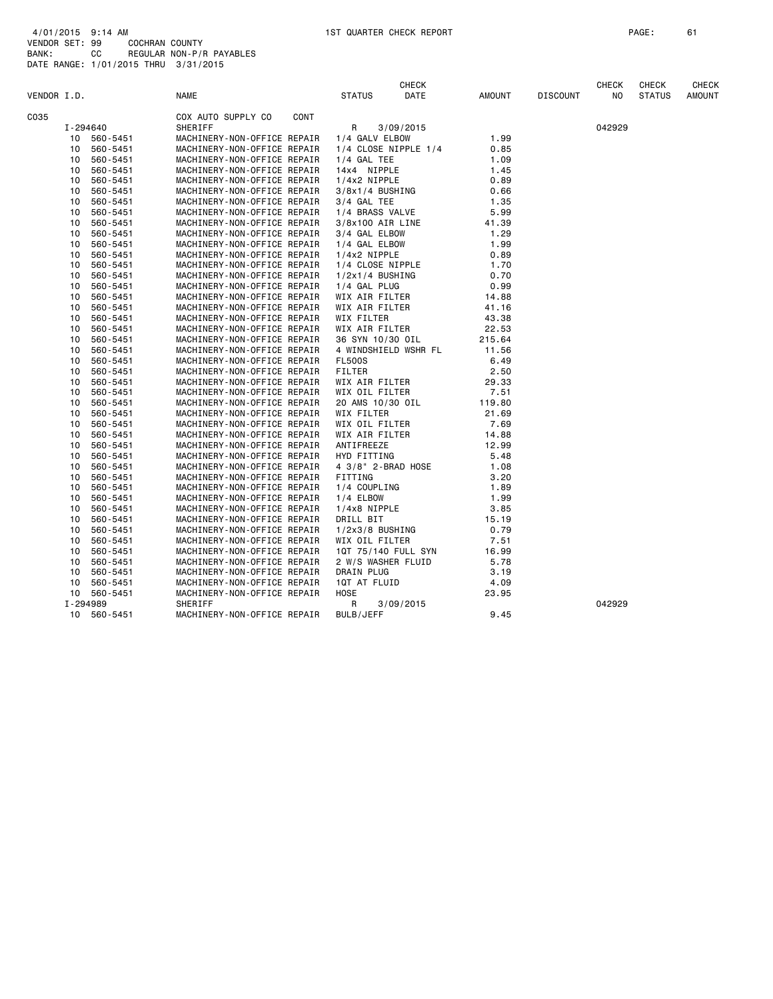| VENDOR I.D. |          |             | <b>NAME</b>                       | <b>STATUS</b>        | <b>CHECK</b><br>DATE | <b>AMOUNT</b> | <b>DISCOUNT</b> | <b>CHECK</b><br>N <sub>O</sub> | <b>CHECK</b><br><b>STATUS</b> | <b>CHECK</b><br><b>AMOUNT</b> |
|-------------|----------|-------------|-----------------------------------|----------------------|----------------------|---------------|-----------------|--------------------------------|-------------------------------|-------------------------------|
|             |          |             |                                   |                      |                      |               |                 |                                |                               |                               |
| C035        |          |             | COX AUTO SUPPLY CO<br><b>CONT</b> |                      |                      |               |                 |                                |                               |                               |
|             |          | I-294640    | SHERIFF                           | R                    | 3/09/2015            |               |                 | 042929                         |                               |                               |
|             | 10       | 560-5451    | MACHINERY-NON-OFFICE REPAIR       | 1/4 GALV ELBOW       |                      | 1.99          |                 |                                |                               |                               |
|             | 10       | 560-5451    | MACHINERY-NON-OFFICE REPAIR       | 1/4 CLOSE NIPPLE 1/4 |                      | 0.85          |                 |                                |                               |                               |
|             | 10       | 560-5451    | MACHINERY-NON-OFFICE REPAIR       | 1/4 GAL TEE          |                      | 1.09          |                 |                                |                               |                               |
|             | 10       | 560-5451    | MACHINERY-NON-OFFICE REPAIR       | 14x4 NIPPLE          |                      | 1.45          |                 |                                |                               |                               |
|             | 10       | 560-5451    | MACHINERY-NON-OFFICE REPAIR       | $1/4x2$ NIPPLE       |                      | 0.89          |                 |                                |                               |                               |
|             | 10       | 560-5451    | MACHINERY-NON-OFFICE REPAIR       | $3/8x1/4$ BUSHING    |                      | 0.66          |                 |                                |                               |                               |
|             | 10       | 560-5451    | MACHINERY-NON-OFFICE REPAIR       | $3/4$ GAL TEE        |                      | 1.35          |                 |                                |                               |                               |
|             | 10       | 560-5451    | MACHINERY-NON-OFFICE REPAIR       | 1/4 BRASS VALVE      |                      | 5.99          |                 |                                |                               |                               |
|             | 10       | 560-5451    | MACHINERY-NON-OFFICE REPAIR       | 3/8x100 AIR LINE     |                      | 41.39         |                 |                                |                               |                               |
|             | 10       | 560-5451    | MACHINERY-NON-OFFICE REPAIR       | 3/4 GAL ELBOW        |                      | 1.29          |                 |                                |                               |                               |
|             | 10       | 560-5451    | MACHINERY-NON-OFFICE REPAIR       | 1/4 GAL ELBOW        |                      | 1.99          |                 |                                |                               |                               |
|             | 10       | 560-5451    | MACHINERY-NON-OFFICE REPAIR       | 1/4x2 NIPPLE         |                      | 0.89          |                 |                                |                               |                               |
|             | 10       | 560-5451    | MACHINERY-NON-OFFICE REPAIR       | 1/4 CLOSE NIPPLE     |                      | 1.70          |                 |                                |                               |                               |
|             | 10       | 560-5451    | MACHINERY-NON-OFFICE REPAIR       | $1/2x1/4$ BUSHING    |                      | 0.70          |                 |                                |                               |                               |
|             | 10       | 560-5451    | MACHINERY-NON-OFFICE REPAIR       | 1/4 GAL PLUG         |                      | 0.99          |                 |                                |                               |                               |
|             | 10       | 560-5451    | MACHINERY-NON-OFFICE REPAIR       | WIX AIR FILTER       |                      | 14.88         |                 |                                |                               |                               |
|             | 10       | 560-5451    | MACHINERY-NON-OFFICE REPAIR       | WIX AIR FILTER       |                      | 41.16         |                 |                                |                               |                               |
|             | 10       | 560-5451    | MACHINERY-NON-OFFICE REPAIR       | WIX FILTER           |                      | 43.38         |                 |                                |                               |                               |
|             | 10       | 560-5451    | MACHINERY-NON-OFFICE REPAIR       | WIX AIR FILTER       |                      | 22.53         |                 |                                |                               |                               |
|             | 10       | 560-5451    | MACHINERY-NON-OFFICE REPAIR       | 36 SYN 10/30 OIL     |                      | 215.64        |                 |                                |                               |                               |
|             | 10       | 560-5451    | MACHINERY-NON-OFFICE REPAIR       |                      | 4 WINDSHIELD WSHR FL | 11.56         |                 |                                |                               |                               |
|             | 10       | 560-5451    | MACHINERY-NON-OFFICE REPAIR       | <b>FL500S</b>        |                      | 6.49          |                 |                                |                               |                               |
|             | 10       | 560-5451    | MACHINERY-NON-OFFICE REPAIR       | <b>FILTER</b>        |                      | 2.50          |                 |                                |                               |                               |
|             | 10       | 560-5451    | MACHINERY-NON-OFFICE REPAIR       | WIX AIR FILTER       |                      | 29.33         |                 |                                |                               |                               |
|             | 10       | 560-5451    | MACHINERY-NON-OFFICE REPAIR       | WIX OIL FILTER       |                      | 7.51          |                 |                                |                               |                               |
|             | 10       | 560-5451    | MACHINERY-NON-OFFICE REPAIR       | 20 AMS 10/30 OIL     |                      | 119.80        |                 |                                |                               |                               |
|             | 10       | 560-5451    | MACHINERY-NON-OFFICE REPAIR       | WIX FILTER           |                      | 21.69         |                 |                                |                               |                               |
|             | 10       | 560-5451    | MACHINERY-NON-OFFICE REPAIR       | WIX OIL FILTER       |                      | 7.69          |                 |                                |                               |                               |
|             | 10       | 560-5451    | MACHINERY-NON-OFFICE REPAIR       | WIX AIR FILTER       |                      | 14.88         |                 |                                |                               |                               |
|             | 10       | 560-5451    | MACHINERY-NON-OFFICE REPAIR       | ANTIFREEZE           |                      | 12.99         |                 |                                |                               |                               |
|             | 10       | 560-5451    | MACHINERY-NON-OFFICE REPAIR       | HYD FITTING          |                      | 5.48          |                 |                                |                               |                               |
|             | 10       | 560-5451    | MACHINERY-NON-OFFICE REPAIR       | 4 3/8" 2-BRAD HOSE   |                      | 1.08          |                 |                                |                               |                               |
|             | 10       | 560-5451    | MACHINERY-NON-OFFICE REPAIR       | FITTING              |                      | 3.20          |                 |                                |                               |                               |
|             | 10       | 560-5451    | MACHINERY-NON-OFFICE REPAIR       | 1/4 COUPLING         |                      | 1.89          |                 |                                |                               |                               |
|             | 10       | 560-5451    | MACHINERY-NON-OFFICE REPAIR       | 1/4 ELBOW            |                      | 1.99          |                 |                                |                               |                               |
|             | 10       | 560-5451    | MACHINERY-NON-OFFICE REPAIR       | 1/4x8 NIPPLE         |                      | 3.85          |                 |                                |                               |                               |
|             | 10       | 560-5451    | MACHINERY-NON-OFFICE REPAIR       | DRILL BIT            |                      | 15.19         |                 |                                |                               |                               |
|             | 10       | 560-5451    | MACHINERY-NON-OFFICE REPAIR       | $1/2x3/8$ BUSHING    |                      | 0.79          |                 |                                |                               |                               |
|             | 10       | 560-5451    | MACHINERY-NON-OFFICE REPAIR       | WIX OIL FILTER       |                      | 7.51          |                 |                                |                               |                               |
|             | 10       | 560-5451    | MACHINERY-NON-OFFICE REPAIR       | 10T 75/140 FULL SYN  |                      | 16.99         |                 |                                |                               |                               |
|             | 10       | 560-5451    | MACHINERY-NON-OFFICE REPAIR       | 2 W/S WASHER FLUID   |                      | 5.78          |                 |                                |                               |                               |
|             | 10       | 560-5451    | MACHINERY-NON-OFFICE REPAIR       | DRAIN PLUG           |                      | 3.19          |                 |                                |                               |                               |
|             | 10       | 560-5451    | MACHINERY-NON-OFFICE REPAIR       | 1QT AT FLUID         |                      | 4.09          |                 |                                |                               |                               |
|             |          | 10 560-5451 | MACHINERY-NON-OFFICE REPAIR       | <b>HOSE</b>          |                      | 23.95         |                 |                                |                               |                               |
|             | I-294989 |             | SHERIFF                           | R                    | 3/09/2015            |               |                 | 042929                         |                               |                               |
|             |          | 10 560-5451 | MACHINERY-NON-OFFICE REPAIR       | BULB/JEFF            |                      | 9.45          |                 |                                |                               |                               |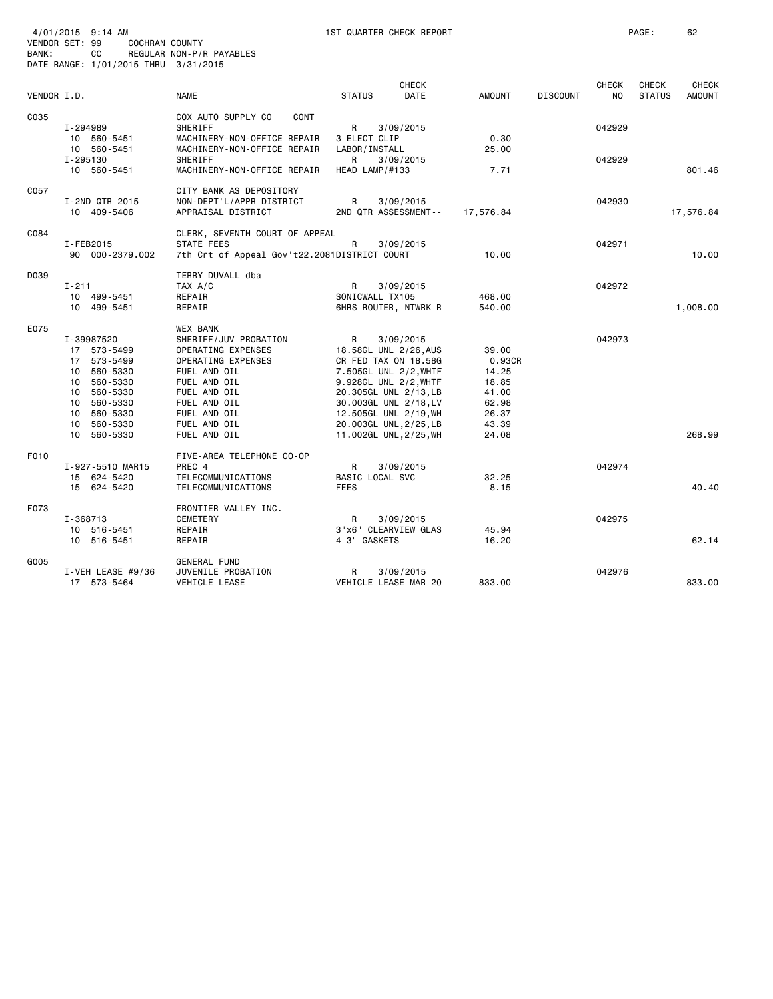| BANK:       | 4/01/2015 9:14 AM<br>VENDOR SET: 99<br>COCHRAN COUNTY<br>СC | REGULAR NON-P/R PAYABLES                     | 1ST QUARTER CHECK REPORT                        |                |                 |              | PAGE:         | 62            |
|-------------|-------------------------------------------------------------|----------------------------------------------|-------------------------------------------------|----------------|-----------------|--------------|---------------|---------------|
|             | DATE RANGE: 1/01/2015 THRU 3/31/2015                        |                                              |                                                 |                |                 |              |               |               |
|             |                                                             |                                              | <b>CHECK</b>                                    |                |                 | <b>CHECK</b> | <b>CHECK</b>  | <b>CHECK</b>  |
| VENDOR I.D. |                                                             | <b>NAME</b>                                  | <b>STATUS</b><br><b>DATE</b>                    | <b>AMOUNT</b>  | <b>DISCOUNT</b> | NO           | <b>STATUS</b> | <b>AMOUNT</b> |
|             |                                                             |                                              |                                                 |                |                 |              |               |               |
| C035        |                                                             | COX AUTO SUPPLY CO<br>CONT                   |                                                 |                |                 |              |               |               |
|             | I-294989                                                    | SHERIFF                                      | R<br>3/09/2015                                  |                |                 | 042929       |               |               |
|             | 10 560-5451                                                 | MACHINERY-NON-OFFICE REPAIR                  | 3 ELECT CLIP                                    | 0.30           |                 |              |               |               |
|             | 10 560-5451                                                 | MACHINERY-NON-OFFICE REPAIR                  | LABOR / INSTALL                                 | 25.00          |                 |              |               |               |
|             | I-295130<br>10 560-5451                                     | SHERIFF<br>MACHINERY-NON-OFFICE REPAIR       | R<br>3/09/2015<br>HEAD LAMP/#133                | 7.71           |                 | 042929       |               | 801.46        |
|             |                                                             |                                              |                                                 |                |                 |              |               |               |
| C057        |                                                             | CITY BANK AS DEPOSITORY                      |                                                 |                |                 |              |               |               |
|             | I-2ND QTR 2015                                              | NON-DEPT'L/APPR DISTRICT                     | R<br>3/09/2015                                  |                |                 | 042930       |               |               |
|             | 10 409-5406                                                 | APPRAISAL DISTRICT                           | 2ND QTR ASSESSMENT--                            | 17,576.84      |                 |              |               | 17,576.84     |
|             |                                                             |                                              |                                                 |                |                 |              |               |               |
| C084        |                                                             | CLERK, SEVENTH COURT OF APPEAL               |                                                 |                |                 |              |               |               |
|             | I-FEB2015                                                   | <b>STATE FEES</b>                            | R<br>3/09/2015                                  |                |                 | 042971       |               |               |
|             | 90 000-2379.002                                             | 7th Crt of Appeal Gov't22.2081DISTRICT COURT |                                                 | 10.00          |                 |              |               | 10.00         |
| D039        |                                                             | TERRY DUVALL dba                             |                                                 |                |                 |              |               |               |
|             | $I - 211$                                                   | TAX A/C                                      | R<br>3/09/2015                                  |                |                 | 042972       |               |               |
|             | 10 499-5451                                                 | REPAIR                                       | SONICWALL TX105                                 | 468.00         |                 |              |               |               |
|             | 10 499-5451                                                 | REPAIR                                       | 6HRS ROUTER, NTWRK R                            | 540.00         |                 |              |               | 1,008.00      |
|             |                                                             |                                              |                                                 |                |                 |              |               |               |
| E075        |                                                             | <b>WEX BANK</b>                              |                                                 |                |                 |              |               |               |
|             | I-39987520                                                  | SHERIFF/JUV PROBATION                        | R<br>3/09/2015                                  |                |                 | 042973       |               |               |
|             | 17 573-5499                                                 | OPERATING EXPENSES                           | 18.58GL UNL 2/26, AUS                           | 39.00          |                 |              |               |               |
|             | 17 573-5499                                                 | OPERATING EXPENSES                           | CR FED TAX ON 18.58G                            | 0.93CR         |                 |              |               |               |
|             | 10 560-5330                                                 | FUEL AND OIL                                 | 7.505GL UNL 2/2, WHTF                           | 14.25          |                 |              |               |               |
|             | 10 560-5330                                                 | FUEL AND OIL                                 | 9.928GL UNL 2/2, WHTF                           | 18.85          |                 |              |               |               |
|             | 10 560-5330                                                 | FUEL AND OIL                                 | 20.305GL UNL 2/13, LB                           | 41.00          |                 |              |               |               |
|             | 10 560-5330<br>10 560-5330                                  | FUEL AND OIL<br>FUEL AND OIL                 | 30.003GL UNL 2/18, LV                           | 62.98<br>26.37 |                 |              |               |               |
|             | 10 560-5330                                                 | FUEL AND OIL                                 | 12.505GL UNL 2/19, WH<br>20.003GL UNL, 2/25, LB | 43.39          |                 |              |               |               |
|             | 10<br>560-5330                                              | FUEL AND OIL                                 | 11.002GL UNL, 2/25, WH                          | 24.08          |                 |              |               | 268.99        |
|             |                                                             |                                              |                                                 |                |                 |              |               |               |
| F010        |                                                             | FIVE-AREA TELEPHONE CO-OP                    |                                                 |                |                 |              |               |               |
|             | I-927-5510 MAR15                                            | PREC 4                                       | R<br>3/09/2015                                  |                |                 | 042974       |               |               |
|             | 15 624-5420                                                 | TELECOMMUNICATIONS                           | BASIC LOCAL SVC                                 | 32.25          |                 |              |               |               |
|             | 15 624-5420                                                 | TELECOMMUNICATIONS                           | <b>FEES</b>                                     | 8.15           |                 |              |               | 40.40         |
|             |                                                             |                                              |                                                 |                |                 |              |               |               |
| F073        |                                                             | FRONTIER VALLEY INC.                         |                                                 |                |                 |              |               |               |
|             | I-368713                                                    | <b>CEMETERY</b><br>REPAIR                    | R<br>3/09/2015<br>3"x6" CLEARVIEW GLAS          | 45.94          |                 | 042975       |               |               |
|             | 10 516-5451<br>10 516-5451                                  | REPAIR                                       | 4 3" GASKETS                                    | 16.20          |                 |              |               | 62.14         |
|             |                                                             |                                              |                                                 |                |                 |              |               |               |
| G005        |                                                             | <b>GENERAL FUND</b>                          |                                                 |                |                 |              |               |               |
|             | I-VEH LEASE $#9/36$                                         | JUVENILE PROBATION                           | R<br>3/09/2015                                  |                |                 | 042976       |               |               |
|             | 17 573-5464                                                 | VEHICLE LEASE                                | VEHICLE LEASE MAR 20                            | 833.00         |                 |              |               | 833.00        |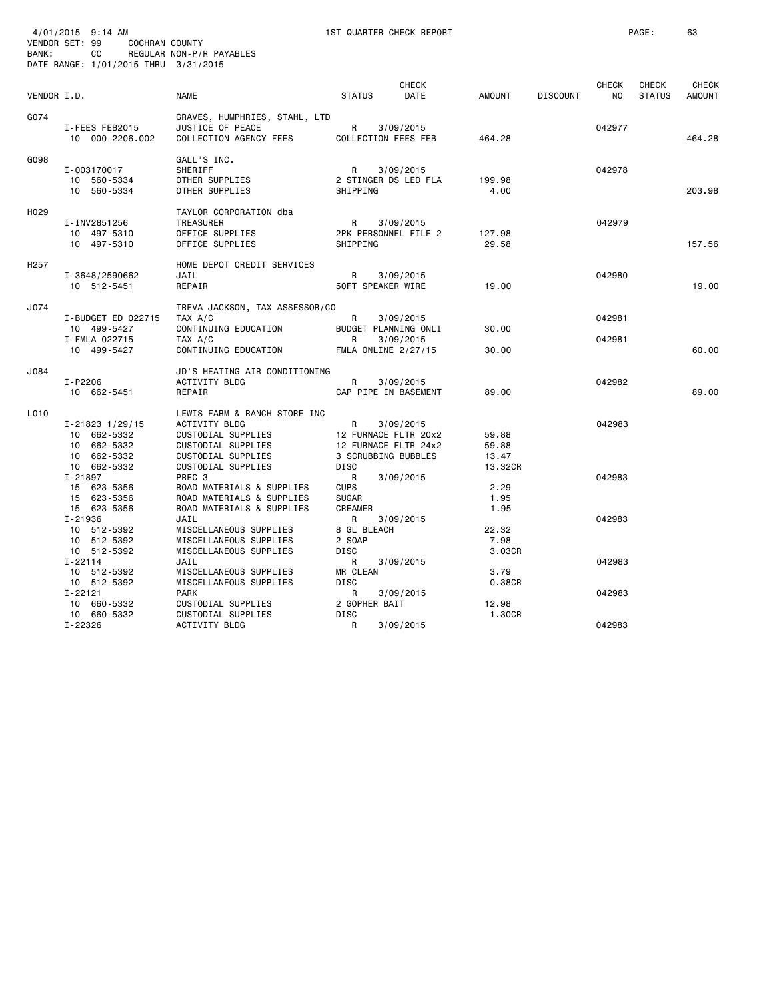| BANK:            | 4/01/2015 9:14 AM<br>VENDOR SET: 99<br>COCHRAN COUNTY<br>CC<br>DATE RANGE: 1/01/2015 THRU 3/31/2015 | REGULAR NON-P/R PAYABLES                                                                                                              |                                                                                  | 1ST QUARTER CHECK REPORT                       |                                    |                 |                     | PAGE:                  | 63                            |
|------------------|-----------------------------------------------------------------------------------------------------|---------------------------------------------------------------------------------------------------------------------------------------|----------------------------------------------------------------------------------|------------------------------------------------|------------------------------------|-----------------|---------------------|------------------------|-------------------------------|
| VENDOR I.D.      |                                                                                                     | <b>NAME</b>                                                                                                                           | <b>STATUS</b>                                                                    | CHECK<br>DATE                                  | AMOUNT                             | <b>DISCOUNT</b> | <b>CHECK</b><br>NO. | CHECK<br><b>STATUS</b> | <b>CHECK</b><br><b>AMOUNT</b> |
| G074             | I-FEES FEB2015<br>10 000-2206.002                                                                   | GRAVES, HUMPHRIES, STAHL, LTD<br>JUSTICE OF PEACE<br>COLLECTION AGENCY FEES                                                           | R 3/09/2015<br>COLLECTION FEES FEB                                               |                                                | 464.28                             |                 | 042977              |                        | 464.28                        |
| G098             | I-003170017<br>10 560-5334<br>10 560-5334                                                           | GALL'S INC.<br>SHERIFF<br>OTHER SUPPLIES<br>OTHER SUPPLIES                                                                            | R<br>SHIPPING                                                                    | 3/09/2015<br>2 STINGER DS LED FLA              | 199.98<br>4.00                     |                 | 042978              |                        | 203.98                        |
| H029             | I-INV2851256<br>10 497-5310<br>10 497-5310                                                          | TAYLOR CORPORATION dba<br>TREASURER<br>OFFICE SUPPLIES<br>OFFICE SUPPLIES                                                             | R<br>SHIPPING                                                                    | 3/09/2015<br>2PK PERSONNEL FILE 2              | 127.98<br>29.58                    |                 | 042979              |                        | 157.56                        |
| H <sub>257</sub> | I-3648/2590662<br>10 512-5451                                                                       | HOME DEPOT CREDIT SERVICES<br>JAIL<br>REPAIR                                                                                          | 50FT SPEAKER WIRE                                                                | R 3/09/2015                                    | 19.00                              |                 | 042980              |                        | 19.00                         |
| J074             | I-BUDGET ED 022715<br>10 499-5427<br>I-FMLA 022715<br>10 499-5427                                   | TREVA JACKSON, TAX ASSESSOR/CO<br>TAX A/C<br>CONTINUING EDUCATION<br>TAX A/C<br>CONTINUING EDUCATION                                  | R<br>$\mathsf R$<br>FMLA ONLINE 2/27/15                                          | 3/09/2015<br>BUDGET PLANNING ONLI<br>3/09/2015 | 30.00<br>30.00                     |                 | 042981<br>042981    |                        | 60.00                         |
| J084             | I-P2206<br>10 662-5451                                                                              | JD'S HEATING AIR CONDITIONING<br>ACTIVITY BLDG<br>REPAIR                                                                              | R                                                                                | 3/09/2015<br>CAP PIPE IN BASEMENT              | 89.00                              |                 | 042982              |                        | 89.00                         |
| L010             | $I - 21823$ $1/29/15$<br>10 662-5332<br>10 662-5332<br>10 662-5332<br>10 662-5332                   | LEWIS FARM & RANCH STORE INC<br>ACTIVITY BLDG<br>CUSTODIAL SUPPLIES<br>CUSTODIAL SUPPLIES<br>CUSTODIAL SUPPLIES<br>CUSTODIAL SUPPLIES | R<br>12 FURNACE FLTR 20x2<br>12 FURNACE FLTR 24x2<br>3 SCRUBBING BUBBLES<br>DISC | 3/09/2015                                      | 59.88<br>59.88<br>13.47<br>13.32CR |                 | 042983              |                        |                               |
|                  | I-21897<br>15 623-5356<br>15 623-5356<br>15 623-5356                                                | PREC 3<br>ROAD MATERIALS & SUPPLIES<br>ROAD MATERIALS & SUPPLIES<br>ROAD MATERIALS & SUPPLIES                                         | R<br><b>CUPS</b><br><b>SUGAR</b><br><b>CREAMER</b>                               | 3/09/2015                                      | 2.29<br>1.95<br>1.95               |                 | 042983              |                        |                               |
|                  | I-21936<br>10 512-5392<br>10 512-5392<br>10 512-5392                                                | JAIL<br>MISCELLANEOUS SUPPLIES<br>MISCELLANEOUS SUPPLIES<br>MISCELLANEOUS SUPPLIES                                                    | R<br>8 GL BLEACH<br>2 SOAP<br>DISC                                               | 3/09/2015                                      | 22.32<br>7.98<br>3.03CR            |                 | 042983              |                        |                               |
|                  | $I - 22114$<br>10 512-5392<br>10 512-5392                                                           | JAIL<br>MISCELLANEOUS SUPPLIES<br>MISCELLANEOUS SUPPLIES                                                                              | R<br>MR CLEAN<br>DISC                                                            | 3/09/2015                                      | 3.79<br>0.38CR                     |                 | 042983              |                        |                               |
|                  | I-22121<br>10 660-5332<br>10 660-5332<br>I-22326                                                    | <b>PARK</b><br>CUSTODIAL SUPPLIES<br>CUSTODIAL SUPPLIES<br>ACTIVITY BLDG                                                              | R<br>2 GOPHER BAIT<br>DISC<br>R                                                  | 3/09/2015<br>3/09/2015                         | 12.98<br>1.30CR                    |                 | 042983<br>042983    |                        |                               |
|                  |                                                                                                     |                                                                                                                                       |                                                                                  |                                                |                                    |                 |                     |                        |                               |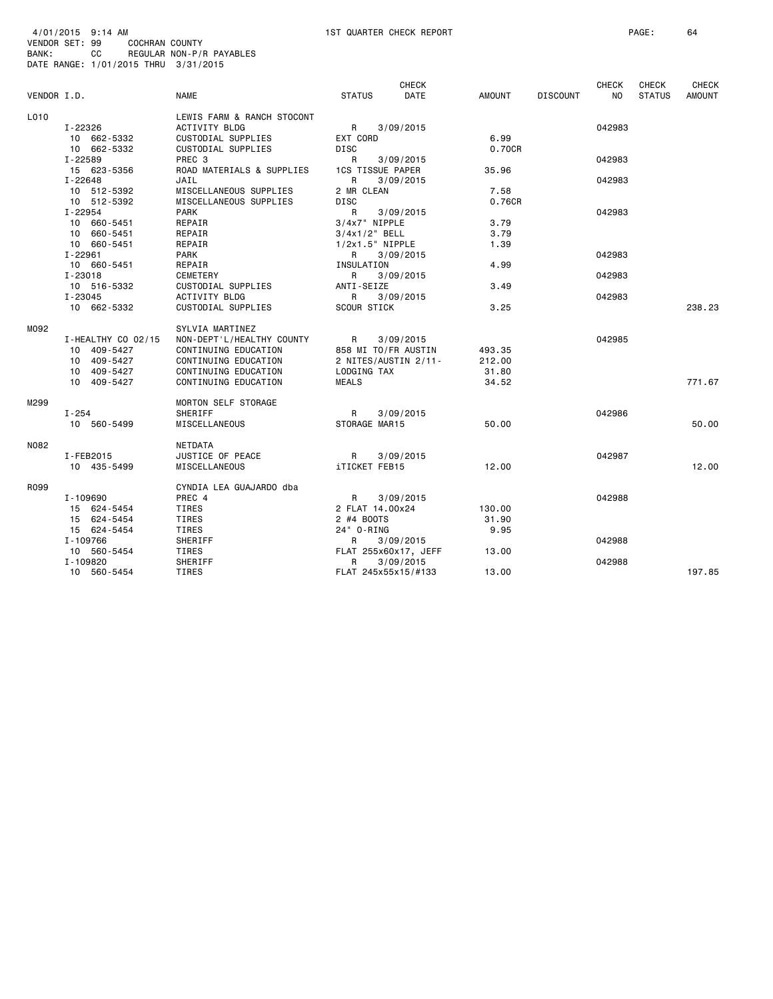|             |                    |                            |                           | <b>CHECK</b> |               |                 | <b>CHECK</b> | <b>CHECK</b>  | <b>CHECK</b>  |
|-------------|--------------------|----------------------------|---------------------------|--------------|---------------|-----------------|--------------|---------------|---------------|
| VENDOR I.D. |                    | <b>NAME</b>                | <b>STATUS</b>             | <b>DATE</b>  | <b>AMOUNT</b> | <b>DISCOUNT</b> | NO.          | <b>STATUS</b> | <b>AMOUNT</b> |
| L010        |                    | LEWIS FARM & RANCH STOCONT |                           |              |               |                 |              |               |               |
|             | I-22326            | <b>ACTIVITY BLDG</b>       | R                         | 3/09/2015    |               |                 | 042983       |               |               |
|             | 10 662-5332        | CUSTODIAL SUPPLIES         | EXT CORD                  |              | 6.99          |                 |              |               |               |
|             | 10 662-5332        | CUSTODIAL SUPPLIES         | DISC                      |              | 0.70CR        |                 |              |               |               |
|             | I-22589            | PREC <sub>3</sub>          | R                         | 3/09/2015    |               |                 | 042983       |               |               |
|             | 15 623-5356        | ROAD MATERIALS & SUPPLIES  | 1CS TISSUE PAPER          |              | 35.96         |                 |              |               |               |
|             | $I - 22648$        | JAIL                       | R                         | 3/09/2015    |               |                 | 042983       |               |               |
|             | 10 512-5392        | MISCELLANEOUS SUPPLIES     | 2 MR CLEAN                |              | 7.58          |                 |              |               |               |
|             | 10 512-5392        | MISCELLANEOUS SUPPLIES     | <b>DISC</b>               |              | 0.76CR        |                 |              |               |               |
|             | I-22954            | <b>PARK</b>                | R                         | 3/09/2015    |               |                 | 042983       |               |               |
|             | 10 660-5451        | REPAIR                     | 3/4x7" NIPPLE             |              | 3.79          |                 |              |               |               |
|             | 10 660-5451        | REPAIR                     | $3/4x1/2$ BELL            |              | 3.79          |                 |              |               |               |
|             | 10 660-5451        | REPAIR                     | 1/2x1.5" NIPPLE           |              | 1.39          |                 |              |               |               |
|             | I-22961            | PARK                       | R                         | 3/09/2015    |               |                 | 042983       |               |               |
|             | 10 660-5451        | REPAIR                     | INSULATION                |              | 4.99          |                 |              |               |               |
|             | $I - 23018$        | CEMETERY                   | R                         | 3/09/2015    |               |                 | 042983       |               |               |
|             | 10 516-5332        | CUSTODIAL SUPPLIES         | ANTI-SEIZE                |              | 3.49          |                 |              |               |               |
|             | $I - 23045$        | <b>ACTIVITY BLDG</b>       | R.                        | 3/09/2015    |               |                 | 042983       |               |               |
|             | 10 662-5332        | CUSTODIAL SUPPLIES         | <b>SCOUR STICK</b>        |              | 3.25          |                 |              |               | 238.23        |
|             |                    |                            |                           |              |               |                 |              |               |               |
| M092        |                    | SYLVIA MARTINEZ            |                           |              |               |                 |              |               |               |
|             | I-HEALTHY CO 02/15 | NON-DEPT'L/HEALTHY COUNTY  | R                         | 3/09/2015    |               |                 | 042985       |               |               |
|             | 10 409-5427        | CONTINUING EDUCATION       | 858 MI TO/FR AUSTIN       |              | 493.35        |                 |              |               |               |
|             | 10 409-5427        | CONTINUING EDUCATION       | 2 NITES/AUSTIN 2/11-      |              | 212.00        |                 |              |               |               |
|             | 10 409-5427        | CONTINUING EDUCATION       | LODGING TAX               |              | 31.80         |                 |              |               |               |
|             | 10 409-5427        | CONTINUING EDUCATION       | <b>MEALS</b>              |              | 34.52         |                 |              |               | 771.67        |
|             |                    |                            |                           |              |               |                 |              |               |               |
| M299        |                    | MORTON SELF STORAGE        |                           |              |               |                 | 042986       |               |               |
|             | $I - 254$          | <b>SHERIFF</b>             | R                         | 3/09/2015    |               |                 |              |               |               |
|             | 10 560-5499        | MISCELLANEOUS              | STORAGE MAR15             |              | 50.00         |                 |              |               | 50.00         |
| N082        |                    | <b>NETDATA</b>             |                           |              |               |                 |              |               |               |
|             | I-FEB2015          | JUSTICE OF PEACE           | $\mathsf{R}$              | 3/09/2015    |               |                 | 042987       |               |               |
|             | 10 435-5499        | MISCELLANEOUS              | <b>iTICKET FEB15</b>      |              | 12.00         |                 |              |               | 12.00         |
| R099        |                    | CYNDIA LEA GUAJARDO dba    |                           |              |               |                 |              |               |               |
|             | I-109690           | PREC 4                     | R                         | 3/09/2015    |               |                 | 042988       |               |               |
|             | 15 624-5454        | TIRES                      | 2 FLAT 14,00x24           |              | 130.00        |                 |              |               |               |
|             | 15 624-5454        | TIRES                      | 2 #4 BOOTS                |              | 31.90         |                 |              |               |               |
|             | 15 624-5454        | TIRES                      | 24" 0-RING                |              | 9.95          |                 |              |               |               |
|             | I-109766           | SHERIFF                    | R                         | 3/09/2015    |               |                 | 042988       |               |               |
|             | 10 560-5454        | TIRES                      |                           |              | 13.00         |                 |              |               |               |
|             | I-109820           | SHERIFF                    | FLAT 255x60x17, JEFF<br>R | 3/09/2015    |               |                 | 042988       |               |               |
|             |                    |                            |                           |              | 13.00         |                 |              |               | 197.85        |
|             | 10 560-5454        | TIRES                      | FLAT 245x55x15/#133       |              |               |                 |              |               |               |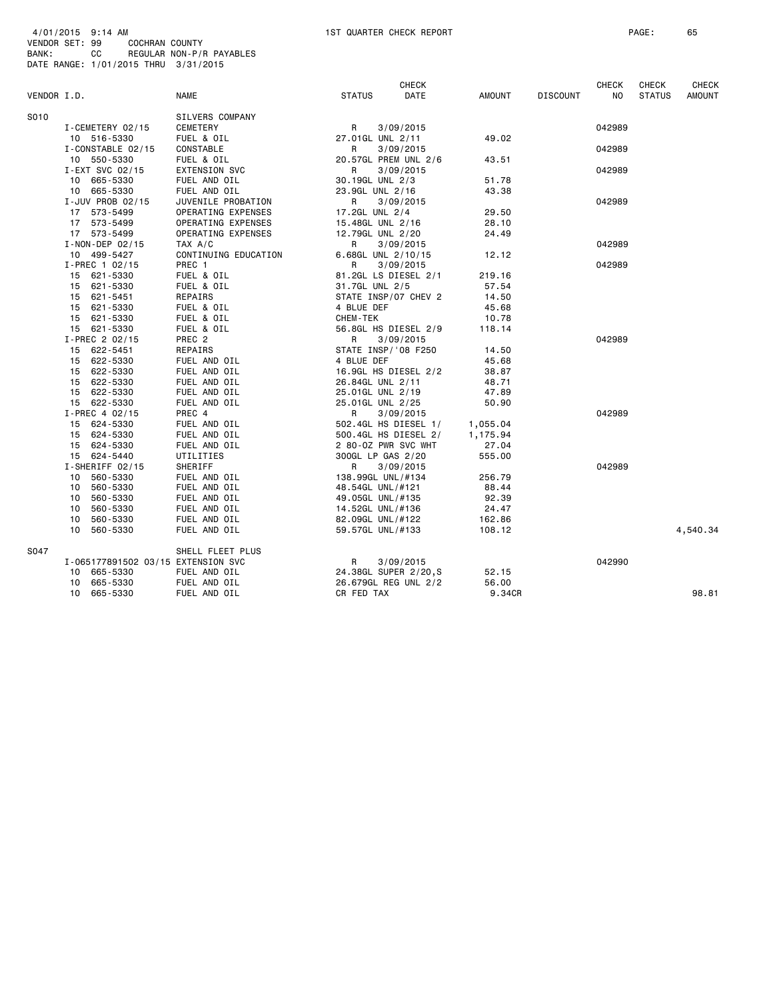| VENDOR I.D. |                                    | <b>NAME</b>           | <b>STATUS</b>     | <b>CHECK</b><br>DATE  | <b>AMOUNT</b>  | <b>DISCOUNT</b> | <b>CHECK</b><br>ΝO | <b>CHECK</b><br><b>STATUS</b> | <b>CHECK</b><br>AMOUNT |
|-------------|------------------------------------|-----------------------|-------------------|-----------------------|----------------|-----------------|--------------------|-------------------------------|------------------------|
|             |                                    |                       |                   |                       |                |                 |                    |                               |                        |
| S010        |                                    | SILVERS COMPANY       |                   |                       |                |                 |                    |                               |                        |
|             | I-CEMETERY 02/15                   | CEMETERY              | R                 | 3/09/2015             |                |                 | 042989             |                               |                        |
|             | 10 516-5330                        | FUEL & OIL            | 27.01GL UNL 2/11  |                       | 49.02          |                 |                    |                               |                        |
|             | I-CONSTABLE 02/15                  | CONSTABLE             | R                 | 3/09/2015             |                |                 | 042989             |                               |                        |
|             | 10 550-5330                        | FUEL & OIL            |                   | 20.57GL PREM UNL 2/6  | 43.51          |                 |                    |                               |                        |
|             | I-EXT SVC 02/15                    | <b>EXTENSION SVC</b>  | R                 | 3/09/2015             |                |                 | 042989             |                               |                        |
|             | 10 665-5330                        | FUEL AND OIL          | 30.19GL UNL 2/3   |                       | 51.78          |                 |                    |                               |                        |
|             | 10 665-5330                        | FUEL AND OIL          | 23.9GL UNL 2/16   |                       | 43.38          |                 |                    |                               |                        |
|             | I-JUV PROB 02/15                   | JUVENILE PROBATION    | R                 | 3/09/2015             |                |                 | 042989             |                               |                        |
|             | 17 573-5499                        | OPERATING EXPENSES    | 17.2GL UNL 2/4    |                       | 29.50          |                 |                    |                               |                        |
|             | 17 573-5499                        | OPERATING EXPENSES    | 15.48GL UNL 2/16  |                       | 28.10          |                 |                    |                               |                        |
|             | 17 573-5499                        | OPERATING EXPENSES    | 12.79GL UNL 2/20  |                       | 24.49          |                 |                    |                               |                        |
|             | I-NON-DEP 02/15                    | TAX A/C               | R                 | 3/09/2015             |                |                 | 042989             |                               |                        |
|             | 10 499-5427                        | CONTINUING EDUCATION  |                   | 6.68GL UNL 2/10/15    | 12.12          |                 |                    |                               |                        |
|             | $I-PREC$ 1 02/15                   | PREC 1                | R                 | 3/09/2015             |                |                 | 042989             |                               |                        |
|             | 15 621-5330                        | FUEL & OIL            |                   | 81.2GL LS DIESEL 2/1  | 219.16         |                 |                    |                               |                        |
|             | 15 621-5330                        | FUEL & OIL            | 31.7GL UNL 2/5    |                       | 57.54          |                 |                    |                               |                        |
|             | 15 621-5451                        | REPAIRS<br>FUEL & OIL | 4 BLUE DEF        | STATE INSP/07 CHEV 2  | 14.50<br>45.68 |                 |                    |                               |                        |
|             | 15 621-5330<br>15 621-5330         | FUEL & OIL            | CHEM-TEK          |                       | 10.78          |                 |                    |                               |                        |
|             | 15 621-5330                        | FUEL & OIL            |                   | 56.8GL HS DIESEL 2/9  | 118.14         |                 |                    |                               |                        |
|             | I-PREC 2 02/15                     | PREC <sub>2</sub>     | R                 | 3/09/2015             |                |                 | 042989             |                               |                        |
|             | 15 622-5451                        | REPAIRS               |                   | STATE INSP/'08 F250   | 14.50          |                 |                    |                               |                        |
|             | 15 622-5330                        | FUEL AND OIL          | 4 BLUE DEF        |                       | 45.68          |                 |                    |                               |                        |
|             | 15 622-5330                        | FUEL AND OIL          |                   | 16.9GL HS DIESEL 2/2  | 38.87          |                 |                    |                               |                        |
|             | 15 622-5330                        | FUEL AND OIL          | 26.84GL UNL 2/11  |                       | 48.71          |                 |                    |                               |                        |
|             | 15 622-5330                        | FUEL AND OIL          | 25.01GL UNL 2/19  |                       | 47.89          |                 |                    |                               |                        |
|             | 15 622-5330                        | FUEL AND OIL          | 25.01GL UNL 2/25  |                       | 50.90          |                 |                    |                               |                        |
|             | $I-PREC$ 4 02/15                   | PREC 4                | R                 | 3/09/2015             |                |                 | 042989             |                               |                        |
|             | 15 624-5330                        | FUEL AND OIL          |                   | 502.4GL HS DIESEL 1/  | 1,055.04       |                 |                    |                               |                        |
|             | 15 624-5330                        | FUEL AND OIL          |                   | 500.4GL HS DIESEL 2/  | 1,175.94       |                 |                    |                               |                        |
|             | 15 624-5330                        | FUEL AND OIL          |                   | 2 80-0Z PWR SVC WHT   | 27.04          |                 |                    |                               |                        |
|             | 15 624-5440                        | UTILITIES             | 300GL LP GAS 2/20 |                       | 555.00         |                 |                    |                               |                        |
|             | I-SHERIFF 02/15                    | SHERIFF               | R                 | 3/09/2015             |                |                 | 042989             |                               |                        |
|             | 10 560-5330                        | FUEL AND OIL          | 138.99GL UNL/#134 |                       | 256.79         |                 |                    |                               |                        |
|             | 10 560-5330                        | FUEL AND OIL          | 48.54GL UNL/#121  |                       | 88.44          |                 |                    |                               |                        |
|             | 10 560-5330                        | FUEL AND OIL          | 49.05GL UNL/#135  |                       | 92.39          |                 |                    |                               |                        |
|             | 560-5330<br>10                     | FUEL AND OIL          | 14.52GL UNL/#136  |                       | 24.47          |                 |                    |                               |                        |
|             | 560-5330<br>10                     | FUEL AND OIL          | 82.09GL UNL/#122  |                       | 162.86         |                 |                    |                               |                        |
|             | 10 560-5330                        | FUEL AND OIL          | 59.57GL UNL/#133  |                       | 108.12         |                 |                    |                               | 4,540.34               |
| S047        |                                    | SHELL FLEET PLUS      |                   |                       |                |                 |                    |                               |                        |
|             | I-065177891502 03/15 EXTENSION SVC |                       | R                 | 3/09/2015             |                |                 | 042990             |                               |                        |
|             | 10 665-5330                        | FUEL AND OIL          |                   | 24.38GL SUPER 2/20, S | 52.15          |                 |                    |                               |                        |
|             | 10 665-5330                        | FUEL AND OIL          |                   | 26.679GL REG UNL 2/2  | 56.00          |                 |                    |                               |                        |
|             | 10 665-5330                        | FUEL AND OIL          | CR FED TAX        |                       | 9.34CR         |                 |                    |                               | 98.81                  |
|             |                                    |                       |                   |                       |                |                 |                    |                               |                        |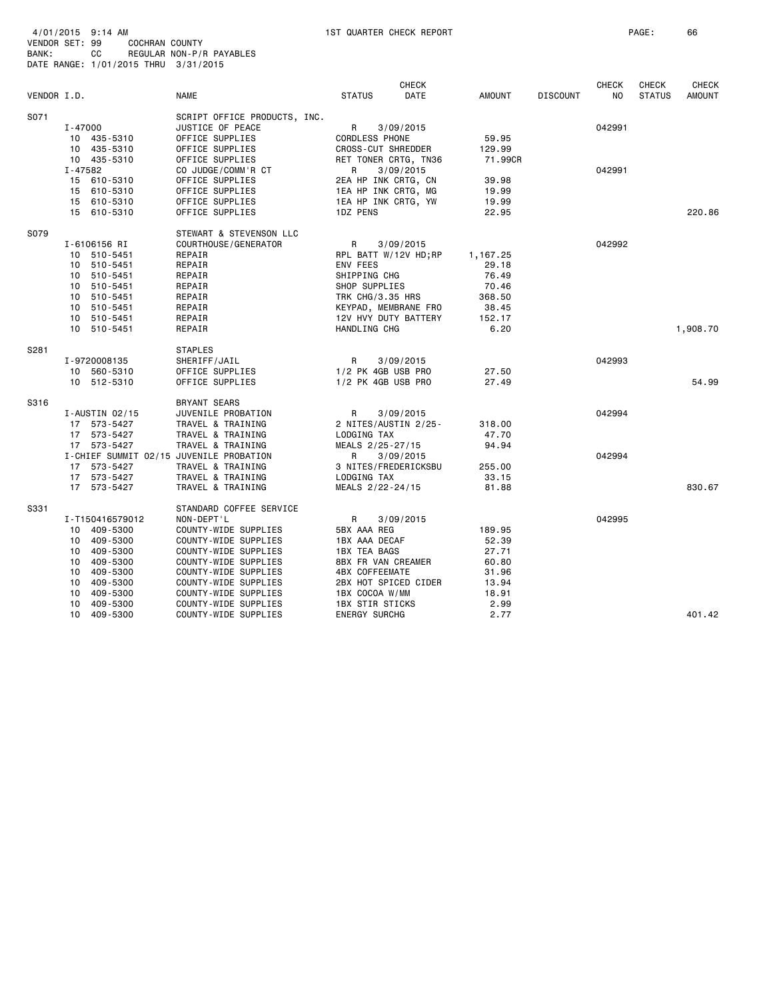| 4/01/2015 9:14 AM |                                      |  |
|-------------------|--------------------------------------|--|
| VENDOR SET: 99    | COCHRAN COUNTY                       |  |
| BANK:             | REGULAR NON-P/R PAYABLES<br>CC.      |  |
|                   | DATE RANGE: 1/01/2015 THRU 3/31/2015 |  |
|                   |                                      |  |

| VENDOR I.D. |                                         | <b>NAME</b>                  | <b>STATUS</b>                                  | <b>CHECK</b><br>DATE | AMOUNT          | <b>DISCOUNT</b> | <b>CHECK</b><br>N <sub>O</sub> | <b>CHECK</b><br><b>STATUS</b> | <b>CHECK</b><br><b>AMOUNT</b> |
|-------------|-----------------------------------------|------------------------------|------------------------------------------------|----------------------|-----------------|-----------------|--------------------------------|-------------------------------|-------------------------------|
| S071        |                                         | SCRIPT OFFICE PRODUCTS, INC. |                                                |                      |                 |                 |                                |                               |                               |
|             | $I - 47000$                             | JUSTICE OF PEACE             | R                                              | 3/09/2015            |                 |                 | 042991                         |                               |                               |
|             | 10 435-5310                             | OFFICE SUPPLIES              | <b>CORDLESS PHONE</b>                          |                      | 59.95           |                 |                                |                               |                               |
|             | 10 435-5310                             | OFFICE SUPPLIES              | <b>CROSS-CUT SHREDDER</b>                      |                      | 129.99          |                 |                                |                               |                               |
|             | 10 435-5310                             | OFFICE SUPPLIES              | RET TONER CRTG, TN36                           |                      | 71.99CR         |                 |                                |                               |                               |
|             | I-47582                                 | CO JUDGE/COMM'R CT           | R                                              | 3/09/2015            |                 |                 | 042991                         |                               |                               |
|             | 15 610-5310                             | OFFICE SUPPLIES              | 2EA HP INK CRTG, CN                            |                      | 39.98           |                 |                                |                               |                               |
|             | 15 610-5310                             | OFFICE SUPPLIES              | 1EA HP INK CRTG, MG                            |                      | 19.99           |                 |                                |                               |                               |
|             | 15 610-5310                             | OFFICE SUPPLIES              | 1EA HP INK CRTG, YW                            |                      | 19.99           |                 |                                |                               |                               |
|             | 15 610-5310                             | OFFICE SUPPLIES              | 1DZ PENS                                       |                      | 22.95           |                 |                                |                               | 220.86                        |
| S079        |                                         | STEWART & STEVENSON LLC      |                                                |                      |                 |                 |                                |                               |                               |
|             | I-6106156 RI                            | COURTHOUSE / GENERATOR       | R                                              | 3/09/2015            |                 |                 | 042992                         |                               |                               |
|             | 10 510-5451                             | REPAIR                       | RPL BATT W/12V HD; RP                          |                      | 1,167.25        |                 |                                |                               |                               |
|             | 510-5451<br>10                          | REPAIR                       | ENV FEES                                       |                      | 29.18           |                 |                                |                               |                               |
|             | 510-5451<br>10                          | REPAIR                       | SHIPPING CHG                                   |                      | 76.49           |                 |                                |                               |                               |
|             | 510-5451<br>10                          | REPAIR                       | SHOP SUPPLIES                                  |                      | 70.46           |                 |                                |                               |                               |
|             | 510-5451<br>10                          | REPAIR                       | TRK CHG/3.35 HRS                               |                      | 368.50<br>38.45 |                 |                                |                               |                               |
|             | 510-5451<br>10<br>10<br>510-5451        | REPAIR<br>REPAIR             | KEYPAD, MEMBRANE FRO<br>12V HVY DUTY BATTERY   |                      | 152.17          |                 |                                |                               |                               |
|             | 10 510-5451                             | REPAIR                       | HANDLING CHG                                   |                      | 6.20            |                 |                                |                               | 1,908.70                      |
|             |                                         |                              |                                                |                      |                 |                 |                                |                               |                               |
| S281        |                                         | <b>STAPLES</b>               |                                                |                      |                 |                 |                                |                               |                               |
|             | I-9720008135                            | SHERIFF/JAIL                 | R                                              | 3/09/2015            |                 |                 | 042993                         |                               |                               |
|             | 10 560-5310                             | OFFICE SUPPLIES              | 1/2 PK 4GB USB PRO                             |                      | 27.50           |                 |                                |                               |                               |
|             | 10 512-5310                             | OFFICE SUPPLIES              | 1/2 PK 4GB USB PRO                             |                      | 27.49           |                 |                                |                               | 54.99                         |
| S316        |                                         | <b>BRYANT SEARS</b>          |                                                |                      |                 |                 |                                |                               |                               |
|             | $I$ -AUSTIN 02/15                       | JUVENILE PROBATION           | R                                              | 3/09/2015            |                 |                 | 042994                         |                               |                               |
|             | 17 573-5427                             | TRAVEL & TRAINING            | 2 NITES/AUSTIN 2/25-                           |                      | 318.00          |                 |                                |                               |                               |
|             | 17 573-5427                             | TRAVEL & TRAINING            | LODGING TAX                                    |                      | 47.70           |                 |                                |                               |                               |
|             | 17 573-5427                             | TRAVEL & TRAINING            | MEALS 2/25-27/15                               |                      | 94.94           |                 |                                |                               |                               |
|             | I-CHIEF SUMMIT 02/15 JUVENILE PROBATION |                              | R                                              | 3/09/2015            |                 |                 | 042994                         |                               |                               |
|             | 17 573-5427                             | TRAVEL & TRAINING            | 3 NITES/FREDERICKSBU                           |                      | 255.00          |                 |                                |                               |                               |
|             | 17 573-5427                             | TRAVEL & TRAINING            | LODGING TAX                                    |                      | 33.15           |                 |                                |                               |                               |
|             | 17 573-5427                             | TRAVEL & TRAINING            | MEALS 2/22-24/15                               |                      | 81.88           |                 |                                |                               | 830.67                        |
| S331        |                                         | STANDARD COFFEE SERVICE      |                                                |                      |                 |                 |                                |                               |                               |
|             | I-T150416579012                         | NON-DEPT'L                   | R                                              | 3/09/2015            |                 |                 | 042995                         |                               |                               |
|             | 10 409-5300                             | COUNTY-WIDE SUPPLIES         | 5BX AAA REG                                    |                      | 189.95          |                 |                                |                               |                               |
|             | 409-5300<br>10                          | COUNTY-WIDE SUPPLIES         | 1BX AAA DECAF                                  |                      | 52.39           |                 |                                |                               |                               |
|             | 409-5300<br>10                          | COUNTY-WIDE SUPPLIES         | 1BX TEA BAGS                                   |                      | 27.71           |                 |                                |                               |                               |
|             | 409-5300<br>10                          | COUNTY-WIDE SUPPLIES         | 8BX FR VAN CREAMER                             |                      | 60.80           |                 |                                |                               |                               |
|             | 409-5300<br>10                          | COUNTY-WIDE SUPPLIES         | 4BX COFFEEMATE                                 |                      | 31.96           |                 |                                |                               |                               |
|             | 409-5300<br>10                          | COUNTY-WIDE SUPPLIES         | 2BX HOT SPICED CIDER                           |                      | 13.94           |                 |                                |                               |                               |
|             | 409-5300<br>10                          | COUNTY-WIDE SUPPLIES         | 1BX COCOA W/MM                                 |                      | 18.91           |                 |                                |                               |                               |
|             | 409-5300<br>10<br>409-5300<br>10        | COUNTY-WIDE SUPPLIES         | <b>1BX STIR STICKS</b><br><b>ENERGY SURCHG</b> |                      | 2.99<br>2.77    |                 |                                |                               | 401.42                        |
|             |                                         | COUNTY-WIDE SUPPLIES         |                                                |                      |                 |                 |                                |                               |                               |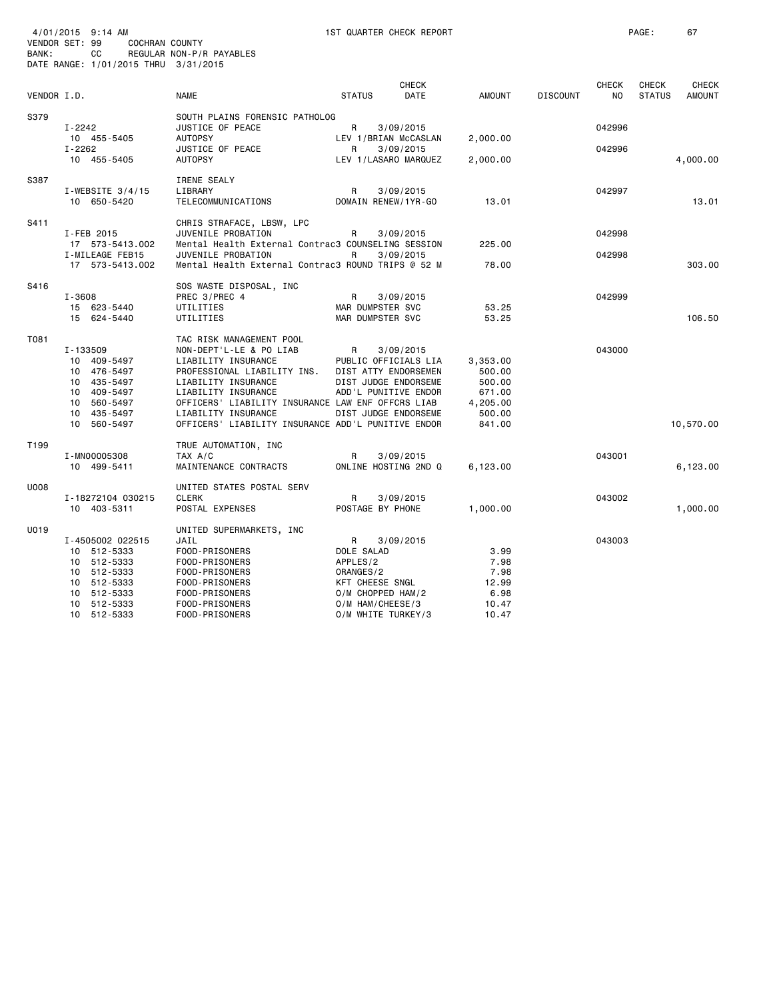|             | 4/01/2015 9:14 AM<br>VENDOR SET: 99<br>COCHRAN COUNTY |                                                                          |                                        | 1ST QUARTER CHECK REPORT |                    |                 |              | PAGE:         | 67            |
|-------------|-------------------------------------------------------|--------------------------------------------------------------------------|----------------------------------------|--------------------------|--------------------|-----------------|--------------|---------------|---------------|
| BANK:       | CC<br>DATE RANGE: 1/01/2015 THRU 3/31/2015            | REGULAR NON-P/R PAYABLES                                                 |                                        |                          |                    |                 |              |               |               |
|             |                                                       |                                                                          |                                        | <b>CHECK</b>             |                    |                 | <b>CHECK</b> | <b>CHECK</b>  | <b>CHECK</b>  |
| VENDOR I.D. |                                                       | <b>NAME</b>                                                              | <b>STATUS</b>                          | DATE                     | AMOUNT             | <b>DISCOUNT</b> | NO           | <b>STATUS</b> | <b>AMOUNT</b> |
| S379        |                                                       | SOUTH PLAINS FORENSIC PATHOLOG                                           |                                        |                          |                    |                 |              |               |               |
|             | I-2242<br>10 455-5405                                 | JUSTICE OF PEACE<br><b>AUTOPSY</b>                                       | R<br>LEV 1/BRIAN McCASLAN              | 3/09/2015                | 2,000.00           |                 | 042996       |               |               |
|             | $I - 2262$                                            | JUSTICE OF PEACE                                                         | R                                      | 3/09/2015                |                    |                 | 042996       |               |               |
|             | 10 455-5405                                           | <b>AUTOPSY</b>                                                           | LEV 1/LASARO MARQUEZ                   |                          | 2,000.00           |                 |              |               | 4,000.00      |
| S387        |                                                       | IRENE SEALY                                                              |                                        |                          |                    |                 |              |               |               |
|             | I-WEBSITE $3/4/15$                                    | LIBRARY                                                                  | R                                      | 3/09/2015                |                    |                 | 042997       |               |               |
|             | 10 650-5420                                           | TELECOMMUNICATIONS                                                       | DOMAIN RENEW/1YR-GO                    |                          | 13.01              |                 |              |               | 13.01         |
| S411        |                                                       | CHRIS STRAFACE, LBSW, LPC                                                |                                        |                          |                    |                 |              |               |               |
|             | I-FEB 2015<br>17 573-5413.002                         | JUVENILE PROBATION<br>Mental Health External Contrac3 COUNSELING SESSION | R                                      | 3/09/2015                | 225.00             |                 | 042998       |               |               |
|             | I-MILEAGE FEB15                                       | JUVENILE PROBATION                                                       | R                                      | 3/09/2015                |                    |                 | 042998       |               |               |
|             | 17 573-5413.002                                       | Mental Health External Contrac3 ROUND TRIPS @ 52 M                       |                                        |                          | 78.00              |                 |              |               | 303.00        |
| S416        |                                                       | SOS WASTE DISPOSAL, INC                                                  |                                        |                          |                    |                 |              |               |               |
|             | $I - 3608$                                            | PREC 3/PREC 4                                                            | R                                      | 3/09/2015                |                    |                 | 042999       |               |               |
|             | 15 623-5440<br>15 624-5440                            | UTILITIES<br>UTILITIES                                                   | MAR DUMPSTER SVC<br>MAR DUMPSTER SVC   |                          | 53.25<br>53.25     |                 |              |               | 106.50        |
|             |                                                       |                                                                          |                                        |                          |                    |                 |              |               |               |
| T081        |                                                       | TAC RISK MANAGEMENT POOL                                                 |                                        |                          |                    |                 |              |               |               |
|             | I-133509<br>10 409-5497                               | NON-DEPT'L-LE & PO LIAB<br>LIABILITY INSURANCE                           | R<br>PUBLIC OFFICIALS LIA              | 3/09/2015                | 3,353.00           |                 | 043000       |               |               |
|             | 10 476-5497                                           | PROFESSIONAL LIABILITY INS.                                              | DIST ATTY ENDORSEMEN                   |                          | 500.00             |                 |              |               |               |
|             | 10 435-5497                                           | LIABILITY INSURANCE                                                      | DIST JUDGE ENDORSEME                   |                          | 500.00             |                 |              |               |               |
|             | 409-5497<br>10                                        | LIABILITY INSURANCE                                                      | ADD'L PUNITIVE ENDOR                   |                          | 671.00             |                 |              |               |               |
|             | 10<br>560-5497<br>435-5497<br>10                      | OFFICERS' LIABILITY INSURANCE LAW ENF OFFCRS LIAB<br>LIABILITY INSURANCE | DIST JUDGE ENDORSEME                   |                          | 4,205.00<br>500.00 |                 |              |               |               |
|             | 10<br>560-5497                                        | OFFICERS' LIABILITY INSURANCE ADD'L PUNITIVE ENDOR                       |                                        |                          | 841.00             |                 |              |               | 10,570.00     |
|             |                                                       |                                                                          |                                        |                          |                    |                 |              |               |               |
| T199        | I-MN00005308                                          | TRUE AUTOMATION, INC<br>TAX A/C                                          | R                                      | 3/09/2015                |                    |                 | 043001       |               |               |
|             | 10 499-5411                                           | MAINTENANCE CONTRACTS                                                    | ONLINE HOSTING 2ND Q                   |                          | 6,123.00           |                 |              |               | 6,123.00      |
|             |                                                       |                                                                          |                                        |                          |                    |                 |              |               |               |
| U008        | I-18272104 030215                                     | UNITED STATES POSTAL SERV<br><b>CLERK</b>                                | R                                      | 3/09/2015                |                    |                 | 043002       |               |               |
|             | 10 403-5311                                           | POSTAL EXPENSES                                                          | POSTAGE BY PHONE                       |                          | 1,000.00           |                 |              |               | 1,000.00      |
| U019        |                                                       | UNITED SUPERMARKETS, INC                                                 |                                        |                          |                    |                 |              |               |               |
|             | I-4505002 022515                                      | JAIL                                                                     | R                                      | 3/09/2015                |                    |                 | 043003       |               |               |
|             | 10 512-5333                                           | FOOD-PRISONERS                                                           | DOLE SALAD                             |                          | 3.99               |                 |              |               |               |
|             | 10 512-5333                                           | FOOD-PRISONERS                                                           | APPLES/2                               |                          | 7.98               |                 |              |               |               |
|             | 10 512-5333                                           | FOOD-PRISONERS                                                           | ORANGES/2                              |                          | 7.98               |                 |              |               |               |
|             | 10 512-5333                                           | FOOD-PRISONERS                                                           | KFT CHEESE SNGL                        |                          | 12.99              |                 |              |               |               |
|             | 512-5333<br>10<br>10 512-5333                         | FOOD-PRISONERS<br>FOOD-PRISONERS                                         | O/M CHOPPED HAM/2                      |                          | 6.98               |                 |              |               |               |
|             | 10 512-5333                                           | FOOD-PRISONERS                                                           | O/M HAM/CHEESE/3<br>O/M WHITE TURKEY/3 |                          | 10.47<br>10.47     |                 |              |               |               |
|             |                                                       |                                                                          |                                        |                          |                    |                 |              |               |               |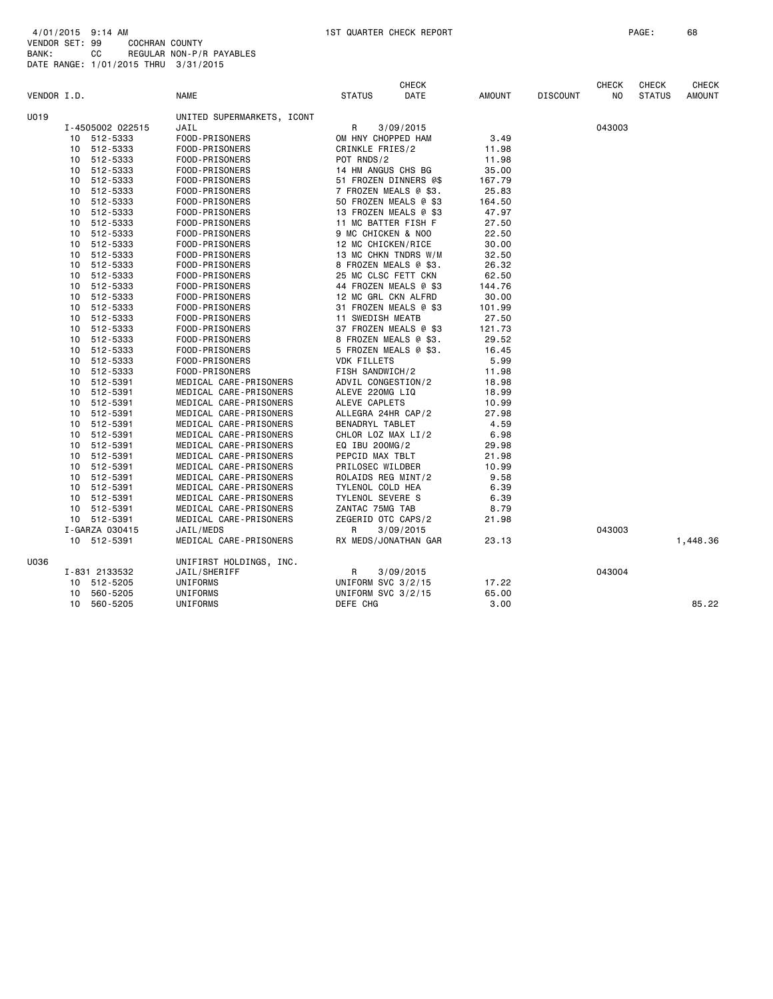| VENDOR I.D. |    |                  | <b>NAME</b>                | <b>STATUS</b>                         | <b>CHECK</b><br>DATE | <b>AMOUNT</b> | <b>DISCOUNT</b> | <b>CHECK</b><br>NO. | <b>CHECK</b><br><b>STATUS</b> | <b>CHECK</b><br><b>AMOUNT</b> |
|-------------|----|------------------|----------------------------|---------------------------------------|----------------------|---------------|-----------------|---------------------|-------------------------------|-------------------------------|
| U019        |    |                  | UNITED SUPERMARKETS, ICONT |                                       |                      |               |                 |                     |                               |                               |
|             |    | I-4505002 022515 | JAIL                       | R                                     | 3/09/2015            |               |                 | 043003              |                               |                               |
|             | 10 | 512-5333         | FOOD-PRISONERS             | OM HNY CHOPPED HAM                    |                      | 3.49          |                 |                     |                               |                               |
|             | 10 | 512-5333         | FOOD-PRISONERS             | CRINKLE FRIES/2                       |                      | 11.98         |                 |                     |                               |                               |
|             | 10 | 512-5333         | FOOD-PRISONERS             | POT RNDS/2                            |                      | 11.98         |                 |                     |                               |                               |
|             | 10 | 512-5333         | FOOD-PRISONERS             | 14 HM ANGUS CHS BG                    |                      | 35.00         |                 |                     |                               |                               |
|             | 10 | 512-5333         | FOOD-PRISONERS             | 51 FROZEN DINNERS @\$                 |                      | 167.79        |                 |                     |                               |                               |
|             | 10 | 512-5333         | FOOD-PRISONERS             | 7 FROZEN MEALS @ \$3.                 |                      | 25.83         |                 |                     |                               |                               |
|             | 10 | 512-5333         | FOOD-PRISONERS             | 50 FROZEN MEALS @ \$3                 |                      | 164.50        |                 |                     |                               |                               |
|             | 10 | 512-5333         | FOOD-PRISONERS             | 13 FROZEN MEALS @ \$3                 |                      | 47.97         |                 |                     |                               |                               |
|             | 10 | 512-5333         | FOOD-PRISONERS             | 11 MC BATTER FISH F                   |                      | 27.50         |                 |                     |                               |                               |
|             | 10 | 512-5333         | FOOD-PRISONERS             | 9 MC CHICKEN & NOO                    |                      | 22.50         |                 |                     |                               |                               |
|             | 10 | 512-5333         | FOOD-PRISONERS             | 12 MC CHICKEN/RICE                    |                      | 30.00         |                 |                     |                               |                               |
|             | 10 | 512-5333         | FOOD-PRISONERS             | 13 MC CHKN TNDRS W/M                  |                      | 32.50         |                 |                     |                               |                               |
|             | 10 | 512-5333         | FOOD-PRISONERS             | 8 FROZEN MEALS @ \$3.                 |                      | 26.32         |                 |                     |                               |                               |
|             | 10 | 512-5333         | FOOD-PRISONERS             | 25 MC CLSC FETT CKN                   |                      | 62.50         |                 |                     |                               |                               |
|             | 10 | 512-5333         | FOOD-PRISONERS             | 44 FROZEN MEALS @ \$3                 |                      | 144.76        |                 |                     |                               |                               |
|             | 10 | 512-5333         | FOOD-PRISONERS             | 12 MC GRL CKN ALFRD                   |                      | 30.00         |                 |                     |                               |                               |
|             | 10 | 512-5333         | FOOD-PRISONERS             | 31 FROZEN MEALS @ \$3                 |                      | 101.99        |                 |                     |                               |                               |
|             | 10 | 512-5333         | FOOD-PRISONERS             | 11 SWEDISH MEATB                      |                      | 27.50         |                 |                     |                               |                               |
|             | 10 | 512-5333         | FOOD-PRISONERS             | 37 FROZEN MEALS @ \$3                 |                      | 121.73        |                 |                     |                               |                               |
|             | 10 | 512-5333         | FOOD-PRISONERS             | 8 FROZEN MEALS @ \$3.                 |                      | 29.52         |                 |                     |                               |                               |
|             |    | 512-5333         | FOOD-PRISONERS             | 5 FROZEN MEALS @ \$3.                 |                      | 16.45         |                 |                     |                               |                               |
|             | 10 | 10 512-5333      |                            | <b>VDK FILLETS</b>                    |                      | 5.99          |                 |                     |                               |                               |
|             |    |                  | FOOD-PRISONERS             |                                       |                      | 11.98         |                 |                     |                               |                               |
|             |    | 10 512-5333      | FOOD-PRISONERS             | FISH SANDWICH/2                       |                      |               |                 |                     |                               |                               |
|             |    | 10 512-5391      | MEDICAL CARE-PRISONERS     | ADVIL CONGESTION/2<br>ALEVE 220MG LIQ |                      | 18.98         |                 |                     |                               |                               |
|             |    | 10 512-5391      | MEDICAL CARE-PRISONERS     |                                       |                      | 18.99         |                 |                     |                               |                               |
|             |    | 10 512-5391      | MEDICAL CARE-PRISONERS     | ALEVE CAPLETS                         |                      | 10.99         |                 |                     |                               |                               |
|             |    | 10 512-5391      | MEDICAL CARE-PRISONERS     | ALLEGRA 24HR CAP/2                    |                      | 27.98         |                 |                     |                               |                               |
|             |    | 10 512-5391      | MEDICAL CARE-PRISONERS     | BENADRYL TABLET                       |                      | 4.59          |                 |                     |                               |                               |
|             |    | 10 512-5391      | MEDICAL CARE-PRISONERS     | CHLOR LOZ MAX LI/2                    |                      | 6.98          |                 |                     |                               |                               |
|             |    | 10 512-5391      | MEDICAL CARE-PRISONERS     | EQ IBU 200MG/2                        |                      | 29.98         |                 |                     |                               |                               |
|             | 10 | 512-5391         | MEDICAL CARE-PRISONERS     | PEPCID MAX TBLT                       |                      | 21.98         |                 |                     |                               |                               |
|             | 10 | 512-5391         | MEDICAL CARE-PRISONERS     | PRILOSEC WILDBER                      |                      | 10.99         |                 |                     |                               |                               |
|             |    | 10 512-5391      | MEDICAL CARE-PRISONERS     | ROLAIDS REG MINT/2                    |                      | 9.58          |                 |                     |                               |                               |
|             | 10 | 512-5391         | MEDICAL CARE-PRISONERS     | TYLENOL COLD HEA                      |                      | 6.39          |                 |                     |                               |                               |
|             |    | 10 512-5391      | MEDICAL CARE-PRISONERS     | TYLENOL SEVERE S                      |                      | 6.39          |                 |                     |                               |                               |
|             |    | 10 512-5391      | MEDICAL CARE-PRISONERS     | ZANTAC 75MG TAB                       |                      | 8.79          |                 |                     |                               |                               |
|             |    | 10 512-5391      | MEDICAL CARE-PRISONERS     | ZEGERID OTC CAPS/2                    |                      | 21.98         |                 |                     |                               |                               |
|             |    | I-GARZA 030415   | JAIL/MEDS                  | R                                     | 3/09/2015            |               |                 | 043003              |                               |                               |
|             |    | 10 512-5391      | MEDICAL CARE-PRISONERS     | RX MEDS/JONATHAN GAR                  |                      | 23.13         |                 |                     |                               | 1,448.36                      |
| U036        |    |                  | UNIFIRST HOLDINGS, INC.    |                                       |                      |               |                 |                     |                               |                               |
|             |    | I-831 2133532    | JAIL/SHERIFF               | R                                     | 3/09/2015            |               |                 | 043004              |                               |                               |
|             | 10 | 512-5205         | UNIFORMS                   | UNIFORM SVC 3/2/15                    |                      | 17.22         |                 |                     |                               |                               |
|             | 10 | 560-5205         | UNIFORMS                   | UNIFORM SVC 3/2/15                    |                      | 65.00         |                 |                     |                               |                               |
|             | 10 | 560-5205         | UNIFORMS                   | DEFE CHG                              |                      | 3.00          |                 |                     |                               | 85.22                         |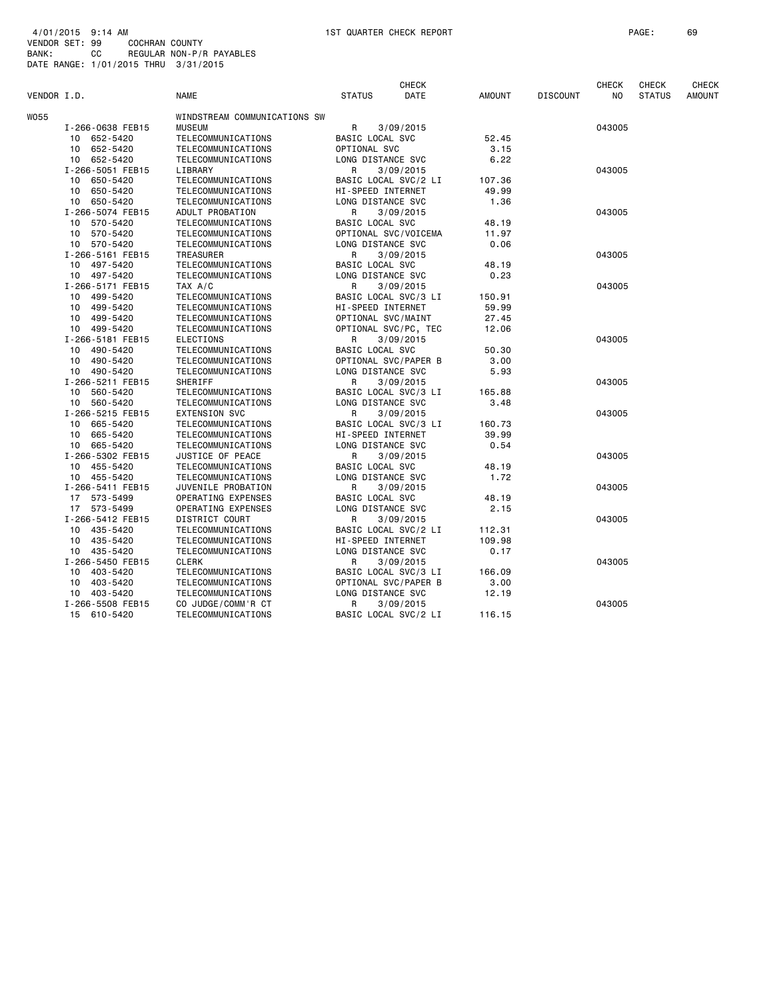| VENDOR I.D. |                             | <b>NAME</b>                  | <b>STATUS</b>          | <b>CHECK</b><br><b>DATE</b> | <b>AMOUNT</b> | <b>DISCOUNT</b> | <b>CHECK</b><br>N <sub>O</sub> | CHECK<br><b>STATUS</b> | <b>CHECK</b><br><b>AMOUNT</b> |
|-------------|-----------------------------|------------------------------|------------------------|-----------------------------|---------------|-----------------|--------------------------------|------------------------|-------------------------------|
| WO55        |                             | WINDSTREAM COMMUNICATIONS SW |                        |                             |               |                 |                                |                        |                               |
|             | I-266-0638 FEB15            | <b>MUSEUM</b>                | R                      | 3/09/2015                   |               |                 | 043005                         |                        |                               |
|             | 10 652-5420                 | TELECOMMUNICATIONS           | BASIC LOCAL SVC        |                             | 52.45         |                 |                                |                        |                               |
|             | 10 <sub>1</sub><br>652-5420 | TELECOMMUNICATIONS           | OPTIONAL SVC           |                             | 3.15          |                 |                                |                        |                               |
|             | 10 652-5420                 | TELECOMMUNICATIONS           | LONG DISTANCE SVC      |                             | 6.22          |                 |                                |                        |                               |
|             | I-266-5051 FEB15            | LIBRARY                      | R                      | 3/09/2015                   |               |                 | 043005                         |                        |                               |
|             | 10 650-5420                 | TELECOMMUNICATIONS           |                        | BASIC LOCAL SVC/2 LI        | 107.36        |                 |                                |                        |                               |
|             | 10<br>650-5420              | TELECOMMUNICATIONS           | HI-SPEED INTERNET      |                             | 49.99         |                 |                                |                        |                               |
|             | 10 650-5420                 | TELECOMMUNICATIONS           | LONG DISTANCE SVC      |                             | 1.36          |                 |                                |                        |                               |
|             | I-266-5074 FEB15            | ADULT PROBATION              | R                      | 3/09/2015                   |               |                 | 043005                         |                        |                               |
|             | 10 570-5420                 | TELECOMMUNICATIONS           | BASIC LOCAL SVC        |                             | 48.19         |                 |                                |                        |                               |
|             | 570-5420<br>10              | TELECOMMUNICATIONS           |                        | OPTIONAL SVC/VOICEMA        | 11.97         |                 |                                |                        |                               |
|             | 10 570-5420                 | TELECOMMUNICATIONS           | LONG DISTANCE SVC      |                             | 0.06          |                 |                                |                        |                               |
|             | I-266-5161 FEB15            | <b>TREASURER</b>             | R                      | 3/09/2015                   |               |                 | 043005                         |                        |                               |
|             | 10 497-5420                 | TELECOMMUNICATIONS           | BASIC LOCAL SVC        |                             | 48.19         |                 |                                |                        |                               |
|             | 10 497-5420                 | TELECOMMUNICATIONS           | LONG DISTANCE SVC      |                             | 0.23          |                 |                                |                        |                               |
|             | I-266-5171 FEB15            | TAX A/C                      | R                      | 3/09/2015                   |               |                 | 043005                         |                        |                               |
|             | 10 499-5420                 | TELECOMMUNICATIONS           |                        | BASIC LOCAL SVC/3 LI        | 150.91        |                 |                                |                        |                               |
|             | 499-5420<br>10              | TELECOMMUNICATIONS           | HI-SPEED INTERNET      |                             | 59.99         |                 |                                |                        |                               |
|             | 10 499-5420                 | TELECOMMUNICATIONS           | OPTIONAL SVC/MAINT     |                             | 27.45         |                 |                                |                        |                               |
|             | 10 499-5420                 | TELECOMMUNICATIONS           |                        | OPTIONAL SVC/PC, TEC        | 12.06         |                 |                                |                        |                               |
|             | I-266-5181 FEB15            | <b>ELECTIONS</b>             | R                      | 3/09/2015                   |               |                 | 043005                         |                        |                               |
|             | 490-5420<br>10              | TELECOMMUNICATIONS           | BASIC LOCAL SVC        |                             | 50.30         |                 |                                |                        |                               |
|             | 10 490-5420                 | TELECOMMUNICATIONS           |                        | OPTIONAL SVC/PAPER B        | 3.00          |                 |                                |                        |                               |
|             | 10 490-5420                 | TELECOMMUNICATIONS           | LONG DISTANCE SVC      |                             | 5.93          |                 |                                |                        |                               |
|             | I-266-5211 FEB15            | SHERIFF                      | R                      | 3/09/2015                   |               |                 | 043005                         |                        |                               |
|             | 10 560-5420                 | TELECOMMUNICATIONS           |                        | BASIC LOCAL SVC/3 LI        | 165.88        |                 |                                |                        |                               |
|             | 10 560-5420                 | TELECOMMUNICATIONS           | LONG DISTANCE SVC      |                             | 3.48          |                 |                                |                        |                               |
|             | I-266-5215 FEB15            | <b>EXTENSION SVC</b>         | R                      | 3/09/2015                   |               |                 | 043005                         |                        |                               |
|             | 10 665-5420                 | TELECOMMUNICATIONS           |                        | BASIC LOCAL SVC/3 LI        | 160.73        |                 |                                |                        |                               |
|             | 665-5420<br>10              | TELECOMMUNICATIONS           | HI-SPEED INTERNET      |                             | 39.99         |                 |                                |                        |                               |
|             | 10 665-5420                 | TELECOMMUNICATIONS           | LONG DISTANCE SVC      |                             | 0.54          |                 |                                |                        |                               |
|             | I-266-5302 FEB15            | JUSTICE OF PEACE             | R                      | 3/09/2015                   |               |                 | 043005                         |                        |                               |
|             | 10 455-5420                 | TELECOMMUNICATIONS           | <b>BASIC LOCAL SVC</b> |                             | 48.19         |                 |                                |                        |                               |
|             | 10 455-5420                 | TELECOMMUNICATIONS           | LONG DISTANCE SVC      |                             | 1.72          |                 |                                |                        |                               |
|             | I-266-5411 FEB15            | JUVENILE PROBATION           | R                      | 3/09/2015                   |               |                 | 043005                         |                        |                               |
|             | 17 573-5499                 | OPERATING EXPENSES           | BASIC LOCAL SVC        |                             | 48.19         |                 |                                |                        |                               |
|             | 17 573-5499                 | OPERATING EXPENSES           | LONG DISTANCE SVC      |                             | 2.15          |                 |                                |                        |                               |
|             | I-266-5412 FEB15            | DISTRICT COURT               | R                      | 3/09/2015                   |               |                 | 043005                         |                        |                               |
|             | 10 435-5420                 | TELECOMMUNICATIONS           |                        | BASIC LOCAL SVC/2 LI        | 112.31        |                 |                                |                        |                               |
|             | 10 435-5420                 | TELECOMMUNICATIONS           | HI-SPEED INTERNET      |                             | 109.98        |                 |                                |                        |                               |
|             | 10 435-5420                 | TELECOMMUNICATIONS           | LONG DISTANCE SVC      |                             | 0.17          |                 |                                |                        |                               |
|             | I-266-5450 FEB15            | <b>CLERK</b>                 | R                      | 3/09/2015                   |               |                 | 043005                         |                        |                               |
|             | 10 403-5420                 | TELECOMMUNICATIONS           |                        | BASIC LOCAL SVC/3 LI        | 166.09        |                 |                                |                        |                               |
|             | 403-5420<br>10              | TELECOMMUNICATIONS           |                        | OPTIONAL SVC/PAPER B        | 3.00          |                 |                                |                        |                               |
|             | 10 403-5420                 | TELECOMMUNICATIONS           | LONG DISTANCE SVC      |                             | 12.19         |                 |                                |                        |                               |
|             | I-266-5508 FEB15            | CO JUDGE/COMM'R CT           | R                      | 3/09/2015                   |               |                 | 043005                         |                        |                               |
|             | 15 610-5420                 | TELECOMMUNICATIONS           |                        | BASIC LOCAL SVC/2 LI        | 116.15        |                 |                                |                        |                               |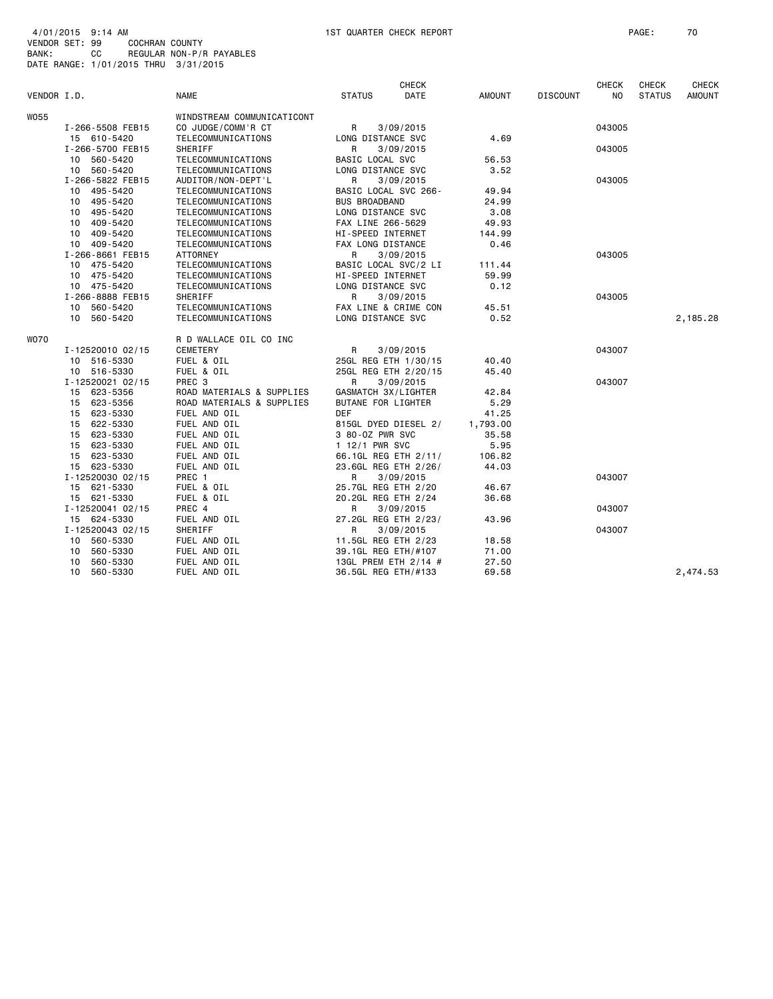| 4/01/2015 9:14 AM |                                      |                          |
|-------------------|--------------------------------------|--------------------------|
| VENDOR SET: 99    | COCHRAN COUNTY                       |                          |
| BANK:             | <b>CC</b>                            | REGULAR NON-P/R PAYABLES |
|                   | DATE RANGE: 1/01/2015 THRU 3/31/2015 |                          |

|             |                  |                            |                      | <b>CHECK</b> |          |                 | <b>CHECK</b>   | <b>CHECK</b>  | <b>CHECK</b> |
|-------------|------------------|----------------------------|----------------------|--------------|----------|-----------------|----------------|---------------|--------------|
| VENDOR I.D. |                  | <b>NAME</b>                | <b>STATUS</b>        | <b>DATE</b>  | AMOUNT   | <b>DISCOUNT</b> | N <sub>O</sub> | <b>STATUS</b> | AMOUNT       |
| W055        |                  | WINDSTREAM COMMUNICATICONT |                      |              |          |                 |                |               |              |
|             | I-266-5508 FEB15 | CO JUDGE/COMM'R CT         | R                    | 3/09/2015    |          |                 | 043005         |               |              |
|             | 15 610-5420      | TELECOMMUNICATIONS         | LONG DISTANCE SVC    |              | 4.69     |                 |                |               |              |
|             | I-266-5700 FEB15 | SHERIFF                    | R                    | 3/09/2015    |          |                 | 043005         |               |              |
|             | 10 560-5420      | TELECOMMUNICATIONS         | BASIC LOCAL SVC      |              | 56.53    |                 |                |               |              |
|             | 10 560-5420      | TELECOMMUNICATIONS         | LONG DISTANCE SVC    |              | 3.52     |                 |                |               |              |
|             | I-266-5822 FEB15 | AUDITOR/NON-DEPT'L         | R                    | 3/09/2015    |          |                 | 043005         |               |              |
|             | 10 495-5420      | TELECOMMUNICATIONS         | BASIC LOCAL SVC 266- |              | 49.94    |                 |                |               |              |
|             | 10 495-5420      | TELECOMMUNICATIONS         | <b>BUS BROADBAND</b> |              | 24.99    |                 |                |               |              |
|             | 10 495-5420      | TELECOMMUNICATIONS         | LONG DISTANCE SVC    |              | 3.08     |                 |                |               |              |
|             | 409-5420<br>10   | TELECOMMUNICATIONS         | FAX LINE 266-5629    |              | 49.93    |                 |                |               |              |
|             | 10 409-5420      | TELECOMMUNICATIONS         | HI-SPEED INTERNET    |              | 144.99   |                 |                |               |              |
|             | 10 409-5420      | TELECOMMUNICATIONS         | FAX LONG DISTANCE    |              | 0.46     |                 |                |               |              |
|             | I-266-8661 FEB15 | ATTORNEY                   | R                    | 3/09/2015    |          |                 | 043005         |               |              |
|             | 10 475-5420      | TELECOMMUNICATIONS         | BASIC LOCAL SVC/2 LI |              | 111.44   |                 |                |               |              |
|             | 10 475-5420      | TELECOMMUNICATIONS         | HI-SPEED INTERNET    |              | 59.99    |                 |                |               |              |
|             | 10 475-5420      | TELECOMMUNICATIONS         | LONG DISTANCE SVC    |              | 0.12     |                 |                |               |              |
|             | I-266-8888 FEB15 | SHERIFF                    | R                    | 3/09/2015    |          |                 | 043005         |               |              |
|             | 10 560-5420      | TELECOMMUNICATIONS         | FAX LINE & CRIME CON |              | 45.51    |                 |                |               |              |
|             | 10 560-5420      | TELECOMMUNICATIONS         | LONG DISTANCE SVC    |              | 0.52     |                 |                |               | 2,185.28     |
|             |                  |                            |                      |              |          |                 |                |               |              |
| WO70        |                  | R D WALLACE OIL CO INC     |                      |              |          |                 |                |               |              |
|             | I-12520010 02/15 | CEMETERY                   | R                    | 3/09/2015    |          |                 | 043007         |               |              |
|             | 10 516-5330      | FUEL & OIL                 | 25GL REG ETH 1/30/15 |              | 40.40    |                 |                |               |              |
|             | 10 516-5330      | FUEL & OIL                 | 25GL REG ETH 2/20/15 |              | 45.40    |                 |                |               |              |
|             | I-12520021 02/15 | PREC <sub>3</sub>          | R                    | 3/09/2015    |          |                 | 043007         |               |              |
|             | 15 623-5356      | ROAD MATERIALS & SUPPLIES  | GASMATCH 3X/LIGHTER  |              | 42.84    |                 |                |               |              |
|             | 15 623-5356      | ROAD MATERIALS & SUPPLIES  | BUTANE FOR LIGHTER   |              | 5.29     |                 |                |               |              |
|             | 15 623-5330      | FUEL AND OIL               | <b>DEF</b>           |              | 41.25    |                 |                |               |              |
|             | 15 622-5330      | FUEL AND OIL               | 815GL DYED DIESEL 2/ |              | 1,793.00 |                 |                |               |              |
|             | 15 623-5330      | FUEL AND OIL               | 3 80-0Z PWR SVC      |              | 35.58    |                 |                |               |              |
|             | 15 623-5330      | FUEL AND OIL               | 1 12/1 PWR SVC       |              | 5.95     |                 |                |               |              |
|             | 15 623-5330      | FUEL AND OIL               | 66.1GL REG ETH 2/11/ |              | 106.82   |                 |                |               |              |
|             | 15 623-5330      | FUEL AND OIL               | 23.6GL REG ETH 2/26/ |              | 44.03    |                 |                |               |              |
|             | I-12520030 02/15 | PREC 1                     | R                    | 3/09/2015    |          |                 | 043007         |               |              |
|             | 15 621-5330      | FUEL & OIL                 | 25.7GL REG ETH 2/20  |              | 46.67    |                 |                |               |              |
|             | 15 621-5330      | FUEL & OIL                 | 20.2GL REG ETH 2/24  |              | 36.68    |                 |                |               |              |
|             | I-12520041 02/15 | PREC 4                     | R                    | 3/09/2015    |          |                 | 043007         |               |              |
|             | 15 624-5330      | FUEL AND OIL               | 27.2GL REG ETH 2/23/ |              | 43.96    |                 |                |               |              |
|             | I-12520043 02/15 | SHERIFF                    | R                    | 3/09/2015    |          |                 | 043007         |               |              |
|             | 10 560-5330      | FUEL AND OIL               | 11.5GL REG ETH 2/23  |              | 18.58    |                 |                |               |              |
|             | 560-5330<br>10   | FUEL AND OIL               | 39.1GL REG ETH/#107  |              | 71.00    |                 |                |               |              |
|             | 560-5330<br>10   | FUEL AND OIL               | 13GL PREM ETH 2/14 # |              | 27.50    |                 |                |               |              |
|             | 560-5330<br>10   | FUEL AND OIL               | 36.5GL REG ETH/#133  |              | 69.58    |                 |                |               | 2,474.53     |
|             |                  |                            |                      |              |          |                 |                |               |              |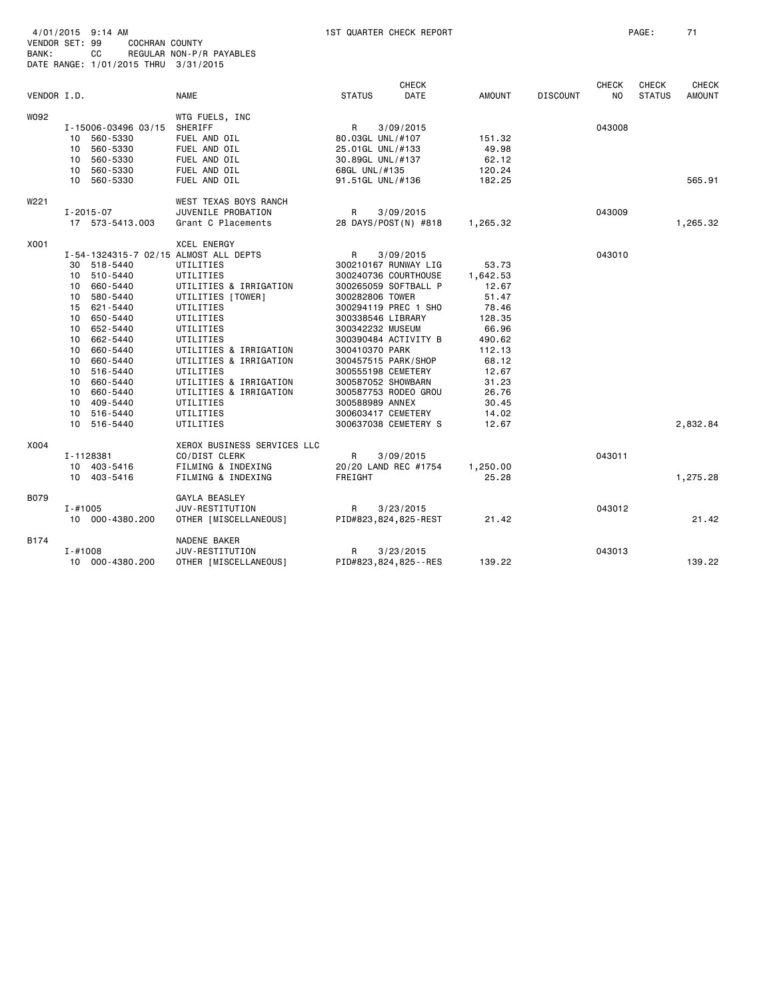| 4/01/2015<br>9:14 AM | 1ST QUARTER CHECK REPORT | PAGE | - - |
|----------------------|--------------------------|------|-----|
|                      |                          |      |     |

| VENDOR SET: 99 |             | COCHRAN COUNTY                       |                                       |                     |                         |               |                 |              |               |               |
|----------------|-------------|--------------------------------------|---------------------------------------|---------------------|-------------------------|---------------|-----------------|--------------|---------------|---------------|
| BANK:          |             | CC                                   | REGULAR NON-P/R PAYABLES              |                     |                         |               |                 |              |               |               |
|                |             | DATE RANGE: 1/01/2015 THRU 3/31/2015 |                                       |                     |                         |               |                 |              |               |               |
|                |             |                                      |                                       |                     |                         |               |                 |              |               |               |
|                |             |                                      |                                       |                     | <b>CHECK</b>            |               |                 | <b>CHECK</b> | <b>CHECK</b>  | <b>CHECK</b>  |
| VENDOR I.D.    |             |                                      | <b>NAME</b>                           | <b>STATUS</b>       | <b>DATE</b>             | <b>AMOUNT</b> | <b>DISCOUNT</b> | NO.          | <b>STATUS</b> | <b>AMOUNT</b> |
| W092           |             |                                      | WTG FUELS, INC                        |                     |                         |               |                 |              |               |               |
|                |             | I-15006-03496 03/15                  | SHERIFF                               | R                   | 3/09/2015               |               |                 | 043008       |               |               |
|                |             | 10 560-5330                          | FUEL AND OIL                          | 80.03GL UNL/#107    |                         | 151.32        |                 |              |               |               |
|                | 10          | 560-5330                             | FUEL AND OIL                          | 25.01GL UNL/#133    |                         | 49.98         |                 |              |               |               |
|                |             | 10 560-5330                          | FUEL AND OIL                          | 30.89GL UNL/#137    |                         | 62.12         |                 |              |               |               |
|                | 10          | 560-5330                             | FUEL AND OIL                          | 68GL UNL/#135       |                         | 120.24        |                 |              |               |               |
|                |             | 10 560-5330                          | FUEL AND OIL                          | 91.51GL UNL/#136    |                         | 182.25        |                 |              |               | 565.91        |
| W221           |             |                                      | WEST TEXAS BOYS RANCH                 |                     |                         |               |                 |              |               |               |
|                |             | I-2015-07                            | JUVENILE PROBATION                    | R                   | 3/09/2015               |               |                 | 043009       |               |               |
|                |             | 17 573-5413.003                      | Grant C Placements                    |                     | 28 DAYS/POST(N) #818    | 1,265.32      |                 |              |               | 1,265.32      |
|                |             |                                      |                                       |                     |                         |               |                 |              |               |               |
| X001           |             |                                      | <b>XCEL ENERGY</b>                    |                     |                         |               |                 |              |               |               |
|                |             |                                      | I-54-1324315-7 02/15 ALMOST ALL DEPTS | R                   | 3/09/2015               |               |                 | 043010       |               |               |
|                |             | 30 518-5440                          | UTILITIES                             |                     | 300210167 RUNWAY LIG    | 53.73         |                 |              |               |               |
|                | 10          | 510-5440                             | UTILITIES                             |                     | 300240736 COURTHOUSE    | 1,642.53      |                 |              |               |               |
|                | 10          | 660-5440                             | UTILITIES & IRRIGATION                |                     | 300265059 SOFTBALL P    | 12.67         |                 |              |               |               |
|                | 10          | 580-5440                             | UTILITIES [TOWER]                     | 300282806 TOWER     |                         | 51.47         |                 |              |               |               |
|                | 15          | 621-5440                             | UTILITIES                             |                     | 300294119 PREC 1 SHO    | 78.46         |                 |              |               |               |
|                | 10          | 650-5440                             | UTILITIES                             | 300338546 LIBRARY   |                         | 128.35        |                 |              |               |               |
|                | 10          | 652-5440                             | UTILITIES                             | 300342232 MUSEUM    |                         | 66.96         |                 |              |               |               |
|                | 10          | 662-5440                             | UTILITIES                             |                     | 300390484 ACTIVITY B    | 490.62        |                 |              |               |               |
|                | 10          | 660-5440                             | UTILITIES & IRRIGATION                | 300410370 PARK      |                         | 112.13        |                 |              |               |               |
|                | 10          | 660-5440                             | UTILITIES & IRRIGATION                | 300457515 PARK/SHOP |                         | 68.12         |                 |              |               |               |
|                | 10          | 516-5440                             | UTILITIES                             | 300555198 CEMETERY  |                         | 12.67         |                 |              |               |               |
|                |             | 10 660-5440                          | UTILITIES & IRRIGATION                | 300587052 SHOWBARN  |                         | 31.23         |                 |              |               |               |
|                | 10          | 660-5440                             | UTILITIES & IRRIGATION                |                     | 300587753 RODEO GROU    | 26.76         |                 |              |               |               |
|                |             | 10 409-5440                          | UTILITIES                             | 300588989 ANNEX     |                         | 30.45         |                 |              |               |               |
|                | 10          | 516-5440                             | UTILITIES                             | 300603417 CEMETERY  |                         | 14.02         |                 |              |               |               |
|                |             | 10 516-5440                          | UTILITIES                             |                     | 300637038 CEMETERY S    | 12.67         |                 |              |               | 2,832.84      |
| X004           |             |                                      | XEROX BUSINESS SERVICES LLC           |                     |                         |               |                 |              |               |               |
|                |             | I-1128381                            | CO/DIST CLERK                         | R                   | 3/09/2015               |               |                 | 043011       |               |               |
|                |             | 10 403-5416                          | FILMING & INDEXING                    |                     | 20/20 LAND REC #1754    | 1,250.00      |                 |              |               |               |
|                |             | 10 403-5416                          | FILMING & INDEXING                    | FREIGHT             |                         | 25.28         |                 |              |               | 1,275.28      |
| B079           |             |                                      | GAYLA BEASLEY                         |                     |                         |               |                 |              |               |               |
|                | $I - #1005$ |                                      | JUV-RESTITUTION                       | R<br>3/23/2015      |                         |               |                 | 043012       |               |               |
|                |             | 10 000-4380.200                      | OTHER [MISCELLANEOUS]                 |                     | PID#823,824,825-REST    | 21.42         |                 |              |               | 21.42         |
| B174           |             |                                      | NADENE BAKER                          |                     |                         |               |                 |              |               |               |
|                | $I - #1008$ |                                      | JUV-RESTITUTION                       | R                   | 3/23/2015               |               |                 | 043013       |               |               |
|                |             | 10 000-4380.200                      | OTHER [MISCELLANEOUS]                 |                     | PID#823,824,825 - - RES | 139.22        |                 |              |               | 139.22        |
|                |             |                                      |                                       |                     |                         |               |                 |              |               |               |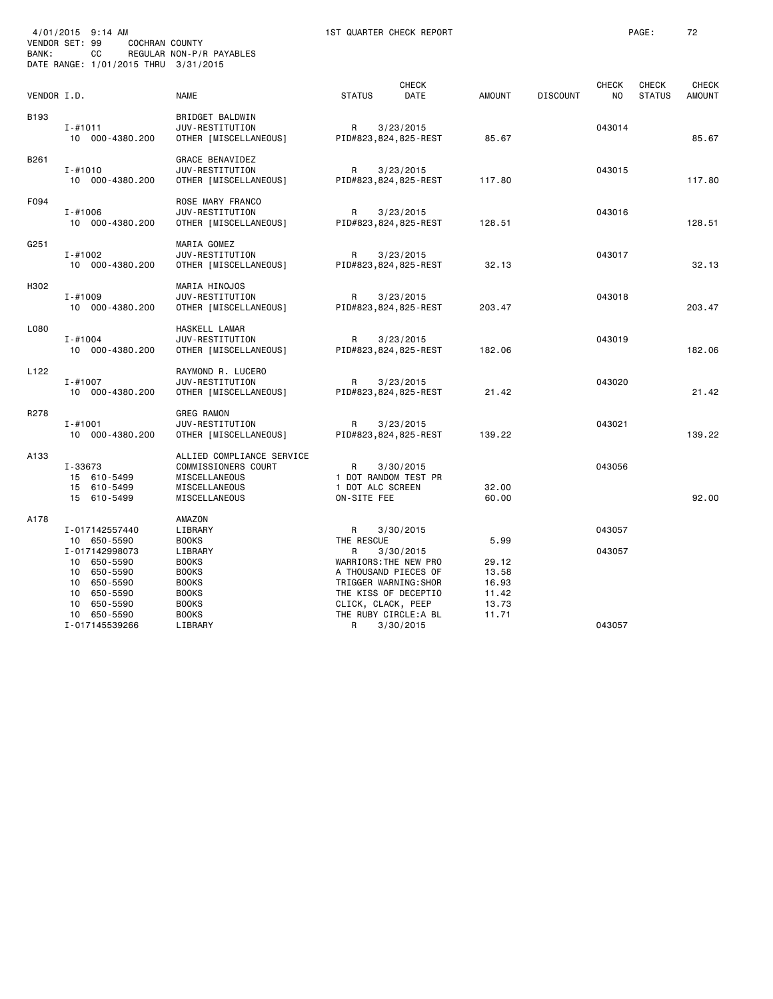| BANK: | 4/01/2015 9:14 AM<br>VENDOR SET: 99<br><b>COCHRAN COUNTY</b><br>CC<br>DATE RANGE: 1/01/2015 THRU 3/31/2015                       | REGULAR NON-P/R PAYABLES                                                                                                     |                                            | 1ST QUARTER CHECK REPORT                                                                                                 |                                                   |                 |                    | PAGE:                  | 72                            |
|-------|----------------------------------------------------------------------------------------------------------------------------------|------------------------------------------------------------------------------------------------------------------------------|--------------------------------------------|--------------------------------------------------------------------------------------------------------------------------|---------------------------------------------------|-----------------|--------------------|------------------------|-------------------------------|
|       | VENDOR I.D.                                                                                                                      | <b>NAME</b>                                                                                                                  | <b>STATUS</b>                              | <b>CHECK</b><br>DATE                                                                                                     | AMOUNT                                            | <b>DISCOUNT</b> | <b>CHECK</b><br>NO | CHECK<br><b>STATUS</b> | <b>CHECK</b><br><b>AMOUNT</b> |
| B193  | I-#1011<br>10 000-4380.200                                                                                                       | BRIDGET BALDWIN<br>JUV-RESTITUTION<br>OTHER [MISCELLANEOUS]                                                                  | R                                          | 3/23/2015<br>PID#823,824,825-REST                                                                                        | 85.67                                             |                 | 043014             |                        | 85.67                         |
| B261  | $I - #1010$<br>10 000-4380.200                                                                                                   | GRACE BENAVIDEZ<br>JUV-RESTITUTION<br>OTHER [MISCELLANEOUS]                                                                  | R                                          | 3/23/2015<br>PID#823,824,825-REST                                                                                        | 117.80                                            |                 | 043015             |                        | 117.80                        |
| F094  | $I - #1006$<br>10 000-4380.200                                                                                                   | ROSE MARY FRANCO<br>JUV-RESTITUTION<br>OTHER [MISCELLANEOUS]                                                                 | R                                          | 3/23/2015<br>PID#823, 824, 825-REST                                                                                      | 128.51                                            |                 | 043016             |                        | 128.51                        |
| G251  | $I - #1002$<br>10 000-4380.200                                                                                                   | MARIA GOMEZ<br>JUV-RESTITUTION<br>OTHER [MISCELLANEOUS]                                                                      | R                                          | 3/23/2015<br>PID#823,824,825-REST                                                                                        | 32.13                                             |                 | 043017             |                        | 32.13                         |
| H302  | $I - #1009$<br>10 000-4380.200                                                                                                   | MARIA HINOJOS<br>JUV-RESTITUTION<br>OTHER [MISCELLANEOUS]                                                                    | R                                          | 3/23/2015<br>PID#823,824,825-REST                                                                                        | 203.47                                            |                 | 043018             |                        | 203.47                        |
| L080  | $I - #1004$<br>10 000-4380.200                                                                                                   | HASKELL LAMAR<br>JUV-RESTITUTION<br>OTHER [MISCELLANEOUS]                                                                    | R                                          | 3/23/2015<br>PID#823,824,825-REST                                                                                        | 182.06                                            |                 | 043019             |                        | 182.06                        |
| L122  | $I - #1007$<br>10 000-4380.200                                                                                                   | RAYMOND R. LUCERO<br>JUV-RESTITUTION<br>OTHER [MISCELLANEOUS]                                                                | R                                          | 3/23/2015<br>PID#823,824,825-REST                                                                                        | 21.42                                             |                 | 043020             |                        | 21.42                         |
| R278  | $I - #1001$<br>10 000-4380.200                                                                                                   | <b>GREG RAMON</b><br>JUV-RESTITUTION<br>OTHER [MISCELLANEOUS]                                                                | R                                          | 3/23/2015<br>PID#823,824,825-REST                                                                                        | 139.22                                            |                 | 043021             |                        | 139.22                        |
| A133  | I-33673<br>15 610-5499<br>15 610-5499<br>15 610-5499                                                                             | ALLIED COMPLIANCE SERVICE<br>COMMISSIONERS COURT<br>MISCELLANEOUS<br>MISCELLANEOUS<br>MISCELLANEOUS                          | R<br>1 DOT ALC SCREEN<br>ON-SITE FEE       | 3/30/2015<br>1 DOT RANDOM TEST PR                                                                                        | 32.00<br>60.00                                    |                 | 043056             |                        | 92.00                         |
| A178  | I-017142557440<br>10 650-5590<br>I-017142998073<br>10 650-5590<br>10 650-5590<br>10<br>650-5590<br>10 650-5590<br>650-5590<br>10 | AMAZON<br>LIBRARY<br><b>BOOKS</b><br>LIBRARY<br><b>BOOKS</b><br><b>BOOKS</b><br><b>BOOKS</b><br><b>BOOKS</b><br><b>BOOKS</b> | R<br>THE RESCUE<br>R<br>CLICK, CLACK, PEEP | 3/30/2015<br>3/30/2015<br>WARRIORS: THE NEW PRO<br>A THOUSAND PIECES OF<br>TRIGGER WARNING: SHOR<br>THE KISS OF DECEPTIO | 5.99<br>29.12<br>13.58<br>16.93<br>11.42<br>13.73 |                 | 043057<br>043057   |                        |                               |
|       | 10 650-5590<br>I-017145539266                                                                                                    | <b>BOOKS</b><br>LIBRARY                                                                                                      | R                                          | THE RUBY CIRCLE:A BL<br>3/30/2015                                                                                        | 11.71                                             |                 | 043057             |                        |                               |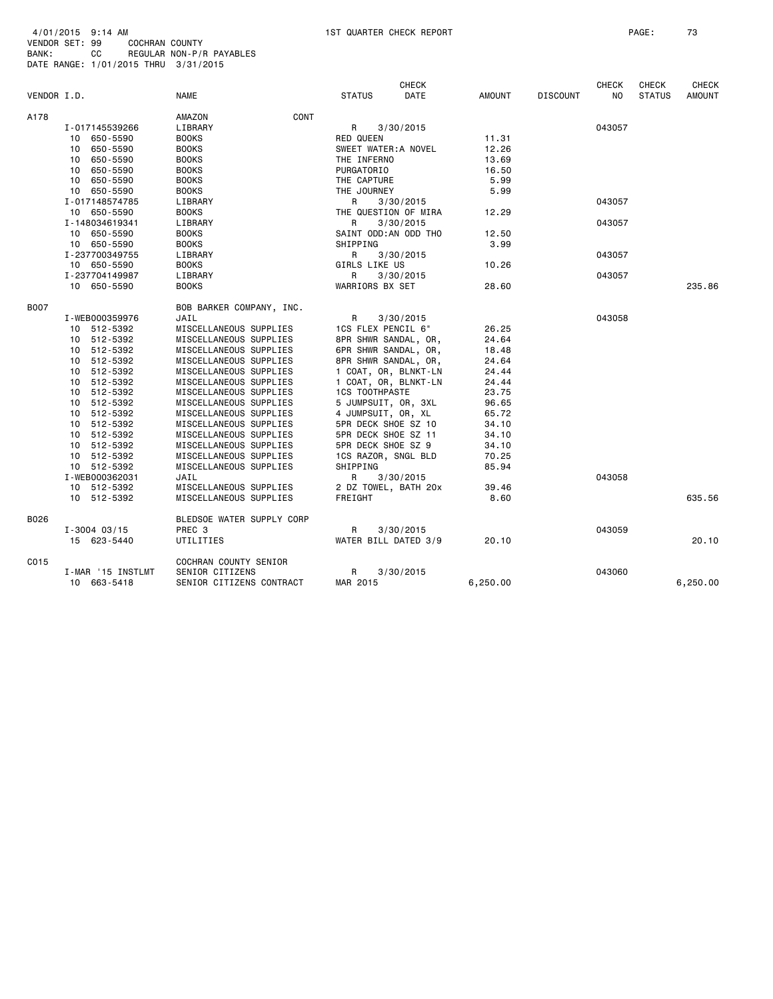|                               |                   |                           |                       | <b>CHECK</b>         |          |                 | <b>CHECK</b> | <b>CHECK</b>  | <b>CHECK</b>  |
|-------------------------------|-------------------|---------------------------|-----------------------|----------------------|----------|-----------------|--------------|---------------|---------------|
| VENDOR I.D.                   |                   | <b>NAME</b>               | <b>STATUS</b>         | DATE                 | AMOUNT   | <b>DISCOUNT</b> | NO           | <b>STATUS</b> | <b>AMOUNT</b> |
| A178                          |                   | CONT<br>AMAZON            |                       |                      |          |                 |              |               |               |
|                               | I-017145539266    | LIBRARY                   | R                     | 3/30/2015            |          |                 | 043057       |               |               |
|                               | 10 650-5590       | <b>BOOKS</b>              | <b>RED QUEEN</b>      |                      | 11.31    |                 |              |               |               |
|                               | 10 650-5590       | <b>BOOKS</b>              | SWEET WATER: A NOVEL  |                      | 12.26    |                 |              |               |               |
|                               | 10 650-5590       | <b>BOOKS</b>              | THE INFERNO           |                      | 13.69    |                 |              |               |               |
|                               | 10 650-5590       | <b>BOOKS</b>              | PURGATORIO            |                      | 16.50    |                 |              |               |               |
|                               | 10 650-5590       | <b>BOOKS</b>              | THE CAPTURE           |                      | 5.99     |                 |              |               |               |
|                               | 10 650-5590       | <b>BOOKS</b>              | THE JOURNEY           |                      | 5.99     |                 |              |               |               |
|                               | I-017148574785    | LIBRARY                   | R                     | 3/30/2015            |          |                 | 043057       |               |               |
|                               | 10 650-5590       | <b>BOOKS</b>              |                       | THE QUESTION OF MIRA |          |                 |              |               |               |
| I-148034619341<br>10 650-5590 |                   | LIBRARY                   | R<br>3/30/2015        |                      | 12.29    |                 | 043057       |               |               |
|                               |                   | <b>BOOKS</b>              | SAINT ODD: AN ODD THO |                      | 12.50    |                 |              |               |               |
|                               | 10 650-5590       | <b>BOOKS</b>              | SHIPPING              |                      | 3.99     |                 |              |               |               |
|                               | I-237700349755    | LIBRARY                   | R                     | 3/30/2015            |          |                 | 043057       |               |               |
|                               | 10 650-5590       | <b>BOOKS</b>              | GIRLS LIKE US         |                      | 10.26    |                 |              |               |               |
|                               | I-237704149987    | LIBRARY                   | R                     | 3/30/2015            |          |                 | 043057       |               |               |
|                               | 10 650-5590       | <b>BOOKS</b>              | WARRIORS BX SET       |                      | 28.60    |                 |              |               | 235.86        |
| <b>B007</b>                   |                   | BOB BARKER COMPANY, INC.  |                       |                      |          |                 |              |               |               |
|                               | I-WEB000359976    | JAIL                      | R                     | 3/30/2015            |          |                 | 043058       |               |               |
|                               | 10 512-5392       | MISCELLANEOUS SUPPLIES    | 1CS FLEX PENCIL 6"    |                      | 26.25    |                 |              |               |               |
|                               | 10 512-5392       | MISCELLANEOUS SUPPLIES    | 8PR SHWR SANDAL, OR,  |                      | 24.64    |                 |              |               |               |
|                               | 10 512-5392       | MISCELLANEOUS SUPPLIES    | 6PR SHWR SANDAL, OR,  |                      | 18.48    |                 |              |               |               |
|                               | 10 512-5392       | MISCELLANEOUS SUPPLIES    | 8PR SHWR SANDAL, OR,  |                      | 24.64    |                 |              |               |               |
|                               | 10 512-5392       | MISCELLANEOUS SUPPLIES    | 1 COAT, OR, BLNKT-LN  |                      | 24.44    |                 |              |               |               |
|                               | 10 512-5392       | MISCELLANEOUS SUPPLIES    | 1 COAT, OR, BLNKT-LN  |                      | 24.44    |                 |              |               |               |
|                               | 10 512-5392       | MISCELLANEOUS SUPPLIES    | <b>1CS TOOTHPASTE</b> |                      | 23.75    |                 |              |               |               |
|                               | 10 512-5392       | MISCELLANEOUS SUPPLIES    | 5 JUMPSUIT, OR, 3XL   |                      | 96.65    |                 |              |               |               |
|                               | 10 512-5392       | MISCELLANEOUS SUPPLIES    | 4 JUMPSUIT, OR, XL    |                      | 65.72    |                 |              |               |               |
|                               | 10 512-5392       | MISCELLANEOUS SUPPLIES    | 5PR DECK SHOE SZ 10   |                      | 34.10    |                 |              |               |               |
|                               | 10 512-5392       | MISCELLANEOUS SUPPLIES    | 5PR DECK SHOE SZ 11   |                      | 34.10    |                 |              |               |               |
|                               | 10 512-5392       | MISCELLANEOUS SUPPLIES    | 5PR DECK SHOE SZ 9    |                      | 34.10    |                 |              |               |               |
|                               | 10 512-5392       | MISCELLANEOUS SUPPLIES    | 1CS RAZOR, SNGL BLD   |                      | 70.25    |                 |              |               |               |
|                               | 10 512-5392       | MISCELLANEOUS SUPPLIES    | SHIPPING              |                      | 85.94    |                 |              |               |               |
|                               | I-WEB000362031    | JAIL                      | R                     | 3/30/2015            |          |                 | 043058       |               |               |
|                               | 10 512-5392       | MISCELLANEOUS SUPPLIES    | 2 DZ TOWEL, BATH 20x  |                      | 39.46    |                 |              |               |               |
|                               | 10 512-5392       | MISCELLANEOUS SUPPLIES    | FREIGHT               |                      | 8.60     |                 |              |               | 635.56        |
| B026                          |                   | BLEDSOE WATER SUPPLY CORP |                       |                      |          |                 |              |               |               |
|                               | $I - 3004$ 03/15  | PREC <sub>3</sub>         | R                     | 3/30/2015            |          |                 | 043059       |               |               |
|                               | 15 623-5440       | UTILITIES                 | WATER BILL DATED 3/9  |                      | 20.10    |                 |              |               | 20.10         |
| C015                          |                   | COCHRAN COUNTY SENIOR     |                       |                      |          |                 |              |               |               |
|                               | I-MAR '15 INSTLMT | SENIOR CITIZENS           | R                     | 3/30/2015            |          |                 | 043060       |               |               |
|                               | 10 663-5418       | SENIOR CITIZENS CONTRACT  | MAR 2015              |                      | 6,250.00 |                 |              |               | 6,250.00      |
|                               |                   |                           |                       |                      |          |                 |              |               |               |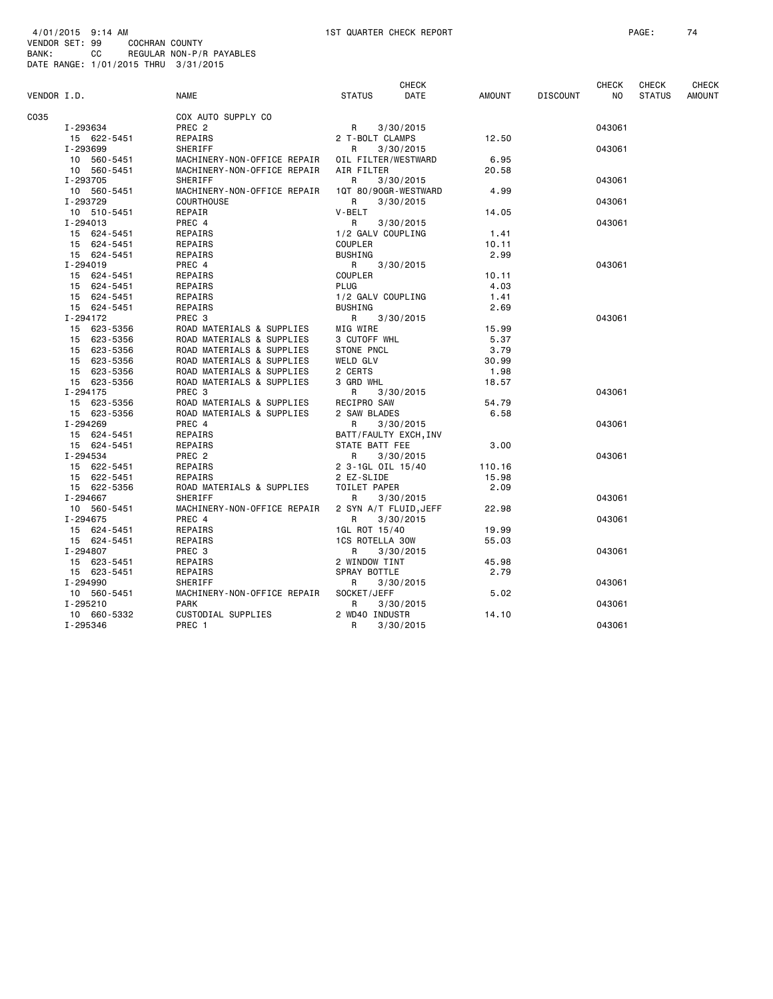| VENDOR I.D. |                         | <b>NAME</b>                 | <b>STATUS</b>                   | <b>CHECK</b><br>DATE | AMOUNT | <b>DISCOUNT</b> | <b>CHECK</b><br>NO. | <b>CHECK</b><br><b>STATUS</b> | CHECK<br><b>AMOUNT</b> |
|-------------|-------------------------|-----------------------------|---------------------------------|----------------------|--------|-----------------|---------------------|-------------------------------|------------------------|
| C035        |                         | COX AUTO SUPPLY CO          |                                 |                      |        |                 |                     |                               |                        |
|             | I-293634                | PREC <sub>2</sub>           | R                               | 3/30/2015            |        |                 | 043061              |                               |                        |
|             | 15 622-5451             | REPAIRS                     | 2 T-BOLT CLAMPS                 |                      | 12.50  |                 |                     |                               |                        |
|             | I-293699                | SHERIFF                     | R.                              | 3/30/2015            |        |                 | 043061              |                               |                        |
|             | 10 560-5451             | MACHINERY-NON-OFFICE REPAIR | OIL FILTER/WESTWARD             |                      | 6.95   |                 |                     |                               |                        |
|             | 10 560-5451             | MACHINERY-NON-OFFICE REPAIR | AIR FILTER                      |                      | 20.58  |                 |                     |                               |                        |
|             | I-293705                | SHERIFF                     | R                               | 3/30/2015            |        |                 | 043061              |                               |                        |
|             | 10 560-5451             | MACHINERY-NON-OFFICE REPAIR | 1QT 80/90GR-WESTWARD            |                      | 4.99   |                 |                     |                               |                        |
|             | I-293729                | <b>COURTHOUSE</b>           | R                               | 3/30/2015            |        |                 | 043061              |                               |                        |
|             | 10 510-5451             | REPAIR                      | V-BELT                          |                      | 14.05  |                 |                     |                               |                        |
|             | $I - 294013$            | PREC 4                      | R                               | 3/30/2015            |        |                 | 043061              |                               |                        |
|             | 15 624-5451             | REPAIRS                     | 1/2 GALV COUPLING               |                      | 1.41   |                 |                     |                               |                        |
|             | 15 624-5451             | REPAIRS                     | <b>COUPLER</b>                  |                      | 10.11  |                 |                     |                               |                        |
|             | 15 624-5451             | REPAIRS                     | <b>BUSHING</b>                  |                      | 2.99   |                 |                     |                               |                        |
|             | I-294019                | PREC 4                      | R                               | 3/30/2015            |        |                 | 043061              |                               |                        |
|             | 15 624-5451             | REPAIRS                     | <b>COUPLER</b>                  |                      | 10.11  |                 |                     |                               |                        |
|             | 15 624-5451             | REPAIRS                     | PLUG                            |                      | 4.03   |                 |                     |                               |                        |
|             | 15 624-5451             | REPAIRS                     | 1/2 GALV COUPLING               |                      | 1.41   |                 |                     |                               |                        |
|             | 15 624-5451             | REPAIRS                     | <b>BUSHING</b>                  |                      | 2.69   |                 |                     |                               |                        |
|             | I-294172                | PREC <sub>3</sub>           | R                               | 3/30/2015            |        |                 | 043061              |                               |                        |
|             | 15 623-5356             | ROAD MATERIALS & SUPPLIES   | MIG WIRE                        |                      | 15.99  |                 |                     |                               |                        |
|             | 15 623-5356             | ROAD MATERIALS & SUPPLIES   | 3 CUTOFF WHL                    |                      | 5.37   |                 |                     |                               |                        |
|             | 15 623-5356             | ROAD MATERIALS & SUPPLIES   | <b>STONE PNCL</b>               |                      | 3.79   |                 |                     |                               |                        |
|             | 15 623-5356             | ROAD MATERIALS & SUPPLIES   | <b>WELD GLV</b>                 |                      | 30.99  |                 |                     |                               |                        |
|             | 15 623-5356             | ROAD MATERIALS & SUPPLIES   | 2 CERTS                         |                      | 1.98   |                 |                     |                               |                        |
|             | 15 623-5356             | ROAD MATERIALS & SUPPLIES   | 3 GRD WHL                       |                      | 18.57  |                 |                     |                               |                        |
|             | $I - 294175$            | PREC <sub>3</sub>           | R                               | 3/30/2015            |        |                 | 043061              |                               |                        |
|             | 15 623-5356             | ROAD MATERIALS & SUPPLIES   | RECIPRO SAW                     |                      | 54.79  |                 |                     |                               |                        |
|             | 15 623-5356             | ROAD MATERIALS & SUPPLIES   | 2 SAW BLADES                    |                      | 6.58   |                 |                     |                               |                        |
|             | I-294269                | PREC 4                      | R                               | 3/30/2015            |        |                 | 043061              |                               |                        |
|             | 15 624-5451             | REPAIRS                     | BATT/FAULTY EXCH, INV           |                      |        |                 |                     |                               |                        |
|             | 15 624-5451             | REPAIRS                     | STATE BATT FEE                  |                      | 3.00   |                 |                     |                               |                        |
|             | I-294534<br>15 622-5451 | PREC 2<br>REPAIRS           | R                               | 3/30/2015            | 110.16 |                 | 043061              |                               |                        |
|             | 15 622-5451             | REPAIRS                     | 2 3-1GL OIL 15/40<br>2 EZ-SLIDE |                      | 15.98  |                 |                     |                               |                        |
|             | 15 622-5356             | ROAD MATERIALS & SUPPLIES   | TOILET PAPER                    |                      | 2.09   |                 |                     |                               |                        |
|             | I-294667                | SHERIFF                     | R                               | 3/30/2015            |        |                 | 043061              |                               |                        |
|             | 10 560-5451             | MACHINERY-NON-OFFICE REPAIR | 2 SYN A/T FLUID, JEFF           |                      | 22.98  |                 |                     |                               |                        |
|             | I-294675                | PREC 4                      | R                               | 3/30/2015            |        |                 | 043061              |                               |                        |
|             | 15 624-5451             | REPAIRS                     | 1GL ROT 15/40                   |                      | 19.99  |                 |                     |                               |                        |
|             | 15 624-5451             | REPAIRS                     | <b>1CS ROTELLA 30W</b>          |                      | 55.03  |                 |                     |                               |                        |
|             | I-294807                | PREC 3                      | R                               | 3/30/2015            |        |                 | 043061              |                               |                        |
|             | 15 623-5451             | REPAIRS                     | 2 WINDOW TINT                   |                      | 45.98  |                 |                     |                               |                        |
|             | 15 623-5451             | REPAIRS                     | SPRAY BOTTLE                    |                      | 2.79   |                 |                     |                               |                        |
|             | I-294990                | SHERIFF                     | R                               | 3/30/2015            |        |                 | 043061              |                               |                        |
|             | 10 560-5451             | MACHINERY-NON-OFFICE REPAIR | SOCKET/JEFF                     |                      | 5.02   |                 |                     |                               |                        |
|             | I-295210                | <b>PARK</b>                 | R                               | 3/30/2015            |        |                 | 043061              |                               |                        |
|             | 10 660-5332             | CUSTODIAL SUPPLIES          | 2 WD40 INDUSTR                  |                      | 14.10  |                 |                     |                               |                        |
|             | I-295346                | PREC 1                      | R                               | 3/30/2015            |        |                 | 043061              |                               |                        |
|             |                         |                             |                                 |                      |        |                 |                     |                               |                        |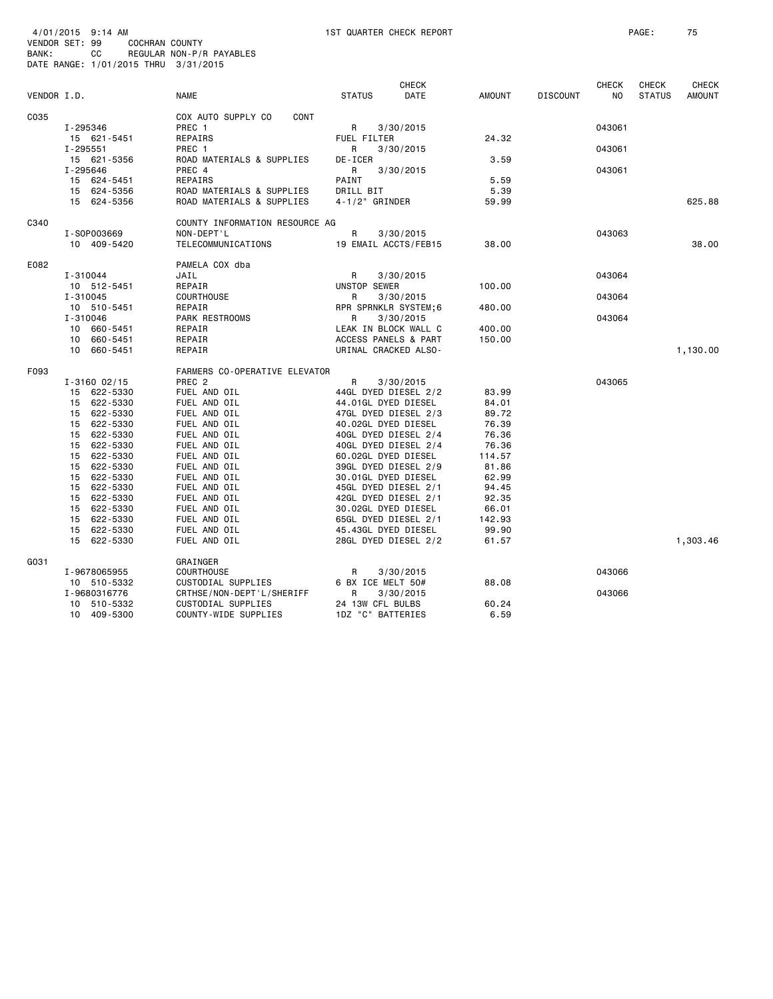| 4/01/2015 9:14 AM<br>VENDOR SET: 99<br>COCHRAN COUNTY<br>BANK:<br>CC<br>DATE RANGE: 1/01/2015 THRU 3/31/2015 | REGULAR NON-P/R PAYABLES             | 1ST QUARTER CHECK REPORT                    |                 |                 |              | PAGE:         | 75            |
|--------------------------------------------------------------------------------------------------------------|--------------------------------------|---------------------------------------------|-----------------|-----------------|--------------|---------------|---------------|
|                                                                                                              |                                      | <b>CHECK</b>                                |                 |                 | <b>CHECK</b> | <b>CHECK</b>  | CHECK         |
| VENDOR I.D.                                                                                                  | <b>NAME</b>                          | <b>STATUS</b><br>DATE                       | <b>AMOUNT</b>   | <b>DISCOUNT</b> | NO.          | <b>STATUS</b> | <b>AMOUNT</b> |
| C035<br>I-295346                                                                                             | COX AUTO SUPPLY CO<br>CONT<br>PREC 1 | 3/30/2015<br>R                              |                 |                 | 043061       |               |               |
| 15 621-5451<br>$I - 295551$                                                                                  | REPAIRS<br>PREC 1                    | FUEL FILTER<br>R<br>3/30/2015               | 24.32           |                 | 043061       |               |               |
| 15 621-5356<br>I-295646                                                                                      | ROAD MATERIALS & SUPPLIES<br>PREC 4  | DE-ICER<br>R<br>3/30/2015                   | 3.59            |                 | 043061       |               |               |
| 15 624-5451                                                                                                  | <b>REPAIRS</b>                       | PAINT                                       | 5.59            |                 |              |               |               |
| 15 624-5356                                                                                                  | ROAD MATERIALS & SUPPLIES            | DRILL BIT                                   | 5.39            |                 |              |               |               |
| 15 624-5356                                                                                                  | ROAD MATERIALS & SUPPLIES            | 4-1/2" GRINDER                              | 59.99           |                 |              |               | 625.88        |
| C340                                                                                                         | COUNTY INFORMATION RESOURCE AG       |                                             |                 |                 |              |               |               |
| I-S0P003669                                                                                                  | NON-DEPT'L                           | R<br>3/30/2015                              |                 |                 | 043063       |               |               |
| 10 409-5420                                                                                                  | TELECOMMUNICATIONS                   | 19 EMAIL ACCTS/FEB15                        | 38.00           |                 |              |               | 38,00         |
| E082                                                                                                         | PAMELA COX dba                       |                                             |                 |                 |              |               |               |
| I-310044                                                                                                     | JAIL                                 | R<br>3/30/2015                              |                 |                 | 043064       |               |               |
| 10 512-5451                                                                                                  | REPAIR                               | UNSTOP SEWER                                | 100.00          |                 |              |               |               |
| I-310045<br>10 510-5451                                                                                      | COURTHOUSE<br>REPAIR                 | R<br>3/30/2015                              |                 |                 | 043064       |               |               |
| I-310046                                                                                                     | PARK RESTROOMS                       | RPR SPRNKLR SYSTEM;6<br>3/30/2015<br>R      | 480.00          |                 | 043064       |               |               |
| 10 660-5451                                                                                                  | REPAIR                               | LEAK IN BLOCK WALL C                        | 400.00          |                 |              |               |               |
| 10 660-5451                                                                                                  | REPAIR                               | ACCESS PANELS & PART                        | 150.00          |                 |              |               |               |
| 10 660-5451                                                                                                  | REPAIR                               | URINAL CRACKED ALSO-                        |                 |                 |              |               | 1,130.00      |
| F093                                                                                                         | FARMERS CO-OPERATIVE ELEVATOR        |                                             |                 |                 |              |               |               |
| $I - 3160 02/15$                                                                                             | PREC <sub>2</sub>                    | R<br>3/30/2015                              |                 |                 | 043065       |               |               |
| 15 622-5330                                                                                                  | FUEL AND OIL                         | 44GL DYED DIESEL 2/2                        | 83.99           |                 |              |               |               |
| 15 622-5330                                                                                                  | FUEL AND OIL                         | 44.01GL DYED DIESEL                         | 84.01           |                 |              |               |               |
| 15 622-5330                                                                                                  | FUEL AND OIL                         | 47GL DYED DIESEL 2/3                        | 89.72           |                 |              |               |               |
| 15 622-5330                                                                                                  | FUEL AND OIL                         | 40.02GL DYED DIESEL                         | 76.39           |                 |              |               |               |
| 15 622-5330                                                                                                  | FUEL AND OIL                         | 40GL DYED DIESEL 2/4                        | 76.36           |                 |              |               |               |
| 15 622-5330<br>15 622-5330                                                                                   | FUEL AND OIL<br>FUEL AND OIL         | 40GL DYED DIESEL 2/4                        | 76.36<br>114.57 |                 |              |               |               |
| 15 622-5330                                                                                                  | FUEL AND OIL                         | 60.02GL DYED DIESEL<br>39GL DYED DIESEL 2/9 | 81.86           |                 |              |               |               |
| 15 622-5330                                                                                                  | FUEL AND OIL                         | 30.01GL DYED DIESEL                         | 62.99           |                 |              |               |               |
| 15 622-5330                                                                                                  | FUEL AND OIL                         | 45GL DYED DIESEL 2/1                        | 94.45           |                 |              |               |               |
| 15 622-5330                                                                                                  | FUEL AND OIL                         | 42GL DYED DIESEL 2/1                        | 92.35           |                 |              |               |               |
| 15 622-5330                                                                                                  | FUEL AND OIL                         | 30.02GL DYED DIESEL                         | 66.01           |                 |              |               |               |
| 15 622-5330                                                                                                  | FUEL AND OIL                         | 65GL DYED DIESEL 2/1                        | 142.93          |                 |              |               |               |
| 15 622-5330                                                                                                  | FUEL AND OIL                         | 45.43GL DYED DIESEL                         | 99.90           |                 |              |               |               |
| 15 622-5330                                                                                                  | FUEL AND OIL                         | 28GL DYED DIESEL 2/2                        | 61.57           |                 |              |               | 1,303.46      |
| G031                                                                                                         | GRAINGER                             |                                             |                 |                 |              |               |               |
| I-9678065955                                                                                                 | <b>COURTHOUSE</b>                    | 3/30/2015<br>R                              |                 |                 | 043066       |               |               |
| 10 510-5332                                                                                                  | CUSTODIAL SUPPLIES                   | 6 BX ICE MELT 50#                           | 88,08           |                 |              |               |               |
| I-9680316776                                                                                                 | CRTHSE/NON-DEPT'L/SHERIFF            | R<br>3/30/2015                              |                 |                 | 043066       |               |               |
| 10 510-5332                                                                                                  | CUSTODIAL SUPPLIES                   | 24 13W CFL BULBS                            | 60.24           |                 |              |               |               |

10 409-5300 COUNTY-WIDE SUPPLIES 1DZ "C" BATTERIES 6.59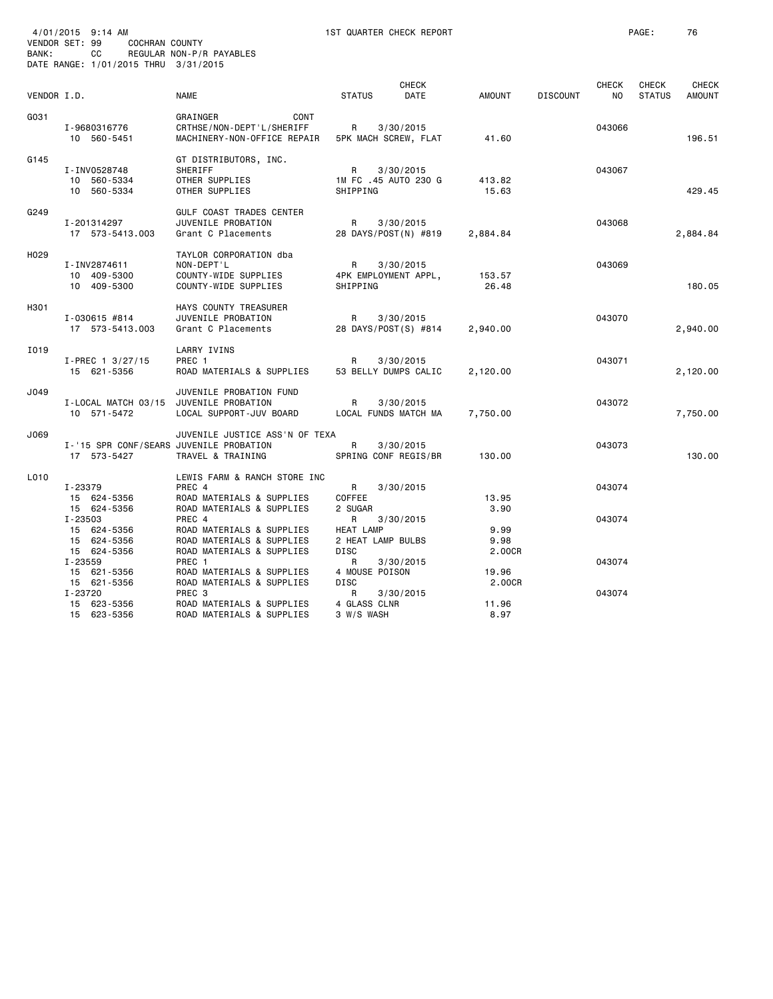| BANK:       | 4/01/2015 9:14 AM<br>VENDOR SET: 99<br>COCHRAN COUNTY<br>CC | REGULAR NON-P/R PAYABLES                                                                         | 1ST QUARTER CHECK REPORT                                               |                        |                                        | PAGE:                         | 76                            |
|-------------|-------------------------------------------------------------|--------------------------------------------------------------------------------------------------|------------------------------------------------------------------------|------------------------|----------------------------------------|-------------------------------|-------------------------------|
|             | DATE RANGE: 1/01/2015 THRU 3/31/2015                        |                                                                                                  |                                                                        |                        |                                        |                               |                               |
| VENDOR I.D. |                                                             | <b>NAME</b>                                                                                      | <b>CHECK</b><br><b>STATUS</b><br>DATE                                  | <b>AMOUNT</b>          | <b>CHECK</b><br><b>DISCOUNT</b><br>NO. | <b>CHECK</b><br><b>STATUS</b> | <b>CHECK</b><br><b>AMOUNT</b> |
| G031        | I-9680316776<br>10 560-5451                                 | GRAINGER<br>CONT<br>CRTHSE/NON-DEPT'L/SHERIFF<br>MACHINERY-NON-OFFICE REPAIR                     | R<br>3/30/2015<br>5PK MACH SCREW, FLAT                                 | 41.60                  | 043066                                 |                               | 196.51                        |
| G145        | I-INV0528748<br>10 560-5334<br>10 560-5334                  | GT DISTRIBUTORS, INC.<br>SHERIFF<br>OTHER SUPPLIES<br>OTHER SUPPLIES                             | R<br>3/30/2015<br>1M FC .45 AUTO 230 G<br>SHIPPING                     | 413.82<br>15.63        | 043067                                 |                               | 429.45                        |
| G249        | I-201314297<br>17 573-5413.003                              | <b>GULF COAST TRADES CENTER</b><br>JUVENILE PROBATION<br>Grant C Placements                      | R<br>3/30/2015<br>28 DAYS/POST(N) #819                                 | 2,884.84               | 043068                                 |                               | 2,884.84                      |
| H029        | I-INV2874611<br>10 409-5300<br>10 409-5300                  | TAYLOR CORPORATION dba<br>NON-DEPT'L<br>COUNTY-WIDE SUPPLIES<br>COUNTY-WIDE SUPPLIES             | R<br>3/30/2015<br>4PK EMPLOYMENT APPL,<br>SHIPPING                     | 153.57<br>26.48        | 043069                                 |                               | 180.05                        |
| H301        | I-030615 #814<br>17 573-5413.003                            | HAYS COUNTY TREASURER<br>JUVENILE PROBATION<br>Grant C Placements                                | R<br>3/30/2015<br>28 DAYS/POST(S) #814                                 | 2,940.00               | 043070                                 |                               | 2,940.00                      |
| I019        | I-PREC 1 3/27/15<br>15 621-5356                             | LARRY IVINS<br>PREC 1<br>ROAD MATERIALS & SUPPLIES                                               | R<br>3/30/2015<br>53 BELLY DUMPS CALIC                                 | 2,120.00               | 043071                                 |                               | 2,120.00                      |
| J049        | I-LOCAL MATCH 03/15 JUVENILE PROBATION<br>10 571-5472       | JUVENILE PROBATION FUND<br>LOCAL SUPPORT-JUV BOARD                                               | R<br>3/30/2015<br>LOCAL FUNDS MATCH MA                                 | 7,750.00               | 043072                                 |                               | 7,750.00                      |
| J069        | I-'15 SPR CONF/SEARS JUVENILE PROBATION<br>17 573-5427      | JUVENILE JUSTICE ASS'N OF TEXA<br>TRAVEL & TRAINING                                              | R<br>3/30/2015<br>SPRING CONF REGIS/BR                                 | 130.00                 | 043073                                 |                               | 130.00                        |
| L010        | I-23379<br>15 624-5356<br>15 624-5356                       | LEWIS FARM & RANCH STORE INC<br>PREC 4<br>ROAD MATERIALS & SUPPLIES<br>ROAD MATERIALS & SUPPLIES | R.<br>3/30/2015<br>COFFEE<br>2 SUGAR                                   | 13.95<br>3.90          | 043074                                 |                               |                               |
|             | I-23503<br>15 624-5356<br>15 624-5356<br>15 624-5356        | PREC 4<br>ROAD MATERIALS & SUPPLIES<br>ROAD MATERIALS & SUPPLIES<br>ROAD MATERIALS & SUPPLIES    | 3/30/2015<br>R<br><b>HEAT LAMP</b><br>2 HEAT LAMP BULBS<br><b>DISC</b> | 9.99<br>9.98<br>2.00CR | 043074                                 |                               |                               |
|             | I-23559<br>15 621-5356<br>15 621-5356                       | PREC <sub>1</sub><br>ROAD MATERIALS & SUPPLIES<br>ROAD MATERIALS & SUPPLIES                      | R<br>3/30/2015<br>4 MOUSE POISON<br><b>DISC</b>                        | 19.96<br>2.00CR        | 043074                                 |                               |                               |
|             | I-23720<br>15 623-5356<br>15 623-5356                       | PREC <sub>3</sub><br>ROAD MATERIALS & SUPPLIES<br>ROAD MATERIALS & SUPPLIES                      | R<br>3/30/2015<br>4 GLASS CLNR<br>3 W/S WASH                           | 11.96<br>8.97          | 043074                                 |                               |                               |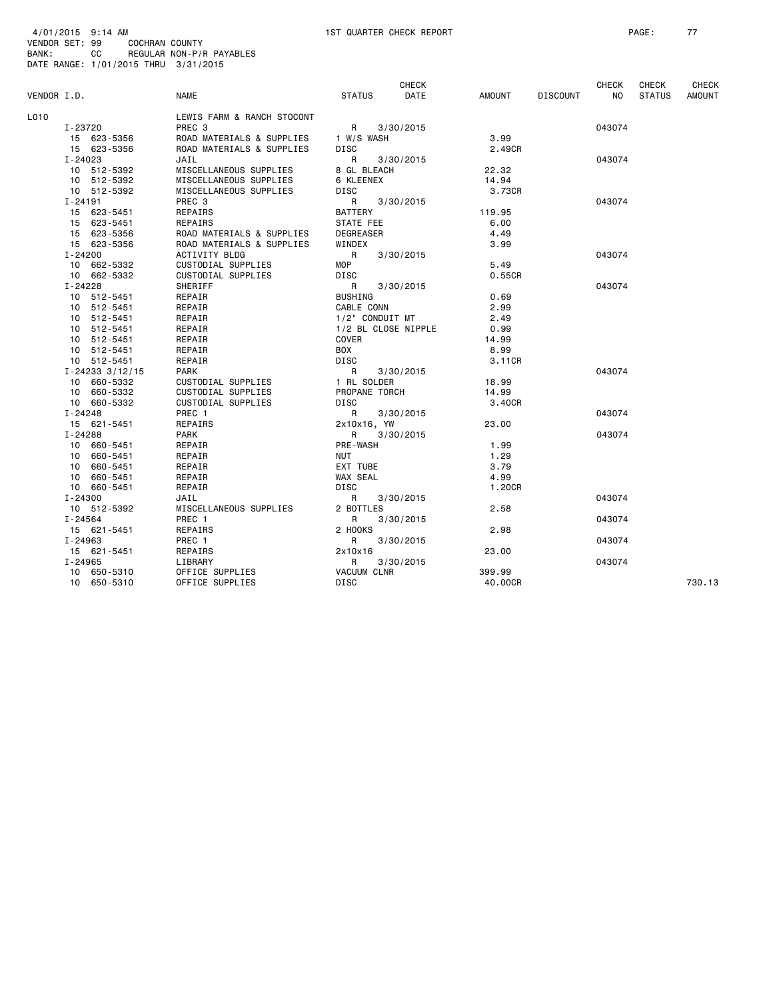|             |                       |                            |                     | <b>CHECK</b> |               |                 | <b>CHECK</b> | <b>CHECK</b>  | <b>CHECK</b>  |
|-------------|-----------------------|----------------------------|---------------------|--------------|---------------|-----------------|--------------|---------------|---------------|
| VENDOR I.D. |                       | <b>NAME</b>                | <b>STATUS</b>       | DATE         | <b>AMOUNT</b> | <b>DISCOUNT</b> | NO.          | <b>STATUS</b> | <b>AMOUNT</b> |
| L010        |                       | LEWIS FARM & RANCH STOCONT |                     |              |               |                 |              |               |               |
|             | I-23720               | PREC <sub>3</sub>          | R                   | 3/30/2015    |               |                 | 043074       |               |               |
|             | 15 623-5356           | ROAD MATERIALS & SUPPLIES  | 1 W/S WASH          |              | 3.99          |                 |              |               |               |
|             | 15 623-5356           | ROAD MATERIALS & SUPPLIES  | DISC                |              | 2.49CR        |                 |              |               |               |
|             | $I - 24023$           | JAIL                       | R                   | 3/30/2015    |               |                 | 043074       |               |               |
|             | 10 512-5392           | MISCELLANEOUS SUPPLIES     | 8 GL BLEACH         |              | 22.32         |                 |              |               |               |
|             | 10 512-5392           | MISCELLANEOUS SUPPLIES     | 6 KLEENEX           |              | 14.94         |                 |              |               |               |
|             | 10 512-5392           | MISCELLANEOUS SUPPLIES     | DISC                |              | 3.73CR        |                 |              |               |               |
|             | I-24191               | PREC 3                     | R                   | 3/30/2015    |               |                 | 043074       |               |               |
|             | 15 623-5451           | REPAIRS                    | <b>BATTERY</b>      |              | 119.95        |                 |              |               |               |
|             | 15 623-5451           | REPAIRS                    | STATE FEE           |              | 6.00          |                 |              |               |               |
|             | 15 623-5356           | ROAD MATERIALS & SUPPLIES  | <b>DEGREASER</b>    |              | 4.49          |                 |              |               |               |
|             | 15 623-5356           | ROAD MATERIALS & SUPPLIES  | WINDEX              |              | 3.99          |                 |              |               |               |
|             | I-24200               | <b>ACTIVITY BLDG</b>       | R                   | 3/30/2015    |               |                 | 043074       |               |               |
|             | 10 662-5332           | CUSTODIAL SUPPLIES         | MOP                 |              | 5.49          |                 |              |               |               |
|             | 10 662-5332           | CUSTODIAL SUPPLIES         | DISC                |              | 0.55CR        |                 |              |               |               |
|             | $I - 24228$           | SHERIFF                    | R                   | 3/30/2015    |               |                 | 043074       |               |               |
|             | 10 512-5451           | REPAIR                     | <b>BUSHING</b>      |              | 0.69          |                 |              |               |               |
|             | 10 512-5451           | REPAIR                     | CABLE CONN          |              | 2.99          |                 |              |               |               |
|             | 10 512-5451           | REPAIR                     | 1/2" CONDUIT MT     |              | 2.49          |                 |              |               |               |
|             | 10 512-5451           | REPAIR                     | 1/2 BL CLOSE NIPPLE |              | 0.99          |                 |              |               |               |
|             | 10 512-5451           | REPAIR                     | COVER               |              | 14.99         |                 |              |               |               |
|             | 10 512-5451           | REPAIR                     | BOX                 |              | 8.99          |                 |              |               |               |
|             | 10 512-5451           | REPAIR                     | DISC                |              | 3.11CR        |                 |              |               |               |
|             | $I - 24233$ $3/12/15$ | <b>PARK</b>                | R                   | 3/30/2015    |               |                 | 043074       |               |               |
|             | 10 660-5332           | CUSTODIAL SUPPLIES         | 1 RL SOLDER         |              | 18.99         |                 |              |               |               |
|             | 10 660-5332           | CUSTODIAL SUPPLIES         | PROPANE TORCH       |              | 14.99         |                 |              |               |               |
|             | 10 660-5332           | CUSTODIAL SUPPLIES         | DISC                |              | 3.40CR        |                 |              |               |               |
|             | $I - 24248$           | PREC 1                     | R                   | 3/30/2015    |               |                 | 043074       |               |               |
|             | 15 621-5451           | REPAIRS                    | 2x10x16, YW         |              | 23.00         |                 |              |               |               |
|             | $I - 24288$           | <b>PARK</b>                | R                   | 3/30/2015    |               |                 | 043074       |               |               |
|             | 10 660-5451           | REPAIR                     | PRE-WASH            |              | 1.99          |                 |              |               |               |
|             | 10 660-5451           | REPAIR                     | NUT                 |              | 1.29          |                 |              |               |               |
|             | 10 660-5451           | REPAIR                     | EXT TUBE            |              | 3.79          |                 |              |               |               |
|             | 10 660-5451           | REPAIR                     | WAX SEAL            |              | 4.99          |                 |              |               |               |
|             | 10 660-5451           | REPAIR                     | DISC                |              | 1.20CR        |                 |              |               |               |
|             | $I - 24300$           | JAIL                       | R                   | 3/30/2015    |               |                 | 043074       |               |               |
|             | 10 512-5392           | MISCELLANEOUS SUPPLIES     | 2 BOTTLES           |              | 2.58          |                 |              |               |               |
|             | $I - 24564$           | PREC 1                     | R                   | 3/30/2015    |               |                 | 043074       |               |               |
|             | 15 621-5451           | REPAIRS                    | 2 HOOKS             |              | 2.98          |                 |              |               |               |
|             | $I - 24963$           | PREC 1                     | R                   | 3/30/2015    |               |                 | 043074       |               |               |
|             | 15 621-5451           | REPAIRS                    | 2x10x16             |              | 23.00         |                 |              |               |               |
|             | $I - 24965$           | LIBRARY                    | R                   | 3/30/2015    |               |                 | 043074       |               |               |
|             | 10 650-5310           | OFFICE SUPPLIES            | <b>VACUUM CLNR</b>  |              | 399.99        |                 |              |               |               |
|             | 10 650-5310           | OFFICE SUPPLIES            | DISC                |              | 40.00CR       |                 |              |               | 730.13        |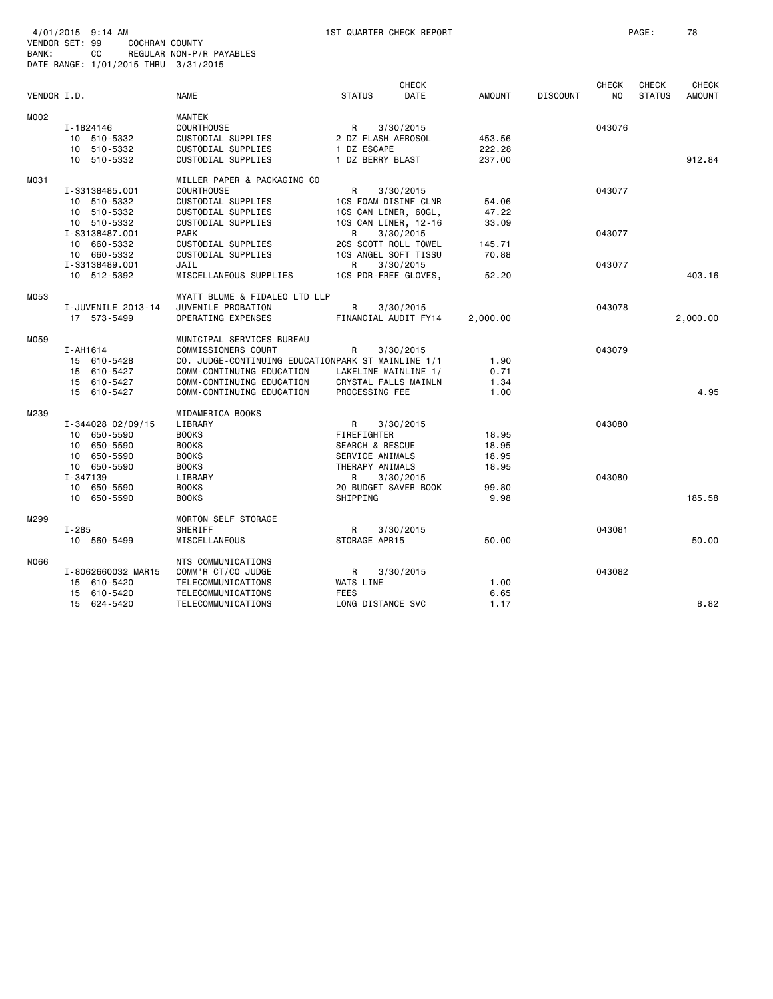| BANK:       | 4/01/2015 9:14 AM<br>VENDOR SET: 99<br>СC | <b>COCHRAN COUNTY</b><br>REGULAR NON-P/R PAYABLES<br>DATE RANGE: 1/01/2015 THRU 3/31/2015 |                                                    |                                  | 1ST QUARTER CHECK REPORT    |               |                 |                         | PAGE:                         | 78                            |
|-------------|-------------------------------------------|-------------------------------------------------------------------------------------------|----------------------------------------------------|----------------------------------|-----------------------------|---------------|-----------------|-------------------------|-------------------------------|-------------------------------|
| VENDOR I.D. |                                           | <b>NAME</b>                                                                               |                                                    | <b>STATUS</b>                    | <b>CHECK</b><br><b>DATE</b> | <b>AMOUNT</b> | <b>DISCOUNT</b> | CHECK<br>N <sub>0</sub> | <b>CHECK</b><br><b>STATUS</b> | <b>CHECK</b><br><b>AMOUNT</b> |
| MO02        |                                           | MANTEK                                                                                    |                                                    |                                  |                             |               |                 |                         |                               |                               |
|             | I-1824146                                 | <b>COURTHOUSE</b>                                                                         |                                                    | R                                | 3/30/2015                   |               |                 | 043076                  |                               |                               |
|             | 10 510-5332                               | CUSTODIAL SUPPLIES                                                                        |                                                    | 2 DZ FLASH AEROSOL               |                             | 453.56        |                 |                         |                               |                               |
|             | 10 510-5332                               | CUSTODIAL SUPPLIES                                                                        |                                                    | 1 DZ ESCAPE                      |                             | 222.28        |                 |                         |                               |                               |
|             | 10 510-5332                               | CUSTODIAL SUPPLIES                                                                        |                                                    | 1 DZ BERRY BLAST                 |                             | 237.00        |                 |                         |                               | 912.84                        |
| M031        |                                           |                                                                                           | MILLER PAPER & PACKAGING CO                        |                                  |                             |               |                 |                         |                               |                               |
|             | I-S3138485.001                            | <b>COURTHOUSE</b>                                                                         |                                                    | R                                | 3/30/2015                   |               |                 | 043077                  |                               |                               |
|             | 10 510-5332                               | CUSTODIAL SUPPLIES                                                                        |                                                    | 1CS FOAM DISINF CLNR             |                             | 54.06         |                 |                         |                               |                               |
|             | 10 510-5332                               | CUSTODIAL SUPPLIES                                                                        |                                                    | 1CS CAN LINER, 60GL,             |                             | 47.22         |                 |                         |                               |                               |
|             | 10 510-5332                               | CUSTODIAL SUPPLIES                                                                        |                                                    | 1CS CAN LINER, 12-16             |                             | 33.09         |                 |                         |                               |                               |
|             | I-S3138487.001                            | <b>PARK</b>                                                                               |                                                    | R                                | 3/30/2015                   |               |                 | 043077                  |                               |                               |
|             | 10 660-5332                               | CUSTODIAL SUPPLIES                                                                        |                                                    | 2CS SCOTT ROLL TOWEL             |                             | 145.71        |                 |                         |                               |                               |
|             | 10 660-5332                               | CUSTODIAL SUPPLIES                                                                        |                                                    | 1CS ANGEL SOFT TISSU             |                             | 70.88         |                 |                         |                               |                               |
|             | I-S3138489.001                            | JAIL                                                                                      |                                                    | R                                | 3/30/2015                   |               |                 | 043077                  |                               |                               |
|             | 10 512-5392                               | MISCELLANEOUS SUPPLIES                                                                    |                                                    | 1CS PDR-FREE GLOVES,             |                             | 52.20         |                 |                         |                               | 403.16                        |
| M053        |                                           |                                                                                           | MYATT BLUME & FIDALEO LTD LLP                      |                                  |                             |               |                 |                         |                               |                               |
|             | I-JUVENILE 2013-14                        | JUVENILE PROBATION                                                                        |                                                    | R                                | 3/30/2015                   |               |                 | 043078                  |                               |                               |
|             | 17 573-5499                               | OPERATING EXPENSES                                                                        |                                                    | FINANCIAL AUDIT FY14             |                             | 2,000.00      |                 |                         |                               | 2,000.00                      |
| M059        |                                           | MUNICIPAL SERVICES BUREAU                                                                 |                                                    |                                  |                             |               |                 |                         |                               |                               |
|             | I-AH1614                                  | COMMISSIONERS COURT                                                                       |                                                    | R                                | 3/30/2015                   |               |                 | 043079                  |                               |                               |
|             | 15 610-5428                               |                                                                                           | CO. JUDGE-CONTINUING EDUCATIONPARK ST MAINLINE 1/1 |                                  |                             | 1.90          |                 |                         |                               |                               |
|             | 610-5427<br>15                            | COMM-CONTINUING EDUCATION                                                                 |                                                    | LAKELINE MAINLINE 1/             |                             | 0.71          |                 |                         |                               |                               |
|             | 610-5427<br>15                            | COMM-CONTINUING EDUCATION                                                                 |                                                    | CRYSTAL FALLS MAINLN             |                             | 1.34          |                 |                         |                               |                               |
|             | 15<br>610-5427                            | COMM-CONTINUING EDUCATION                                                                 |                                                    | PROCESSING FEE                   |                             | 1.00          |                 |                         |                               | 4.95                          |
| M239        |                                           | MIDAMERICA BOOKS                                                                          |                                                    |                                  |                             |               |                 |                         |                               |                               |
|             | I-344028 02/09/15                         | LIBRARY                                                                                   |                                                    | R                                | 3/30/2015                   |               |                 | 043080                  |                               |                               |
|             | 10 650-5590                               | <b>BOOKS</b>                                                                              |                                                    | FIREFIGHTER                      |                             | 18.95         |                 |                         |                               |                               |
|             | 10 650-5590                               | <b>BOOKS</b>                                                                              |                                                    | <b>SEARCH &amp; RESCUE</b>       |                             | 18.95         |                 |                         |                               |                               |
|             | 650-5590<br>10                            | <b>BOOKS</b>                                                                              |                                                    | SERVICE ANIMALS                  |                             | 18.95         |                 |                         |                               |                               |
|             | 10 650-5590                               | <b>BOOKS</b>                                                                              |                                                    | THERAPY ANIMALS                  |                             | 18.95         |                 |                         |                               |                               |
|             | I-347139<br>10 650-5590                   | LIBRARY<br><b>BOOKS</b>                                                                   |                                                    | R                                | 3/30/2015                   | 99.80         |                 | 043080                  |                               |                               |
|             | 10 650-5590                               | <b>BOOKS</b>                                                                              |                                                    | 20 BUDGET SAVER BOOK<br>SHIPPING |                             | 9.98          |                 |                         |                               | 185.58                        |
|             |                                           |                                                                                           |                                                    |                                  |                             |               |                 |                         |                               |                               |
| M299        |                                           | MORTON SELF STORAGE                                                                       |                                                    |                                  |                             |               |                 |                         |                               |                               |
|             | $I - 285$                                 | SHERIFF                                                                                   |                                                    | R                                | 3/30/2015                   |               |                 | 043081                  |                               |                               |
|             | 10 560-5499                               | MISCELLANEOUS                                                                             |                                                    | STORAGE APR15                    |                             | 50.00         |                 |                         |                               | 50.00                         |
| N066        |                                           | NTS COMMUNICATIONS                                                                        |                                                    |                                  |                             |               |                 |                         |                               |                               |
|             | I-8062660032 MAR15                        | COMM'R CT/CO JUDGE                                                                        |                                                    | R                                | 3/30/2015                   |               |                 | 043082                  |                               |                               |
|             | 15 610-5420                               | TELECOMMUNICATIONS                                                                        |                                                    | WATS LINE                        |                             | 1.00          |                 |                         |                               |                               |
|             | 610-5420<br>15                            | TELECOMMUNICATIONS                                                                        |                                                    | <b>FEES</b>                      |                             | 6.65          |                 |                         |                               |                               |
|             | 15 624-5420                               | TELECOMMUNICATIONS                                                                        |                                                    | LONG DISTANCE SVC                |                             | 1.17          |                 |                         |                               | 8.82                          |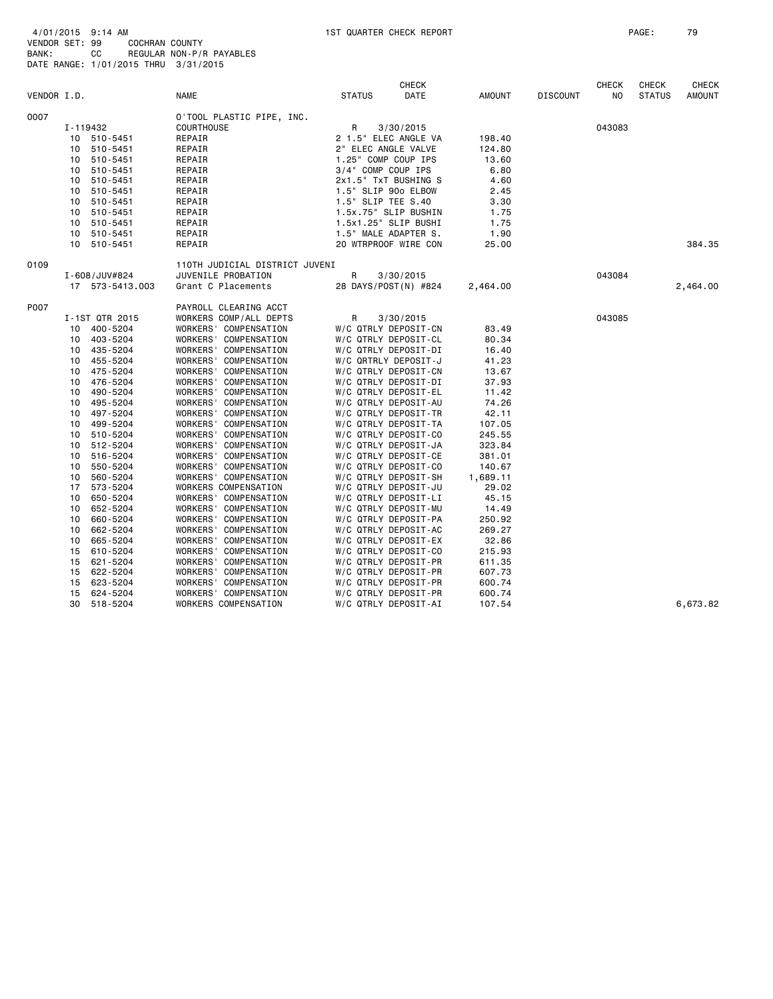| 4/01/2015 9:14 AM                    |    |                |                          |
|--------------------------------------|----|----------------|--------------------------|
| VENDOR SET: 99                       |    | COCHRAN COUNTY |                          |
| BANK:                                | CC |                | REGULAR NON-P/R PAYABLES |
| DATE RANGE: 1/01/2015 THRU 3/31/2015 |    |                |                          |

| VENDOR I.D. |                 | <b>NAME</b>                    | <b>STATUS</b>        | <b>CHECK</b><br>DATE | AMOUNT   | <b>DISCOUNT</b> | <b>CHECK</b><br>NO. | CHECK<br><b>STATUS</b> | <b>CHECK</b><br><b>AMOUNT</b> |
|-------------|-----------------|--------------------------------|----------------------|----------------------|----------|-----------------|---------------------|------------------------|-------------------------------|
| 0007        |                 | O'TOOL PLASTIC PIPE, INC.      |                      |                      |          |                 |                     |                        |                               |
|             | I-119432        | COURTHOUSE                     | R                    | 3/30/2015            |          |                 | 043083              |                        |                               |
|             | 510-5451<br>10  | REPAIR                         |                      | 2 1.5" ELEC ANGLE VA | 198.40   |                 |                     |                        |                               |
|             | 10<br>510-5451  | REPAIR                         | 2" ELEC ANGLE VALVE  |                      | 124.80   |                 |                     |                        |                               |
|             | 510-5451<br>10  | REPAIR                         | 1.25" COMP COUP IPS  |                      | 13.60    |                 |                     |                        |                               |
|             | 510-5451<br>10  | REPAIR                         | 3/4" COMP COUP IPS   |                      | 6.80     |                 |                     |                        |                               |
|             | 510-5451<br>10  | REPAIR                         | 2x1.5" TxT BUSHING S |                      | 4.60     |                 |                     |                        |                               |
|             | 10<br>510-5451  | REPAIR                         | 1.5" SLIP 90o ELBOW  |                      | 2.45     |                 |                     |                        |                               |
|             | 510-5451<br>10  | REPAIR                         | 1.5" SLIP TEE S.40   |                      | 3.30     |                 |                     |                        |                               |
|             | 510-5451<br>10  | REPAIR                         | 1.5x.75" SLIP BUSHIN |                      | 1.75     |                 |                     |                        |                               |
|             | 10 510-5451     | REPAIR                         | 1.5x1.25" SLIP BUSHI |                      | 1.75     |                 |                     |                        |                               |
|             | 10<br>510-5451  | REPAIR                         | 1.5" MALE ADAPTER S. |                      | 1.90     |                 |                     |                        |                               |
|             | 10 510-5451     | REPAIR                         | 20 WTRPROOF WIRE CON |                      | 25.00    |                 |                     |                        | 384.35                        |
| 0109        |                 | 110TH JUDICIAL DISTRICT JUVENI |                      |                      |          |                 |                     |                        |                               |
|             | I-608/JUV#824   | JUVENILE PROBATION             | R                    | 3/30/2015            |          |                 | 043084              |                        |                               |
|             | 17 573-5413.003 | Grant C Placements             |                      | 28 DAYS/POST(N) #824 | 2,464.00 |                 |                     |                        | 2,464.00                      |
| P007        |                 | PAYROLL CLEARING ACCT          |                      |                      |          |                 |                     |                        |                               |
|             | I-1ST QTR 2015  | WORKERS COMP/ALL DEPTS         | R                    | 3/30/2015            |          |                 | 043085              |                        |                               |
|             | 10 400-5204     | WORKERS' COMPENSATION          | W/C QTRLY DEPOSIT-CN |                      | 83.49    |                 |                     |                        |                               |
|             | 403-5204<br>10  | WORKERS' COMPENSATION          | W/C QTRLY DEPOSIT-CL |                      | 80.34    |                 |                     |                        |                               |
|             | 10 435-5204     | WORKERS' COMPENSATION          | W/C QTRLY DEPOSIT-DI |                      | 16.40    |                 |                     |                        |                               |
|             | 455-5204<br>10  | WORKERS' COMPENSATION          | W/C QRTRLY DEPOSIT-J |                      | 41.23    |                 |                     |                        |                               |
|             | 10<br>475-5204  | WORKERS' COMPENSATION          | W/C QTRLY DEPOSIT-CN |                      | 13.67    |                 |                     |                        |                               |
|             | 476-5204<br>10  | WORKERS' COMPENSATION          | W/C QTRLY DEPOSIT-DI |                      | 37.93    |                 |                     |                        |                               |
|             | 490-5204<br>10  | WORKERS' COMPENSATION          | W/C QTRLY DEPOSIT-EL |                      | 11.42    |                 |                     |                        |                               |
|             | 495-5204<br>10  | WORKERS' COMPENSATION          | W/C QTRLY DEPOSIT-AU |                      | 74.26    |                 |                     |                        |                               |
|             | 497-5204<br>10  | WORKERS' COMPENSATION          | W/C QTRLY DEPOSIT-TR |                      | 42.11    |                 |                     |                        |                               |
|             | 499-5204<br>10  | WORKERS' COMPENSATION          | W/C QTRLY DEPOSIT-TA |                      | 107.05   |                 |                     |                        |                               |
|             | 510-5204<br>10  | WORKERS' COMPENSATION          | W/C QTRLY DEPOSIT-CO |                      | 245.55   |                 |                     |                        |                               |
|             | 512-5204<br>10  | WORKERS' COMPENSATION          | W/C QTRLY DEPOSIT-JA |                      | 323.84   |                 |                     |                        |                               |
|             | 516-5204<br>10  | WORKERS' COMPENSATION          | W/C QTRLY DEPOSIT-CE |                      | 381.01   |                 |                     |                        |                               |
|             | 550-5204<br>10  | WORKERS' COMPENSATION          | W/C QTRLY DEPOSIT-CO |                      | 140.67   |                 |                     |                        |                               |
|             | 560-5204<br>10  | WORKERS' COMPENSATION          | W/C QTRLY DEPOSIT-SH |                      | 1,689.11 |                 |                     |                        |                               |
|             | 573-5204<br>17  | WORKERS COMPENSATION           | W/C QTRLY DEPOSIT-JU |                      | 29.02    |                 |                     |                        |                               |
|             | 10<br>650-5204  | WORKERS' COMPENSATION          | W/C QTRLY DEPOSIT-LI |                      | 45.15    |                 |                     |                        |                               |
|             | 652-5204<br>10  | WORKERS' COMPENSATION          | W/C QTRLY DEPOSIT-MU |                      | 14.49    |                 |                     |                        |                               |
|             | 660-5204<br>10  | WORKERS' COMPENSATION          | W/C QTRLY DEPOSIT-PA |                      | 250.92   |                 |                     |                        |                               |
|             | 662-5204<br>10  | WORKERS' COMPENSATION          | W/C QTRLY DEPOSIT-AC |                      | 269.27   |                 |                     |                        |                               |
|             | 665-5204<br>10  | WORKERS' COMPENSATION          | W/C QTRLY DEPOSIT-EX |                      | 32.86    |                 |                     |                        |                               |
|             | 610-5204<br>15  | WORKERS' COMPENSATION          | W/C QTRLY DEPOSIT-CO |                      | 215.93   |                 |                     |                        |                               |
|             | 621-5204<br>15  | WORKERS' COMPENSATION          | W/C QTRLY DEPOSIT-PR |                      | 611.35   |                 |                     |                        |                               |
|             | 622-5204<br>15  | WORKERS' COMPENSATION          | W/C QTRLY DEPOSIT-PR |                      | 607.73   |                 |                     |                        |                               |
|             | 623-5204<br>15  | WORKERS' COMPENSATION          | W/C QTRLY DEPOSIT-PR |                      | 600.74   |                 |                     |                        |                               |
|             | 624-5204<br>15  | WORKERS' COMPENSATION          | W/C QTRLY DEPOSIT-PR |                      | 600.74   |                 |                     |                        |                               |
|             | 518-5204<br>30  | WORKERS COMPENSATION           | W/C QTRLY DEPOSIT-AI |                      | 107.54   |                 |                     |                        | 6,673.82                      |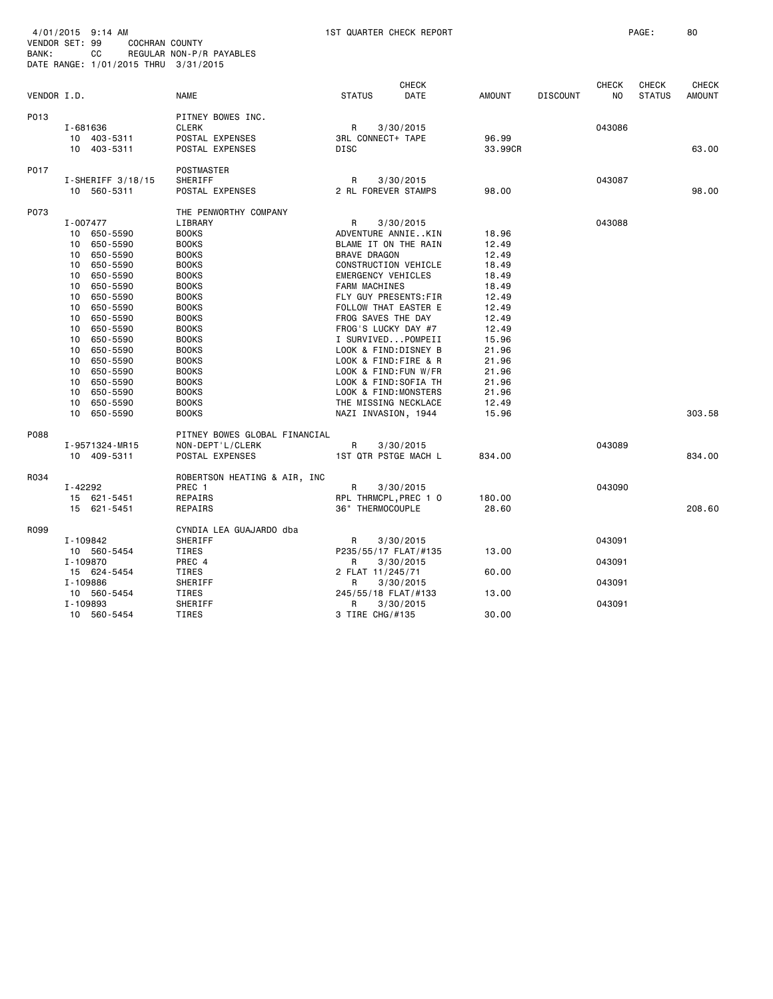| VENDOR SET: 99<br>BANK: | 4/01/2015 9:14 AM<br>СC                                                                                                                                                                                                                                                                                                                   | COCHRAN COUNTY<br>REGULAR NON-P/R PAYABLES<br>DATE RANGE: 1/01/2015 THRU 3/31/2015                                                                                                                                                                                                                                               |                                                                                                                                                                                                                                                                                                                                                                                                                                             | 1ST QUARTER CHECK REPORT |                                                                                                                                                                |                 |                    | PAGE:                  |                               |
|-------------------------|-------------------------------------------------------------------------------------------------------------------------------------------------------------------------------------------------------------------------------------------------------------------------------------------------------------------------------------------|----------------------------------------------------------------------------------------------------------------------------------------------------------------------------------------------------------------------------------------------------------------------------------------------------------------------------------|---------------------------------------------------------------------------------------------------------------------------------------------------------------------------------------------------------------------------------------------------------------------------------------------------------------------------------------------------------------------------------------------------------------------------------------------|--------------------------|----------------------------------------------------------------------------------------------------------------------------------------------------------------|-----------------|--------------------|------------------------|-------------------------------|
| VENDOR I.D.             |                                                                                                                                                                                                                                                                                                                                           | <b>NAME</b>                                                                                                                                                                                                                                                                                                                      | <b>STATUS</b>                                                                                                                                                                                                                                                                                                                                                                                                                               | CHECK<br><b>DATE</b>     | <b>AMOUNT</b>                                                                                                                                                  | <b>DISCOUNT</b> | CHECK<br><b>NO</b> | CHECK<br><b>STATUS</b> | <b>CHECK</b><br><b>AMOUNT</b> |
| P013                    | I-681636<br>10 403-5311<br>10 403-5311                                                                                                                                                                                                                                                                                                    | PITNEY BOWES INC.<br><b>CLERK</b><br>POSTAL EXPENSES<br>POSTAL EXPENSES                                                                                                                                                                                                                                                          | R<br>3RL CONNECT+ TAPE<br>DISC                                                                                                                                                                                                                                                                                                                                                                                                              | 3/30/2015                | 96.99<br>33.99CR                                                                                                                                               |                 | 043086             |                        | 63,00                         |
| P017                    | $I-SHERIFF 3/18/15$<br>10 560-5311                                                                                                                                                                                                                                                                                                        | POSTMASTER<br>SHERIFF<br>POSTAL EXPENSES                                                                                                                                                                                                                                                                                         | R<br>2 RL FOREVER STAMPS                                                                                                                                                                                                                                                                                                                                                                                                                    | 3/30/2015                | 98,00                                                                                                                                                          |                 | 043087             |                        | 98,00                         |
| P073                    | I-007477<br>10 650-5590<br>650-5590<br>10<br>10<br>650-5590<br>650-5590<br>10<br>10<br>650-5590<br>10<br>650-5590<br>650-5590<br>10<br>10<br>650-5590<br>10<br>650-5590<br>10<br>650-5590<br>650-5590<br>10<br>650-5590<br>10<br>10<br>650-5590<br>10<br>650-5590<br>10<br>650-5590<br>650-5590<br>10<br>650-5590<br>10<br>650-5590<br>10 | THE PENWORTHY COMPANY<br>LIBRARY<br><b>BOOKS</b><br><b>BOOKS</b><br><b>BOOKS</b><br><b>BOOKS</b><br><b>BOOKS</b><br><b>BOOKS</b><br><b>BOOKS</b><br><b>BOOKS</b><br><b>BOOKS</b><br><b>BOOKS</b><br><b>BOOKS</b><br><b>BOOKS</b><br><b>BOOKS</b><br><b>BOOKS</b><br><b>BOOKS</b><br><b>BOOKS</b><br><b>BOOKS</b><br><b>BOOKS</b> | R<br>ADVENTURE ANNIEKIN<br>BLAME IT ON THE RAIN<br><b>BRAVE DRAGON</b><br>CONSTRUCTION VEHICLE<br>EMERGENCY VEHICLES<br><b>FARM MACHINES</b><br>FLY GUY PRESENTS: FIR<br>FOLLOW THAT EASTER E<br>FROG SAVES THE DAY<br>FROG'S LUCKY DAY #7<br>I SURVIVEDPOMPEII<br>LOOK & FIND: DISNEY B<br>LOOK & FIND: FIRE & R<br>LOOK & FIND: FUN W/FR<br>LOOK & FIND: SOFIA TH<br>LOOK & FIND: MONSTERS<br>THE MISSING NECKLACE<br>NAZI INVASION, 1944 | 3/30/2015                | 18.96<br>12.49<br>12.49<br>18.49<br>18.49<br>18.49<br>12.49<br>12.49<br>12.49<br>12.49<br>15.96<br>21.96<br>21.96<br>21.96<br>21.96<br>21.96<br>12.49<br>15.96 |                 | 043088             |                        | 303.58                        |
| P088                    | I-9571324-MR15<br>10 409-5311                                                                                                                                                                                                                                                                                                             | PITNEY BOWES GLOBAL FINANCIAL<br>NON-DEPT'L/CLERK<br>POSTAL EXPENSES                                                                                                                                                                                                                                                             | $\mathsf{R}$<br>1ST QTR PSTGE MACH L                                                                                                                                                                                                                                                                                                                                                                                                        | 3/30/2015                | 834,00                                                                                                                                                         |                 | 043089             |                        | 834,00                        |
| R034                    | $I - 42292$<br>15 621-5451<br>15 621-5451                                                                                                                                                                                                                                                                                                 | ROBERTSON HEATING & AIR, INC<br>PREC 1<br>REPAIRS<br>REPAIRS                                                                                                                                                                                                                                                                     | R<br>RPL THRMCPL, PREC 1 0<br>36" THERMOCOUPLE                                                                                                                                                                                                                                                                                                                                                                                              | 3/30/2015                | 180.00<br>28.60                                                                                                                                                |                 | 043090             |                        | 208.60                        |
| R099                    | I-109842<br>10 560-5454<br>I-109870                                                                                                                                                                                                                                                                                                       | CYNDIA LEA GUAJARDO dba<br>SHERIFF<br>TIRES<br>PREC 4                                                                                                                                                                                                                                                                            | R<br>P235/55/17 FLAT/#135<br>R                                                                                                                                                                                                                                                                                                                                                                                                              | 3/30/2015<br>3/30/2015   | 13.00                                                                                                                                                          |                 | 043091<br>043091   |                        |                               |
|                         | 15 624-5454<br>I-109886<br>10 560-5454<br>I-109893                                                                                                                                                                                                                                                                                        | TIRES<br>SHERIFF<br>TIRES<br>SHERIFF                                                                                                                                                                                                                                                                                             | 2 FLAT 11/245/71<br>R<br>245/55/18 FLAT/#133<br>R                                                                                                                                                                                                                                                                                                                                                                                           | 3/30/2015<br>3/30/2015   | 60.00<br>13.00                                                                                                                                                 |                 | 043091<br>043091   |                        |                               |
|                         | 10 560-5454                                                                                                                                                                                                                                                                                                                               | TIRES                                                                                                                                                                                                                                                                                                                            | 3 TIRE CHG/#135                                                                                                                                                                                                                                                                                                                                                                                                                             |                          | 30.00                                                                                                                                                          |                 |                    |                        |                               |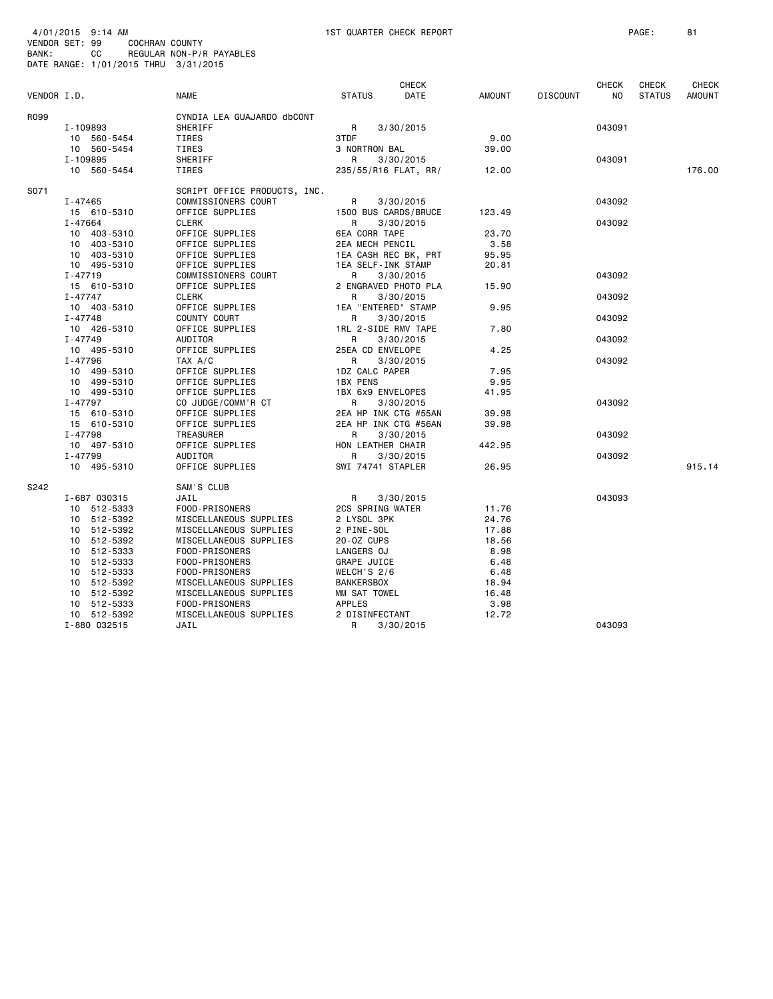| VENDOR I.D. |              | <b>NAME</b>                  | <b>CHECK</b><br><b>STATUS</b><br>DATE | AMOUNT | <b>DISCOUNT</b> | <b>CHECK</b><br>NO. | <b>CHECK</b><br><b>STATUS</b> | <b>CHECK</b><br>AMOUNT |
|-------------|--------------|------------------------------|---------------------------------------|--------|-----------------|---------------------|-------------------------------|------------------------|
| R099        |              | CYNDIA LEA GUAJARDO dbCONT   |                                       |        |                 |                     |                               |                        |
|             | I-109893     | SHERIFF                      | R<br>3/30/2015                        |        |                 | 043091              |                               |                        |
|             | 10 560-5454  | TIRES                        | 3TDF                                  | 9.00   |                 |                     |                               |                        |
|             | 10 560-5454  | TIRES                        | 3 NORTRON BAL                         | 39,00  |                 |                     |                               |                        |
|             | I-109895     | SHERIFF                      | R<br>3/30/2015                        |        |                 | 043091              |                               |                        |
|             | 10 560-5454  | TIRES                        | 235/55/R16 FLAT, RR/                  | 12.00  |                 |                     |                               | 176.00                 |
| S071        |              | SCRIPT OFFICE PRODUCTS, INC. |                                       |        |                 |                     |                               |                        |
|             | I-47465      | COMMISSIONERS COURT          | R<br>3/30/2015                        |        |                 | 043092              |                               |                        |
|             | 15 610-5310  | OFFICE SUPPLIES              | 1500 BUS CARDS/BRUCE                  | 123.49 |                 |                     |                               |                        |
|             | I-47664      | <b>CLERK</b>                 | R<br>3/30/2015                        |        |                 | 043092              |                               |                        |
|             | 10 403-5310  | OFFICE SUPPLIES              | <b>6EA CORR TAPE</b>                  | 23.70  |                 |                     |                               |                        |
|             | 10 403-5310  | OFFICE SUPPLIES              | 2EA MECH PENCIL                       | 3.58   |                 |                     |                               |                        |
|             | 10 403-5310  | OFFICE SUPPLIES              | 1EA CASH REC BK, PRT                  | 95.95  |                 |                     |                               |                        |
|             | 10 495-5310  | OFFICE SUPPLIES              | 1EA SELF-INK STAMP                    | 20.81  |                 |                     |                               |                        |
|             | $I - 47719$  | COMMISSIONERS COURT          | R<br>3/30/2015                        |        |                 | 043092              |                               |                        |
|             | 15 610-5310  | OFFICE SUPPLIES              | 2 ENGRAVED PHOTO PLA                  | 15.90  |                 |                     |                               |                        |
|             | $I - 47747$  | <b>CLERK</b>                 | R<br>3/30/2015                        |        |                 | 043092              |                               |                        |
|             | 10 403-5310  | OFFICE SUPPLIES              | 1EA "ENTERED" STAMP                   | 9.95   |                 |                     |                               |                        |
|             | $I - 47748$  | COUNTY COURT                 | 3/30/2015<br>R                        |        |                 | 043092              |                               |                        |
|             | 10 426-5310  | OFFICE SUPPLIES              | 1RL 2-SIDE RMV TAPE                   | 7.80   |                 |                     |                               |                        |
|             | $I - 47749$  | AUDITOR                      | R<br>3/30/2015                        |        |                 | 043092              |                               |                        |
|             | 10 495-5310  | OFFICE SUPPLIES              | 25EA CD ENVELOPE                      | 4.25   |                 |                     |                               |                        |
|             | I-47796      | TAX A/C                      | R<br>3/30/2015                        |        |                 | 043092              |                               |                        |
|             | 10 499-5310  | OFFICE SUPPLIES              | 1DZ CALC PAPER                        | 7.95   |                 |                     |                               |                        |
|             | 10 499-5310  | OFFICE SUPPLIES              | <b>1BX PENS</b>                       | 9.95   |                 |                     |                               |                        |
|             | 10 499-5310  | OFFICE SUPPLIES              | 1BX 6x9 ENVELOPES                     | 41.95  |                 |                     |                               |                        |
|             | $I - 47797$  | CO JUDGE/COMM'R CT           | 3/30/2015<br>R                        |        |                 | 043092              |                               |                        |
|             | 15 610-5310  | OFFICE SUPPLIES              | 2EA HP INK CTG #55AN                  | 39.98  |                 |                     |                               |                        |
|             | 15 610-5310  | OFFICE SUPPLIES              | 2EA HP INK CTG #56AN                  | 39.98  |                 |                     |                               |                        |
|             | I-47798      | TREASURER                    | R<br>3/30/2015                        |        |                 | 043092              |                               |                        |
|             | 10 497-5310  | OFFICE SUPPLIES              | HON LEATHER CHAIR                     | 442.95 |                 |                     |                               |                        |
|             | I-47799      | AUDITOR                      | R<br>3/30/2015                        |        |                 | 043092              |                               |                        |
|             | 10 495-5310  | OFFICE SUPPLIES              | SWI 74741 STAPLER                     | 26.95  |                 |                     |                               | 915.14                 |
| S242        |              | SAM'S CLUB                   |                                       |        |                 |                     |                               |                        |
|             | I-687 030315 | JAIL                         | R<br>3/30/2015                        |        |                 | 043093              |                               |                        |
|             | 10 512-5333  | FOOD-PRISONERS               | <b>2CS SPRING WATER</b>               | 11.76  |                 |                     |                               |                        |
|             | 10 512-5392  | MISCELLANEOUS SUPPLIES       | 2 LYSOL 3PK                           | 24.76  |                 |                     |                               |                        |
|             | 10 512-5392  | MISCELLANEOUS SUPPLIES       | 2 PINE-SOL                            | 17.88  |                 |                     |                               |                        |
|             | 10 512-5392  | MISCELLANEOUS SUPPLIES       | 20-0Z CUPS                            | 18.56  |                 |                     |                               |                        |
|             | 10 512-5333  | FOOD-PRISONERS               | LANGERS OJ                            | 8.98   |                 |                     |                               |                        |
|             | 10 512-5333  | FOOD-PRISONERS               | <b>GRAPE JUICE</b>                    | 6.48   |                 |                     |                               |                        |
|             | 10 512-5333  | FOOD-PRISONERS               | WELCH'S $2/6$                         | 6.48   |                 |                     |                               |                        |
|             | 10 512-5392  | MISCELLANEOUS SUPPLIES       | <b>BANKERSBOX</b>                     | 18.94  |                 |                     |                               |                        |
|             | 10 512-5392  | MISCELLANEOUS SUPPLIES       | MM SAT TOWEL                          | 16.48  |                 |                     |                               |                        |
|             | 10 512-5333  | FOOD-PRISONERS               | APPLES                                | 3.98   |                 |                     |                               |                        |
|             | 10 512-5392  | MISCELLANEOUS SUPPLIES       | 2 DISINFECTANT                        | 12.72  |                 |                     |                               |                        |
|             | I-880 032515 | JAIL                         | 3/30/2015<br>R                        |        |                 | 043093              |                               |                        |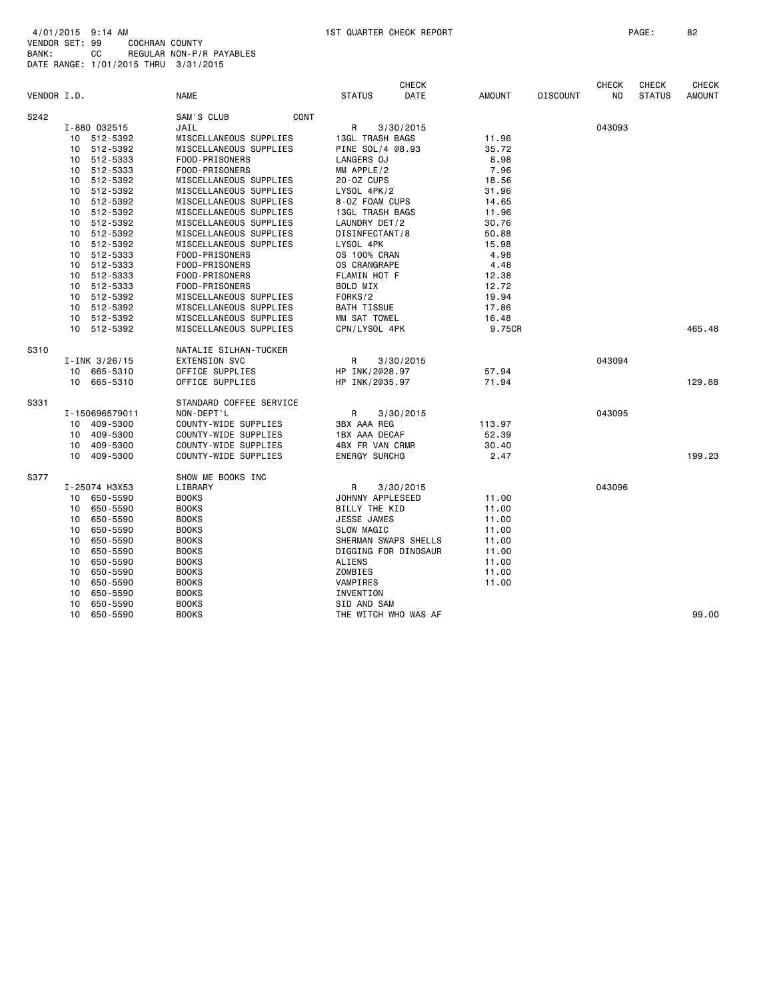| VENDOR I.D. |    |                  | <b>NAME</b>             | <b>STATUS</b>        | <b>CHECK</b><br>DATE | <b>AMOUNT</b> | <b>DISCOUNT</b> | <b>CHECK</b><br>NO. | <b>CHECK</b><br><b>STATUS</b> | <b>CHECK</b><br>AMOUNT |
|-------------|----|------------------|-------------------------|----------------------|----------------------|---------------|-----------------|---------------------|-------------------------------|------------------------|
| S242        |    |                  | SAM'S CLUB<br>CONT      |                      |                      |               |                 |                     |                               |                        |
|             |    | I-880 032515     | JAIL                    | R                    | 3/30/2015            |               |                 | 043093              |                               |                        |
|             |    | 10 512-5392      | MISCELLANEOUS SUPPLIES  | 13GL TRASH BAGS      |                      | 11.96         |                 |                     |                               |                        |
|             | 10 | 512-5392         | MISCELLANEOUS SUPPLIES  | PINE SOL/4 @8.93     |                      | 35.72         |                 |                     |                               |                        |
|             | 10 | 512-5333         | FOOD-PRISONERS          | LANGERS OJ           |                      | 8.98          |                 |                     |                               |                        |
|             | 10 | 512-5333         | FOOD-PRISONERS          | MM APPLE/2           |                      | 7.96          |                 |                     |                               |                        |
|             | 10 | 512-5392         | MISCELLANEOUS SUPPLIES  | 20-0Z CUPS           |                      | 18.56         |                 |                     |                               |                        |
|             | 10 | 512-5392         | MISCELLANEOUS SUPPLIES  | LYSOL 4PK/2          |                      | 31.96         |                 |                     |                               |                        |
|             | 10 | 512-5392         | MISCELLANEOUS SUPPLIES  | 8-0Z FOAM CUPS       |                      | 14.65         |                 |                     |                               |                        |
|             | 10 | 512-5392         | MISCELLANEOUS SUPPLIES  | 13GL TRASH BAGS      |                      | 11.96         |                 |                     |                               |                        |
|             | 10 | 512-5392         | MISCELLANEOUS SUPPLIES  | LAUNDRY DET/2        |                      | 30.76         |                 |                     |                               |                        |
|             | 10 | 512-5392         | MISCELLANEOUS SUPPLIES  | DISINFECTANT/8       |                      | 50.88         |                 |                     |                               |                        |
|             | 10 | 512-5392         | MISCELLANEOUS SUPPLIES  | LYSOL 4PK            |                      | 15.98         |                 |                     |                               |                        |
|             | 10 | 512-5333         | FOOD-PRISONERS          | <b>OS 100% CRAN</b>  |                      | 4.98          |                 |                     |                               |                        |
|             | 10 | 512-5333         | FOOD-PRISONERS          | OS CRANGRAPE         |                      | 4.48          |                 |                     |                               |                        |
|             | 10 | 512-5333         | FOOD-PRISONERS          | FLAMIN HOT F         |                      | 12.38         |                 |                     |                               |                        |
|             | 10 | 512-5333         | FOOD-PRISONERS          | BOLD MIX             |                      | 12.72         |                 |                     |                               |                        |
|             | 10 | 512-5392         | MISCELLANEOUS SUPPLIES  | FORKS/2              |                      | 19.94         |                 |                     |                               |                        |
|             | 10 | 512-5392         | MISCELLANEOUS SUPPLIES  | <b>BATH TISSUE</b>   |                      | 17.86         |                 |                     |                               |                        |
|             | 10 | 512-5392         | MISCELLANEOUS SUPPLIES  | MM SAT TOWEL         |                      | 16.48         |                 |                     |                               |                        |
|             | 10 | 512-5392         | MISCELLANEOUS SUPPLIES  | CPN/LYSOL 4PK        |                      | 9.75CR        |                 |                     |                               | 465.48                 |
| S310        |    |                  | NATALIE SILHAN-TUCKER   |                      |                      |               |                 |                     |                               |                        |
|             |    | $I$ -INK 3/26/15 | <b>EXTENSION SVC</b>    | R                    | 3/30/2015            |               |                 | 043094              |                               |                        |
|             | 10 | 665-5310         | OFFICE SUPPLIES         | HP INK/2@28.97       |                      | 57.94         |                 |                     |                               |                        |
|             | 10 | 665-5310         | OFFICE SUPPLIES         | HP INK/2035.97       |                      | 71.94         |                 |                     |                               | 129.88                 |
| S331        |    |                  | STANDARD COFFEE SERVICE |                      |                      |               |                 |                     |                               |                        |
|             |    | I-150696579011   | NON-DEPT'L              | R                    | 3/30/2015            |               |                 | 043095              |                               |                        |
|             | 10 | 409-5300         | COUNTY-WIDE SUPPLIES    | 3BX AAA REG          |                      | 113.97        |                 |                     |                               |                        |
|             | 10 | 409-5300         | COUNTY-WIDE SUPPLIES    | 1BX AAA DECAF        |                      | 52.39         |                 |                     |                               |                        |
|             | 10 | 409-5300         | COUNTY-WIDE SUPPLIES    | 4BX FR VAN CRMR      |                      | 30.40         |                 |                     |                               |                        |
|             |    | 10 409-5300      | COUNTY-WIDE SUPPLIES    | <b>ENERGY SURCHG</b> |                      | 2.47          |                 |                     |                               | 199.23                 |
| S377        |    |                  | SHOW ME BOOKS INC       |                      |                      |               |                 |                     |                               |                        |
|             |    | I-25074 H3X53    | LIBRARY                 | R                    | 3/30/2015            |               |                 | 043096              |                               |                        |
|             |    | 10 650-5590      | <b>BOOKS</b>            | JOHNNY APPLESEED     |                      | 11.00         |                 |                     |                               |                        |
|             | 10 | 650-5590         | <b>BOOKS</b>            | BILLY THE KID        |                      | 11.00         |                 |                     |                               |                        |
|             | 10 | 650-5590         | <b>BOOKS</b>            | JESSE JAMES          |                      | 11.00         |                 |                     |                               |                        |
|             | 10 | 650-5590         | <b>BOOKS</b>            | <b>SLOW MAGIC</b>    |                      | 11.00         |                 |                     |                               |                        |
|             | 10 | 650-5590         | <b>BOOKS</b>            |                      | SHERMAN SWAPS SHELLS | 11.00         |                 |                     |                               |                        |
|             | 10 | 650-5590         | <b>BOOKS</b>            | DIGGING FOR DINOSAUR |                      | 11.00         |                 |                     |                               |                        |
|             | 10 | 650-5590         | <b>BOOKS</b>            | ALIENS               |                      | 11.00         |                 |                     |                               |                        |
|             | 10 | 650-5590         | <b>BOOKS</b>            | ZOMBIES              |                      | 11.00         |                 |                     |                               |                        |
|             | 10 | 650-5590         | <b>BOOKS</b>            | VAMPIRES             |                      | 11.00         |                 |                     |                               |                        |
|             | 10 | 650-5590         | <b>BOOKS</b>            | INVENTION            |                      |               |                 |                     |                               |                        |
|             | 10 | 650-5590         | <b>BOOKS</b>            | SID AND SAM          |                      |               |                 |                     |                               |                        |
|             | 10 | 650-5590         | <b>BOOKS</b>            | THE WITCH WHO WAS AF |                      |               |                 |                     |                               | 99.00                  |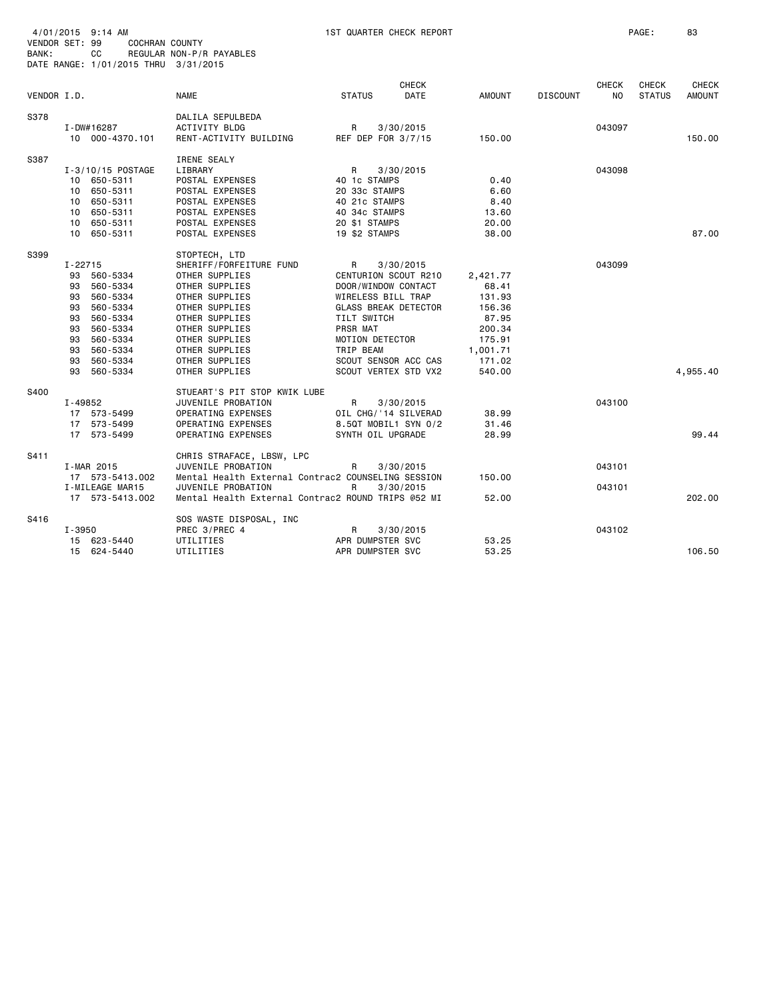| 4/01/2015 9:14 AM<br><b>VENDOR SET: 99</b><br>BANK:                             | COCHRAN COUNTY<br>СC<br>DATE RANGE: 1/01/2015 THRU 3/31/2015                                                         | REGULAR NON-P/R PAYABLES                                                                                                                                                                                                     |                                                                                                                                                                                                                         | 1ST QUARTER CHECK REPORT |                                                                                                    |                 |                    | PAGE:                         | 83                     |
|---------------------------------------------------------------------------------|----------------------------------------------------------------------------------------------------------------------|------------------------------------------------------------------------------------------------------------------------------------------------------------------------------------------------------------------------------|-------------------------------------------------------------------------------------------------------------------------------------------------------------------------------------------------------------------------|--------------------------|----------------------------------------------------------------------------------------------------|-----------------|--------------------|-------------------------------|------------------------|
| VENDOR I.D.                                                                     |                                                                                                                      | <b>NAME</b>                                                                                                                                                                                                                  | <b>STATUS</b>                                                                                                                                                                                                           | <b>CHECK</b><br>DATE     | <b>AMOUNT</b>                                                                                      | <b>DISCOUNT</b> | <b>CHECK</b><br>NO | <b>CHECK</b><br><b>STATUS</b> | CHECK<br><b>AMOUNT</b> |
| S378                                                                            | I-DW#16287<br>10 000-4370.101                                                                                        | DALILA SEPULBEDA<br><b>ACTIVITY BLDG</b><br>RENT-ACTIVITY BUILDING                                                                                                                                                           | R<br>REF DEP FOR 3/7/15                                                                                                                                                                                                 | 3/30/2015                | 150.00                                                                                             |                 | 043097             |                               | 150.00                 |
| S387                                                                            | I-3/10/15 POSTAGE<br>10 650-5311<br>10 650-5311<br>10 650-5311<br>10 650-5311<br>10 650-5311<br>10 650-5311          | <b>IRENE SEALY</b><br>LIBRARY<br>POSTAL EXPENSES<br>POSTAL EXPENSES<br>POSTAL EXPENSES<br>POSTAL EXPENSES<br>POSTAL EXPENSES<br>POSTAL EXPENSES                                                                              | R<br>40 1c STAMPS<br>20 33c STAMPS<br>40 21c STAMPS<br>40 34c STAMPS<br>20 \$1 STAMPS<br>19 \$2 STAMPS                                                                                                                  | 3/30/2015                | 0.40<br>6.60<br>8.40<br>13.60<br>20.00<br>38,00                                                    |                 | 043098             |                               | 87,00                  |
| S399<br>$I - 22715$<br>93<br>93<br>93<br>93<br>93<br>93<br>93<br>93<br>93<br>93 | 560-5334<br>560-5334<br>560-5334<br>560-5334<br>560-5334<br>560-5334<br>560-5334<br>560-5334<br>560-5334<br>560-5334 | STOPTECH, LTD<br>SHERIFF/FORFEITURE FUND<br>OTHER SUPPLIES<br>OTHER SUPPLIES<br>OTHER SUPPLIES<br>OTHER SUPPLIES<br>OTHER SUPPLIES<br>OTHER SUPPLIES<br>OTHER SUPPLIES<br>OTHER SUPPLIES<br>OTHER SUPPLIES<br>OTHER SUPPLIES | R<br>CENTURION SCOUT R210<br>DOOR/WINDOW CONTACT<br>WIRELESS BILL TRAP<br><b>GLASS BREAK DETECTOR</b><br>TILT SWITCH<br><b>PRSR MAT</b><br>MOTION DETECTOR<br>TRIP BEAM<br>SCOUT SENSOR ACC CAS<br>SCOUT VERTEX STD VX2 | 3/30/2015                | 2,421.77<br>68.41<br>131.93<br>156.36<br>87.95<br>200.34<br>175.91<br>1,001.71<br>171.02<br>540.00 |                 | 043099             |                               | 4,955.40               |
| S400<br>I-49852                                                                 | 17 573-5499<br>17 573-5499<br>17 573-5499                                                                            | STUEART'S PIT STOP KWIK LUBE<br>JUVENILE PROBATION<br>OPERATING EXPENSES<br>OPERATING EXPENSES<br>OPERATING EXPENSES                                                                                                         | R<br>OIL CHG/'14 SILVERAD<br>8.5QT MOBIL1 SYN 0/2<br>SYNTH OIL UPGRADE                                                                                                                                                  | 3/30/2015                | 38.99<br>31.46<br>28.99                                                                            |                 | 043100             |                               | 99.44                  |
| S411                                                                            | I-MAR 2015<br>17 573-5413.002<br>I-MILEAGE MAR15<br>17 573-5413.002                                                  | CHRIS STRAFACE, LBSW, LPC<br>JUVENILE PROBATION<br>Mental Health External Contrac2 COUNSELING SESSION<br>JUVENILE PROBATION<br>Mental Health External Contrac2 ROUND TRIPS @52 MI                                            | R<br>R                                                                                                                                                                                                                  | 3/30/2015<br>3/30/2015   | 150.00<br>52.00                                                                                    |                 | 043101<br>043101   |                               | 202.00                 |
| S416<br>I-3950                                                                  | 15 623-5440<br>15 624-5440                                                                                           | SOS WASTE DISPOSAL, INC<br>PREC 3/PREC 4<br>UTILITIES<br>UTILITIES                                                                                                                                                           | R<br>APR DUMPSTER SVC<br>APR DUMPSTER SVC                                                                                                                                                                               | 3/30/2015                | 53.25<br>53.25                                                                                     |                 | 043102             |                               | 106.50                 |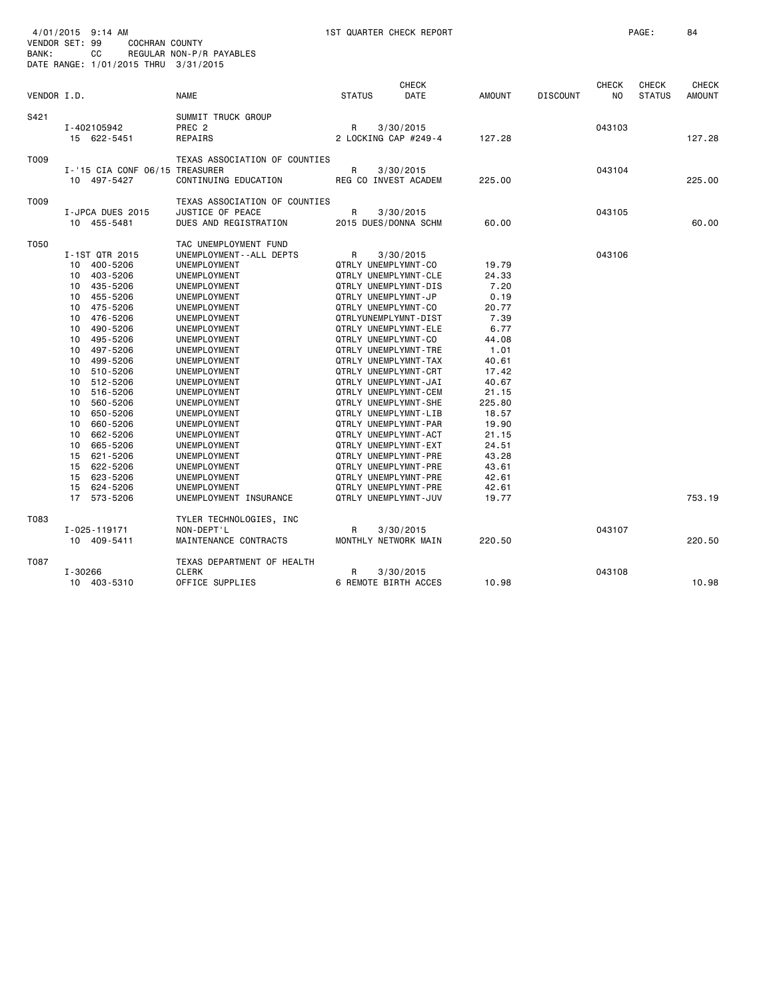| VENDOR SET: 99<br>BANK: |                                                                                                                            | 4/01/2015 9:14 AM<br><b>COCHRAN COUNTY</b><br>СC<br>DATE RANGE: 1/01/2015 THRU 3/31/2015                                                                                                                                                                                                                 | REGULAR NON-P/R PAYABLES                                                                                                                                                                                                                                                                                                                                                                                                                      | 1ST QUARTER CHECK REPORT                                                                                                                                                                                                                                                                                                                                                                                                                                                                                                                                              |                      |                                                                                                                                                                                                         |                 |                                | PAGE:                         | 84                            |
|-------------------------|----------------------------------------------------------------------------------------------------------------------------|----------------------------------------------------------------------------------------------------------------------------------------------------------------------------------------------------------------------------------------------------------------------------------------------------------|-----------------------------------------------------------------------------------------------------------------------------------------------------------------------------------------------------------------------------------------------------------------------------------------------------------------------------------------------------------------------------------------------------------------------------------------------|-----------------------------------------------------------------------------------------------------------------------------------------------------------------------------------------------------------------------------------------------------------------------------------------------------------------------------------------------------------------------------------------------------------------------------------------------------------------------------------------------------------------------------------------------------------------------|----------------------|---------------------------------------------------------------------------------------------------------------------------------------------------------------------------------------------------------|-----------------|--------------------------------|-------------------------------|-------------------------------|
| VENDOR I.D.             |                                                                                                                            |                                                                                                                                                                                                                                                                                                          | <b>NAME</b>                                                                                                                                                                                                                                                                                                                                                                                                                                   | <b>STATUS</b>                                                                                                                                                                                                                                                                                                                                                                                                                                                                                                                                                         | <b>CHECK</b><br>DATE | <b>AMOUNT</b>                                                                                                                                                                                           | <b>DISCOUNT</b> | <b>CHECK</b><br>N <sub>O</sub> | <b>CHECK</b><br><b>STATUS</b> | <b>CHECK</b><br><b>AMOUNT</b> |
|                         |                                                                                                                            |                                                                                                                                                                                                                                                                                                          |                                                                                                                                                                                                                                                                                                                                                                                                                                               |                                                                                                                                                                                                                                                                                                                                                                                                                                                                                                                                                                       |                      |                                                                                                                                                                                                         |                 |                                |                               |                               |
| S421                    |                                                                                                                            | I-402105942<br>15 622-5451                                                                                                                                                                                                                                                                               | SUMMIT TRUCK GROUP<br>PREC <sub>2</sub><br>REPAIRS                                                                                                                                                                                                                                                                                                                                                                                            | R<br>2 LOCKING CAP #249-4                                                                                                                                                                                                                                                                                                                                                                                                                                                                                                                                             | 3/30/2015            | 127.28                                                                                                                                                                                                  |                 | 043103                         |                               | 127.28                        |
| T009                    |                                                                                                                            | I-'15 CIA CONF 06/15 TREASURER                                                                                                                                                                                                                                                                           | TEXAS ASSOCIATION OF COUNTIES                                                                                                                                                                                                                                                                                                                                                                                                                 | R                                                                                                                                                                                                                                                                                                                                                                                                                                                                                                                                                                     | 3/30/2015            |                                                                                                                                                                                                         |                 | 043104                         |                               |                               |
|                         |                                                                                                                            | 10 497-5427                                                                                                                                                                                                                                                                                              | CONTINUING EDUCATION                                                                                                                                                                                                                                                                                                                                                                                                                          | REG CO INVEST ACADEM                                                                                                                                                                                                                                                                                                                                                                                                                                                                                                                                                  |                      | 225.00                                                                                                                                                                                                  |                 |                                |                               | 225,00                        |
| T009                    |                                                                                                                            | I-JPCA DUES 2015<br>10 455-5481                                                                                                                                                                                                                                                                          | TEXAS ASSOCIATION OF COUNTIES<br><b>JUSTICE OF PEACE</b><br>DUES AND REGISTRATION                                                                                                                                                                                                                                                                                                                                                             | R<br>2015 DUES/DONNA SCHM                                                                                                                                                                                                                                                                                                                                                                                                                                                                                                                                             | 3/30/2015            | 60.00                                                                                                                                                                                                   |                 | 043105                         |                               | 60.00                         |
| T050                    | 10<br>10<br>10<br>10<br>10<br>10<br>10<br>10<br>10<br>10<br>10<br>10<br>10<br>10<br>10<br>10<br>10<br>15<br>15<br>15<br>15 | I-1ST QTR 2015<br>10 400-5206<br>403-5206<br>435-5206<br>455-5206<br>475-5206<br>476-5206<br>490-5206<br>495-5206<br>497-5206<br>499-5206<br>510-5206<br>512-5206<br>516-5206<br>560-5206<br>650-5206<br>660-5206<br>662-5206<br>665-5206<br>621-5206<br>622-5206<br>623-5206<br>624-5206<br>17 573-5206 | TAC UNEMPLOYMENT FUND<br>UNEMPLOYMENT - - ALL DEPTS<br>UNEMPLOYMENT<br>UNEMPLOYMENT<br>UNEMPLOYMENT<br>UNEMPLOYMENT<br>UNEMPLOYMENT<br>UNEMPLOYMENT<br>UNEMPLOYMENT<br>UNEMPLOYMENT<br>UNEMPLOYMENT<br>UNEMPLOYMENT<br>UNEMPLOYMENT<br>UNEMPLOYMENT<br>UNEMPLOYMENT<br>UNEMPLOYMENT<br>UNEMPLOYMENT<br>UNEMPLOYMENT<br>UNEMPLOYMENT<br>UNEMPLOYMENT<br>UNEMPLOYMENT<br>UNEMPLOYMENT<br>UNEMPLOYMENT<br>UNEMPLOYMENT<br>UNEMPLOYMENT INSURANCE | R<br>QTRLY UNEMPLYMNT-CO<br>QTRLY UNEMPLYMNT-CLE<br>QTRLY UNEMPLYMNT-DIS<br>QTRLY UNEMPLYMNT-JP<br>QTRLY UNEMPLYMNT-CO<br>QTRLYUNEMPLYMNT-DIST<br>QTRLY UNEMPLYMNT-ELE<br>QTRLY UNEMPLYMNT-CO<br>QTRLY UNEMPLYMNT-TRE<br>QTRLY UNEMPLYMNT-TAX<br>QTRLY UNEMPLYMNT-CRT<br>QTRLY UNEMPLYMNT-JAI<br>QTRLY UNEMPLYMNT-CEM<br>QTRLY UNEMPLYMNT-SHE<br>QTRLY UNEMPLYMNT-LIB<br>QTRLY UNEMPLYMNT-PAR<br>QTRLY UNEMPLYMNT-ACT<br>QTRLY UNEMPLYMNT-EXT<br>QTRLY UNEMPLYMNT-PRE<br>QTRLY UNEMPLYMNT-PRE<br>QTRLY UNEMPLYMNT-PRE<br>QTRLY UNEMPLYMNT-PRE<br>QTRLY UNEMPLYMNT-JUV | 3/30/2015            | 19.79<br>24.33<br>7.20<br>0.19<br>20.77<br>7.39<br>6.77<br>44.08<br>1.01<br>40.61<br>17.42<br>40.67<br>21.15<br>225.80<br>18.57<br>19.90<br>21.15<br>24.51<br>43.28<br>43.61<br>42.61<br>42.61<br>19.77 |                 | 043106                         |                               | 753.19                        |
| T083                    |                                                                                                                            | I-025-119171<br>10 409-5411                                                                                                                                                                                                                                                                              | TYLER TECHNOLOGIES, INC<br>NON-DEPT'L<br>MAINTENANCE CONTRACTS                                                                                                                                                                                                                                                                                                                                                                                | R<br>MONTHLY NETWORK MAIN                                                                                                                                                                                                                                                                                                                                                                                                                                                                                                                                             | 3/30/2015            | 220.50                                                                                                                                                                                                  |                 | 043107                         |                               | 220.50                        |
| T087                    | I-30266                                                                                                                    | 10 403-5310                                                                                                                                                                                                                                                                                              | TEXAS DEPARTMENT OF HEALTH<br><b>CLERK</b><br>OFFICE SUPPLIES                                                                                                                                                                                                                                                                                                                                                                                 | R<br>6 REMOTE BIRTH ACCES                                                                                                                                                                                                                                                                                                                                                                                                                                                                                                                                             | 3/30/2015            | 10.98                                                                                                                                                                                                   |                 | 043108                         |                               | 10.98                         |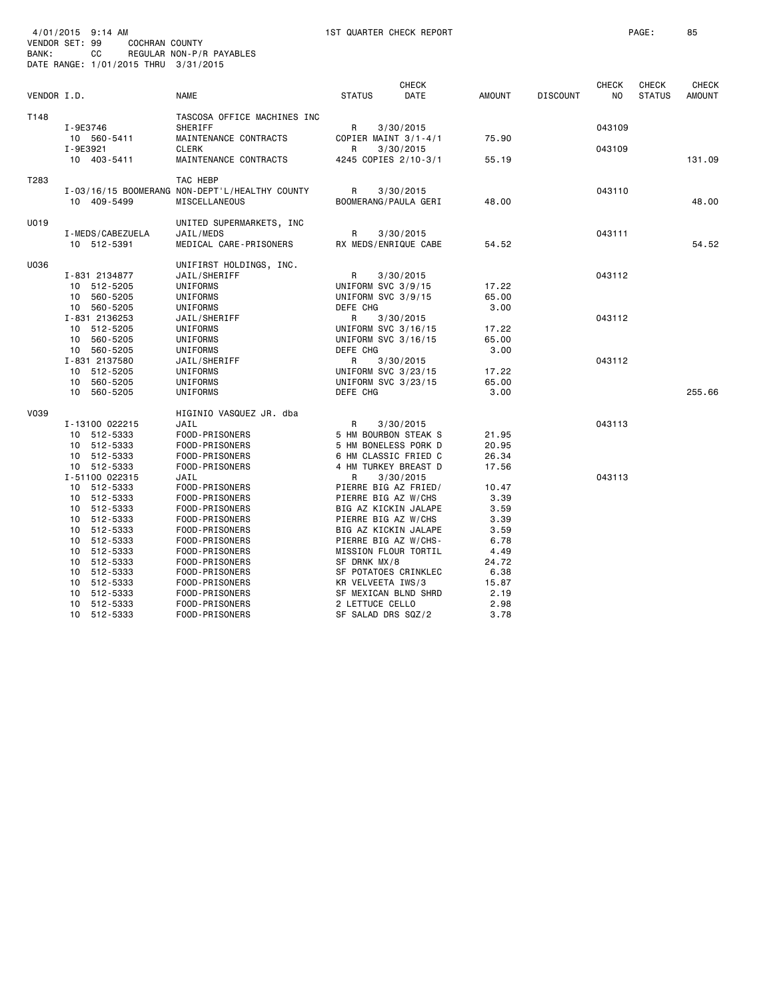|             |                  |                                                |                      | <b>CHECK</b> |               |                 | <b>CHECK</b> | <b>CHECK</b>  | <b>CHECK</b>  |
|-------------|------------------|------------------------------------------------|----------------------|--------------|---------------|-----------------|--------------|---------------|---------------|
| VENDOR I.D. |                  | <b>NAME</b>                                    | <b>STATUS</b>        | DATE         | <b>AMOUNT</b> | <b>DISCOUNT</b> | NO.          | <b>STATUS</b> | <b>AMOUNT</b> |
| T148        |                  | TASCOSA OFFICE MACHINES INC                    |                      |              |               |                 |              |               |               |
|             | I-9E3746         | <b>SHERIFF</b>                                 | R.                   | 3/30/2015    |               |                 | 043109       |               |               |
|             | 10 560-5411      | MAINTENANCE CONTRACTS                          | COPIER MAINT 3/1-4/1 |              | 75.90         |                 |              |               |               |
|             | I-9E3921         | <b>CLERK</b>                                   | R                    | 3/30/2015    |               |                 | 043109       |               |               |
|             | 10 403-5411      | MAINTENANCE CONTRACTS                          | 4245 COPIES 2/10-3/1 |              | 55.19         |                 |              |               | 131.09        |
| T283        |                  | TAC HEBP                                       |                      |              |               |                 |              |               |               |
|             |                  | I-03/16/15 BOOMERANG NON-DEPT'L/HEALTHY COUNTY | R                    | 3/30/2015    |               |                 | 043110       |               |               |
|             | 10 409-5499      | <b>MISCELLANEOUS</b>                           | BOOMERANG/PAULA GERI |              | 48.00         |                 |              |               | 48.00         |
| U019        |                  | UNITED SUPERMARKETS, INC                       |                      |              |               |                 |              |               |               |
|             | I-MEDS/CABEZUELA | JAIL/MEDS                                      | R                    | 3/30/2015    |               |                 | 043111       |               |               |
|             | 10 512-5391      | MEDICAL CARE-PRISONERS                         | RX MEDS/ENRIQUE CABE |              | 54.52         |                 |              |               | 54.52         |
| U036        |                  | UNIFIRST HOLDINGS, INC.                        |                      |              |               |                 |              |               |               |
|             | I-831 2134877    | JAIL/SHERIFF                                   | R                    | 3/30/2015    |               |                 | 043112       |               |               |
|             | 10 512-5205      | UNIFORMS                                       | UNIFORM SVC 3/9/15   |              | 17.22         |                 |              |               |               |
|             | 10 560-5205      | UNIFORMS                                       | UNIFORM SVC 3/9/15   |              | 65.00         |                 |              |               |               |
|             | 10 560-5205      | UNIFORMS                                       | DEFE CHG             |              | 3.00          |                 |              |               |               |
|             | I-831 2136253    | JAIL/SHERIFF                                   | R                    | 3/30/2015    |               |                 | 043112       |               |               |
|             | 10 512-5205      | UNIFORMS                                       | UNIFORM SVC 3/16/15  |              | 17.22         |                 |              |               |               |
|             | 10 560-5205      | UNIFORMS                                       | UNIFORM SVC 3/16/15  |              | 65.00         |                 |              |               |               |
|             | 10 560-5205      | UNIFORMS                                       | DEFE CHG             |              | 3.00          |                 |              |               |               |
|             | I-831 2137580    | JAIL/SHERIFF                                   | R                    | 3/30/2015    |               |                 | 043112       |               |               |
|             | 10 512-5205      | UNIFORMS                                       | UNIFORM SVC 3/23/15  |              | 17.22         |                 |              |               |               |
|             | 10 560-5205      | UNIFORMS                                       | UNIFORM SVC 3/23/15  |              | 65.00         |                 |              |               |               |
|             | 10 560-5205      | UNIFORMS                                       | DEFE CHG             |              | 3.00          |                 |              |               | 255.66        |
| V039        |                  | HIGINIO VASQUEZ JR. dba                        |                      |              |               |                 |              |               |               |
|             | I-13100 022215   | JAIL                                           | R                    | 3/30/2015    |               |                 | 043113       |               |               |
|             | 10 512-5333      | FOOD-PRISONERS                                 | 5 HM BOURBON STEAK S |              | 21.95         |                 |              |               |               |
|             | 10 512-5333      | FOOD-PRISONERS                                 | 5 HM BONELESS PORK D |              | 20.95         |                 |              |               |               |
|             | 10 512-5333      | FOOD-PRISONERS                                 | 6 HM CLASSIC FRIED C |              | 26.34         |                 |              |               |               |
|             | 10 512-5333      | FOOD-PRISONERS                                 | 4 HM TURKEY BREAST D |              | 17.56         |                 |              |               |               |
|             | I-51100 022315   | JAIL                                           | R                    | 3/30/2015    |               |                 | 043113       |               |               |
|             | 10 512-5333      | FOOD-PRISONERS                                 | PIERRE BIG AZ FRIED/ |              | 10.47         |                 |              |               |               |
|             | 10 512-5333      | FOOD-PRISONERS                                 | PIERRE BIG AZ W/CHS  |              | 3.39          |                 |              |               |               |
|             | 10 512-5333      | FOOD-PRISONERS                                 | BIG AZ KICKIN JALAPE |              | 3.59          |                 |              |               |               |
|             | 10 512-5333      | FOOD-PRISONERS                                 | PIERRE BIG AZ W/CHS  |              | 3.39          |                 |              |               |               |
|             | 10 512-5333      | FOOD-PRISONERS                                 | BIG AZ KICKIN JALAPE |              | 3.59          |                 |              |               |               |
|             | 10 512-5333      | FOOD-PRISONERS                                 | PIERRE BIG AZ W/CHS- |              | 6.78          |                 |              |               |               |
|             | 10 512-5333      | FOOD-PRISONERS                                 | MISSION FLOUR TORTIL |              | 4.49          |                 |              |               |               |
|             | 10 512-5333      | FOOD-PRISONERS                                 | SF DRNK MX/8         |              | 24.72         |                 |              |               |               |
|             | 10 512-5333      | FOOD-PRISONERS                                 | SF POTATOES CRINKLEC |              | 6.38          |                 |              |               |               |
|             | 10 512-5333      | FOOD-PRISONERS                                 | KR VELVEETA IWS/3    |              | 15.87         |                 |              |               |               |
|             | 10 512-5333      | FOOD-PRISONERS                                 | SF MEXICAN BLND SHRD |              | 2.19          |                 |              |               |               |
|             | 10 512-5333      | FOOD-PRISONERS                                 | 2 LETTUCE CELLO      |              | 2.98          |                 |              |               |               |
|             | 10 512-5333      | FOOD-PRISONERS                                 | SF SALAD DRS SQZ/2   |              | 3.78          |                 |              |               |               |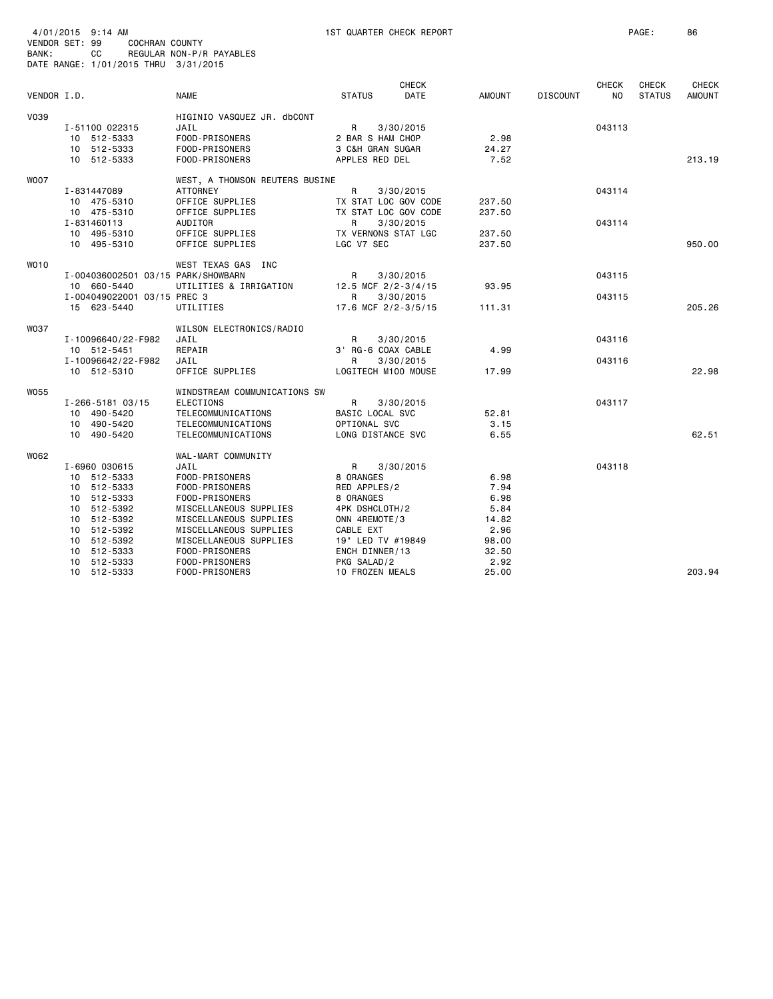| BANK:       | 4/01/2015 9:14 AM<br>VENDOR SET: 99<br><b>COCHRAN COUNTY</b><br>CC<br>DATE RANGE: 1/01/2015 THRU 3/31/2015 | REGULAR NON-P/R PAYABLES           | 1ST QUARTER CHECK REPORT          |                      |                  |                 |                     | PAGE:                         | 86                            |
|-------------|------------------------------------------------------------------------------------------------------------|------------------------------------|-----------------------------------|----------------------|------------------|-----------------|---------------------|-------------------------------|-------------------------------|
| VENDOR I.D. |                                                                                                            | <b>NAME</b>                        | <b>STATUS</b>                     | <b>CHECK</b><br>DATE | AMOUNT           | <b>DISCOUNT</b> | <b>CHECK</b><br>NO. | <b>CHECK</b><br><b>STATUS</b> | <b>CHECK</b><br><b>AMOUNT</b> |
|             |                                                                                                            |                                    |                                   |                      |                  |                 |                     |                               |                               |
| V039        | I-51100 022315                                                                                             | HIGINIO VASQUEZ JR. dbCONT<br>JAIL | R                                 | 3/30/2015            |                  |                 | 043113              |                               |                               |
|             | 10 512-5333                                                                                                | FOOD-PRISONERS                     | 2 BAR S HAM CHOP                  |                      | 2.98             |                 |                     |                               |                               |
|             | 10 512-5333                                                                                                | FOOD-PRISONERS                     | 3 C&H GRAN SUGAR                  |                      | 24.27            |                 |                     |                               |                               |
|             | 10 512-5333                                                                                                | FOOD-PRISONERS                     | APPLES RED DEL                    |                      | 7.52             |                 |                     |                               | 213.19                        |
| <b>WOO7</b> |                                                                                                            | WEST, A THOMSON REUTERS BUSINE     |                                   |                      |                  |                 |                     |                               |                               |
|             | I-831447089                                                                                                | <b>ATTORNEY</b>                    | R                                 | 3/30/2015            |                  |                 | 043114              |                               |                               |
|             | 10 475-5310                                                                                                | OFFICE SUPPLIES                    | TX STAT LOC GOV CODE              |                      | 237.50           |                 |                     |                               |                               |
|             | 10 475-5310                                                                                                | OFFICE SUPPLIES                    | TX STAT LOC GOV CODE              |                      | 237.50           |                 |                     |                               |                               |
|             | I-831460113                                                                                                | AUDITOR                            | R                                 | 3/30/2015            |                  |                 | 043114              |                               |                               |
|             | 10 495-5310<br>10 495-5310                                                                                 | OFFICE SUPPLIES<br>OFFICE SUPPLIES | TX VERNONS STAT LGC<br>LGC V7 SEC |                      | 237.50<br>237.50 |                 |                     |                               | 950.00                        |
|             |                                                                                                            |                                    |                                   |                      |                  |                 |                     |                               |                               |
| WO10        |                                                                                                            | WEST TEXAS GAS INC                 |                                   |                      |                  |                 |                     |                               |                               |
|             | I-004036002501 03/15 PARK/SHOWBARN                                                                         |                                    | R                                 | 3/30/2015            |                  |                 | 043115              |                               |                               |
|             | 10 660-5440                                                                                                | UTILITIES & IRRIGATION             | 12.5 MCF 2/2-3/4/15               |                      | 93.95            |                 |                     |                               |                               |
|             | I-004049022001 03/15 PREC 3                                                                                |                                    | R                                 | 3/30/2015            |                  |                 | 043115              |                               |                               |
|             | 15 623-5440                                                                                                | UTILITIES                          | 17.6 MCF 2/2-3/5/15               |                      | 111.31           |                 |                     |                               | 205.26                        |
| <b>W037</b> |                                                                                                            | WILSON ELECTRONICS/RADIO           |                                   |                      |                  |                 |                     |                               |                               |
|             | I-10096640/22-F982                                                                                         | JAIL                               | R                                 | 3/30/2015            |                  |                 | 043116              |                               |                               |
|             | 10 512-5451                                                                                                | REPAIR                             | 3' RG-6 COAX CABLE                |                      | 4.99             |                 |                     |                               |                               |
|             | I-10096642/22-F982                                                                                         | JAIL                               | R                                 | 3/30/2015            |                  |                 | 043116              |                               |                               |
|             | 10 512-5310                                                                                                | OFFICE SUPPLIES                    | LOGITECH M100 MOUSE               |                      | 17.99            |                 |                     |                               | 22.98                         |
| <b>W055</b> |                                                                                                            | WINDSTREAM COMMUNICATIONS SW       |                                   |                      |                  |                 |                     |                               |                               |
|             | I-266-5181 03/15                                                                                           | <b>ELECTIONS</b>                   | R                                 | 3/30/2015            |                  |                 | 043117              |                               |                               |
|             | 10 490-5420                                                                                                | TELECOMMUNICATIONS                 | BASIC LOCAL SVC                   |                      | 52.81            |                 |                     |                               |                               |
|             | 10 490-5420                                                                                                | TELECOMMUNICATIONS                 | OPTIONAL SVC                      |                      | 3.15             |                 |                     |                               |                               |
|             | 10 490-5420                                                                                                | TELECOMMUNICATIONS                 | LONG DISTANCE SVC                 |                      | 6.55             |                 |                     |                               | 62.51                         |
| W062        |                                                                                                            | WAL-MART COMMUNITY                 |                                   |                      |                  |                 |                     |                               |                               |
|             | I-6960 030615                                                                                              | JAIL                               | R                                 | 3/30/2015            |                  |                 | 043118              |                               |                               |
|             | 10 512-5333                                                                                                | FOOD-PRISONERS                     | 8 ORANGES                         |                      | 6.98             |                 |                     |                               |                               |
|             | 10 512-5333                                                                                                | FOOD-PRISONERS                     | RED APPLES/2                      |                      | 7.94             |                 |                     |                               |                               |
|             | 10 512-5333                                                                                                | FOOD-PRISONERS                     | 8 ORANGES                         |                      | 6.98             |                 |                     |                               |                               |
|             | 10 512-5392                                                                                                | MISCELLANEOUS SUPPLIES             | 4PK DSHCLOTH/2                    |                      | 5.84             |                 |                     |                               |                               |
|             | 10 512-5392                                                                                                | MISCELLANEOUS SUPPLIES             | ONN 4REMOTE/3                     |                      | 14.82            |                 |                     |                               |                               |
|             | 512-5392<br>10                                                                                             | MISCELLANEOUS SUPPLIES             | CABLE EXT                         |                      | 2.96             |                 |                     |                               |                               |
|             | 10 512-5392                                                                                                | MISCELLANEOUS SUPPLIES             | 19" LED TV #19849                 |                      | 98.00            |                 |                     |                               |                               |
|             | 512-5333<br>10<br>10 512-5333                                                                              | FOOD-PRISONERS<br>FOOD-PRISONERS   | ENCH DINNER/13<br>PKG SALAD/2     |                      | 32.50<br>2.92    |                 |                     |                               |                               |
|             | 10 512-5333                                                                                                | FOOD-PRISONERS                     | 10 FROZEN MEALS                   |                      | 25.00            |                 |                     |                               | 203.94                        |
|             |                                                                                                            |                                    |                                   |                      |                  |                 |                     |                               |                               |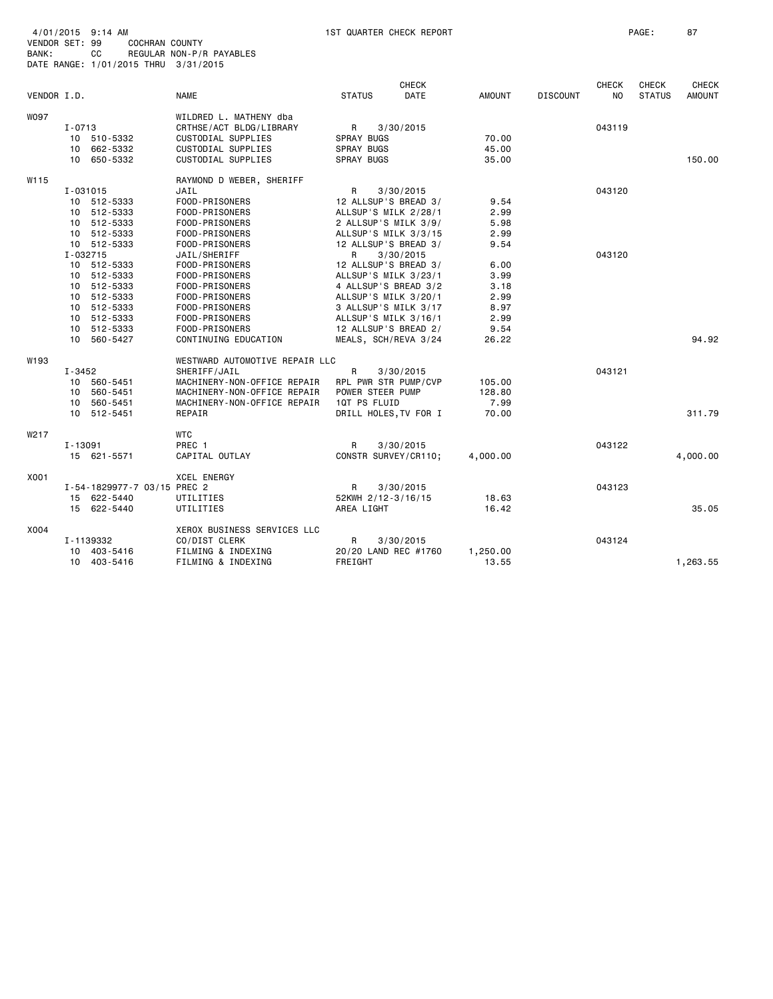| 4/01/2015 9:14 AM<br>VENDOR SET: 99 |            | 1ST QUARTER CHECK REPORT<br>COCHRAN COUNTY  |                                  |                                              |              |               |                 |              |               | 87           |
|-------------------------------------|------------|---------------------------------------------|----------------------------------|----------------------------------------------|--------------|---------------|-----------------|--------------|---------------|--------------|
| BANK:                               |            | CC.<br>DATE RANGE: 1/01/2015 THRU 3/31/2015 | REGULAR NON-P/R PAYABLES         |                                              |              |               |                 |              |               |              |
|                                     |            |                                             |                                  |                                              |              |               |                 |              |               |              |
|                                     |            |                                             |                                  |                                              | <b>CHECK</b> |               |                 | <b>CHECK</b> | <b>CHECK</b>  | <b>CHECK</b> |
| VENDOR I.D.                         |            |                                             | <b>NAME</b>                      | <b>STATUS</b>                                | <b>DATE</b>  | <b>AMOUNT</b> | <b>DISCOUNT</b> | NO.          | <b>STATUS</b> | AMOUNT       |
| <b>WO97</b>                         |            |                                             | WILDRED L. MATHENY dba           |                                              |              |               |                 |              |               |              |
|                                     | $I - 0713$ |                                             | CRTHSE/ACT BLDG/LIBRARY          | R                                            | 3/30/2015    |               |                 | 043119       |               |              |
|                                     |            | 10 510-5332                                 | CUSTODIAL SUPPLIES               | SPRAY BUGS                                   |              | 70.00         |                 |              |               |              |
|                                     |            | 10 662-5332                                 | CUSTODIAL SUPPLIES               | SPRAY BUGS                                   |              | 45.00         |                 |              |               |              |
|                                     |            | 10 650-5332                                 | CUSTODIAL SUPPLIES               | <b>SPRAY BUGS</b>                            |              | 35.00         |                 |              |               | 150.00       |
| W115                                |            |                                             | RAYMOND D WEBER, SHERIFF         |                                              |              |               |                 |              |               |              |
|                                     | I-031015   |                                             | JAIL                             | R                                            | 3/30/2015    |               |                 | 043120       |               |              |
|                                     |            | 10 512-5333                                 | FOOD-PRISONERS                   | 12 ALLSUP'S BREAD 3/                         |              | 9.54          |                 |              |               |              |
|                                     |            | 10 512-5333                                 | FOOD-PRISONERS                   | ALLSUP'S MILK 2/28/1                         |              | 2.99          |                 |              |               |              |
|                                     |            | 10 512-5333                                 | FOOD-PRISONERS                   | 2 ALLSUP'S MILK 3/9/                         |              | 5.98          |                 |              |               |              |
|                                     |            | 10 512-5333                                 | FOOD-PRISONERS                   | ALLSUP'S MILK 3/3/15                         |              | 2.99          |                 |              |               |              |
|                                     |            | 10 512-5333                                 | FOOD-PRISONERS                   | 12 ALLSUP'S BREAD 3/                         |              | 9.54          |                 |              |               |              |
|                                     | I-032715   |                                             | JAIL/SHERIFF                     | R                                            | 3/30/2015    |               |                 | 043120       |               |              |
|                                     |            | 10 512-5333                                 | FOOD-PRISONERS                   | 12 ALLSUP'S BREAD 3/                         |              | 6.00          |                 |              |               |              |
|                                     |            | 10 512-5333                                 | FOOD-PRISONERS                   | ALLSUP'S MILK 3/23/1                         |              | 3.99          |                 |              |               |              |
|                                     |            | 10 512-5333<br>10 512-5333                  | FOOD-PRISONERS<br>FOOD-PRISONERS | 4 ALLSUP'S BREAD 3/2<br>ALLSUP'S MILK 3/20/1 |              | 3.18<br>2.99  |                 |              |               |              |
|                                     |            | 10 512-5333                                 | FOOD-PRISONERS                   | 3 ALLSUP'S MILK 3/17                         |              | 8.97          |                 |              |               |              |
|                                     |            | 10 512-5333                                 | FOOD-PRISONERS                   | ALLSUP'S MILK 3/16/1                         |              | 2.99          |                 |              |               |              |
|                                     |            | 10 512-5333                                 | FOOD-PRISONERS                   | 12 ALLSUP'S BREAD 2/                         |              | 9.54          |                 |              |               |              |
|                                     |            | 10 560-5427                                 | CONTINUING EDUCATION             | MEALS, SCH/REVA 3/24                         |              | 26.22         |                 |              |               | 94.92        |
| W193                                |            |                                             | WESTWARD AUTOMOTIVE REPAIR LLC   |                                              |              |               |                 |              |               |              |
|                                     | I-3452     |                                             | SHERIFF/JAIL                     | R                                            | 3/30/2015    |               |                 | 043121       |               |              |
|                                     |            | 10 560-5451                                 | MACHINERY-NON-OFFICE REPAIR      | RPL PWR STR PUMP/CVP                         |              | 105.00        |                 |              |               |              |
|                                     |            | 10 560-5451                                 | MACHINERY-NON-OFFICE REPAIR      | POWER STEER PUMP                             |              | 128.80        |                 |              |               |              |
|                                     |            | 10 560-5451                                 | MACHINERY-NON-OFFICE REPAIR      | 1QT PS FLUID                                 |              | 7.99          |                 |              |               |              |
|                                     |            | 10 512-5451                                 | REPAIR                           | DRILL HOLES, TV FOR I                        |              | 70.00         |                 |              |               | 311.79       |
| W217                                |            |                                             | <b>WTC</b>                       |                                              |              |               |                 |              |               |              |
|                                     | I-13091    | 15 621-5571                                 | PREC 1<br>CAPITAL OUTLAY         | R<br>CONSTR SURVEY/CR110;                    | 3/30/2015    | 4,000.00      |                 | 043122       |               | 4,000.00     |
| X001                                |            |                                             | <b>XCEL ENERGY</b>               |                                              |              |               |                 |              |               |              |
|                                     |            | I-54-1829977-7 03/15 PREC 2                 |                                  | R                                            | 3/30/2015    |               |                 | 043123       |               |              |
|                                     |            | 15 622-5440                                 | UTILITIES                        | 52KWH 2/12-3/16/15                           |              | 18.63         |                 |              |               |              |
|                                     |            | 15 622-5440                                 | UTILITIES                        | AREA LIGHT                                   |              | 16.42         |                 |              |               | 35.05        |
| X004                                |            |                                             | XEROX BUSINESS SERVICES LLC      |                                              |              |               |                 |              |               |              |
|                                     |            | I-1139332                                   | CO/DIST CLERK                    | R                                            | 3/30/2015    |               |                 | 043124       |               |              |
|                                     | 10         | 403-5416                                    | FILMING & INDEXING               | 20/20 LAND REC #1760                         |              | 1,250.00      |                 |              |               |              |
|                                     |            | 10 403-5416                                 | FILMING & INDEXING               | FREIGHT                                      |              | 13.55         |                 |              |               | 1,263.55     |
|                                     |            |                                             |                                  |                                              |              |               |                 |              |               |              |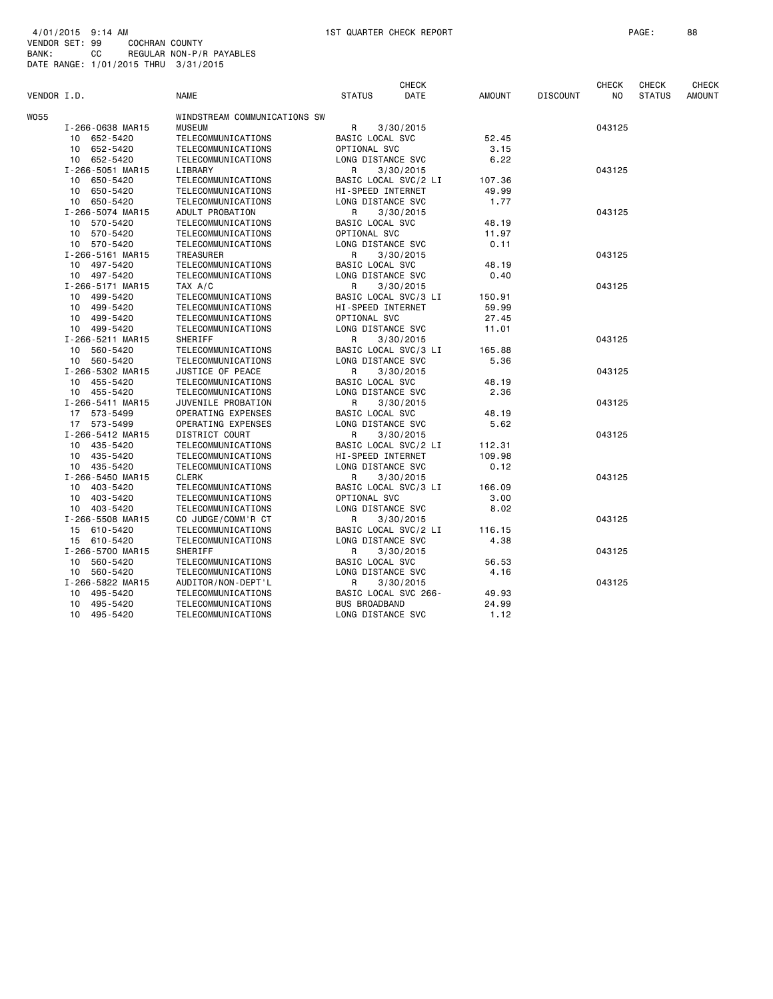| VENDOR I.D.      | <b>NAME</b>                  | <b>STATUS</b>          | <b>CHECK</b><br>DATE | <b>AMOUNT</b> | <b>DISCOUNT</b> | CHECK<br>NO. | <b>CHECK</b><br><b>STATUS</b> | <b>CHECK</b><br><b>AMOUNT</b> |
|------------------|------------------------------|------------------------|----------------------|---------------|-----------------|--------------|-------------------------------|-------------------------------|
| W055             | WINDSTREAM COMMUNICATIONS SW |                        |                      |               |                 |              |                               |                               |
| I-266-0638 MAR15 | <b>MUSEUM</b>                | R                      | 3/30/2015            |               |                 | 043125       |                               |                               |
| 10 652-5420      | TELECOMMUNICATIONS           | BASIC LOCAL SVC        |                      | 52.45         |                 |              |                               |                               |
| 10 652-5420      | TELECOMMUNICATIONS           | OPTIONAL SVC           |                      | 3.15          |                 |              |                               |                               |
| 10 652-5420      | TELECOMMUNICATIONS           | LONG DISTANCE SVC      |                      | 6.22          |                 |              |                               |                               |
| I-266-5051 MAR15 | LIBRARY                      | R                      | 3/30/2015            |               |                 | 043125       |                               |                               |
| 10 650-5420      | TELECOMMUNICATIONS           | BASIC LOCAL SVC/2 LI   |                      | 107.36        |                 |              |                               |                               |
| 10 650-5420      | TELECOMMUNICATIONS           | HI-SPEED INTERNET      |                      | 49.99         |                 |              |                               |                               |
| 10 650-5420      | TELECOMMUNICATIONS           | LONG DISTANCE SVC      |                      | 1.77          |                 |              |                               |                               |
| I-266-5074 MAR15 | ADULT PROBATION              | R                      | 3/30/2015            |               |                 | 043125       |                               |                               |
| 10 570-5420      | TELECOMMUNICATIONS           | BASIC LOCAL SVC        |                      | 48.19         |                 |              |                               |                               |
| 10 570-5420      | TELECOMMUNICATIONS           | OPTIONAL SVC           |                      | 11.97         |                 |              |                               |                               |
| 10 570-5420      | TELECOMMUNICATIONS           | LONG DISTANCE SVC      |                      | 0.11          |                 |              |                               |                               |
| I-266-5161 MAR15 | <b>TREASURER</b>             | R                      | 3/30/2015            |               |                 | 043125       |                               |                               |
| 10 497-5420      | TELECOMMUNICATIONS           | BASIC LOCAL SVC        |                      | 48.19         |                 |              |                               |                               |
| 10 497-5420      | TELECOMMUNICATIONS           | LONG DISTANCE SVC      |                      | 0.40          |                 |              |                               |                               |
| I-266-5171 MAR15 | TAX A/C                      | R                      | 3/30/2015            |               |                 | 043125       |                               |                               |
| 10 499-5420      | TELECOMMUNICATIONS           | BASIC LOCAL SVC/3 LI   |                      | 150.91        |                 |              |                               |                               |
| 10 499-5420      | TELECOMMUNICATIONS           | HI-SPEED INTERNET      |                      | 59.99         |                 |              |                               |                               |
| 10 499-5420      | TELECOMMUNICATIONS           | OPTIONAL SVC           |                      | 27.45         |                 |              |                               |                               |
| 10 499-5420      | TELECOMMUNICATIONS           | LONG DISTANCE SVC      |                      | 11.01         |                 |              |                               |                               |
| I-266-5211 MAR15 | SHERIFF                      | R                      | 3/30/2015            |               |                 | 043125       |                               |                               |
| 10 560-5420      | TELECOMMUNICATIONS           | BASIC LOCAL SVC/3 LI   |                      | 165.88        |                 |              |                               |                               |
| 10 560-5420      | TELECOMMUNICATIONS           | LONG DISTANCE SVC      |                      | 5.36          |                 |              |                               |                               |
| I-266-5302 MAR15 | JUSTICE OF PEACE             | R                      | 3/30/2015            |               |                 | 043125       |                               |                               |
| 10 455-5420      | TELECOMMUNICATIONS           | <b>BASIC LOCAL SVC</b> |                      | 48.19         |                 |              |                               |                               |
| 10 455-5420      | TELECOMMUNICATIONS           | LONG DISTANCE SVC      |                      | 2.36          |                 |              |                               |                               |
| I-266-5411 MAR15 | JUVENILE PROBATION           | R                      | 3/30/2015            |               |                 | 043125       |                               |                               |
| 17 573-5499      | OPERATING EXPENSES           | BASIC LOCAL SVC        |                      | 48.19         |                 |              |                               |                               |
| 17 573-5499      | OPERATING EXPENSES           | LONG DISTANCE SVC      |                      | 5.62          |                 |              |                               |                               |
| I-266-5412 MAR15 | DISTRICT COURT               | R                      | 3/30/2015            |               |                 | 043125       |                               |                               |
| 10 435-5420      | TELECOMMUNICATIONS           | BASIC LOCAL SVC/2 LI   |                      | 112.31        |                 |              |                               |                               |
| 10 435-5420      | TELECOMMUNICATIONS           | HI-SPEED INTERNET      |                      | 109.98        |                 |              |                               |                               |
| 10 435-5420      | TELECOMMUNICATIONS           | LONG DISTANCE SVC      |                      | 0.12          |                 |              |                               |                               |
| I-266-5450 MAR15 | <b>CLERK</b>                 | R                      | 3/30/2015            |               |                 | 043125       |                               |                               |
| 10 403-5420      | TELECOMMUNICATIONS           | BASIC LOCAL SVC/3 LI   |                      | 166.09        |                 |              |                               |                               |
| 10 403-5420      | TELECOMMUNICATIONS           | OPTIONAL SVC           |                      | 3.00          |                 |              |                               |                               |
| 10 403-5420      | TELECOMMUNICATIONS           | LONG DISTANCE SVC      |                      | 8.02          |                 |              |                               |                               |
| I-266-5508 MAR15 | CO JUDGE/COMM'R CT           | R                      | 3/30/2015            |               |                 | 043125       |                               |                               |
| 15 610-5420      | TELECOMMUNICATIONS           | BASIC LOCAL SVC/2 LI   |                      | 116.15        |                 |              |                               |                               |
| 15 610-5420      | TELECOMMUNICATIONS           | LONG DISTANCE SVC      |                      | 4.38          |                 |              |                               |                               |
| I-266-5700 MAR15 | SHERIFF                      | R                      | 3/30/2015            |               |                 | 043125       |                               |                               |
| 10 560-5420      | TELECOMMUNICATIONS           | BASIC LOCAL SVC        |                      | 56.53         |                 |              |                               |                               |
| 10 560-5420      | TELECOMMUNICATIONS           | LONG DISTANCE SVC      |                      | 4.16          |                 |              |                               |                               |
| I-266-5822 MAR15 | AUDITOR/NON-DEPT'L           | R                      | 3/30/2015            |               |                 | 043125       |                               |                               |
| 10 495-5420      | TELECOMMUNICATIONS           | BASIC LOCAL SVC 266-   |                      | 49.93         |                 |              |                               |                               |
| 495-5420<br>10   | TELECOMMUNICATIONS           | <b>BUS BROADBAND</b>   |                      | 24.99         |                 |              |                               |                               |
| 10 495-5420      | TELECOMMUNICATIONS           | LONG DISTANCE SVC      |                      | 1.12          |                 |              |                               |                               |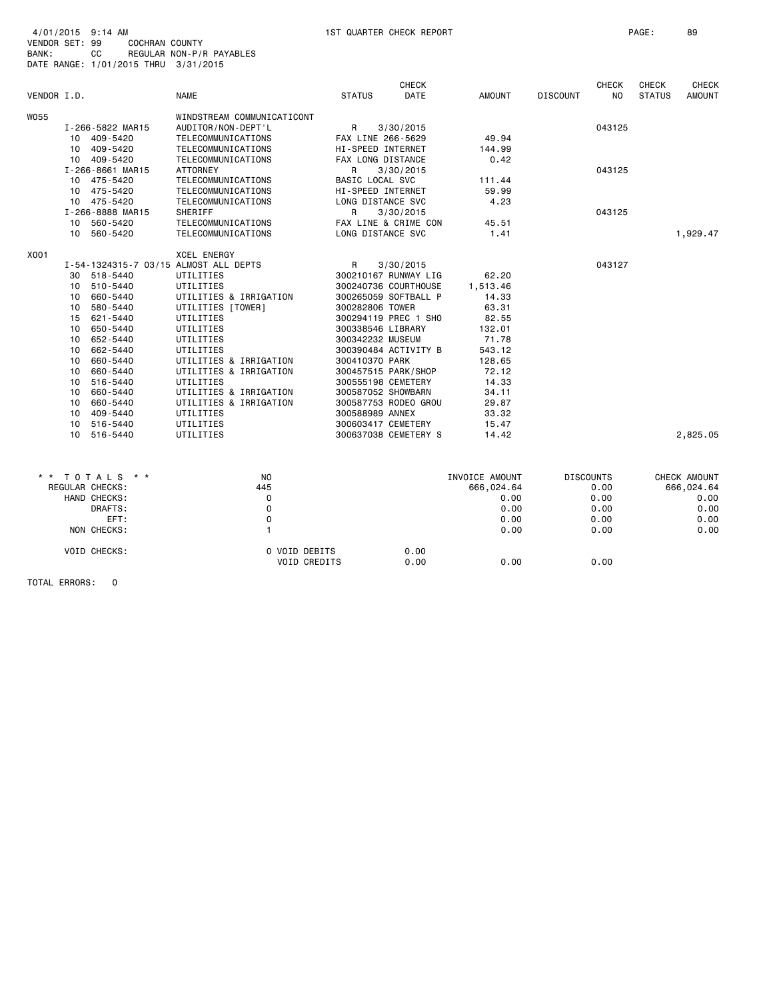| 4/01/2015 9:14 AM |     |                                      |
|-------------------|-----|--------------------------------------|
| VENDOR SET: 99    |     | COCHRAN COUNTY                       |
| BANK:             | CC. | REGULAR NON-P/R PAYABLES             |
|                   |     | DATE RANGE: 1/01/2015 THRU 3/31/2015 |

|                 |    |                  |                                       |                        | <b>CHECK</b>         |                | <b>CHECK</b>           | <b>CHECK</b>  | <b>CHECK</b>  |
|-----------------|----|------------------|---------------------------------------|------------------------|----------------------|----------------|------------------------|---------------|---------------|
| VENDOR I.D.     |    |                  | <b>NAME</b>                           | <b>STATUS</b>          | DATE                 | <b>AMOUNT</b>  | <b>DISCOUNT</b><br>NO. | <b>STATUS</b> | <b>AMOUNT</b> |
| W055            |    |                  | WINDSTREAM COMMUNICATICONT            |                        |                      |                |                        |               |               |
|                 |    | I-266-5822 MAR15 | AUDITOR/NON-DEPT'L                    | R                      | 3/30/2015            |                | 043125                 |               |               |
|                 |    | 10 409-5420      | TELECOMMUNICATIONS                    | FAX LINE 266-5629      |                      | 49.94          |                        |               |               |
|                 |    | 10 409-5420      | TELECOMMUNICATIONS                    | HI-SPEED INTERNET      |                      | 144.99         |                        |               |               |
|                 |    | 10 409-5420      | TELECOMMUNICATIONS                    | FAX LONG DISTANCE      |                      | 0.42           |                        |               |               |
|                 |    | I-266-8661 MAR15 | <b>ATTORNEY</b>                       | R                      | 3/30/2015            |                | 043125                 |               |               |
|                 |    | 10 475-5420      | TELECOMMUNICATIONS                    | <b>BASIC LOCAL SVC</b> |                      | 111.44         |                        |               |               |
|                 |    | 10 475-5420      | TELECOMMUNICATIONS                    | HI-SPEED INTERNET      |                      | 59.99          |                        |               |               |
|                 |    | 10 475-5420      | TELECOMMUNICATIONS                    | LONG DISTANCE SVC      |                      | 4.23           |                        |               |               |
|                 |    | I-266-8888 MAR15 | SHERIFF                               | R                      | 3/30/2015            |                | 043125                 |               |               |
|                 |    | 10 560-5420      | TELECOMMUNICATIONS                    |                        | FAX LINE & CRIME CON | 45.51          |                        |               |               |
|                 |    | 10 560-5420      | TELECOMMUNICATIONS                    | LONG DISTANCE SVC      |                      | 1.41           |                        |               | 1,929.47      |
|                 |    |                  |                                       |                        |                      |                |                        |               |               |
| X001            |    |                  | <b>XCEL ENERGY</b>                    |                        |                      |                |                        |               |               |
|                 |    |                  | I-54-1324315-7 03/15 ALMOST ALL DEPTS | R                      | 3/30/2015            |                | 043127                 |               |               |
|                 | 30 | 518-5440         | UTILITIES                             |                        | 300210167 RUNWAY LIG | 62.20          |                        |               |               |
|                 | 10 | 510-5440         | UTILITIES                             |                        | 300240736 COURTHOUSE | 1,513.46       |                        |               |               |
|                 | 10 | 660-5440         | UTILITIES & IRRIGATION                |                        | 300265059 SOFTBALL P | 14.33          |                        |               |               |
|                 | 10 | 580-5440         | UTILITIES [TOWER]                     | 300282806 TOWER        |                      | 63.31          |                        |               |               |
|                 |    | 15 621-5440      | UTILITIES                             |                        | 300294119 PREC 1 SHO | 82.55          |                        |               |               |
|                 | 10 | 650-5440         | UTILITIES                             | 300338546 LIBRARY      |                      | 132.01         |                        |               |               |
|                 | 10 | 652-5440         | UTILITIES                             | 300342232 MUSEUM       |                      | 71.78          |                        |               |               |
|                 | 10 | 662-5440         | UTILITIES                             |                        | 300390484 ACTIVITY B | 543.12         |                        |               |               |
|                 | 10 | 660-5440         | UTILITIES & IRRIGATION                | 300410370 PARK         |                      | 128.65         |                        |               |               |
|                 | 10 | 660-5440         | UTILITIES & IRRIGATION                |                        | 300457515 PARK/SHOP  | 72.12          |                        |               |               |
|                 | 10 | 516-5440         | UTILITIES                             |                        | 300555198 CEMETERY   | 14.33          |                        |               |               |
|                 | 10 | 660-5440         | UTILITIES & IRRIGATION                |                        | 300587052 SHOWBARN   | 34.11          |                        |               |               |
|                 |    | 10 660-5440      | UTILITIES & IRRIGATION                |                        | 300587753 RODEO GROU | 29.87          |                        |               |               |
|                 |    | 10 409-5440      | UTILITIES                             | 300588989 ANNEX        |                      | 33.32          |                        |               |               |
|                 |    | 10 516-5440      | UTILITIES                             |                        | 300603417 CEMETERY   | 15.47          |                        |               |               |
|                 |    | 10 516-5440      | UTILITIES                             |                        | 300637038 CEMETERY S | 14.42          |                        |               | 2,825.05      |
|                 |    |                  |                                       |                        |                      |                |                        |               |               |
| $\star$ $\star$ |    | TOTALS * *       | NO.                                   |                        |                      | INVOICE AMOUNT | <b>DISCOUNTS</b>       |               | CHECK AMOUNT  |
|                 |    | REGULAR CHECKS:  | 445                                   |                        |                      | 666,024.64     | 0.00                   |               | 666,024.64    |
|                 |    | HAND CHECKS:     | $\Omega$                              |                        |                      | 0.00           | 0.00                   |               | 0.00          |
|                 |    | DRAFTS:          | 0                                     |                        |                      | 0.00           | 0.00                   |               | 0.00          |
|                 |    | EFT:             | 0                                     |                        |                      | 0.00           | 0.00                   |               | 0.00          |
|                 |    | NON CHECKS:      | 1                                     |                        |                      | 0.00           | 0.00                   |               | 0.00          |
|                 |    | VOID CHECKS:     |                                       | 0 VOID DEBITS          | 0.00                 |                |                        |               |               |
|                 |    |                  |                                       | <b>VOID CREDITS</b>    | 0.00                 | 0.00           | 0.00                   |               |               |
|                 |    |                  |                                       |                        |                      |                |                        |               |               |

TOTAL ERRORS: 0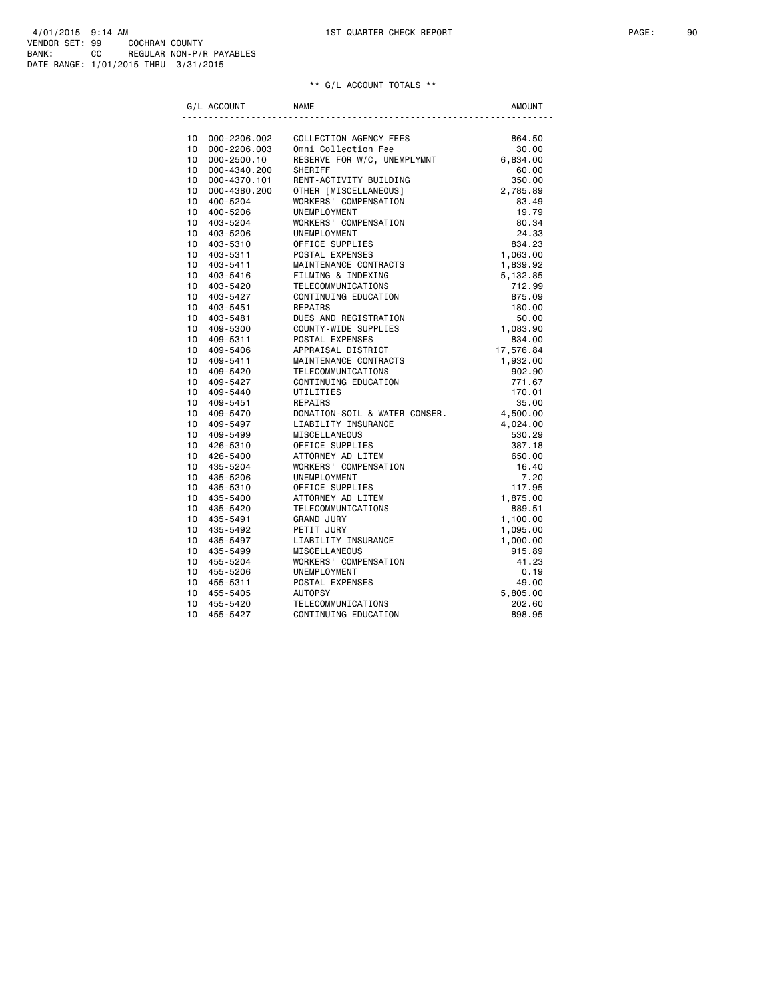|                 | G/L ACCOUNT                     | <b>NAME</b>                   | <b>AMOUNT</b>        |
|-----------------|---------------------------------|-------------------------------|----------------------|
|                 |                                 | COLLECTION AGENCY FEES        |                      |
| 10              | 10 000-2206.002<br>000-2206.003 | Omni Collection Fee           | 864.50<br>30.00      |
| $10-1$          | 000-2500.10                     | RESERVE FOR W/C, UNEMPLYMNT   | 6,834.00             |
| 10              | 000-4340.200                    | SHERIFF                       | 60.00                |
| $10-10$         | 000-4370.101                    | RENT-ACTIVITY BUILDING        | 350.00               |
| 10 <sup>1</sup> | 000-4380.200                    | OTHER [MISCELLANEOUS]         | 2,785.89             |
| 10 <sup>1</sup> | 400-5204                        | WORKERS' COMPENSATION         | 83.49                |
| 10 <sup>1</sup> | 400-5206                        | UNEMPLOYMENT                  | 19.79                |
| 10 <sup>1</sup> | 403-5204                        | WORKERS' COMPENSATION         | 80.34                |
| 10              | 403-5206                        | UNEMPLOYMENT                  | 24.33                |
| 10              | 403-5310                        | OFFICE SUPPLIES               | 834.23               |
| 10 <sup>1</sup> | 403-5311                        | POSTAL EXPENSES               | 1,063.00             |
| 10 <sup>1</sup> | 403-5411                        | MAINTENANCE CONTRACTS         |                      |
| 10 <sup>1</sup> | 403-5416                        | FILMING & INDEXING            | 1,839.92             |
| 10              | 403-5420                        | TELECOMMUNICATIONS            | 5,132.85<br>712.99   |
| 10 <sup>1</sup> |                                 | CONTINUING EDUCATION          |                      |
| 10              | 403-5427<br>403-5451            | REPAIRS                       | 875.09               |
| $10-10$         | 403-5481                        | DUES AND REGISTRATION         | 180.00<br>50.00      |
| 10 <sup>1</sup> | 409-5300                        | COUNTY-WIDE SUPPLIES          |                      |
| $10-10$         |                                 | POSTAL EXPENSES               | 1,083.90<br>834.00   |
| 10              | 409-5311                        | APPRAISAL DISTRICT            | 17,576.84            |
| $10-10$         | 409-5406<br>409-5411            | MAINTENANCE CONTRACTS         | 1,932.00             |
| 10 <sup>1</sup> | 409-5420                        | TELECOMMUNICATIONS            | 902.90               |
| 10              | 409-5427                        | CONTINUING EDUCATION          | 771.67               |
| 10              | 409-5440                        | UTILITIES                     | 170.01               |
|                 | 10 409-5451                     | REPAIRS                       | 35.00                |
|                 | 10 409-5470                     | DONATION-SOIL & WATER CONSER. |                      |
|                 | 10 409-5497                     | LIABILITY INSURANCE           | 4,500.00<br>4,024.00 |
| 10              | 409-5499                        | <b>MISCELLANEOUS</b>          | 530.29               |
|                 | 10 426-5310                     | OFFICE SUPPLIES               | 387.18               |
|                 | 10 426-5400                     | ATTORNEY AD LITEM             | 650.00               |
|                 | 10 435-5204                     | WORKERS' COMPENSATION         | 16.40                |
| 10              | 435-5206                        | UNEMPLOYMENT                  | 7.20                 |
| 10 <sup>1</sup> | 435-5310                        | OFFICE SUPPLIES               | 117.95               |
| 10 <sup>1</sup> | 435-5400                        | ATTORNEY AD LITEM             | 1,875.00             |
| 10              | 435-5420                        | TELECOMMUNICATIONS            | 889.51               |
| $10-10$         | 435-5491                        | <b>GRAND JURY</b>             | 1,100.00             |
| 10 <sup>1</sup> | 435-5492                        | PETIT JURY                    | 1,095.00             |
|                 | 10 435-5497                     | LIABILITY INSURANCE           | 1,000.00             |
| 10              | 435-5499                        | <b>MISCELLANEOUS</b>          | 915.89               |
| 10 <sup>1</sup> | 455-5204                        | WORKERS' COMPENSATION         | 41.23                |
| 10              | 455-5206                        | UNEMPLOYMENT                  |                      |
| 10 <sup>1</sup> | 455-5311                        | POSTAL EXPENSES               | 0.19<br>49.00        |
| 10              | 455-5405                        | <b>AUTOPSY</b>                | 5,805.00             |
| 10              | 455-5420                        | TELECOMMUNICATIONS            | 202.60               |
| 10              | 455-5427                        | CONTINUING EDUCATION          | 898.95               |
|                 |                                 |                               |                      |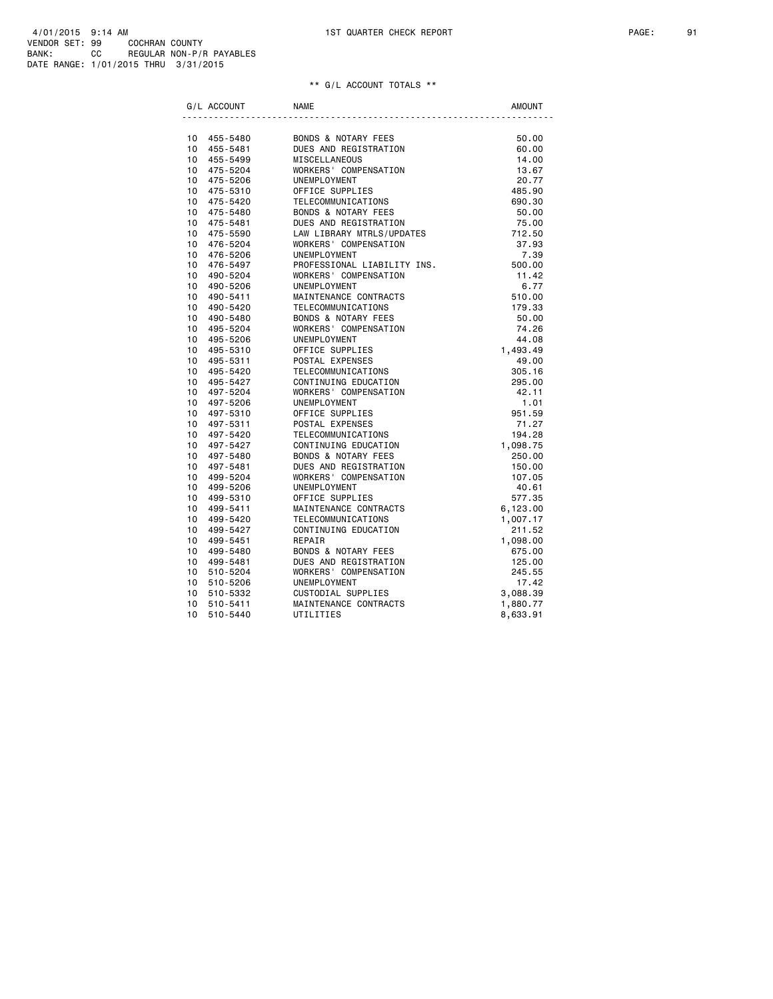| G/L ACCOUNT         | <b>NAME</b>                    | <b>AMOUNT</b> |
|---------------------|--------------------------------|---------------|
|                     |                                |               |
| 10 455-5480         | BONDS & NOTARY FEES            | 50.00         |
| $10-10$<br>455-5481 | DUES AND REGISTRATION          | 60.00         |
| 455-5499<br>10      | <b>MISCELLANEOUS</b>           | 14.00         |
| 10<br>475-5204      | WORKERS' COMPENSATION          | 13.67         |
| 10<br>475-5206      | UNEMPLOYMENT                   | 20.77         |
| 10<br>475-5310      | OFFICE SUPPLIES                | 485.90        |
| 10<br>475-5420      | TELECOMMUNICATIONS             | 690.30        |
| 10<br>475-5480      | <b>BONDS &amp; NOTARY FEES</b> | 50.00         |
| 10<br>475-5481      | DUES AND REGISTRATION          | 75.00         |
| 475-5590<br>10      | LAW LIBRARY MTRLS/UPDATES      | 712.50        |
| 10<br>476-5204      | WORKERS' COMPENSATION          | 37.93         |
| 10<br>476-5206      | UNEMPLOYMENT                   | 7.39          |
| 10<br>476-5497      | PROFESSIONAL LIABILITY INS.    | 500.00        |
| 10<br>490-5204      | WORKERS' COMPENSATION          | 11.42         |
| 10<br>490-5206      | UNEMPLOYMENT                   | 6.77          |
| 10<br>490-5411      | MAINTENANCE CONTRACTS          | 510.00        |
| 10<br>490-5420      | TELECOMMUNICATIONS             | 179.33        |
| 10<br>490-5480      | <b>BONDS &amp; NOTARY FEES</b> | 50.00         |
| 10<br>495-5204      | WORKERS' COMPENSATION          | 74.26         |
| 10<br>495-5206      | UNEMPLOYMENT                   | 44.08         |
| 10<br>495-5310      | OFFICE SUPPLIES                | 1,493.49      |
| 10<br>495-5311      | POSTAL EXPENSES                | 49.00         |
| 10<br>495-5420      | TELECOMMUNICATIONS             | 305.16        |
| 495-5427<br>10      | CONTINUING EDUCATION           | 295.00        |
| 10<br>497-5204      | WORKERS' COMPENSATION          | 42.11         |
| 10<br>497-5206      | UNEMPLOYMENT                   | 1.01          |
| 10<br>497-5310      | OFFICE SUPPLIES                | 951.59        |
| 10<br>497-5311      | POSTAL EXPENSES                | 71.27         |
| 10<br>497-5420      | TELECOMMUNICATIONS             | 194.28        |
| 10<br>497-5427      | CONTINUING EDUCATION           | 1,098.75      |
| 10<br>497-5480      | BONDS & NOTARY FEES            | 250.00        |
| 10<br>497-5481      | DUES AND REGISTRATION          | 150.00        |
| 10<br>499-5204      | WORKERS' COMPENSATION          | 107.05        |
| 10<br>499-5206      | UNEMPLOYMENT                   | 40.61         |
| 10<br>499-5310      | OFFICE SUPPLIES                | 577.35        |
| 10<br>499-5411      | MAINTENANCE CONTRACTS          | 6,123.00      |
| 10<br>499-5420      | TELECOMMUNICATIONS             | 1,007.17      |
| 10<br>499-5427      | CONTINUING EDUCATION           | 211.52        |
| 10<br>499-5451      | REPAIR                         | 1,098.00      |
| 10<br>499-5480      | <b>BONDS &amp; NOTARY FEES</b> | 675.00        |
| 10<br>499-5481      | DUES AND REGISTRATION          | 125.00        |
| 510-5204<br>10      | WORKERS' COMPENSATION          | 245.55        |
| 10<br>510-5206      | UNEMPLOYMENT                   | 17.42         |
| 10<br>510-5332      | CUSTODIAL SUPPLIES             | 3,088.39      |
| 510-5411<br>10      | MAINTENANCE CONTRACTS          | 1,880.77      |
| 10<br>510-5440      | UTILITIES                      | 8,633.91      |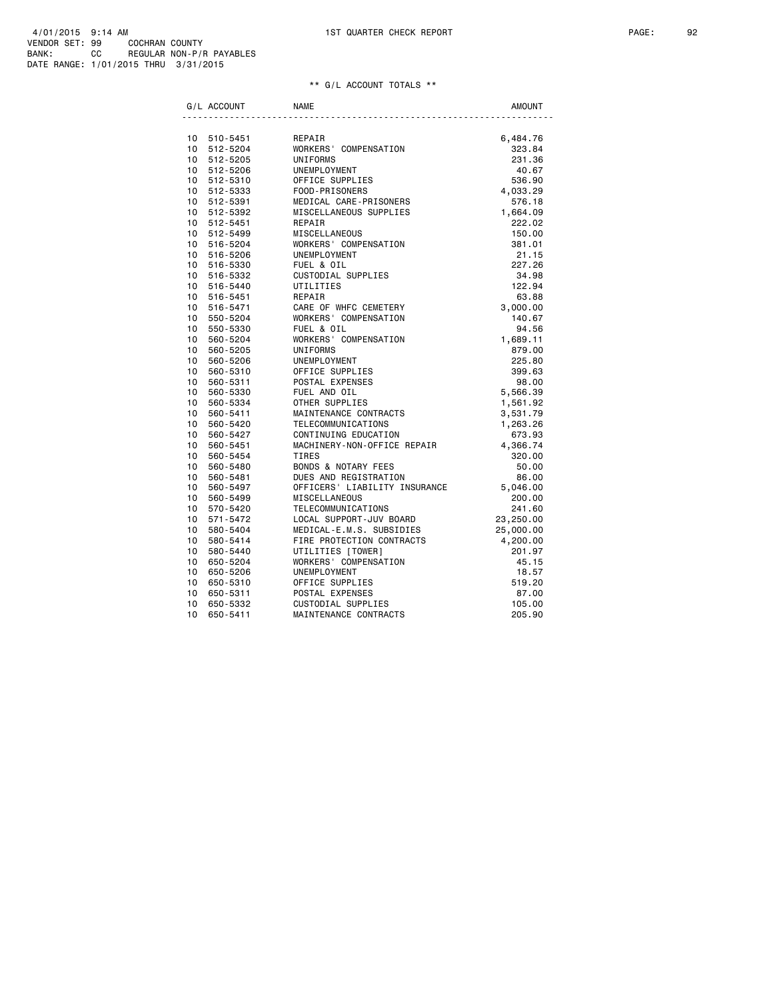|                 | G/L ACCOUNT | <b>NAME</b>                       | <b>AMOUNT</b> |
|-----------------|-------------|-----------------------------------|---------------|
|                 |             |                                   |               |
|                 | 10 510-5451 | REPAIR                            | 6,484.76      |
|                 | 10 512-5204 | WORKERS' COMPENSATION             | 323.84        |
| 10              | 512-5205    | UNIFORMS                          | 231.36        |
|                 | 10 512-5206 | UNEMPLOYMENT                      | 40.67         |
|                 | 10 512-5310 | OFFICE SUPPLIES<br>Coop DeteomfRe | 536.90        |
|                 | 10 512-5333 | FOOD-PRISONERS                    | 4,033.29      |
|                 | 10 512-5391 | MEDICAL CARE-PRISONERS            | 576.18        |
|                 | 10 512-5392 | MISCELLANEOUS SUPPLIES            | 1,664.09      |
| 10              | 512-5451    | REPAIR                            | 222.02        |
|                 | 10 512-5499 | MISCELLANEOUS                     | 150.00        |
|                 | 10 516-5204 | WORKERS' COMPENSATION             | 381.01        |
|                 | 10 516-5206 | UNEMPLOYMENT                      | 21.15         |
|                 | 10 516-5330 | FUEL & OIL                        | 227.26        |
| 10              | 516-5332    | CUSTODIAL SUPPLIES                | 34.98         |
|                 | 10 516-5440 | UTILITIES                         | 122.94        |
| 10              | 516-5451    | REPAIR                            | 63.88         |
| 10 <sup>1</sup> | 516-5471    | CARE OF WHFC CEMETERY             | 3,000.00      |
| 10              | 550-5204    | WORKERS' COMPENSATION             | 140.67        |
| 10              | 550-5330    | FUEL & OIL                        | 94.56         |
| 10              | 560-5204    | WORKERS' COMPENSATION             | 1,689.11      |
| 10 <sup>1</sup> | 560-5205    | UNIFORMS                          | 879.00        |
| 10              | 560-5206    | UNEMPLOYMENT                      | 225.80        |
| 10 <sup>1</sup> | 560-5310    | OFFICE SUPPLIES                   | 399.63        |
| 10              | 560-5311    | POSTAL EXPENSES                   | 98.00         |
| 10              | 560-5330    | FUEL AND OIL                      | 5,566.39      |
| 10              | 560-5334    | OTHER SUPPLIES                    | 1,561.92      |
| 10              | 560-5411    | MAINTENANCE CONTRACTS             | 3,531.79      |
| 10 <sup>1</sup> | 560-5420    | TELECOMMUNICATIONS                | 1,263.26      |
| 10              | 560-5427    | CONTINUING EDUCATION              | 673.93        |
| 10 <sup>1</sup> | 560-5451    | MACHINERY-NON-OFFICE REPAIR       | 4,366.74      |
| 10              | 560-5454    | <b>TIRES</b>                      | 320.00        |
| 10              | 560-5480    | <b>BONDS &amp; NOTARY FEES</b>    | 50.00         |
| 10              | 560-5481    | DUES AND REGISTRATION             | 86.00         |
| 10              | 560-5497    | OFFICERS' LIABILITY INSURANCE     | 5,046.00      |
| 10              | 560-5499    | MISCELLANEOUS                     | 200.00        |
| 10 <sup>1</sup> | 570-5420    | TELECOMMUNICATIONS                | 241.60        |
| 10              | 571-5472    | LOCAL SUPPORT-JUV BOARD           | 23,250.00     |
| 10              | 580-5404    | MEDICAL-E.M.S. SUBSIDIES          | 25,000.00     |
| 10              | 580-5414    | FIRE PROTECTION CONTRACTS         | 4,200.00      |
| 10              | 580-5440    | UTILITIES [TOWER]                 | 201.97        |
| 10              | 650-5204    | WORKERS' COMPENSATION             | 45.15         |
| 10              | 650-5206    | UNEMPLOYMENT                      | 18.57         |
| 10              | 650-5310    | OFFICE SUPPLIES                   | 519.20        |
| 10              | 650-5311    | POSTAL EXPENSES                   | 87.00         |
| 10              | 650-5332    | CUSTODIAL SUPPLIES                | 105.00        |
| 10              | 650-5411    | MAINTENANCE CONTRACTS             | 205.90        |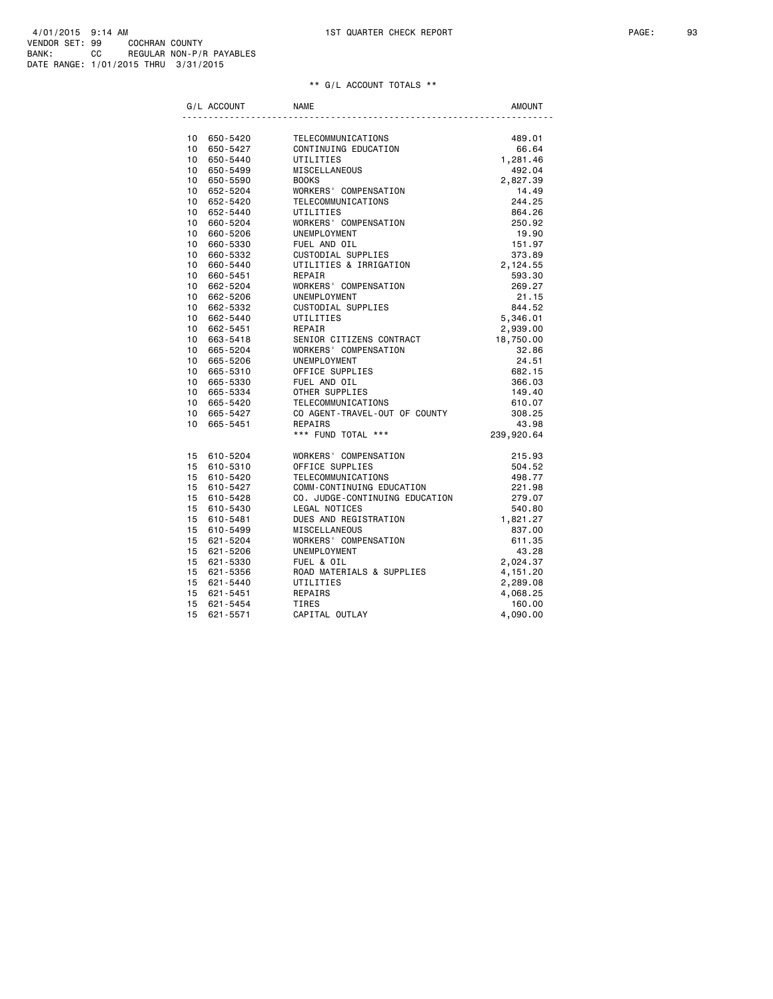|                 | G/L ACCOUNT             | <b>NAME</b>                                                                                                                        | <b>AMOUNT</b>    |
|-----------------|-------------------------|------------------------------------------------------------------------------------------------------------------------------------|------------------|
|                 |                         | TELECOMMUNICATIONS<br>CONTINUING EDUCATION 66.64<br>The CONTINUING EDUCATION 66.64<br>The CONTROL 1,281.46<br>1,281.46<br>1,281.46 |                  |
|                 | 10 650-5420             |                                                                                                                                    |                  |
|                 | 10 650-5427             |                                                                                                                                    |                  |
|                 | 10 650-5440             |                                                                                                                                    |                  |
|                 | 10 650-5499             | MISCELLANEOUS                                                                                                                      | 492.04           |
| 10              | 650-5590                | MISCELLANEOUS<br>BOOKS<br>WORKERS' COMPENSATION<br>WORKERS' COMPENSATION                                                           | 2,827.39         |
|                 | 10 652-5204             |                                                                                                                                    | 14.49            |
| 10              | 652-5420                | TELECOMMUNICATIONS                                                                                                                 | 244.25           |
|                 | 10 652-5440             | UTILITIES                                                                                                                          | 864.26           |
| 10              | 660-5204                | WORKERS' COMPENSATION                                                                                                              | 250.92           |
| 10              | 660-5206                |                                                                                                                                    | 19.90            |
| 10              | 660-5330                | UNEMPLOYMENT<br>FUEL AND OIL<br>CUSTODIAL SUPPLIES<br>UTILITIES & IRRIGATION                                                       | 151.97           |
| 10              | 660-5332                |                                                                                                                                    | 373.89           |
| 10              | 660-5440                |                                                                                                                                    | 2,124.55         |
| 10 <sup>1</sup> | 660-5451                | REPAIR<br>WORKERS' COMPENSATION                                                                                                    | 593.30           |
| 10              | 662-5204                |                                                                                                                                    | 269.27           |
| 10              | 662-5206                | UNEMPLOYMENT                                                                                                                       | 21.15            |
| 10              | 662-5332                | CUSTODIAL SUPPLIES                                                                                                                 | 844.52           |
| 10 <sup>1</sup> | 662-5440                | UTILITIES                                                                                                                          | 5,346.01         |
| 10              | 662-5451                | REPAIR                                                                                                                             | 2,939.00         |
| 10              | 663-5418                | SENIOR CITIZENS CONTRACT                                                                                                           | 18,750.00        |
|                 | 10 665-5204             | WORKERS' COMPENSATION                                                                                                              | 32.86            |
| 10              | 665-5206                | UNEMPLOYMENT                                                                                                                       | 24.51            |
|                 | 10 665-5310             | OFFICE SUPPLIES                                                                                                                    | 682.15           |
| 10              | 665-5330                | FUEL AND OIL<br>OTHER SUPPLIES                                                                                                     | 366.03           |
| 10              | 10 665-5334<br>665-5420 | TELECOMMUNICATIONS                                                                                                                 | 149.40<br>610.07 |
| 10              |                         |                                                                                                                                    | 308.25           |
| 10              | 665-5427                | CO AGENT-TRAVEL-OUT OF COUNTY                                                                                                      |                  |
|                 | 665-5451                | REPAIRS<br>*** FUND TOTAL ***                                                                                                      | 43.98            |
|                 |                         |                                                                                                                                    | 239,920.64       |
|                 | 15 610-5204             | WORKERS' COMPENSATION                                                                                                              | 215.93           |
|                 | 15 610-5310             | OFFICE SUPPLIES                                                                                                                    | 504.52           |
|                 | 15 610-5420             | TELECOMMUNICATIONS                                                                                                                 | 498.77           |
|                 | 15 610-5427             | COMM-CONTINUING EDUCATION<br>CO. JUDGE-CONTINUING EDUCATION                                                                        | 221.98           |
|                 | 15 610-5428             |                                                                                                                                    | 279.07           |
|                 | 15 610-5430             | LEGAL NOTICES                                                                                                                      | 540.80           |
| 15              | 610-5481                | DUES AND REGISTRATION                                                                                                              | 1,821.27         |
|                 | 15 610-5499             | MISCELLANEOUS                                                                                                                      | 837.00           |
|                 | 15 621-5204             | WORKERS' COMPENSATION                                                                                                              | 611.35           |
|                 | 15 621-5206             | UNEMPLOYMENT                                                                                                                       | 43.28            |
| 15              | 621-5330                | FUEL & OIL                                                                                                                         | 2,024.37         |
|                 | 15 621-5356             | ROAD MATERIALS & SUPPLIES                                                                                                          | 4, 151.20        |
|                 | 15 621-5440             | UTILITIES                                                                                                                          | 2,289.08         |
|                 | 15 621-5451             | REPAIRS                                                                                                                            | 4,068.25         |
| 15              | 621-5454                | <b>TIRES</b>                                                                                                                       | 160.00           |
| 15              | 621-5571                | CAPITAL OUTLAY                                                                                                                     | 4,090.00         |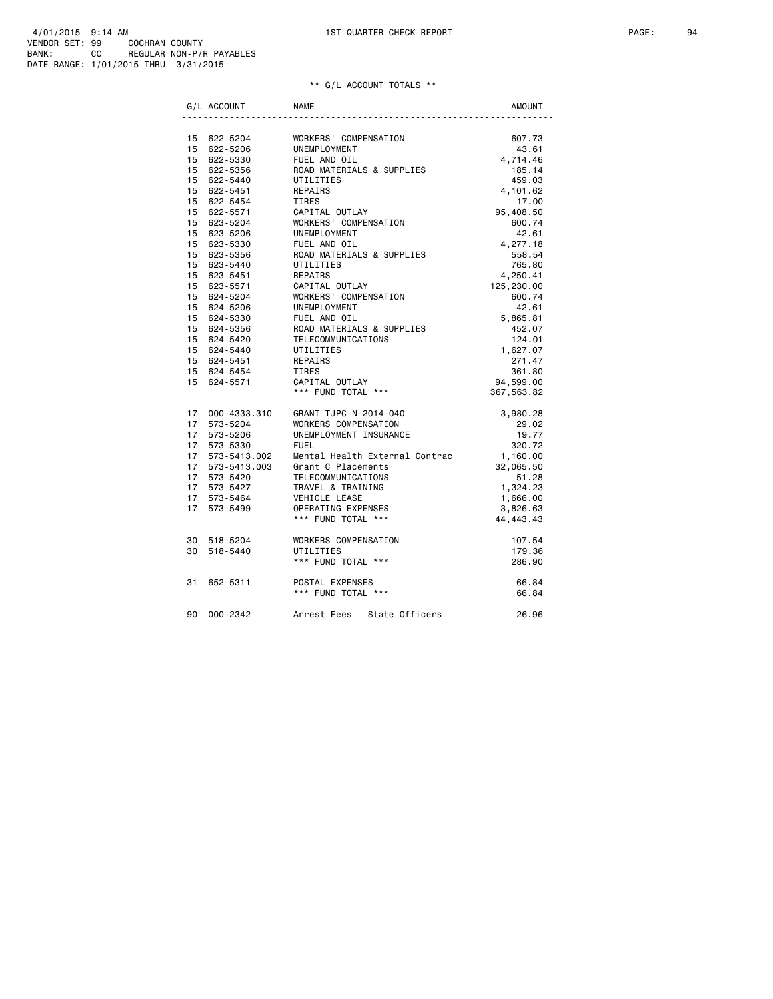|    | G/L ACCOUNT                | <b>NAME</b>                    | <b>AMOUNT</b>      |
|----|----------------------------|--------------------------------|--------------------|
|    |                            |                                |                    |
|    | 15 622-5204                | WORKERS' COMPENSATION          | 607.73             |
|    | 15 622-5206                | UNEMPLOYMENT                   | 43.61              |
|    | 15 622-5330                | FUEL AND OIL                   | 4,714.46           |
|    | 15 622-5356                | ROAD MATERIALS & SUPPLIES      | 185.14             |
|    | 15 622-5440                | UTILITIES                      | 459.03             |
|    | 15 622-5451                | REPAIRS                        | 4,101.62           |
|    | 15 622-5454                | TIRES                          | 17.00              |
|    | 15 622-5571                | CAPITAL OUTLAY                 | 95,408.50          |
|    | 15 623-5204                | WORKERS' COMPENSATION          | 600.74             |
|    | 15 623-5206                | UNEMPLOYMENT<br>FUEL AND OIL   | 42.61              |
|    | 15 623-5330<br>15 623-5356 | ROAD MATERIALS & SUPPLIES      | 4,277.18<br>558.54 |
|    | 15 623-5440                | UTILITIES                      | 765.80             |
|    | 15 623-5451                | REPAIRS                        | 4,250.41           |
|    | 15 623-5571                | CAPITAL OUTLAY                 | 125,230.00         |
|    | 15 624-5204                | WORKERS' COMPENSATION          | 600.74             |
|    | 15 624-5206                | UNEMPLOYMENT                   | 42.61              |
|    | 15 624-5330                | FUEL AND OIL                   | 5,865.81           |
|    | 15 624-5356                | ROAD MATERIALS & SUPPLIES      | 452.07             |
|    | 15 624-5420                | TELECOMMUNICATIONS             | 124.01             |
|    | 15 624-5440                | UTILITIES                      | 1,627.07           |
|    | 15 624-5451                | REPAIRS                        | 271.47             |
|    | 15 624-5454                | TIRES                          | 361.80             |
|    | 15 624-5571                | CAPITAL OUTLAY                 | 94,599.00          |
|    |                            | *** FUND TOTAL ***             | 367,563.82         |
|    | 17 000-4333.310            | GRANT TJPC-N-2014-040          | 3,980.28           |
|    | 17 573-5204                | WORKERS COMPENSATION           | 29.02              |
| 17 | 573-5206                   | UNEMPLOYMENT INSURANCE         | 19.77              |
| 17 | 573-5330                   | <b>FUEL</b>                    | 320.72             |
|    | 17 573-5413.002            | Mental Health External Contrac | 1,160.00           |
|    | 17 573-5413.003            | Grant C Placements             | 32,065.50          |
|    | 17 573-5420                | TELECOMMUNICATIONS             | 51.28              |
|    | 17 573-5427                | TRAVEL & TRAINING              | 1,324.23           |
|    | 17 573-5464                | VEHICLE LEASE                  | 1,666.00           |
|    | 17 573-5499                | OPERATING EXPENSES             | 3,826.63           |
|    |                            | *** FUND TOTAL ***             | 44, 443. 43        |
|    | 30 518-5204                | WORKERS COMPENSATION           | 107.54             |
|    | 30 518-5440                | UTILITIES                      | 179.36             |
|    |                            | *** FUND TOTAL ***             | 286.90             |
| 31 | 652-5311                   | POSTAL EXPENSES                | 66.84              |
|    |                            | *** FUND TOTAL ***             | 66.84              |
| 90 | 000-2342                   | Arrest Fees - State Officers   | 26.96              |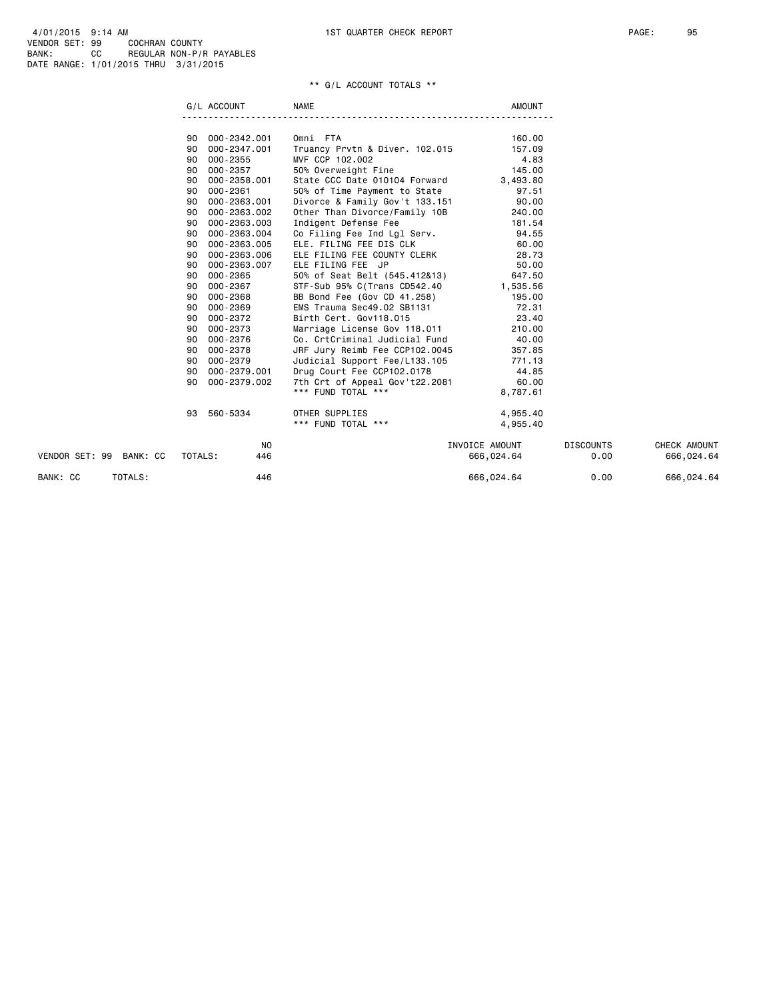|                         | G/L ACCOUNT        | <b>NAME</b>                         | AMOUNT         |                  |              |
|-------------------------|--------------------|-------------------------------------|----------------|------------------|--------------|
|                         |                    |                                     |                |                  |              |
|                         | 000-2342.001<br>90 | Omni FTA                            | 160.00         |                  |              |
|                         | 90 000-2347.001    | Truancy Prvtn & Diver. 102.015      | 157.09         |                  |              |
|                         | 000-2355<br>90     | MVF CCP 102.002                     | 4.83           |                  |              |
|                         | 000-2357<br>90     | 50% Overweight Fine                 | 145.00         |                  |              |
|                         | 000-2358.001<br>90 | State CCC Date 010104 Forward       | 3,493.80       |                  |              |
|                         | 000-2361<br>90     | 50% of Time Payment to State        | 97.51          |                  |              |
|                         | 000-2363.001<br>90 | Divorce & Family Gov't 133.151      | 90.00          |                  |              |
|                         | 000-2363.002<br>90 | Other Than Divorce/Family 10B       | 240.00         |                  |              |
|                         | 000-2363.003<br>90 | Indigent Defense Fee                | 181.54         |                  |              |
|                         | 000-2363.004<br>90 | Co Filing Fee Ind Lgl Serv.         | 94.55          |                  |              |
|                         | 90<br>000-2363.005 | ELE. FILING FEE DIS CLK             | 60.00          |                  |              |
|                         | 90<br>000-2363.006 | ELE FILING FEE COUNTY CLERK         | 28.73          |                  |              |
|                         | 90<br>000-2363.007 | ELE FILING FEE JP                   | 50.00          |                  |              |
|                         | 000-2365<br>90     | 50% of Seat Belt (545.412&13)       | 647.50         |                  |              |
|                         | 000-2367<br>90     | STF-Sub 95% C(Trans CD542.40        | 1,535.56       |                  |              |
|                         | 90<br>000-2368     | BB Bond Fee (Gov CD 41.258)         | 195.00         |                  |              |
|                         | 000-2369<br>90     | EMS Trauma Sec49.02 SB1131 72.31    |                |                  |              |
|                         | 000-2372<br>90     | Birth Cert. Gov118.015              | 23.40          |                  |              |
|                         | 000-2373<br>90     | Marriage License Gov 118.011        | 210.00         |                  |              |
|                         | 000-2376<br>90     | Co. CrtCriminal Judicial Fund 40.00 |                |                  |              |
|                         | 000-2378<br>90     | JRF Jury Reimb Fee CCP102.0045      | 357.85         |                  |              |
|                         | 000-2379<br>90     | Judicial Support Fee/L133.105       | 771.13         |                  |              |
|                         | 000-2379.001<br>90 | Drug Court Fee CCP102.0178          | 44.85          |                  |              |
|                         | 000-2379.002<br>90 | 7th Crt of Appeal Gov't22.2081      | 60.00          |                  |              |
|                         |                    | *** FUND TOTAL ***                  | 8,787.61       |                  |              |
|                         | 560-5334<br>93     | OTHER SUPPLIES                      | 4,955.40       |                  |              |
|                         |                    | *** FUND TOTAL ***                  | 4,955.40       |                  |              |
|                         | NO.                |                                     | INVOICE AMOUNT | <b>DISCOUNTS</b> | CHECK AMOUNT |
| VENDOR SET: 99 BANK: CC | 446<br>TOTALS:     |                                     | 666,024.64     | 0.00             | 666,024.64   |
| TOTALS:<br>BANK: CC     | 446                |                                     | 666,024.64     | 0.00             | 666,024.64   |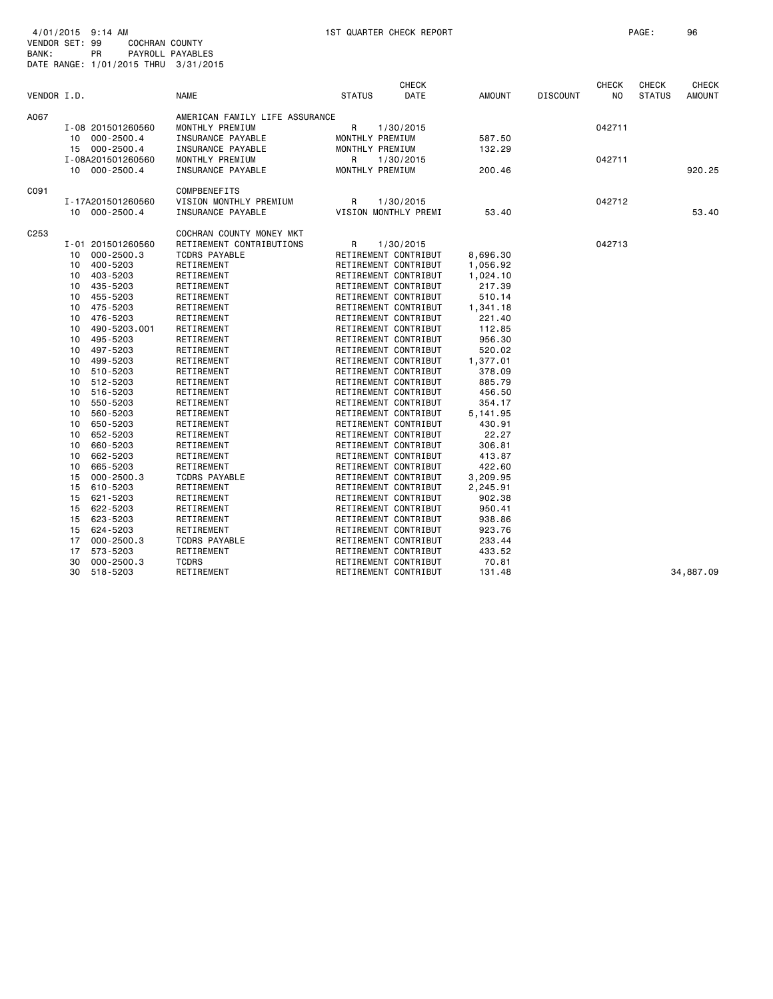| VENDOR I.D. |    |                   | <b>NAME</b>                    | <b>STATUS</b>   | <b>CHECK</b><br>DATE | AMOUNT   | <b>DISCOUNT</b> | <b>CHECK</b><br>NO | CHECK<br><b>STATUS</b> | <b>CHECK</b><br><b>AMOUNT</b> |
|-------------|----|-------------------|--------------------------------|-----------------|----------------------|----------|-----------------|--------------------|------------------------|-------------------------------|
| A067        |    |                   | AMERICAN FAMILY LIFE ASSURANCE |                 |                      |          |                 |                    |                        |                               |
|             |    | I-08 201501260560 | MONTHLY PREMIUM                | R               | 1/30/2015            |          |                 | 042711             |                        |                               |
|             |    | 10 000-2500.4     | INSURANCE PAYABLE              | MONTHLY PREMIUM |                      | 587.50   |                 |                    |                        |                               |
|             |    | 15 000-2500.4     | INSURANCE PAYABLE              | MONTHLY PREMIUM |                      | 132.29   |                 |                    |                        |                               |
|             |    | I-08A201501260560 | MONTHLY PREMIUM                | R               | 1/30/2015            |          |                 | 042711             |                        |                               |
|             |    | 10 000-2500.4     | INSURANCE PAYABLE              | MONTHLY PREMIUM |                      | 200.46   |                 |                    |                        | 920.25                        |
| C091        |    |                   | <b>COMPBENEFITS</b>            |                 |                      |          |                 |                    |                        |                               |
|             |    | I-17A201501260560 | VISION MONTHLY PREMIUM         | R               | 1/30/2015            |          |                 | 042712             |                        |                               |
|             |    | 10 000-2500.4     | INSURANCE PAYABLE              |                 | VISION MONTHLY PREMI | 53.40    |                 |                    |                        | 53.40                         |
| C253        |    |                   | COCHRAN COUNTY MONEY MKT       |                 |                      |          |                 |                    |                        |                               |
|             |    | I-01 201501260560 | RETIREMENT CONTRIBUTIONS       | R               | 1/30/2015            |          |                 | 042713             |                        |                               |
|             | 10 | 000-2500.3        | <b>TCDRS PAYABLE</b>           |                 | RETIREMENT CONTRIBUT | 8,696.30 |                 |                    |                        |                               |
|             | 10 | 400-5203          | RETIREMENT                     |                 | RETIREMENT CONTRIBUT | 1,056.92 |                 |                    |                        |                               |
|             | 10 | 403-5203          | RETIREMENT                     |                 | RETIREMENT CONTRIBUT | 1,024.10 |                 |                    |                        |                               |
|             | 10 | 435-5203          | RETIREMENT                     |                 | RETIREMENT CONTRIBUT | 217.39   |                 |                    |                        |                               |
|             | 10 | 455-5203          | RETIREMENT                     |                 | RETIREMENT CONTRIBUT | 510.14   |                 |                    |                        |                               |
|             | 10 | 475-5203          | RETIREMENT                     |                 | RETIREMENT CONTRIBUT | 1,341.18 |                 |                    |                        |                               |
|             | 10 | 476-5203          | RETIREMENT                     |                 | RETIREMENT CONTRIBUT | 221.40   |                 |                    |                        |                               |
|             | 10 | 490-5203.001      | RETIREMENT                     |                 | RETIREMENT CONTRIBUT | 112.85   |                 |                    |                        |                               |
|             | 10 | 495-5203          | RETIREMENT                     |                 | RETIREMENT CONTRIBUT | 956.30   |                 |                    |                        |                               |
|             | 10 | 497-5203          | RETIREMENT                     |                 | RETIREMENT CONTRIBUT | 520.02   |                 |                    |                        |                               |
|             | 10 | 499-5203          | RETIREMENT                     |                 | RETIREMENT CONTRIBUT | 1,377.01 |                 |                    |                        |                               |
|             | 10 | 510-5203          | RETIREMENT                     |                 | RETIREMENT CONTRIBUT | 378.09   |                 |                    |                        |                               |
|             | 10 | 512-5203          | RETIREMENT                     |                 | RETIREMENT CONTRIBUT | 885.79   |                 |                    |                        |                               |
|             | 10 | 516-5203          | RETIREMENT                     |                 | RETIREMENT CONTRIBUT | 456.50   |                 |                    |                        |                               |
|             | 10 | 550-5203          | RETIREMENT                     |                 | RETIREMENT CONTRIBUT | 354.17   |                 |                    |                        |                               |
|             | 10 | 560-5203          | RETIREMENT                     |                 | RETIREMENT CONTRIBUT | 5,141.95 |                 |                    |                        |                               |
|             | 10 | 650-5203          | RETIREMENT                     |                 | RETIREMENT CONTRIBUT | 430.91   |                 |                    |                        |                               |
|             | 10 | 652-5203          | RETIREMENT                     |                 | RETIREMENT CONTRIBUT | 22.27    |                 |                    |                        |                               |
|             | 10 | 660-5203          | RETIREMENT                     |                 | RETIREMENT CONTRIBUT | 306.81   |                 |                    |                        |                               |
|             | 10 | 662-5203          | RETIREMENT                     |                 | RETIREMENT CONTRIBUT | 413.87   |                 |                    |                        |                               |
|             | 10 | 665-5203          | RETIREMENT                     |                 | RETIREMENT CONTRIBUT | 422.60   |                 |                    |                        |                               |
|             | 15 | $000 - 2500.3$    | <b>TCDRS PAYABLE</b>           |                 | RETIREMENT CONTRIBUT | 3,209.95 |                 |                    |                        |                               |
|             | 15 | 610-5203          | RETIREMENT                     |                 | RETIREMENT CONTRIBUT | 2,245.91 |                 |                    |                        |                               |
|             | 15 | 621-5203          | RETIREMENT                     |                 | RETIREMENT CONTRIBUT | 902.38   |                 |                    |                        |                               |
|             | 15 | 622-5203          | RETIREMENT                     |                 | RETIREMENT CONTRIBUT | 950.41   |                 |                    |                        |                               |
|             | 15 | 623-5203          | RETIREMENT                     |                 | RETIREMENT CONTRIBUT | 938.86   |                 |                    |                        |                               |
|             | 15 | 624-5203          | RETIREMENT                     |                 | RETIREMENT CONTRIBUT | 923.76   |                 |                    |                        |                               |
|             | 17 | $000 - 2500.3$    | <b>TCDRS PAYABLE</b>           |                 | RETIREMENT CONTRIBUT | 233.44   |                 |                    |                        |                               |
|             | 17 | 573-5203          | RETIREMENT                     |                 | RETIREMENT CONTRIBUT | 433.52   |                 |                    |                        |                               |
|             | 30 | $000 - 2500.3$    | <b>TCDRS</b>                   |                 | RETIREMENT CONTRIBUT | 70.81    |                 |                    |                        |                               |
|             | 30 | 518-5203          | RETIREMENT                     |                 | RETIREMENT CONTRIBUT | 131.48   |                 |                    |                        | 34,887.09                     |
|             |    |                   |                                |                 |                      |          |                 |                    |                        |                               |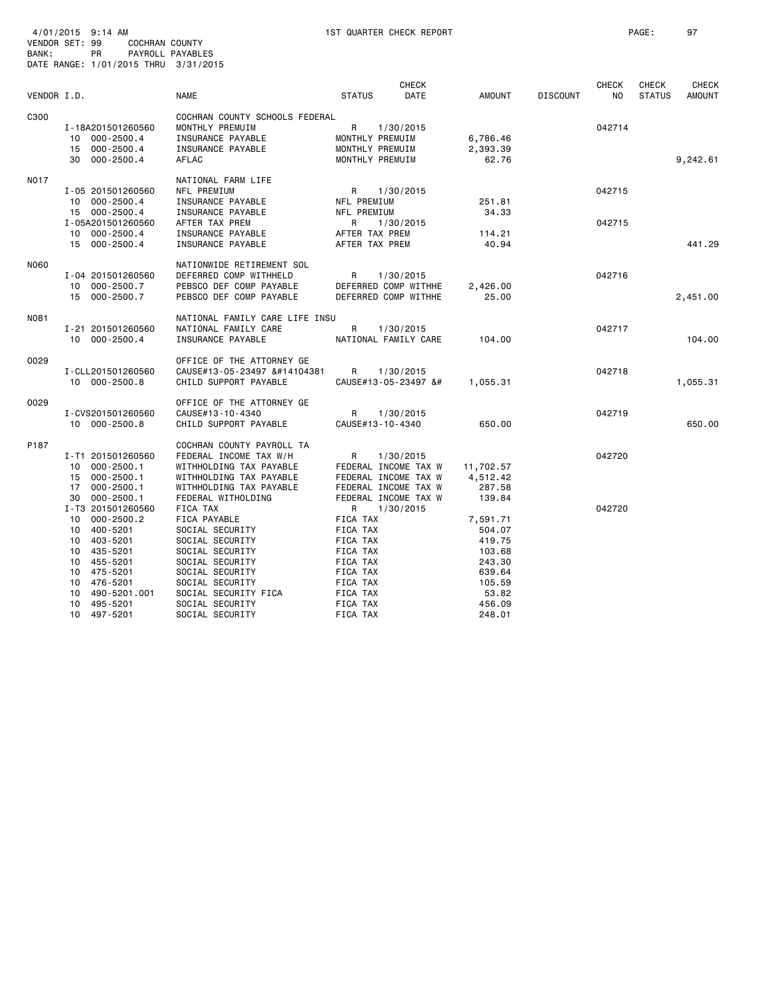| VENDOR I.D. |                                                                      | <b>NAME</b>                                                                                                 | <b>STATUS</b>                                                                                                                                                                                                                                                                                                                                                                                                                                                                                                                                                                                                                                                                                                                                                                                                                                                                                                                                                                                                                                                                                                                                                                                                                                                                                                                                                                                                                                                                                                                                                                                                                                                                                                                                                                                             | <b>CHECK</b><br>DATE | <b>AMOUNT</b>                 | <b>DISCOUNT</b> | <b>CHECK</b><br>NO. | <b>CHECK</b><br><b>STATUS</b> | <b>CHECK</b><br><b>AMOUNT</b> |
|-------------|----------------------------------------------------------------------|-------------------------------------------------------------------------------------------------------------|-----------------------------------------------------------------------------------------------------------------------------------------------------------------------------------------------------------------------------------------------------------------------------------------------------------------------------------------------------------------------------------------------------------------------------------------------------------------------------------------------------------------------------------------------------------------------------------------------------------------------------------------------------------------------------------------------------------------------------------------------------------------------------------------------------------------------------------------------------------------------------------------------------------------------------------------------------------------------------------------------------------------------------------------------------------------------------------------------------------------------------------------------------------------------------------------------------------------------------------------------------------------------------------------------------------------------------------------------------------------------------------------------------------------------------------------------------------------------------------------------------------------------------------------------------------------------------------------------------------------------------------------------------------------------------------------------------------------------------------------------------------------------------------------------------------|----------------------|-------------------------------|-----------------|---------------------|-------------------------------|-------------------------------|
|             |                                                                      |                                                                                                             |                                                                                                                                                                                                                                                                                                                                                                                                                                                                                                                                                                                                                                                                                                                                                                                                                                                                                                                                                                                                                                                                                                                                                                                                                                                                                                                                                                                                                                                                                                                                                                                                                                                                                                                                                                                                           |                      |                               |                 |                     |                               |                               |
| C300        | I-18A201501260560<br>10 000-2500.4<br>15 000-2500.4<br>30 000-2500.4 | COCHRAN COUNTY SCHOOLS FEDERAL<br>MONTHLY PREMUIM<br>INSURANCE PAYABLE<br>INSURANCE PAYABLE<br><b>AFLAC</b> | R<br>MONTHLY PREMUIM<br>MONTHLY PREMUIM<br>MONTHLY PREMUIM                                                                                                                                                                                                                                                                                                                                                                                                                                                                                                                                                                                                                                                                                                                                                                                                                                                                                                                                                                                                                                                                                                                                                                                                                                                                                                                                                                                                                                                                                                                                                                                                                                                                                                                                                | 1/30/2015            | 6,786.46<br>2,393.39<br>62.76 |                 | 042714              |                               | 9,242.61                      |
| N017        | I-05 201501260560<br>10 000-2500.4                                   | NATIONAL FARM LIFE<br>NFL PREMIUM<br>INSURANCE PAYABLE                                                      | R<br>NFL PREMIUM                                                                                                                                                                                                                                                                                                                                                                                                                                                                                                                                                                                                                                                                                                                                                                                                                                                                                                                                                                                                                                                                                                                                                                                                                                                                                                                                                                                                                                                                                                                                                                                                                                                                                                                                                                                          | 1/30/2015            | 251.81                        |                 | 042715              |                               |                               |
|             | 15 000-2500.4<br>I-05A201501260560<br>10 000-2500.4<br>15 000-2500.4 | INSURANCE PAYABLE<br>AFTER TAX PREM<br>INSURANCE PAYABLE<br>INSURANCE PAYABLE                               | NFL PREMIUM<br>R<br>AFTER TAX PREM<br>AFTER TAX PREM                                                                                                                                                                                                                                                                                                                                                                                                                                                                                                                                                                                                                                                                                                                                                                                                                                                                                                                                                                                                                                                                                                                                                                                                                                                                                                                                                                                                                                                                                                                                                                                                                                                                                                                                                      | 1/30/2015            | 34,33<br>114.21<br>40.94      |                 | 042715              |                               | 441.29                        |
| N060        | I-04 201501260560<br>10 000-2500.7                                   | NATIONWIDE RETIREMENT SOL<br>DEFERRED COMP WITHHELD<br>PEBSCO DEF COMP PAYABLE                              | R<br>DEFERRED COMP WITHHE                                                                                                                                                                                                                                                                                                                                                                                                                                                                                                                                                                                                                                                                                                                                                                                                                                                                                                                                                                                                                                                                                                                                                                                                                                                                                                                                                                                                                                                                                                                                                                                                                                                                                                                                                                                 | 1/30/2015            | 2,426.00                      |                 | 042716              |                               |                               |
|             | 15 000-2500.7                                                        | PEBSCO DEF COMP PAYABLE                                                                                     | DEFERRED COMP WITHHE                                                                                                                                                                                                                                                                                                                                                                                                                                                                                                                                                                                                                                                                                                                                                                                                                                                                                                                                                                                                                                                                                                                                                                                                                                                                                                                                                                                                                                                                                                                                                                                                                                                                                                                                                                                      |                      | 25.00                         |                 |                     |                               | 2,451.00                      |
| N081        | I-21 201501260560<br>10 000-2500.4                                   | NATIONAL FAMILY CARE LIFE INSU<br>NATIONAL FAMILY CARE<br>INSURANCE PAYABLE                                 | $\mathsf{R}$<br>NATIONAL FAMILY CARE                                                                                                                                                                                                                                                                                                                                                                                                                                                                                                                                                                                                                                                                                                                                                                                                                                                                                                                                                                                                                                                                                                                                                                                                                                                                                                                                                                                                                                                                                                                                                                                                                                                                                                                                                                      | 1/30/2015            | 104.00                        |                 | 042717              |                               | 104.00                        |
| 0029        | I-CLL201501260560<br>10 000-2500.8                                   | OFFICE OF THE ATTORNEY GE<br>CAUSE#13-05-23497 �<br>CHILD SUPPORT PAYABLE                                   | R<br>CAUSE#13-05-23497 &#</td><td>1/30/2015</td><td>1,055.31</td><td></td><td>042718</td><td></td><td>1,055.31</td></tr><tr><td>0029</td><td>I-CVS201501260560<br>10 000-2500.8</td><td>OFFICE OF THE ATTORNEY GE<br>CAUSE#13-10-4340<br>CHILD SUPPORT PAYABLE</td><td>R<br>CAUSE#13-10-4340</td><td>1/30/2015</td><td>650.00</td><td></td><td>042719</td><td></td><td>650.00</td></tr><tr><td>P187</td><td>I-T1 201501260560<br>10 000-2500.1<br>15 000-2500.1<br><math>000 - 2500.1</math><br>17</td><td>COCHRAN COUNTY PAYROLL TA<br>FEDERAL INCOME TAX W/H<br>WITHHOLDING TAX PAYABLE<br>WITHHOLDING TAX PAYABLE<br>WITHHOLDING TAX PAYABLE</td><td>R<br>FEDERAL INCOME TAX W<br>FEDERAL INCOME TAX W<br>FEDERAL INCOME TAX W</td><td>1/30/2015</td><td>11,702.57<br>4,512.42<br>287.58</td><td></td><td>042720</td><td></td><td></td></tr><tr><td></td><td>30 000-2500.1<br>I-T3 201501260560<br><math>000 - 2500.2</math><br>10<br>10 400-5201<br>10 403-5201<br>435-5201<br>10<br>10 455-5201</td><td>FEDERAL WITHOLDING<br>FICA TAX<br>FICA PAYABLE<br>SOCIAL SECURITY<br>SOCIAL SECURITY<br>SOCIAL SECURITY<br>SOCIAL SECURITY</td><td>FEDERAL INCOME TAX W<br>R<br>FICA TAX<br>FICA TAX<br>FICA TAX<br>FICA TAX<br>FICA TAX</td><td>1/30/2015</td><td>139.84<br>7,591.71<br>504.07<br>419.75<br>103.68<br>243.30</td><td></td><td>042720</td><td></td><td></td></tr><tr><td></td><td>10 475-5201<br>10<br>476-5201<br>10<br>490-5201.001<br>495-5201<br>10<br>10<sup>1</sup><br>497-5201</td><td>SOCIAL SECURITY<br>SOCIAL SECURITY<br>SOCIAL SECURITY FICA<br>SOCIAL SECURITY<br>SOCIAL SECURITY</td><td>FICA TAX<br>FICA TAX<br>FICA TAX<br>FICA TAX<br>FICA TAX</td><td></td><td>639.64<br>105.59<br>53.82<br>456.09<br>248.01</td><td></td><td></td><td></td><td></td></tr></tbody></table> |                      |                               |                 |                     |                               |                               |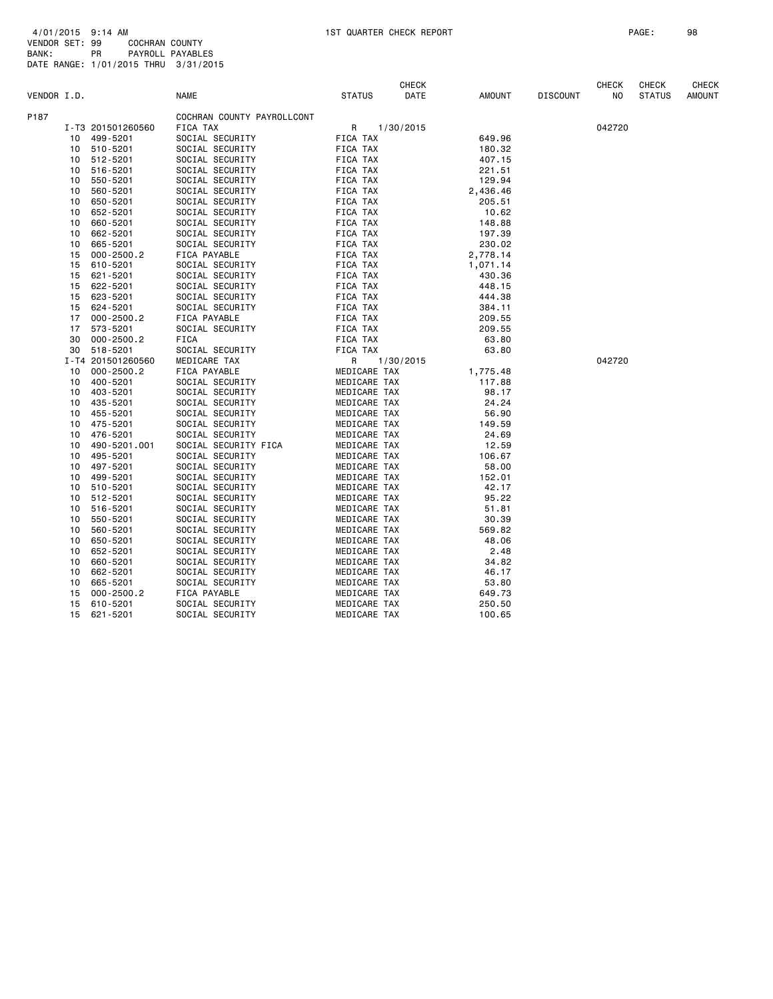|             |    |                   |                            |               |           | <b>CHECK</b> |               |                 | <b>CHECK</b> | <b>CHECK</b>  | CHECK         |
|-------------|----|-------------------|----------------------------|---------------|-----------|--------------|---------------|-----------------|--------------|---------------|---------------|
| VENDOR I.D. |    |                   | <b>NAME</b>                | <b>STATUS</b> |           | DATE         | <b>AMOUNT</b> | <b>DISCOUNT</b> | NO           | <b>STATUS</b> | <b>AMOUNT</b> |
| P187        |    |                   | COCHRAN COUNTY PAYROLLCONT |               |           |              |               |                 |              |               |               |
|             |    | I-T3 201501260560 | FICA TAX                   | R             | 1/30/2015 |              |               |                 | 042720       |               |               |
|             |    | 10 499-5201       | SOCIAL SECURITY            | FICA TAX      |           |              | 649.96        |                 |              |               |               |
|             | 10 | 510-5201          | SOCIAL SECURITY            | FICA TAX      |           |              | 180.32        |                 |              |               |               |
|             | 10 | 512-5201          | SOCIAL SECURITY            | FICA TAX      |           |              | 407.15        |                 |              |               |               |
|             | 10 | 516-5201          | SOCIAL SECURITY            | FICA TAX      |           |              | 221.51        |                 |              |               |               |
|             | 10 | 550-5201          | SOCIAL SECURITY            | FICA TAX      |           |              | 129.94        |                 |              |               |               |
|             | 10 | 560-5201          | SOCIAL SECURITY            | FICA TAX      |           |              | 2,436.46      |                 |              |               |               |
|             | 10 | 650-5201          | SOCIAL SECURITY            | FICA TAX      |           |              | 205.51        |                 |              |               |               |
|             | 10 | 652-5201          | SOCIAL SECURITY            | FICA TAX      |           |              | 10.62         |                 |              |               |               |
|             | 10 | 660-5201          | SOCIAL SECURITY            | FICA TAX      |           |              | 148.88        |                 |              |               |               |
|             | 10 | 662-5201          | SOCIAL SECURITY            | FICA TAX      |           |              | 197.39        |                 |              |               |               |
|             | 10 | 665-5201          | SOCIAL SECURITY            | FICA TAX      |           |              | 230.02        |                 |              |               |               |
|             | 15 | $000 - 2500.2$    | FICA PAYABLE               | FICA TAX      |           |              | 2,778.14      |                 |              |               |               |
|             | 15 | 610-5201          | SOCIAL SECURITY            | FICA TAX      |           |              | 1,071.14      |                 |              |               |               |
|             | 15 | 621-5201          | SOCIAL SECURITY            | FICA TAX      |           |              | 430.36        |                 |              |               |               |
|             | 15 | 622-5201          | SOCIAL SECURITY            | FICA TAX      |           |              | 448.15        |                 |              |               |               |
|             | 15 | 623-5201          | SOCIAL SECURITY            | FICA TAX      |           |              | 444.38        |                 |              |               |               |
|             | 15 | 624-5201          | SOCIAL SECURITY            | FICA TAX      |           |              | 384.11        |                 |              |               |               |
|             | 17 | $000 - 2500.2$    | FICA PAYABLE               | FICA TAX      |           |              | 209.55        |                 |              |               |               |
|             | 17 | 573-5201          | SOCIAL SECURITY            | FICA TAX      |           |              | 209.55        |                 |              |               |               |
|             | 30 | $000 - 2500.2$    | <b>FICA</b>                | FICA TAX      |           |              | 63.80         |                 |              |               |               |
|             | 30 | 518-5201          | SOCIAL SECURITY            | FICA TAX      |           |              | 63.80         |                 |              |               |               |
|             |    | I-T4 201501260560 | MEDICARE TAX               | R             | 1/30/2015 |              |               |                 | 042720       |               |               |
|             | 10 | $000 - 2500.2$    | FICA PAYABLE               | MEDICARE TAX  |           |              | 1,775.48      |                 |              |               |               |
|             | 10 | 400-5201          | SOCIAL SECURITY            | MEDICARE TAX  |           |              | 117.88        |                 |              |               |               |
|             | 10 | 403-5201          | SOCIAL SECURITY            | MEDICARE TAX  |           |              | 98.17         |                 |              |               |               |
|             | 10 | 435-5201          | SOCIAL SECURITY            | MEDICARE TAX  |           |              | 24.24         |                 |              |               |               |
|             | 10 | 455-5201          | SOCIAL SECURITY            | MEDICARE TAX  |           |              | 56.90         |                 |              |               |               |
|             | 10 | 475-5201          | SOCIAL SECURITY            | MEDICARE TAX  |           |              | 149.59        |                 |              |               |               |
|             | 10 | 476-5201          | SOCIAL SECURITY            | MEDICARE TAX  |           |              | 24.69         |                 |              |               |               |
|             | 10 | 490-5201.001      | SOCIAL SECURITY FICA       | MEDICARE TAX  |           |              | 12.59         |                 |              |               |               |
|             | 10 | 495-5201          | SOCIAL SECURITY            | MEDICARE TAX  |           |              | 106.67        |                 |              |               |               |
|             | 10 | 497-5201          | SOCIAL SECURITY            | MEDICARE TAX  |           |              | 58.00         |                 |              |               |               |
|             | 10 | 499-5201          | SOCIAL SECURITY            | MEDICARE TAX  |           |              | 152.01        |                 |              |               |               |
|             | 10 | 510-5201          | SOCIAL SECURITY            | MEDICARE TAX  |           |              | 42.17         |                 |              |               |               |
|             | 10 | 512-5201          | SOCIAL SECURITY            | MEDICARE TAX  |           |              | 95.22         |                 |              |               |               |
|             | 10 | 516-5201          | SOCIAL SECURITY            | MEDICARE TAX  |           |              | 51.81         |                 |              |               |               |
|             | 10 | 550-5201          | SOCIAL SECURITY            | MEDICARE TAX  |           |              | 30.39         |                 |              |               |               |
|             | 10 | 560-5201          | SOCIAL SECURITY            | MEDICARE TAX  |           |              | 569.82        |                 |              |               |               |
|             | 10 | 650-5201          | SOCIAL SECURITY            | MEDICARE TAX  |           |              | 48.06         |                 |              |               |               |
|             | 10 | 652-5201          | SOCIAL SECURITY            | MEDICARE TAX  |           |              | 2.48          |                 |              |               |               |
|             | 10 | 660-5201          | SOCIAL SECURITY            | MEDICARE TAX  |           |              | 34.82         |                 |              |               |               |
|             | 10 | 662-5201          | SOCIAL SECURITY            | MEDICARE TAX  |           |              | 46.17         |                 |              |               |               |
|             | 10 | 665-5201          | SOCIAL SECURITY            | MEDICARE TAX  |           |              | 53.80         |                 |              |               |               |
|             | 15 | $000 - 2500.2$    | FICA PAYABLE               | MEDICARE TAX  |           |              | 649.73        |                 |              |               |               |
|             | 15 | 610-5201          | SOCIAL SECURITY            | MEDICARE TAX  |           |              | 250.50        |                 |              |               |               |
|             | 15 | 621-5201          | SOCIAL SECURITY            | MEDICARE TAX  |           |              | 100.65        |                 |              |               |               |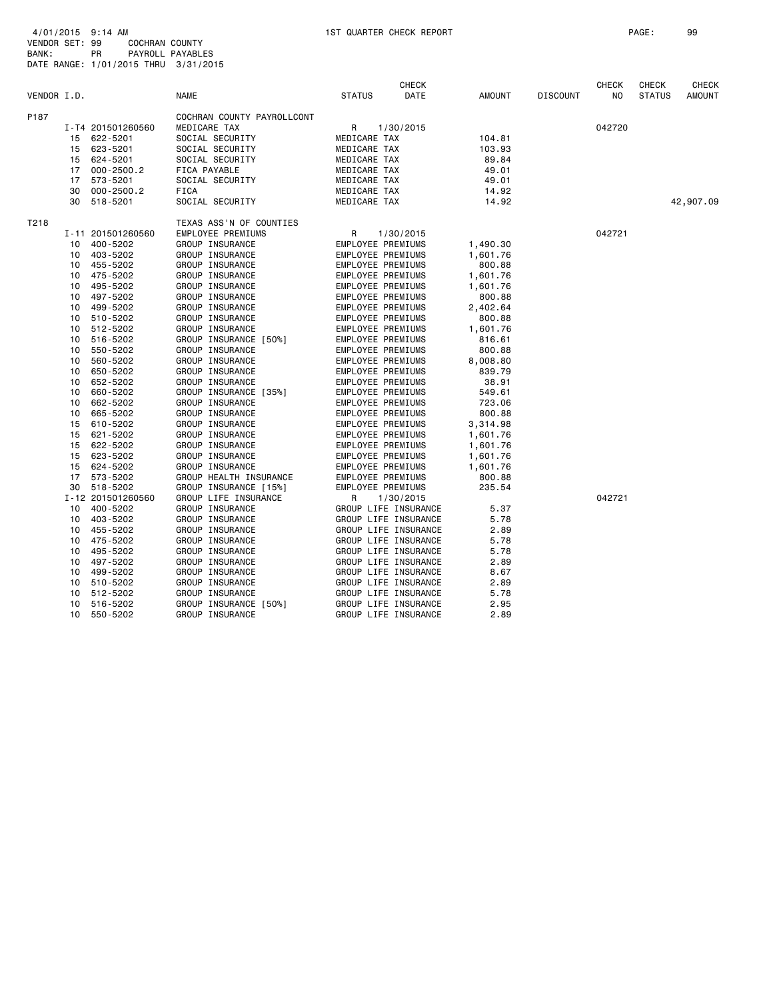|             |    |                   |                            |                          | <b>CHECK</b>         |          |                 | <b>CHECK</b>   | <b>CHECK</b>  | <b>CHECK</b>  |
|-------------|----|-------------------|----------------------------|--------------------------|----------------------|----------|-----------------|----------------|---------------|---------------|
| VENDOR I.D. |    |                   | <b>NAME</b>                | <b>STATUS</b>            | DATE                 | AMOUNT   | <b>DISCOUNT</b> | N <sub>O</sub> | <b>STATUS</b> | <b>AMOUNT</b> |
| P187        |    |                   | COCHRAN COUNTY PAYROLLCONT |                          |                      |          |                 |                |               |               |
|             |    | I-T4 201501260560 | MEDICARE TAX               | R                        | 1/30/2015            |          |                 | 042720         |               |               |
|             |    | 15 622-5201       | SOCIAL SECURITY            | MEDICARE TAX             |                      | 104.81   |                 |                |               |               |
|             | 15 | 623-5201          | SOCIAL SECURITY            | MEDICARE TAX             |                      | 103.93   |                 |                |               |               |
|             | 15 | 624-5201          | SOCIAL SECURITY            | MEDICARE TAX             |                      | 89.84    |                 |                |               |               |
|             | 17 | $000 - 2500.2$    | FICA PAYABLE               | MEDICARE TAX             |                      | 49.01    |                 |                |               |               |
|             | 17 | 573-5201          | SOCIAL SECURITY            | MEDICARE TAX             |                      | 49.01    |                 |                |               |               |
|             | 30 | $000 - 2500.2$    | <b>FICA</b>                | MEDICARE TAX             |                      | 14.92    |                 |                |               |               |
|             | 30 | 518-5201          | SOCIAL SECURITY            | MEDICARE TAX             |                      | 14.92    |                 |                |               | 42,907.09     |
| T218        |    |                   | TEXAS ASS'N OF COUNTIES    |                          |                      |          |                 |                |               |               |
|             |    | I-11 201501260560 | EMPLOYEE PREMIUMS          | R                        | 1/30/2015            |          |                 | 042721         |               |               |
|             | 10 | 400-5202          | GROUP INSURANCE            | EMPLOYEE PREMIUMS        |                      | 1,490.30 |                 |                |               |               |
|             |    | 10 403-5202       | GROUP INSURANCE            | EMPLOYEE PREMIUMS        |                      | 1,601.76 |                 |                |               |               |
|             | 10 | 455-5202          | GROUP INSURANCE            | EMPLOYEE PREMIUMS        |                      | 800.88   |                 |                |               |               |
|             | 10 | 475-5202          | GROUP INSURANCE            | EMPLOYEE PREMIUMS        |                      | 1,601.76 |                 |                |               |               |
|             | 10 | 495-5202          | GROUP INSURANCE            | EMPLOYEE PREMIUMS        |                      | 1,601.76 |                 |                |               |               |
|             | 10 | 497-5202          | GROUP INSURANCE            | EMPLOYEE PREMIUMS        |                      | 800.88   |                 |                |               |               |
|             | 10 | 499-5202          | GROUP INSURANCE            | <b>EMPLOYEE PREMIUMS</b> |                      | 2,402.64 |                 |                |               |               |
|             | 10 | 510-5202          | GROUP INSURANCE            | EMPLOYEE PREMIUMS        |                      | 800.88   |                 |                |               |               |
|             |    | 10 512-5202       | GROUP INSURANCE            | EMPLOYEE PREMIUMS        |                      | 1,601.76 |                 |                |               |               |
|             | 10 | 516-5202          | GROUP INSURANCE [50%]      | EMPLOYEE PREMIUMS        |                      | 816.61   |                 |                |               |               |
|             | 10 | 550-5202          | GROUP INSURANCE            | EMPLOYEE PREMIUMS        |                      | 800.88   |                 |                |               |               |
|             | 10 | 560-5202          | GROUP INSURANCE            | EMPLOYEE PREMIUMS        |                      | 8,008.80 |                 |                |               |               |
|             | 10 | 650-5202          | GROUP INSURANCE            | EMPLOYEE PREMIUMS        |                      | 839.79   |                 |                |               |               |
|             | 10 | 652-5202          | GROUP INSURANCE            | EMPLOYEE PREMIUMS        |                      | 38.91    |                 |                |               |               |
|             | 10 | 660-5202          | GROUP INSURANCE [35%]      | EMPLOYEE PREMIUMS        |                      | 549.61   |                 |                |               |               |
|             | 10 | 662-5202          | GROUP INSURANCE            | EMPLOYEE PREMIUMS        |                      | 723.06   |                 |                |               |               |
|             | 10 | 665-5202          | GROUP INSURANCE            | EMPLOYEE PREMIUMS        |                      | 800.88   |                 |                |               |               |
|             | 15 | 610-5202          | GROUP INSURANCE            | <b>EMPLOYEE PREMIUMS</b> |                      | 3,314.98 |                 |                |               |               |
|             | 15 | 621-5202          | GROUP INSURANCE            | <b>EMPLOYEE PREMIUMS</b> |                      | 1,601.76 |                 |                |               |               |
|             | 15 | 622-5202          | GROUP INSURANCE            | EMPLOYEE PREMIUMS        |                      | 1,601.76 |                 |                |               |               |
|             | 15 | 623-5202          | GROUP INSURANCE            | EMPLOYEE PREMIUMS        |                      | 1,601.76 |                 |                |               |               |
|             | 15 | 624-5202          | GROUP INSURANCE            | EMPLOYEE PREMIUMS        |                      | 1,601.76 |                 |                |               |               |
|             | 17 | 573-5202          | GROUP HEALTH INSURANCE     | EMPLOYEE PREMIUMS        |                      | 800.88   |                 |                |               |               |
|             |    | 30 518-5202       | GROUP INSURANCE [15%]      | EMPLOYEE PREMIUMS        |                      | 235.54   |                 |                |               |               |
|             |    | I-12 201501260560 | GROUP LIFE INSURANCE       | R                        | 1/30/2015            |          |                 | 042721         |               |               |
|             |    | 10 400-5202       | GROUP INSURANCE            |                          | GROUP LIFE INSURANCE | 5.37     |                 |                |               |               |
|             | 10 | 403-5202          | GROUP INSURANCE            |                          | GROUP LIFE INSURANCE | 5.78     |                 |                |               |               |
|             | 10 | 455-5202          | GROUP INSURANCE            |                          | GROUP LIFE INSURANCE | 2.89     |                 |                |               |               |
|             | 10 | 475-5202          | GROUP INSURANCE            |                          | GROUP LIFE INSURANCE | 5.78     |                 |                |               |               |
|             | 10 | 495-5202          | GROUP INSURANCE            |                          | GROUP LIFE INSURANCE | 5.78     |                 |                |               |               |
|             | 10 | 497-5202          | GROUP INSURANCE            |                          | GROUP LIFE INSURANCE | 2.89     |                 |                |               |               |
|             | 10 | 499-5202          | GROUP INSURANCE            |                          | GROUP LIFE INSURANCE | 8.67     |                 |                |               |               |
|             | 10 | 510-5202          | GROUP INSURANCE            |                          | GROUP LIFE INSURANCE | 2.89     |                 |                |               |               |
|             | 10 | 512-5202          | GROUP INSURANCE            |                          | GROUP LIFE INSURANCE | 5.78     |                 |                |               |               |
|             | 10 | 516-5202          | GROUP INSURANCE [50%]      |                          | GROUP LIFE INSURANCE | 2.95     |                 |                |               |               |
|             | 10 | 550-5202          | GROUP INSURANCE            |                          | GROUP LIFE INSURANCE | 2.89     |                 |                |               |               |
|             |    |                   |                            |                          |                      |          |                 |                |               |               |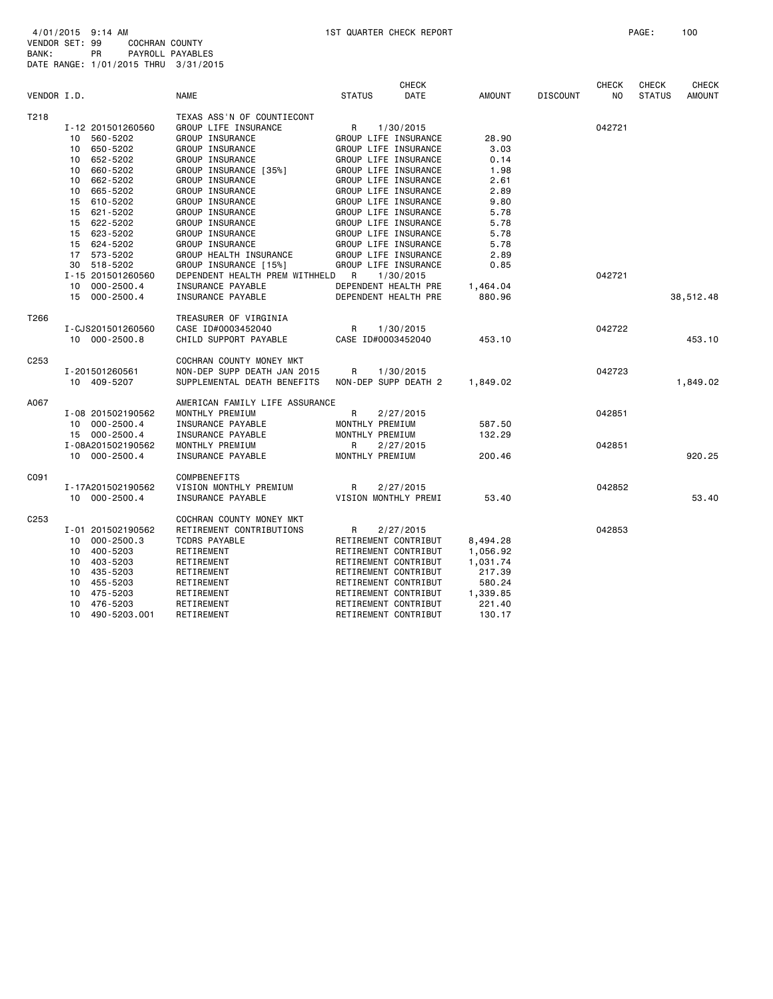| VENDOR I.D. |                    | <b>NAME</b>                    | <b>STATUS</b>        | <b>CHECK</b><br>DATE | <b>AMOUNT</b> | <b>DISCOUNT</b> | CHECK<br>N <sub>O</sub> | <b>CHECK</b><br><b>STATUS</b> | <b>CHECK</b><br><b>AMOUNT</b> |
|-------------|--------------------|--------------------------------|----------------------|----------------------|---------------|-----------------|-------------------------|-------------------------------|-------------------------------|
| T218        |                    | TEXAS ASS'N OF COUNTIECONT     |                      |                      |               |                 |                         |                               |                               |
|             | I-12 201501260560  | GROUP LIFE INSURANCE           | R                    | 1/30/2015            |               |                 | 042721                  |                               |                               |
|             | 10 560-5202        | GROUP INSURANCE                | GROUP LIFE INSURANCE |                      | 28.90         |                 |                         |                               |                               |
|             | 10 650-5202        | GROUP INSURANCE                | GROUP LIFE INSURANCE |                      | 3.03          |                 |                         |                               |                               |
|             | 652-5202<br>10     | GROUP INSURANCE                | GROUP LIFE INSURANCE |                      | 0.14          |                 |                         |                               |                               |
|             | 660-5202<br>10     | GROUP INSURANCE [35%]          | GROUP LIFE INSURANCE |                      | 1.98          |                 |                         |                               |                               |
|             | 662-5202<br>10     | <b>GROUP INSURANCE</b>         | GROUP LIFE INSURANCE |                      | 2.61          |                 |                         |                               |                               |
|             | 10 665-5202        | GROUP INSURANCE                | GROUP LIFE INSURANCE |                      | 2.89          |                 |                         |                               |                               |
|             | 15 610-5202        | GROUP INSURANCE                | GROUP LIFE INSURANCE |                      | 9.80          |                 |                         |                               |                               |
|             | 15 621-5202        | GROUP INSURANCE                | GROUP LIFE INSURANCE |                      | 5.78          |                 |                         |                               |                               |
|             | 15 622-5202        | GROUP INSURANCE                | GROUP LIFE INSURANCE |                      | 5.78          |                 |                         |                               |                               |
|             | 15 623-5202        | GROUP INSURANCE                | GROUP LIFE INSURANCE |                      | 5.78          |                 |                         |                               |                               |
|             | 15 624-5202        | GROUP INSURANCE                | GROUP LIFE INSURANCE |                      | 5.78          |                 |                         |                               |                               |
|             | 17 573-5202        | GROUP HEALTH INSURANCE         | GROUP LIFE INSURANCE |                      | 2.89          |                 |                         |                               |                               |
|             | 30 518-5202        | GROUP INSURANCE [15%]          | GROUP LIFE INSURANCE |                      | 0.85          |                 |                         |                               |                               |
|             | I-15 201501260560  | DEPENDENT HEALTH PREM WITHHELD | R                    | 1/30/2015            |               |                 | 042721                  |                               |                               |
|             | 10 000-2500.4      | INSURANCE PAYABLE              | DEPENDENT HEALTH PRE |                      | 1,464.04      |                 |                         |                               |                               |
|             | 15<br>000-2500.4   | INSURANCE PAYABLE              | DEPENDENT HEALTH PRE |                      | 880.96        |                 |                         |                               | 38,512.48                     |
| T266        |                    | TREASURER OF VIRGINIA          |                      |                      |               |                 |                         |                               |                               |
|             | I-CJS201501260560  | CASE ID#0003452040             | R                    | 1/30/2015            |               |                 | 042722                  |                               |                               |
|             | 10 000-2500.8      | CHILD SUPPORT PAYABLE          | CASE ID#0003452040   |                      | 453.10        |                 |                         |                               | 453.10                        |
| C253        |                    | COCHRAN COUNTY MONEY MKT       |                      |                      |               |                 |                         |                               |                               |
|             | I-201501260561     | NON-DEP SUPP DEATH JAN 2015    | R                    | 1/30/2015            |               |                 | 042723                  |                               |                               |
|             | 10 409-5207        | SUPPLEMENTAL DEATH BENEFITS    | NON-DEP SUPP DEATH 2 |                      | 1,849.02      |                 |                         |                               | 1,849.02                      |
| A067        |                    | AMERICAN FAMILY LIFE ASSURANCE |                      |                      |               |                 |                         |                               |                               |
|             | I-08 201502190562  | MONTHLY PREMIUM                | R                    | 2/27/2015            |               |                 | 042851                  |                               |                               |
|             | 10 000-2500.4      | INSURANCE PAYABLE              | MONTHLY PREMIUM      |                      | 587.50        |                 |                         |                               |                               |
|             | 15 000-2500.4      | INSURANCE PAYABLE              | MONTHLY PREMIUM      |                      | 132.29        |                 |                         |                               |                               |
|             | I-08A201502190562  | MONTHLY PREMIUM                | R                    | 2/27/2015            |               |                 | 042851                  |                               |                               |
|             | 10 000-2500.4      | INSURANCE PAYABLE              | MONTHLY PREMIUM      |                      | 200.46        |                 |                         |                               | 920.25                        |
| C091        |                    | <b>COMPBENEFITS</b>            |                      |                      |               |                 |                         |                               |                               |
|             | I-17A201502190562  | VISION MONTHLY PREMIUM         | R                    | 2/27/2015            |               |                 | 042852                  |                               |                               |
|             | 10 000-2500.4      | INSURANCE PAYABLE              | VISION MONTHLY PREMI |                      | 53.40         |                 |                         |                               | 53.40                         |
| C253        |                    | COCHRAN COUNTY MONEY MKT       |                      |                      |               |                 |                         |                               |                               |
|             | I-01 201502190562  | RETIREMENT CONTRIBUTIONS       | R                    | 2/27/2015            |               |                 | 042853                  |                               |                               |
|             | 10 000-2500.3      | <b>TCDRS PAYABLE</b>           | RETIREMENT CONTRIBUT |                      | 8,494.28      |                 |                         |                               |                               |
|             | 10 400-5203        | RETIREMENT                     | RETIREMENT CONTRIBUT |                      | 1,056.92      |                 |                         |                               |                               |
|             | 10 403-5203        | RETIREMENT                     | RETIREMENT CONTRIBUT |                      | 1,031.74      |                 |                         |                               |                               |
|             | 435-5203<br>10     | RETIREMENT                     | RETIREMENT CONTRIBUT |                      | 217.39        |                 |                         |                               |                               |
|             | 10<br>455-5203     | RETIREMENT                     | RETIREMENT CONTRIBUT |                      | 580.24        |                 |                         |                               |                               |
|             | 475-5203<br>10     | RETIREMENT                     | RETIREMENT CONTRIBUT |                      | 1,339.85      |                 |                         |                               |                               |
|             | 476-5203<br>10     | RETIREMENT                     | RETIREMENT CONTRIBUT |                      | 221.40        |                 |                         |                               |                               |
|             | 490-5203.001<br>10 | RETIREMENT                     | RETIREMENT CONTRIBUT |                      | 130.17        |                 |                         |                               |                               |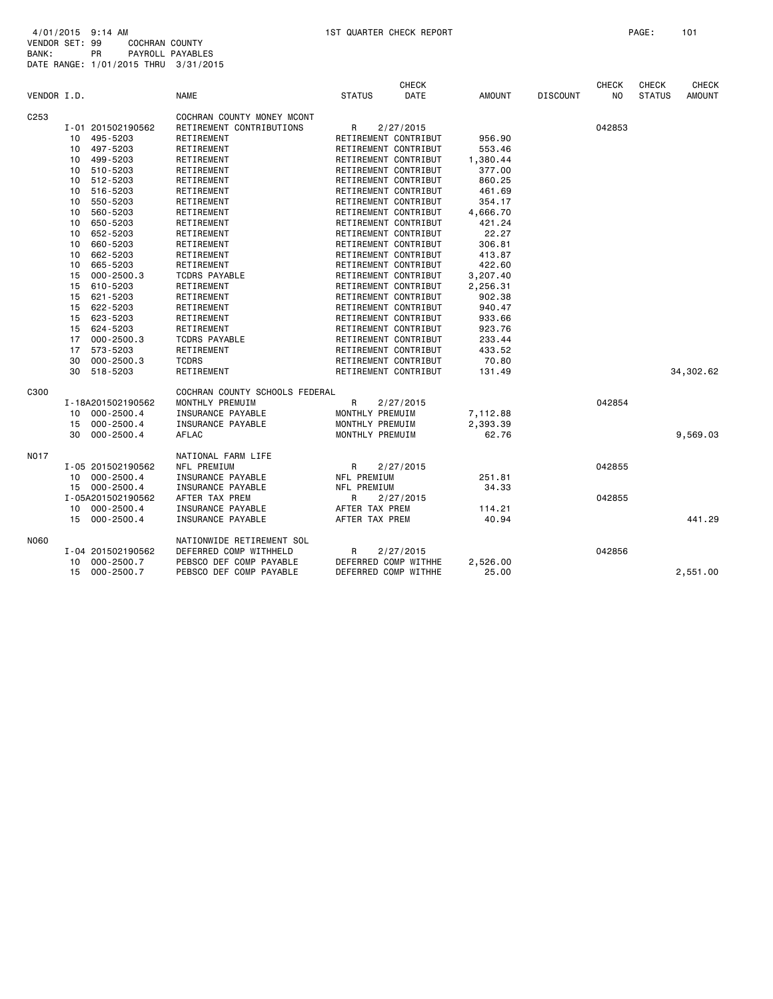| VENDOR I.D. |                 |                   | <b>NAME</b>                    | <b>STATUS</b>   | <b>CHECK</b><br><b>DATE</b> | <b>AMOUNT</b> | <b>DISCOUNT</b> | CHECK<br>N <sub>0</sub> | <b>CHECK</b><br><b>STATUS</b> | <b>CHECK</b><br><b>AMOUNT</b> |
|-------------|-----------------|-------------------|--------------------------------|-----------------|-----------------------------|---------------|-----------------|-------------------------|-------------------------------|-------------------------------|
| C253        |                 |                   | COCHRAN COUNTY MONEY MCONT     |                 |                             |               |                 |                         |                               |                               |
|             |                 | I-01 201502190562 | RETIREMENT CONTRIBUTIONS       | R               | 2/27/2015                   |               |                 | 042853                  |                               |                               |
|             | 10 <sub>1</sub> | 495-5203          | RETIREMENT                     |                 | RETIREMENT CONTRIBUT        | 956.90        |                 |                         |                               |                               |
|             |                 | 10 497-5203       | RETIREMENT                     |                 | RETIREMENT CONTRIBUT        | 553.46        |                 |                         |                               |                               |
|             |                 | 10 499-5203       | RETIREMENT                     |                 | RETIREMENT CONTRIBUT        | 1,380.44      |                 |                         |                               |                               |
|             |                 | 10 510-5203       | RETIREMENT                     |                 | RETIREMENT CONTRIBUT        | 377.00        |                 |                         |                               |                               |
|             |                 | 10 512-5203       | RETIREMENT                     |                 | RETIREMENT CONTRIBUT        | 860.25        |                 |                         |                               |                               |
|             | 10              | 516-5203          | RETIREMENT                     |                 | RETIREMENT CONTRIBUT        | 461.69        |                 |                         |                               |                               |
|             | 10              | 550-5203          | RETIREMENT                     |                 | RETIREMENT CONTRIBUT        | 354.17        |                 |                         |                               |                               |
|             | 10              | 560-5203          | RETIREMENT                     |                 | RETIREMENT CONTRIBUT        | 4,666.70      |                 |                         |                               |                               |
|             | 10              | 650-5203          | RETIREMENT                     |                 | RETIREMENT CONTRIBUT        | 421.24        |                 |                         |                               |                               |
|             | 10              | 652-5203          | RETIREMENT                     |                 | RETIREMENT CONTRIBUT        | 22.27         |                 |                         |                               |                               |
|             | 10              | 660-5203          | RETIREMENT                     |                 | RETIREMENT CONTRIBUT        | 306.81        |                 |                         |                               |                               |
|             | 10              | 662-5203          | RETIREMENT                     |                 | RETIREMENT CONTRIBUT        | 413.87        |                 |                         |                               |                               |
|             | 10              | 665-5203          | RETIREMENT                     |                 | RETIREMENT CONTRIBUT        | 422.60        |                 |                         |                               |                               |
|             | 15              | $000 - 2500.3$    | <b>TCDRS PAYABLE</b>           |                 | RETIREMENT CONTRIBUT        | 3,207.40      |                 |                         |                               |                               |
|             | 15              | 610-5203          | RETIREMENT                     |                 | RETIREMENT CONTRIBUT        | 2,256.31      |                 |                         |                               |                               |
|             | 15              | 621-5203          | RETIREMENT                     |                 | RETIREMENT CONTRIBUT        | 902.38        |                 |                         |                               |                               |
|             | 15              | 622-5203          | RETIREMENT                     |                 | RETIREMENT CONTRIBUT        | 940.47        |                 |                         |                               |                               |
|             |                 | 15 623-5203       | RETIREMENT                     |                 | RETIREMENT CONTRIBUT        | 933.66        |                 |                         |                               |                               |
|             | 15              | 624-5203          | RETIREMENT                     |                 | RETIREMENT CONTRIBUT        | 923.76        |                 |                         |                               |                               |
|             | 17              | $000 - 2500.3$    | <b>TCDRS PAYABLE</b>           |                 | RETIREMENT CONTRIBUT        | 233.44        |                 |                         |                               |                               |
|             | 17              | 573-5203          | RETIREMENT                     |                 | RETIREMENT CONTRIBUT        | 433.52        |                 |                         |                               |                               |
|             | 30              | $000 - 2500.3$    | <b>TCDRS</b>                   |                 | RETIREMENT CONTRIBUT        | 70.80         |                 |                         |                               |                               |
|             | 30              | 518-5203          | RETIREMENT                     |                 | RETIREMENT CONTRIBUT        | 131.49        |                 |                         |                               | 34, 302.62                    |
| C300        |                 |                   | COCHRAN COUNTY SCHOOLS FEDERAL |                 |                             |               |                 |                         |                               |                               |
|             |                 | I-18A201502190562 | MONTHLY PREMUIM                | R               | 2/27/2015                   |               |                 | 042854                  |                               |                               |
|             |                 | 10 000-2500.4     | INSURANCE PAYABLE              | MONTHLY PREMUIM |                             | 7,112.88      |                 |                         |                               |                               |
|             |                 | 15 000-2500.4     | INSURANCE PAYABLE              | MONTHLY PREMUIM |                             | 2,393.39      |                 |                         |                               |                               |
|             | 30              | $000 - 2500.4$    | AFLAC                          | MONTHLY PREMUIM |                             | 62.76         |                 |                         |                               | 9,569.03                      |
| NO17        |                 |                   | NATIONAL FARM LIFE             |                 |                             |               |                 |                         |                               |                               |
|             |                 | I-05 201502190562 | NFL PREMIUM                    | R               | 2/27/2015                   |               |                 | 042855                  |                               |                               |
|             |                 | 10 000-2500.4     | INSURANCE PAYABLE              | NFL PREMIUM     |                             | 251.81        |                 |                         |                               |                               |
|             |                 | 15 000-2500.4     | INSURANCE PAYABLE              | NFL PREMIUM     |                             | 34.33         |                 |                         |                               |                               |
|             |                 | I-05A201502190562 | AFTER TAX PREM                 | R               | 2/27/2015                   |               |                 | 042855                  |                               |                               |
|             |                 | 10 000-2500.4     | INSURANCE PAYABLE              | AFTER TAX PREM  |                             | 114.21        |                 |                         |                               |                               |
|             | 15              | 000-2500.4        | INSURANCE PAYABLE              | AFTER TAX PREM  |                             | 40.94         |                 |                         |                               | 441.29                        |
| N060        |                 |                   | NATIONWIDE RETIREMENT SOL      |                 |                             |               |                 |                         |                               |                               |
|             |                 | I-04 201502190562 | DEFERRED COMP WITHHELD         | $\mathsf{R}$    | 2/27/2015                   |               |                 | 042856                  |                               |                               |
|             | 10              | 000-2500.7        | PEBSCO DEF COMP PAYABLE        |                 | DEFERRED COMP WITHHE        | 2,526.00      |                 |                         |                               |                               |
|             |                 | 15 000-2500.7     | PEBSCO DEF COMP PAYABLE        |                 | DEFERRED COMP WITHHE        | 25,00         |                 |                         |                               | 2,551.00                      |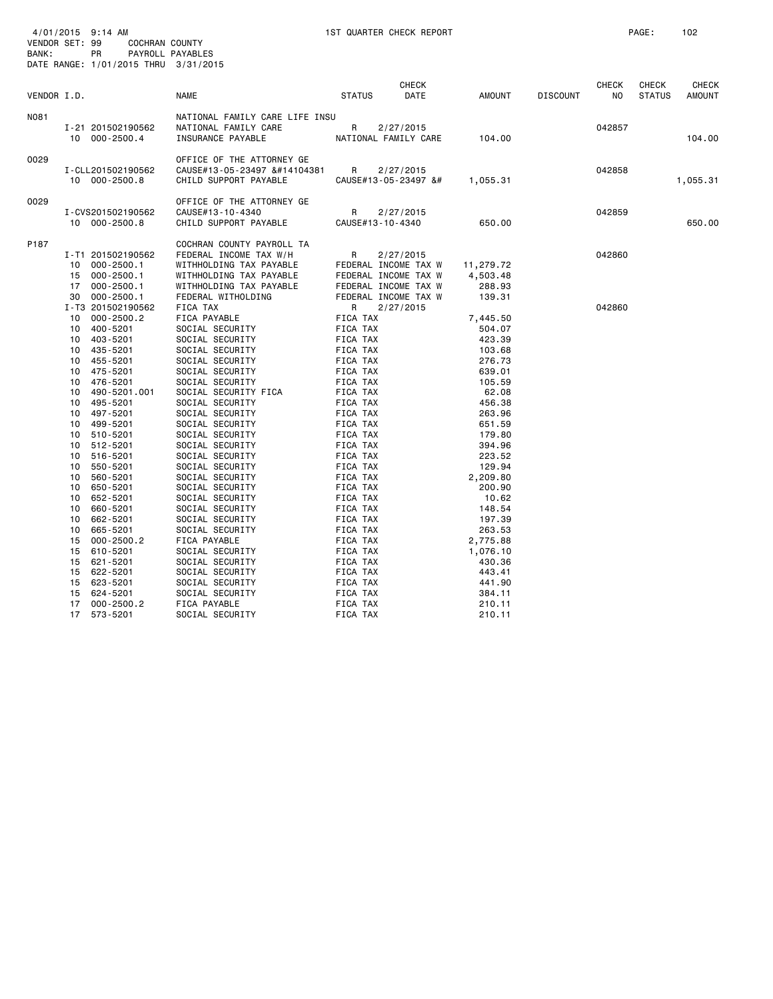| VENDOR I.D. |                                    | <b>NAME</b>                                                                 | <b>CHECK</b><br><b>STATUS</b><br>DATE                                                                                                                                                                                                                                                                                                                                                                                                                                                                                                                                                                                                                                                                                                                                                                                                                                                                                                                                                                                                                                                                                                                                                                                                                                                                                                                                                                                                                                                                                                                                                                                                                                                                                                                                                                                                                                                                                                                                                                                                                                                                                                                                                                                                                                                                                                                                                                                                                                                                                                                                                                                                                                                                                                                                                                                                                                                                                                                                                                                                  | AMOUNT | <b>DISCOUNT</b> | <b>CHECK</b><br>NO. | <b>CHECK</b><br><b>STATUS</b> | <b>CHECK</b><br><b>AMOUNT</b> |
|-------------|------------------------------------|-----------------------------------------------------------------------------|----------------------------------------------------------------------------------------------------------------------------------------------------------------------------------------------------------------------------------------------------------------------------------------------------------------------------------------------------------------------------------------------------------------------------------------------------------------------------------------------------------------------------------------------------------------------------------------------------------------------------------------------------------------------------------------------------------------------------------------------------------------------------------------------------------------------------------------------------------------------------------------------------------------------------------------------------------------------------------------------------------------------------------------------------------------------------------------------------------------------------------------------------------------------------------------------------------------------------------------------------------------------------------------------------------------------------------------------------------------------------------------------------------------------------------------------------------------------------------------------------------------------------------------------------------------------------------------------------------------------------------------------------------------------------------------------------------------------------------------------------------------------------------------------------------------------------------------------------------------------------------------------------------------------------------------------------------------------------------------------------------------------------------------------------------------------------------------------------------------------------------------------------------------------------------------------------------------------------------------------------------------------------------------------------------------------------------------------------------------------------------------------------------------------------------------------------------------------------------------------------------------------------------------------------------------------------------------------------------------------------------------------------------------------------------------------------------------------------------------------------------------------------------------------------------------------------------------------------------------------------------------------------------------------------------------------------------------------------------------------------------------------------------------|--------|-----------------|---------------------|-------------------------------|-------------------------------|
| N081        | I-21 201502190562<br>10 000-2500.4 | NATIONAL FAMILY CARE LIFE INSU<br>NATIONAL FAMILY CARE<br>INSURANCE PAYABLE | R<br>2/27/2015<br>NATIONAL FAMILY CARE                                                                                                                                                                                                                                                                                                                                                                                                                                                                                                                                                                                                                                                                                                                                                                                                                                                                                                                                                                                                                                                                                                                                                                                                                                                                                                                                                                                                                                                                                                                                                                                                                                                                                                                                                                                                                                                                                                                                                                                                                                                                                                                                                                                                                                                                                                                                                                                                                                                                                                                                                                                                                                                                                                                                                                                                                                                                                                                                                                                                 | 104.00 |                 | 042857              |                               | 104.00                        |
| 0029        | I-CLL201502190562<br>10 000-2500.8 | OFFICE OF THE ATTORNEY GE<br>CAUSE#13-05-23497 �<br>CHILD SUPPORT PAYABLE   | R<br>2/27/2015<br>CAUSE#13-05-23497 &#</td><td>1,055.31</td><td></td><td>042858</td><td></td><td>1,055.31</td></tr><tr><td>0029</td><td>I-CVS201502190562<br>10 000-2500.8</td><td>OFFICE OF THE ATTORNEY GE<br>CAUSE#13-10-4340<br>CHILD SUPPORT PAYABLE</td><td>2/27/2015<br>R<br>CAUSE#13-10-4340</td><td>650.00</td><td></td><td>042859</td><td></td><td>650.00</td></tr><tr><td>P187</td><td>I-T1 201502190562<br>10 000-2500.1<br>15 000-2500.1<br>17 000-2500.1<br>30 000-2500.1</td><td>COCHRAN COUNTY PAYROLL TA<br>FEDERAL INCOME TAX W/H<br>WITHHOLDING TAX PAYABLE<br>WITHHOLDING TAX PAYABLE<br>WITHHOLDING TAX PAYABLE<br>FEDERAL WITHOLDING</td><td>R<br>2/27/2015<br>FEDERAL INCOME TAX W<br>FEDERAL INCOME TAX W<br>FEDERAL INCOME TAX W<br>FEDERAL INCOME TAX W</td><td>11,279.72<br>4,503.48<br>288.93<br>139.31</td><td></td><td>042860</td><td></td><td></td></tr><tr><td></td><td>I-T3 201502190562<br>10<br><math>000 - 2500.2</math><br>400-5201<br>10<br>403-5201<br>10<br>435-5201<br>10<br>455-5201<br>10<br>475-5201<br>10<br>476-5201<br>10<br>490-5201.001<br>10<br>495-5201<br>10<br>497-5201<br>10<br>10<br>499-5201<br>510-5201<br>10<br>10<br>512-5201</td><td>FICA TAX<br>FICA PAYABLE<br>SOCIAL SECURITY<br>SOCIAL SECURITY<br>SOCIAL SECURITY<br>SOCIAL SECURITY<br>SOCIAL SECURITY<br>SOCIAL SECURITY<br>SOCIAL SECURITY FICA<br>SOCIAL SECURITY<br>SOCIAL SECURITY<br>SOCIAL SECURITY<br>SOCIAL SECURITY</td><td>2/27/2015<br>R<br>FICA TAX<br>FICA TAX<br>FICA TAX<br>FICA TAX<br>FICA TAX<br>FICA TAX<br>FICA TAX<br>FICA TAX<br>FICA TAX<br>FICA TAX<br>FICA TAX<br>FICA TAX<br>FICA TAX</td><td>7,445.50<br>504.07<br>423.39<br>103.68<br>276.73<br>639.01<br>105.59<br>62.08<br>456.38<br>263.96<br>651.59<br>179.80<br>394.96</td><td></td><td>042860</td><td></td><td></td></tr><tr><td></td><td>516-5201<br>10<br>10<br>550-5201<br>560-5201<br>10<br>650-5201<br>10<br>652-5201<br>10<br>660-5201<br>10<br>662-5201<br>10<br>665-5201<br>10<br><math>000 - 2500.2</math><br>15<br>610-5201<br>15<br>621-5201<br>15<br>622-5201<br>15<br>623-5201<br>15</td><td>SOCIAL SECURITY<br>SOCIAL SECURITY<br>SOCIAL SECURITY<br>SOCIAL SECURITY<br>SOCIAL SECURITY<br>SOCIAL SECURITY<br>SOCIAL SECURITY<br>SOCIAL SECURITY<br>SOCIAL SECURITY<br>FICA PAYABLE<br>SOCIAL SECURITY<br>SOCIAL SECURITY<br>SOCIAL SECURITY<br>SOCIAL SECURITY</td><td>FICA TAX<br>FICA TAX<br>FICA TAX<br>FICA TAX<br>FICA TAX<br>FICA TAX<br>FICA TAX<br>FICA TAX<br>FICA TAX<br>FICA TAX<br>FICA TAX<br>FICA TAX<br>FICA TAX</td><td>223.52<br>129.94<br>2,209.80<br>200.90<br>10.62<br>148.54<br>197.39<br>263.53<br>2,775.88<br>1,076.10<br>430.36<br>443.41<br>441.90</td><td></td><td></td><td></td><td></td></tr><tr><td></td><td>624-5201<br>15<br><math>000 - 2500.2</math><br>17<br>17<br>573-5201</td><td>SOCIAL SECURITY<br>FICA PAYABLE<br>SOCIAL SECURITY</td><td>FICA TAX<br>FICA TAX<br>FICA TAX</td><td>384.11<br>210.11<br>210.11</td><td></td><td></td><td></td><td></td></tr></tbody></table> |        |                 |                     |                               |                               |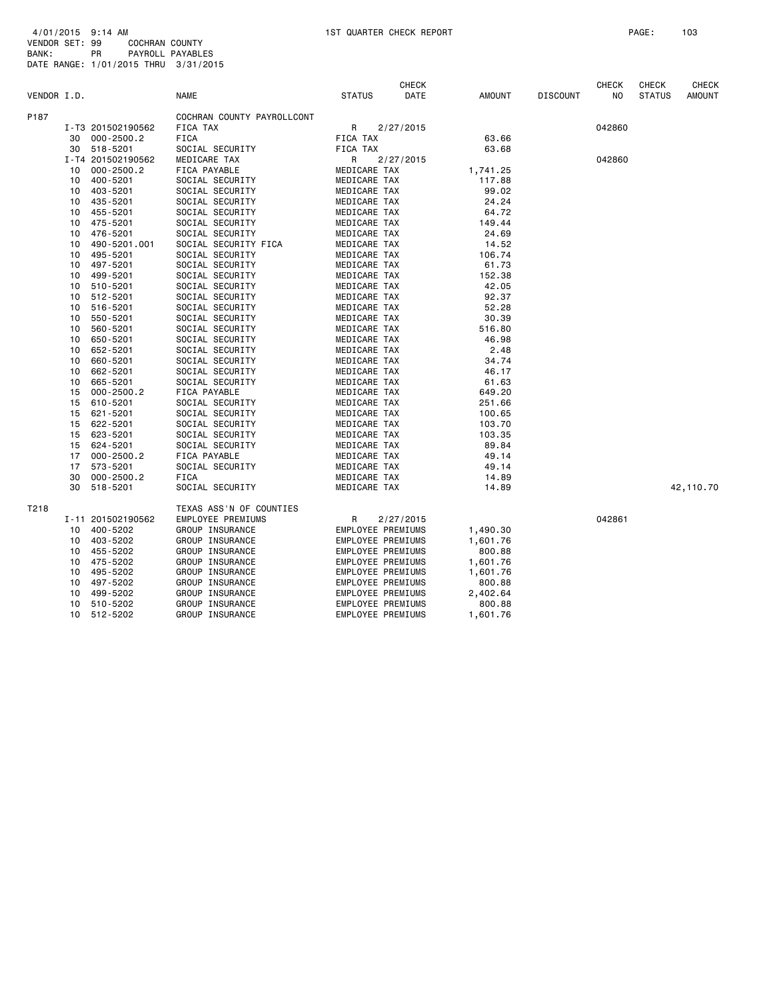| VENDOR I.D. |    |                   | <b>NAME</b>                | <b>STATUS</b>     | <b>CHECK</b><br>DATE | <b>AMOUNT</b> | <b>DISCOUNT</b> | <b>CHECK</b><br>NO | <b>CHECK</b><br><b>STATUS</b> | <b>CHECK</b><br><b>AMOUNT</b> |
|-------------|----|-------------------|----------------------------|-------------------|----------------------|---------------|-----------------|--------------------|-------------------------------|-------------------------------|
| P187        |    |                   | COCHRAN COUNTY PAYROLLCONT |                   |                      |               |                 |                    |                               |                               |
|             |    | I-T3 201502190562 | FICA TAX                   | R                 | 2/27/2015            |               |                 | 042860             |                               |                               |
|             | 30 | 000-2500.2        | <b>FICA</b>                | FICA TAX          |                      | 63.66         |                 |                    |                               |                               |
|             |    | 30 518-5201       | SOCIAL SECURITY            | FICA TAX          |                      | 63.68         |                 |                    |                               |                               |
|             |    | I-T4 201502190562 | MEDICARE TAX               | R                 | 2/27/2015            |               |                 | 042860             |                               |                               |
|             | 10 | $000 - 2500.2$    | FICA PAYABLE               | MEDICARE TAX      |                      | 1,741.25      |                 |                    |                               |                               |
|             | 10 | 400-5201          | SOCIAL SECURITY            | MEDICARE TAX      |                      | 117.88        |                 |                    |                               |                               |
|             | 10 | 403-5201          | SOCIAL SECURITY            | MEDICARE TAX      |                      | 99.02         |                 |                    |                               |                               |
|             | 10 | 435-5201          | SOCIAL SECURITY            | MEDICARE TAX      |                      | 24.24         |                 |                    |                               |                               |
|             | 10 | 455-5201          | SOCIAL SECURITY            | MEDICARE TAX      |                      | 64.72         |                 |                    |                               |                               |
|             | 10 | 475-5201          | SOCIAL SECURITY            | MEDICARE TAX      |                      | 149.44        |                 |                    |                               |                               |
|             | 10 | 476-5201          | SOCIAL SECURITY            | MEDICARE TAX      |                      | 24.69         |                 |                    |                               |                               |
|             | 10 | 490-5201.001      | SOCIAL SECURITY FICA       | MEDICARE TAX      |                      | 14.52         |                 |                    |                               |                               |
|             | 10 | 495-5201          | SOCIAL SECURITY            | MEDICARE TAX      |                      | 106.74        |                 |                    |                               |                               |
|             | 10 | 497-5201          | SOCIAL SECURITY            | MEDICARE TAX      |                      | 61.73         |                 |                    |                               |                               |
|             | 10 | 499-5201          | SOCIAL SECURITY            | MEDICARE TAX      |                      | 152.38        |                 |                    |                               |                               |
|             | 10 | 510-5201          | SOCIAL SECURITY            | MEDICARE TAX      |                      | 42.05         |                 |                    |                               |                               |
|             | 10 | 512-5201          | SOCIAL SECURITY            | MEDICARE TAX      |                      | 92.37         |                 |                    |                               |                               |
|             | 10 | 516-5201          | SOCIAL SECURITY            | MEDICARE TAX      |                      | 52.28         |                 |                    |                               |                               |
|             | 10 | 550-5201          | SOCIAL SECURITY            | MEDICARE TAX      |                      | 30.39         |                 |                    |                               |                               |
|             | 10 | 560-5201          | SOCIAL SECURITY            | MEDICARE TAX      |                      | 516.80        |                 |                    |                               |                               |
|             | 10 | 650-5201          | SOCIAL SECURITY            | MEDICARE TAX      |                      | 46.98         |                 |                    |                               |                               |
|             | 10 | 652-5201          | SOCIAL SECURITY            | MEDICARE TAX      |                      | 2.48          |                 |                    |                               |                               |
|             | 10 | 660-5201          | SOCIAL SECURITY            | MEDICARE TAX      |                      | 34.74         |                 |                    |                               |                               |
|             | 10 | 662-5201          | SOCIAL SECURITY            | MEDICARE TAX      |                      | 46.17         |                 |                    |                               |                               |
|             | 10 | 665-5201          | SOCIAL SECURITY            | MEDICARE TAX      |                      | 61.63         |                 |                    |                               |                               |
|             | 15 | $000 - 2500.2$    | FICA PAYABLE               | MEDICARE TAX      |                      | 649.20        |                 |                    |                               |                               |
|             | 15 | 610-5201          | SOCIAL SECURITY            | MEDICARE TAX      |                      | 251.66        |                 |                    |                               |                               |
|             | 15 | 621-5201          | SOCIAL SECURITY            | MEDICARE TAX      |                      | 100.65        |                 |                    |                               |                               |
|             | 15 | 622-5201          | SOCIAL SECURITY            | MEDICARE TAX      |                      | 103.70        |                 |                    |                               |                               |
|             | 15 | 623-5201          | SOCIAL SECURITY            | MEDICARE TAX      |                      | 103.35        |                 |                    |                               |                               |
|             | 15 | 624-5201          | SOCIAL SECURITY            | MEDICARE TAX      |                      | 89.84         |                 |                    |                               |                               |
|             | 17 | $000 - 2500.2$    | FICA PAYABLE               | MEDICARE TAX      |                      | 49.14         |                 |                    |                               |                               |
|             | 17 | 573-5201          | SOCIAL SECURITY            | MEDICARE TAX      |                      | 49.14         |                 |                    |                               |                               |
|             | 30 | $000 - 2500.2$    | <b>FICA</b>                | MEDICARE TAX      |                      | 14.89         |                 |                    |                               |                               |
|             | 30 | 518-5201          | SOCIAL SECURITY            | MEDICARE TAX      |                      | 14.89         |                 |                    |                               | 42,110.70                     |
| T218        |    |                   | TEXAS ASS'N OF COUNTIES    |                   |                      |               |                 |                    |                               |                               |
|             |    | I-11 201502190562 | EMPLOYEE PREMIUMS          | R                 | 2/27/2015            |               |                 | 042861             |                               |                               |
|             | 10 | 400-5202          | GROUP INSURANCE            | EMPLOYEE PREMIUMS |                      | 1,490.30      |                 |                    |                               |                               |
|             | 10 | 403-5202          | GROUP INSURANCE            | EMPLOYEE PREMIUMS |                      | 1,601.76      |                 |                    |                               |                               |
|             | 10 | 455-5202          | GROUP INSURANCE            | EMPLOYEE PREMIUMS |                      | 800.88        |                 |                    |                               |                               |
|             | 10 | 475-5202          | GROUP INSURANCE            | EMPLOYEE PREMIUMS |                      | 1,601.76      |                 |                    |                               |                               |
|             | 10 | 495-5202          | GROUP INSURANCE            | EMPLOYEE PREMIUMS |                      | 1,601.76      |                 |                    |                               |                               |
|             | 10 | 497-5202          | GROUP INSURANCE            | EMPLOYEE PREMIUMS |                      | 800.88        |                 |                    |                               |                               |
|             | 10 | 499-5202          | GROUP INSURANCE            | EMPLOYEE PREMIUMS |                      | 2,402.64      |                 |                    |                               |                               |
|             | 10 | 510-5202          | GROUP INSURANCE            | EMPLOYEE PREMIUMS |                      | 800.88        |                 |                    |                               |                               |
|             |    |                   |                            |                   |                      |               |                 |                    |                               |                               |

10 512-5202 GROUP INSURANCE EMPLOYEE PREMIUMS 1,601.76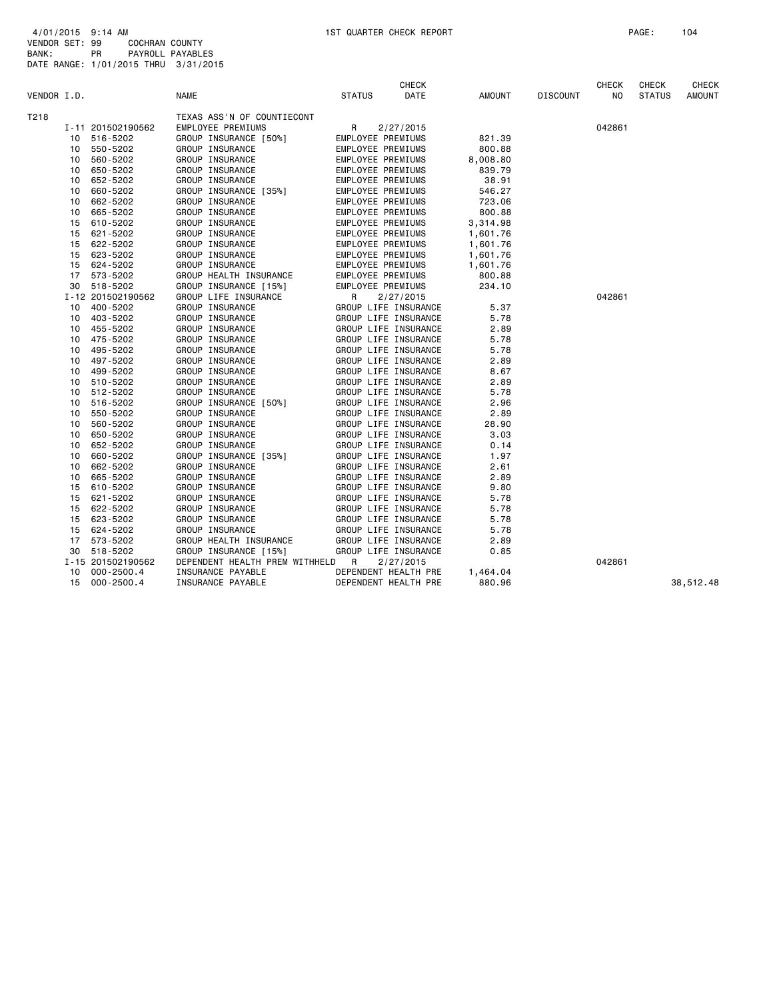| VENDOR I.D. |    |                   | <b>NAME</b>                                     | <b>STATUS</b> | <b>CHECK</b><br>DATE | AMOUNT   | <b>DISCOUNT</b> | <b>CHECK</b><br>NO. | <b>CHECK</b><br><b>STATUS</b> | CHECK<br><b>AMOUNT</b> |
|-------------|----|-------------------|-------------------------------------------------|---------------|----------------------|----------|-----------------|---------------------|-------------------------------|------------------------|
| T218        |    |                   |                                                 |               |                      |          |                 |                     |                               |                        |
|             |    | I-11 201502190562 | TEXAS ASS'N OF COUNTIECONT<br>EMPLOYEE PREMIUMS | $\mathsf{R}$  | 2/27/2015            |          |                 | 042861              |                               |                        |
|             | 10 | 516-5202          | GROUP INSURANCE [50%]                           |               | EMPLOYEE PREMIUMS    | 821.39   |                 |                     |                               |                        |
|             | 10 | 550-5202          | GROUP INSURANCE                                 |               | EMPLOYEE PREMIUMS    | 800.88   |                 |                     |                               |                        |
|             | 10 | 560-5202          | GROUP INSURANCE                                 |               | EMPLOYEE PREMIUMS    | 8,008.80 |                 |                     |                               |                        |
|             | 10 | 650-5202          | GROUP INSURANCE                                 |               | EMPLOYEE PREMIUMS    | 839.79   |                 |                     |                               |                        |
|             | 10 | 652-5202          | GROUP INSURANCE                                 |               | EMPLOYEE PREMIUMS    | 38.91    |                 |                     |                               |                        |
|             | 10 | 660-5202          | GROUP INSURANCE [35%]                           |               | EMPLOYEE PREMIUMS    | 546.27   |                 |                     |                               |                        |
|             | 10 | 662-5202          | GROUP INSURANCE                                 |               | EMPLOYEE PREMIUMS    | 723.06   |                 |                     |                               |                        |
|             | 10 | 665-5202          | GROUP INSURANCE                                 |               | EMPLOYEE PREMIUMS    | 800.88   |                 |                     |                               |                        |
|             | 15 | 610-5202          | GROUP INSURANCE                                 |               | EMPLOYEE PREMIUMS    | 3,314.98 |                 |                     |                               |                        |
|             | 15 | 621-5202          | GROUP INSURANCE                                 |               | EMPLOYEE PREMIUMS    | 1,601.76 |                 |                     |                               |                        |
|             | 15 | 622-5202          | GROUP INSURANCE                                 |               | EMPLOYEE PREMIUMS    | 1,601.76 |                 |                     |                               |                        |
|             | 15 | 623-5202          | GROUP INSURANCE                                 |               | EMPLOYEE PREMIUMS    | 1,601.76 |                 |                     |                               |                        |
|             | 15 | 624-5202          | GROUP INSURANCE                                 |               | EMPLOYEE PREMIUMS    | 1,601.76 |                 |                     |                               |                        |
|             | 17 | 573-5202          | GROUP HEALTH INSURANCE                          |               | EMPLOYEE PREMIUMS    | 800.88   |                 |                     |                               |                        |
|             | 30 | 518-5202          | GROUP INSURANCE [15%]                           |               | EMPLOYEE PREMIUMS    | 234.10   |                 |                     |                               |                        |
|             |    | I-12 201502190562 | GROUP LIFE INSURANCE                            | R             | 2/27/2015            |          |                 | 042861              |                               |                        |
|             | 10 | 400-5202          | GROUP INSURANCE                                 |               | GROUP LIFE INSURANCE | 5.37     |                 |                     |                               |                        |
|             |    | 10 403-5202       | GROUP INSURANCE                                 |               | GROUP LIFE INSURANCE | 5.78     |                 |                     |                               |                        |
|             | 10 | 455-5202          | GROUP INSURANCE                                 |               | GROUP LIFE INSURANCE | 2.89     |                 |                     |                               |                        |
|             | 10 | 475-5202          | GROUP INSURANCE                                 |               | GROUP LIFE INSURANCE | 5.78     |                 |                     |                               |                        |
|             | 10 | 495-5202          | GROUP INSURANCE                                 |               | GROUP LIFE INSURANCE | 5.78     |                 |                     |                               |                        |
|             | 10 | 497-5202          | GROUP INSURANCE                                 |               | GROUP LIFE INSURANCE | 2.89     |                 |                     |                               |                        |
|             | 10 | 499-5202          | GROUP INSURANCE                                 |               | GROUP LIFE INSURANCE | 8.67     |                 |                     |                               |                        |
|             | 10 | 510-5202          | GROUP INSURANCE                                 |               | GROUP LIFE INSURANCE | 2.89     |                 |                     |                               |                        |
|             | 10 | 512-5202          | GROUP INSURANCE                                 |               | GROUP LIFE INSURANCE | 5.78     |                 |                     |                               |                        |
|             | 10 | 516-5202          | GROUP INSURANCE [50%]                           |               | GROUP LIFE INSURANCE | 2.96     |                 |                     |                               |                        |
|             | 10 | 550-5202          | GROUP INSURANCE                                 |               | GROUP LIFE INSURANCE | 2.89     |                 |                     |                               |                        |
|             | 10 | 560-5202          | GROUP INSURANCE                                 |               | GROUP LIFE INSURANCE | 28.90    |                 |                     |                               |                        |
|             | 10 | 650-5202          | GROUP INSURANCE                                 |               | GROUP LIFE INSURANCE | 3.03     |                 |                     |                               |                        |
|             | 10 | 652-5202          | GROUP INSURANCE                                 |               | GROUP LIFE INSURANCE | 0.14     |                 |                     |                               |                        |
|             | 10 | 660-5202          | GROUP INSURANCE [35%]                           |               | GROUP LIFE INSURANCE | 1.97     |                 |                     |                               |                        |
|             | 10 | 662-5202          | GROUP INSURANCE                                 |               | GROUP LIFE INSURANCE | 2.61     |                 |                     |                               |                        |
|             | 10 | 665-5202          | GROUP INSURANCE                                 |               | GROUP LIFE INSURANCE | 2.89     |                 |                     |                               |                        |
|             | 15 | 610-5202          | GROUP INSURANCE                                 |               | GROUP LIFE INSURANCE | 9.80     |                 |                     |                               |                        |
|             | 15 | 621-5202          | GROUP INSURANCE                                 |               | GROUP LIFE INSURANCE | 5.78     |                 |                     |                               |                        |
|             | 15 | 622-5202          | GROUP INSURANCE                                 |               | GROUP LIFE INSURANCE | 5.78     |                 |                     |                               |                        |
|             | 15 | 623-5202          | GROUP INSURANCE                                 |               | GROUP LIFE INSURANCE | 5.78     |                 |                     |                               |                        |
|             | 15 | 624-5202          | GROUP INSURANCE                                 |               | GROUP LIFE INSURANCE | 5.78     |                 |                     |                               |                        |
|             | 17 | 573-5202          | GROUP HEALTH INSURANCE                          |               | GROUP LIFE INSURANCE | 2.89     |                 |                     |                               |                        |
|             | 30 | 518-5202          | GROUP INSURANCE [15%]                           |               | GROUP LIFE INSURANCE | 0.85     |                 |                     |                               |                        |
|             |    | I-15 201502190562 | DEPENDENT HEALTH PREM WITHHELD R                |               | 2/27/2015            |          |                 | 042861              |                               |                        |
|             | 10 | $000 - 2500.4$    | INSURANCE PAYABLE                               |               | DEPENDENT HEALTH PRE | 1,464.04 |                 |                     |                               |                        |
|             |    | 15 000-2500.4     | INSURANCE PAYABLE                               |               | DEPENDENT HEALTH PRE | 880.96   |                 |                     |                               | 38,512.48              |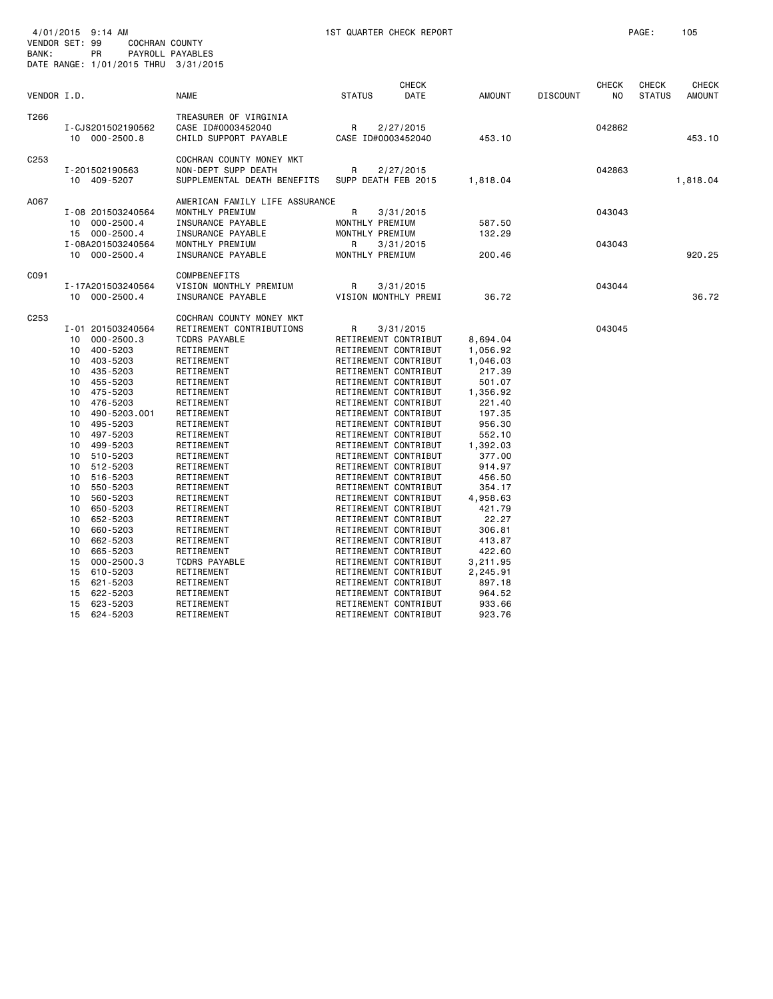| VENDOR SET: 99<br>BANK: |                                                                                                                                                          | 4/01/2015 9:14 AM<br><b>COCHRAN COUNTY</b><br>PR<br>DATE RANGE: 1/01/2015 THRU 3/31/2015                                                                                                                                                                                                                                                                  | PAYROLL PAYABLES                                                                                                                                                                                                                                                                                                                                                                                                                                     |                                                                 | 1ST QUARTER CHECK REPORT                                                                                                                                                                                                                                                                                                                                                                                                                                                                                                                                                                                                                                  |                                                                                                                                                                                                                                                                                 |                 |                                | PAGE:                         | 105                           |
|-------------------------|----------------------------------------------------------------------------------------------------------------------------------------------------------|-----------------------------------------------------------------------------------------------------------------------------------------------------------------------------------------------------------------------------------------------------------------------------------------------------------------------------------------------------------|------------------------------------------------------------------------------------------------------------------------------------------------------------------------------------------------------------------------------------------------------------------------------------------------------------------------------------------------------------------------------------------------------------------------------------------------------|-----------------------------------------------------------------|-----------------------------------------------------------------------------------------------------------------------------------------------------------------------------------------------------------------------------------------------------------------------------------------------------------------------------------------------------------------------------------------------------------------------------------------------------------------------------------------------------------------------------------------------------------------------------------------------------------------------------------------------------------|---------------------------------------------------------------------------------------------------------------------------------------------------------------------------------------------------------------------------------------------------------------------------------|-----------------|--------------------------------|-------------------------------|-------------------------------|
| VENDOR I.D.             |                                                                                                                                                          |                                                                                                                                                                                                                                                                                                                                                           | <b>NAME</b>                                                                                                                                                                                                                                                                                                                                                                                                                                          | <b>STATUS</b>                                                   | <b>CHECK</b><br><b>DATE</b>                                                                                                                                                                                                                                                                                                                                                                                                                                                                                                                                                                                                                               | <b>AMOUNT</b>                                                                                                                                                                                                                                                                   | <b>DISCOUNT</b> | <b>CHECK</b><br>N <sub>O</sub> | <b>CHECK</b><br><b>STATUS</b> | <b>CHECK</b><br><b>AMOUNT</b> |
| T266                    | 10                                                                                                                                                       | I-CJS201502190562<br>$000 - 2500.8$                                                                                                                                                                                                                                                                                                                       | TREASURER OF VIRGINIA<br>CASE ID#0003452040<br>CHILD SUPPORT PAYABLE                                                                                                                                                                                                                                                                                                                                                                                 | R<br>CASE ID#0003452040                                         | 2/27/2015                                                                                                                                                                                                                                                                                                                                                                                                                                                                                                                                                                                                                                                 | 453.10                                                                                                                                                                                                                                                                          |                 | 042862                         |                               | 453.10                        |
| C <sub>253</sub>        |                                                                                                                                                          | I-201502190563<br>10 409-5207                                                                                                                                                                                                                                                                                                                             | COCHRAN COUNTY MONEY MKT<br>NON-DEPT SUPP DEATH<br>SUPPLEMENTAL DEATH BENEFITS                                                                                                                                                                                                                                                                                                                                                                       | R<br>SUPP DEATH FEB 2015                                        | 2/27/2015                                                                                                                                                                                                                                                                                                                                                                                                                                                                                                                                                                                                                                                 | 1,818.04                                                                                                                                                                                                                                                                        |                 | 042863                         |                               | 1,818.04                      |
| A067                    | 10<br>15<br>10                                                                                                                                           | I-08 201503240564<br>$000 - 2500.4$<br>$000 - 2500.4$<br>I-08A201503240564<br>$000 - 2500.4$                                                                                                                                                                                                                                                              | AMERICAN FAMILY LIFE ASSURANCE<br>MONTHLY PREMIUM<br>INSURANCE PAYABLE<br>INSURANCE PAYABLE<br>MONTHLY PREMIUM<br>INSURANCE PAYABLE                                                                                                                                                                                                                                                                                                                  | R<br>MONTHLY PREMIUM<br>MONTHLY PREMIUM<br>R<br>MONTHLY PREMIUM | 3/31/2015<br>3/31/2015                                                                                                                                                                                                                                                                                                                                                                                                                                                                                                                                                                                                                                    | 587.50<br>132.29<br>200.46                                                                                                                                                                                                                                                      |                 | 043043<br>043043               |                               | 920.25                        |
| C091                    |                                                                                                                                                          | I-17A201503240564<br>10 000-2500.4                                                                                                                                                                                                                                                                                                                        | COMPBENEFITS<br>VISION MONTHLY PREMIUM<br>INSURANCE PAYABLE                                                                                                                                                                                                                                                                                                                                                                                          | R                                                               | 3/31/2015<br>VISION MONTHLY PREMI                                                                                                                                                                                                                                                                                                                                                                                                                                                                                                                                                                                                                         | 36.72                                                                                                                                                                                                                                                                           |                 | 043044                         |                               | 36.72                         |
| C <sub>253</sub>        | 10<br>10<br>10<br>10<br>10<br>10<br>10<br>10<br>10<br>10<br>10<br>10<br>10<br>10<br>10<br>10<br>10<br>10<br>10<br>10<br>10<br>15<br>15<br>15<br>15<br>15 | I-01 201503240564<br>$000 - 2500.3$<br>400-5203<br>403-5203<br>435-5203<br>455-5203<br>475-5203<br>476-5203<br>490-5203.001<br>495-5203<br>497-5203<br>499-5203<br>510-5203<br>512-5203<br>516-5203<br>550-5203<br>560-5203<br>650-5203<br>652-5203<br>660-5203<br>662-5203<br>665-5203<br>$000 - 2500.3$<br>610-5203<br>621-5203<br>622-5203<br>623-5203 | COCHRAN COUNTY MONEY MKT<br>RETIREMENT CONTRIBUTIONS<br><b>TCDRS PAYABLE</b><br>RETIREMENT<br>RETIREMENT<br>RETIREMENT<br>RETIREMENT<br>RETIREMENT<br>RETIREMENT<br>RETIREMENT<br>RETIREMENT<br>RETIREMENT<br>RETIREMENT<br>RETIREMENT<br>RETIREMENT<br>RETIREMENT<br>RETIREMENT<br>RETIREMENT<br>RETIREMENT<br>RETIREMENT<br>RETIREMENT<br>RETIREMENT<br>RETIREMENT<br><b>TCDRS PAYABLE</b><br>RETIREMENT<br>RETIREMENT<br>RETIREMENT<br>RETIREMENT | R                                                               | 3/31/2015<br>RETIREMENT CONTRIBUT<br>RETIREMENT CONTRIBUT<br>RETIREMENT CONTRIBUT<br>RETIREMENT CONTRIBUT<br>RETIREMENT CONTRIBUT<br>RETIREMENT CONTRIBUT<br>RETIREMENT CONTRIBUT<br>RETIREMENT CONTRIBUT<br>RETIREMENT CONTRIBUT<br>RETIREMENT CONTRIBUT<br>RETIREMENT CONTRIBUT<br>RETIREMENT CONTRIBUT<br>RETIREMENT CONTRIBUT<br>RETIREMENT CONTRIBUT<br>RETIREMENT CONTRIBUT<br>RETIREMENT CONTRIBUT<br>RETIREMENT CONTRIBUT<br>RETIREMENT CONTRIBUT<br>RETIREMENT CONTRIBUT<br>RETIREMENT CONTRIBUT<br>RETIREMENT CONTRIBUT<br>RETIREMENT CONTRIBUT<br>RETIREMENT CONTRIBUT<br>RETIREMENT CONTRIBUT<br>RETIREMENT CONTRIBUT<br>RETIREMENT CONTRIBUT | 8,694.04<br>1,056.92<br>1,046.03<br>217.39<br>501.07<br>1,356.92<br>221.40<br>197.35<br>956.30<br>552.10<br>1,392.03<br>377.00<br>914.97<br>456.50<br>354.17<br>4,958.63<br>421.79<br>22.27<br>306.81<br>413.87<br>422.60<br>3,211.95<br>2,245.91<br>897.18<br>964.52<br>933.66 |                 | 043045                         |                               |                               |

15 624-5203 RETIREMENT RETIREMENT CONTRIBUT 923.76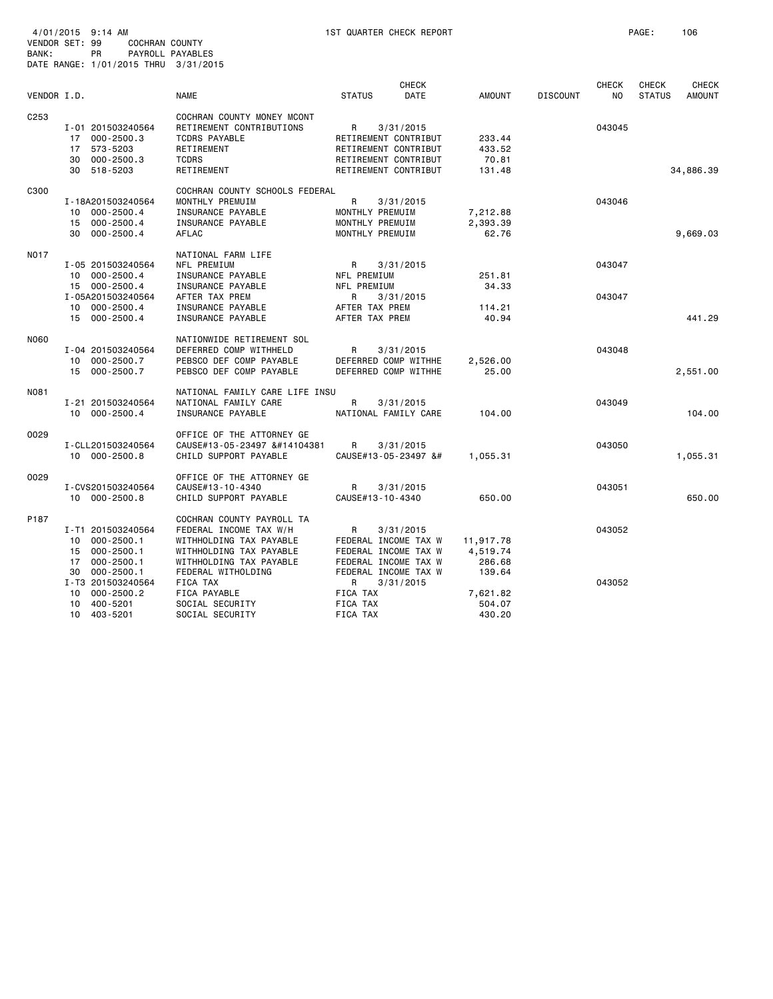| VENDOR SET: 99   |    | 4/01/2015 9:14 AM<br>COCHRAN COUNTY               |                                                        |                                                                                                                                                                                                                                                                                                                                                                                                                                                                                                                                                                                                                                                                                                                                                                                                                                                                                                                                                                                                                                                                                                                                                                                                                                                                                                                                                                                                                                                                                                                                                                                                                                                                                                                                                                                                                                                                                                                                                                                                                                                                                                                                                                                                                                                                                               | 1ST QUARTER CHECK REPORT |               |                 |              | PAGE:         | 106           |
|------------------|----|---------------------------------------------------|--------------------------------------------------------|-----------------------------------------------------------------------------------------------------------------------------------------------------------------------------------------------------------------------------------------------------------------------------------------------------------------------------------------------------------------------------------------------------------------------------------------------------------------------------------------------------------------------------------------------------------------------------------------------------------------------------------------------------------------------------------------------------------------------------------------------------------------------------------------------------------------------------------------------------------------------------------------------------------------------------------------------------------------------------------------------------------------------------------------------------------------------------------------------------------------------------------------------------------------------------------------------------------------------------------------------------------------------------------------------------------------------------------------------------------------------------------------------------------------------------------------------------------------------------------------------------------------------------------------------------------------------------------------------------------------------------------------------------------------------------------------------------------------------------------------------------------------------------------------------------------------------------------------------------------------------------------------------------------------------------------------------------------------------------------------------------------------------------------------------------------------------------------------------------------------------------------------------------------------------------------------------------------------------------------------------------------------------------------------------|--------------------------|---------------|-----------------|--------------|---------------|---------------|
| BANK:            |    | <b>PR</b><br>DATE RANGE: 1/01/2015 THRU 3/31/2015 | PAYROLL PAYABLES                                       |                                                                                                                                                                                                                                                                                                                                                                                                                                                                                                                                                                                                                                                                                                                                                                                                                                                                                                                                                                                                                                                                                                                                                                                                                                                                                                                                                                                                                                                                                                                                                                                                                                                                                                                                                                                                                                                                                                                                                                                                                                                                                                                                                                                                                                                                                               |                          |               |                 |              |               |               |
|                  |    |                                                   |                                                        |                                                                                                                                                                                                                                                                                                                                                                                                                                                                                                                                                                                                                                                                                                                                                                                                                                                                                                                                                                                                                                                                                                                                                                                                                                                                                                                                                                                                                                                                                                                                                                                                                                                                                                                                                                                                                                                                                                                                                                                                                                                                                                                                                                                                                                                                                               | <b>CHECK</b>             |               |                 | <b>CHECK</b> | <b>CHECK</b>  | <b>CHECK</b>  |
| VENDOR I.D.      |    |                                                   | <b>NAME</b>                                            | <b>STATUS</b>                                                                                                                                                                                                                                                                                                                                                                                                                                                                                                                                                                                                                                                                                                                                                                                                                                                                                                                                                                                                                                                                                                                                                                                                                                                                                                                                                                                                                                                                                                                                                                                                                                                                                                                                                                                                                                                                                                                                                                                                                                                                                                                                                                                                                                                                                 | DATE                     | <b>AMOUNT</b> | <b>DISCOUNT</b> | NO           | <b>STATUS</b> | <b>AMOUNT</b> |
| C <sub>253</sub> |    |                                                   | COCHRAN COUNTY MONEY MCONT                             |                                                                                                                                                                                                                                                                                                                                                                                                                                                                                                                                                                                                                                                                                                                                                                                                                                                                                                                                                                                                                                                                                                                                                                                                                                                                                                                                                                                                                                                                                                                                                                                                                                                                                                                                                                                                                                                                                                                                                                                                                                                                                                                                                                                                                                                                                               |                          |               |                 |              |               |               |
|                  |    | I-01 201503240564                                 | RETIREMENT CONTRIBUTIONS                               | R                                                                                                                                                                                                                                                                                                                                                                                                                                                                                                                                                                                                                                                                                                                                                                                                                                                                                                                                                                                                                                                                                                                                                                                                                                                                                                                                                                                                                                                                                                                                                                                                                                                                                                                                                                                                                                                                                                                                                                                                                                                                                                                                                                                                                                                                                             | 3/31/2015                |               |                 | 043045       |               |               |
|                  | 17 | 000-2500.3                                        | TCDRS PAYABLE                                          | RETIREMENT CONTRIBUT                                                                                                                                                                                                                                                                                                                                                                                                                                                                                                                                                                                                                                                                                                                                                                                                                                                                                                                                                                                                                                                                                                                                                                                                                                                                                                                                                                                                                                                                                                                                                                                                                                                                                                                                                                                                                                                                                                                                                                                                                                                                                                                                                                                                                                                                          |                          | 233.44        |                 |              |               |               |
|                  | 17 | 573-5203                                          | RETIREMENT                                             | RETIREMENT CONTRIBUT                                                                                                                                                                                                                                                                                                                                                                                                                                                                                                                                                                                                                                                                                                                                                                                                                                                                                                                                                                                                                                                                                                                                                                                                                                                                                                                                                                                                                                                                                                                                                                                                                                                                                                                                                                                                                                                                                                                                                                                                                                                                                                                                                                                                                                                                          |                          | 433.52        |                 |              |               |               |
|                  | 30 | 000-2500.3                                        | <b>TCDRS</b>                                           | RETIREMENT CONTRIBUT                                                                                                                                                                                                                                                                                                                                                                                                                                                                                                                                                                                                                                                                                                                                                                                                                                                                                                                                                                                                                                                                                                                                                                                                                                                                                                                                                                                                                                                                                                                                                                                                                                                                                                                                                                                                                                                                                                                                                                                                                                                                                                                                                                                                                                                                          |                          | 70.81         |                 |              |               |               |
|                  | 30 | 518-5203                                          | RETIREMENT                                             | RETIREMENT CONTRIBUT                                                                                                                                                                                                                                                                                                                                                                                                                                                                                                                                                                                                                                                                                                                                                                                                                                                                                                                                                                                                                                                                                                                                                                                                                                                                                                                                                                                                                                                                                                                                                                                                                                                                                                                                                                                                                                                                                                                                                                                                                                                                                                                                                                                                                                                                          |                          | 131.48        |                 |              |               | 34,886.39     |
| C300             |    |                                                   | COCHRAN COUNTY SCHOOLS FEDERAL                         |                                                                                                                                                                                                                                                                                                                                                                                                                                                                                                                                                                                                                                                                                                                                                                                                                                                                                                                                                                                                                                                                                                                                                                                                                                                                                                                                                                                                                                                                                                                                                                                                                                                                                                                                                                                                                                                                                                                                                                                                                                                                                                                                                                                                                                                                                               |                          |               |                 |              |               |               |
|                  |    | I-18A201503240564                                 | MONTHLY PREMUIM                                        | R                                                                                                                                                                                                                                                                                                                                                                                                                                                                                                                                                                                                                                                                                                                                                                                                                                                                                                                                                                                                                                                                                                                                                                                                                                                                                                                                                                                                                                                                                                                                                                                                                                                                                                                                                                                                                                                                                                                                                                                                                                                                                                                                                                                                                                                                                             | 3/31/2015                |               |                 | 043046       |               |               |
|                  |    | 10 000-2500.4                                     | INSURANCE PAYABLE                                      | MONTHLY PREMUIM                                                                                                                                                                                                                                                                                                                                                                                                                                                                                                                                                                                                                                                                                                                                                                                                                                                                                                                                                                                                                                                                                                                                                                                                                                                                                                                                                                                                                                                                                                                                                                                                                                                                                                                                                                                                                                                                                                                                                                                                                                                                                                                                                                                                                                                                               |                          | 7,212.88      |                 |              |               |               |
|                  |    | 15 000-2500.4                                     | INSURANCE PAYABLE                                      | MONTHLY PREMUIM                                                                                                                                                                                                                                                                                                                                                                                                                                                                                                                                                                                                                                                                                                                                                                                                                                                                                                                                                                                                                                                                                                                                                                                                                                                                                                                                                                                                                                                                                                                                                                                                                                                                                                                                                                                                                                                                                                                                                                                                                                                                                                                                                                                                                                                                               |                          | 2,393.39      |                 |              |               |               |
|                  | 30 | $000 - 2500.4$                                    | AFLAC                                                  | MONTHLY PREMUIM                                                                                                                                                                                                                                                                                                                                                                                                                                                                                                                                                                                                                                                                                                                                                                                                                                                                                                                                                                                                                                                                                                                                                                                                                                                                                                                                                                                                                                                                                                                                                                                                                                                                                                                                                                                                                                                                                                                                                                                                                                                                                                                                                                                                                                                                               |                          | 62.76         |                 |              |               | 9,669.03      |
| <b>NO17</b>      |    |                                                   | NATIONAL FARM LIFE                                     |                                                                                                                                                                                                                                                                                                                                                                                                                                                                                                                                                                                                                                                                                                                                                                                                                                                                                                                                                                                                                                                                                                                                                                                                                                                                                                                                                                                                                                                                                                                                                                                                                                                                                                                                                                                                                                                                                                                                                                                                                                                                                                                                                                                                                                                                                               |                          |               |                 |              |               |               |
|                  |    | I-05 201503240564                                 | NFL PREMIUM                                            | R                                                                                                                                                                                                                                                                                                                                                                                                                                                                                                                                                                                                                                                                                                                                                                                                                                                                                                                                                                                                                                                                                                                                                                                                                                                                                                                                                                                                                                                                                                                                                                                                                                                                                                                                                                                                                                                                                                                                                                                                                                                                                                                                                                                                                                                                                             | 3/31/2015                |               |                 | 043047       |               |               |
|                  |    | 10 000-2500.4                                     | INSURANCE PAYABLE                                      | NFL PREMIUM                                                                                                                                                                                                                                                                                                                                                                                                                                                                                                                                                                                                                                                                                                                                                                                                                                                                                                                                                                                                                                                                                                                                                                                                                                                                                                                                                                                                                                                                                                                                                                                                                                                                                                                                                                                                                                                                                                                                                                                                                                                                                                                                                                                                                                                                                   |                          | 251.81        |                 |              |               |               |
|                  |    | 15 000-2500.4                                     | INSURANCE PAYABLE                                      | NFL PREMIUM                                                                                                                                                                                                                                                                                                                                                                                                                                                                                                                                                                                                                                                                                                                                                                                                                                                                                                                                                                                                                                                                                                                                                                                                                                                                                                                                                                                                                                                                                                                                                                                                                                                                                                                                                                                                                                                                                                                                                                                                                                                                                                                                                                                                                                                                                   |                          | 34.33         |                 |              |               |               |
|                  |    | I-05A201503240564                                 | AFTER TAX PREM                                         | R                                                                                                                                                                                                                                                                                                                                                                                                                                                                                                                                                                                                                                                                                                                                                                                                                                                                                                                                                                                                                                                                                                                                                                                                                                                                                                                                                                                                                                                                                                                                                                                                                                                                                                                                                                                                                                                                                                                                                                                                                                                                                                                                                                                                                                                                                             | 3/31/2015                |               |                 | 043047       |               |               |
|                  |    | 10 000-2500.4                                     | INSURANCE PAYABLE                                      | AFTER TAX PREM                                                                                                                                                                                                                                                                                                                                                                                                                                                                                                                                                                                                                                                                                                                                                                                                                                                                                                                                                                                                                                                                                                                                                                                                                                                                                                                                                                                                                                                                                                                                                                                                                                                                                                                                                                                                                                                                                                                                                                                                                                                                                                                                                                                                                                                                                |                          | 114.21        |                 |              |               |               |
|                  |    | 15 000-2500.4                                     | INSURANCE PAYABLE                                      | AFTER TAX PREM                                                                                                                                                                                                                                                                                                                                                                                                                                                                                                                                                                                                                                                                                                                                                                                                                                                                                                                                                                                                                                                                                                                                                                                                                                                                                                                                                                                                                                                                                                                                                                                                                                                                                                                                                                                                                                                                                                                                                                                                                                                                                                                                                                                                                                                                                |                          | 40.94         |                 |              |               | 441.29        |
| N060             |    |                                                   | NATIONWIDE RETIREMENT SOL                              |                                                                                                                                                                                                                                                                                                                                                                                                                                                                                                                                                                                                                                                                                                                                                                                                                                                                                                                                                                                                                                                                                                                                                                                                                                                                                                                                                                                                                                                                                                                                                                                                                                                                                                                                                                                                                                                                                                                                                                                                                                                                                                                                                                                                                                                                                               |                          |               |                 |              |               |               |
|                  |    | I-04 201503240564                                 | DEFERRED COMP WITHHELD                                 | R                                                                                                                                                                                                                                                                                                                                                                                                                                                                                                                                                                                                                                                                                                                                                                                                                                                                                                                                                                                                                                                                                                                                                                                                                                                                                                                                                                                                                                                                                                                                                                                                                                                                                                                                                                                                                                                                                                                                                                                                                                                                                                                                                                                                                                                                                             | 3/31/2015                |               |                 | 043048       |               |               |
|                  |    | 10 000-2500.7                                     | PEBSCO DEF COMP PAYABLE                                | DEFERRED COMP WITHHE                                                                                                                                                                                                                                                                                                                                                                                                                                                                                                                                                                                                                                                                                                                                                                                                                                                                                                                                                                                                                                                                                                                                                                                                                                                                                                                                                                                                                                                                                                                                                                                                                                                                                                                                                                                                                                                                                                                                                                                                                                                                                                                                                                                                                                                                          |                          | 2,526.00      |                 |              |               |               |
|                  |    | 15 000-2500.7                                     | PEBSCO DEF COMP PAYABLE                                | DEFERRED COMP WITHHE                                                                                                                                                                                                                                                                                                                                                                                                                                                                                                                                                                                                                                                                                                                                                                                                                                                                                                                                                                                                                                                                                                                                                                                                                                                                                                                                                                                                                                                                                                                                                                                                                                                                                                                                                                                                                                                                                                                                                                                                                                                                                                                                                                                                                                                                          |                          | 25.00         |                 |              |               | 2,551.00      |
|                  |    |                                                   |                                                        |                                                                                                                                                                                                                                                                                                                                                                                                                                                                                                                                                                                                                                                                                                                                                                                                                                                                                                                                                                                                                                                                                                                                                                                                                                                                                                                                                                                                                                                                                                                                                                                                                                                                                                                                                                                                                                                                                                                                                                                                                                                                                                                                                                                                                                                                                               |                          |               |                 |              |               |               |
| N081             |    | I-21 201503240564                                 | NATIONAL FAMILY CARE LIFE INSU<br>NATIONAL FAMILY CARE | R                                                                                                                                                                                                                                                                                                                                                                                                                                                                                                                                                                                                                                                                                                                                                                                                                                                                                                                                                                                                                                                                                                                                                                                                                                                                                                                                                                                                                                                                                                                                                                                                                                                                                                                                                                                                                                                                                                                                                                                                                                                                                                                                                                                                                                                                                             | 3/31/2015                |               |                 | 043049       |               |               |
|                  |    | 10 000-2500.4                                     | INSURANCE PAYABLE                                      | NATIONAL FAMILY CARE                                                                                                                                                                                                                                                                                                                                                                                                                                                                                                                                                                                                                                                                                                                                                                                                                                                                                                                                                                                                                                                                                                                                                                                                                                                                                                                                                                                                                                                                                                                                                                                                                                                                                                                                                                                                                                                                                                                                                                                                                                                                                                                                                                                                                                                                          |                          | 104.00        |                 |              |               | 104.00        |
|                  |    |                                                   |                                                        |                                                                                                                                                                                                                                                                                                                                                                                                                                                                                                                                                                                                                                                                                                                                                                                                                                                                                                                                                                                                                                                                                                                                                                                                                                                                                                                                                                                                                                                                                                                                                                                                                                                                                                                                                                                                                                                                                                                                                                                                                                                                                                                                                                                                                                                                                               |                          |               |                 |              |               |               |
| 0029             |    |                                                   | OFFICE OF THE ATTORNEY GE                              |                                                                                                                                                                                                                                                                                                                                                                                                                                                                                                                                                                                                                                                                                                                                                                                                                                                                                                                                                                                                                                                                                                                                                                                                                                                                                                                                                                                                                                                                                                                                                                                                                                                                                                                                                                                                                                                                                                                                                                                                                                                                                                                                                                                                                                                                                               |                          |               |                 |              |               |               |
|                  |    | I-CLL201503240564                                 | CAUSE#13-05-23497 �                                    | R                                                                                                                                                                                                                                                                                                                                                                                                                                                                                                                                                                                                                                                                                                                                                                                                                                                                                                                                                                                                                                                                                                                                                                                                                                                                                                                                                                                                                                                                                                                                                                                                                                                                                                                                                                                                                                                                                                                                                                                                                                                                                                                                                                                                                                                                                             | 3/31/2015                |               |                 | 043050       |               |               |
|                  |    | 10 000-2500.8                                     | CHILD SUPPORT PAYABLE                                  | CAUSE#13-05-23497 &#</td><td></td><td>1,055.31</td><td></td><td></td><td></td><td>1,055.31</td></tr><tr><td>0029</td><td></td><td></td><td>OFFICE OF THE ATTORNEY GE</td><td></td><td></td><td></td><td></td><td></td><td></td><td></td></tr><tr><td></td><td></td><td>I-CVS201503240564</td><td>CAUSE#13-10-4340</td><td>R</td><td>3/31/2015</td><td></td><td></td><td>043051</td><td></td><td></td></tr><tr><td></td><td></td><td>10 000-2500.8</td><td>CHILD SUPPORT PAYABLE</td><td>CAUSE#13-10-4340</td><td></td><td>650.00</td><td></td><td></td><td></td><td>650.00</td></tr><tr><td></td><td></td><td></td><td></td><td></td><td></td><td></td><td></td><td></td><td></td><td></td></tr><tr><td>P187</td><td></td><td></td><td>COCHRAN COUNTY PAYROLL TA</td><td></td><td></td><td></td><td></td><td>043052</td><td></td><td></td></tr><tr><td></td><td>10</td><td>I-T1 201503240564<br>000-2500.1</td><td>FEDERAL INCOME TAX W/H<br>WITHHOLDING TAX PAYABLE</td><td>R<br>FEDERAL INCOME TAX W</td><td>3/31/2015</td><td>11,917.78</td><td></td><td></td><td></td><td></td></tr><tr><td></td><td>15</td><td><math>000 - 2500.1</math></td><td>WITHHOLDING TAX PAYABLE</td><td>FEDERAL INCOME TAX W</td><td></td><td>4,519.74</td><td></td><td></td><td></td><td></td></tr><tr><td></td><td>17</td><td>000-2500.1</td><td>WITHHOLDING TAX PAYABLE</td><td>FEDERAL INCOME TAX W</td><td></td><td>286.68</td><td></td><td></td><td></td><td></td></tr><tr><td></td><td>30</td><td><math>000 - 2500.1</math></td><td>FEDERAL WITHOLDING</td><td>FEDERAL INCOME TAX W</td><td></td><td>139.64</td><td></td><td></td><td></td><td></td></tr><tr><td></td><td></td><td>I-T3 201503240564</td><td>FICA TAX</td><td>R</td><td>3/31/2015</td><td></td><td></td><td>043052</td><td></td><td></td></tr><tr><td></td><td>10</td><td><math>000 - 2500.2</math></td><td>FICA PAYABLE</td><td>FICA TAX</td><td></td><td>7,621.82</td><td></td><td></td><td></td><td></td></tr><tr><td></td><td>10</td><td>400-5201</td><td>SOCIAL SECURITY</td><td>FICA TAX</td><td></td><td>504.07</td><td></td><td></td><td></td><td></td></tr><tr><td></td><td></td><td>10 403-5201</td><td>SOCIAL SECURITY</td><td>FICA TAX</td><td></td><td>430.20</td><td></td><td></td><td></td><td></td></tr></tbody></table> |                          |               |                 |              |               |               |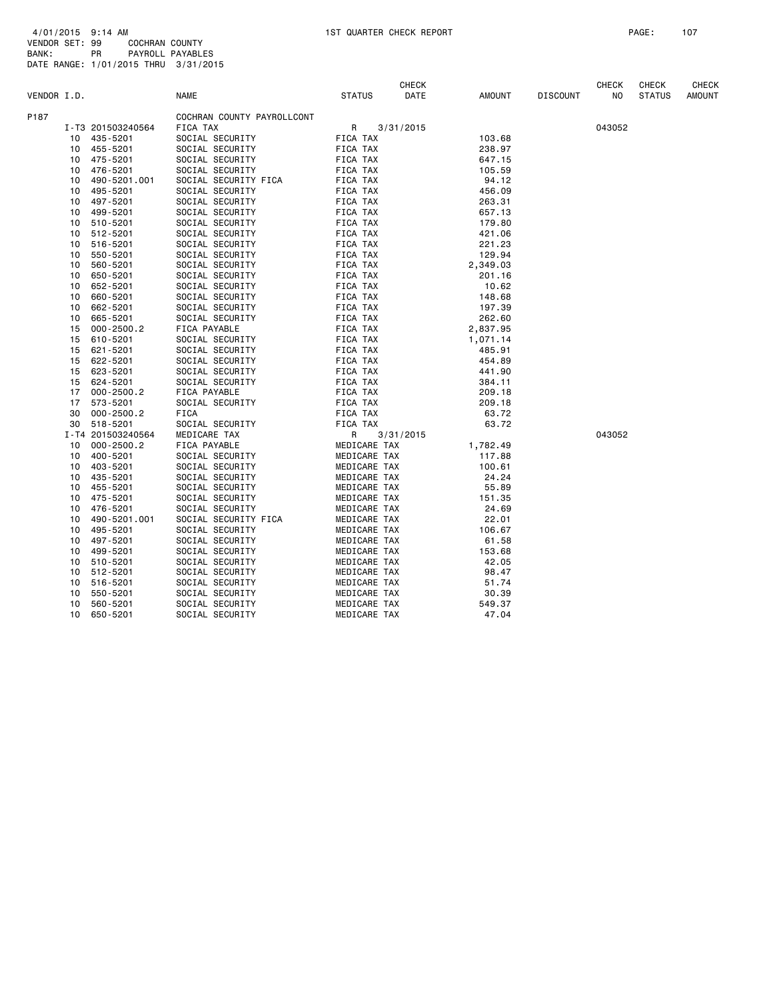|             |                |                                                                | <b>CHECK</b>                            |                      |                                                                                                                                                                                                                                                                                                        |                             | <b>CHECK</b>   | <b>CHECK</b>  | <b>CHECK</b>  |
|-------------|----------------|----------------------------------------------------------------|-----------------------------------------|----------------------|--------------------------------------------------------------------------------------------------------------------------------------------------------------------------------------------------------------------------------------------------------------------------------------------------------|-----------------------------|----------------|---------------|---------------|
| VENDOR I.D. |                | <b>NAME</b>                                                    | <b>STATUS</b>                           | DATE                 | <b>AMOUNT</b>                                                                                                                                                                                                                                                                                          | <b>DISCOUNT</b>             | N <sub>O</sub> | <b>STATUS</b> | <b>AMOUNT</b> |
|             |                | COCHRAN COUNTY PAYROLLCONT                                     |                                         |                      |                                                                                                                                                                                                                                                                                                        |                             |                |               |               |
|             |                | FICA TAX                                                       | R                                       |                      |                                                                                                                                                                                                                                                                                                        |                             | 043052         |               |               |
| 10          | 435-5201       | SOCIAL SECURITY                                                | FICA TAX                                |                      | 103.68                                                                                                                                                                                                                                                                                                 |                             |                |               |               |
| 10          | 455-5201       | SOCIAL SECURITY                                                |                                         |                      | 238.97                                                                                                                                                                                                                                                                                                 |                             |                |               |               |
| 10          | 475-5201       | SOCIAL SECURITY                                                | FICA TAX                                |                      | 647.15                                                                                                                                                                                                                                                                                                 |                             |                |               |               |
| 10          | 476-5201       | SOCIAL SECURITY                                                | FICA TAX                                |                      | 105.59                                                                                                                                                                                                                                                                                                 |                             |                |               |               |
| 10          | 490-5201.001   | SOCIAL SECURITY FICA                                           | FICA TAX                                |                      | 94.12                                                                                                                                                                                                                                                                                                  |                             |                |               |               |
| 10          | 495-5201       | SOCIAL SECURITY                                                | FICA TAX                                |                      | 456.09                                                                                                                                                                                                                                                                                                 |                             |                |               |               |
| 10          | 497-5201       | SOCIAL SECURITY                                                | FICA TAX                                |                      | 263.31                                                                                                                                                                                                                                                                                                 |                             |                |               |               |
| 10          | 499-5201       | SOCIAL SECURITY                                                | FICA TAX                                |                      | 657.13                                                                                                                                                                                                                                                                                                 |                             |                |               |               |
| 10          | 510-5201       | SOCIAL SECURITY                                                | FICA TAX                                |                      | 179.80                                                                                                                                                                                                                                                                                                 |                             |                |               |               |
| 10          | 512-5201       | SOCIAL SECURITY                                                | FICA TAX                                |                      | 421.06                                                                                                                                                                                                                                                                                                 |                             |                |               |               |
| 10          | 516-5201       | SOCIAL SECURITY                                                | FICA TAX                                |                      | 221.23                                                                                                                                                                                                                                                                                                 |                             |                |               |               |
| 10          | 550-5201       | SOCIAL SECURITY                                                | FICA TAX                                |                      | 129.94                                                                                                                                                                                                                                                                                                 |                             |                |               |               |
| 10          | 560-5201       | SOCIAL SECURITY                                                | FICA TAX                                |                      |                                                                                                                                                                                                                                                                                                        |                             |                |               |               |
| 10          | 650-5201       | SOCIAL SECURITY                                                | FICA TAX                                |                      | 201.16                                                                                                                                                                                                                                                                                                 |                             |                |               |               |
| 10          | 652-5201       | SOCIAL SECURITY                                                | FICA TAX                                |                      | 10.62                                                                                                                                                                                                                                                                                                  |                             |                |               |               |
| 10          |                | SOCIAL SECURITY                                                | FICA TAX                                |                      | 148.68                                                                                                                                                                                                                                                                                                 |                             |                |               |               |
| 10          | 662-5201       | SOCIAL SECURITY                                                | FICA TAX                                |                      | 197.39                                                                                                                                                                                                                                                                                                 |                             |                |               |               |
| 10          | 665-5201       | SOCIAL SECURITY                                                | FICA TAX                                |                      |                                                                                                                                                                                                                                                                                                        |                             |                |               |               |
| 15          | $000 - 2500.2$ | FICA PAYABLE                                                   | FICA TAX                                |                      | 2,837.95                                                                                                                                                                                                                                                                                               |                             |                |               |               |
| 15          | 610-5201       | SOCIAL SECURITY                                                | FICA TAX                                |                      | 1,071.14                                                                                                                                                                                                                                                                                               |                             |                |               |               |
| 15          | 621-5201       | SOCIAL SECURITY                                                | FICA TAX                                |                      | 485.91                                                                                                                                                                                                                                                                                                 |                             |                |               |               |
| 15          | 622-5201       | SOCIAL SECURITY                                                | FICA TAX                                |                      | 454.89                                                                                                                                                                                                                                                                                                 |                             |                |               |               |
| 15          | 623-5201       | SOCIAL SECURITY                                                | FICA TAX                                |                      | 441.90                                                                                                                                                                                                                                                                                                 |                             |                |               |               |
| 15          | 624-5201       | SOCIAL SECURITY                                                | FICA TAX                                |                      | 384.11                                                                                                                                                                                                                                                                                                 |                             |                |               |               |
| 17          | $000 - 2500.2$ | FICA PAYABLE                                                   | FICA TAX                                |                      | 209.18                                                                                                                                                                                                                                                                                                 |                             |                |               |               |
| 17          | 573-5201       | SOCIAL SECURITY                                                | FICA TAX                                |                      | 209.18                                                                                                                                                                                                                                                                                                 |                             |                |               |               |
| 30          | $000 - 2500.2$ | FICA                                                           | FICA TAX                                |                      | 63.72                                                                                                                                                                                                                                                                                                  |                             |                |               |               |
| 30          |                |                                                                |                                         |                      |                                                                                                                                                                                                                                                                                                        |                             |                |               |               |
|             |                | MEDICARE TAX                                                   | R                                       |                      |                                                                                                                                                                                                                                                                                                        |                             | 043052         |               |               |
| 10          | $000 - 2500.2$ | FICA PAYABLE                                                   |                                         |                      | 1,782.49                                                                                                                                                                                                                                                                                               |                             |                |               |               |
| 10          | 400-5201       | SOCIAL SECURITY                                                |                                         |                      | 117.88                                                                                                                                                                                                                                                                                                 |                             |                |               |               |
| 10          | 403-5201       | SOCIAL SECURITY                                                |                                         |                      | 100.61                                                                                                                                                                                                                                                                                                 |                             |                |               |               |
| 10          | 435-5201       | SOCIAL SECURITY                                                |                                         |                      | 24.24                                                                                                                                                                                                                                                                                                  |                             |                |               |               |
| 10          | 455-5201       | SOCIAL SECURITY                                                |                                         |                      | 55.89                                                                                                                                                                                                                                                                                                  |                             |                |               |               |
| 10          | 475-5201       | SOCIAL SECURITY                                                |                                         |                      | 151.35                                                                                                                                                                                                                                                                                                 |                             |                |               |               |
| 10          | 476-5201       | SOCIAL SECURITY                                                |                                         |                      | 24.69                                                                                                                                                                                                                                                                                                  |                             |                |               |               |
| 10          | 490-5201.001   |                                                                |                                         |                      | 22.01                                                                                                                                                                                                                                                                                                  |                             |                |               |               |
| 10          | 495-5201       | SOCIAL SECURITY                                                |                                         |                      | 106.67                                                                                                                                                                                                                                                                                                 |                             |                |               |               |
| 10          | 497-5201       | SOCIAL SECURITY                                                |                                         |                      | 61.58                                                                                                                                                                                                                                                                                                  |                             |                |               |               |
| 10          | 499-5201       | SOCIAL SECURITY                                                |                                         |                      | 153.68                                                                                                                                                                                                                                                                                                 |                             |                |               |               |
| 10          | 510-5201       | SOCIAL SECURITY                                                |                                         |                      | 42.05                                                                                                                                                                                                                                                                                                  |                             |                |               |               |
| 10          | 512-5201       | SOCIAL SECURITY                                                |                                         |                      | 98.47                                                                                                                                                                                                                                                                                                  |                             |                |               |               |
| 10          | 516-5201       | SOCIAL SECURITY                                                |                                         |                      | 51.74                                                                                                                                                                                                                                                                                                  |                             |                |               |               |
| 10          | 550-5201       | SOCIAL SECURITY                                                |                                         |                      | 30.39                                                                                                                                                                                                                                                                                                  |                             |                |               |               |
| 10          | 560-5201       | SOCIAL SECURITY                                                |                                         |                      | 549.37                                                                                                                                                                                                                                                                                                 |                             |                |               |               |
| 10          | 650-5201       | SOCIAL SECURITY                                                |                                         |                      | 47.04                                                                                                                                                                                                                                                                                                  |                             |                |               |               |
|             |                | I-T3 201503240564<br>660-5201<br>518-5201<br>I-T4 201503240564 | SOCIAL SECURITY<br>SOCIAL SECURITY FICA | FICA TAX<br>FICA TAX | 3/31/2015<br>3/31/2015<br>MEDICARE TAX<br>MEDICARE TAX<br>MEDICARE TAX<br>MEDICARE TAX<br>MEDICARE TAX<br>MEDICARE TAX<br>MEDICARE TAX<br>MEDICARE TAX<br>MEDICARE TAX<br>MEDICARE TAX<br>MEDICARE TAX<br>MEDICARE TAX<br>MEDICARE TAX<br>MEDICARE TAX<br>MEDICARE TAX<br>MEDICARE TAX<br>MEDICARE TAX | 2,349.03<br>262.60<br>63.72 |                |               |               |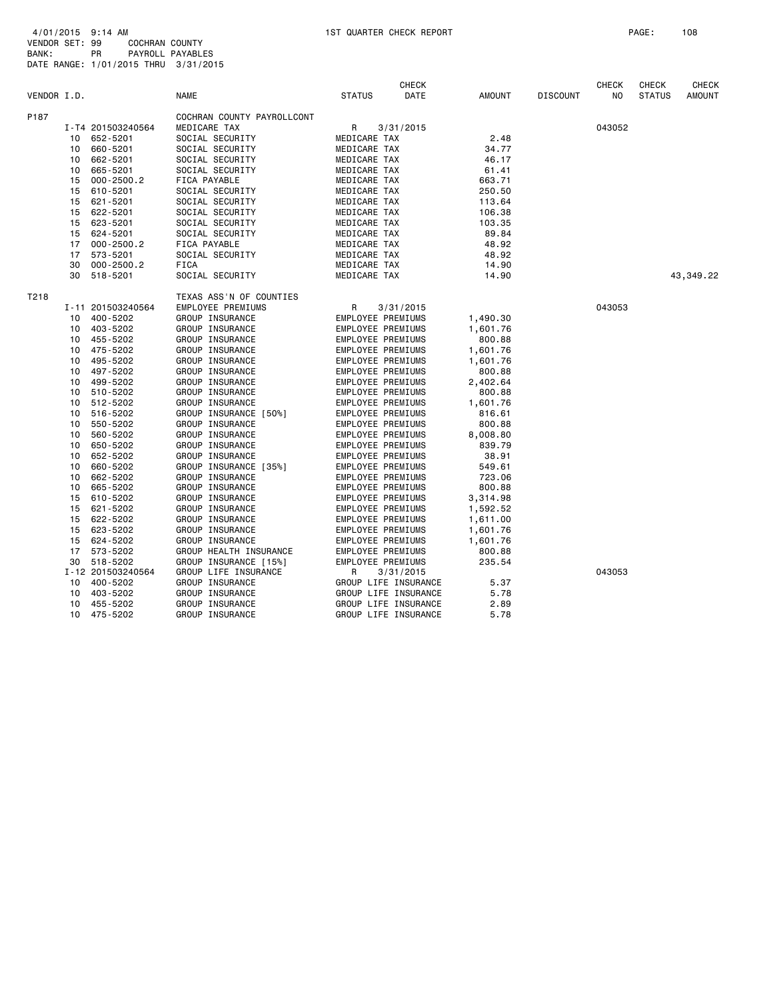|             |    |                   |                            |                                | <b>CHECK</b>         |          |                 | <b>CHECK</b> | <b>CHECK</b>  | <b>CHECK</b>  |
|-------------|----|-------------------|----------------------------|--------------------------------|----------------------|----------|-----------------|--------------|---------------|---------------|
| VENDOR I.D. |    |                   | <b>NAME</b>                | <b>STATUS</b>                  | DATE                 | AMOUNT   | <b>DISCOUNT</b> | NO           | <b>STATUS</b> | <b>AMOUNT</b> |
| P187        |    |                   | COCHRAN COUNTY PAYROLLCONT |                                |                      |          |                 |              |               |               |
|             |    | I-T4 201503240564 | MEDICARE TAX               | R<br>3/31/2015<br>MEDICARE TAX |                      |          |                 | 043052       |               |               |
|             |    | 10 652-5201       | SOCIAL SECURITY            |                                |                      | 2.48     |                 |              |               |               |
|             | 10 | 660-5201          | SOCIAL SECURITY            | MEDICARE TAX                   |                      | 34.77    |                 |              |               |               |
|             | 10 | 662-5201          | SOCIAL SECURITY            | MEDICARE TAX                   |                      | 46.17    |                 |              |               |               |
|             | 10 | 665-5201          | SOCIAL SECURITY            | MEDICARE TAX                   |                      | 61.41    |                 |              |               |               |
|             | 15 | $000 - 2500.2$    | FICA PAYABLE               | MEDICARE TAX                   |                      | 663.71   |                 |              |               |               |
|             | 15 | 610-5201          | SOCIAL SECURITY            | MEDICARE TAX                   |                      | 250.50   |                 |              |               |               |
|             | 15 | 621-5201          | SOCIAL SECURITY            | MEDICARE TAX                   |                      | 113.64   |                 |              |               |               |
|             | 15 | 622-5201          | SOCIAL SECURITY            | MEDICARE TAX                   |                      | 106.38   |                 |              |               |               |
|             | 15 | 623-5201          | SOCIAL SECURITY            | MEDICARE TAX                   |                      | 103.35   |                 |              |               |               |
|             | 15 | 624-5201          | SOCIAL SECURITY            | MEDICARE TAX                   |                      | 89.84    |                 |              |               |               |
|             | 17 | $000 - 2500.2$    | FICA PAYABLE               | MEDICARE TAX                   |                      | 48.92    |                 |              |               |               |
|             | 17 | 573-5201          | SOCIAL SECURITY            | MEDICARE TAX                   |                      | 48.92    |                 |              |               |               |
|             | 30 | $000 - 2500.2$    | <b>FICA</b>                | MEDICARE TAX                   |                      | 14.90    |                 |              |               |               |
|             | 30 | 518-5201          | SOCIAL SECURITY            | MEDICARE TAX                   |                      | 14.90    |                 |              |               | 43,349.22     |
| T218        |    |                   | TEXAS ASS'N OF COUNTIES    |                                |                      |          |                 |              |               |               |
|             |    | I-11 201503240564 | EMPLOYEE PREMIUMS          | R                              | 3/31/2015            |          |                 | 043053       |               |               |
|             | 10 | 400-5202          | GROUP INSURANCE            | <b>EMPLOYEE PREMIUMS</b>       |                      | 1,490.30 |                 |              |               |               |
|             | 10 | 403-5202          | GROUP INSURANCE            | EMPLOYEE PREMIUMS              |                      | 1,601.76 |                 |              |               |               |
|             | 10 | 455-5202          | GROUP INSURANCE            | EMPLOYEE PREMIUMS              |                      | 800.88   |                 |              |               |               |
|             | 10 | 475-5202          | GROUP INSURANCE            | <b>EMPLOYEE PREMIUMS</b>       |                      | 1,601.76 |                 |              |               |               |
|             | 10 | 495-5202          | GROUP INSURANCE            | EMPLOYEE PREMIUMS              |                      | 1,601.76 |                 |              |               |               |
|             | 10 | 497-5202          | GROUP INSURANCE            | EMPLOYEE PREMIUMS              |                      | 800.88   |                 |              |               |               |
|             | 10 | 499-5202          | GROUP INSURANCE            | EMPLOYEE PREMIUMS              |                      | 2,402.64 |                 |              |               |               |
|             | 10 | 510-5202          | GROUP INSURANCE            | EMPLOYEE PREMIUMS              |                      | 800.88   |                 |              |               |               |
|             | 10 | 512-5202          | GROUP INSURANCE            | EMPLOYEE PREMIUMS              |                      | 1,601.76 |                 |              |               |               |
|             | 10 | 516-5202          | GROUP INSURANCE [50%]      | EMPLOYEE PREMIUMS              |                      | 816.61   |                 |              |               |               |
|             | 10 | 550-5202          | GROUP INSURANCE            | EMPLOYEE PREMIUMS              |                      | 800.88   |                 |              |               |               |
|             | 10 | 560-5202          | GROUP INSURANCE            | EMPLOYEE PREMIUMS              |                      | 8,008.80 |                 |              |               |               |
|             | 10 | 650-5202          | GROUP INSURANCE            | EMPLOYEE PREMIUMS              |                      | 839.79   |                 |              |               |               |
|             | 10 | 652-5202          | GROUP INSURANCE            | EMPLOYEE PREMIUMS              |                      | 38.91    |                 |              |               |               |
|             | 10 | 660-5202          | GROUP INSURANCE [35%]      | EMPLOYEE PREMIUMS              |                      | 549.61   |                 |              |               |               |
|             | 10 | 662-5202          | GROUP INSURANCE            | EMPLOYEE PREMIUMS              |                      | 723.06   |                 |              |               |               |
|             | 10 | 665-5202          | GROUP INSURANCE            | <b>EMPLOYEE PREMIUMS</b>       |                      | 800.88   |                 |              |               |               |
|             | 15 | 610-5202          | GROUP INSURANCE            | EMPLOYEE PREMIUMS              |                      | 3,314.98 |                 |              |               |               |
|             | 15 | 621-5202          | GROUP INSURANCE            | EMPLOYEE PREMIUMS              |                      | 1,592.52 |                 |              |               |               |
|             | 15 | 622-5202          | GROUP INSURANCE            | EMPLOYEE PREMIUMS              |                      | 1,611.00 |                 |              |               |               |
|             | 15 | 623-5202          | GROUP INSURANCE            | EMPLOYEE PREMIUMS              |                      | 1,601.76 |                 |              |               |               |
|             | 15 | 624-5202          | GROUP INSURANCE            | EMPLOYEE PREMIUMS              |                      | 1,601.76 |                 |              |               |               |
|             | 17 | 573-5202          | GROUP HEALTH INSURANCE     | <b>EMPLOYEE PREMIUMS</b>       |                      | 800.88   |                 |              |               |               |
|             | 30 | 518-5202          | GROUP INSURANCE [15%]      | EMPLOYEE PREMIUMS              |                      | 235.54   |                 |              |               |               |
|             |    | I-12 201503240564 | GROUP LIFE INSURANCE       | R                              | 3/31/2015            |          |                 | 043053       |               |               |
|             | 10 | 400-5202          | GROUP INSURANCE            |                                | GROUP LIFE INSURANCE | 5.37     |                 |              |               |               |
|             | 10 | 403-5202          | GROUP INSURANCE            | GROUP LIFE INSURANCE           |                      | 5.78     |                 |              |               |               |
|             | 10 | 455-5202          | GROUP INSURANCE            | GROUP LIFE INSURANCE           |                      | 2.89     |                 |              |               |               |
|             | 10 | 475-5202          | GROUP INSURANCE            |                                | GROUP LIFE INSURANCE | 5.78     |                 |              |               |               |
|             |    |                   |                            |                                |                      |          |                 |              |               |               |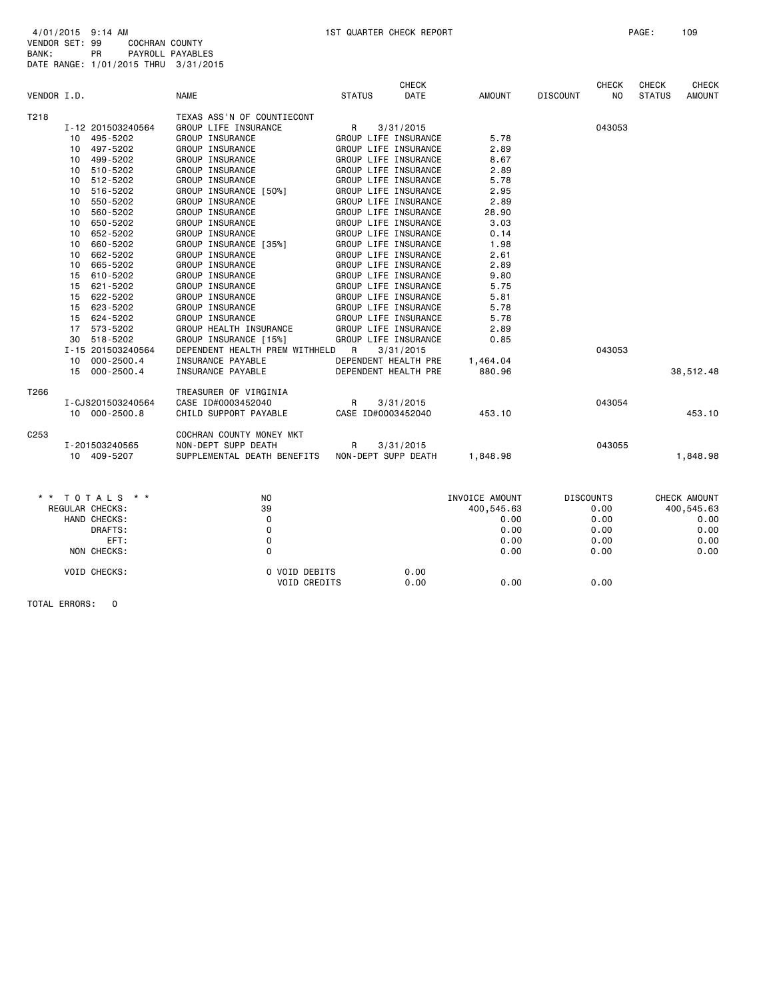| 4/01/2015 9:14 AM                    |    |                |                  |
|--------------------------------------|----|----------------|------------------|
| VENDOR SET: 99                       |    | COCHRAN COUNTY |                  |
| BANK:                                | PR |                | PAYROLL PAYABLES |
| DATE RANGE: 1/01/2015 THRU 3/31/2015 |    |                |                  |

|             |                 |                   |                                |               | <b>CHECK</b>         |                |                 | <b>CHECK</b>     | CHECK         | <b>CHECK</b>  |
|-------------|-----------------|-------------------|--------------------------------|---------------|----------------------|----------------|-----------------|------------------|---------------|---------------|
| VENDOR I.D. |                 |                   | <b>NAME</b>                    | <b>STATUS</b> | DATE                 | AMOUNT         | <b>DISCOUNT</b> | N <sub>O</sub>   | <b>STATUS</b> | <b>AMOUNT</b> |
| T218        |                 |                   | TEXAS ASS'N OF COUNTIECONT     |               |                      |                |                 |                  |               |               |
|             |                 | I-12 201503240564 | GROUP LIFE INSURANCE           | $\mathsf{R}$  | 3/31/2015            |                |                 | 043053           |               |               |
|             |                 | 10 495-5202       | GROUP INSURANCE                |               | GROUP LIFE INSURANCE | 5.78           |                 |                  |               |               |
|             | 10              | 497-5202          | GROUP INSURANCE                |               | GROUP LIFE INSURANCE | 2.89           |                 |                  |               |               |
|             | 10              | 499-5202          | GROUP INSURANCE                |               | GROUP LIFE INSURANCE | 8.67           |                 |                  |               |               |
|             | 10              | 510-5202          | GROUP INSURANCE                |               | GROUP LIFE INSURANCE | 2.89           |                 |                  |               |               |
|             | 10              | 512-5202          | GROUP INSURANCE                |               | GROUP LIFE INSURANCE | 5.78           |                 |                  |               |               |
|             | 10              | 516-5202          | GROUP INSURANCE [50%]          |               | GROUP LIFE INSURANCE | 2.95           |                 |                  |               |               |
|             | 10              | 550-5202          | GROUP INSURANCE                |               | GROUP LIFE INSURANCE | 2.89           |                 |                  |               |               |
|             | 10              | 560-5202          | GROUP INSURANCE                |               | GROUP LIFE INSURANCE | 28.90          |                 |                  |               |               |
|             | 10              | 650-5202          | GROUP INSURANCE                |               | GROUP LIFE INSURANCE | 3.03           |                 |                  |               |               |
|             | 10              | 652-5202          | GROUP INSURANCE                |               | GROUP LIFE INSURANCE | 0.14           |                 |                  |               |               |
|             | 10              | 660-5202          | GROUP INSURANCE [35%]          |               | GROUP LIFE INSURANCE | 1.98           |                 |                  |               |               |
|             | 10              | 662-5202          | GROUP INSURANCE                |               | GROUP LIFE INSURANCE | 2.61           |                 |                  |               |               |
|             | 10              | 665-5202          | GROUP INSURANCE                |               | GROUP LIFE INSURANCE | 2.89           |                 |                  |               |               |
|             | 15              | 610-5202          | GROUP INSURANCE                |               | GROUP LIFE INSURANCE | 9.80           |                 |                  |               |               |
|             | 15              | 621-5202          | GROUP INSURANCE                |               | GROUP LIFE INSURANCE | 5.75           |                 |                  |               |               |
|             | 15              | 622-5202          | GROUP INSURANCE                |               | GROUP LIFE INSURANCE | 5.81           |                 |                  |               |               |
|             | 15              | 623-5202          | GROUP INSURANCE                |               | GROUP LIFE INSURANCE | 5.78           |                 |                  |               |               |
|             | 15              | 624-5202          | GROUP INSURANCE                |               | GROUP LIFE INSURANCE | 5.78           |                 |                  |               |               |
|             | 17              | 573-5202          | GROUP HEALTH INSURANCE         |               | GROUP LIFE INSURANCE | 2.89           |                 |                  |               |               |
|             | 30              | 518-5202          | GROUP INSURANCE [15%]          |               | GROUP LIFE INSURANCE | 0.85           |                 |                  |               |               |
|             |                 | I-15 201503240564 | DEPENDENT HEALTH PREM WITHHELD | R             | 3/31/2015            |                |                 | 043053           |               |               |
|             | 10 <sup>1</sup> | 000-2500.4        | INSURANCE PAYABLE              |               | DEPENDENT HEALTH PRE | 1,464.04       |                 |                  |               |               |
|             |                 | 15 000-2500.4     | INSURANCE PAYABLE              |               | DEPENDENT HEALTH PRE | 880.96         |                 |                  |               | 38,512.48     |
|             |                 |                   |                                |               |                      |                |                 |                  |               |               |
| T266        |                 |                   | TREASURER OF VIRGINIA          |               |                      |                |                 |                  |               |               |
|             |                 | I-CJS201503240564 | CASE ID#0003452040             | R             | 3/31/2015            |                |                 | 043054           |               |               |
|             |                 | 10 000-2500.8     | CHILD SUPPORT PAYABLE          |               | CASE ID#0003452040   | 453.10         |                 |                  |               | 453.10        |
| C253        |                 |                   | COCHRAN COUNTY MONEY MKT       |               |                      |                |                 |                  |               |               |
|             |                 | I-201503240565    | NON-DEPT SUPP DEATH            | R             | 3/31/2015            |                |                 | 043055           |               |               |
|             |                 | 10 409-5207       | SUPPLEMENTAL DEATH BENEFITS    |               | NON-DEPT SUPP DEATH  | 1,848.98       |                 |                  |               | 1,848.98      |
|             |                 |                   |                                |               |                      |                |                 |                  |               |               |
|             |                 | * * TOTALS * *    | NO.                            |               |                      | INVOICE AMOUNT |                 | <b>DISCOUNTS</b> |               | CHECK AMOUNT  |
|             |                 | REGULAR CHECKS:   | 39                             |               |                      | 400,545.63     |                 | 0.00             |               | 400,545.63    |
|             |                 | HAND CHECKS:      | $\mathbf 0$                    |               |                      | 0.00           |                 | 0.00             |               | 0.00          |
|             |                 | DRAFTS:           | 0                              |               |                      | 0.00           |                 | 0.00             |               | 0.00          |
|             |                 | EFT:              | $\mathsf 0$                    |               |                      | 0.00           |                 | 0.00             |               | 0.00          |
|             |                 | NON CHECKS:       | $\Omega$                       |               |                      | 0.00           |                 | 0.00             |               | 0.00          |
|             |                 |                   |                                |               |                      |                |                 |                  |               |               |
|             |                 | VOID CHECKS:      | 0 VOID DEBITS                  |               | 0.00                 |                |                 |                  |               |               |
|             |                 |                   | VOID CREDITS                   |               | 0.00                 | 0.00           |                 | 0.00             |               |               |
|             |                 |                   |                                |               |                      |                |                 |                  |               |               |

TOTAL ERRORS: 0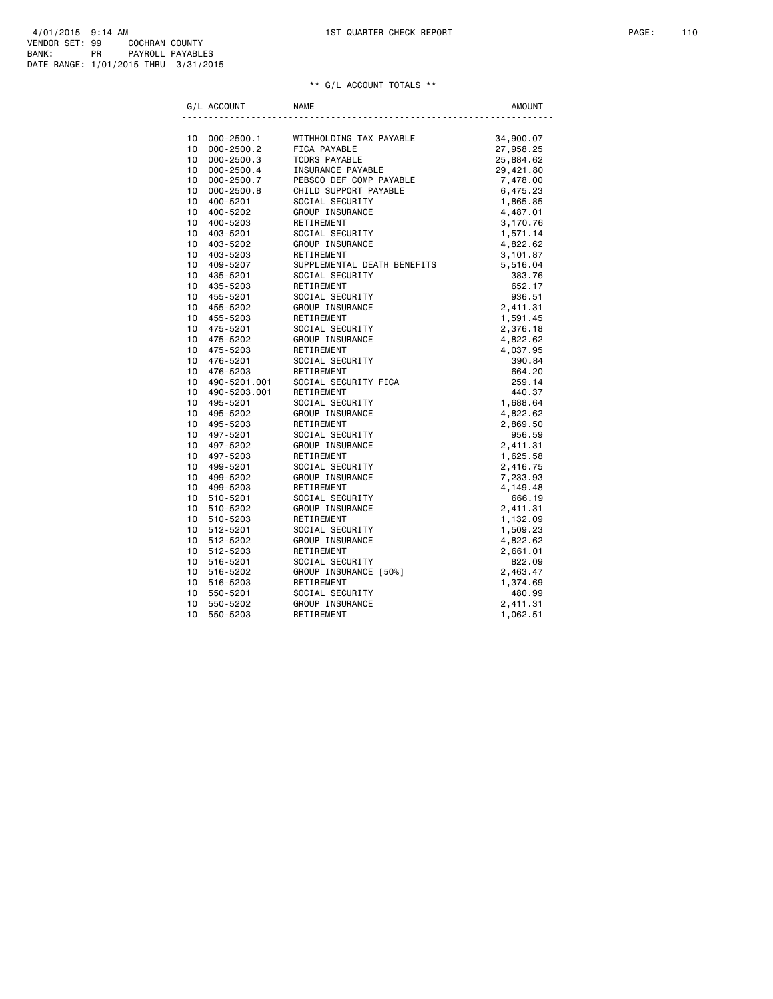| 4/01/2015 9:14 AM                    |    |                  |
|--------------------------------------|----|------------------|
| VENDOR SET: 99                       |    | COCHRAN COUNTY   |
| BANK:                                | PR | PAYROLL PAYABLES |
| DATE RANGE: 1/01/2015 THRU 3/31/2015 |    |                  |

## \*\* G/L ACCOUNT TOTALS \*\*

| G/L ACCOUNT                                                                   | <b>NAME</b>                                                                                                                                 | <b>AMOUNT</b>        |
|-------------------------------------------------------------------------------|---------------------------------------------------------------------------------------------------------------------------------------------|----------------------|
|                                                                               |                                                                                                                                             |                      |
| 10     000-2500.1<br>10    000-2500.2                                         | WITHHOLDING TAX PAYABLE                                                                                                                     | 34,900.07            |
|                                                                               | FICA PAYABLE                                                                                                                                | 27,958.25            |
| 10 <sup>1</sup><br>000-2500.3                                                 | <b>TCDRS PAYABLE</b>                                                                                                                        | 25,884.62            |
| 10<br>000-2500.4                                                              | INSURANCE PAYABLE                                                                                                                           | 29,421.80            |
| 10<br>000-2500.7                                                              | PEBSCO DEF COMP PAYABLE                                                                                                                     | 7,478.00<br>6,475.23 |
| 10 000-2500.8                                                                 | CHILD SUPPORT PAYABLE                                                                                                                       |                      |
| 10<br>400-5201                                                                | SOCIAL SECURITY                                                                                                                             | 1,865.85             |
| 10 400-5202                                                                   | <b>GROUP INSURANCE<br/>RETIREMENT<br/>SOCIAL SECURITY<br/>GROUP INSURANCE</b>                                                               | 4,487.01             |
| 10 <sup>1</sup><br>400-5203                                                   |                                                                                                                                             | 3,170.76             |
| 10 <sup>1</sup><br>403-5201                                                   |                                                                                                                                             | 1,571.14             |
| 10 403-5202                                                                   |                                                                                                                                             | 4,822.62             |
| 10<br>403-5203                                                                | RETIREMENT                                                                                                                                  | 3,101.87             |
| 10 409-5207                                                                   | SUPPLEMENTAL DEATH BENEFITS                                                                                                                 | 5,516.04             |
| 10 435-5201                                                                   | SOCIAL SECURITY                                                                                                                             | 383.76               |
| 10 435-5203                                                                   | RETIREMENT                                                                                                                                  | 652.17               |
| 10 455-5201                                                                   |                                                                                                                                             | 936.51               |
| 10 455-5202                                                                   |                                                                                                                                             | 2,411.31             |
| 10 455-5203                                                                   |                                                                                                                                             | 1,591.45             |
| 10 475-5201                                                                   | <b>COUNTRY GEOURITY<br/> GROUP INSURANCE<br/> RETIREMENT<br/> SOCIAL SECURITY<br/> GROUP INSURANCE<br/> RETIREMENT<br/> SOCIAL SECURITY</b> | 2,376.18             |
| 10 475-5202                                                                   |                                                                                                                                             | 4,822.62             |
| 10 475-5203                                                                   |                                                                                                                                             | 4,037.95             |
| 10 476-5201                                                                   | SOCIAL SECURITY                                                                                                                             | 390.84               |
| 10 $476 - 5203$<br>10 $490 - 5201,001$<br>10 $490 - 5203,001$<br>$105 - 5201$ | RETIREMENT                                                                                                                                  | 664.20               |
|                                                                               | SOCIAL SECURITY FICA                                                                                                                        | 259.14               |
|                                                                               | RETIREMENT                                                                                                                                  | 440.37               |
| 10 495-5201                                                                   | SOCIAL SECURITY                                                                                                                             | 1,688.64             |
| 10 495-5202                                                                   | GROUP INSURANCE<br>RETIREMENT                                                                                                               | 4,822.62             |
| 10 495-5203                                                                   |                                                                                                                                             | 2,869.50             |
| 10 497-5201                                                                   |                                                                                                                                             | 956.59               |
| 10 497-5202                                                                   |                                                                                                                                             | 2,411.31             |
| 10 497-5203                                                                   |                                                                                                                                             | 1,625.58             |
| 10 499-5201                                                                   | SOCIAL SECURITY<br>GROUP INSURANCE<br>RETIREMENT<br>SOCIAL SECURITY<br>CROUP INCURANCE                                                      | 2,416.75             |
| 10 499-5202                                                                   | SCOLAL SCOMMIT<br>RETIREMENT<br>SOCIAL SECURITY<br>GROUP INSURANCE<br>RETIREMENT                                                            | 7,233.93             |
| 10 499-5203                                                                   |                                                                                                                                             | 4,149.48             |
| 10 510-5201                                                                   |                                                                                                                                             | 666.19               |
| 10 510-5202                                                                   |                                                                                                                                             | 2,411.31             |
| 10 510-5203                                                                   |                                                                                                                                             | 1,132.09             |
| 10 512-5201                                                                   | SOCIAL SECURITY                                                                                                                             | 1,509.23             |
| 10 512-5202                                                                   | GROUP INSURANCE                                                                                                                             | 4,822.62             |
| 10 <sup>1</sup><br>512-5203                                                   | RETIREMENT                                                                                                                                  | 2,661.01             |
| 10 516-5201                                                                   | SOCIAL SECURITY                                                                                                                             | 822.09               |
| 10 <sup>1</sup><br>516-5202                                                   | GROUP INSURANCE [50%]                                                                                                                       | 2,463.47             |
| 10 <sup>1</sup><br>516-5203                                                   | RETIREMENT                                                                                                                                  | 1,374.69             |
| 10<br>550-5201                                                                | SOCIAL SECURITY                                                                                                                             | 480.99               |
| 10<br>550-5202                                                                | GROUP INSURANCE                                                                                                                             | 2,411.31             |
| 10<br>550-5203                                                                | RETIREMENT                                                                                                                                  | 1,062.51             |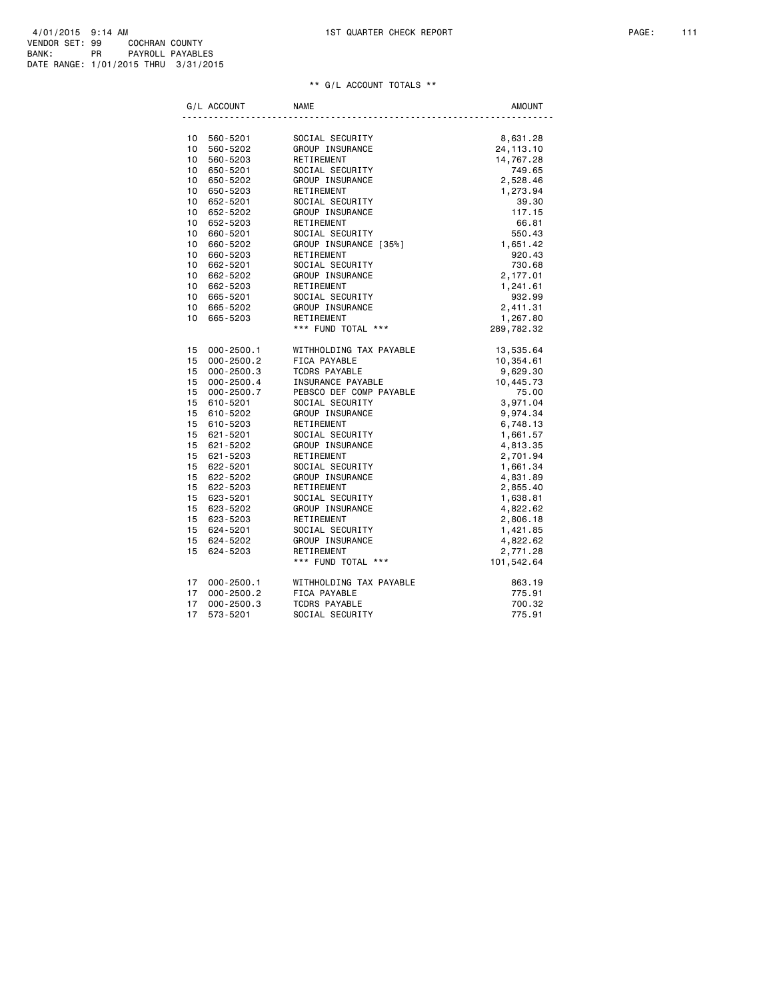| 4/01/2015 9:14 AM                    |    |                |                  |
|--------------------------------------|----|----------------|------------------|
| VENDOR SET: 99                       |    | COCHRAN COUNTY |                  |
| BANK:                                | PR |                | PAYROLL PAYABLES |
| DATE RANGE: 1/01/2015 THRU 3/31/2015 |    |                |                  |

## \*\* G/L ACCOUNT TOTALS \*\*

|                 | G/L ACCOUNT    | <b>NAME</b>                                      | <b>AMOUNT</b>        |
|-----------------|----------------|--------------------------------------------------|----------------------|
|                 |                |                                                  |                      |
|                 | 10 560-5201    | SOCIAL SECURITY<br>GROUP INSURANCE<br>RETIREMENT | 8,631.28             |
|                 | 10 560-5202    |                                                  | 24, 113. 10          |
| 10              | 560-5203       | HEIIREMENT<br>SOCIAL SECURITY<br>OBSUS           | 14,767.28            |
|                 | 10 650-5201    |                                                  | 749.65               |
|                 | 10 650-5202    | GROUP INSURANCE<br>RETIREMENT<br>SOCIAL SECURITY | 2,528.46             |
|                 | 10 650-5203    |                                                  | 1,273.94             |
|                 | 10 652-5201    |                                                  | 39.30                |
|                 | 10 652-5202    | GROUP INSURANCE                                  | 117.15               |
|                 | 10 652-5203    | RETIREMENT                                       | 66.81                |
|                 | 10 660-5201    | SOCIAL SECURITY                                  | 550.43               |
| $10-10$         | 660-5202       | GROUP INSURANCE [35%]                            | 1,651.42             |
|                 | 10 660-5203    | RETIREMENT                                       | 920.43               |
|                 | 10 662-5201    | SOCIAL SECURITY                                  | 730.68               |
|                 | 10 662-5202    | GROUP INSURANCE                                  | 2,177.01<br>1,241.61 |
|                 | 10 662-5203    | RETIREMENT                                       |                      |
|                 | 10 665-5201    | SOCIAL SECURITY                                  | 932.99               |
|                 | 10 665-5202    | GROUP INSURANCE                                  | 2,411.31             |
| 10 <sup>1</sup> | 665-5203       | RETIREMENT                                       | 1,267.80             |
|                 |                | *** FUND TOTAL ***                               | 289,782.32           |
|                 | 15 000-2500.1  | WITHHOLDING TAX PAYABLE                          | 13,535.64            |
| 15              | $000 - 2500.2$ | FICA PAYABLE                                     | 10,354.61            |
|                 | 15 000-2500.3  | TCDRS PAYABLE                                    | 9,629.30             |
| 15              | $000 - 2500.4$ | INSURANCE PAYABLE                                | 10,445.73            |
|                 | 15 000-2500.7  | PEBSCO DEF COMP PAYABLE                          | 75.00                |
|                 | 15 610-5201    | SOCIAL SECURITY                                  | 3,971.04             |
|                 | 15 610-5202    | GROUP INSURANCE                                  | 9,974.34             |
| 15              | 610-5203       | RETIREMENT                                       | 6,748.13             |
|                 | 15 621-5201    | SOCIAL SECURITY                                  | 1,661.57             |
|                 | 15 621-5202    | GROUP INSURANCE                                  | 4,813.35             |
|                 | 15 621-5203    | RETIREMENT                                       | 2,701.94             |
|                 | 15 622-5201    | SOCIAL SECURITY                                  | 1,661.34             |
|                 | 15 622-5202    | GROUP INSURANCE                                  | 4,831.89             |
|                 | 15 622-5203    |                                                  | 2,855.40             |
| 15              | 623-5201       |                                                  | 1,638.81             |
|                 | 15 623-5202    | RETIREMENT<br>SOCIAL SECURITY                    | 4,822.62             |
| 15              | 623-5203       | RETIREMENT                                       | 2,806.18             |
|                 | 15 624-5201    | SOCIAL SECURITY                                  | 1,421.85             |
| 15              | 624-5202       | GROUP INSURANCE                                  | 4,822.62             |
|                 | 15 624-5203    | RETIREMENT                                       | 2,771.28             |
|                 |                | *** FUND TOTAL ***                               | 101,542.64           |
| 17              | 000-2500.1     | WITHHOLDING TAX PAYABLE                          | 863.19               |
| 17              | $000 - 2500.2$ | FICA PAYABLE                                     | 775.91               |
| 17              | $000 - 2500.3$ | <b>TCDRS PAYABLE</b>                             | 700.32               |
| 17              | 573-5201       | SOCIAL SECURITY                                  | 775.91               |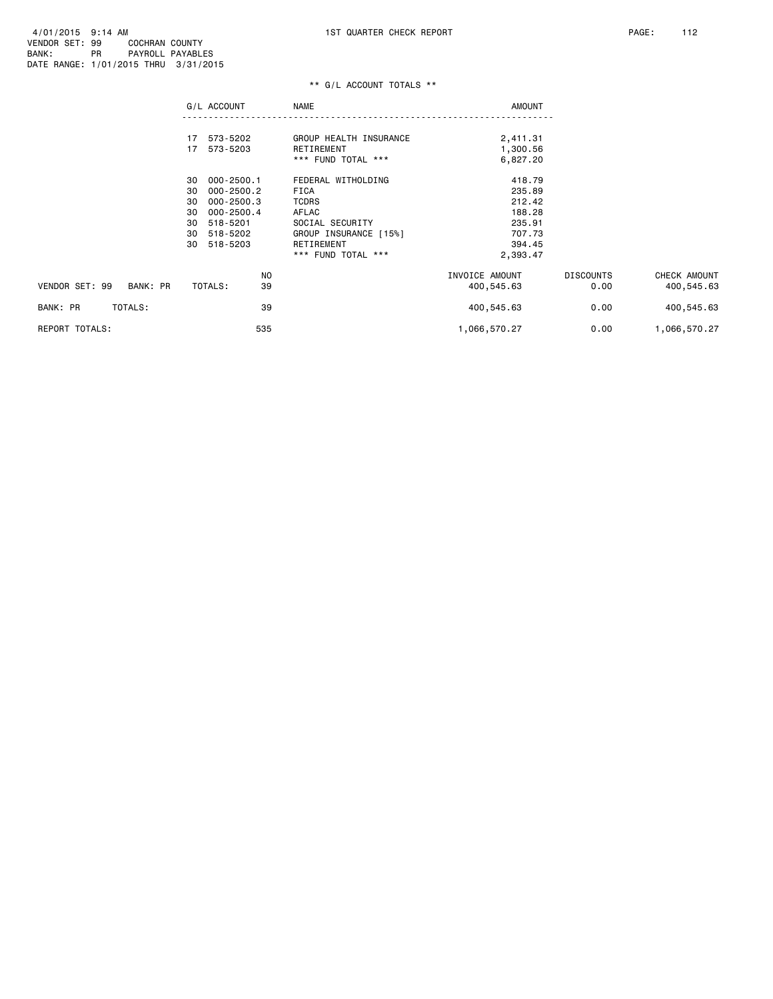### \*\* G/L ACCOUNT TOTALS \*\*

|                            | G/L ACCOUNT          | <b>NAME</b>            | <b>AMOUNT</b>  |                  |              |
|----------------------------|----------------------|------------------------|----------------|------------------|--------------|
|                            | 573-5202<br>17       | GROUP HEALTH INSURANCE | 2,411.31       |                  |              |
|                            | 17<br>573-5203       | RETIREMENT             | 1,300.56       |                  |              |
|                            |                      | *** FUND TOTAL ***     | 6,827.20       |                  |              |
|                            | $000 - 2500.1$<br>30 | FEDERAL WITHOLDING     | 418.79         |                  |              |
|                            | 30<br>$000 - 2500.2$ | FICA                   | 235.89         |                  |              |
|                            | 000-2500.3<br>30     | <b>TCDRS</b>           | 212.42         |                  |              |
|                            | $000 - 2500.4$<br>30 | AFLAC                  | 188.28         |                  |              |
|                            | 518-5201<br>30       | SOCIAL SECURITY        | 235.91         |                  |              |
|                            | 30<br>518-5202       | GROUP INSURANCE [15%]  | 707.73         |                  |              |
|                            | 518-5203<br>30       | RETIREMENT             | 394.45         |                  |              |
|                            |                      | *** FUND TOTAL ***     | 2,393.47       |                  |              |
|                            | NO                   |                        | INVOICE AMOUNT | <b>DISCOUNTS</b> | CHECK AMOUNT |
| VENDOR SET: 99<br>BANK: PR | 39<br>TOTALS:        |                        | 400,545.63     | 0.00             | 400,545.63   |
| BANK: PR<br>TOTALS:        | 39                   |                        | 400,545.63     | 0.00             | 400,545.63   |
| REPORT TOTALS:             | 535                  |                        | 1,066,570.27   | 0.00             | 1,066,570.27 |